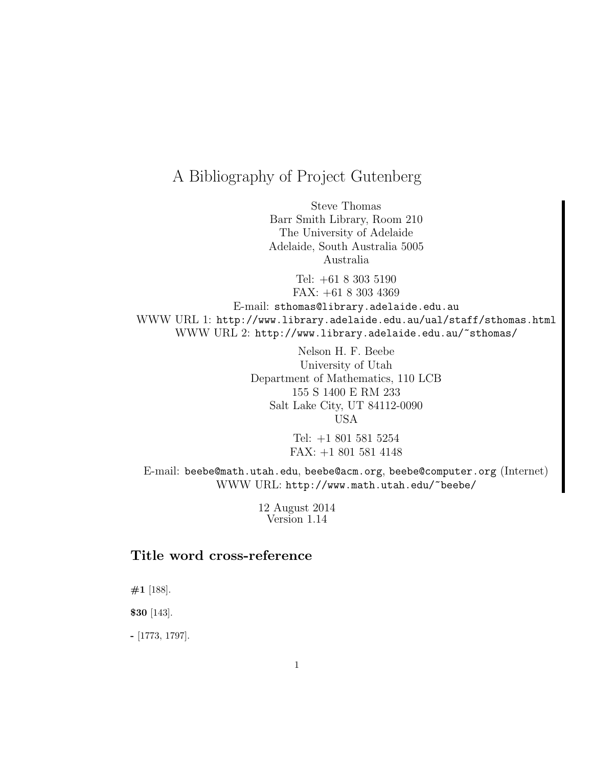# A Bibliography of Project Gutenberg

Steve Thomas Barr Smith Library, Room 210 The University of Adelaide Adelaide, South Australia 5005 Australia

Tel: +61 8 303 5190 FAX: +61 8 303 4369 E-mail: sthomas@library.adelaide.edu.au WWW URL 1: http://www.library.adelaide.edu.au/ual/staff/sthomas.html WWW URL 2: http://www.library.adelaide.edu.au/~sthomas/

> Nelson H. F. Beebe University of Utah Department of Mathematics, 110 LCB 155 S 1400 E RM 233 Salt Lake City, UT 84112-0090 USA

> > Tel: +1 801 581 5254 FAX: +1 801 581 4148

E-mail: beebe@math.utah.edu, beebe@acm.org, beebe@computer.org (Internet) WWW URL: http://www.math.utah.edu/~beebe/

> 12 August 2014 Version 1.14

## **Title word cross-reference**

**#1** [188].

**\$30** [143].

**-** [1773, 1797].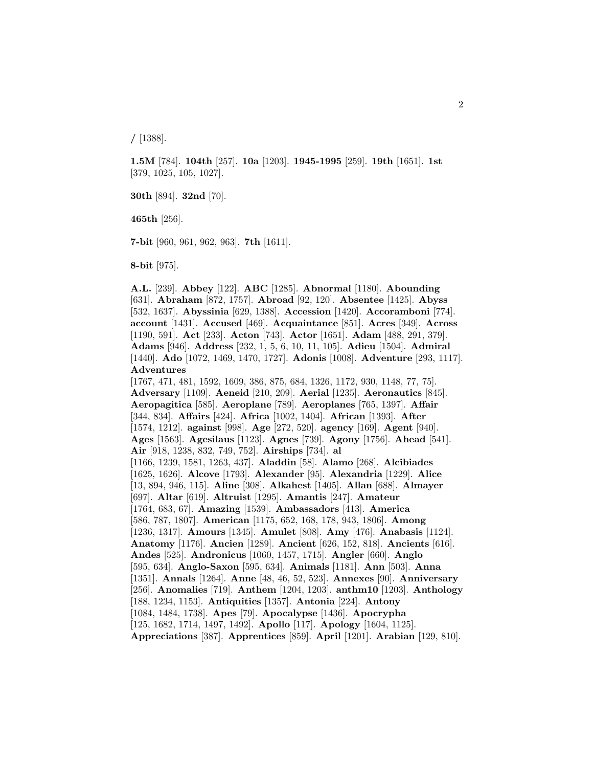**/** [1388].

**1.5M** [784]. **104th** [257]. **10a** [1203]. **1945-1995** [259]. **19th** [1651]. **1st** [379, 1025, 105, 1027].

**30th** [894]. **32nd** [70].

**465th** [256].

**7-bit** [960, 961, 962, 963]. **7th** [1611].

**8-bit** [975].

**A.L.** [239]. **Abbey** [122]. **ABC** [1285]. **Abnormal** [1180]. **Abounding** [631]. **Abraham** [872, 1757]. **Abroad** [92, 120]. **Absentee** [1425]. **Abyss** [532, 1637]. **Abyssinia** [629, 1388]. **Accession** [1420]. **Accoramboni** [774]. **account** [1431]. **Accused** [469]. **Acquaintance** [851]. **Acres** [349]. **Across** [1190, 591]. **Act** [233]. **Acton** [743]. **Actor** [1651]. **Adam** [488, 291, 379]. **Adams** [946]. **Address** [232, 1, 5, 6, 10, 11, 105]. **Adieu** [1504]. **Admiral** [1440]. **Ado** [1072, 1469, 1470, 1727]. **Adonis** [1008]. **Adventure** [293, 1117]. **Adventures**

[1767, 471, 481, 1592, 1609, 386, 875, 684, 1326, 1172, 930, 1148, 77, 75]. **Adversary** [1109]. **Aeneid** [210, 209]. **Aerial** [1235]. **Aeronautics** [845]. **Aeropagitica** [585]. **Aeroplane** [789]. **Aeroplanes** [765, 1397]. **Affair** [344, 834]. **Affairs** [424]. **Africa** [1002, 1404]. **African** [1393]. **After** [1574, 1212]. **against** [998]. **Age** [272, 520]. **agency** [169]. **Agent** [940]. **Ages** [1563]. **Agesilaus** [1123]. **Agnes** [739]. **Agony** [1756]. **Ahead** [541]. **Air** [918, 1238, 832, 749, 752]. **Airships** [734]. **al** [1166, 1239, 1581, 1263, 437]. **Aladdin** [58]. **Alamo** [268]. **Alcibiades** [1625, 1626]. **Alcove** [1793]. **Alexander** [95]. **Alexandria** [1229]. **Alice** [13, 894, 946, 115]. **Aline** [308]. **Alkahest** [1405]. **Allan** [688]. **Almayer** [697]. **Altar** [619]. **Altruist** [1295]. **Amantis** [247]. **Amateur** [1764, 683, 67]. **Amazing** [1539]. **Ambassadors** [413]. **America** [586, 787, 1807]. **American** [1175, 652, 168, 178, 943, 1806]. **Among** [1236, 1317]. **Amours** [1345]. **Amulet** [808]. **Amy** [476]. **Anabasis** [1124]. **Anatomy** [1176]. **Ancien** [1289]. **Ancient** [626, 152, 818]. **Ancients** [616]. **Andes** [525]. **Andronicus** [1060, 1457, 1715]. **Angler** [660]. **Anglo** [595, 634]. **Anglo-Saxon** [595, 634]. **Animals** [1181]. **Ann** [503]. **Anna** [1351]. **Annals** [1264]. **Anne** [48, 46, 52, 523]. **Annexes** [90]. **Anniversary** [256]. **Anomalies** [719]. **Anthem** [1204, 1203]. **anthm10** [1203]. **Anthology** [188, 1234, 1153]. **Antiquities** [1357]. **Antonia** [224]. **Antony** [1084, 1484, 1738]. **Apes** [79]. **Apocalypse** [1436]. **Apocrypha** [125, 1682, 1714, 1497, 1492]. **Apollo** [117]. **Apology** [1604, 1125]. **Appreciations** [387]. **Apprentices** [859]. **April** [1201]. **Arabian** [129, 810].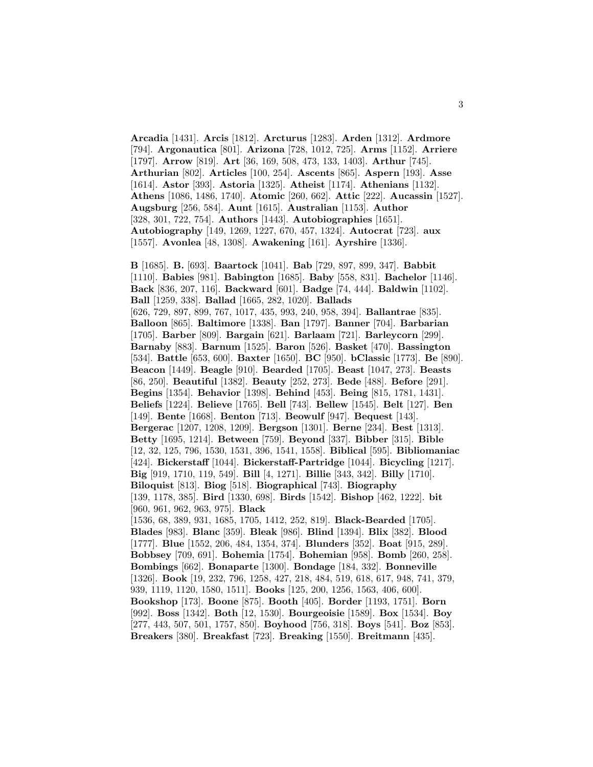**Arcadia** [1431]. **Arcis** [1812]. **Arcturus** [1283]. **Arden** [1312]. **Ardmore** [794]. **Argonautica** [801]. **Arizona** [728, 1012, 725]. **Arms** [1152]. **Arriere** [1797]. **Arrow** [819]. **Art** [36, 169, 508, 473, 133, 1403]. **Arthur** [745]. **Arthurian** [802]. **Articles** [100, 254]. **Ascents** [865]. **Aspern** [193]. **Asse** [1614]. **Astor** [393]. **Astoria** [1325]. **Atheist** [1174]. **Athenians** [1132]. **Athens** [1086, 1486, 1740]. **Atomic** [260, 662]. **Attic** [222]. **Aucassin** [1527]. **Augsburg** [256, 584]. **Aunt** [1615]. **Australian** [1153]. **Author** [328, 301, 722, 754]. **Authors** [1443]. **Autobiographies** [1651]. **Autobiography** [149, 1269, 1227, 670, 457, 1324]. **Autocrat** [723]. **aux** [1557]. **Avonlea** [48, 1308]. **Awakening** [161]. **Ayrshire** [1336].

**B** [1685]. **B.** [693]. **Baartock** [1041]. **Bab** [729, 897, 899, 347]. **Babbit** [1110]. **Babies** [981]. **Babington** [1685]. **Baby** [558, 831]. **Bachelor** [1146]. **Back** [836, 207, 116]. **Backward** [601]. **Badge** [74, 444]. **Baldwin** [1102]. **Ball** [1259, 338]. **Ballad** [1665, 282, 1020]. **Ballads** [626, 729, 897, 899, 767, 1017, 435, 993, 240, 958, 394]. **Ballantrae** [835]. **Balloon** [865]. **Baltimore** [1338]. **Ban** [1797]. **Banner** [704]. **Barbarian** [1705]. **Barber** [809]. **Bargain** [621]. **Barlaam** [721]. **Barleycorn** [299]. **Barnaby** [883]. **Barnum** [1525]. **Baron** [526]. **Basket** [470]. **Bassington** [534]. **Battle** [653, 600]. **Baxter** [1650]. **BC** [950]. **bClassic** [1773]. **Be** [890]. **Beacon** [1449]. **Beagle** [910]. **Bearded** [1705]. **Beast** [1047, 273]. **Beasts** [86, 250]. **Beautiful** [1382]. **Beauty** [252, 273]. **Bede** [488]. **Before** [291]. **Begins** [1354]. **Behavior** [1398]. **Behind** [453]. **Being** [815, 1781, 1431]. **Beliefs** [1224]. **Believe** [1765]. **Bell** [743]. **Bellew** [1545]. **Belt** [127]. **Ben** [149]. **Bente** [1668]. **Benton** [713]. **Beowulf** [947]. **Bequest** [143]. **Bergerac** [1207, 1208, 1209]. **Bergson** [1301]. **Berne** [234]. **Best** [1313]. **Betty** [1695, 1214]. **Between** [759]. **Beyond** [337]. **Bibber** [315]. **Bible** [12, 32, 125, 796, 1530, 1531, 396, 1541, 1558]. **Biblical** [595]. **Bibliomaniac** [424]. **Bickerstaff** [1044]. **Bickerstaff-Partridge** [1044]. **Bicycling** [1217]. **Big** [919, 1710, 119, 549]. **Bill** [4, 1271]. **Billie** [343, 342]. **Billy** [1710]. **Biloquist** [813]. **Biog** [518]. **Biographical** [743]. **Biography** [139, 1178, 385]. **Bird** [1330, 698]. **Birds** [1542]. **Bishop** [462, 1222]. **bit** [960, 961, 962, 963, 975]. **Black** [1536, 68, 389, 931, 1685, 1705, 1412, 252, 819]. **Black-Bearded** [1705]. **Blades** [983]. **Blanc** [359]. **Bleak** [986]. **Blind** [1394]. **Blix** [382]. **Blood** [1777]. **Blue** [1552, 206, 484, 1354, 374]. **Blunders** [352]. **Boat** [915, 289]. **Bobbsey** [709, 691]. **Bohemia** [1754]. **Bohemian** [958]. **Bomb** [260, 258]. **Bombings** [662]. **Bonaparte** [1300]. **Bondage** [184, 332]. **Bonneville** [1326]. **Book** [19, 232, 796, 1258, 427, 218, 484, 519, 618, 617, 948, 741, 379, 939, 1119, 1120, 1580, 1511]. **Books** [125, 200, 1256, 1563, 406, 600]. **Bookshop** [173]. **Boone** [875]. **Booth** [405]. **Border** [1193, 1751]. **Born** [992]. **Boss** [1342]. **Both** [12, 1530]. **Bourgeoisie** [1589]. **Box** [1534]. **Boy** [277, 443, 507, 501, 1757, 850]. **Boyhood** [756, 318]. **Boys** [541]. **Boz** [853]. **Breakers** [380]. **Breakfast** [723]. **Breaking** [1550]. **Breitmann** [435].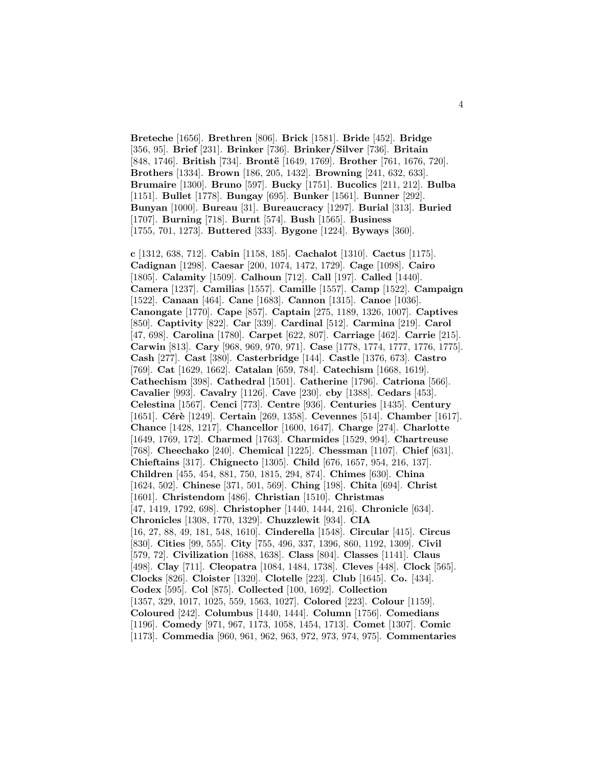**Breteche** [1656]. **Brethren** [806]. **Brick** [1581]. **Bride** [452]. **Bridge** [356, 95]. **Brief** [231]. **Brinker** [736]. **Brinker/Silver** [736]. **Britain** [848, 1746]. **British** [734]. **Brontë** [1649, 1769]. **Brother** [761, 1676, 720]. **Brothers** [1334]. **Brown** [186, 205, 1432]. **Browning** [241, 632, 633]. **Brumaire** [1300]. **Bruno** [597]. **Bucky** [1751]. **Bucolics** [211, 212]. **Bulba** [1151]. **Bullet** [1778]. **Bungay** [695]. **Bunker** [1561]. **Bunner** [292]. **Bunyan** [1000]. **Bureau** [31]. **Bureaucracy** [1297]. **Burial** [313]. **Buried** [1707]. **Burning** [718]. **Burnt** [574]. **Bush** [1565]. **Business** [1755, 701, 1273]. **Buttered** [333]. **Bygone** [1224]. **Byways** [360].

**c** [1312, 638, 712]. **Cabin** [1158, 185]. **Cachalot** [1310]. **Cactus** [1175]. **Cadignan** [1298]. **Caesar** [200, 1074, 1472, 1729]. **Cage** [1098]. **Cairo** [1805]. **Calamity** [1509]. **Calhoun** [712]. **Call** [197]. **Called** [1440]. **Camera** [1237]. **Camilias** [1557]. **Camille** [1557]. **Camp** [1522]. **Campaign** [1522]. **Canaan** [464]. **Cane** [1683]. **Cannon** [1315]. **Canoe** [1036]. **Canongate** [1770]. **Cape** [857]. **Captain** [275, 1189, 1326, 1007]. **Captives** [850]. **Captivity** [822]. **Car** [339]. **Cardinal** [512]. **Carmina** [219]. **Carol** [47, 698]. **Carolina** [1780]. **Carpet** [622, 807]. **Carriage** [462]. **Carrie** [215]. **Carwin** [813]. **Cary** [968, 969, 970, 971]. **Case** [1778, 1774, 1777, 1776, 1775]. **Cash** [277]. **Cast** [380]. **Casterbridge** [144]. **Castle** [1376, 673]. **Castro** [769]. **Cat** [1629, 1662]. **Catalan** [659, 784]. **Catechism** [1668, 1619]. **Cathechism** [398]. **Cathedral** [1501]. **Catherine** [1796]. **Catriona** [566]. **Cavalier** [993]. **Cavalry** [1126]. **Cave** [230]. **cby** [1388]. **Cedars** [453]. **Celestina** [1567]. **Cenci** [773]. **Centre** [936]. **Centuries** [1435]. **Century** [1651]. **Cérè** [1249]. **Certain** [269, 1358]. **Cevennes** [514]. **Chamber** [1617]. **Chance** [1428, 1217]. **Chancellor** [1600, 1647]. **Charge** [274]. **Charlotte** [1649, 1769, 172]. **Charmed** [1763]. **Charmides** [1529, 994]. **Chartreuse** [768]. **Cheechako** [240]. **Chemical** [1225]. **Chessman** [1107]. **Chief** [631]. **Chieftains** [317]. **Chignecto** [1305]. **Child** [676, 1657, 954, 216, 137]. **Children** [455, 454, 881, 750, 1815, 294, 874]. **Chimes** [630]. **China** [1624, 502]. **Chinese** [371, 501, 569]. **Ching** [198]. **Chita** [694]. **Christ** [1601]. **Christendom** [486]. **Christian** [1510]. **Christmas** [47, 1419, 1792, 698]. **Christopher** [1440, 1444, 216]. **Chronicle** [634]. **Chronicles** [1308, 1770, 1329]. **Chuzzlewit** [934]. **CIA** [16, 27, 88, 49, 181, 548, 1610]. **Cinderella** [1548]. **Circular** [415]. **Circus** [830]. **Cities** [99, 555]. **City** [755, 496, 337, 1396, 860, 1192, 1309]. **Civil** [579, 72]. **Civilization** [1688, 1638]. **Class** [804]. **Classes** [1141]. **Claus** [498]. **Clay** [711]. **Cleopatra** [1084, 1484, 1738]. **Cleves** [448]. **Clock** [565]. **Clocks** [826]. **Cloister** [1320]. **Clotelle** [223]. **Club** [1645]. **Co.** [434]. **Codex** [595]. **Col** [875]. **Collected** [100, 1692]. **Collection** [1357, 329, 1017, 1025, 559, 1563, 1027]. **Colored** [223]. **Colour** [1159]. **Coloured** [242]. **Columbus** [1440, 1444]. **Column** [1756]. **Comedians** [1196]. **Comedy** [971, 967, 1173, 1058, 1454, 1713]. **Comet** [1307]. **Comic** [1173]. **Commedia** [960, 961, 962, 963, 972, 973, 974, 975]. **Commentaries**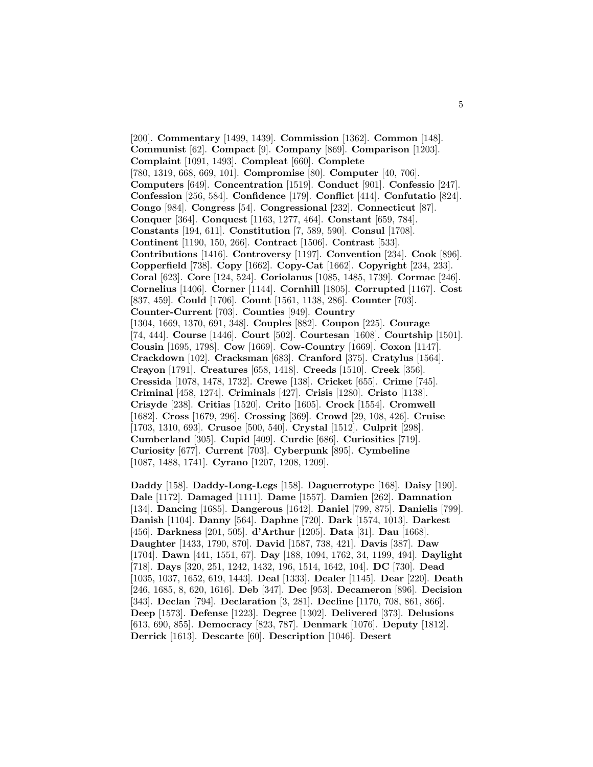[200]. **Commentary** [1499, 1439]. **Commission** [1362]. **Common** [148]. **Communist** [62]. **Compact** [9]. **Company** [869]. **Comparison** [1203]. **Complaint** [1091, 1493]. **Compleat** [660]. **Complete** [780, 1319, 668, 669, 101]. **Compromise** [80]. **Computer** [40, 706]. **Computers** [649]. **Concentration** [1519]. **Conduct** [901]. **Confessio** [247]. **Confession** [256, 584]. **Confidence** [179]. **Conflict** [414]. **Confutatio** [824]. **Congo** [984]. **Congress** [54]. **Congressional** [232]. **Connecticut** [87]. **Conquer** [364]. **Conquest** [1163, 1277, 464]. **Constant** [659, 784]. **Constants** [194, 611]. **Constitution** [7, 589, 590]. **Consul** [1708]. **Continent** [1190, 150, 266]. **Contract** [1506]. **Contrast** [533]. **Contributions** [1416]. **Controversy** [1197]. **Convention** [234]. **Cook** [896]. **Copperfield** [738]. **Copy** [1662]. **Copy-Cat** [1662]. **Copyright** [234, 233]. **Coral** [623]. **Core** [124, 524]. **Coriolanus** [1085, 1485, 1739]. **Cormac** [246]. **Cornelius** [1406]. **Corner** [1144]. **Cornhill** [1805]. **Corrupted** [1167]. **Cost** [837, 459]. **Could** [1706]. **Count** [1561, 1138, 286]. **Counter** [703]. **Counter-Current** [703]. **Counties** [949]. **Country** [1304, 1669, 1370, 691, 348]. **Couples** [882]. **Coupon** [225]. **Courage** [74, 444]. **Course** [1446]. **Court** [502]. **Courtesan** [1608]. **Courtship** [1501]. **Cousin** [1695, 1798]. **Cow** [1669]. **Cow-Country** [1669]. **Coxon** [1147]. **Crackdown** [102]. **Cracksman** [683]. **Cranford** [375]. **Cratylus** [1564]. **Crayon** [1791]. **Creatures** [658, 1418]. **Creeds** [1510]. **Creek** [356]. **Cressida** [1078, 1478, 1732]. **Crewe** [138]. **Cricket** [655]. **Crime** [745]. **Criminal** [458, 1274]. **Criminals** [427]. **Crisis** [1280]. **Cristo** [1138]. **Crisyde** [238]. **Critias** [1520]. **Crito** [1605]. **Crock** [1554]. **Cromwell** [1682]. **Cross** [1679, 296]. **Crossing** [369]. **Crowd** [29, 108, 426]. **Cruise** [1703, 1310, 693]. **Crusoe** [500, 540]. **Crystal** [1512]. **Culprit** [298]. **Cumberland** [305]. **Cupid** [409]. **Curdie** [686]. **Curiosities** [719]. **Curiosity** [677]. **Current** [703]. **Cyberpunk** [895]. **Cymbeline** [1087, 1488, 1741]. **Cyrano** [1207, 1208, 1209].

**Daddy** [158]. **Daddy-Long-Legs** [158]. **Daguerrotype** [168]. **Daisy** [190]. **Dale** [1172]. **Damaged** [1111]. **Dame** [1557]. **Damien** [262]. **Damnation** [134]. **Dancing** [1685]. **Dangerous** [1642]. **Daniel** [799, 875]. **Danielis** [799]. **Danish** [1104]. **Danny** [564]. **Daphne** [720]. **Dark** [1574, 1013]. **Darkest** [456]. **Darkness** [201, 505]. **d'Arthur** [1205]. **Data** [31]. **Dau** [1668]. **Daughter** [1433, 1790, 870]. **David** [1587, 738, 421]. **Davis** [387]. **Daw** [1704]. **Dawn** [441, 1551, 67]. **Day** [188, 1094, 1762, 34, 1199, 494]. **Daylight** [718]. **Days** [320, 251, 1242, 1432, 196, 1514, 1642, 104]. **DC** [730]. **Dead** [1035, 1037, 1652, 619, 1443]. **Deal** [1333]. **Dealer** [1145]. **Dear** [220]. **Death** [246, 1685, 8, 620, 1616]. **Deb** [347]. **Dec** [953]. **Decameron** [896]. **Decision** [343]. **Declan** [794]. **Declaration** [3, 281]. **Decline** [1170, 708, 861, 866]. **Deep** [1573]. **Defense** [1223]. **Degree** [1302]. **Delivered** [373]. **Delusions** [613, 690, 855]. **Democracy** [823, 787]. **Denmark** [1076]. **Deputy** [1812]. **Derrick** [1613]. **Descarte** [60]. **Description** [1046]. **Desert**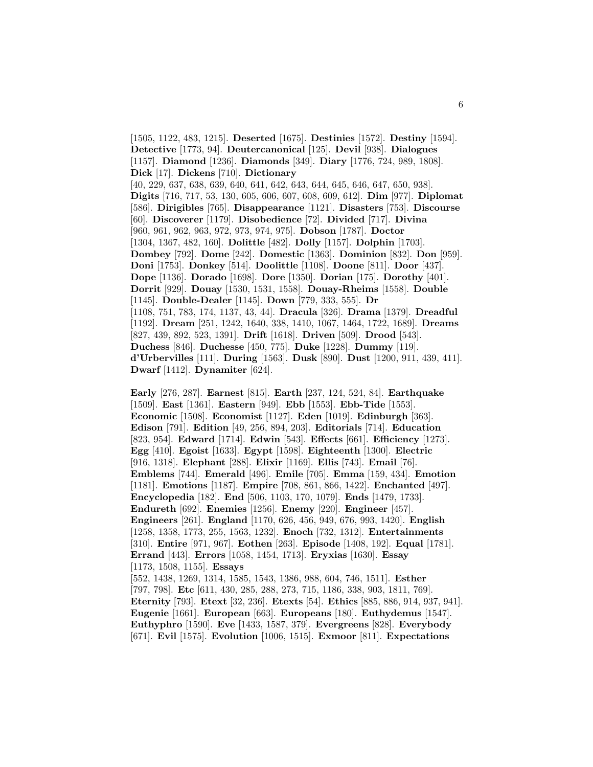[1505, 1122, 483, 1215]. **Deserted** [1675]. **Destinies** [1572]. **Destiny** [1594]. **Detective** [1773, 94]. **Deutercanonical** [125]. **Devil** [938]. **Dialogues** [1157]. **Diamond** [1236]. **Diamonds** [349]. **Diary** [1776, 724, 989, 1808]. **Dick** [17]. **Dickens** [710]. **Dictionary** [40, 229, 637, 638, 639, 640, 641, 642, 643, 644, 645, 646, 647, 650, 938]. **Digits** [716, 717, 53, 130, 605, 606, 607, 608, 609, 612]. **Dim** [977]. **Diplomat** [586]. **Dirigibles** [765]. **Disappearance** [1121]. **Disasters** [753]. **Discourse** [60]. **Discoverer** [1179]. **Disobedience** [72]. **Divided** [717]. **Divina** [960, 961, 962, 963, 972, 973, 974, 975]. **Dobson** [1787]. **Doctor** [1304, 1367, 482, 160]. **Dolittle** [482]. **Dolly** [1157]. **Dolphin** [1703]. **Dombey** [792]. **Dome** [242]. **Domestic** [1363]. **Dominion** [832]. **Don** [959]. **Doni** [1753]. **Donkey** [514]. **Doolittle** [1108]. **Doone** [811]. **Door** [437]. **Dope** [1136]. **Dorado** [1698]. **Dore** [1350]. **Dorian** [175]. **Dorothy** [401]. **Dorrit** [929]. **Douay** [1530, 1531, 1558]. **Douay-Rheims** [1558]. **Double** [1145]. **Double-Dealer** [1145]. **Down** [779, 333, 555]. **Dr** [1108, 751, 783, 174, 1137, 43, 44]. **Dracula** [326]. **Drama** [1379]. **Dreadful** [1192]. **Dream** [251, 1242, 1640, 338, 1410, 1067, 1464, 1722, 1689]. **Dreams** [827, 439, 892, 523, 1391]. **Drift** [1618]. **Driven** [509]. **Drood** [543]. **Duchess** [846]. **Duchesse** [450, 775]. **Duke** [1228]. **Dummy** [119]. **d'Urbervilles** [111]. **During** [1563]. **Dusk** [890]. **Dust** [1200, 911, 439, 411]. **Dwarf** [1412]. **Dynamiter** [624].

**Early** [276, 287]. **Earnest** [815]. **Earth** [237, 124, 524, 84]. **Earthquake** [1509]. **East** [1361]. **Eastern** [949]. **Ebb** [1553]. **Ebb-Tide** [1553]. **Economic** [1508]. **Economist** [1127]. **Eden** [1019]. **Edinburgh** [363]. **Edison** [791]. **Edition** [49, 256, 894, 203]. **Editorials** [714]. **Education** [823, 954]. **Edward** [1714]. **Edwin** [543]. **Effects** [661]. **Efficiency** [1273]. **Egg** [410]. **Egoist** [1633]. **Egypt** [1598]. **Eighteenth** [1300]. **Electric** [916, 1318]. **Elephant** [288]. **Elixir** [1169]. **Ellis** [743]. **Email** [76]. **Emblems** [744]. **Emerald** [496]. **Emile** [705]. **Emma** [159, 434]. **Emotion** [1181]. **Emotions** [1187]. **Empire** [708, 861, 866, 1422]. **Enchanted** [497]. **Encyclopedia** [182]. **End** [506, 1103, 170, 1079]. **Ends** [1479, 1733]. **Endureth** [692]. **Enemies** [1256]. **Enemy** [220]. **Engineer** [457]. **Engineers** [261]. **England** [1170, 626, 456, 949, 676, 993, 1420]. **English** [1258, 1358, 1773, 255, 1563, 1232]. **Enoch** [732, 1312]. **Entertainments** [310]. **Entire** [971, 967]. **Eothen** [263]. **Episode** [1408, 192]. **Equal** [1781]. **Errand** [443]. **Errors** [1058, 1454, 1713]. **Eryxias** [1630]. **Essay** [1173, 1508, 1155]. **Essays** [552, 1438, 1269, 1314, 1585, 1543, 1386, 988, 604, 746, 1511]. **Esther** [797, 798]. **Etc** [611, 430, 285, 288, 273, 715, 1186, 338, 903, 1811, 769]. **Eternity** [793]. **Etext** [32, 236]. **Etexts** [54]. **Ethics** [885, 886, 914, 937, 941]. **Eugenie** [1661]. **European** [663]. **Europeans** [180]. **Euthydemus** [1547]. **Euthyphro** [1590]. **Eve** [1433, 1587, 379]. **Evergreens** [828]. **Everybody** [671]. **Evil** [1575]. **Evolution** [1006, 1515]. **Exmoor** [811]. **Expectations**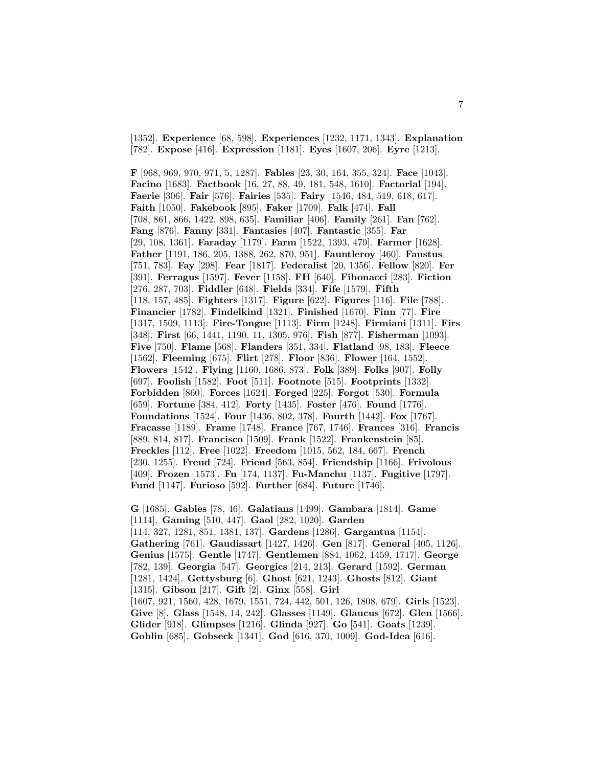[1352]. **Experience** [68, 598]. **Experiences** [1232, 1171, 1343]. **Explanation** [782]. **Expose** [416]. **Expression** [1181]. **Eyes** [1607, 206]. **Eyre** [1213].

**F** [968, 969, 970, 971, 5, 1287]. **Fables** [23, 30, 164, 355, 324]. **Face** [1043]. **Facino** [1683]. **Factbook** [16, 27, 88, 49, 181, 548, 1610]. **Factorial** [194]. **Faerie** [306]. **Fair** [576]. **Fairies** [535]. **Fairy** [1546, 484, 519, 618, 617]. **Faith** [1050]. **Fakebook** [895]. **Faker** [1709]. **Falk** [474]. **Fall** [708, 861, 866, 1422, 898, 635]. **Familiar** [406]. **Family** [261]. **Fan** [762]. **Fang** [876]. **Fanny** [331]. **Fantasies** [407]. **Fantastic** [355]. **Far** [29, 108, 1361]. **Faraday** [1179]. **Farm** [1522, 1393, 479]. **Farmer** [1628]. **Father** [1191, 186, 205, 1388, 262, 870, 951]. **Fauntleroy** [460]. **Faustus** [751, 783]. **Fay** [298]. **Fear** [1817]. **Federalist** [20, 1356]. **Fellow** [820]. **Fer** [391]. **Ferragus** [1597]. **Fever** [1158]. **FH** [640]. **Fibonacci** [283]. **Fiction** [276, 287, 703]. **Fiddler** [648]. **Fields** [334]. **Fife** [1579]. **Fifth** [118, 157, 485]. **Fighters** [1317]. **Figure** [622]. **Figures** [116]. **File** [788]. **Financier** [1782]. **Findelkind** [1321]. **Finished** [1670]. **Finn** [77]. **Fire** [1317, 1509, 1113]. **Fire-Tongue** [1113]. **Firm** [1248]. **Firmiani** [1311]. **Firs** [348]. **First** [66, 1441, 1190, 11, 1305, 976]. **Fish** [877]. **Fisherman** [1093]. **Five** [750]. **Flame** [568]. **Flanders** [351, 334]. **Flatland** [98, 183]. **Fleece** [1562]. **Fleeming** [675]. **Flirt** [278]. **Floor** [836]. **Flower** [164, 1552]. **Flowers** [1542]. **Flying** [1160, 1686, 873]. **Folk** [389]. **Folks** [907]. **Folly** [697]. **Foolish** [1582]. **Foot** [511]. **Footnote** [515]. **Footprints** [1332]. **Forbidden** [860]. **Forces** [1624]. **Forged** [225]. **Forgot** [530]. **Formula** [659]. **Fortune** [384, 412]. **Forty** [1435]. **Foster** [476]. **Found** [1776]. **Foundations** [1524]. **Four** [1436, 802, 378]. **Fourth** [1442]. **Fox** [1767]. **Fracasse** [1189]. **Frame** [1748]. **France** [767, 1746]. **Frances** [316]. **Francis** [889, 814, 817]. **Francisco** [1509]. **Frank** [1522]. **Frankenstein** [85]. **Freckles** [112]. **Free** [1022]. **Freedom** [1015, 562, 184, 667]. **French** [230, 1255]. **Freud** [724]. **Friend** [563, 854]. **Friendship** [1166]. **Frivolous** [409]. **Frozen** [1573]. **Fu** [174, 1137]. **Fu-Manchu** [1137]. **Fugitive** [1797]. **Fund** [1147]. **Furioso** [592]. **Further** [684]. **Future** [1746].

**G** [1685]. **Gables** [78, 46]. **Galatians** [1499]. **Gambara** [1814]. **Game** [1114]. **Gaming** [510, 447]. **Gaol** [282, 1020]. **Garden** [114, 327, 1281, 851, 1381, 137]. **Gardens** [1286]. **Gargantua** [1154]. **Gathering** [761]. **Gaudissart** [1427, 1426]. **Gen** [817]. **General** [405, 1126]. **Genius** [1575]. **Gentle** [1747]. **Gentlemen** [884, 1062, 1459, 1717]. **George** [782, 139]. **Georgia** [547]. **Georgics** [214, 213]. **Gerard** [1592]. **German** [1281, 1424]. **Gettysburg** [6]. **Ghost** [621, 1243]. **Ghosts** [812]. **Giant** [1315]. **Gibson** [217]. **Gift** [2]. **Ginx** [558]. **Girl** [1607, 921, 1560, 428, 1679, 1551, 724, 442, 501, 126, 1808, 679]. **Girls** [1523]. **Give** [8]. **Glass** [1548, 14, 242]. **Glasses** [1149]. **Glaucus** [672]. **Glen** [1566]. **Glider** [918]. **Glimpses** [1216]. **Glinda** [927]. **Go** [541]. **Goats** [1239]. **Goblin** [685]. **Gobseck** [1341]. **God** [616, 370, 1009]. **God-Idea** [616].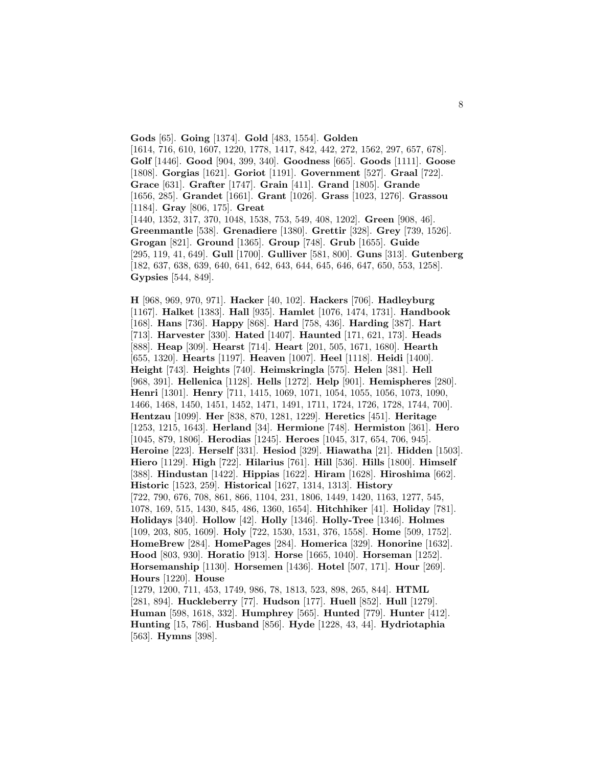**Gods** [65]. **Going** [1374]. **Gold** [483, 1554]. **Golden** [1614, 716, 610, 1607, 1220, 1778, 1417, 842, 442, 272, 1562, 297, 657, 678]. **Golf** [1446]. **Good** [904, 399, 340]. **Goodness** [665]. **Goods** [1111]. **Goose** [1808]. **Gorgias** [1621]. **Goriot** [1191]. **Government** [527]. **Graal** [722]. **Grace** [631]. **Grafter** [1747]. **Grain** [411]. **Grand** [1805]. **Grande** [1656, 285]. **Grandet** [1661]. **Grant** [1026]. **Grass** [1023, 1276]. **Grassou** [1184]. **Gray** [806, 175]. **Great** [1440, 1352, 317, 370, 1048, 1538, 753, 549, 408, 1202]. **Green** [908, 46]. **Greenmantle** [538]. **Grenadiere** [1380]. **Grettir** [328]. **Grey** [739, 1526]. **Grogan** [821]. **Ground** [1365]. **Group** [748]. **Grub** [1655]. **Guide** [295, 119, 41, 649]. **Gull** [1700]. **Gulliver** [581, 800]. **Guns** [313]. **Gutenberg** [182, 637, 638, 639, 640, 641, 642, 643, 644, 645, 646, 647, 650, 553, 1258]. **Gypsies** [544, 849].

**H** [968, 969, 970, 971]. **Hacker** [40, 102]. **Hackers** [706]. **Hadleyburg** [1167]. **Halket** [1383]. **Hall** [935]. **Hamlet** [1076, 1474, 1731]. **Handbook** [168]. **Hans** [736]. **Happy** [868]. **Hard** [758, 436]. **Harding** [387]. **Hart** [713]. **Harvester** [330]. **Hated** [1407]. **Haunted** [171, 621, 173]. **Heads** [888]. **Heap** [309]. **Hearst** [714]. **Heart** [201, 505, 1671, 1680]. **Hearth** [655, 1320]. **Hearts** [1197]. **Heaven** [1007]. **Heel** [1118]. **Heidi** [1400]. **Height** [743]. **Heights** [740]. **Heimskringla** [575]. **Helen** [381]. **Hell** [968, 391]. **Hellenica** [1128]. **Hells** [1272]. **Help** [901]. **Hemispheres** [280]. **Henri** [1301]. **Henry** [711, 1415, 1069, 1071, 1054, 1055, 1056, 1073, 1090, 1466, 1468, 1450, 1451, 1452, 1471, 1491, 1711, 1724, 1726, 1728, 1744, 700]. **Hentzau** [1099]. **Her** [838, 870, 1281, 1229]. **Heretics** [451]. **Heritage** [1253, 1215, 1643]. **Herland** [34]. **Hermione** [748]. **Hermiston** [361]. **Hero** [1045, 879, 1806]. **Herodias** [1245]. **Heroes** [1045, 317, 654, 706, 945]. **Heroine** [223]. **Herself** [331]. **Hesiod** [329]. **Hiawatha** [21]. **Hidden** [1503]. **Hiero** [1129]. **High** [722]. **Hilarius** [761]. **Hill** [536]. **Hills** [1800]. **Himself** [388]. **Hindustan** [1422]. **Hippias** [1622]. **Hiram** [1628]. **Hiroshima** [662]. **Historic** [1523, 259]. **Historical** [1627, 1314, 1313]. **History** [722, 790, 676, 708, 861, 866, 1104, 231, 1806, 1449, 1420, 1163, 1277, 545, 1078, 169, 515, 1430, 845, 486, 1360, 1654]. **Hitchhiker** [41]. **Holiday** [781]. **Holidays** [340]. **Hollow** [42]. **Holly** [1346]. **Holly-Tree** [1346]. **Holmes** [109, 203, 805, 1609]. **Holy** [722, 1530, 1531, 376, 1558]. **Home** [509, 1752]. **HomeBrew** [284]. **HomePages** [284]. **Homerica** [329]. **Honorine** [1632]. **Hood** [803, 930]. **Horatio** [913]. **Horse** [1665, 1040]. **Horseman** [1252]. **Horsemanship** [1130]. **Horsemen** [1436]. **Hotel** [507, 171]. **Hour** [269]. **Hours** [1220]. **House** [1279, 1200, 711, 453, 1749, 986, 78, 1813, 523, 898, 265, 844]. **HTML** [281, 894]. **Huckleberry** [77]. **Hudson** [177]. **Huell** [852]. **Hull** [1279]. **Human** [598, 1618, 332]. **Humphrey** [565]. **Hunted** [779]. **Hunter** [412]. **Hunting** [15, 786]. **Husband** [856]. **Hyde** [1228, 43, 44]. **Hydriotaphia**

[563]. **Hymns** [398].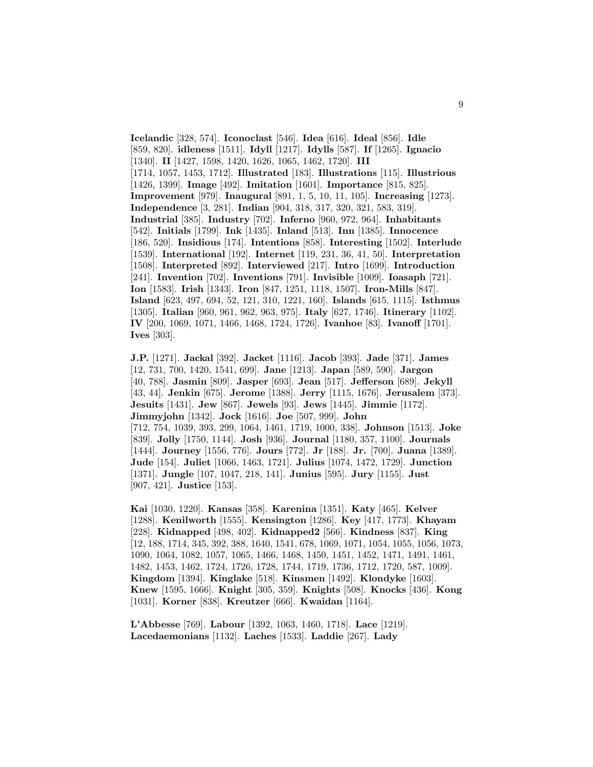**Icelandic** [328, 574]. **Iconoclast** [546]. **Idea** [616]. **Ideal** [856]. **Idle** [859, 820]. **idleness** [1511]. **Idyll** [1217]. **Idylls** [587]. **If** [1265]. **Ignacio** [1340]. **II** [1427, 1598, 1420, 1626, 1065, 1462, 1720]. **III** [1714, 1057, 1453, 1712]. **Illustrated** [183]. **Illustrations** [115]. **Illustrious** [1426, 1399]. **Image** [492]. **Imitation** [1601]. **Importance** [815, 825]. **Improvement** [979]. **Inaugural** [891, 1, 5, 10, 11, 105]. **Increasing** [1273]. **Independence** [3, 281]. **Indian** [904, 318, 317, 320, 321, 583, 319]. **Industrial** [385]. **Industry** [702]. **Inferno** [960, 972, 964]. **Inhabitants** [542]. **Initials** [1799]. **Ink** [1435]. **Inland** [513]. **Inn** [1385]. **Innocence** [186, 520]. **Insidious** [174]. **Intentions** [858]. **Interesting** [1502]. **Interlude** [1539]. **International** [192]. **Internet** [119, 231, 36, 41, 50]. **Interpretation** [1508]. **Interpreted** [892]. **Interviewed** [217]. **Intro** [1699]. **Introduction** [241]. **Invention** [702]. **Inventions** [791]. **Invisible** [1009]. **Ioasaph** [721]. **Ion** [1583]. **Irish** [1343]. **Iron** [847, 1251, 1118, 1507]. **Iron-Mills** [847]. **Island** [623, 497, 694, 52, 121, 310, 1221, 160]. **Islands** [615, 1115]. **Isthmus** [1305]. **Italian** [960, 961, 962, 963, 975]. **Italy** [627, 1746]. **Itinerary** [1102]. **IV** [200, 1069, 1071, 1466, 1468, 1724, 1726]. **Ivanhoe** [83]. **Ivanoff** [1701]. **Ives** [303].

**J.P.** [1271]. **Jackal** [392]. **Jacket** [1116]. **Jacob** [393]. **Jade** [371]. **James** [12, 731, 700, 1420, 1541, 699]. **Jane** [1213]. **Japan** [589, 590]. **Jargon** [40, 788]. **Jasmin** [809]. **Jasper** [693]. **Jean** [517]. **Jefferson** [689]. **Jekyll** [43, 44]. **Jenkin** [675]. **Jerome** [1388]. **Jerry** [1115, 1676]. **Jerusalem** [373]. **Jesuits** [1431]. **Jew** [867]. **Jewels** [93]. **Jews** [1445]. **Jimmie** [1172]. **Jimmyjohn** [1342]. **Jock** [1616]. **Joe** [507, 999]. **John** [712, 754, 1039, 393, 299, 1064, 1461, 1719, 1000, 338]. **Johnson** [1513]. **Joke** [839]. **Jolly** [1750, 1144]. **Josh** [936]. **Journal** [1180, 357, 1100]. **Journals** [1444]. **Journey** [1556, 776]. **Jours** [772]. **Jr** [188]. **Jr.** [700]. **Juana** [1389]. **Jude** [154]. **Juliet** [1066, 1463, 1721]. **Julius** [1074, 1472, 1729]. **Junction** [1371]. **Jungle** [107, 1047, 218, 141]. **Junius** [595]. **Jury** [1155]. **Just** [907, 421]. **Justice** [153].

**Kai** [1030, 1220]. **Kansas** [358]. **Karenina** [1351]. **Katy** [465]. **Kelver** [1288]. **Kenilworth** [1555]. **Kensington** [1286]. **Key** [417, 1773]. **Khayam** [228]. **Kidnapped** [498, 402]. **Kidnapped2** [566]. **Kindness** [837]. **King** [12, 188, 1714, 345, 392, 388, 1640, 1541, 678, 1069, 1071, 1054, 1055, 1056, 1073, 1090, 1064, 1082, 1057, 1065, 1466, 1468, 1450, 1451, 1452, 1471, 1491, 1461, 1482, 1453, 1462, 1724, 1726, 1728, 1744, 1719, 1736, 1712, 1720, 587, 1009]. **Kingdom** [1394]. **Kinglake** [518]. **Kinsmen** [1492]. **Klondyke** [1603]. **Knew** [1595, 1666]. **Knight** [305, 359]. **Knights** [508]. **Knocks** [436]. **Kong** [1031]. **Korner** [838]. **Kreutzer** [666]. **Kwaidan** [1164].

**L'Abbesse** [769]. **Labour** [1392, 1063, 1460, 1718]. **Lace** [1219]. **Lacedaemonians** [1132]. **Laches** [1533]. **Laddie** [267]. **Lady**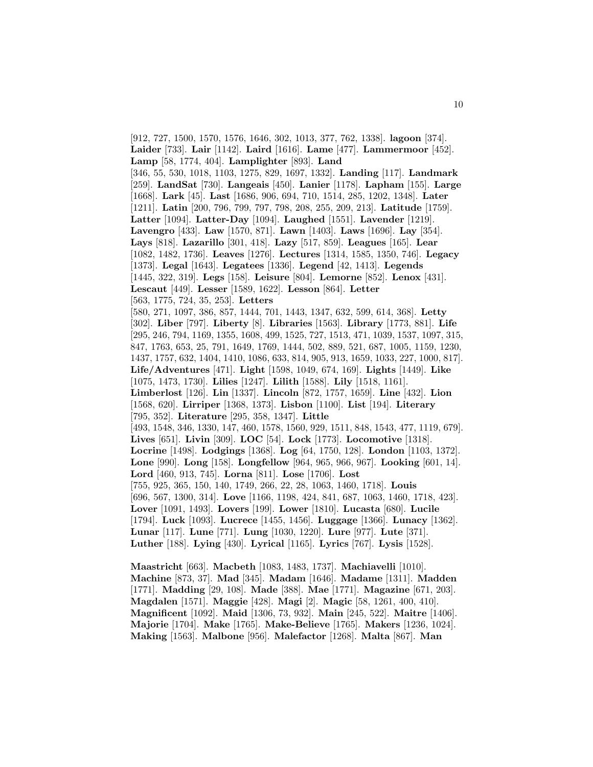[912, 727, 1500, 1570, 1576, 1646, 302, 1013, 377, 762, 1338]. **lagoon** [374]. **Laider** [733]. **Lair** [1142]. **Laird** [1616]. **Lame** [477]. **Lammermoor** [452]. **Lamp** [58, 1774, 404]. **Lamplighter** [893]. **Land** [346, 55, 530, 1018, 1103, 1275, 829, 1697, 1332]. **Landing** [117]. **Landmark** [259]. **LandSat** [730]. **Langeais** [450]. **Lanier** [1178]. **Lapham** [155]. **Large** [1668]. **Lark** [45]. **Last** [1686, 906, 694, 710, 1514, 285, 1202, 1348]. **Later** [1211]. **Latin** [200, 796, 799, 797, 798, 208, 255, 209, 213]. **Latitude** [1759]. **Latter** [1094]. **Latter-Day** [1094]. **Laughed** [1551]. **Lavender** [1219]. **Lavengro** [433]. **Law** [1570, 871]. **Lawn** [1403]. **Laws** [1696]. **Lay** [354]. **Lays** [818]. **Lazarillo** [301, 418]. **Lazy** [517, 859]. **Leagues** [165]. **Lear** [1082, 1482, 1736]. **Leaves** [1276]. **Lectures** [1314, 1585, 1350, 746]. **Legacy** [1373]. **Legal** [1643]. **Legatees** [1336]. **Legend** [42, 1413]. **Legends** [1445, 322, 319]. **Legs** [158]. **Leisure** [804]. **Lemorne** [852]. **Lenox** [431]. **Lescaut** [449]. **Lesser** [1589, 1622]. **Lesson** [864]. **Letter** [563, 1775, 724, 35, 253]. **Letters** [580, 271, 1097, 386, 857, 1444, 701, 1443, 1347, 632, 599, 614, 368]. **Letty** [302]. **Liber** [797]. **Liberty** [8]. **Libraries** [1563]. **Library** [1773, 881]. **Life** [295, 246, 794, 1169, 1355, 1608, 499, 1525, 727, 1513, 471, 1039, 1537, 1097, 315, 847, 1763, 653, 25, 791, 1649, 1769, 1444, 502, 889, 521, 687, 1005, 1159, 1230, 1437, 1757, 632, 1404, 1410, 1086, 633, 814, 905, 913, 1659, 1033, 227, 1000, 817]. **Life/Adventures** [471]. **Light** [1598, 1049, 674, 169]. **Lights** [1449]. **Like** [1075, 1473, 1730]. **Lilies** [1247]. **Lilith** [1588]. **Lily** [1518, 1161]. **Limberlost** [126]. **Lin** [1337]. **Lincoln** [872, 1757, 1659]. **Line** [432]. **Lion** [1568, 620]. **Lirriper** [1368, 1373]. **Lisbon** [1100]. **List** [194]. **Literary** [795, 352]. **Literature** [295, 358, 1347]. **Little** [493, 1548, 346, 1330, 147, 460, 1578, 1560, 929, 1511, 848, 1543, 477, 1119, 679]. **Lives** [651]. **Livin** [309]. **LOC** [54]. **Lock** [1773]. **Locomotive** [1318]. **Locrine** [1498]. **Lodgings** [1368]. **Log** [64, 1750, 128]. **London** [1103, 1372]. **Lone** [990]. **Long** [158]. **Longfellow** [964, 965, 966, 967]. **Looking** [601, 14]. **Lord** [460, 913, 745]. **Lorna** [811]. **Lose** [1706]. **Lost** [755, 925, 365, 150, 140, 1749, 266, 22, 28, 1063, 1460, 1718]. **Louis** [696, 567, 1300, 314]. **Love** [1166, 1198, 424, 841, 687, 1063, 1460, 1718, 423]. **Lover** [1091, 1493]. **Lovers** [199]. **Lower** [1810]. **Lucasta** [680]. **Lucile** [1794]. **Luck** [1093]. **Lucrece** [1455, 1456]. **Luggage** [1366]. **Lunacy** [1362]. **Lunar** [117]. **Lune** [771]. **Lung** [1030, 1220]. **Lure** [977]. **Lute** [371]. **Luther** [188]. **Lying** [430]. **Lyrical** [1165]. **Lyrics** [767]. **Lysis** [1528].

**Maastricht** [663]. **Macbeth** [1083, 1483, 1737]. **Machiavelli** [1010]. **Machine** [873, 37]. **Mad** [345]. **Madam** [1646]. **Madame** [1311]. **Madden** [1771]. **Madding** [29, 108]. **Made** [388]. **Mae** [1771]. **Magazine** [671, 203]. **Magdalen** [1571]. **Maggie** [428]. **Magi** [2]. **Magic** [58, 1261, 400, 410]. **Magnificent** [1092]. **Maid** [1306, 73, 932]. **Main** [245, 522]. **Maitre** [1406]. **Majorie** [1704]. **Make** [1765]. **Make-Believe** [1765]. **Makers** [1236, 1024]. **Making** [1563]. **Malbone** [956]. **Malefactor** [1268]. **Malta** [867]. **Man**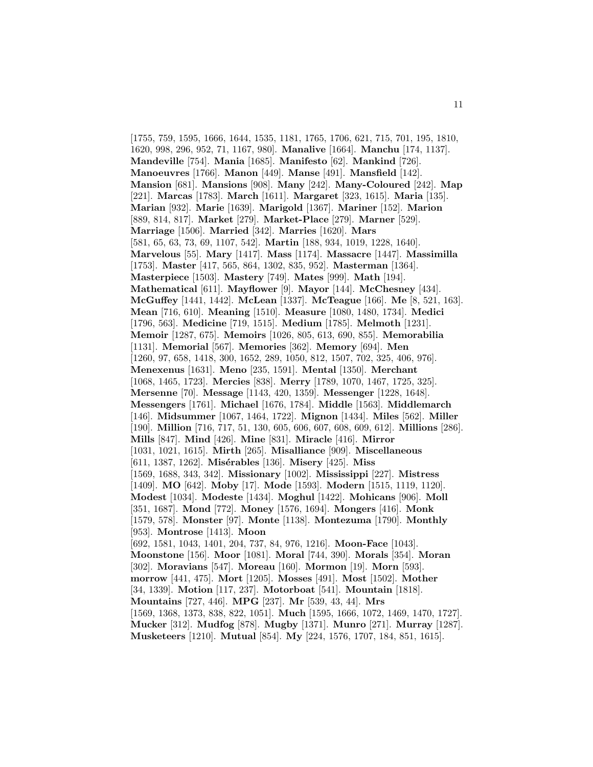[1755, 759, 1595, 1666, 1644, 1535, 1181, 1765, 1706, 621, 715, 701, 195, 1810, 1620, 998, 296, 952, 71, 1167, 980]. **Manalive** [1664]. **Manchu** [174, 1137]. **Mandeville** [754]. **Mania** [1685]. **Manifesto** [62]. **Mankind** [726]. **Manoeuvres** [1766]. **Manon** [449]. **Manse** [491]. **Mansfield** [142]. **Mansion** [681]. **Mansions** [908]. **Many** [242]. **Many-Coloured** [242]. **Map** [221]. **Marcas** [1783]. **March** [1611]. **Margaret** [323, 1615]. **Maria** [135]. **Marian** [932]. **Marie** [1639]. **Marigold** [1367]. **Mariner** [152]. **Marion** [889, 814, 817]. **Market** [279]. **Market-Place** [279]. **Marner** [529]. **Marriage** [1506]. **Married** [342]. **Marries** [1620]. **Mars** [581, 65, 63, 73, 69, 1107, 542]. **Martin** [188, 934, 1019, 1228, 1640]. **Marvelous** [55]. **Mary** [1417]. **Mass** [1174]. **Massacre** [1447]. **Massimilla** [1753]. **Master** [417, 565, 864, 1302, 835, 952]. **Masterman** [1364]. **Masterpiece** [1503]. **Mastery** [749]. **Mates** [999]. **Math** [194]. **Mathematical** [611]. **Mayflower** [9]. **Mayor** [144]. **McChesney** [434]. **McGuffey** [1441, 1442]. **McLean** [1337]. **McTeague** [166]. **Me** [8, 521, 163]. **Mean** [716, 610]. **Meaning** [1510]. **Measure** [1080, 1480, 1734]. **Medici** [1796, 563]. **Medicine** [719, 1515]. **Medium** [1785]. **Melmoth** [1231]. **Memoir** [1287, 675]. **Memoirs** [1026, 805, 613, 690, 855]. **Memorabilia** [1131]. **Memorial** [567]. **Memories** [362]. **Memory** [694]. **Men** [1260, 97, 658, 1418, 300, 1652, 289, 1050, 812, 1507, 702, 325, 406, 976]. **Menexenus** [1631]. **Meno** [235, 1591]. **Mental** [1350]. **Merchant** [1068, 1465, 1723]. **Mercies** [838]. **Merry** [1789, 1070, 1467, 1725, 325]. **Mersenne** [70]. **Message** [1143, 420, 1359]. **Messenger** [1228, 1648]. **Messengers** [1761]. **Michael** [1676, 1784]. **Middle** [1563]. **Middlemarch** [146]. **Midsummer** [1067, 1464, 1722]. **Mignon** [1434]. **Miles** [562]. **Miller** [190]. **Million** [716, 717, 51, 130, 605, 606, 607, 608, 609, 612]. **Millions** [286]. **Mills** [847]. **Mind** [426]. **Mine** [831]. **Miracle** [416]. **Mirror** [1031, 1021, 1615]. **Mirth** [265]. **Misalliance** [909]. **Miscellaneous** [611, 1387, 1262]. **Misérables** [136]. **Misery** [425]. **Miss** [1569, 1688, 343, 342]. **Missionary** [1002]. **Mississippi** [227]. **Mistress** [1409]. **MO** [642]. **Moby** [17]. **Mode** [1593]. **Modern** [1515, 1119, 1120]. **Modest** [1034]. **Modeste** [1434]. **Moghul** [1422]. **Mohicans** [906]. **Moll** [351, 1687]. **Mond** [772]. **Money** [1576, 1694]. **Mongers** [416]. **Monk** [1579, 578]. **Monster** [97]. **Monte** [1138]. **Montezuma** [1790]. **Monthly** [953]. **Montrose** [1413]. **Moon** [692, 1581, 1043, 1401, 204, 737, 84, 976, 1216]. **Moon-Face** [1043]. **Moonstone** [156]. **Moor** [1081]. **Moral** [744, 390]. **Morals** [354]. **Moran** [302]. **Moravians** [547]. **Moreau** [160]. **Mormon** [19]. **Morn** [593]. **morrow** [441, 475]. **Mort** [1205]. **Mosses** [491]. **Most** [1502]. **Mother** [34, 1339]. **Motion** [117, 237]. **Motorboat** [541]. **Mountain** [1818]. **Mountains** [727, 446]. **MPG** [237]. **Mr** [539, 43, 44]. **Mrs** [1569, 1368, 1373, 838, 822, 1051]. **Much** [1595, 1666, 1072, 1469, 1470, 1727]. **Mucker** [312]. **Mudfog** [878]. **Mugby** [1371]. **Munro** [271]. **Murray** [1287]. **Musketeers** [1210]. **Mutual** [854]. **My** [224, 1576, 1707, 184, 851, 1615].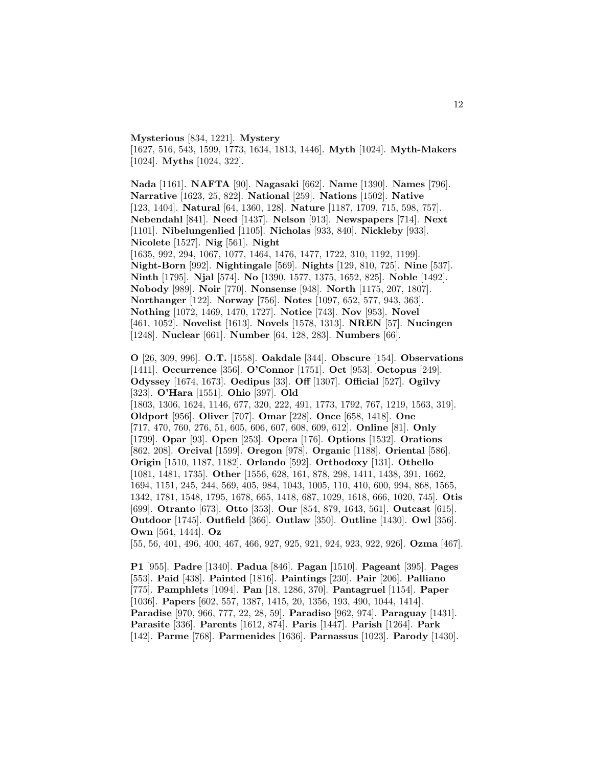**Mysterious** [834, 1221]. **Mystery** [1627, 516, 543, 1599, 1773, 1634, 1813, 1446]. **Myth** [1024]. **Myth-Makers** [1024]. **Myths** [1024, 322].

**Nada** [1161]. **NAFTA** [90]. **Nagasaki** [662]. **Name** [1390]. **Names** [796]. **Narrative** [1623, 25, 822]. **National** [259]. **Nations** [1502]. **Native** [123, 1404]. **Natural** [64, 1360, 128]. **Nature** [1187, 1709, 715, 598, 757]. **Nebendahl** [841]. **Need** [1437]. **Nelson** [913]. **Newspapers** [714]. **Next** [1101]. **Nibelungenlied** [1105]. **Nicholas** [933, 840]. **Nickleby** [933]. **Nicolete** [1527]. **Nig** [561]. **Night**

[1635, 992, 294, 1067, 1077, 1464, 1476, 1477, 1722, 310, 1192, 1199]. **Night-Born** [992]. **Nightingale** [569]. **Nights** [129, 810, 725]. **Nine** [537]. **Ninth** [1795]. **Njal** [574]. **No** [1390, 1577, 1375, 1652, 825]. **Noble** [1492]. **Nobody** [989]. **Noir** [770]. **Nonsense** [948]. **North** [1175, 207, 1807]. **Northanger** [122]. **Norway** [756]. **Notes** [1097, 652, 577, 943, 363]. **Nothing** [1072, 1469, 1470, 1727]. **Notice** [743]. **Nov** [953]. **Novel** [461, 1052]. **Novelist** [1613]. **Novels** [1578, 1313]. **NREN** [57]. **Nucingen** [1248]. **Nuclear** [661]. **Number** [64, 128, 283]. **Numbers** [66].

**O** [26, 309, 996]. **O.T.** [1558]. **Oakdale** [344]. **Obscure** [154]. **Observations** [1411]. **Occurrence** [356]. **O'Connor** [1751]. **Oct** [953]. **Octopus** [249]. **Odyssey** [1674, 1673]. **Oedipus** [33]. **Off** [1307]. **Official** [527]. **Ogilvy** [323]. **O'Hara** [1551]. **Ohio** [397]. **Old** [1803, 1306, 1624, 1146, 677, 320, 222, 491, 1773, 1792, 767, 1219, 1563, 319]. **Oldport** [956]. **Oliver** [707]. **Omar** [228]. **Once** [658, 1418]. **One** [717, 470, 760, 276, 51, 605, 606, 607, 608, 609, 612]. **Online** [81]. **Only** [1799]. **Opar** [93]. **Open** [253]. **Opera** [176]. **Options** [1532]. **Orations** [862, 208]. **Orcival** [1599]. **Oregon** [978]. **Organic** [1188]. **Oriental** [586]. **Origin** [1510, 1187, 1182]. **Orlando** [592]. **Orthodoxy** [131]. **Othello** [1081, 1481, 1735]. **Other** [1556, 628, 161, 878, 298, 1411, 1438, 391, 1662, 1694, 1151, 245, 244, 569, 405, 984, 1043, 1005, 110, 410, 600, 994, 868, 1565, 1342, 1781, 1548, 1795, 1678, 665, 1418, 687, 1029, 1618, 666, 1020, 745]. **Otis** [699]. **Otranto** [673]. **Otto** [353]. **Our** [854, 879, 1643, 561]. **Outcast** [615]. **Outdoor** [1745]. **Outfield** [366]. **Outlaw** [350]. **Outline** [1430]. **Owl** [356]. **Own** [564, 1444]. **Oz**

[55, 56, 401, 496, 400, 467, 466, 927, 925, 921, 924, 923, 922, 926]. **Ozma** [467].

**P1** [955]. **Padre** [1340]. **Padua** [846]. **Pagan** [1510]. **Pageant** [395]. **Pages** [553]. **Paid** [438]. **Painted** [1816]. **Paintings** [230]. **Pair** [206]. **Palliano** [775]. **Pamphlets** [1094]. **Pan** [18, 1286, 370]. **Pantagruel** [1154]. **Paper** [1036]. **Papers** [602, 557, 1387, 1415, 20, 1356, 193, 490, 1044, 1414]. **Paradise** [970, 966, 777, 22, 28, 59]. **Paradiso** [962, 974]. **Paraguay** [1431]. **Parasite** [336]. **Parents** [1612, 874]. **Paris** [1447]. **Parish** [1264]. **Park** [142]. **Parme** [768]. **Parmenides** [1636]. **Parnassus** [1023]. **Parody** [1430].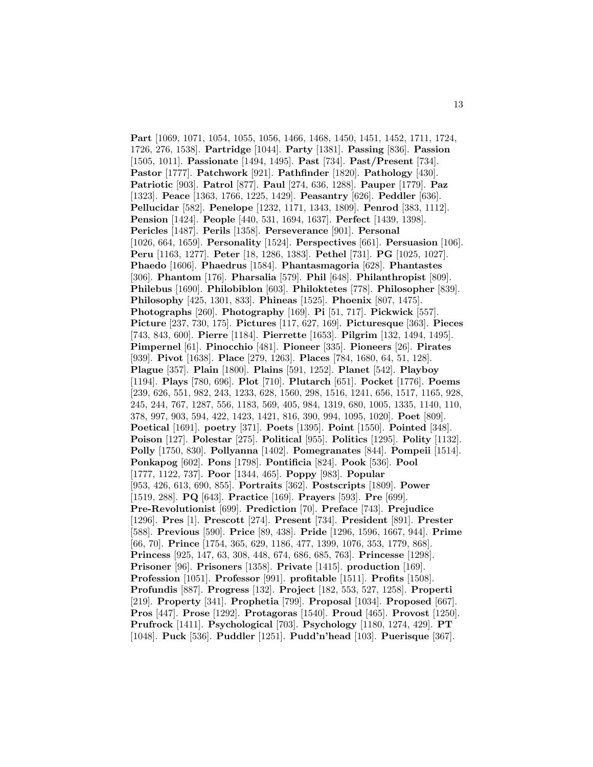**Part** [1069, 1071, 1054, 1055, 1056, 1466, 1468, 1450, 1451, 1452, 1711, 1724, 1726, 276, 1538]. **Partridge** [1044]. **Party** [1381]. **Passing** [836]. **Passion** [1505, 1011]. **Passionate** [1494, 1495]. **Past** [734]. **Past/Present** [734]. **Pastor** [1777]. **Patchwork** [921]. **Pathfinder** [1820]. **Pathology** [430]. **Patriotic** [903]. **Patrol** [877]. **Paul** [274, 636, 1288]. **Pauper** [1779]. **Paz** [1323]. **Peace** [1363, 1766, 1225, 1429]. **Peasantry** [626]. **Peddler** [636]. **Pellucidar** [582]. **Penelope** [1232, 1171, 1343, 1809]. **Penrod** [383, 1112]. **Pension** [1424]. **People** [440, 531, 1694, 1637]. **Perfect** [1439, 1398]. **Pericles** [1487]. **Perils** [1358]. **Perseverance** [901]. **Personal** [1026, 664, 1659]. **Personality** [1524]. **Perspectives** [661]. **Persuasion** [106]. **Peru** [1163, 1277]. **Peter** [18, 1286, 1383]. **Pethel** [731]. **PG** [1025, 1027]. **Phaedo** [1606]. **Phaedrus** [1584]. **Phantasmagoria** [628]. **Phantastes** [306]. **Phantom** [176]. **Pharsalia** [579]. **Phil** [648]. **Philanthropist** [809]. **Philebus** [1690]. **Philobiblon** [603]. **Philoktetes** [778]. **Philosopher** [839]. **Philosophy** [425, 1301, 833]. **Phineas** [1525]. **Phoenix** [807, 1475]. **Photographs** [260]. **Photography** [169]. **Pi** [51, 717]. **Pickwick** [557]. **Picture** [237, 730, 175]. **Pictures** [117, 627, 169]. **Picturesque** [363]. **Pieces** [743, 843, 600]. **Pierre** [1184]. **Pierrette** [1653]. **Pilgrim** [132, 1494, 1495]. **Pimpernel** [61]. **Pinocchio** [481]. **Pioneer** [335]. **Pioneers** [26]. **Pirates** [939]. **Pivot** [1638]. **Place** [279, 1263]. **Places** [784, 1680, 64, 51, 128]. **Plague** [357]. **Plain** [1800]. **Plains** [591, 1252]. **Planet** [542]. **Playboy** [1194]. **Plays** [780, 696]. **Plot** [710]. **Plutarch** [651]. **Pocket** [1776]. **Poems** [239, 626, 551, 982, 243, 1233, 628, 1560, 298, 1516, 1241, 656, 1517, 1165, 928, 245, 244, 767, 1287, 556, 1183, 569, 405, 984, 1319, 680, 1005, 1335, 1140, 110, 378, 997, 903, 594, 422, 1423, 1421, 816, 390, 994, 1095, 1020]. **Poet** [809]. **Poetical** [1691]. **poetry** [371]. **Poets** [1395]. **Point** [1550]. **Pointed** [348]. **Poison** [127]. **Polestar** [275]. **Political** [955]. **Politics** [1295]. **Polity** [1132]. **Polly** [1750, 830]. **Pollyanna** [1402]. **Pomegranates** [844]. **Pompeii** [1514]. **Ponkapog** [602]. **Pons** [1798]. **Pontificia** [824]. **Pook** [536]. **Pool** [1777, 1122, 737]. **Poor** [1344, 465]. **Poppy** [983]. **Popular** [953, 426, 613, 690, 855]. **Portraits** [362]. **Postscripts** [1809]. **Power** [1519, 288]. **PQ** [643]. **Practice** [169]. **Prayers** [593]. **Pre** [699]. **Pre-Revolutionist** [699]. **Prediction** [70]. **Preface** [743]. **Prejudice** [1296]. **Pres** [1]. **Prescott** [274]. **Present** [734]. **President** [891]. **Prester** [588]. **Previous** [590]. **Price** [89, 438]. **Pride** [1296, 1596, 1667, 944]. **Prime** [66, 70]. **Prince** [1754, 365, 629, 1186, 477, 1399, 1076, 353, 1779, 868]. **Princess** [925, 147, 63, 308, 448, 674, 686, 685, 763]. **Princesse** [1298]. **Prisoner** [96]. **Prisoners** [1358]. **Private** [1415]. **production** [169]. **Profession** [1051]. **Professor** [991]. **profitable** [1511]. **Profits** [1508]. **Profundis** [887]. **Progress** [132]. **Project** [182, 553, 527, 1258]. **Properti** [219]. **Property** [341]. **Prophetia** [799]. **Proposal** [1034]. **Proposed** [667]. **Pros** [447]. **Prose** [1292]. **Protagoras** [1540]. **Proud** [465]. **Provost** [1250]. **Prufrock** [1411]. **Psychological** [703]. **Psychology** [1180, 1274, 429]. **PT** [1048]. **Puck** [536]. **Puddler** [1251]. **Pudd'n'head** [103]. **Puerisque** [367].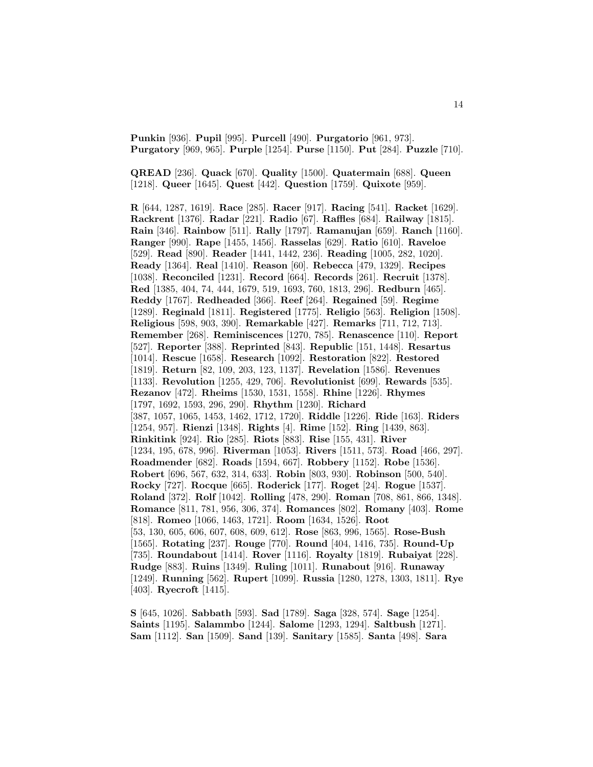**Punkin** [936]. **Pupil** [995]. **Purcell** [490]. **Purgatorio** [961, 973]. **Purgatory** [969, 965]. **Purple** [1254]. **Purse** [1150]. **Put** [284]. **Puzzle** [710].

**QREAD** [236]. **Quack** [670]. **Quality** [1500]. **Quatermain** [688]. **Queen** [1218]. **Queer** [1645]. **Quest** [442]. **Question** [1759]. **Quixote** [959].

**R** [644, 1287, 1619]. **Race** [285]. **Racer** [917]. **Racing** [541]. **Racket** [1629]. **Rackrent** [1376]. **Radar** [221]. **Radio** [67]. **Raffles** [684]. **Railway** [1815]. **Rain** [346]. **Rainbow** [511]. **Rally** [1797]. **Ramanujan** [659]. **Ranch** [1160]. **Ranger** [990]. **Rape** [1455, 1456]. **Rasselas** [629]. **Ratio** [610]. **Raveloe** [529]. **Read** [890]. **Reader** [1441, 1442, 236]. **Reading** [1005, 282, 1020]. **Ready** [1364]. **Real** [1410]. **Reason** [60]. **Rebecca** [479, 1329]. **Recipes** [1038]. **Reconciled** [1231]. **Record** [664]. **Records** [261]. **Recruit** [1378]. **Red** [1385, 404, 74, 444, 1679, 519, 1693, 760, 1813, 296]. **Redburn** [465]. **Reddy** [1767]. **Redheaded** [366]. **Reef** [264]. **Regained** [59]. **Regime** [1289]. **Reginald** [1811]. **Registered** [1775]. **Religio** [563]. **Religion** [1508]. **Religious** [598, 903, 390]. **Remarkable** [427]. **Remarks** [711, 712, 713]. **Remember** [268]. **Reminiscences** [1270, 785]. **Renascence** [110]. **Report** [527]. **Reporter** [388]. **Reprinted** [843]. **Republic** [151, 1448]. **Resartus** [1014]. **Rescue** [1658]. **Research** [1092]. **Restoration** [822]. **Restored** [1819]. **Return** [82, 109, 203, 123, 1137]. **Revelation** [1586]. **Revenues** [1133]. **Revolution** [1255, 429, 706]. **Revolutionist** [699]. **Rewards** [535]. **Rezanov** [472]. **Rheims** [1530, 1531, 1558]. **Rhine** [1226]. **Rhymes** [1797, 1692, 1593, 296, 290]. **Rhythm** [1230]. **Richard** [387, 1057, 1065, 1453, 1462, 1712, 1720]. **Riddle** [1226]. **Ride** [163]. **Riders** [1254, 957]. **Rienzi** [1348]. **Rights** [4]. **Rime** [152]. **Ring** [1439, 863]. **Rinkitink** [924]. **Rio** [285]. **Riots** [883]. **Rise** [155, 431]. **River** [1234, 195, 678, 996]. **Riverman** [1053]. **Rivers** [1511, 573]. **Road** [466, 297]. **Roadmender** [682]. **Roads** [1594, 667]. **Robbery** [1152]. **Robe** [1536]. **Robert** [696, 567, 632, 314, 633]. **Robin** [803, 930]. **Robinson** [500, 540]. **Rocky** [727]. **Rocque** [665]. **Roderick** [177]. **Roget** [24]. **Rogue** [1537]. **Roland** [372]. **Rolf** [1042]. **Rolling** [478, 290]. **Roman** [708, 861, 866, 1348]. **Romance** [811, 781, 956, 306, 374]. **Romances** [802]. **Romany** [403]. **Rome** [818]. **Romeo** [1066, 1463, 1721]. **Room** [1634, 1526]. **Root** [53, 130, 605, 606, 607, 608, 609, 612]. **Rose** [863, 996, 1565]. **Rose-Bush** [1565]. **Rotating** [237]. **Rouge** [770]. **Round** [404, 1416, 735]. **Round-Up** [735]. **Roundabout** [1414]. **Rover** [1116]. **Royalty** [1819]. **Rubaiyat** [228]. **Rudge** [883]. **Ruins** [1349]. **Ruling** [1011]. **Runabout** [916]. **Runaway** [1249]. **Running** [562]. **Rupert** [1099]. **Russia** [1280, 1278, 1303, 1811]. **Rye** [403]. **Ryecroft** [1415].

**S** [645, 1026]. **Sabbath** [593]. **Sad** [1789]. **Saga** [328, 574]. **Sage** [1254]. **Saints** [1195]. **Salammbo** [1244]. **Salome** [1293, 1294]. **Saltbush** [1271]. **Sam** [1112]. **San** [1509]. **Sand** [139]. **Sanitary** [1585]. **Santa** [498]. **Sara**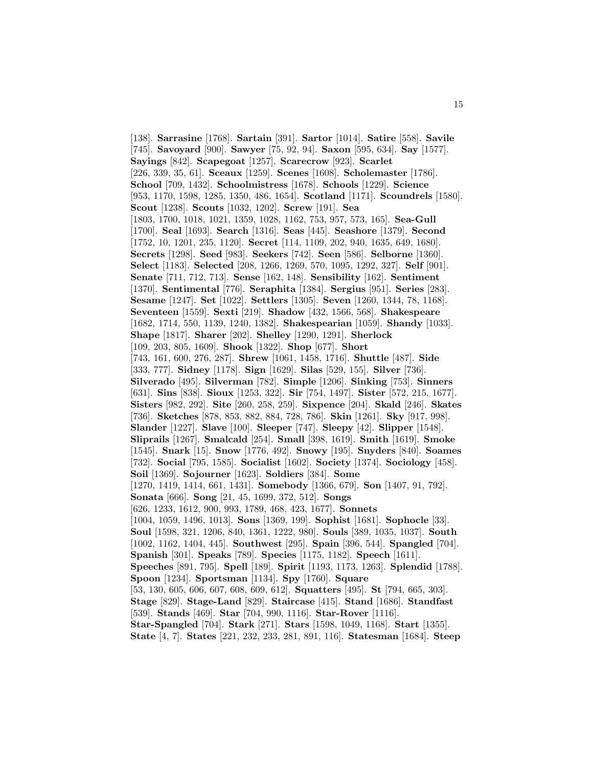[138]. **Sarrasine** [1768]. **Sartain** [391]. **Sartor** [1014]. **Satire** [558]. **Savile** [745]. **Savoyard** [900]. **Sawyer** [75, 92, 94]. **Saxon** [595, 634]. **Say** [1577]. **Sayings** [842]. **Scapegoat** [1257]. **Scarecrow** [923]. **Scarlet** [226, 339, 35, 61]. **Sceaux** [1259]. **Scenes** [1608]. **Scholemaster** [1786]. **School** [709, 1432]. **Schoolmistress** [1678]. **Schools** [1229]. **Science** [953, 1170, 1598, 1285, 1350, 486, 1654]. **Scotland** [1171]. **Scoundrels** [1580]. **Scout** [1238]. **Scouts** [1032, 1202]. **Screw** [191]. **Sea** [1803, 1700, 1018, 1021, 1359, 1028, 1162, 753, 957, 573, 165]. **Sea-Gull** [1700]. **Seal** [1693]. **Search** [1316]. **Seas** [445]. **Seashore** [1379]. **Second** [1752, 10, 1201, 235, 1120]. **Secret** [114, 1109, 202, 940, 1635, 649, 1680]. **Secrets** [1298]. **Seed** [983]. **Seekers** [742]. **Seen** [586]. **Selborne** [1360]. **Select** [1183]. **Selected** [208, 1266, 1269, 570, 1095, 1292, 327]. **Self** [901]. **Senate** [711, 712, 713]. **Sense** [162, 148]. **Sensibility** [162]. **Sentiment** [1370]. **Sentimental** [776]. **Seraphita** [1384]. **Sergius** [951]. **Series** [283]. **Sesame** [1247]. **Set** [1022]. **Settlers** [1305]. **Seven** [1260, 1344, 78, 1168]. **Seventeen** [1559]. **Sexti** [219]. **Shadow** [432, 1566, 568]. **Shakespeare** [1682, 1714, 550, 1139, 1240, 1382]. **Shakespearian** [1059]. **Shandy** [1033]. **Shape** [1817]. **Sharer** [202]. **Shelley** [1290, 1291]. **Sherlock** [109, 203, 805, 1609]. **Shook** [1322]. **Shop** [677]. **Short** [743, 161, 600, 276, 287]. **Shrew** [1061, 1458, 1716]. **Shuttle** [487]. **Side** [333, 777]. **Sidney** [1178]. **Sign** [1629]. **Silas** [529, 155]. **Silver** [736]. **Silverado** [495]. **Silverman** [782]. **Simple** [1206]. **Sinking** [753]. **Sinners** [631]. **Sins** [838]. **Sioux** [1253, 322]. **Sir** [754, 1497]. **Sister** [572, 215, 1677]. **Sisters** [982, 292]. **Site** [260, 258, 259]. **Sixpence** [204]. **Skald** [246]. **Skates** [736]. **Sketches** [878, 853, 882, 884, 728, 786]. **Skin** [1261]. **Sky** [917, 998]. **Slander** [1227]. **Slave** [100]. **Sleeper** [747]. **Sleepy** [42]. **Slipper** [1548]. **Sliprails** [1267]. **Smalcald** [254]. **Small** [398, 1619]. **Smith** [1619]. **Smoke** [1545]. **Snark** [15]. **Snow** [1776, 492]. **Snowy** [195]. **Snyders** [840]. **Soames** [732]. **Social** [795, 1585]. **Socialist** [1602]. **Society** [1374]. **Sociology** [458]. **Soil** [1369]. **Sojourner** [1623]. **Soldiers** [384]. **Some** [1270, 1419, 1414, 661, 1431]. **Somebody** [1366, 679]. **Son** [1407, 91, 792]. **Sonata** [666]. **Song** [21, 45, 1699, 372, 512]. **Songs** [626, 1233, 1612, 900, 993, 1789, 468, 423, 1677]. **Sonnets** [1004, 1059, 1496, 1013]. **Sons** [1369, 199]. **Sophist** [1681]. **Sophocle** [33]. **Soul** [1598, 321, 1206, 840, 1361, 1222, 980]. **Souls** [389, 1035, 1037]. **South** [1002, 1162, 1404, 445]. **Southwest** [295]. **Spain** [396, 544]. **Spangled** [704]. **Spanish** [301]. **Speaks** [789]. **Species** [1175, 1182]. **Speech** [1611]. **Speeches** [891, 795]. **Spell** [189]. **Spirit** [1193, 1173, 1263]. **Splendid** [1788]. **Spoon** [1234]. **Sportsman** [1134]. **Spy** [1760]. **Square** [53, 130, 605, 606, 607, 608, 609, 612]. **Squatters** [495]. **St** [794, 665, 303]. **Stage** [829]. **Stage-Land** [829]. **Staircase** [415]. **Stand** [1686]. **Standfast** [539]. **Stands** [469]. **Star** [704, 990, 1116]. **Star-Rover** [1116]. **Star-Spangled** [704]. **Stark** [271]. **Stars** [1598, 1049, 1168]. **Start** [1355]. **State** [4, 7]. **States** [221, 232, 233, 281, 891, 116]. **Statesman** [1684]. **Steep**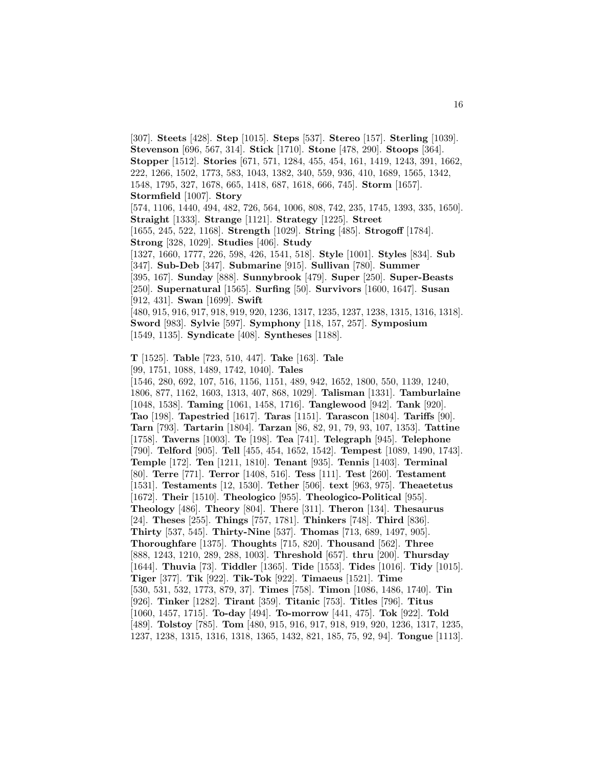[307]. **Steets** [428]. **Step** [1015]. **Steps** [537]. **Stereo** [157]. **Sterling** [1039]. **Stevenson** [696, 567, 314]. **Stick** [1710]. **Stone** [478, 290]. **Stoops** [364]. **Stopper** [1512]. **Stories** [671, 571, 1284, 455, 454, 161, 1419, 1243, 391, 1662, 222, 1266, 1502, 1773, 583, 1043, 1382, 340, 559, 936, 410, 1689, 1565, 1342, 1548, 1795, 327, 1678, 665, 1418, 687, 1618, 666, 745]. **Storm** [1657]. **Stormfield** [1007]. **Story** [574, 1106, 1440, 494, 482, 726, 564, 1006, 808, 742, 235, 1745, 1393, 335, 1650]. **Straight** [1333]. **Strange** [1121]. **Strategy** [1225]. **Street** [1655, 245, 522, 1168]. **Strength** [1029]. **String** [485]. **Strogoff** [1784]. **Strong** [328, 1029]. **Studies** [406]. **Study** [1327, 1660, 1777, 226, 598, 426, 1541, 518]. **Style** [1001]. **Styles** [834]. **Sub** [347]. **Sub-Deb** [347]. **Submarine** [915]. **Sullivan** [780]. **Summer** [395, 167]. **Sunday** [888]. **Sunnybrook** [479]. **Super** [250]. **Super-Beasts** [250]. **Supernatural** [1565]. **Surfing** [50]. **Survivors** [1600, 1647]. **Susan** [912, 431]. **Swan** [1699]. **Swift** [480, 915, 916, 917, 918, 919, 920, 1236, 1317, 1235, 1237, 1238, 1315, 1316, 1318]. **Sword** [983]. **Sylvie** [597]. **Symphony** [118, 157, 257]. **Symposium** [1549, 1135]. **Syndicate** [408]. **Syntheses** [1188].

**T** [1525]. **Table** [723, 510, 447]. **Take** [163]. **Tale**

[99, 1751, 1088, 1489, 1742, 1040]. **Tales**

[1546, 280, 692, 107, 516, 1156, 1151, 489, 942, 1652, 1800, 550, 1139, 1240, 1806, 877, 1162, 1603, 1313, 407, 868, 1029]. **Talisman** [1331]. **Tamburlaine** [1048, 1538]. **Taming** [1061, 1458, 1716]. **Tanglewood** [942]. **Tank** [920]. **Tao** [198]. **Tapestried** [1617]. **Taras** [1151]. **Tarascon** [1804]. **Tariffs** [90]. **Tarn** [793]. **Tartarin** [1804]. **Tarzan** [86, 82, 91, 79, 93, 107, 1353]. **Tattine** [1758]. **Taverns** [1003]. **Te** [198]. **Tea** [741]. **Telegraph** [945]. **Telephone** [790]. **Telford** [905]. **Tell** [455, 454, 1652, 1542]. **Tempest** [1089, 1490, 1743]. **Temple** [172]. **Ten** [1211, 1810]. **Tenant** [935]. **Tennis** [1403]. **Terminal** [80]. **Terre** [771]. **Terror** [1408, 516]. **Tess** [111]. **Test** [260]. **Testament** [1531]. **Testaments** [12, 1530]. **Tether** [506]. **text** [963, 975]. **Theaetetus** [1672]. **Their** [1510]. **Theologico** [955]. **Theologico-Political** [955]. **Theology** [486]. **Theory** [804]. **There** [311]. **Theron** [134]. **Thesaurus** [24]. **Theses** [255]. **Things** [757, 1781]. **Thinkers** [748]. **Third** [836]. **Thirty** [537, 545]. **Thirty-Nine** [537]. **Thomas** [713, 689, 1497, 905]. **Thoroughfare** [1375]. **Thoughts** [715, 820]. **Thousand** [562]. **Three** [888, 1243, 1210, 289, 288, 1003]. **Threshold** [657]. **thru** [200]. **Thursday** [1644]. **Thuvia** [73]. **Tiddler** [1365]. **Tide** [1553]. **Tides** [1016]. **Tidy** [1015]. **Tiger** [377]. **Tik** [922]. **Tik-Tok** [922]. **Timaeus** [1521]. **Time** [530, 531, 532, 1773, 879, 37]. **Times** [758]. **Timon** [1086, 1486, 1740]. **Tin** [926]. **Tinker** [1282]. **Tirant** [359]. **Titanic** [753]. **Titles** [796]. **Titus** [1060, 1457, 1715]. **To-day** [494]. **To-morrow** [441, 475]. **Tok** [922]. **Told** [489]. **Tolstoy** [785]. **Tom** [480, 915, 916, 917, 918, 919, 920, 1236, 1317, 1235, 1237, 1238, 1315, 1316, 1318, 1365, 1432, 821, 185, 75, 92, 94]. **Tongue** [1113].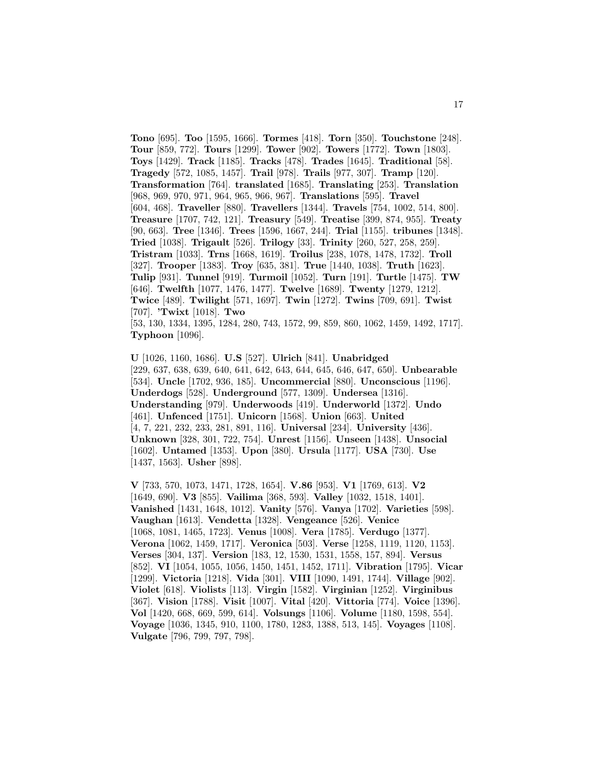**Tono** [695]. **Too** [1595, 1666]. **Tormes** [418]. **Torn** [350]. **Touchstone** [248]. **Tour** [859, 772]. **Tours** [1299]. **Tower** [902]. **Towers** [1772]. **Town** [1803]. **Toys** [1429]. **Track** [1185]. **Tracks** [478]. **Trades** [1645]. **Traditional** [58]. **Tragedy** [572, 1085, 1457]. **Trail** [978]. **Trails** [977, 307]. **Tramp** [120]. **Transformation** [764]. **translated** [1685]. **Translating** [253]. **Translation** [968, 969, 970, 971, 964, 965, 966, 967]. **Translations** [595]. **Travel** [604, 468]. **Traveller** [880]. **Travellers** [1344]. **Travels** [754, 1002, 514, 800]. **Treasure** [1707, 742, 121]. **Treasury** [549]. **Treatise** [399, 874, 955]. **Treaty** [90, 663]. **Tree** [1346]. **Trees** [1596, 1667, 244]. **Trial** [1155]. **tribunes** [1348]. **Tried** [1038]. **Trigault** [526]. **Trilogy** [33]. **Trinity** [260, 527, 258, 259]. **Tristram** [1033]. **Trns** [1668, 1619]. **Troilus** [238, 1078, 1478, 1732]. **Troll** [327]. **Trooper** [1383]. **Troy** [635, 381]. **True** [1440, 1038]. **Truth** [1623]. **Tulip** [931]. **Tunnel** [919]. **Turmoil** [1052]. **Turn** [191]. **Turtle** [1475]. **TW** [646]. **Twelfth** [1077, 1476, 1477]. **Twelve** [1689]. **Twenty** [1279, 1212]. **Twice** [489]. **Twilight** [571, 1697]. **Twin** [1272]. **Twins** [709, 691]. **Twist** [707]. **'Twixt** [1018]. **Two** [53, 130, 1334, 1395, 1284, 280, 743, 1572, 99, 859, 860, 1062, 1459, 1492, 1717]. **Typhoon** [1096].

**U** [1026, 1160, 1686]. **U.S** [527]. **Ulrich** [841]. **Unabridged** [229, 637, 638, 639, 640, 641, 642, 643, 644, 645, 646, 647, 650]. **Unbearable** [534]. **Uncle** [1702, 936, 185]. **Uncommercial** [880]. **Unconscious** [1196]. **Underdogs** [528]. **Underground** [577, 1309]. **Undersea** [1316]. **Understanding** [979]. **Underwoods** [419]. **Underworld** [1372]. **Undo** [461]. **Unfenced** [1751]. **Unicorn** [1568]. **Union** [663]. **United** [4, 7, 221, 232, 233, 281, 891, 116]. **Universal** [234]. **University** [436]. **Unknown** [328, 301, 722, 754]. **Unrest** [1156]. **Unseen** [1438]. **Unsocial** [1602]. **Untamed** [1353]. **Upon** [380]. **Ursula** [1177]. **USA** [730]. **Use** [1437, 1563]. **Usher** [898].

**V** [733, 570, 1073, 1471, 1728, 1654]. **V.86** [953]. **V1** [1769, 613]. **V2** [1649, 690]. **V3** [855]. **Vailima** [368, 593]. **Valley** [1032, 1518, 1401]. **Vanished** [1431, 1648, 1012]. **Vanity** [576]. **Vanya** [1702]. **Varieties** [598]. **Vaughan** [1613]. **Vendetta** [1328]. **Vengeance** [526]. **Venice** [1068, 1081, 1465, 1723]. **Venus** [1008]. **Vera** [1785]. **Verdugo** [1377]. **Verona** [1062, 1459, 1717]. **Veronica** [503]. **Verse** [1258, 1119, 1120, 1153]. **Verses** [304, 137]. **Version** [183, 12, 1530, 1531, 1558, 157, 894]. **Versus** [852]. **VI** [1054, 1055, 1056, 1450, 1451, 1452, 1711]. **Vibration** [1795]. **Vicar** [1299]. **Victoria** [1218]. **Vida** [301]. **VIII** [1090, 1491, 1744]. **Village** [902]. **Violet** [618]. **Violists** [113]. **Virgin** [1582]. **Virginian** [1252]. **Virginibus** [367]. **Vision** [1788]. **Visit** [1007]. **Vital** [420]. **Vittoria** [774]. **Voice** [1396]. **Vol** [1420, 668, 669, 599, 614]. **Volsungs** [1106]. **Volume** [1180, 1598, 554]. **Voyage** [1036, 1345, 910, 1100, 1780, 1283, 1388, 513, 145]. **Voyages** [1108]. **Vulgate** [796, 799, 797, 798].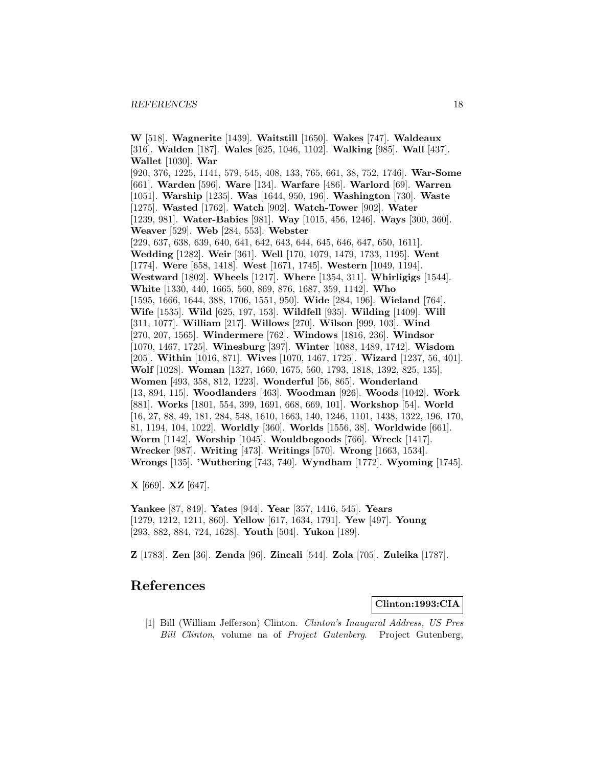**W** [518]. **Wagnerite** [1439]. **Waitstill** [1650]. **Wakes** [747]. **Waldeaux** [316]. **Walden** [187]. **Wales** [625, 1046, 1102]. **Walking** [985]. **Wall** [437]. **Wallet** [1030]. **War** [920, 376, 1225, 1141, 579, 545, 408, 133, 765, 661, 38, 752, 1746]. **War-Some** [661]. **Warden** [596]. **Ware** [134]. **Warfare** [486]. **Warlord** [69]. **Warren** [1051]. **Warship** [1235]. **Was** [1644, 950, 196]. **Washington** [730]. **Waste** [1275]. **Wasted** [1762]. **Watch** [902]. **Watch-Tower** [902]. **Water** [1239, 981]. **Water-Babies** [981]. **Way** [1015, 456, 1246]. **Ways** [300, 360]. **Weaver** [529]. **Web** [284, 553]. **Webster** [229, 637, 638, 639, 640, 641, 642, 643, 644, 645, 646, 647, 650, 1611]. **Wedding** [1282]. **Weir** [361]. **Well** [170, 1079, 1479, 1733, 1195]. **Went** [1774]. **Were** [658, 1418]. **West** [1671, 1745]. **Western** [1049, 1194]. **Westward** [1802]. **Wheels** [1217]. **Where** [1354, 311]. **Whirligigs** [1544]. **White** [1330, 440, 1665, 560, 869, 876, 1687, 359, 1142]. **Who** [1595, 1666, 1644, 388, 1706, 1551, 950]. **Wide** [284, 196]. **Wieland** [764]. **Wife** [1535]. **Wild** [625, 197, 153]. **Wildfell** [935]. **Wilding** [1409]. **Will** [311, 1077]. **William** [217]. **Willows** [270]. **Wilson** [999, 103]. **Wind** [270, 207, 1565]. **Windermere** [762]. **Windows** [1816, 236]. **Windsor** [1070, 1467, 1725]. **Winesburg** [397]. **Winter** [1088, 1489, 1742]. **Wisdom** [205]. **Within** [1016, 871]. **Wives** [1070, 1467, 1725]. **Wizard** [1237, 56, 401]. **Wolf** [1028]. **Woman** [1327, 1660, 1675, 560, 1793, 1818, 1392, 825, 135]. **Women** [493, 358, 812, 1223]. **Wonderful** [56, 865]. **Wonderland** [13, 894, 115]. **Woodlanders** [463]. **Woodman** [926]. **Woods** [1042]. **Work** [881]. **Works** [1801, 554, 399, 1691, 668, 669, 101]. **Workshop** [54]. **World** [16, 27, 88, 49, 181, 284, 548, 1610, 1663, 140, 1246, 1101, 1438, 1322, 196, 170, 81, 1194, 104, 1022]. **Worldly** [360]. **Worlds** [1556, 38]. **Worldwide** [661]. **Worm** [1142]. **Worship** [1045]. **Wouldbegoods** [766]. **Wreck** [1417]. **Wrecker** [987]. **Writing** [473]. **Writings** [570]. **Wrong** [1663, 1534]. **Wrongs** [135]. **'Wuthering** [743, 740]. **Wyndham** [1772]. **Wyoming** [1745].

**X** [669]. **XZ** [647].

**Yankee** [87, 849]. **Yates** [944]. **Year** [357, 1416, 545]. **Years** [1279, 1212, 1211, 860]. **Yellow** [617, 1634, 1791]. **Yew** [497]. **Young** [293, 882, 884, 724, 1628]. **Youth** [504]. **Yukon** [189].

**Z** [1783]. **Zen** [36]. **Zenda** [96]. **Zincali** [544]. **Zola** [705]. **Zuleika** [1787].

## **References**

#### **Clinton:1993:CIA**

[1] Bill (William Jefferson) Clinton. Clinton's Inaugural Address, US Pres Bill Clinton, volume na of Project Gutenberg. Project Gutenberg,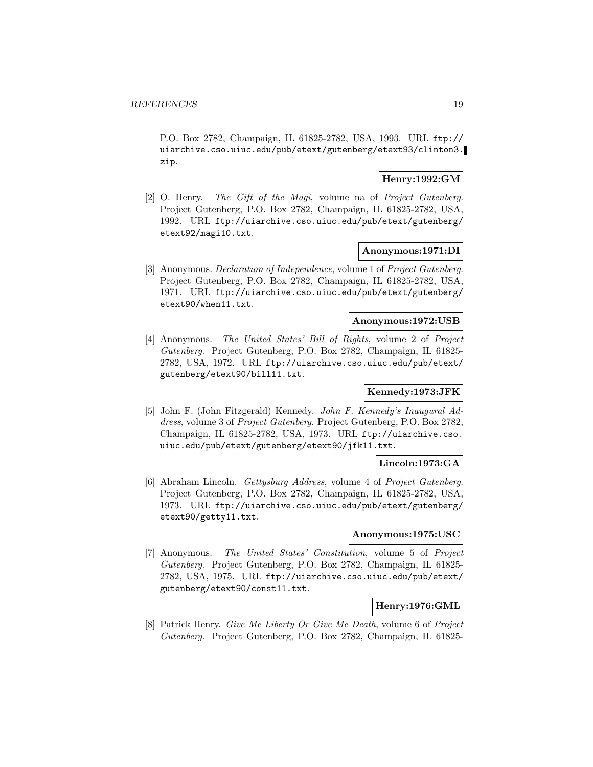P.O. Box 2782, Champaign, IL 61825-2782, USA, 1993. URL ftp:// uiarchive.cso.uiuc.edu/pub/etext/gutenberg/etext93/clinton3. zip.

## **Henry:1992:GM**

[2] O. Henry. The Gift of the Magi, volume na of Project Gutenberg. Project Gutenberg, P.O. Box 2782, Champaign, IL 61825-2782, USA, 1992. URL ftp://uiarchive.cso.uiuc.edu/pub/etext/gutenberg/ etext92/magi10.txt.

#### **Anonymous:1971:DI**

[3] Anonymous. Declaration of Independence, volume 1 of Project Gutenberg. Project Gutenberg, P.O. Box 2782, Champaign, IL 61825-2782, USA, 1971. URL ftp://uiarchive.cso.uiuc.edu/pub/etext/gutenberg/ etext90/when11.txt.

## **Anonymous:1972:USB**

[4] Anonymous. The United States' Bill of Rights, volume 2 of Project Gutenberg. Project Gutenberg, P.O. Box 2782, Champaign, IL 61825- 2782, USA, 1972. URL ftp://uiarchive.cso.uiuc.edu/pub/etext/ gutenberg/etext90/bill11.txt.

## **Kennedy:1973:JFK**

[5] John F. (John Fitzgerald) Kennedy. John F. Kennedy's Inaugural Address, volume 3 of Project Gutenberg. Project Gutenberg, P.O. Box 2782, Champaign, IL 61825-2782, USA, 1973. URL ftp://uiarchive.cso. uiuc.edu/pub/etext/gutenberg/etext90/jfk11.txt.

## **Lincoln:1973:GA**

[6] Abraham Lincoln. Gettysburg Address, volume 4 of Project Gutenberg. Project Gutenberg, P.O. Box 2782, Champaign, IL 61825-2782, USA, 1973. URL ftp://uiarchive.cso.uiuc.edu/pub/etext/gutenberg/ etext90/getty11.txt.

## **Anonymous:1975:USC**

[7] Anonymous. The United States' Constitution, volume 5 of Project Gutenberg. Project Gutenberg, P.O. Box 2782, Champaign, IL 61825- 2782, USA, 1975. URL ftp://uiarchive.cso.uiuc.edu/pub/etext/ gutenberg/etext90/const11.txt.

## **Henry:1976:GML**

[8] Patrick Henry. Give Me Liberty Or Give Me Death, volume 6 of Project Gutenberg. Project Gutenberg, P.O. Box 2782, Champaign, IL 61825-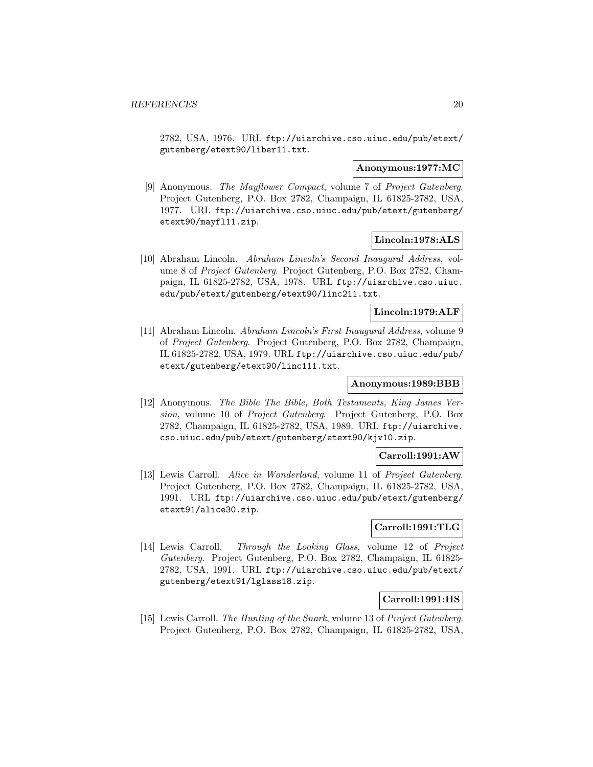2782, USA, 1976. URL ftp://uiarchive.cso.uiuc.edu/pub/etext/ gutenberg/etext90/liber11.txt.

#### **Anonymous:1977:MC**

[9] Anonymous. The Mayflower Compact, volume 7 of Project Gutenberg. Project Gutenberg, P.O. Box 2782, Champaign, IL 61825-2782, USA, 1977. URL ftp://uiarchive.cso.uiuc.edu/pub/etext/gutenberg/ etext90/mayfl11.zip.

#### **Lincoln:1978:ALS**

[10] Abraham Lincoln. Abraham Lincoln's Second Inaugural Address, volume 8 of Project Gutenberg. Project Gutenberg, P.O. Box 2782, Champaign, IL 61825-2782, USA, 1978. URL ftp://uiarchive.cso.uiuc. edu/pub/etext/gutenberg/etext90/linc211.txt.

#### **Lincoln:1979:ALF**

[11] Abraham Lincoln. Abraham Lincoln's First Inaugural Address, volume 9 of Project Gutenberg. Project Gutenberg, P.O. Box 2782, Champaign, IL 61825-2782, USA, 1979. URL ftp://uiarchive.cso.uiuc.edu/pub/ etext/gutenberg/etext90/linc111.txt.

### **Anonymous:1989:BBB**

[12] Anonymous. The Bible The Bible, Both Testaments, King James Version, volume 10 of Project Gutenberg. Project Gutenberg, P.O. Box 2782, Champaign, IL 61825-2782, USA, 1989. URL ftp://uiarchive. cso.uiuc.edu/pub/etext/gutenberg/etext90/kjv10.zip.

#### **Carroll:1991:AW**

[13] Lewis Carroll. Alice in Wonderland, volume 11 of Project Gutenberg. Project Gutenberg, P.O. Box 2782, Champaign, IL 61825-2782, USA, 1991. URL ftp://uiarchive.cso.uiuc.edu/pub/etext/gutenberg/ etext91/alice30.zip.

## **Carroll:1991:TLG**

[14] Lewis Carroll. Through the Looking Glass, volume 12 of Project Gutenberg. Project Gutenberg, P.O. Box 2782, Champaign, IL 61825- 2782, USA, 1991. URL ftp://uiarchive.cso.uiuc.edu/pub/etext/ gutenberg/etext91/lglass18.zip.

#### **Carroll:1991:HS**

[15] Lewis Carroll. The Hunting of the Snark, volume 13 of Project Gutenberg. Project Gutenberg, P.O. Box 2782, Champaign, IL 61825-2782, USA,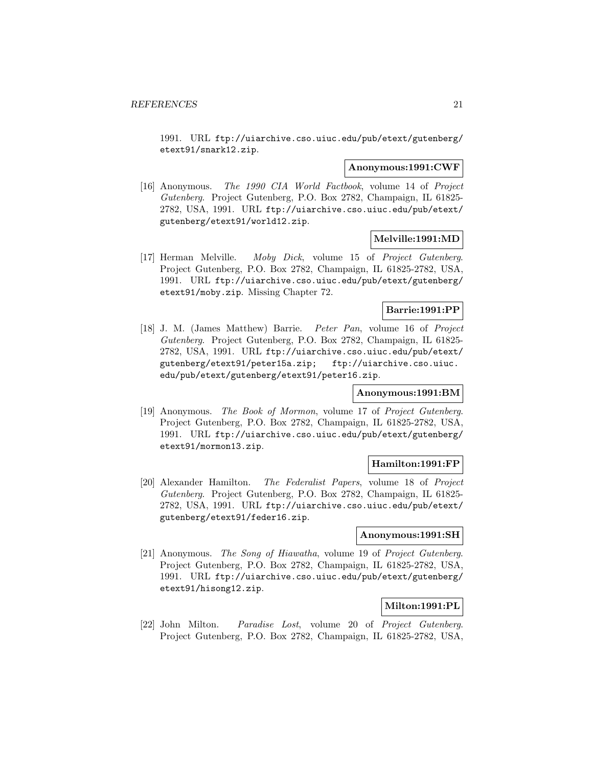1991. URL ftp://uiarchive.cso.uiuc.edu/pub/etext/gutenberg/ etext91/snark12.zip.

#### **Anonymous:1991:CWF**

[16] Anonymous. The 1990 CIA World Factbook, volume 14 of Project Gutenberg. Project Gutenberg, P.O. Box 2782, Champaign, IL 61825- 2782, USA, 1991. URL ftp://uiarchive.cso.uiuc.edu/pub/etext/ gutenberg/etext91/world12.zip.

## **Melville:1991:MD**

[17] Herman Melville. Moby Dick, volume 15 of Project Gutenberg. Project Gutenberg, P.O. Box 2782, Champaign, IL 61825-2782, USA, 1991. URL ftp://uiarchive.cso.uiuc.edu/pub/etext/gutenberg/ etext91/moby.zip. Missing Chapter 72.

#### **Barrie:1991:PP**

[18] J. M. (James Matthew) Barrie. Peter Pan, volume 16 of Project Gutenberg. Project Gutenberg, P.O. Box 2782, Champaign, IL 61825- 2782, USA, 1991. URL ftp://uiarchive.cso.uiuc.edu/pub/etext/ gutenberg/etext91/peter15a.zip; ftp://uiarchive.cso.uiuc. edu/pub/etext/gutenberg/etext91/peter16.zip.

#### **Anonymous:1991:BM**

[19] Anonymous. The Book of Mormon, volume 17 of Project Gutenberg. Project Gutenberg, P.O. Box 2782, Champaign, IL 61825-2782, USA, 1991. URL ftp://uiarchive.cso.uiuc.edu/pub/etext/gutenberg/ etext91/mormon13.zip.

#### **Hamilton:1991:FP**

[20] Alexander Hamilton. The Federalist Papers, volume 18 of Project Gutenberg. Project Gutenberg, P.O. Box 2782, Champaign, IL 61825- 2782, USA, 1991. URL ftp://uiarchive.cso.uiuc.edu/pub/etext/ gutenberg/etext91/feder16.zip.

#### **Anonymous:1991:SH**

[21] Anonymous. The Song of Hiawatha, volume 19 of Project Gutenberg. Project Gutenberg, P.O. Box 2782, Champaign, IL 61825-2782, USA, 1991. URL ftp://uiarchive.cso.uiuc.edu/pub/etext/gutenberg/ etext91/hisong12.zip.

## **Milton:1991:PL**

[22] John Milton. Paradise Lost, volume 20 of Project Gutenberg. Project Gutenberg, P.O. Box 2782, Champaign, IL 61825-2782, USA,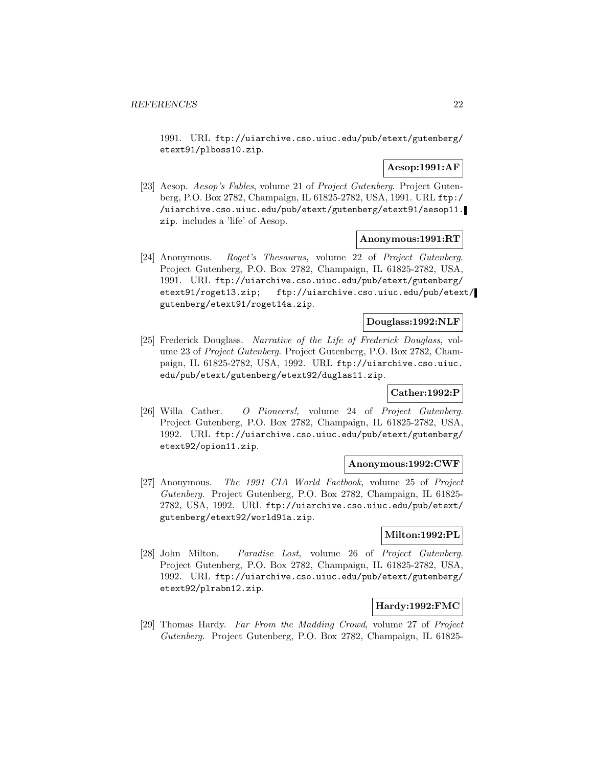1991. URL ftp://uiarchive.cso.uiuc.edu/pub/etext/gutenberg/ etext91/plboss10.zip.

## **Aesop:1991:AF**

[23] Aesop. Aesop's Fables, volume 21 of Project Gutenberg. Project Gutenberg, P.O. Box 2782, Champaign, IL 61825-2782, USA, 1991. URL ftp:/ /uiarchive.cso.uiuc.edu/pub/etext/gutenberg/etext91/aesop11. zip. includes a 'life' of Aesop.

#### **Anonymous:1991:RT**

[24] Anonymous. Roget's Thesaurus, volume 22 of Project Gutenberg. Project Gutenberg, P.O. Box 2782, Champaign, IL 61825-2782, USA, 1991. URL ftp://uiarchive.cso.uiuc.edu/pub/etext/gutenberg/ etext91/roget13.zip; ftp://uiarchive.cso.uiuc.edu/pub/etext/ gutenberg/etext91/roget14a.zip.

## **Douglass:1992:NLF**

[25] Frederick Douglass. Narrative of the Life of Frederick Douglass, volume 23 of Project Gutenberg. Project Gutenberg, P.O. Box 2782, Champaign, IL 61825-2782, USA, 1992. URL ftp://uiarchive.cso.uiuc. edu/pub/etext/gutenberg/etext92/duglas11.zip.

#### **Cather:1992:P**

[26] Willa Cather. O Pioneers!, volume 24 of Project Gutenberg. Project Gutenberg, P.O. Box 2782, Champaign, IL 61825-2782, USA, 1992. URL ftp://uiarchive.cso.uiuc.edu/pub/etext/gutenberg/ etext92/opion11.zip.

#### **Anonymous:1992:CWF**

[27] Anonymous. The 1991 CIA World Factbook, volume 25 of Project Gutenberg. Project Gutenberg, P.O. Box 2782, Champaign, IL 61825- 2782, USA, 1992. URL ftp://uiarchive.cso.uiuc.edu/pub/etext/ gutenberg/etext92/world91a.zip.

## **Milton:1992:PL**

[28] John Milton. Paradise Lost, volume 26 of Project Gutenberg. Project Gutenberg, P.O. Box 2782, Champaign, IL 61825-2782, USA, 1992. URL ftp://uiarchive.cso.uiuc.edu/pub/etext/gutenberg/ etext92/plrabn12.zip.

#### **Hardy:1992:FMC**

[29] Thomas Hardy. Far From the Madding Crowd, volume 27 of Project Gutenberg. Project Gutenberg, P.O. Box 2782, Champaign, IL 61825-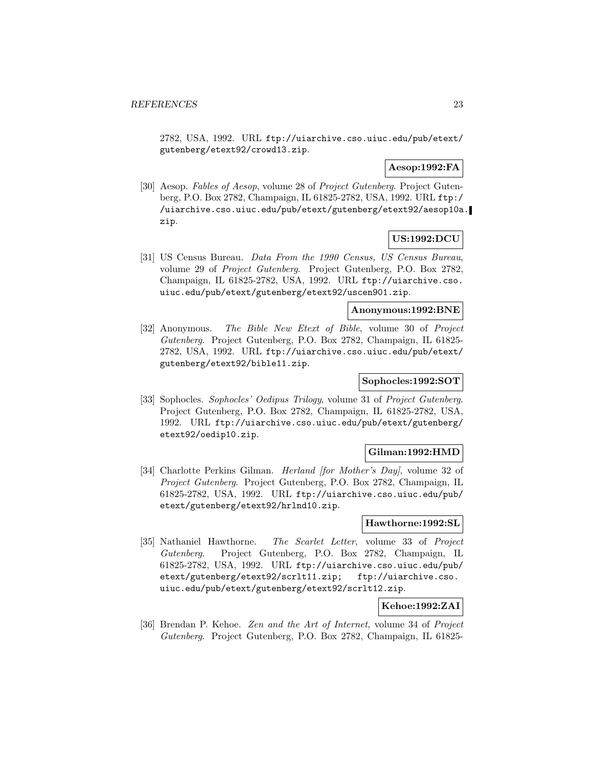2782, USA, 1992. URL ftp://uiarchive.cso.uiuc.edu/pub/etext/ gutenberg/etext92/crowd13.zip.

## **Aesop:1992:FA**

[30] Aesop. Fables of Aesop, volume 28 of Project Gutenberg. Project Gutenberg, P.O. Box 2782, Champaign, IL 61825-2782, USA, 1992. URL ftp:/ /uiarchive.cso.uiuc.edu/pub/etext/gutenberg/etext92/aesop10a. zip.

## **US:1992:DCU**

[31] US Census Bureau. Data From the 1990 Census, US Census Bureau, volume 29 of Project Gutenberg. Project Gutenberg, P.O. Box 2782, Champaign, IL 61825-2782, USA, 1992. URL ftp://uiarchive.cso. uiuc.edu/pub/etext/gutenberg/etext92/uscen901.zip.

#### **Anonymous:1992:BNE**

[32] Anonymous. The Bible New Etext of Bible, volume 30 of Project Gutenberg. Project Gutenberg, P.O. Box 2782, Champaign, IL 61825- 2782, USA, 1992. URL ftp://uiarchive.cso.uiuc.edu/pub/etext/ gutenberg/etext92/bible11.zip.

#### **Sophocles:1992:SOT**

[33] Sophocles. Sophocles' Oedipus Trilogy, volume 31 of Project Gutenberg. Project Gutenberg, P.O. Box 2782, Champaign, IL 61825-2782, USA, 1992. URL ftp://uiarchive.cso.uiuc.edu/pub/etext/gutenberg/ etext92/oedip10.zip.

#### **Gilman:1992:HMD**

[34] Charlotte Perkins Gilman. Herland [for Mother's Day], volume 32 of Project Gutenberg. Project Gutenberg, P.O. Box 2782, Champaign, IL 61825-2782, USA, 1992. URL ftp://uiarchive.cso.uiuc.edu/pub/ etext/gutenberg/etext92/hrlnd10.zip.

#### **Hawthorne:1992:SL**

[35] Nathaniel Hawthorne. The Scarlet Letter, volume 33 of Project Gutenberg. Project Gutenberg, P.O. Box 2782, Champaign, IL 61825-2782, USA, 1992. URL ftp://uiarchive.cso.uiuc.edu/pub/ etext/gutenberg/etext92/scrlt11.zip; ftp://uiarchive.cso. uiuc.edu/pub/etext/gutenberg/etext92/scrlt12.zip.

## **Kehoe:1992:ZAI**

[36] Brendan P. Kehoe. Zen and the Art of Internet, volume 34 of Project Gutenberg. Project Gutenberg, P.O. Box 2782, Champaign, IL 61825-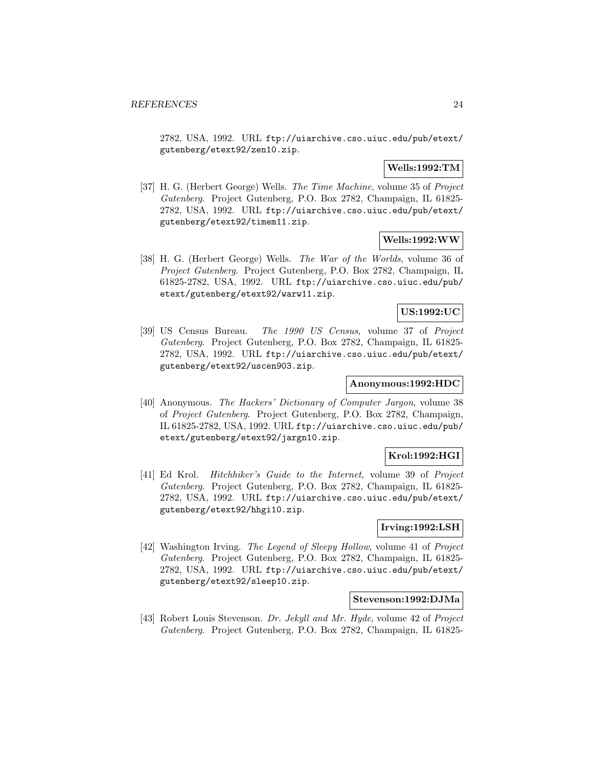2782, USA, 1992. URL ftp://uiarchive.cso.uiuc.edu/pub/etext/ gutenberg/etext92/zen10.zip.

## **Wells:1992:TM**

[37] H. G. (Herbert George) Wells. The Time Machine, volume 35 of Project Gutenberg. Project Gutenberg, P.O. Box 2782, Champaign, IL 61825- 2782, USA, 1992. URL ftp://uiarchive.cso.uiuc.edu/pub/etext/ gutenberg/etext92/timem11.zip.

#### **Wells:1992:WW**

[38] H. G. (Herbert George) Wells. The War of the Worlds, volume 36 of Project Gutenberg. Project Gutenberg, P.O. Box 2782, Champaign, IL 61825-2782, USA, 1992. URL ftp://uiarchive.cso.uiuc.edu/pub/ etext/gutenberg/etext92/warw11.zip.

#### **US:1992:UC**

[39] US Census Bureau. The 1990 US Census, volume 37 of Project Gutenberg. Project Gutenberg, P.O. Box 2782, Champaign, IL 61825- 2782, USA, 1992. URL ftp://uiarchive.cso.uiuc.edu/pub/etext/ gutenberg/etext92/uscen903.zip.

## **Anonymous:1992:HDC**

[40] Anonymous. The Hackers' Dictionary of Computer Jargon, volume 38 of Project Gutenberg. Project Gutenberg, P.O. Box 2782, Champaign, IL 61825-2782, USA, 1992. URL ftp://uiarchive.cso.uiuc.edu/pub/ etext/gutenberg/etext92/jargn10.zip.

## **Krol:1992:HGI**

[41] Ed Krol. Hitchhiker's Guide to the Internet, volume 39 of Project Gutenberg. Project Gutenberg, P.O. Box 2782, Champaign, IL 61825- 2782, USA, 1992. URL ftp://uiarchive.cso.uiuc.edu/pub/etext/ gutenberg/etext92/hhgi10.zip.

## **Irving:1992:LSH**

[42] Washington Irving. The Legend of Sleepy Hollow, volume 41 of Project Gutenberg. Project Gutenberg, P.O. Box 2782, Champaign, IL 61825- 2782, USA, 1992. URL ftp://uiarchive.cso.uiuc.edu/pub/etext/ gutenberg/etext92/sleep10.zip.

#### **Stevenson:1992:DJMa**

[43] Robert Louis Stevenson. Dr. Jekyll and Mr. Hyde, volume 42 of Project Gutenberg. Project Gutenberg, P.O. Box 2782, Champaign, IL 61825-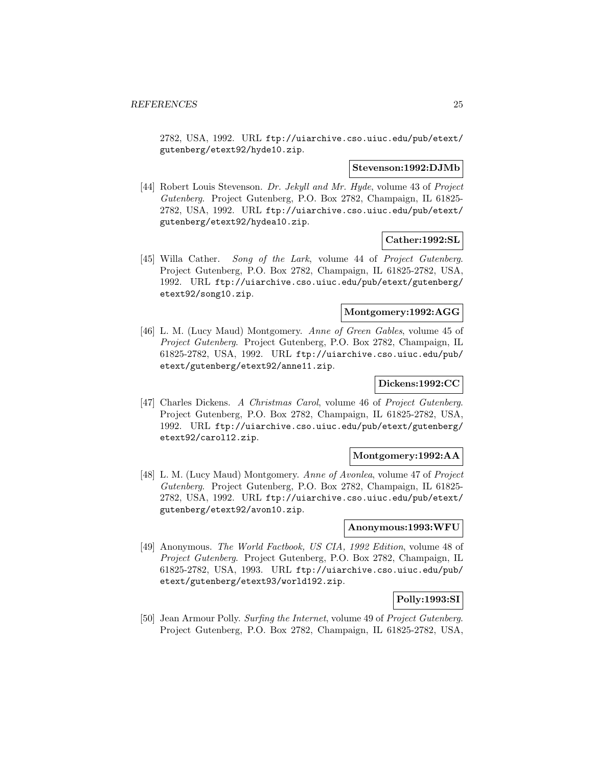2782, USA, 1992. URL ftp://uiarchive.cso.uiuc.edu/pub/etext/ gutenberg/etext92/hyde10.zip.

#### **Stevenson:1992:DJMb**

[44] Robert Louis Stevenson. Dr. Jekyll and Mr. Hyde, volume 43 of Project Gutenberg. Project Gutenberg, P.O. Box 2782, Champaign, IL 61825- 2782, USA, 1992. URL ftp://uiarchive.cso.uiuc.edu/pub/etext/ gutenberg/etext92/hydea10.zip.

#### **Cather:1992:SL**

[45] Willa Cather. Song of the Lark, volume 44 of Project Gutenberg. Project Gutenberg, P.O. Box 2782, Champaign, IL 61825-2782, USA, 1992. URL ftp://uiarchive.cso.uiuc.edu/pub/etext/gutenberg/ etext92/song10.zip.

#### **Montgomery:1992:AGG**

[46] L. M. (Lucy Maud) Montgomery. Anne of Green Gables, volume 45 of Project Gutenberg. Project Gutenberg, P.O. Box 2782, Champaign, IL 61825-2782, USA, 1992. URL ftp://uiarchive.cso.uiuc.edu/pub/ etext/gutenberg/etext92/anne11.zip.

## **Dickens:1992:CC**

[47] Charles Dickens. A Christmas Carol, volume 46 of Project Gutenberg. Project Gutenberg, P.O. Box 2782, Champaign, IL 61825-2782, USA, 1992. URL ftp://uiarchive.cso.uiuc.edu/pub/etext/gutenberg/ etext92/carol12.zip.

#### **Montgomery:1992:AA**

[48] L. M. (Lucy Maud) Montgomery. Anne of Avonlea, volume 47 of Project Gutenberg. Project Gutenberg, P.O. Box 2782, Champaign, IL 61825- 2782, USA, 1992. URL ftp://uiarchive.cso.uiuc.edu/pub/etext/ gutenberg/etext92/avon10.zip.

### **Anonymous:1993:WFU**

[49] Anonymous. The World Factbook, US CIA, 1992 Edition, volume 48 of Project Gutenberg. Project Gutenberg, P.O. Box 2782, Champaign, IL 61825-2782, USA, 1993. URL ftp://uiarchive.cso.uiuc.edu/pub/ etext/gutenberg/etext93/world192.zip.

#### **Polly:1993:SI**

[50] Jean Armour Polly. Surfing the Internet, volume 49 of Project Gutenberg. Project Gutenberg, P.O. Box 2782, Champaign, IL 61825-2782, USA,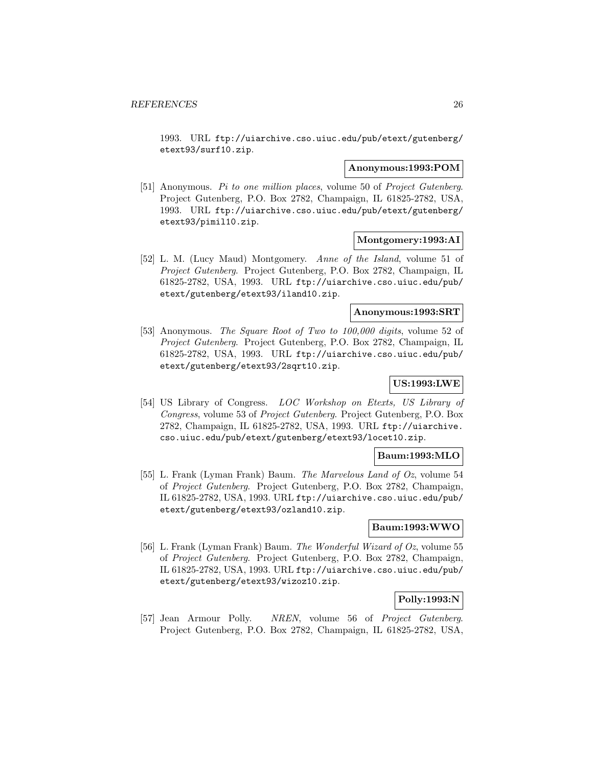1993. URL ftp://uiarchive.cso.uiuc.edu/pub/etext/gutenberg/ etext93/surf10.zip.

#### **Anonymous:1993:POM**

[51] Anonymous. Pi to one million places, volume 50 of Project Gutenberg. Project Gutenberg, P.O. Box 2782, Champaign, IL 61825-2782, USA, 1993. URL ftp://uiarchive.cso.uiuc.edu/pub/etext/gutenberg/ etext93/pimil10.zip.

#### **Montgomery:1993:AI**

[52] L. M. (Lucy Maud) Montgomery. Anne of the Island, volume 51 of Project Gutenberg. Project Gutenberg, P.O. Box 2782, Champaign, IL 61825-2782, USA, 1993. URL ftp://uiarchive.cso.uiuc.edu/pub/ etext/gutenberg/etext93/iland10.zip.

#### **Anonymous:1993:SRT**

[53] Anonymous. The Square Root of Two to 100,000 digits, volume 52 of Project Gutenberg. Project Gutenberg, P.O. Box 2782, Champaign, IL 61825-2782, USA, 1993. URL ftp://uiarchive.cso.uiuc.edu/pub/ etext/gutenberg/etext93/2sqrt10.zip.

## **US:1993:LWE**

[54] US Library of Congress. LOC Workshop on Etexts, US Library of Congress, volume 53 of Project Gutenberg. Project Gutenberg, P.O. Box 2782, Champaign, IL 61825-2782, USA, 1993. URL ftp://uiarchive. cso.uiuc.edu/pub/etext/gutenberg/etext93/locet10.zip.

#### **Baum:1993:MLO**

[55] L. Frank (Lyman Frank) Baum. The Marvelous Land of Oz, volume 54 of Project Gutenberg. Project Gutenberg, P.O. Box 2782, Champaign, IL 61825-2782, USA, 1993. URL ftp://uiarchive.cso.uiuc.edu/pub/ etext/gutenberg/etext93/ozland10.zip.

## **Baum:1993:WWO**

[56] L. Frank (Lyman Frank) Baum. The Wonderful Wizard of Oz, volume 55 of Project Gutenberg. Project Gutenberg, P.O. Box 2782, Champaign, IL 61825-2782, USA, 1993. URL ftp://uiarchive.cso.uiuc.edu/pub/ etext/gutenberg/etext93/wizoz10.zip.

#### **Polly:1993:N**

[57] Jean Armour Polly. NREN, volume 56 of Project Gutenberg. Project Gutenberg, P.O. Box 2782, Champaign, IL 61825-2782, USA,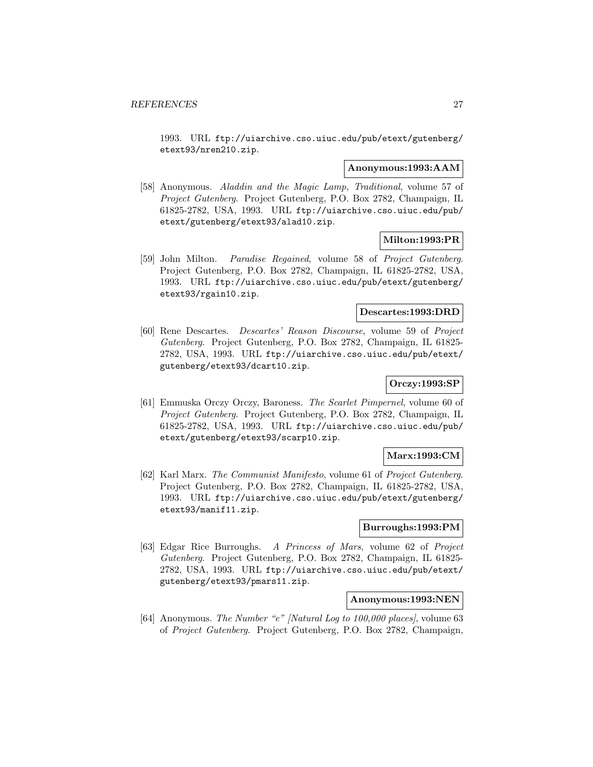1993. URL ftp://uiarchive.cso.uiuc.edu/pub/etext/gutenberg/ etext93/nren210.zip.

#### **Anonymous:1993:AAM**

[58] Anonymous. Aladdin and the Magic Lamp, Traditional, volume 57 of Project Gutenberg. Project Gutenberg, P.O. Box 2782, Champaign, IL 61825-2782, USA, 1993. URL ftp://uiarchive.cso.uiuc.edu/pub/ etext/gutenberg/etext93/alad10.zip.

### **Milton:1993:PR**

[59] John Milton. Paradise Regained, volume 58 of Project Gutenberg. Project Gutenberg, P.O. Box 2782, Champaign, IL 61825-2782, USA, 1993. URL ftp://uiarchive.cso.uiuc.edu/pub/etext/gutenberg/ etext93/rgain10.zip.

#### **Descartes:1993:DRD**

[60] Rene Descartes. Descartes' Reason Discourse, volume 59 of Project Gutenberg. Project Gutenberg, P.O. Box 2782, Champaign, IL 61825- 2782, USA, 1993. URL ftp://uiarchive.cso.uiuc.edu/pub/etext/ gutenberg/etext93/dcart10.zip.

## **Orczy:1993:SP**

[61] Emmuska Orczy Orczy, Baroness. The Scarlet Pimpernel, volume 60 of Project Gutenberg. Project Gutenberg, P.O. Box 2782, Champaign, IL 61825-2782, USA, 1993. URL ftp://uiarchive.cso.uiuc.edu/pub/ etext/gutenberg/etext93/scarp10.zip.

#### **Marx:1993:CM**

[62] Karl Marx. The Communist Manifesto, volume 61 of Project Gutenberg. Project Gutenberg, P.O. Box 2782, Champaign, IL 61825-2782, USA, 1993. URL ftp://uiarchive.cso.uiuc.edu/pub/etext/gutenberg/ etext93/manif11.zip.

## **Burroughs:1993:PM**

[63] Edgar Rice Burroughs. A Princess of Mars, volume 62 of Project Gutenberg. Project Gutenberg, P.O. Box 2782, Champaign, IL 61825- 2782, USA, 1993. URL ftp://uiarchive.cso.uiuc.edu/pub/etext/ gutenberg/etext93/pmars11.zip.

#### **Anonymous:1993:NEN**

[64] Anonymous. The Number "e" [Natural Log to 100,000 places], volume 63 of Project Gutenberg. Project Gutenberg, P.O. Box 2782, Champaign,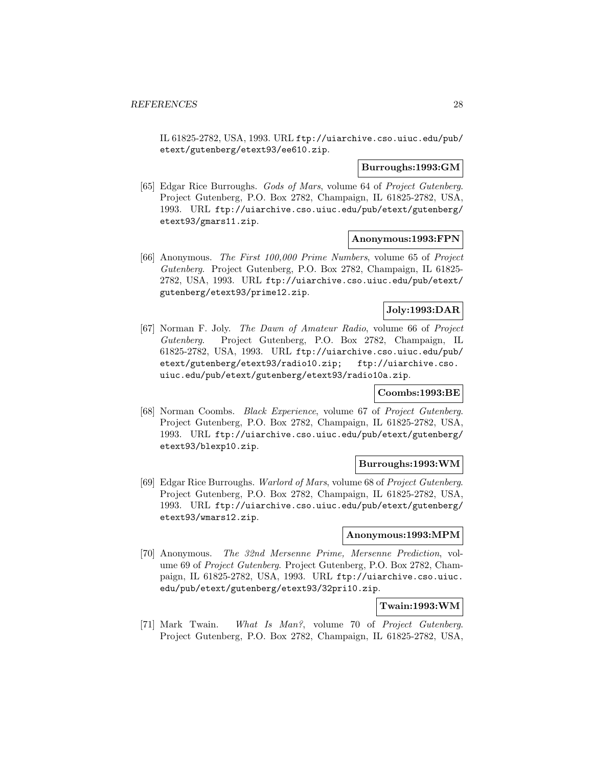IL 61825-2782, USA, 1993. URL ftp://uiarchive.cso.uiuc.edu/pub/ etext/gutenberg/etext93/ee610.zip.

## **Burroughs:1993:GM**

[65] Edgar Rice Burroughs. Gods of Mars, volume 64 of Project Gutenberg. Project Gutenberg, P.O. Box 2782, Champaign, IL 61825-2782, USA, 1993. URL ftp://uiarchive.cso.uiuc.edu/pub/etext/gutenberg/ etext93/gmars11.zip.

#### **Anonymous:1993:FPN**

[66] Anonymous. The First 100,000 Prime Numbers, volume 65 of Project Gutenberg. Project Gutenberg, P.O. Box 2782, Champaign, IL 61825- 2782, USA, 1993. URL ftp://uiarchive.cso.uiuc.edu/pub/etext/ gutenberg/etext93/prime12.zip.

## **Joly:1993:DAR**

[67] Norman F. Joly. The Dawn of Amateur Radio, volume 66 of Project Gutenberg. Project Gutenberg, P.O. Box 2782, Champaign, IL 61825-2782, USA, 1993. URL ftp://uiarchive.cso.uiuc.edu/pub/ etext/gutenberg/etext93/radio10.zip; ftp://uiarchive.cso. uiuc.edu/pub/etext/gutenberg/etext93/radio10a.zip.

#### **Coombs:1993:BE**

[68] Norman Coombs. Black Experience, volume 67 of Project Gutenberg. Project Gutenberg, P.O. Box 2782, Champaign, IL 61825-2782, USA, 1993. URL ftp://uiarchive.cso.uiuc.edu/pub/etext/gutenberg/ etext93/blexp10.zip.

#### **Burroughs:1993:WM**

[69] Edgar Rice Burroughs. Warlord of Mars, volume 68 of Project Gutenberg. Project Gutenberg, P.O. Box 2782, Champaign, IL 61825-2782, USA, 1993. URL ftp://uiarchive.cso.uiuc.edu/pub/etext/gutenberg/ etext93/wmars12.zip.

#### **Anonymous:1993:MPM**

[70] Anonymous. The 32nd Mersenne Prime, Mersenne Prediction, volume 69 of Project Gutenberg. Project Gutenberg, P.O. Box 2782, Champaign, IL 61825-2782, USA, 1993. URL ftp://uiarchive.cso.uiuc. edu/pub/etext/gutenberg/etext93/32pri10.zip.

## **Twain:1993:WM**

[71] Mark Twain. What Is Man?, volume 70 of Project Gutenberg. Project Gutenberg, P.O. Box 2782, Champaign, IL 61825-2782, USA,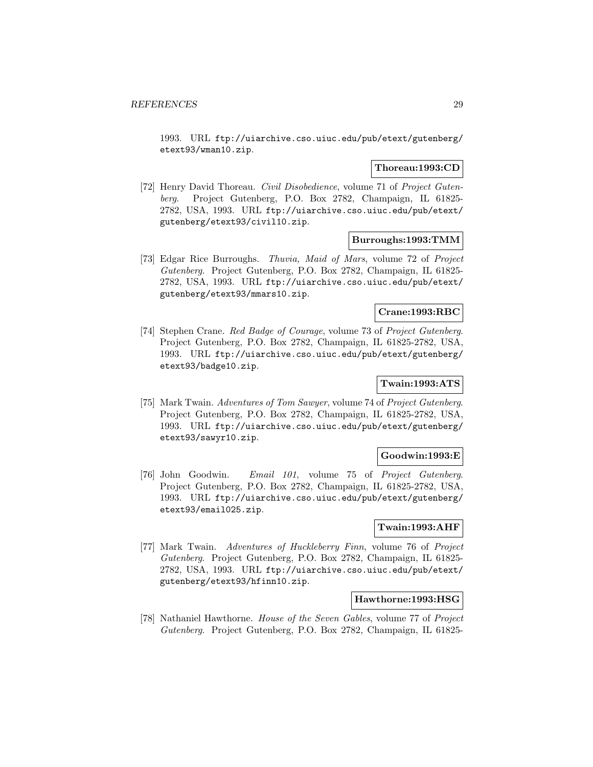1993. URL ftp://uiarchive.cso.uiuc.edu/pub/etext/gutenberg/ etext93/wman10.zip.

#### **Thoreau:1993:CD**

[72] Henry David Thoreau. Civil Disobedience, volume 71 of Project Gutenberg. Project Gutenberg, P.O. Box 2782, Champaign, IL 61825- 2782, USA, 1993. URL ftp://uiarchive.cso.uiuc.edu/pub/etext/ gutenberg/etext93/civil10.zip.

#### **Burroughs:1993:TMM**

[73] Edgar Rice Burroughs. Thuvia, Maid of Mars, volume 72 of Project Gutenberg. Project Gutenberg, P.O. Box 2782, Champaign, IL 61825- 2782, USA, 1993. URL ftp://uiarchive.cso.uiuc.edu/pub/etext/ gutenberg/etext93/mmars10.zip.

#### **Crane:1993:RBC**

[74] Stephen Crane. Red Badge of Courage, volume 73 of Project Gutenberg. Project Gutenberg, P.O. Box 2782, Champaign, IL 61825-2782, USA, 1993. URL ftp://uiarchive.cso.uiuc.edu/pub/etext/gutenberg/ etext93/badge10.zip.

## **Twain:1993:ATS**

[75] Mark Twain. Adventures of Tom Sawyer, volume 74 of Project Gutenberg. Project Gutenberg, P.O. Box 2782, Champaign, IL 61825-2782, USA, 1993. URL ftp://uiarchive.cso.uiuc.edu/pub/etext/gutenberg/ etext93/sawyr10.zip.

#### **Goodwin:1993:E**

[76] John Goodwin. Email 101, volume 75 of Project Gutenberg. Project Gutenberg, P.O. Box 2782, Champaign, IL 61825-2782, USA, 1993. URL ftp://uiarchive.cso.uiuc.edu/pub/etext/gutenberg/ etext93/email025.zip.

## **Twain:1993:AHF**

[77] Mark Twain. Adventures of Huckleberry Finn, volume 76 of Project Gutenberg. Project Gutenberg, P.O. Box 2782, Champaign, IL 61825- 2782, USA, 1993. URL ftp://uiarchive.cso.uiuc.edu/pub/etext/ gutenberg/etext93/hfinn10.zip.

#### **Hawthorne:1993:HSG**

[78] Nathaniel Hawthorne. House of the Seven Gables, volume 77 of Project Gutenberg. Project Gutenberg, P.O. Box 2782, Champaign, IL 61825-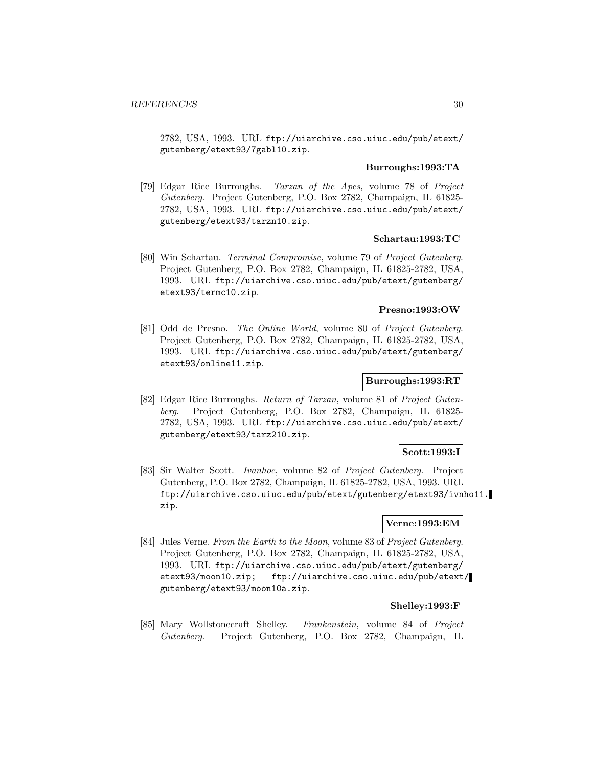2782, USA, 1993. URL ftp://uiarchive.cso.uiuc.edu/pub/etext/ gutenberg/etext93/7gabl10.zip.

## **Burroughs:1993:TA**

[79] Edgar Rice Burroughs. Tarzan of the Apes, volume 78 of Project Gutenberg. Project Gutenberg, P.O. Box 2782, Champaign, IL 61825- 2782, USA, 1993. URL ftp://uiarchive.cso.uiuc.edu/pub/etext/ gutenberg/etext93/tarzn10.zip.

#### **Schartau:1993:TC**

[80] Win Schartau. Terminal Compromise, volume 79 of Project Gutenberg. Project Gutenberg, P.O. Box 2782, Champaign, IL 61825-2782, USA, 1993. URL ftp://uiarchive.cso.uiuc.edu/pub/etext/gutenberg/ etext93/termc10.zip.

#### **Presno:1993:OW**

[81] Odd de Presno. The Online World, volume 80 of Project Gutenberg. Project Gutenberg, P.O. Box 2782, Champaign, IL 61825-2782, USA, 1993. URL ftp://uiarchive.cso.uiuc.edu/pub/etext/gutenberg/ etext93/online11.zip.

## **Burroughs:1993:RT**

[82] Edgar Rice Burroughs. Return of Tarzan, volume 81 of Project Gutenberg. Project Gutenberg, P.O. Box 2782, Champaign, IL 61825- 2782, USA, 1993. URL ftp://uiarchive.cso.uiuc.edu/pub/etext/ gutenberg/etext93/tarz210.zip.

## **Scott:1993:I**

[83] Sir Walter Scott. Ivanhoe, volume 82 of Project Gutenberg. Project Gutenberg, P.O. Box 2782, Champaign, IL 61825-2782, USA, 1993. URL ftp://uiarchive.cso.uiuc.edu/pub/etext/gutenberg/etext93/ivnho11. zip.

#### **Verne:1993:EM**

[84] Jules Verne. From the Earth to the Moon, volume 83 of Project Gutenberg. Project Gutenberg, P.O. Box 2782, Champaign, IL 61825-2782, USA, 1993. URL ftp://uiarchive.cso.uiuc.edu/pub/etext/gutenberg/ etext93/moon10.zip; ftp://uiarchive.cso.uiuc.edu/pub/etext/ gutenberg/etext93/moon10a.zip.

## **Shelley:1993:F**

[85] Mary Wollstonecraft Shelley. Frankenstein, volume 84 of Project Gutenberg. Project Gutenberg, P.O. Box 2782, Champaign, IL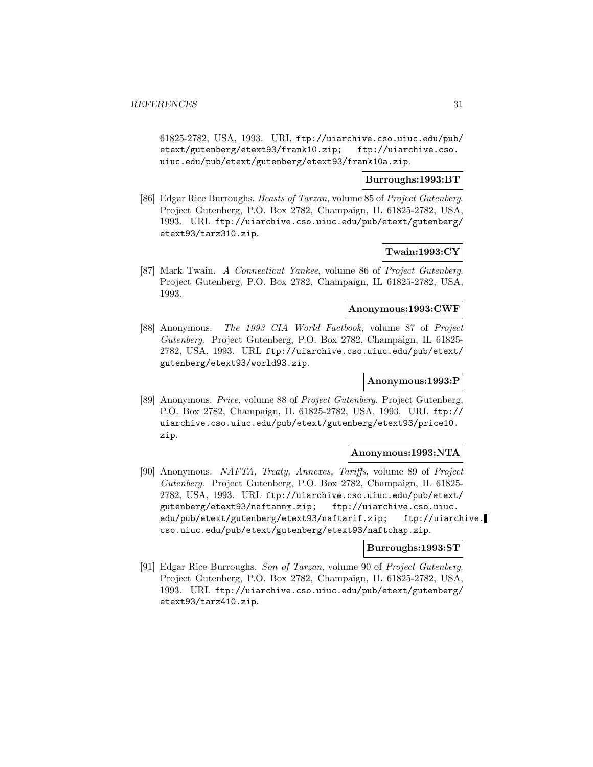61825-2782, USA, 1993. URL ftp://uiarchive.cso.uiuc.edu/pub/ etext/gutenberg/etext93/frank10.zip; ftp://uiarchive.cso. uiuc.edu/pub/etext/gutenberg/etext93/frank10a.zip.

#### **Burroughs:1993:BT**

[86] Edgar Rice Burroughs. Beasts of Tarzan, volume 85 of Project Gutenberg. Project Gutenberg, P.O. Box 2782, Champaign, IL 61825-2782, USA, 1993. URL ftp://uiarchive.cso.uiuc.edu/pub/etext/gutenberg/ etext93/tarz310.zip.

#### **Twain:1993:CY**

[87] Mark Twain. A Connecticut Yankee, volume 86 of Project Gutenberg. Project Gutenberg, P.O. Box 2782, Champaign, IL 61825-2782, USA, 1993.

## **Anonymous:1993:CWF**

[88] Anonymous. The 1993 CIA World Factbook, volume 87 of Project Gutenberg. Project Gutenberg, P.O. Box 2782, Champaign, IL 61825- 2782, USA, 1993. URL ftp://uiarchive.cso.uiuc.edu/pub/etext/ gutenberg/etext93/world93.zip.

#### **Anonymous:1993:P**

[89] Anonymous. Price, volume 88 of Project Gutenberg. Project Gutenberg, P.O. Box 2782, Champaign, IL 61825-2782, USA, 1993. URL ftp:// uiarchive.cso.uiuc.edu/pub/etext/gutenberg/etext93/price10. zip.

#### **Anonymous:1993:NTA**

[90] Anonymous. NAFTA, Treaty, Annexes, Tariffs, volume 89 of Project Gutenberg. Project Gutenberg, P.O. Box 2782, Champaign, IL 61825- 2782, USA, 1993. URL ftp://uiarchive.cso.uiuc.edu/pub/etext/ gutenberg/etext93/naftannx.zip; ftp://uiarchive.cso.uiuc. edu/pub/etext/gutenberg/etext93/naftarif.zip; ftp://uiarchive. cso.uiuc.edu/pub/etext/gutenberg/etext93/naftchap.zip.

#### **Burroughs:1993:ST**

[91] Edgar Rice Burroughs. Son of Tarzan, volume 90 of Project Gutenberg. Project Gutenberg, P.O. Box 2782, Champaign, IL 61825-2782, USA, 1993. URL ftp://uiarchive.cso.uiuc.edu/pub/etext/gutenberg/ etext93/tarz410.zip.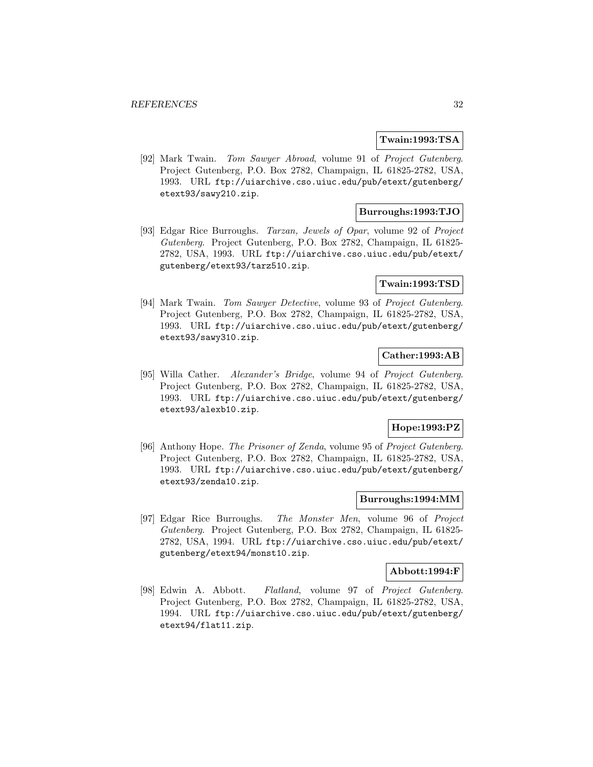#### **Twain:1993:TSA**

[92] Mark Twain. Tom Sawyer Abroad, volume 91 of Project Gutenberg. Project Gutenberg, P.O. Box 2782, Champaign, IL 61825-2782, USA, 1993. URL ftp://uiarchive.cso.uiuc.edu/pub/etext/gutenberg/ etext93/sawy210.zip.

### **Burroughs:1993:TJO**

[93] Edgar Rice Burroughs. Tarzan, Jewels of Opar, volume 92 of Project Gutenberg. Project Gutenberg, P.O. Box 2782, Champaign, IL 61825- 2782, USA, 1993. URL ftp://uiarchive.cso.uiuc.edu/pub/etext/ gutenberg/etext93/tarz510.zip.

#### **Twain:1993:TSD**

[94] Mark Twain. Tom Sawyer Detective, volume 93 of Project Gutenberg. Project Gutenberg, P.O. Box 2782, Champaign, IL 61825-2782, USA, 1993. URL ftp://uiarchive.cso.uiuc.edu/pub/etext/gutenberg/ etext93/sawy310.zip.

## **Cather:1993:AB**

[95] Willa Cather. Alexander's Bridge, volume 94 of Project Gutenberg. Project Gutenberg, P.O. Box 2782, Champaign, IL 61825-2782, USA, 1993. URL ftp://uiarchive.cso.uiuc.edu/pub/etext/gutenberg/ etext93/alexb10.zip.

## **Hope:1993:PZ**

[96] Anthony Hope. The Prisoner of Zenda, volume 95 of Project Gutenberg. Project Gutenberg, P.O. Box 2782, Champaign, IL 61825-2782, USA, 1993. URL ftp://uiarchive.cso.uiuc.edu/pub/etext/gutenberg/ etext93/zenda10.zip.

#### **Burroughs:1994:MM**

[97] Edgar Rice Burroughs. The Monster Men, volume 96 of Project Gutenberg. Project Gutenberg, P.O. Box 2782, Champaign, IL 61825- 2782, USA, 1994. URL ftp://uiarchive.cso.uiuc.edu/pub/etext/ gutenberg/etext94/monst10.zip.

#### **Abbott:1994:F**

[98] Edwin A. Abbott. Flatland, volume 97 of Project Gutenberg. Project Gutenberg, P.O. Box 2782, Champaign, IL 61825-2782, USA, 1994. URL ftp://uiarchive.cso.uiuc.edu/pub/etext/gutenberg/ etext94/flat11.zip.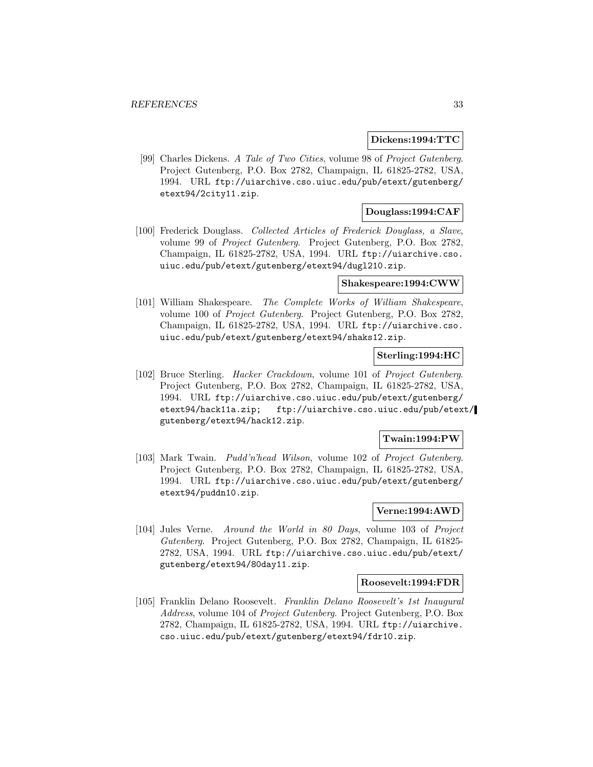#### **Dickens:1994:TTC**

[99] Charles Dickens. A Tale of Two Cities, volume 98 of Project Gutenberg. Project Gutenberg, P.O. Box 2782, Champaign, IL 61825-2782, USA, 1994. URL ftp://uiarchive.cso.uiuc.edu/pub/etext/gutenberg/ etext94/2city11.zip.

## **Douglass:1994:CAF**

[100] Frederick Douglass. Collected Articles of Frederick Douglass, a Slave, volume 99 of Project Gutenberg. Project Gutenberg, P.O. Box 2782, Champaign, IL 61825-2782, USA, 1994. URL ftp://uiarchive.cso. uiuc.edu/pub/etext/gutenberg/etext94/dugl210.zip.

#### **Shakespeare:1994:CWW**

[101] William Shakespeare. The Complete Works of William Shakespeare, volume 100 of Project Gutenberg. Project Gutenberg, P.O. Box 2782, Champaign, IL 61825-2782, USA, 1994. URL ftp://uiarchive.cso. uiuc.edu/pub/etext/gutenberg/etext94/shaks12.zip.

#### **Sterling:1994:HC**

[102] Bruce Sterling. Hacker Crackdown, volume 101 of Project Gutenberg. Project Gutenberg, P.O. Box 2782, Champaign, IL 61825-2782, USA, 1994. URL ftp://uiarchive.cso.uiuc.edu/pub/etext/gutenberg/ etext94/hack11a.zip; ftp://uiarchive.cso.uiuc.edu/pub/etext/ gutenberg/etext94/hack12.zip.

#### **Twain:1994:PW**

[103] Mark Twain. Pudd'n'head Wilson, volume 102 of Project Gutenberg. Project Gutenberg, P.O. Box 2782, Champaign, IL 61825-2782, USA, 1994. URL ftp://uiarchive.cso.uiuc.edu/pub/etext/gutenberg/ etext94/puddn10.zip.

#### **Verne:1994:AWD**

[104] Jules Verne. Around the World in 80 Days, volume 103 of Project Gutenberg. Project Gutenberg, P.O. Box 2782, Champaign, IL 61825- 2782, USA, 1994. URL ftp://uiarchive.cso.uiuc.edu/pub/etext/ gutenberg/etext94/80day11.zip.

#### **Roosevelt:1994:FDR**

[105] Franklin Delano Roosevelt. Franklin Delano Roosevelt's 1st Inaugural Address, volume 104 of Project Gutenberg. Project Gutenberg, P.O. Box 2782, Champaign, IL 61825-2782, USA, 1994. URL ftp://uiarchive. cso.uiuc.edu/pub/etext/gutenberg/etext94/fdr10.zip.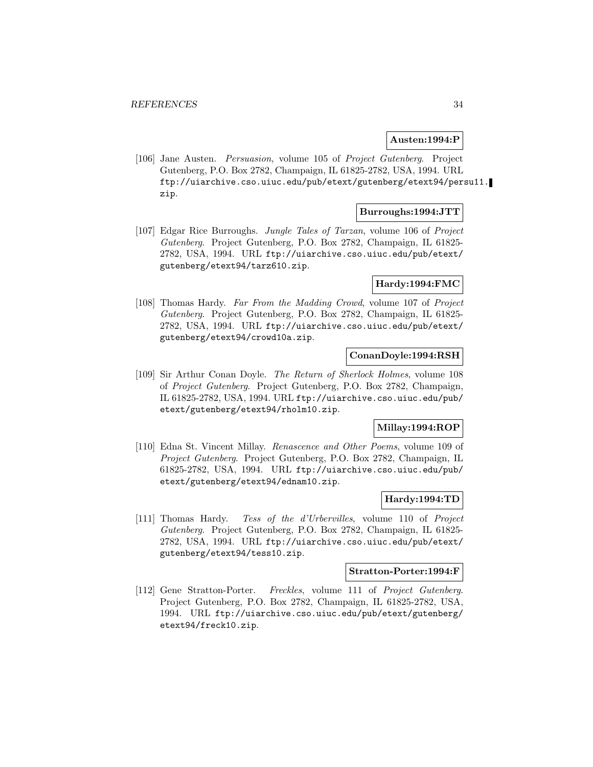#### **Austen:1994:P**

[106] Jane Austen. Persuasion, volume 105 of Project Gutenberg. Project Gutenberg, P.O. Box 2782, Champaign, IL 61825-2782, USA, 1994. URL ftp://uiarchive.cso.uiuc.edu/pub/etext/gutenberg/etext94/persu11. zip.

#### **Burroughs:1994:JTT**

[107] Edgar Rice Burroughs. Jungle Tales of Tarzan, volume 106 of Project Gutenberg. Project Gutenberg, P.O. Box 2782, Champaign, IL 61825- 2782, USA, 1994. URL ftp://uiarchive.cso.uiuc.edu/pub/etext/ gutenberg/etext94/tarz610.zip.

#### **Hardy:1994:FMC**

[108] Thomas Hardy. Far From the Madding Crowd, volume 107 of Project Gutenberg. Project Gutenberg, P.O. Box 2782, Champaign, IL 61825- 2782, USA, 1994. URL ftp://uiarchive.cso.uiuc.edu/pub/etext/ gutenberg/etext94/crowd10a.zip.

#### **ConanDoyle:1994:RSH**

[109] Sir Arthur Conan Doyle. The Return of Sherlock Holmes, volume 108 of Project Gutenberg. Project Gutenberg, P.O. Box 2782, Champaign, IL 61825-2782, USA, 1994. URL ftp://uiarchive.cso.uiuc.edu/pub/ etext/gutenberg/etext94/rholm10.zip.

#### **Millay:1994:ROP**

[110] Edna St. Vincent Millay. Renascence and Other Poems, volume 109 of Project Gutenberg. Project Gutenberg, P.O. Box 2782, Champaign, IL 61825-2782, USA, 1994. URL ftp://uiarchive.cso.uiuc.edu/pub/ etext/gutenberg/etext94/ednam10.zip.

## **Hardy:1994:TD**

[111] Thomas Hardy. Tess of the d'Urbervilles, volume 110 of Project Gutenberg. Project Gutenberg, P.O. Box 2782, Champaign, IL 61825- 2782, USA, 1994. URL ftp://uiarchive.cso.uiuc.edu/pub/etext/ gutenberg/etext94/tess10.zip.

#### **Stratton-Porter:1994:F**

[112] Gene Stratton-Porter. Freckles, volume 111 of Project Gutenberg. Project Gutenberg, P.O. Box 2782, Champaign, IL 61825-2782, USA, 1994. URL ftp://uiarchive.cso.uiuc.edu/pub/etext/gutenberg/ etext94/freck10.zip.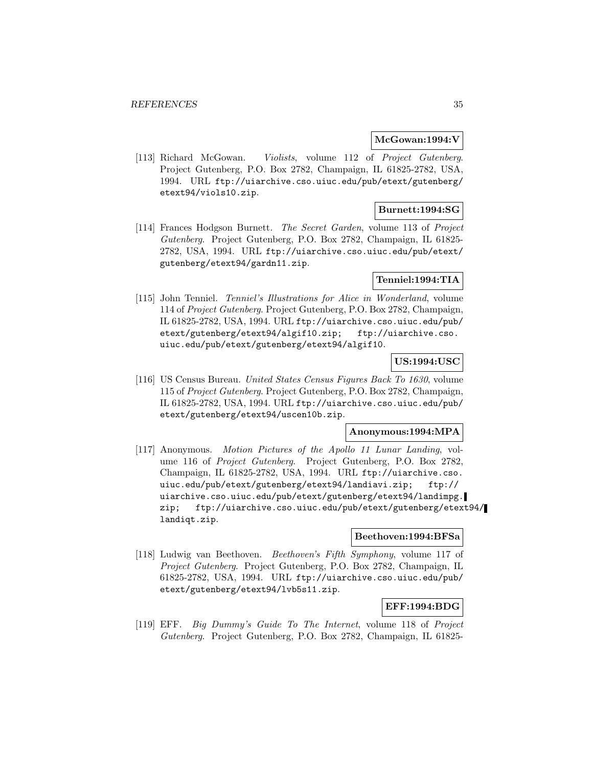#### **McGowan:1994:V**

[113] Richard McGowan. Violists, volume 112 of Project Gutenberg. Project Gutenberg, P.O. Box 2782, Champaign, IL 61825-2782, USA, 1994. URL ftp://uiarchive.cso.uiuc.edu/pub/etext/gutenberg/ etext94/viols10.zip.

## **Burnett:1994:SG**

[114] Frances Hodgson Burnett. The Secret Garden, volume 113 of Project Gutenberg. Project Gutenberg, P.O. Box 2782, Champaign, IL 61825- 2782, USA, 1994. URL ftp://uiarchive.cso.uiuc.edu/pub/etext/ gutenberg/etext94/gardn11.zip.

## **Tenniel:1994:TIA**

[115] John Tenniel. Tenniel's Illustrations for Alice in Wonderland, volume 114 of Project Gutenberg. Project Gutenberg, P.O. Box 2782, Champaign, IL 61825-2782, USA, 1994. URL ftp://uiarchive.cso.uiuc.edu/pub/ etext/gutenberg/etext94/algif10.zip; ftp://uiarchive.cso. uiuc.edu/pub/etext/gutenberg/etext94/algif10.

## **US:1994:USC**

[116] US Census Bureau. United States Census Figures Back To 1630, volume 115 of Project Gutenberg. Project Gutenberg, P.O. Box 2782, Champaign, IL 61825-2782, USA, 1994. URL ftp://uiarchive.cso.uiuc.edu/pub/ etext/gutenberg/etext94/uscen10b.zip.

## **Anonymous:1994:MPA**

[117] Anonymous. Motion Pictures of the Apollo 11 Lunar Landing, volume 116 of Project Gutenberg. Project Gutenberg, P.O. Box 2782, Champaign, IL 61825-2782, USA, 1994. URL ftp://uiarchive.cso. uiuc.edu/pub/etext/gutenberg/etext94/landiavi.zip; ftp:// uiarchive.cso.uiuc.edu/pub/etext/gutenberg/etext94/landimpg. zip; ftp://uiarchive.cso.uiuc.edu/pub/etext/gutenberg/etext94/ landiqt.zip.

#### **Beethoven:1994:BFSa**

[118] Ludwig van Beethoven. Beethoven's Fifth Symphony, volume 117 of Project Gutenberg. Project Gutenberg, P.O. Box 2782, Champaign, IL 61825-2782, USA, 1994. URL ftp://uiarchive.cso.uiuc.edu/pub/ etext/gutenberg/etext94/lvb5s11.zip.

## **EFF:1994:BDG**

[119] EFF. Big Dummy's Guide To The Internet, volume 118 of Project Gutenberg. Project Gutenberg, P.O. Box 2782, Champaign, IL 61825-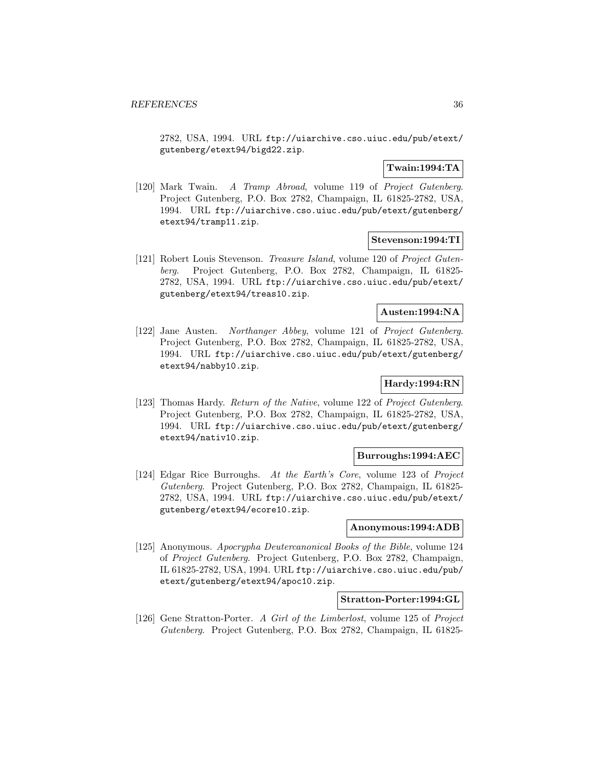2782, USA, 1994. URL ftp://uiarchive.cso.uiuc.edu/pub/etext/ gutenberg/etext94/bigd22.zip.

## **Twain:1994:TA**

[120] Mark Twain. A Tramp Abroad, volume 119 of Project Gutenberg. Project Gutenberg, P.O. Box 2782, Champaign, IL 61825-2782, USA, 1994. URL ftp://uiarchive.cso.uiuc.edu/pub/etext/gutenberg/ etext94/tramp11.zip.

## **Stevenson:1994:TI**

[121] Robert Louis Stevenson. Treasure Island, volume 120 of Project Gutenberg. Project Gutenberg, P.O. Box 2782, Champaign, IL 61825- 2782, USA, 1994. URL ftp://uiarchive.cso.uiuc.edu/pub/etext/ gutenberg/etext94/treas10.zip.

### **Austen:1994:NA**

[122] Jane Austen. Northanger Abbey, volume 121 of Project Gutenberg. Project Gutenberg, P.O. Box 2782, Champaign, IL 61825-2782, USA, 1994. URL ftp://uiarchive.cso.uiuc.edu/pub/etext/gutenberg/ etext94/nabby10.zip.

## **Hardy:1994:RN**

[123] Thomas Hardy. Return of the Native, volume 122 of Project Gutenberg. Project Gutenberg, P.O. Box 2782, Champaign, IL 61825-2782, USA, 1994. URL ftp://uiarchive.cso.uiuc.edu/pub/etext/gutenberg/ etext94/nativ10.zip.

#### **Burroughs:1994:AEC**

[124] Edgar Rice Burroughs. At the Earth's Core, volume 123 of Project Gutenberg. Project Gutenberg, P.O. Box 2782, Champaign, IL 61825- 2782, USA, 1994. URL ftp://uiarchive.cso.uiuc.edu/pub/etext/ gutenberg/etext94/ecore10.zip.

#### **Anonymous:1994:ADB**

[125] Anonymous. Apocrypha Deutercanonical Books of the Bible, volume 124 of Project Gutenberg. Project Gutenberg, P.O. Box 2782, Champaign, IL 61825-2782, USA, 1994. URL ftp://uiarchive.cso.uiuc.edu/pub/ etext/gutenberg/etext94/apoc10.zip.

#### **Stratton-Porter:1994:GL**

[126] Gene Stratton-Porter. A Girl of the Limberlost, volume 125 of Project Gutenberg. Project Gutenberg, P.O. Box 2782, Champaign, IL 61825-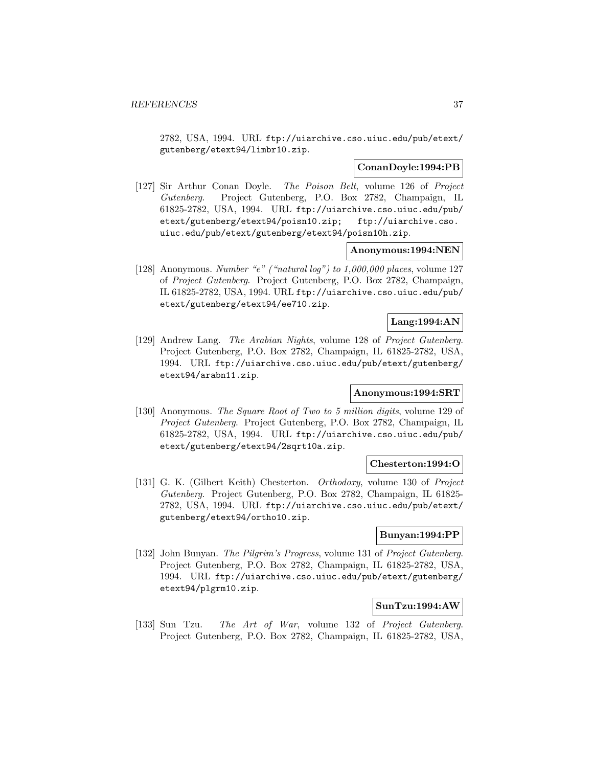2782, USA, 1994. URL ftp://uiarchive.cso.uiuc.edu/pub/etext/ gutenberg/etext94/limbr10.zip.

# **ConanDoyle:1994:PB**

[127] Sir Arthur Conan Doyle. The Poison Belt, volume 126 of Project Gutenberg. Project Gutenberg, P.O. Box 2782, Champaign, IL 61825-2782, USA, 1994. URL ftp://uiarchive.cso.uiuc.edu/pub/ etext/gutenberg/etext94/poisn10.zip; ftp://uiarchive.cso. uiuc.edu/pub/etext/gutenberg/etext94/poisn10h.zip.

# **Anonymous:1994:NEN**

[128] Anonymous. Number "e" ("natural log") to 1,000,000 places, volume 127 of Project Gutenberg. Project Gutenberg, P.O. Box 2782, Champaign, IL 61825-2782, USA, 1994. URL ftp://uiarchive.cso.uiuc.edu/pub/ etext/gutenberg/etext94/ee710.zip.

# **Lang:1994:AN**

[129] Andrew Lang. The Arabian Nights, volume 128 of Project Gutenberg. Project Gutenberg, P.O. Box 2782, Champaign, IL 61825-2782, USA, 1994. URL ftp://uiarchive.cso.uiuc.edu/pub/etext/gutenberg/ etext94/arabn11.zip.

## **Anonymous:1994:SRT**

[130] Anonymous. The Square Root of Two to 5 million digits, volume 129 of Project Gutenberg. Project Gutenberg, P.O. Box 2782, Champaign, IL 61825-2782, USA, 1994. URL ftp://uiarchive.cso.uiuc.edu/pub/ etext/gutenberg/etext94/2sqrt10a.zip.

### **Chesterton:1994:O**

[131] G. K. (Gilbert Keith) Chesterton. Orthodoxy, volume 130 of Project Gutenberg. Project Gutenberg, P.O. Box 2782, Champaign, IL 61825- 2782, USA, 1994. URL ftp://uiarchive.cso.uiuc.edu/pub/etext/ gutenberg/etext94/ortho10.zip.

# **Bunyan:1994:PP**

[132] John Bunyan. The Pilgrim's Progress, volume 131 of Project Gutenberg. Project Gutenberg, P.O. Box 2782, Champaign, IL 61825-2782, USA, 1994. URL ftp://uiarchive.cso.uiuc.edu/pub/etext/gutenberg/ etext94/plgrm10.zip.

## **SunTzu:1994:AW**

[133] Sun Tzu. The Art of War, volume 132 of Project Gutenberg. Project Gutenberg, P.O. Box 2782, Champaign, IL 61825-2782, USA,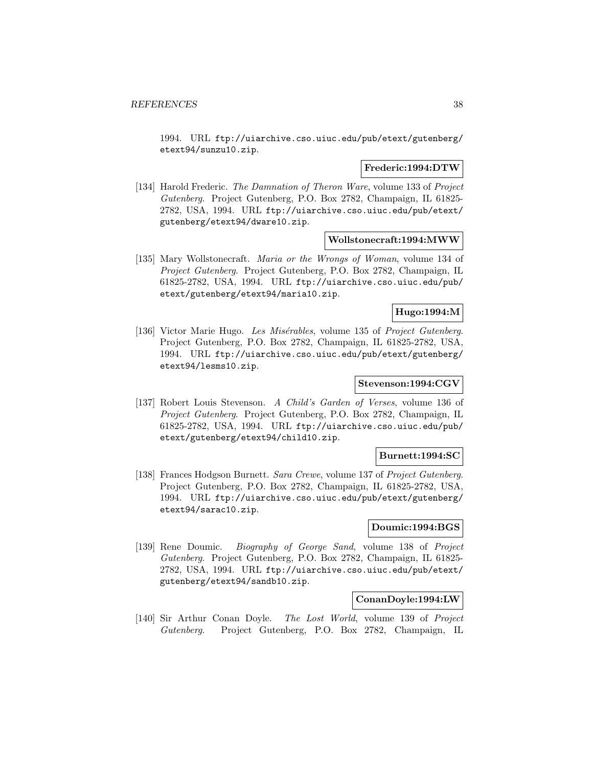1994. URL ftp://uiarchive.cso.uiuc.edu/pub/etext/gutenberg/ etext94/sunzu10.zip.

### **Frederic:1994:DTW**

[134] Harold Frederic. The Damnation of Theron Ware, volume 133 of Project Gutenberg. Project Gutenberg, P.O. Box 2782, Champaign, IL 61825- 2782, USA, 1994. URL ftp://uiarchive.cso.uiuc.edu/pub/etext/ gutenberg/etext94/dware10.zip.

### **Wollstonecraft:1994:MWW**

[135] Mary Wollstonecraft. *Maria or the Wrongs of Woman*, volume 134 of Project Gutenberg. Project Gutenberg, P.O. Box 2782, Champaign, IL 61825-2782, USA, 1994. URL ftp://uiarchive.cso.uiuc.edu/pub/ etext/gutenberg/etext94/maria10.zip.

## **Hugo:1994:M**

[136] Victor Marie Hugo. Les Misérables, volume 135 of Project Gutenberg. Project Gutenberg, P.O. Box 2782, Champaign, IL 61825-2782, USA, 1994. URL ftp://uiarchive.cso.uiuc.edu/pub/etext/gutenberg/ etext94/lesms10.zip.

# **Stevenson:1994:CGV**

[137] Robert Louis Stevenson. A Child's Garden of Verses, volume 136 of Project Gutenberg. Project Gutenberg, P.O. Box 2782, Champaign, IL 61825-2782, USA, 1994. URL ftp://uiarchive.cso.uiuc.edu/pub/ etext/gutenberg/etext94/child10.zip.

## **Burnett:1994:SC**

[138] Frances Hodgson Burnett. Sara Crewe, volume 137 of Project Gutenberg. Project Gutenberg, P.O. Box 2782, Champaign, IL 61825-2782, USA, 1994. URL ftp://uiarchive.cso.uiuc.edu/pub/etext/gutenberg/ etext94/sarac10.zip.

# **Doumic:1994:BGS**

[139] Rene Doumic. Biography of George Sand, volume 138 of Project Gutenberg. Project Gutenberg, P.O. Box 2782, Champaign, IL 61825- 2782, USA, 1994. URL ftp://uiarchive.cso.uiuc.edu/pub/etext/ gutenberg/etext94/sandb10.zip.

### **ConanDoyle:1994:LW**

[140] Sir Arthur Conan Doyle. The Lost World, volume 139 of Project Gutenberg. Project Gutenberg, P.O. Box 2782, Champaign, IL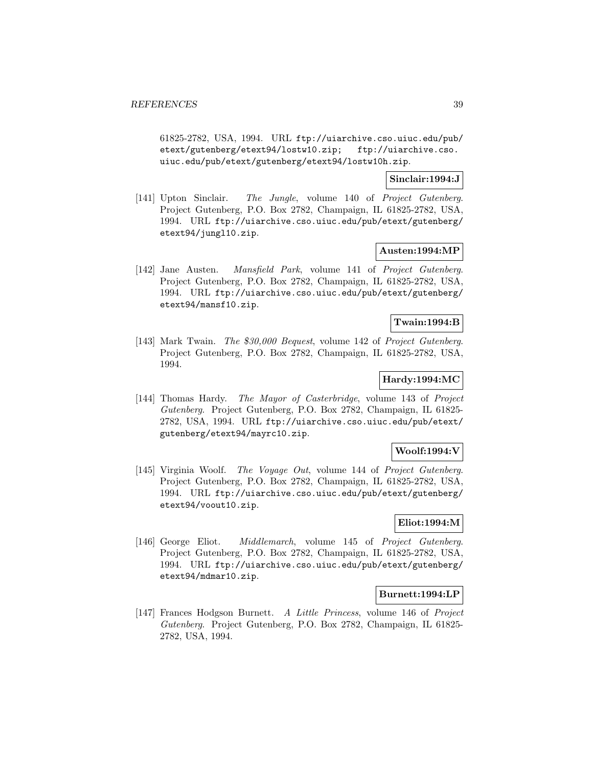61825-2782, USA, 1994. URL ftp://uiarchive.cso.uiuc.edu/pub/ etext/gutenberg/etext94/lostw10.zip; ftp://uiarchive.cso. uiuc.edu/pub/etext/gutenberg/etext94/lostw10h.zip.

# **Sinclair:1994:J**

[141] Upton Sinclair. The Jungle, volume 140 of Project Gutenberg. Project Gutenberg, P.O. Box 2782, Champaign, IL 61825-2782, USA, 1994. URL ftp://uiarchive.cso.uiuc.edu/pub/etext/gutenberg/ etext94/jungl10.zip.

## **Austen:1994:MP**

[142] Jane Austen. Mansfield Park, volume 141 of Project Gutenberg. Project Gutenberg, P.O. Box 2782, Champaign, IL 61825-2782, USA, 1994. URL ftp://uiarchive.cso.uiuc.edu/pub/etext/gutenberg/ etext94/mansf10.zip.

# **Twain:1994:B**

[143] Mark Twain. The *\$*30,000 Bequest, volume 142 of Project Gutenberg. Project Gutenberg, P.O. Box 2782, Champaign, IL 61825-2782, USA, 1994.

# **Hardy:1994:MC**

[144] Thomas Hardy. The Mayor of Casterbridge, volume 143 of Project Gutenberg. Project Gutenberg, P.O. Box 2782, Champaign, IL 61825- 2782, USA, 1994. URL ftp://uiarchive.cso.uiuc.edu/pub/etext/ gutenberg/etext94/mayrc10.zip.

# **Woolf:1994:V**

[145] Virginia Woolf. The Voyage Out, volume 144 of Project Gutenberg. Project Gutenberg, P.O. Box 2782, Champaign, IL 61825-2782, USA, 1994. URL ftp://uiarchive.cso.uiuc.edu/pub/etext/gutenberg/ etext94/voout10.zip.

# **Eliot:1994:M**

[146] George Eliot. Middlemarch, volume 145 of Project Gutenberg. Project Gutenberg, P.O. Box 2782, Champaign, IL 61825-2782, USA, 1994. URL ftp://uiarchive.cso.uiuc.edu/pub/etext/gutenberg/ etext94/mdmar10.zip.

## **Burnett:1994:LP**

[147] Frances Hodgson Burnett. A Little Princess, volume 146 of Project Gutenberg. Project Gutenberg, P.O. Box 2782, Champaign, IL 61825- 2782, USA, 1994.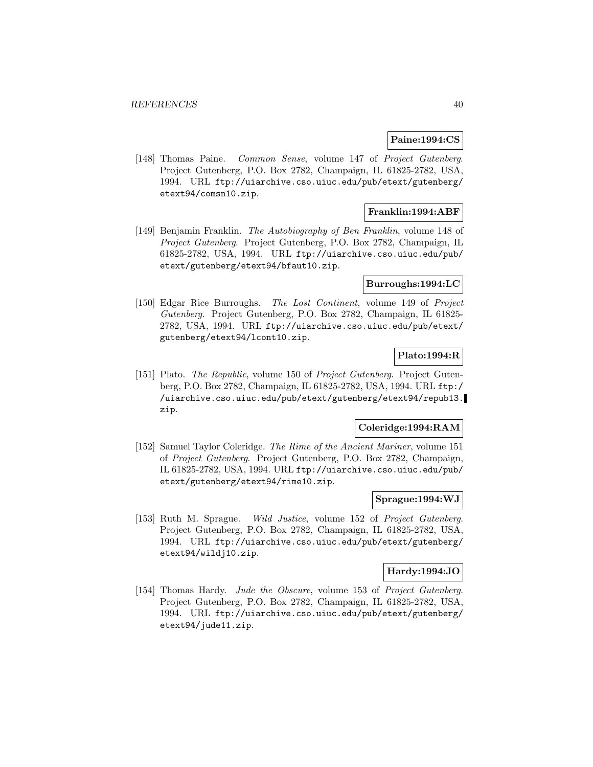## **Paine:1994:CS**

[148] Thomas Paine. Common Sense, volume 147 of Project Gutenberg. Project Gutenberg, P.O. Box 2782, Champaign, IL 61825-2782, USA, 1994. URL ftp://uiarchive.cso.uiuc.edu/pub/etext/gutenberg/ etext94/comsn10.zip.

# **Franklin:1994:ABF**

[149] Benjamin Franklin. The Autobiography of Ben Franklin, volume 148 of Project Gutenberg. Project Gutenberg, P.O. Box 2782, Champaign, IL 61825-2782, USA, 1994. URL ftp://uiarchive.cso.uiuc.edu/pub/ etext/gutenberg/etext94/bfaut10.zip.

## **Burroughs:1994:LC**

[150] Edgar Rice Burroughs. The Lost Continent, volume 149 of Project Gutenberg. Project Gutenberg, P.O. Box 2782, Champaign, IL 61825- 2782, USA, 1994. URL ftp://uiarchive.cso.uiuc.edu/pub/etext/ gutenberg/etext94/lcont10.zip.

## **Plato:1994:R**

[151] Plato. *The Republic*, volume 150 of *Project Gutenberg*. Project Gutenberg, P.O. Box 2782, Champaign, IL 61825-2782, USA, 1994. URL ftp:/ /uiarchive.cso.uiuc.edu/pub/etext/gutenberg/etext94/repub13. zip.

## **Coleridge:1994:RAM**

[152] Samuel Taylor Coleridge. The Rime of the Ancient Mariner, volume 151 of Project Gutenberg. Project Gutenberg, P.O. Box 2782, Champaign, IL 61825-2782, USA, 1994. URL ftp://uiarchive.cso.uiuc.edu/pub/ etext/gutenberg/etext94/rime10.zip.

## **Sprague:1994:WJ**

[153] Ruth M. Sprague. Wild Justice, volume 152 of Project Gutenberg. Project Gutenberg, P.O. Box 2782, Champaign, IL 61825-2782, USA, 1994. URL ftp://uiarchive.cso.uiuc.edu/pub/etext/gutenberg/ etext94/wildj10.zip.

#### **Hardy:1994:JO**

[154] Thomas Hardy. Jude the Obscure, volume 153 of Project Gutenberg. Project Gutenberg, P.O. Box 2782, Champaign, IL 61825-2782, USA, 1994. URL ftp://uiarchive.cso.uiuc.edu/pub/etext/gutenberg/ etext94/jude11.zip.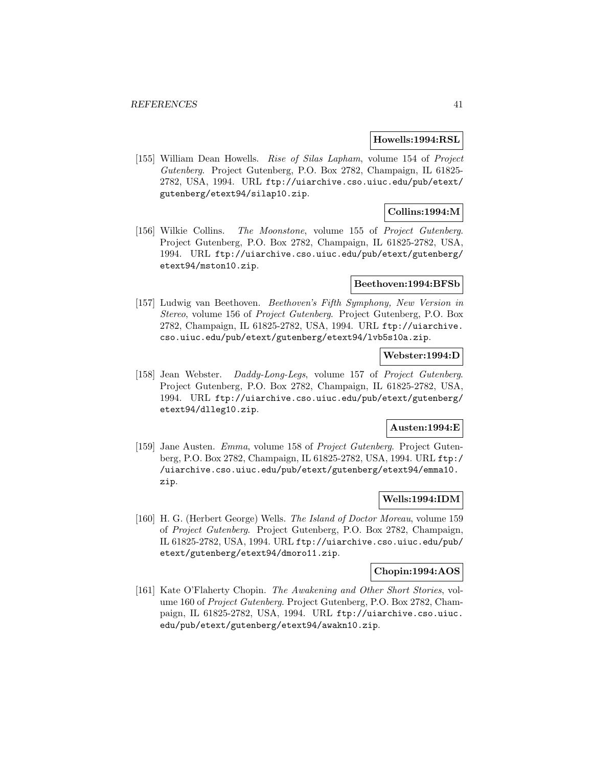#### **Howells:1994:RSL**

[155] William Dean Howells. Rise of Silas Lapham, volume 154 of Project Gutenberg. Project Gutenberg, P.O. Box 2782, Champaign, IL 61825- 2782, USA, 1994. URL ftp://uiarchive.cso.uiuc.edu/pub/etext/ gutenberg/etext94/silap10.zip.

# **Collins:1994:M**

[156] Wilkie Collins. The Moonstone, volume 155 of Project Gutenberg. Project Gutenberg, P.O. Box 2782, Champaign, IL 61825-2782, USA, 1994. URL ftp://uiarchive.cso.uiuc.edu/pub/etext/gutenberg/ etext94/mston10.zip.

#### **Beethoven:1994:BFSb**

[157] Ludwig van Beethoven. Beethoven's Fifth Symphony, New Version in Stereo, volume 156 of Project Gutenberg. Project Gutenberg, P.O. Box 2782, Champaign, IL 61825-2782, USA, 1994. URL ftp://uiarchive. cso.uiuc.edu/pub/etext/gutenberg/etext94/lvb5s10a.zip.

### **Webster:1994:D**

[158] Jean Webster. Daddy-Long-Legs, volume 157 of Project Gutenberg. Project Gutenberg, P.O. Box 2782, Champaign, IL 61825-2782, USA, 1994. URL ftp://uiarchive.cso.uiuc.edu/pub/etext/gutenberg/ etext94/dlleg10.zip.

#### **Austen:1994:E**

[159] Jane Austen. Emma, volume 158 of Project Gutenberg. Project Gutenberg, P.O. Box 2782, Champaign, IL 61825-2782, USA, 1994. URL ftp:/ /uiarchive.cso.uiuc.edu/pub/etext/gutenberg/etext94/emma10. zip.

# **Wells:1994:IDM**

[160] H. G. (Herbert George) Wells. The Island of Doctor Moreau, volume 159 of Project Gutenberg. Project Gutenberg, P.O. Box 2782, Champaign, IL 61825-2782, USA, 1994. URL ftp://uiarchive.cso.uiuc.edu/pub/ etext/gutenberg/etext94/dmoro11.zip.

### **Chopin:1994:AOS**

[161] Kate O'Flaherty Chopin. The Awakening and Other Short Stories, volume 160 of Project Gutenberg. Project Gutenberg, P.O. Box 2782, Champaign, IL 61825-2782, USA, 1994. URL ftp://uiarchive.cso.uiuc. edu/pub/etext/gutenberg/etext94/awakn10.zip.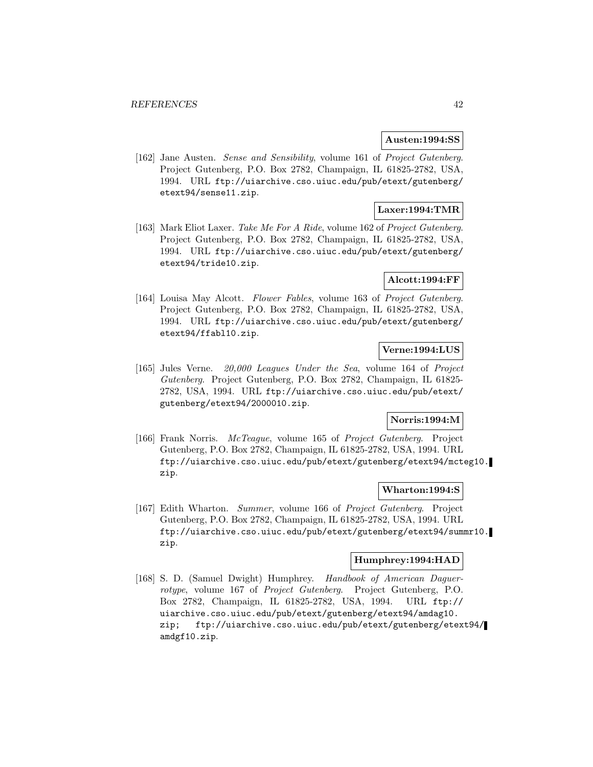### **Austen:1994:SS**

[162] Jane Austen. Sense and Sensibility, volume 161 of Project Gutenberg. Project Gutenberg, P.O. Box 2782, Champaign, IL 61825-2782, USA, 1994. URL ftp://uiarchive.cso.uiuc.edu/pub/etext/gutenberg/ etext94/sense11.zip.

# **Laxer:1994:TMR**

[163] Mark Eliot Laxer. Take Me For A Ride, volume 162 of Project Gutenberg. Project Gutenberg, P.O. Box 2782, Champaign, IL 61825-2782, USA, 1994. URL ftp://uiarchive.cso.uiuc.edu/pub/etext/gutenberg/ etext94/tride10.zip.

## **Alcott:1994:FF**

[164] Louisa May Alcott. Flower Fables, volume 163 of Project Gutenberg. Project Gutenberg, P.O. Box 2782, Champaign, IL 61825-2782, USA, 1994. URL ftp://uiarchive.cso.uiuc.edu/pub/etext/gutenberg/ etext94/ffabl10.zip.

# **Verne:1994:LUS**

[165] Jules Verne. 20,000 Leagues Under the Sea, volume 164 of Project Gutenberg. Project Gutenberg, P.O. Box 2782, Champaign, IL 61825- 2782, USA, 1994. URL ftp://uiarchive.cso.uiuc.edu/pub/etext/ gutenberg/etext94/2000010.zip.

# **Norris:1994:M**

[166] Frank Norris. McTeague, volume 165 of Project Gutenberg. Project Gutenberg, P.O. Box 2782, Champaign, IL 61825-2782, USA, 1994. URL ftp://uiarchive.cso.uiuc.edu/pub/etext/gutenberg/etext94/mcteg10. zip.

#### **Wharton:1994:S**

[167] Edith Wharton. Summer, volume 166 of Project Gutenberg. Project Gutenberg, P.O. Box 2782, Champaign, IL 61825-2782, USA, 1994. URL ftp://uiarchive.cso.uiuc.edu/pub/etext/gutenberg/etext94/summr10. zip.

# **Humphrey:1994:HAD**

[168] S. D. (Samuel Dwight) Humphrey. Handbook of American Daguerrotype, volume 167 of Project Gutenberg. Project Gutenberg, P.O. Box 2782, Champaign, IL 61825-2782, USA, 1994. URL ftp:// uiarchive.cso.uiuc.edu/pub/etext/gutenberg/etext94/amdag10. zip; ftp://uiarchive.cso.uiuc.edu/pub/etext/gutenberg/etext94/ amdgf10.zip.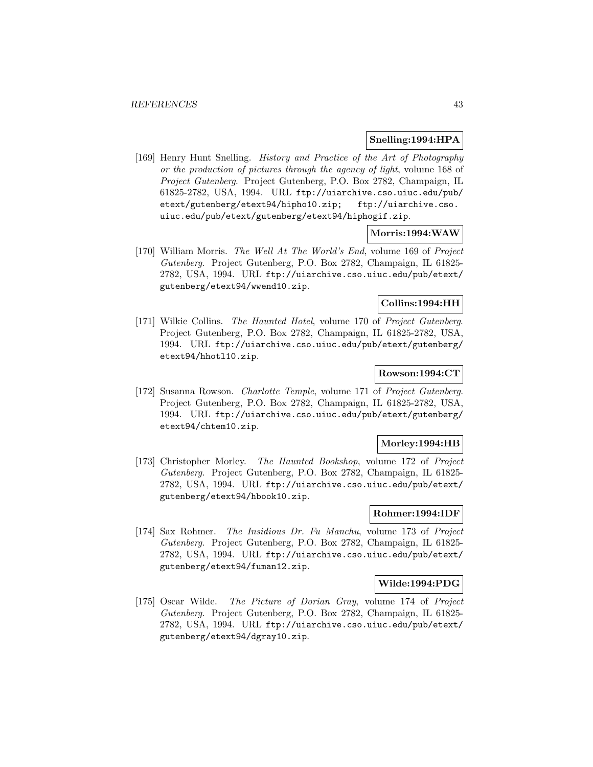### **Snelling:1994:HPA**

[169] Henry Hunt Snelling. History and Practice of the Art of Photography or the production of pictures through the agency of light, volume 168 of Project Gutenberg. Project Gutenberg, P.O. Box 2782, Champaign, IL 61825-2782, USA, 1994. URL ftp://uiarchive.cso.uiuc.edu/pub/ etext/gutenberg/etext94/hipho10.zip; ftp://uiarchive.cso. uiuc.edu/pub/etext/gutenberg/etext94/hiphogif.zip.

# **Morris:1994:WAW**

[170] William Morris. The Well At The World's End, volume 169 of Project Gutenberg. Project Gutenberg, P.O. Box 2782, Champaign, IL 61825- 2782, USA, 1994. URL ftp://uiarchive.cso.uiuc.edu/pub/etext/ gutenberg/etext94/wwend10.zip.

# **Collins:1994:HH**

[171] Wilkie Collins. The Haunted Hotel, volume 170 of Project Gutenberg. Project Gutenberg, P.O. Box 2782, Champaign, IL 61825-2782, USA, 1994. URL ftp://uiarchive.cso.uiuc.edu/pub/etext/gutenberg/ etext94/hhotl10.zip.

# **Rowson:1994:CT**

[172] Susanna Rowson. Charlotte Temple, volume 171 of Project Gutenberg. Project Gutenberg, P.O. Box 2782, Champaign, IL 61825-2782, USA, 1994. URL ftp://uiarchive.cso.uiuc.edu/pub/etext/gutenberg/ etext94/chtem10.zip.

### **Morley:1994:HB**

[173] Christopher Morley. The Haunted Bookshop, volume 172 of Project Gutenberg. Project Gutenberg, P.O. Box 2782, Champaign, IL 61825- 2782, USA, 1994. URL ftp://uiarchive.cso.uiuc.edu/pub/etext/ gutenberg/etext94/hbook10.zip.

#### **Rohmer:1994:IDF**

[174] Sax Rohmer. The Insidious Dr. Fu Manchu, volume 173 of Project Gutenberg. Project Gutenberg, P.O. Box 2782, Champaign, IL 61825- 2782, USA, 1994. URL ftp://uiarchive.cso.uiuc.edu/pub/etext/ gutenberg/etext94/fuman12.zip.

## **Wilde:1994:PDG**

[175] Oscar Wilde. The Picture of Dorian Gray, volume 174 of Project Gutenberg. Project Gutenberg, P.O. Box 2782, Champaign, IL 61825- 2782, USA, 1994. URL ftp://uiarchive.cso.uiuc.edu/pub/etext/ gutenberg/etext94/dgray10.zip.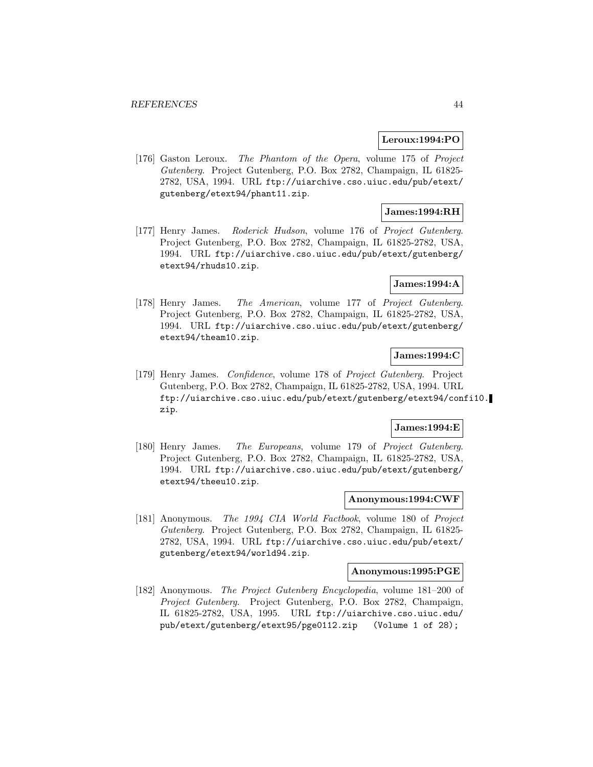#### **Leroux:1994:PO**

[176] Gaston Leroux. The Phantom of the Opera, volume 175 of Project Gutenberg. Project Gutenberg, P.O. Box 2782, Champaign, IL 61825- 2782, USA, 1994. URL ftp://uiarchive.cso.uiuc.edu/pub/etext/ gutenberg/etext94/phant11.zip.

# **James:1994:RH**

[177] Henry James. Roderick Hudson, volume 176 of Project Gutenberg. Project Gutenberg, P.O. Box 2782, Champaign, IL 61825-2782, USA, 1994. URL ftp://uiarchive.cso.uiuc.edu/pub/etext/gutenberg/ etext94/rhuds10.zip.

# **James:1994:A**

[178] Henry James. The American, volume 177 of Project Gutenberg. Project Gutenberg, P.O. Box 2782, Champaign, IL 61825-2782, USA, 1994. URL ftp://uiarchive.cso.uiuc.edu/pub/etext/gutenberg/ etext94/theam10.zip.

# **James:1994:C**

[179] Henry James. Confidence, volume 178 of Project Gutenberg. Project Gutenberg, P.O. Box 2782, Champaign, IL 61825-2782, USA, 1994. URL ftp://uiarchive.cso.uiuc.edu/pub/etext/gutenberg/etext94/confi10. zip.

### **James:1994:E**

[180] Henry James. The Europeans, volume 179 of Project Gutenberg. Project Gutenberg, P.O. Box 2782, Champaign, IL 61825-2782, USA, 1994. URL ftp://uiarchive.cso.uiuc.edu/pub/etext/gutenberg/ etext94/theeu10.zip.

## **Anonymous:1994:CWF**

[181] Anonymous. The 1994 CIA World Factbook, volume 180 of Project Gutenberg. Project Gutenberg, P.O. Box 2782, Champaign, IL 61825- 2782, USA, 1994. URL ftp://uiarchive.cso.uiuc.edu/pub/etext/ gutenberg/etext94/world94.zip.

#### **Anonymous:1995:PGE**

[182] Anonymous. The Project Gutenberg Encyclopedia, volume 181–200 of Project Gutenberg. Project Gutenberg, P.O. Box 2782, Champaign, IL 61825-2782, USA, 1995. URL ftp://uiarchive.cso.uiuc.edu/ pub/etext/gutenberg/etext95/pge0112.zip (Volume 1 of 28);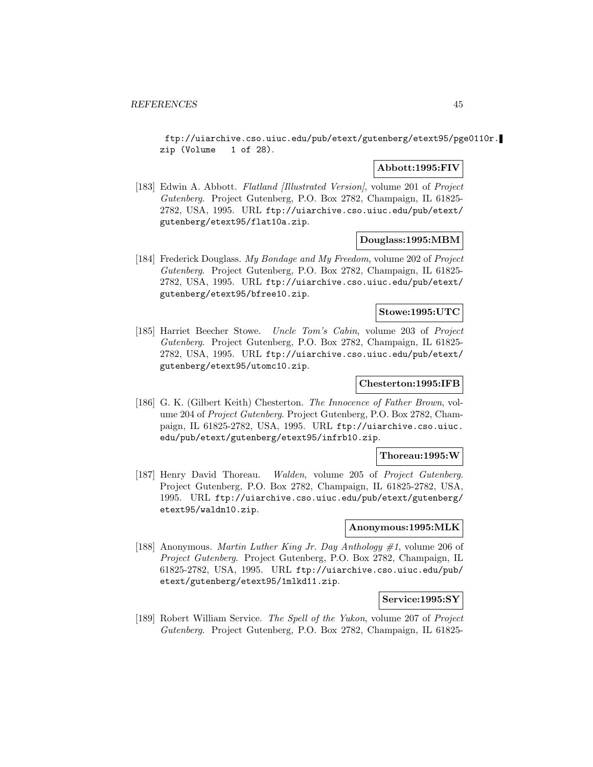ftp://uiarchive.cso.uiuc.edu/pub/etext/gutenberg/etext95/pge0110r. zip (Volume 1 of 28).

# **Abbott:1995:FIV**

[183] Edwin A. Abbott. Flatland *[Illustrated Version]*, volume 201 of *Project* Gutenberg. Project Gutenberg, P.O. Box 2782, Champaign, IL 61825- 2782, USA, 1995. URL ftp://uiarchive.cso.uiuc.edu/pub/etext/ gutenberg/etext95/flat10a.zip.

## **Douglass:1995:MBM**

[184] Frederick Douglass. My Bondage and My Freedom, volume 202 of Project Gutenberg. Project Gutenberg, P.O. Box 2782, Champaign, IL 61825- 2782, USA, 1995. URL ftp://uiarchive.cso.uiuc.edu/pub/etext/ gutenberg/etext95/bfree10.zip.

## **Stowe:1995:UTC**

[185] Harriet Beecher Stowe. Uncle Tom's Cabin, volume 203 of Project Gutenberg. Project Gutenberg, P.O. Box 2782, Champaign, IL 61825- 2782, USA, 1995. URL ftp://uiarchive.cso.uiuc.edu/pub/etext/ gutenberg/etext95/utomc10.zip.

# **Chesterton:1995:IFB**

[186] G. K. (Gilbert Keith) Chesterton. The Innocence of Father Brown, volume 204 of Project Gutenberg. Project Gutenberg, P.O. Box 2782, Champaign, IL 61825-2782, USA, 1995. URL ftp://uiarchive.cso.uiuc. edu/pub/etext/gutenberg/etext95/infrb10.zip.

# **Thoreau:1995:W**

[187] Henry David Thoreau. Walden, volume 205 of Project Gutenberg. Project Gutenberg, P.O. Box 2782, Champaign, IL 61825-2782, USA, 1995. URL ftp://uiarchive.cso.uiuc.edu/pub/etext/gutenberg/ etext95/waldn10.zip.

# **Anonymous:1995:MLK**

[188] Anonymous. *Martin Luther King Jr. Day Anthology*  $\#1$ , volume 206 of Project Gutenberg. Project Gutenberg, P.O. Box 2782, Champaign, IL 61825-2782, USA, 1995. URL ftp://uiarchive.cso.uiuc.edu/pub/ etext/gutenberg/etext95/1mlkd11.zip.

#### **Service:1995:SY**

[189] Robert William Service. The Spell of the Yukon, volume 207 of Project Gutenberg. Project Gutenberg, P.O. Box 2782, Champaign, IL 61825-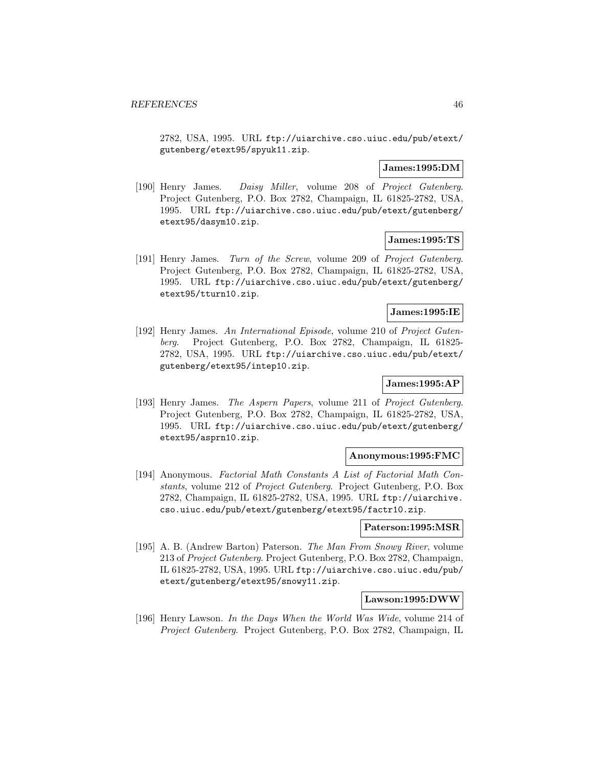2782, USA, 1995. URL ftp://uiarchive.cso.uiuc.edu/pub/etext/ gutenberg/etext95/spyuk11.zip.

# **James:1995:DM**

[190] Henry James. Daisy Miller, volume 208 of Project Gutenberg. Project Gutenberg, P.O. Box 2782, Champaign, IL 61825-2782, USA, 1995. URL ftp://uiarchive.cso.uiuc.edu/pub/etext/gutenberg/ etext95/dasym10.zip.

### **James:1995:TS**

[191] Henry James. Turn of the Screw, volume 209 of Project Gutenberg. Project Gutenberg, P.O. Box 2782, Champaign, IL 61825-2782, USA, 1995. URL ftp://uiarchive.cso.uiuc.edu/pub/etext/gutenberg/ etext95/tturn10.zip.

### **James:1995:IE**

[192] Henry James. An International Episode, volume 210 of Project Gutenberg. Project Gutenberg, P.O. Box 2782, Champaign, IL 61825- 2782, USA, 1995. URL ftp://uiarchive.cso.uiuc.edu/pub/etext/ gutenberg/etext95/intep10.zip.

# **James:1995:AP**

[193] Henry James. The Aspern Papers, volume 211 of Project Gutenberg. Project Gutenberg, P.O. Box 2782, Champaign, IL 61825-2782, USA, 1995. URL ftp://uiarchive.cso.uiuc.edu/pub/etext/gutenberg/ etext95/asprn10.zip.

### **Anonymous:1995:FMC**

[194] Anonymous. Factorial Math Constants A List of Factorial Math Constants, volume 212 of Project Gutenberg. Project Gutenberg, P.O. Box 2782, Champaign, IL 61825-2782, USA, 1995. URL ftp://uiarchive. cso.uiuc.edu/pub/etext/gutenberg/etext95/factr10.zip.

### **Paterson:1995:MSR**

[195] A. B. (Andrew Barton) Paterson. The Man From Snowy River, volume 213 of Project Gutenberg. Project Gutenberg, P.O. Box 2782, Champaign, IL 61825-2782, USA, 1995. URL ftp://uiarchive.cso.uiuc.edu/pub/ etext/gutenberg/etext95/snowy11.zip.

#### **Lawson:1995:DWW**

[196] Henry Lawson. In the Days When the World Was Wide, volume 214 of Project Gutenberg. Project Gutenberg, P.O. Box 2782, Champaign, IL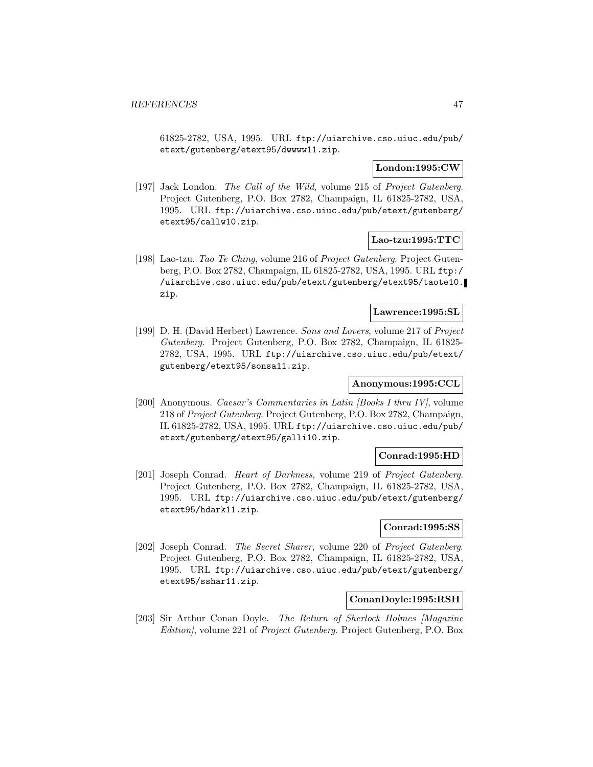61825-2782, USA, 1995. URL ftp://uiarchive.cso.uiuc.edu/pub/ etext/gutenberg/etext95/dwwww11.zip.

## **London:1995:CW**

[197] Jack London. The Call of the Wild, volume 215 of Project Gutenberg. Project Gutenberg, P.O. Box 2782, Champaign, IL 61825-2782, USA, 1995. URL ftp://uiarchive.cso.uiuc.edu/pub/etext/gutenberg/ etext95/callw10.zip.

## **Lao-tzu:1995:TTC**

[198] Lao-tzu. Tao Te Ching, volume 216 of Project Gutenberg. Project Gutenberg, P.O. Box 2782, Champaign, IL 61825-2782, USA, 1995. URL ftp:/ /uiarchive.cso.uiuc.edu/pub/etext/gutenberg/etext95/taote10. zip.

#### **Lawrence:1995:SL**

[199] D. H. (David Herbert) Lawrence. Sons and Lovers, volume 217 of Project Gutenberg. Project Gutenberg, P.O. Box 2782, Champaign, IL 61825- 2782, USA, 1995. URL ftp://uiarchive.cso.uiuc.edu/pub/etext/ gutenberg/etext95/sonsa11.zip.

# **Anonymous:1995:CCL**

[200] Anonymous. Caesar's Commentaries in Latin [Books I thru IV], volume 218 of Project Gutenberg. Project Gutenberg, P.O. Box 2782, Champaign, IL 61825-2782, USA, 1995. URL ftp://uiarchive.cso.uiuc.edu/pub/ etext/gutenberg/etext95/galli10.zip.

### **Conrad:1995:HD**

[201] Joseph Conrad. Heart of Darkness, volume 219 of Project Gutenberg. Project Gutenberg, P.O. Box 2782, Champaign, IL 61825-2782, USA, 1995. URL ftp://uiarchive.cso.uiuc.edu/pub/etext/gutenberg/ etext95/hdark11.zip.

# **Conrad:1995:SS**

[202] Joseph Conrad. The Secret Sharer, volume 220 of Project Gutenberg. Project Gutenberg, P.O. Box 2782, Champaign, IL 61825-2782, USA, 1995. URL ftp://uiarchive.cso.uiuc.edu/pub/etext/gutenberg/ etext95/sshar11.zip.

#### **ConanDoyle:1995:RSH**

[203] Sir Arthur Conan Doyle. The Return of Sherlock Holmes [Magazine Edition], volume 221 of Project Gutenberg. Project Gutenberg, P.O. Box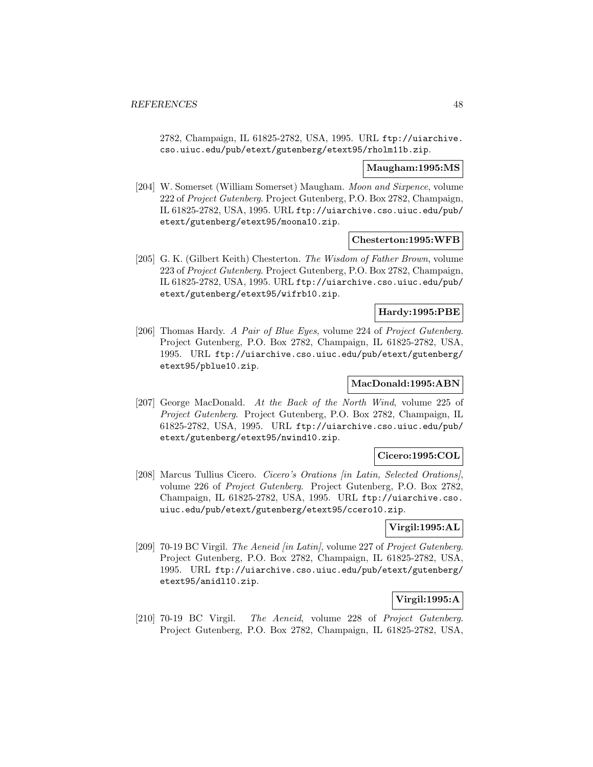2782, Champaign, IL 61825-2782, USA, 1995. URL ftp://uiarchive. cso.uiuc.edu/pub/etext/gutenberg/etext95/rholm11b.zip.

### **Maugham:1995:MS**

[204] W. Somerset (William Somerset) Maugham. Moon and Sixpence, volume 222 of Project Gutenberg. Project Gutenberg, P.O. Box 2782, Champaign, IL 61825-2782, USA, 1995. URL ftp://uiarchive.cso.uiuc.edu/pub/ etext/gutenberg/etext95/moona10.zip.

### **Chesterton:1995:WFB**

[205] G. K. (Gilbert Keith) Chesterton. The Wisdom of Father Brown, volume 223 of Project Gutenberg. Project Gutenberg, P.O. Box 2782, Champaign, IL 61825-2782, USA, 1995. URL ftp://uiarchive.cso.uiuc.edu/pub/ etext/gutenberg/etext95/wifrb10.zip.

## **Hardy:1995:PBE**

[206] Thomas Hardy. A Pair of Blue Eyes, volume 224 of Project Gutenberg. Project Gutenberg, P.O. Box 2782, Champaign, IL 61825-2782, USA, 1995. URL ftp://uiarchive.cso.uiuc.edu/pub/etext/gutenberg/ etext95/pblue10.zip.

# **MacDonald:1995:ABN**

[207] George MacDonald. At the Back of the North Wind, volume 225 of Project Gutenberg. Project Gutenberg, P.O. Box 2782, Champaign, IL 61825-2782, USA, 1995. URL ftp://uiarchive.cso.uiuc.edu/pub/ etext/gutenberg/etext95/nwind10.zip.

## **Cicero:1995:COL**

[208] Marcus Tullius Cicero. Cicero's Orations [in Latin, Selected Orations], volume 226 of Project Gutenberg. Project Gutenberg, P.O. Box 2782, Champaign, IL 61825-2782, USA, 1995. URL ftp://uiarchive.cso. uiuc.edu/pub/etext/gutenberg/etext95/ccero10.zip.

# **Virgil:1995:AL**

[209] 70-19 BC Virgil. The Aeneid [in Latin], volume 227 of Project Gutenberg. Project Gutenberg, P.O. Box 2782, Champaign, IL 61825-2782, USA, 1995. URL ftp://uiarchive.cso.uiuc.edu/pub/etext/gutenberg/ etext95/anidl10.zip.

# **Virgil:1995:A**

[210] 70-19 BC Virgil. The Aeneid, volume 228 of Project Gutenberg. Project Gutenberg, P.O. Box 2782, Champaign, IL 61825-2782, USA,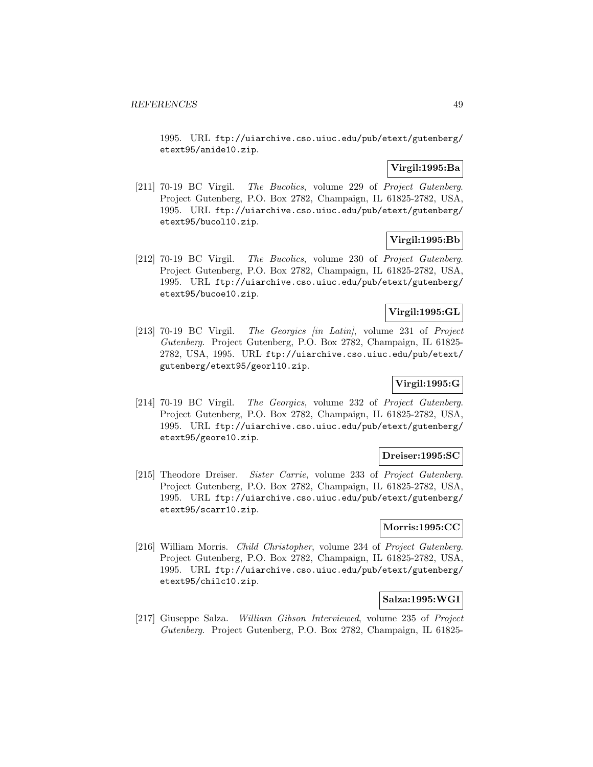1995. URL ftp://uiarchive.cso.uiuc.edu/pub/etext/gutenberg/ etext95/anide10.zip.

# **Virgil:1995:Ba**

[211] 70-19 BC Virgil. The Bucolics, volume 229 of Project Gutenberg. Project Gutenberg, P.O. Box 2782, Champaign, IL 61825-2782, USA, 1995. URL ftp://uiarchive.cso.uiuc.edu/pub/etext/gutenberg/ etext95/bucol10.zip.

# **Virgil:1995:Bb**

[212] 70-19 BC Virgil. The Bucolics, volume 230 of Project Gutenberg. Project Gutenberg, P.O. Box 2782, Champaign, IL 61825-2782, USA, 1995. URL ftp://uiarchive.cso.uiuc.edu/pub/etext/gutenberg/ etext95/bucoe10.zip.

# **Virgil:1995:GL**

[213] 70-19 BC Virgil. The Georgics [in Latin], volume 231 of Project Gutenberg. Project Gutenberg, P.O. Box 2782, Champaign, IL 61825- 2782, USA, 1995. URL ftp://uiarchive.cso.uiuc.edu/pub/etext/ gutenberg/etext95/georl10.zip.

# **Virgil:1995:G**

[214] 70-19 BC Virgil. The Georgics, volume 232 of Project Gutenberg. Project Gutenberg, P.O. Box 2782, Champaign, IL 61825-2782, USA, 1995. URL ftp://uiarchive.cso.uiuc.edu/pub/etext/gutenberg/ etext95/geore10.zip.

## **Dreiser:1995:SC**

[215] Theodore Dreiser. Sister Carrie, volume 233 of Project Gutenberg. Project Gutenberg, P.O. Box 2782, Champaign, IL 61825-2782, USA, 1995. URL ftp://uiarchive.cso.uiuc.edu/pub/etext/gutenberg/ etext95/scarr10.zip.

# **Morris:1995:CC**

[216] William Morris. Child Christopher, volume 234 of Project Gutenberg. Project Gutenberg, P.O. Box 2782, Champaign, IL 61825-2782, USA, 1995. URL ftp://uiarchive.cso.uiuc.edu/pub/etext/gutenberg/ etext95/chilc10.zip.

## **Salza:1995:WGI**

[217] Giuseppe Salza. William Gibson Interviewed, volume 235 of Project Gutenberg. Project Gutenberg, P.O. Box 2782, Champaign, IL 61825-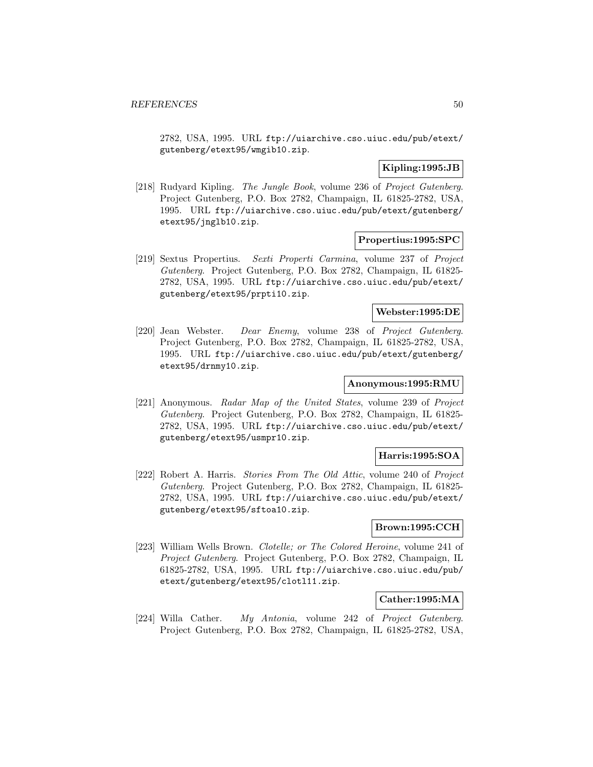2782, USA, 1995. URL ftp://uiarchive.cso.uiuc.edu/pub/etext/ gutenberg/etext95/wmgib10.zip.

# **Kipling:1995:JB**

[218] Rudyard Kipling. The Jungle Book, volume 236 of Project Gutenberg. Project Gutenberg, P.O. Box 2782, Champaign, IL 61825-2782, USA, 1995. URL ftp://uiarchive.cso.uiuc.edu/pub/etext/gutenberg/ etext95/jnglb10.zip.

## **Propertius:1995:SPC**

[219] Sextus Propertius. Sexti Properti Carmina, volume 237 of Project Gutenberg. Project Gutenberg, P.O. Box 2782, Champaign, IL 61825- 2782, USA, 1995. URL ftp://uiarchive.cso.uiuc.edu/pub/etext/ gutenberg/etext95/prpti10.zip.

### **Webster:1995:DE**

[220] Jean Webster. Dear Enemy, volume 238 of Project Gutenberg. Project Gutenberg, P.O. Box 2782, Champaign, IL 61825-2782, USA, 1995. URL ftp://uiarchive.cso.uiuc.edu/pub/etext/gutenberg/ etext95/drnmy10.zip.

# **Anonymous:1995:RMU**

[221] Anonymous. Radar Map of the United States, volume 239 of Project Gutenberg. Project Gutenberg, P.O. Box 2782, Champaign, IL 61825- 2782, USA, 1995. URL ftp://uiarchive.cso.uiuc.edu/pub/etext/ gutenberg/etext95/usmpr10.zip.

## **Harris:1995:SOA**

[222] Robert A. Harris. Stories From The Old Attic, volume 240 of Project Gutenberg. Project Gutenberg, P.O. Box 2782, Champaign, IL 61825- 2782, USA, 1995. URL ftp://uiarchive.cso.uiuc.edu/pub/etext/ gutenberg/etext95/sftoa10.zip.

# **Brown:1995:CCH**

[223] William Wells Brown. Clotelle; or The Colored Heroine, volume 241 of Project Gutenberg. Project Gutenberg, P.O. Box 2782, Champaign, IL 61825-2782, USA, 1995. URL ftp://uiarchive.cso.uiuc.edu/pub/ etext/gutenberg/etext95/clotl11.zip.

## **Cather:1995:MA**

[224] Willa Cather. My Antonia, volume 242 of Project Gutenberg. Project Gutenberg, P.O. Box 2782, Champaign, IL 61825-2782, USA,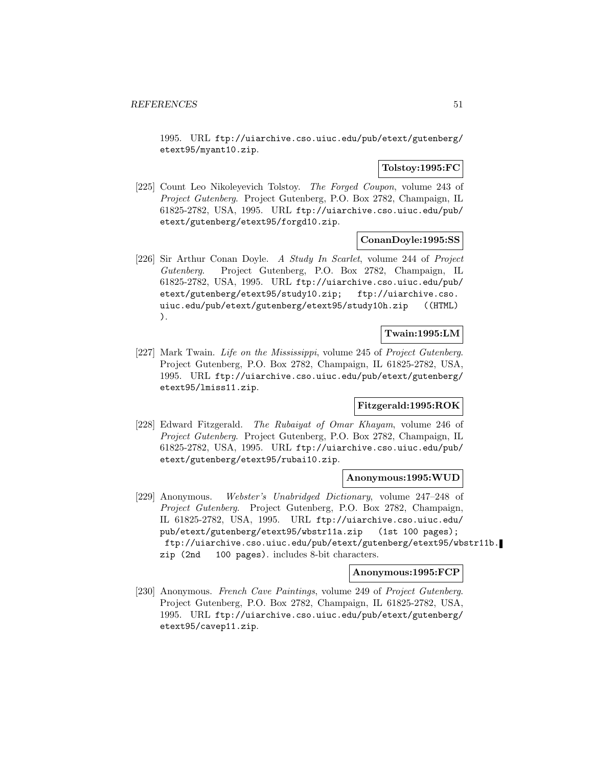1995. URL ftp://uiarchive.cso.uiuc.edu/pub/etext/gutenberg/ etext95/myant10.zip.

# **Tolstoy:1995:FC**

[225] Count Leo Nikoleyevich Tolstoy. The Forged Coupon, volume 243 of Project Gutenberg. Project Gutenberg, P.O. Box 2782, Champaign, IL 61825-2782, USA, 1995. URL ftp://uiarchive.cso.uiuc.edu/pub/ etext/gutenberg/etext95/forgd10.zip.

### **ConanDoyle:1995:SS**

[226] Sir Arthur Conan Doyle. A Study In Scarlet, volume 244 of Project Gutenberg. Project Gutenberg, P.O. Box 2782, Champaign, IL 61825-2782, USA, 1995. URL ftp://uiarchive.cso.uiuc.edu/pub/ etext/gutenberg/etext95/study10.zip; ftp://uiarchive.cso. uiuc.edu/pub/etext/gutenberg/etext95/study10h.zip ((HTML) ).

# **Twain:1995:LM**

[227] Mark Twain. Life on the Mississippi, volume 245 of Project Gutenberg. Project Gutenberg, P.O. Box 2782, Champaign, IL 61825-2782, USA, 1995. URL ftp://uiarchive.cso.uiuc.edu/pub/etext/gutenberg/ etext95/lmiss11.zip.

## **Fitzgerald:1995:ROK**

[228] Edward Fitzgerald. The Rubaiyat of Omar Khayam, volume 246 of Project Gutenberg. Project Gutenberg, P.O. Box 2782, Champaign, IL 61825-2782, USA, 1995. URL ftp://uiarchive.cso.uiuc.edu/pub/ etext/gutenberg/etext95/rubai10.zip.

#### **Anonymous:1995:WUD**

[229] Anonymous. Webster's Unabridged Dictionary, volume 247–248 of Project Gutenberg. Project Gutenberg, P.O. Box 2782, Champaign, IL 61825-2782, USA, 1995. URL ftp://uiarchive.cso.uiuc.edu/ pub/etext/gutenberg/etext95/wbstr11a.zip (1st 100 pages); ftp://uiarchive.cso.uiuc.edu/pub/etext/gutenberg/etext95/wbstr11b. zip (2nd 100 pages). includes 8-bit characters.

# **Anonymous:1995:FCP**

[230] Anonymous. French Cave Paintings, volume 249 of Project Gutenberg. Project Gutenberg, P.O. Box 2782, Champaign, IL 61825-2782, USA, 1995. URL ftp://uiarchive.cso.uiuc.edu/pub/etext/gutenberg/ etext95/cavep11.zip.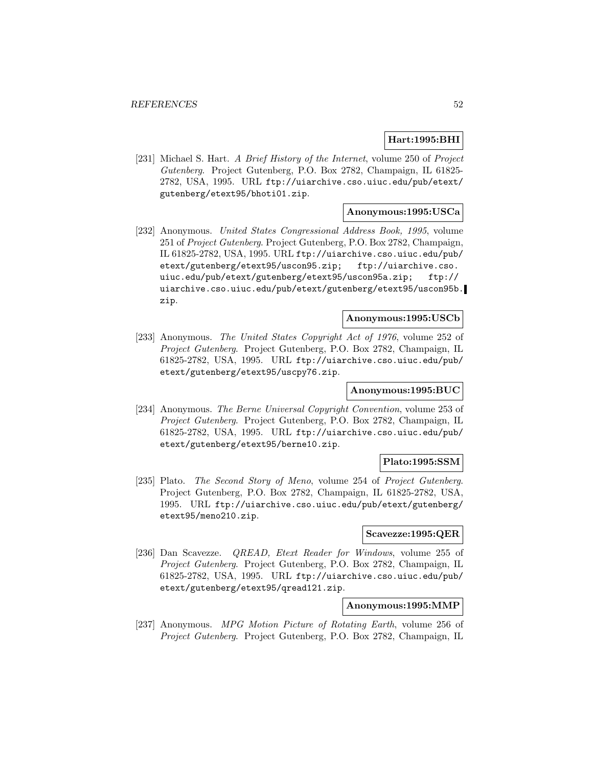## **Hart:1995:BHI**

[231] Michael S. Hart. A Brief History of the Internet, volume 250 of Project Gutenberg. Project Gutenberg, P.O. Box 2782, Champaign, IL 61825- 2782, USA, 1995. URL ftp://uiarchive.cso.uiuc.edu/pub/etext/ gutenberg/etext95/bhoti01.zip.

# **Anonymous:1995:USCa**

[232] Anonymous. United States Congressional Address Book, 1995, volume 251 of Project Gutenberg. Project Gutenberg, P.O. Box 2782, Champaign, IL 61825-2782, USA, 1995. URL ftp://uiarchive.cso.uiuc.edu/pub/ etext/gutenberg/etext95/uscon95.zip; ftp://uiarchive.cso. uiuc.edu/pub/etext/gutenberg/etext95/uscon95a.zip; ftp:// uiarchive.cso.uiuc.edu/pub/etext/gutenberg/etext95/uscon95b. zip.

# **Anonymous:1995:USCb**

[233] Anonymous. The United States Copyright Act of 1976, volume 252 of Project Gutenberg. Project Gutenberg, P.O. Box 2782, Champaign, IL 61825-2782, USA, 1995. URL ftp://uiarchive.cso.uiuc.edu/pub/ etext/gutenberg/etext95/uscpy76.zip.

# **Anonymous:1995:BUC**

[234] Anonymous. The Berne Universal Copyright Convention, volume 253 of Project Gutenberg. Project Gutenberg, P.O. Box 2782, Champaign, IL 61825-2782, USA, 1995. URL ftp://uiarchive.cso.uiuc.edu/pub/ etext/gutenberg/etext95/berne10.zip.

### **Plato:1995:SSM**

[235] Plato. The Second Story of Meno, volume 254 of Project Gutenberg. Project Gutenberg, P.O. Box 2782, Champaign, IL 61825-2782, USA, 1995. URL ftp://uiarchive.cso.uiuc.edu/pub/etext/gutenberg/ etext95/meno210.zip.

# **Scavezze:1995:QER**

[236] Dan Scavezze. QREAD, Etext Reader for Windows, volume 255 of Project Gutenberg. Project Gutenberg, P.O. Box 2782, Champaign, IL 61825-2782, USA, 1995. URL ftp://uiarchive.cso.uiuc.edu/pub/ etext/gutenberg/etext95/qread121.zip.

## **Anonymous:1995:MMP**

[237] Anonymous. MPG Motion Picture of Rotating Earth, volume 256 of Project Gutenberg. Project Gutenberg, P.O. Box 2782, Champaign, IL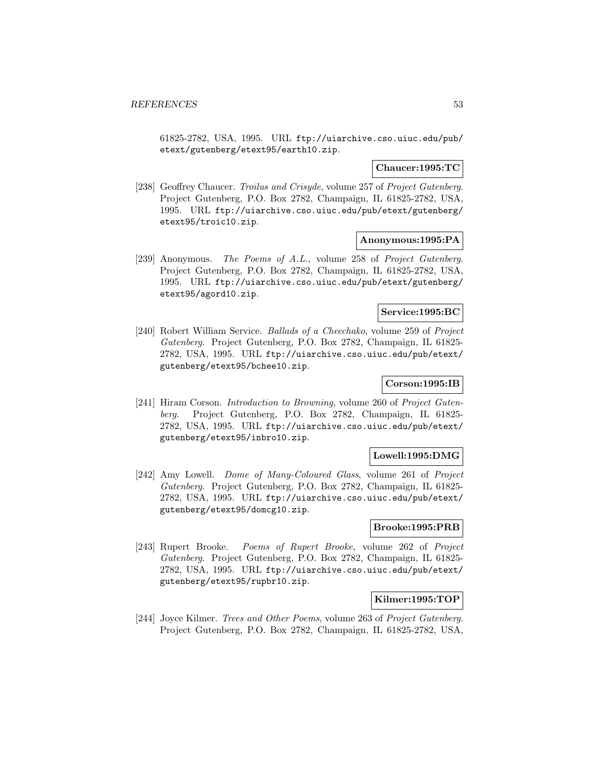61825-2782, USA, 1995. URL ftp://uiarchive.cso.uiuc.edu/pub/ etext/gutenberg/etext95/earth10.zip.

### **Chaucer:1995:TC**

[238] Geoffrey Chaucer. Troilus and Crisyde, volume 257 of Project Gutenberg. Project Gutenberg, P.O. Box 2782, Champaign, IL 61825-2782, USA, 1995. URL ftp://uiarchive.cso.uiuc.edu/pub/etext/gutenberg/ etext95/troic10.zip.

# **Anonymous:1995:PA**

[239] Anonymous. The Poems of A.L., volume 258 of Project Gutenberg. Project Gutenberg, P.O. Box 2782, Champaign, IL 61825-2782, USA, 1995. URL ftp://uiarchive.cso.uiuc.edu/pub/etext/gutenberg/ etext95/agord10.zip.

### **Service:1995:BC**

[240] Robert William Service. Ballads of a Cheechako, volume 259 of Project Gutenberg. Project Gutenberg, P.O. Box 2782, Champaign, IL 61825- 2782, USA, 1995. URL ftp://uiarchive.cso.uiuc.edu/pub/etext/ gutenberg/etext95/bchee10.zip.

# **Corson:1995:IB**

[241] Hiram Corson. Introduction to Browning, volume 260 of Project Gutenberg. Project Gutenberg, P.O. Box 2782, Champaign, IL 61825- 2782, USA, 1995. URL ftp://uiarchive.cso.uiuc.edu/pub/etext/ gutenberg/etext95/inbro10.zip.

#### **Lowell:1995:DMG**

[242] Amy Lowell. Dome of Many-Coloured Glass, volume 261 of Project Gutenberg. Project Gutenberg, P.O. Box 2782, Champaign, IL 61825- 2782, USA, 1995. URL ftp://uiarchive.cso.uiuc.edu/pub/etext/ gutenberg/etext95/domcg10.zip.

# **Brooke:1995:PRB**

[243] Rupert Brooke. Poems of Rupert Brooke, volume 262 of Project Gutenberg. Project Gutenberg, P.O. Box 2782, Champaign, IL 61825- 2782, USA, 1995. URL ftp://uiarchive.cso.uiuc.edu/pub/etext/ gutenberg/etext95/rupbr10.zip.

### **Kilmer:1995:TOP**

[244] Joyce Kilmer. Trees and Other Poems, volume 263 of Project Gutenberg. Project Gutenberg, P.O. Box 2782, Champaign, IL 61825-2782, USA,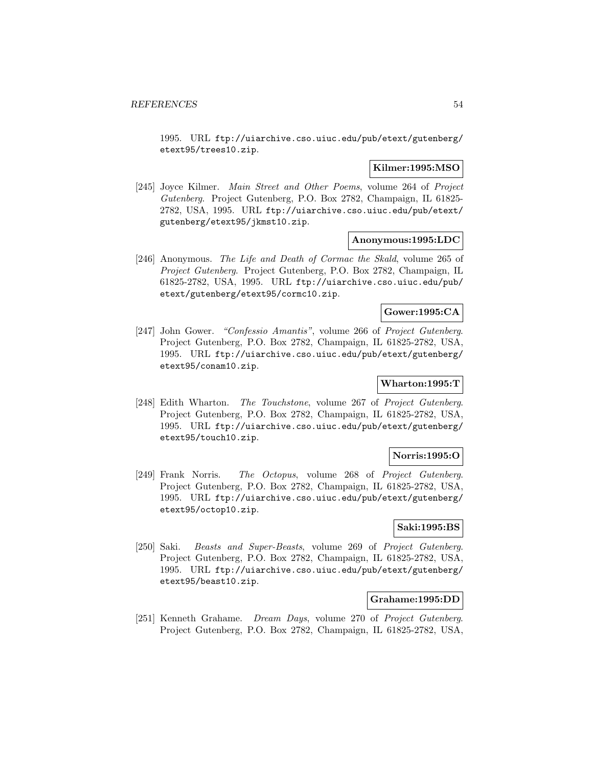1995. URL ftp://uiarchive.cso.uiuc.edu/pub/etext/gutenberg/ etext95/trees10.zip.

### **Kilmer:1995:MSO**

[245] Joyce Kilmer. Main Street and Other Poems, volume 264 of Project Gutenberg. Project Gutenberg, P.O. Box 2782, Champaign, IL 61825- 2782, USA, 1995. URL ftp://uiarchive.cso.uiuc.edu/pub/etext/ gutenberg/etext95/jkmst10.zip.

## **Anonymous:1995:LDC**

[246] Anonymous. The Life and Death of Cormac the Skald, volume 265 of Project Gutenberg. Project Gutenberg, P.O. Box 2782, Champaign, IL 61825-2782, USA, 1995. URL ftp://uiarchive.cso.uiuc.edu/pub/ etext/gutenberg/etext95/cormc10.zip.

### **Gower:1995:CA**

[247] John Gower. "Confessio Amantis", volume 266 of Project Gutenberg. Project Gutenberg, P.O. Box 2782, Champaign, IL 61825-2782, USA, 1995. URL ftp://uiarchive.cso.uiuc.edu/pub/etext/gutenberg/ etext95/conam10.zip.

# **Wharton:1995:T**

[248] Edith Wharton. The Touchstone, volume 267 of Project Gutenberg. Project Gutenberg, P.O. Box 2782, Champaign, IL 61825-2782, USA, 1995. URL ftp://uiarchive.cso.uiuc.edu/pub/etext/gutenberg/ etext95/touch10.zip.

## **Norris:1995:O**

[249] Frank Norris. The Octopus, volume 268 of Project Gutenberg. Project Gutenberg, P.O. Box 2782, Champaign, IL 61825-2782, USA, 1995. URL ftp://uiarchive.cso.uiuc.edu/pub/etext/gutenberg/ etext95/octop10.zip.

# **Saki:1995:BS**

[250] Saki. Beasts and Super-Beasts, volume 269 of Project Gutenberg. Project Gutenberg, P.O. Box 2782, Champaign, IL 61825-2782, USA, 1995. URL ftp://uiarchive.cso.uiuc.edu/pub/etext/gutenberg/ etext95/beast10.zip.

### **Grahame:1995:DD**

[251] Kenneth Grahame. Dream Days, volume 270 of Project Gutenberg. Project Gutenberg, P.O. Box 2782, Champaign, IL 61825-2782, USA,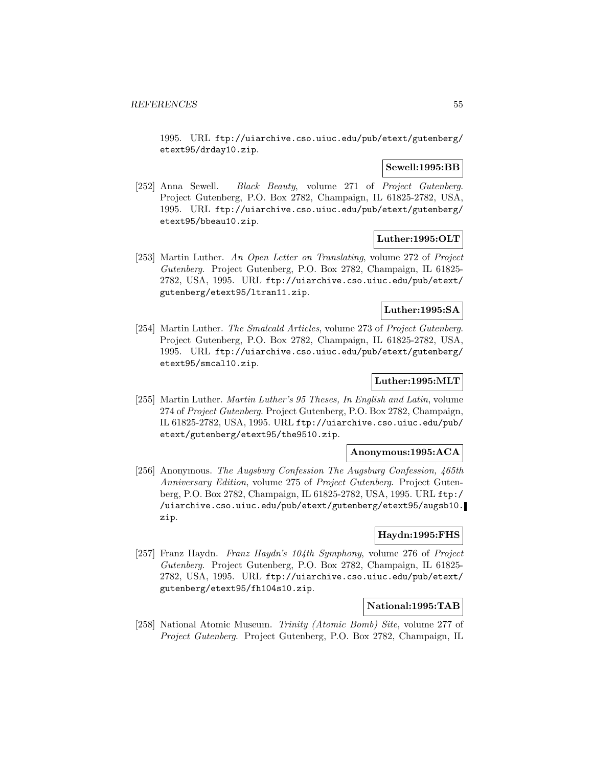1995. URL ftp://uiarchive.cso.uiuc.edu/pub/etext/gutenberg/ etext95/drday10.zip.

### **Sewell:1995:BB**

[252] Anna Sewell. Black Beauty, volume 271 of Project Gutenberg. Project Gutenberg, P.O. Box 2782, Champaign, IL 61825-2782, USA, 1995. URL ftp://uiarchive.cso.uiuc.edu/pub/etext/gutenberg/ etext95/bbeau10.zip.

# **Luther:1995:OLT**

[253] Martin Luther. An Open Letter on Translating, volume 272 of Project Gutenberg. Project Gutenberg, P.O. Box 2782, Champaign, IL 61825- 2782, USA, 1995. URL ftp://uiarchive.cso.uiuc.edu/pub/etext/ gutenberg/etext95/ltran11.zip.

## **Luther:1995:SA**

[254] Martin Luther. The Smalcald Articles, volume 273 of Project Gutenberg. Project Gutenberg, P.O. Box 2782, Champaign, IL 61825-2782, USA, 1995. URL ftp://uiarchive.cso.uiuc.edu/pub/etext/gutenberg/ etext95/smcal10.zip.

# **Luther:1995:MLT**

[255] Martin Luther. Martin Luther's 95 Theses, In English and Latin, volume 274 of Project Gutenberg. Project Gutenberg, P.O. Box 2782, Champaign, IL 61825-2782, USA, 1995. URL ftp://uiarchive.cso.uiuc.edu/pub/ etext/gutenberg/etext95/the9510.zip.

### **Anonymous:1995:ACA**

[256] Anonymous. The Augsburg Confession The Augsburg Confession, 465th Anniversary Edition, volume 275 of Project Gutenberg. Project Gutenberg, P.O. Box 2782, Champaign, IL 61825-2782, USA, 1995. URL ftp:/ /uiarchive.cso.uiuc.edu/pub/etext/gutenberg/etext95/augsb10. zip.

## **Haydn:1995:FHS**

[257] Franz Haydn. Franz Haydn's 104th Symphony, volume 276 of Project Gutenberg. Project Gutenberg, P.O. Box 2782, Champaign, IL 61825- 2782, USA, 1995. URL ftp://uiarchive.cso.uiuc.edu/pub/etext/ gutenberg/etext95/fh104s10.zip.

# **National:1995:TAB**

[258] National Atomic Museum. Trinity (Atomic Bomb) Site, volume 277 of Project Gutenberg. Project Gutenberg, P.O. Box 2782, Champaign, IL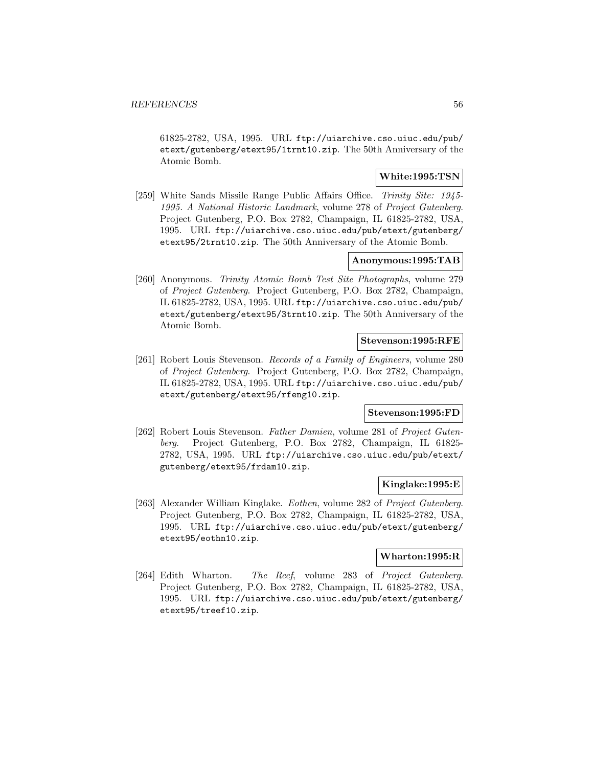61825-2782, USA, 1995. URL ftp://uiarchive.cso.uiuc.edu/pub/ etext/gutenberg/etext95/1trnt10.zip. The 50th Anniversary of the Atomic Bomb.

# **White:1995:TSN**

[259] White Sands Missile Range Public Affairs Office. Trinity Site: 1945- 1995. A National Historic Landmark, volume 278 of Project Gutenberg. Project Gutenberg, P.O. Box 2782, Champaign, IL 61825-2782, USA, 1995. URL ftp://uiarchive.cso.uiuc.edu/pub/etext/gutenberg/ etext95/2trnt10.zip. The 50th Anniversary of the Atomic Bomb.

## **Anonymous:1995:TAB**

[260] Anonymous. Trinity Atomic Bomb Test Site Photographs, volume 279 of Project Gutenberg. Project Gutenberg, P.O. Box 2782, Champaign, IL 61825-2782, USA, 1995. URL ftp://uiarchive.cso.uiuc.edu/pub/ etext/gutenberg/etext95/3trnt10.zip. The 50th Anniversary of the Atomic Bomb.

# **Stevenson:1995:RFE**

[261] Robert Louis Stevenson. Records of a Family of Engineers, volume 280 of Project Gutenberg. Project Gutenberg, P.O. Box 2782, Champaign, IL 61825-2782, USA, 1995. URL ftp://uiarchive.cso.uiuc.edu/pub/ etext/gutenberg/etext95/rfeng10.zip.

#### **Stevenson:1995:FD**

[262] Robert Louis Stevenson. Father Damien, volume 281 of Project Gutenberg. Project Gutenberg, P.O. Box 2782, Champaign, IL 61825- 2782, USA, 1995. URL ftp://uiarchive.cso.uiuc.edu/pub/etext/ gutenberg/etext95/frdam10.zip.

## **Kinglake:1995:E**

[263] Alexander William Kinglake. Eothen, volume 282 of Project Gutenberg. Project Gutenberg, P.O. Box 2782, Champaign, IL 61825-2782, USA, 1995. URL ftp://uiarchive.cso.uiuc.edu/pub/etext/gutenberg/ etext95/eothn10.zip.

#### **Wharton:1995:R**

[264] Edith Wharton. The Reef, volume 283 of Project Gutenberg. Project Gutenberg, P.O. Box 2782, Champaign, IL 61825-2782, USA, 1995. URL ftp://uiarchive.cso.uiuc.edu/pub/etext/gutenberg/ etext95/treef10.zip.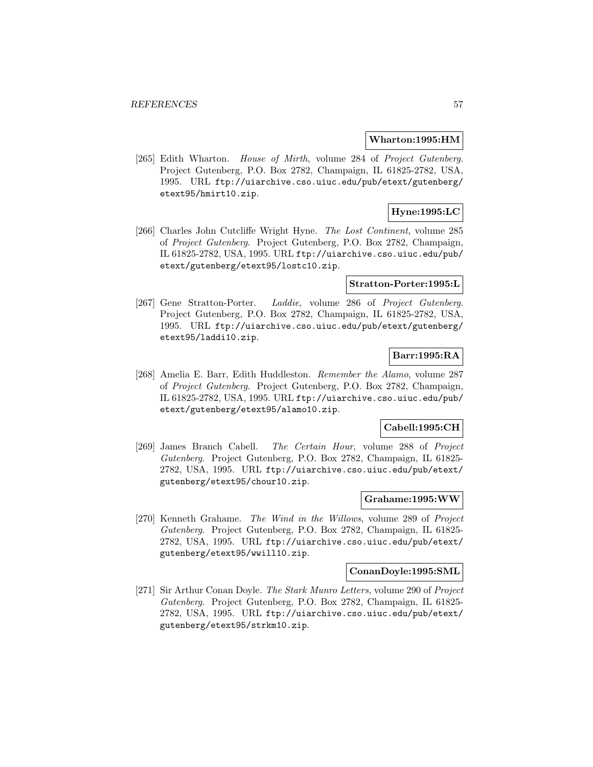#### **Wharton:1995:HM**

[265] Edith Wharton. House of Mirth, volume 284 of Project Gutenberg. Project Gutenberg, P.O. Box 2782, Champaign, IL 61825-2782, USA, 1995. URL ftp://uiarchive.cso.uiuc.edu/pub/etext/gutenberg/ etext95/hmirt10.zip.

# **Hyne:1995:LC**

[266] Charles John Cutcliffe Wright Hyne. The Lost Continent, volume 285 of Project Gutenberg. Project Gutenberg, P.O. Box 2782, Champaign, IL 61825-2782, USA, 1995. URL ftp://uiarchive.cso.uiuc.edu/pub/ etext/gutenberg/etext95/lostc10.zip.

### **Stratton-Porter:1995:L**

[267] Gene Stratton-Porter. Laddie, volume 286 of Project Gutenberg. Project Gutenberg, P.O. Box 2782, Champaign, IL 61825-2782, USA, 1995. URL ftp://uiarchive.cso.uiuc.edu/pub/etext/gutenberg/ etext95/laddi10.zip.

# **Barr:1995:RA**

[268] Amelia E. Barr, Edith Huddleston. Remember the Alamo, volume 287 of Project Gutenberg. Project Gutenberg, P.O. Box 2782, Champaign, IL 61825-2782, USA, 1995. URL ftp://uiarchive.cso.uiuc.edu/pub/ etext/gutenberg/etext95/alamo10.zip.

### **Cabell:1995:CH**

[269] James Branch Cabell. The Certain Hour, volume 288 of Project Gutenberg. Project Gutenberg, P.O. Box 2782, Champaign, IL 61825- 2782, USA, 1995. URL ftp://uiarchive.cso.uiuc.edu/pub/etext/ gutenberg/etext95/chour10.zip.

# **Grahame:1995:WW**

[270] Kenneth Grahame. The Wind in the Willows, volume 289 of Project Gutenberg. Project Gutenberg, P.O. Box 2782, Champaign, IL 61825- 2782, USA, 1995. URL ftp://uiarchive.cso.uiuc.edu/pub/etext/ gutenberg/etext95/wwill10.zip.

#### **ConanDoyle:1995:SML**

[271] Sir Arthur Conan Doyle. The Stark Munro Letters, volume 290 of Project Gutenberg. Project Gutenberg, P.O. Box 2782, Champaign, IL 61825- 2782, USA, 1995. URL ftp://uiarchive.cso.uiuc.edu/pub/etext/ gutenberg/etext95/strkm10.zip.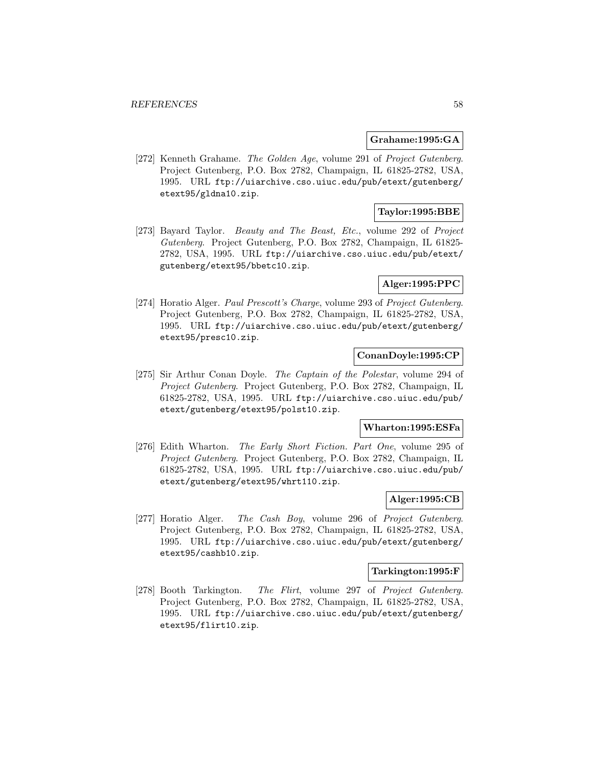#### **Grahame:1995:GA**

[272] Kenneth Grahame. The Golden Age, volume 291 of Project Gutenberg. Project Gutenberg, P.O. Box 2782, Champaign, IL 61825-2782, USA, 1995. URL ftp://uiarchive.cso.uiuc.edu/pub/etext/gutenberg/ etext95/gldna10.zip.

# **Taylor:1995:BBE**

[273] Bayard Taylor. Beauty and The Beast, Etc., volume 292 of Project Gutenberg. Project Gutenberg, P.O. Box 2782, Champaign, IL 61825- 2782, USA, 1995. URL ftp://uiarchive.cso.uiuc.edu/pub/etext/ gutenberg/etext95/bbetc10.zip.

## **Alger:1995:PPC**

[274] Horatio Alger. Paul Prescott's Charge, volume 293 of Project Gutenberg. Project Gutenberg, P.O. Box 2782, Champaign, IL 61825-2782, USA, 1995. URL ftp://uiarchive.cso.uiuc.edu/pub/etext/gutenberg/ etext95/presc10.zip.

## **ConanDoyle:1995:CP**

[275] Sir Arthur Conan Doyle. The Captain of the Polestar, volume 294 of Project Gutenberg. Project Gutenberg, P.O. Box 2782, Champaign, IL 61825-2782, USA, 1995. URL ftp://uiarchive.cso.uiuc.edu/pub/ etext/gutenberg/etext95/polst10.zip.

### **Wharton:1995:ESFa**

[276] Edith Wharton. The Early Short Fiction. Part One, volume 295 of Project Gutenberg. Project Gutenberg, P.O. Box 2782, Champaign, IL 61825-2782, USA, 1995. URL ftp://uiarchive.cso.uiuc.edu/pub/ etext/gutenberg/etext95/whrt110.zip.

## **Alger:1995:CB**

[277] Horatio Alger. The Cash Boy, volume 296 of Project Gutenberg. Project Gutenberg, P.O. Box 2782, Champaign, IL 61825-2782, USA, 1995. URL ftp://uiarchive.cso.uiuc.edu/pub/etext/gutenberg/ etext95/cashb10.zip.

#### **Tarkington:1995:F**

[278] Booth Tarkington. The Flirt, volume 297 of Project Gutenberg. Project Gutenberg, P.O. Box 2782, Champaign, IL 61825-2782, USA, 1995. URL ftp://uiarchive.cso.uiuc.edu/pub/etext/gutenberg/ etext95/flirt10.zip.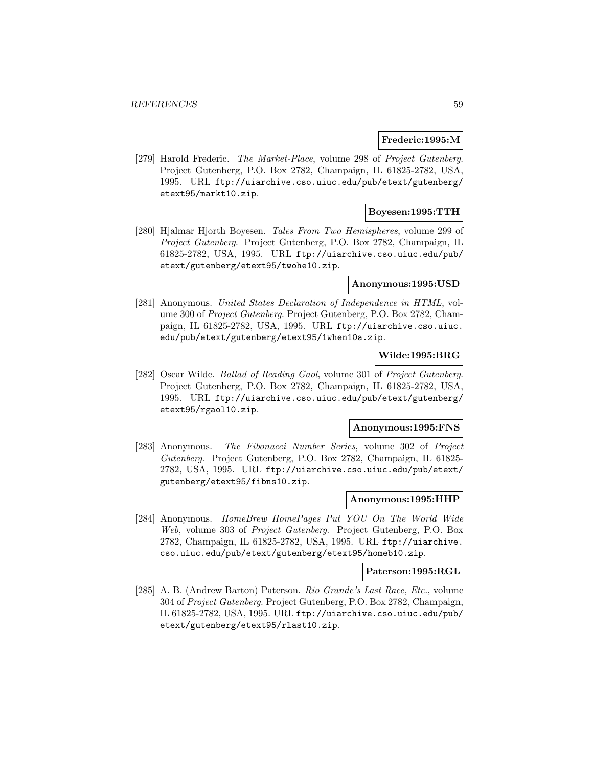#### **Frederic:1995:M**

[279] Harold Frederic. The Market-Place, volume 298 of Project Gutenberg. Project Gutenberg, P.O. Box 2782, Champaign, IL 61825-2782, USA, 1995. URL ftp://uiarchive.cso.uiuc.edu/pub/etext/gutenberg/ etext95/markt10.zip.

# **Boyesen:1995:TTH**

[280] Hjalmar Hjorth Boyesen. Tales From Two Hemispheres, volume 299 of Project Gutenberg. Project Gutenberg, P.O. Box 2782, Champaign, IL 61825-2782, USA, 1995. URL ftp://uiarchive.cso.uiuc.edu/pub/ etext/gutenberg/etext95/twohe10.zip.

### **Anonymous:1995:USD**

[281] Anonymous. United States Declaration of Independence in HTML, volume 300 of Project Gutenberg. Project Gutenberg, P.O. Box 2782, Champaign, IL 61825-2782, USA, 1995. URL ftp://uiarchive.cso.uiuc. edu/pub/etext/gutenberg/etext95/1when10a.zip.

# **Wilde:1995:BRG**

[282] Oscar Wilde. Ballad of Reading Gaol, volume 301 of Project Gutenberg. Project Gutenberg, P.O. Box 2782, Champaign, IL 61825-2782, USA, 1995. URL ftp://uiarchive.cso.uiuc.edu/pub/etext/gutenberg/ etext95/rgaol10.zip.

#### **Anonymous:1995:FNS**

[283] Anonymous. The Fibonacci Number Series, volume 302 of Project Gutenberg. Project Gutenberg, P.O. Box 2782, Champaign, IL 61825- 2782, USA, 1995. URL ftp://uiarchive.cso.uiuc.edu/pub/etext/ gutenberg/etext95/fibns10.zip.

## **Anonymous:1995:HHP**

[284] Anonymous. HomeBrew HomePages Put YOU On The World Wide Web, volume 303 of Project Gutenberg. Project Gutenberg, P.O. Box 2782, Champaign, IL 61825-2782, USA, 1995. URL ftp://uiarchive. cso.uiuc.edu/pub/etext/gutenberg/etext95/homeb10.zip.

#### **Paterson:1995:RGL**

[285] A. B. (Andrew Barton) Paterson. Rio Grande's Last Race, Etc., volume 304 of Project Gutenberg. Project Gutenberg, P.O. Box 2782, Champaign, IL 61825-2782, USA, 1995. URL ftp://uiarchive.cso.uiuc.edu/pub/ etext/gutenberg/etext95/rlast10.zip.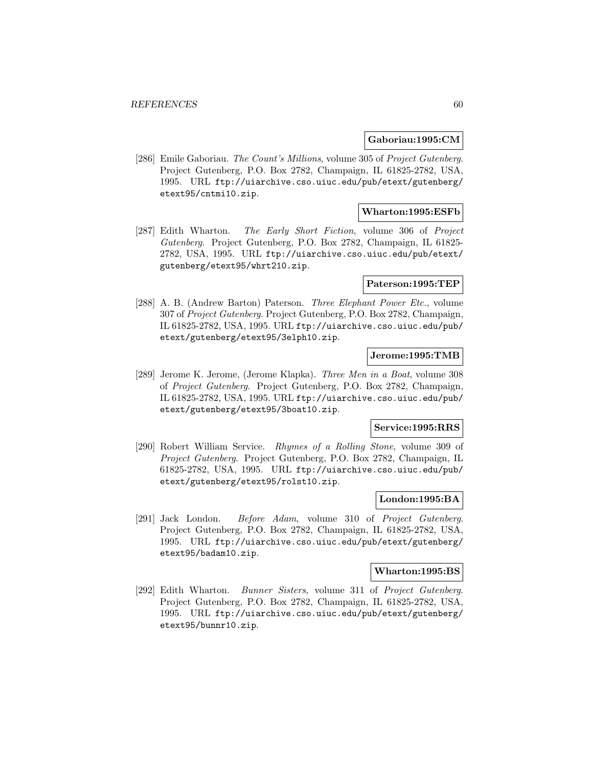### **Gaboriau:1995:CM**

[286] Emile Gaboriau. The Count's Millions, volume 305 of Project Gutenberg. Project Gutenberg, P.O. Box 2782, Champaign, IL 61825-2782, USA, 1995. URL ftp://uiarchive.cso.uiuc.edu/pub/etext/gutenberg/ etext95/cntmi10.zip.

# **Wharton:1995:ESFb**

[287] Edith Wharton. The Early Short Fiction, volume 306 of Project Gutenberg. Project Gutenberg, P.O. Box 2782, Champaign, IL 61825- 2782, USA, 1995. URL ftp://uiarchive.cso.uiuc.edu/pub/etext/ gutenberg/etext95/whrt210.zip.

### **Paterson:1995:TEP**

[288] A. B. (Andrew Barton) Paterson. Three Elephant Power Etc., volume 307 of Project Gutenberg. Project Gutenberg, P.O. Box 2782, Champaign, IL 61825-2782, USA, 1995. URL ftp://uiarchive.cso.uiuc.edu/pub/ etext/gutenberg/etext95/3elph10.zip.

## **Jerome:1995:TMB**

[289] Jerome K. Jerome, (Jerome Klapka). Three Men in a Boat, volume 308 of Project Gutenberg. Project Gutenberg, P.O. Box 2782, Champaign, IL 61825-2782, USA, 1995. URL ftp://uiarchive.cso.uiuc.edu/pub/ etext/gutenberg/etext95/3boat10.zip.

# **Service:1995:RRS**

[290] Robert William Service. Rhymes of a Rolling Stone, volume 309 of Project Gutenberg. Project Gutenberg, P.O. Box 2782, Champaign, IL 61825-2782, USA, 1995. URL ftp://uiarchive.cso.uiuc.edu/pub/ etext/gutenberg/etext95/rolst10.zip.

## **London:1995:BA**

[291] Jack London. Before Adam, volume 310 of Project Gutenberg. Project Gutenberg, P.O. Box 2782, Champaign, IL 61825-2782, USA, 1995. URL ftp://uiarchive.cso.uiuc.edu/pub/etext/gutenberg/ etext95/badam10.zip.

#### **Wharton:1995:BS**

[292] Edith Wharton. Bunner Sisters, volume 311 of Project Gutenberg. Project Gutenberg, P.O. Box 2782, Champaign, IL 61825-2782, USA, 1995. URL ftp://uiarchive.cso.uiuc.edu/pub/etext/gutenberg/ etext95/bunnr10.zip.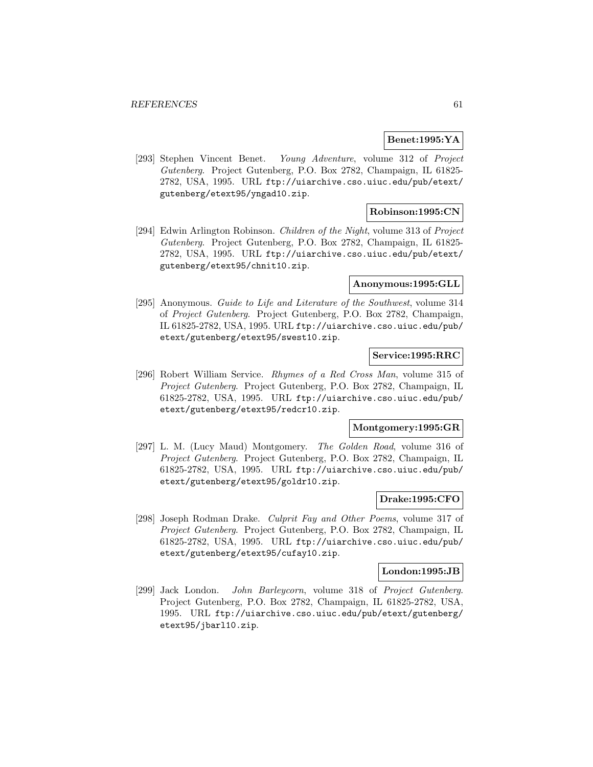### **Benet:1995:YA**

[293] Stephen Vincent Benet. Young Adventure, volume 312 of Project Gutenberg. Project Gutenberg, P.O. Box 2782, Champaign, IL 61825- 2782, USA, 1995. URL ftp://uiarchive.cso.uiuc.edu/pub/etext/ gutenberg/etext95/yngad10.zip.

# **Robinson:1995:CN**

[294] Edwin Arlington Robinson. Children of the Night, volume 313 of Project Gutenberg. Project Gutenberg, P.O. Box 2782, Champaign, IL 61825- 2782, USA, 1995. URL ftp://uiarchive.cso.uiuc.edu/pub/etext/ gutenberg/etext95/chnit10.zip.

## **Anonymous:1995:GLL**

[295] Anonymous. Guide to Life and Literature of the Southwest, volume 314 of Project Gutenberg. Project Gutenberg, P.O. Box 2782, Champaign, IL 61825-2782, USA, 1995. URL ftp://uiarchive.cso.uiuc.edu/pub/ etext/gutenberg/etext95/swest10.zip.

## **Service:1995:RRC**

[296] Robert William Service. Rhymes of a Red Cross Man, volume 315 of Project Gutenberg. Project Gutenberg, P.O. Box 2782, Champaign, IL 61825-2782, USA, 1995. URL ftp://uiarchive.cso.uiuc.edu/pub/ etext/gutenberg/etext95/redcr10.zip.

#### **Montgomery:1995:GR**

[297] L. M. (Lucy Maud) Montgomery. The Golden Road, volume 316 of Project Gutenberg. Project Gutenberg, P.O. Box 2782, Champaign, IL 61825-2782, USA, 1995. URL ftp://uiarchive.cso.uiuc.edu/pub/ etext/gutenberg/etext95/goldr10.zip.

# **Drake:1995:CFO**

[298] Joseph Rodman Drake. Culprit Fay and Other Poems, volume 317 of Project Gutenberg. Project Gutenberg, P.O. Box 2782, Champaign, IL 61825-2782, USA, 1995. URL ftp://uiarchive.cso.uiuc.edu/pub/ etext/gutenberg/etext95/cufay10.zip.

#### **London:1995:JB**

[299] Jack London. John Barleycorn, volume 318 of Project Gutenberg. Project Gutenberg, P.O. Box 2782, Champaign, IL 61825-2782, USA, 1995. URL ftp://uiarchive.cso.uiuc.edu/pub/etext/gutenberg/ etext95/jbarl10.zip.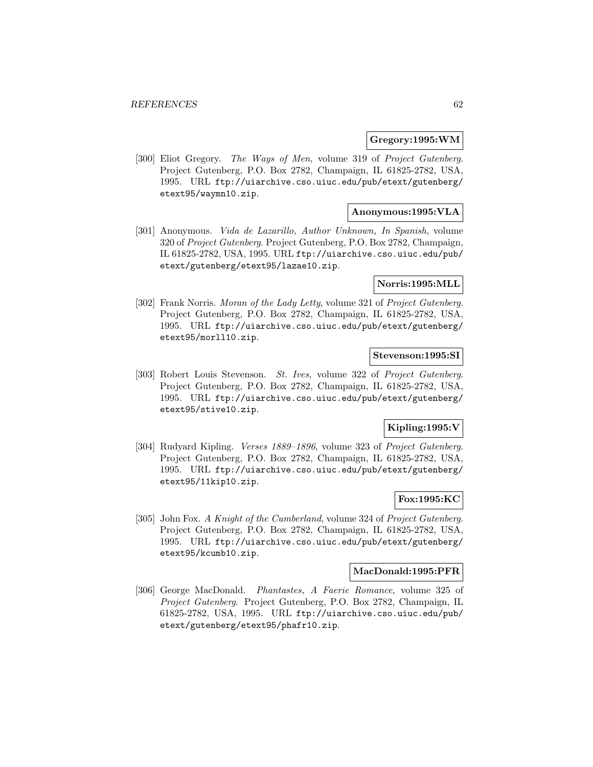### **Gregory:1995:WM**

[300] Eliot Gregory. The Ways of Men, volume 319 of Project Gutenberg. Project Gutenberg, P.O. Box 2782, Champaign, IL 61825-2782, USA, 1995. URL ftp://uiarchive.cso.uiuc.edu/pub/etext/gutenberg/ etext95/waymn10.zip.

# **Anonymous:1995:VLA**

[301] Anonymous. Vida de Lazarillo, Author Unknown, In Spanish, volume 320 of Project Gutenberg. Project Gutenberg, P.O. Box 2782, Champaign, IL 61825-2782, USA, 1995. URL ftp://uiarchive.cso.uiuc.edu/pub/ etext/gutenberg/etext95/lazae10.zip.

### **Norris:1995:MLL**

[302] Frank Norris. Moran of the Lady Letty, volume 321 of Project Gutenberg. Project Gutenberg, P.O. Box 2782, Champaign, IL 61825-2782, USA, 1995. URL ftp://uiarchive.cso.uiuc.edu/pub/etext/gutenberg/ etext95/morll10.zip.

### **Stevenson:1995:SI**

[303] Robert Louis Stevenson. St. Ives, volume 322 of Project Gutenberg. Project Gutenberg, P.O. Box 2782, Champaign, IL 61825-2782, USA, 1995. URL ftp://uiarchive.cso.uiuc.edu/pub/etext/gutenberg/ etext95/stive10.zip.

# **Kipling:1995:V**

[304] Rudyard Kipling. Verses 1889–1896, volume 323 of Project Gutenberg. Project Gutenberg, P.O. Box 2782, Champaign, IL 61825-2782, USA, 1995. URL ftp://uiarchive.cso.uiuc.edu/pub/etext/gutenberg/ etext95/11kip10.zip.

## **Fox:1995:KC**

[305] John Fox. A Knight of the Cumberland, volume 324 of Project Gutenberg. Project Gutenberg, P.O. Box 2782, Champaign, IL 61825-2782, USA, 1995. URL ftp://uiarchive.cso.uiuc.edu/pub/etext/gutenberg/ etext95/kcumb10.zip.

### **MacDonald:1995:PFR**

[306] George MacDonald. Phantastes, A Faerie Romance, volume 325 of Project Gutenberg. Project Gutenberg, P.O. Box 2782, Champaign, IL 61825-2782, USA, 1995. URL ftp://uiarchive.cso.uiuc.edu/pub/ etext/gutenberg/etext95/phafr10.zip.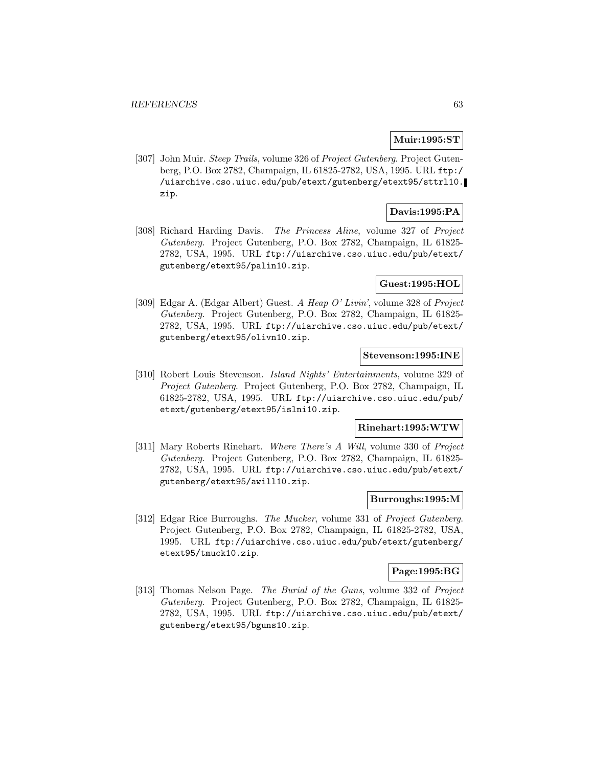# **Muir:1995:ST**

[307] John Muir. Steep Trails, volume 326 of Project Gutenberg. Project Gutenberg, P.O. Box 2782, Champaign, IL 61825-2782, USA, 1995. URL ftp:/ /uiarchive.cso.uiuc.edu/pub/etext/gutenberg/etext95/sttrl10. zip.

# **Davis:1995:PA**

[308] Richard Harding Davis. The Princess Aline, volume 327 of Project Gutenberg. Project Gutenberg, P.O. Box 2782, Champaign, IL 61825- 2782, USA, 1995. URL ftp://uiarchive.cso.uiuc.edu/pub/etext/ gutenberg/etext95/palin10.zip.

## **Guest:1995:HOL**

[309] Edgar A. (Edgar Albert) Guest. A Heap O' Livin', volume 328 of Project Gutenberg. Project Gutenberg, P.O. Box 2782, Champaign, IL 61825- 2782, USA, 1995. URL ftp://uiarchive.cso.uiuc.edu/pub/etext/ gutenberg/etext95/olivn10.zip.

## **Stevenson:1995:INE**

[310] Robert Louis Stevenson. Island Nights' Entertainments, volume 329 of Project Gutenberg. Project Gutenberg, P.O. Box 2782, Champaign, IL 61825-2782, USA, 1995. URL ftp://uiarchive.cso.uiuc.edu/pub/ etext/gutenberg/etext95/islni10.zip.

#### **Rinehart:1995:WTW**

[311] Mary Roberts Rinehart. Where There's A Will, volume 330 of Project Gutenberg. Project Gutenberg, P.O. Box 2782, Champaign, IL 61825- 2782, USA, 1995. URL ftp://uiarchive.cso.uiuc.edu/pub/etext/ gutenberg/etext95/awill10.zip.

# **Burroughs:1995:M**

[312] Edgar Rice Burroughs. The Mucker, volume 331 of Project Gutenberg. Project Gutenberg, P.O. Box 2782, Champaign, IL 61825-2782, USA, 1995. URL ftp://uiarchive.cso.uiuc.edu/pub/etext/gutenberg/ etext95/tmuck10.zip.

#### **Page:1995:BG**

[313] Thomas Nelson Page. The Burial of the Guns, volume 332 of Project Gutenberg. Project Gutenberg, P.O. Box 2782, Champaign, IL 61825- 2782, USA, 1995. URL ftp://uiarchive.cso.uiuc.edu/pub/etext/ gutenberg/etext95/bguns10.zip.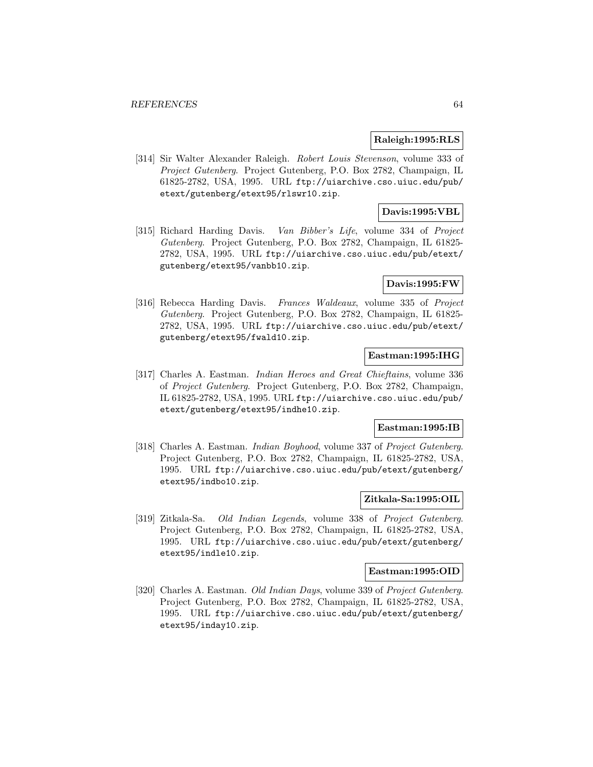### **Raleigh:1995:RLS**

[314] Sir Walter Alexander Raleigh. Robert Louis Stevenson, volume 333 of Project Gutenberg. Project Gutenberg, P.O. Box 2782, Champaign, IL 61825-2782, USA, 1995. URL ftp://uiarchive.cso.uiuc.edu/pub/ etext/gutenberg/etext95/rlswr10.zip.

# **Davis:1995:VBL**

[315] Richard Harding Davis. Van Bibber's Life, volume 334 of Project Gutenberg. Project Gutenberg, P.O. Box 2782, Champaign, IL 61825- 2782, USA, 1995. URL ftp://uiarchive.cso.uiuc.edu/pub/etext/ gutenberg/etext95/vanbb10.zip.

## **Davis:1995:FW**

[316] Rebecca Harding Davis. Frances Waldeaux, volume 335 of Project Gutenberg. Project Gutenberg, P.O. Box 2782, Champaign, IL 61825- 2782, USA, 1995. URL ftp://uiarchive.cso.uiuc.edu/pub/etext/ gutenberg/etext95/fwald10.zip.

## **Eastman:1995:IHG**

[317] Charles A. Eastman. Indian Heroes and Great Chieftains, volume 336 of Project Gutenberg. Project Gutenberg, P.O. Box 2782, Champaign, IL 61825-2782, USA, 1995. URL ftp://uiarchive.cso.uiuc.edu/pub/ etext/gutenberg/etext95/indhe10.zip.

#### **Eastman:1995:IB**

[318] Charles A. Eastman. *Indian Boyhood*, volume 337 of *Project Gutenberg*. Project Gutenberg, P.O. Box 2782, Champaign, IL 61825-2782, USA, 1995. URL ftp://uiarchive.cso.uiuc.edu/pub/etext/gutenberg/ etext95/indbo10.zip.

## **Zitkala-Sa:1995:OIL**

[319] Zitkala-Sa. Old Indian Legends, volume 338 of Project Gutenberg. Project Gutenberg, P.O. Box 2782, Champaign, IL 61825-2782, USA, 1995. URL ftp://uiarchive.cso.uiuc.edu/pub/etext/gutenberg/ etext95/indle10.zip.

#### **Eastman:1995:OID**

[320] Charles A. Eastman. Old Indian Days, volume 339 of Project Gutenberg. Project Gutenberg, P.O. Box 2782, Champaign, IL 61825-2782, USA, 1995. URL ftp://uiarchive.cso.uiuc.edu/pub/etext/gutenberg/ etext95/inday10.zip.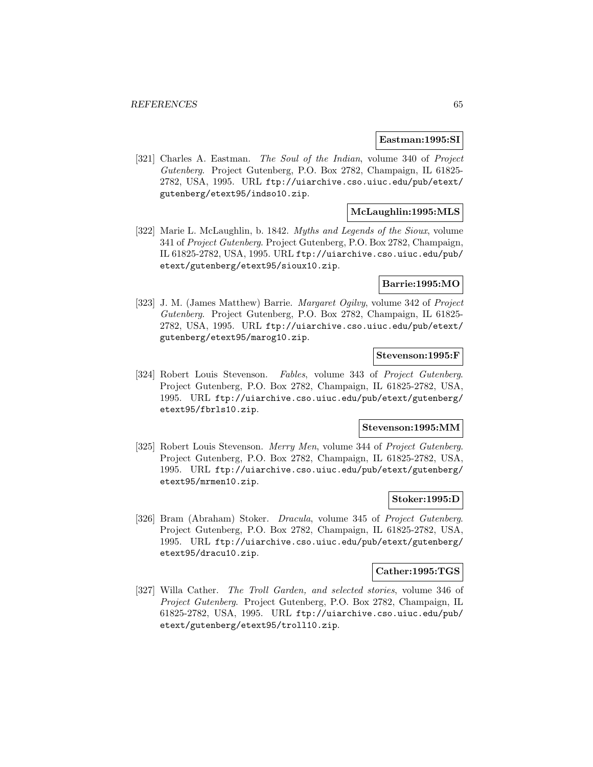#### **Eastman:1995:SI**

[321] Charles A. Eastman. The Soul of the Indian, volume 340 of Project Gutenberg. Project Gutenberg, P.O. Box 2782, Champaign, IL 61825- 2782, USA, 1995. URL ftp://uiarchive.cso.uiuc.edu/pub/etext/ gutenberg/etext95/indso10.zip.

# **McLaughlin:1995:MLS**

[322] Marie L. McLaughlin, b. 1842. Myths and Legends of the Sioux, volume 341 of Project Gutenberg. Project Gutenberg, P.O. Box 2782, Champaign, IL 61825-2782, USA, 1995. URL ftp://uiarchive.cso.uiuc.edu/pub/ etext/gutenberg/etext95/sioux10.zip.

## **Barrie:1995:MO**

[323] J. M. (James Matthew) Barrie. Margaret Ogilvy, volume 342 of Project Gutenberg. Project Gutenberg, P.O. Box 2782, Champaign, IL 61825- 2782, USA, 1995. URL ftp://uiarchive.cso.uiuc.edu/pub/etext/ gutenberg/etext95/marog10.zip.

## **Stevenson:1995:F**

[324] Robert Louis Stevenson. Fables, volume 343 of Project Gutenberg. Project Gutenberg, P.O. Box 2782, Champaign, IL 61825-2782, USA, 1995. URL ftp://uiarchive.cso.uiuc.edu/pub/etext/gutenberg/ etext95/fbrls10.zip.

#### **Stevenson:1995:MM**

[325] Robert Louis Stevenson. Merry Men, volume 344 of Project Gutenberg. Project Gutenberg, P.O. Box 2782, Champaign, IL 61825-2782, USA, 1995. URL ftp://uiarchive.cso.uiuc.edu/pub/etext/gutenberg/ etext95/mrmen10.zip.

## **Stoker:1995:D**

[326] Bram (Abraham) Stoker. Dracula, volume 345 of Project Gutenberg. Project Gutenberg, P.O. Box 2782, Champaign, IL 61825-2782, USA, 1995. URL ftp://uiarchive.cso.uiuc.edu/pub/etext/gutenberg/ etext95/dracu10.zip.

#### **Cather:1995:TGS**

[327] Willa Cather. The Troll Garden, and selected stories, volume 346 of Project Gutenberg. Project Gutenberg, P.O. Box 2782, Champaign, IL 61825-2782, USA, 1995. URL ftp://uiarchive.cso.uiuc.edu/pub/ etext/gutenberg/etext95/troll10.zip.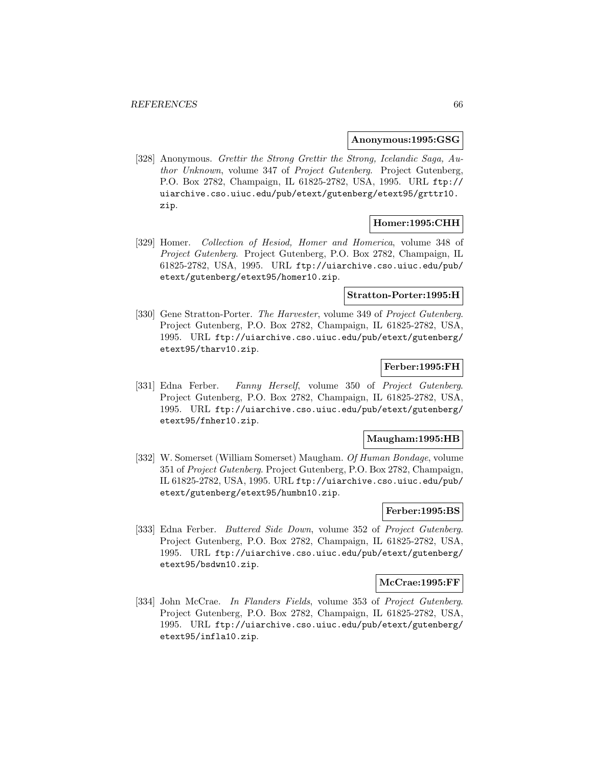#### **Anonymous:1995:GSG**

[328] Anonymous. Grettir the Strong Grettir the Strong, Icelandic Saga, Author Unknown, volume 347 of Project Gutenberg. Project Gutenberg, P.O. Box 2782, Champaign, IL 61825-2782, USA, 1995. URL ftp:// uiarchive.cso.uiuc.edu/pub/etext/gutenberg/etext95/grttr10. zip.

## **Homer:1995:CHH**

[329] Homer. Collection of Hesiod, Homer and Homerica, volume 348 of Project Gutenberg. Project Gutenberg, P.O. Box 2782, Champaign, IL 61825-2782, USA, 1995. URL ftp://uiarchive.cso.uiuc.edu/pub/ etext/gutenberg/etext95/homer10.zip.

#### **Stratton-Porter:1995:H**

[330] Gene Stratton-Porter. The Harvester, volume 349 of Project Gutenberg. Project Gutenberg, P.O. Box 2782, Champaign, IL 61825-2782, USA, 1995. URL ftp://uiarchive.cso.uiuc.edu/pub/etext/gutenberg/ etext95/tharv10.zip.

## **Ferber:1995:FH**

[331] Edna Ferber. Fanny Herself, volume 350 of Project Gutenberg. Project Gutenberg, P.O. Box 2782, Champaign, IL 61825-2782, USA, 1995. URL ftp://uiarchive.cso.uiuc.edu/pub/etext/gutenberg/ etext95/fnher10.zip.

#### **Maugham:1995:HB**

[332] W. Somerset (William Somerset) Maugham. Of Human Bondage, volume 351 of Project Gutenberg. Project Gutenberg, P.O. Box 2782, Champaign, IL 61825-2782, USA, 1995. URL ftp://uiarchive.cso.uiuc.edu/pub/ etext/gutenberg/etext95/humbn10.zip.

### **Ferber:1995:BS**

[333] Edna Ferber. Buttered Side Down, volume 352 of Project Gutenberg. Project Gutenberg, P.O. Box 2782, Champaign, IL 61825-2782, USA, 1995. URL ftp://uiarchive.cso.uiuc.edu/pub/etext/gutenberg/ etext95/bsdwn10.zip.

### **McCrae:1995:FF**

[334] John McCrae. In Flanders Fields, volume 353 of Project Gutenberg. Project Gutenberg, P.O. Box 2782, Champaign, IL 61825-2782, USA, 1995. URL ftp://uiarchive.cso.uiuc.edu/pub/etext/gutenberg/ etext95/infla10.zip.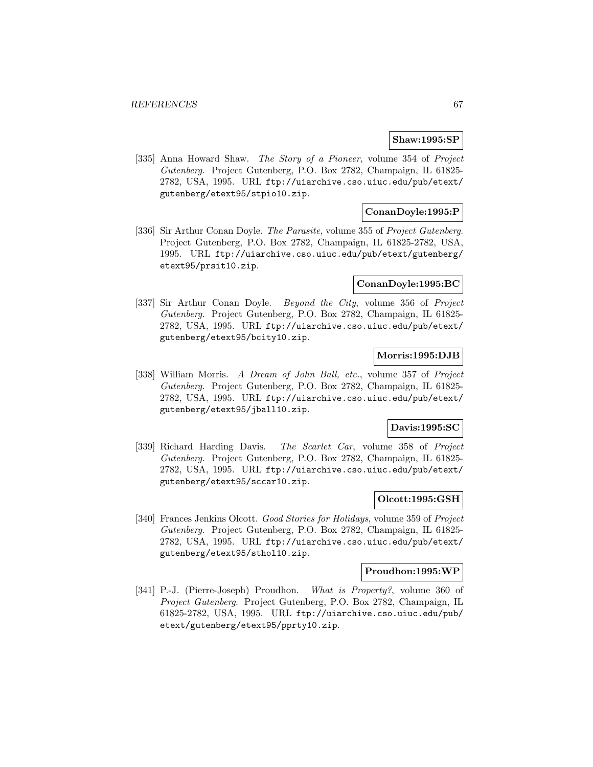# **Shaw:1995:SP**

[335] Anna Howard Shaw. The Story of a Pioneer, volume 354 of Project Gutenberg. Project Gutenberg, P.O. Box 2782, Champaign, IL 61825- 2782, USA, 1995. URL ftp://uiarchive.cso.uiuc.edu/pub/etext/ gutenberg/etext95/stpio10.zip.

# **ConanDoyle:1995:P**

[336] Sir Arthur Conan Doyle. The Parasite, volume 355 of Project Gutenberg. Project Gutenberg, P.O. Box 2782, Champaign, IL 61825-2782, USA, 1995. URL ftp://uiarchive.cso.uiuc.edu/pub/etext/gutenberg/ etext95/prsit10.zip.

#### **ConanDoyle:1995:BC**

[337] Sir Arthur Conan Doyle. Beyond the City, volume 356 of Project Gutenberg. Project Gutenberg, P.O. Box 2782, Champaign, IL 61825- 2782, USA, 1995. URL ftp://uiarchive.cso.uiuc.edu/pub/etext/ gutenberg/etext95/bcity10.zip.

# **Morris:1995:DJB**

[338] William Morris. A Dream of John Ball, etc., volume 357 of Project Gutenberg. Project Gutenberg, P.O. Box 2782, Champaign, IL 61825- 2782, USA, 1995. URL ftp://uiarchive.cso.uiuc.edu/pub/etext/ gutenberg/etext95/jball10.zip.

## **Davis:1995:SC**

[339] Richard Harding Davis. The Scarlet Car, volume 358 of Project Gutenberg. Project Gutenberg, P.O. Box 2782, Champaign, IL 61825- 2782, USA, 1995. URL ftp://uiarchive.cso.uiuc.edu/pub/etext/ gutenberg/etext95/sccar10.zip.

# **Olcott:1995:GSH**

[340] Frances Jenkins Olcott. Good Stories for Holidays, volume 359 of Project Gutenberg. Project Gutenberg, P.O. Box 2782, Champaign, IL 61825- 2782, USA, 1995. URL ftp://uiarchive.cso.uiuc.edu/pub/etext/ gutenberg/etext95/sthol10.zip.

#### **Proudhon:1995:WP**

[341] P.-J. (Pierre-Joseph) Proudhon. What is Property?, volume 360 of Project Gutenberg. Project Gutenberg, P.O. Box 2782, Champaign, IL 61825-2782, USA, 1995. URL ftp://uiarchive.cso.uiuc.edu/pub/ etext/gutenberg/etext95/pprty10.zip.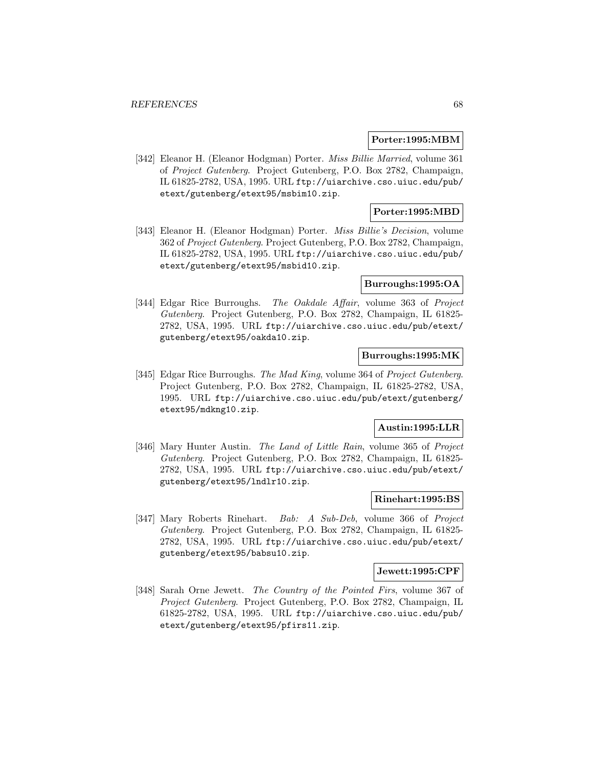#### **Porter:1995:MBM**

[342] Eleanor H. (Eleanor Hodgman) Porter. Miss Billie Married, volume 361 of Project Gutenberg. Project Gutenberg, P.O. Box 2782, Champaign, IL 61825-2782, USA, 1995. URL ftp://uiarchive.cso.uiuc.edu/pub/ etext/gutenberg/etext95/msbim10.zip.

## **Porter:1995:MBD**

[343] Eleanor H. (Eleanor Hodgman) Porter. Miss Billie's Decision, volume 362 of Project Gutenberg. Project Gutenberg, P.O. Box 2782, Champaign, IL 61825-2782, USA, 1995. URL ftp://uiarchive.cso.uiuc.edu/pub/ etext/gutenberg/etext95/msbid10.zip.

### **Burroughs:1995:OA**

[344] Edgar Rice Burroughs. The Oakdale Affair, volume 363 of Project Gutenberg. Project Gutenberg, P.O. Box 2782, Champaign, IL 61825- 2782, USA, 1995. URL ftp://uiarchive.cso.uiuc.edu/pub/etext/ gutenberg/etext95/oakda10.zip.

## **Burroughs:1995:MK**

[345] Edgar Rice Burroughs. The Mad King, volume 364 of Project Gutenberg. Project Gutenberg, P.O. Box 2782, Champaign, IL 61825-2782, USA, 1995. URL ftp://uiarchive.cso.uiuc.edu/pub/etext/gutenberg/ etext95/mdkng10.zip.

#### **Austin:1995:LLR**

[346] Mary Hunter Austin. The Land of Little Rain, volume 365 of Project Gutenberg. Project Gutenberg, P.O. Box 2782, Champaign, IL 61825- 2782, USA, 1995. URL ftp://uiarchive.cso.uiuc.edu/pub/etext/ gutenberg/etext95/lndlr10.zip.

## **Rinehart:1995:BS**

[347] Mary Roberts Rinehart. Bab: A Sub-Deb, volume 366 of Project Gutenberg. Project Gutenberg, P.O. Box 2782, Champaign, IL 61825- 2782, USA, 1995. URL ftp://uiarchive.cso.uiuc.edu/pub/etext/ gutenberg/etext95/babsu10.zip.

#### **Jewett:1995:CPF**

[348] Sarah Orne Jewett. The Country of the Pointed Firs, volume 367 of Project Gutenberg. Project Gutenberg, P.O. Box 2782, Champaign, IL 61825-2782, USA, 1995. URL ftp://uiarchive.cso.uiuc.edu/pub/ etext/gutenberg/etext95/pfirs11.zip.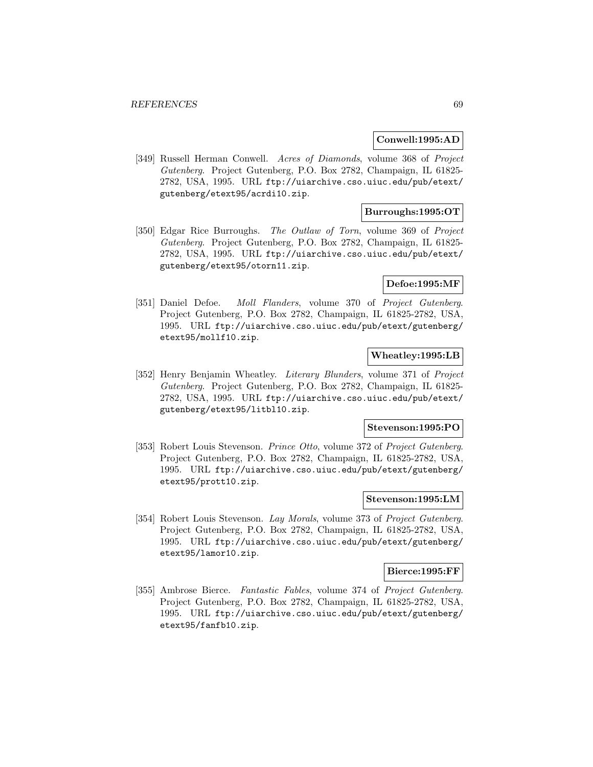#### **Conwell:1995:AD**

[349] Russell Herman Conwell. Acres of Diamonds, volume 368 of Project Gutenberg. Project Gutenberg, P.O. Box 2782, Champaign, IL 61825- 2782, USA, 1995. URL ftp://uiarchive.cso.uiuc.edu/pub/etext/ gutenberg/etext95/acrdi10.zip.

# **Burroughs:1995:OT**

[350] Edgar Rice Burroughs. The Outlaw of Torn, volume 369 of Project Gutenberg. Project Gutenberg, P.O. Box 2782, Champaign, IL 61825- 2782, USA, 1995. URL ftp://uiarchive.cso.uiuc.edu/pub/etext/ gutenberg/etext95/otorn11.zip.

## **Defoe:1995:MF**

[351] Daniel Defoe. Moll Flanders, volume 370 of Project Gutenberg. Project Gutenberg, P.O. Box 2782, Champaign, IL 61825-2782, USA, 1995. URL ftp://uiarchive.cso.uiuc.edu/pub/etext/gutenberg/ etext95/mollf10.zip.

# **Wheatley:1995:LB**

[352] Henry Benjamin Wheatley. Literary Blunders, volume 371 of Project Gutenberg. Project Gutenberg, P.O. Box 2782, Champaign, IL 61825- 2782, USA, 1995. URL ftp://uiarchive.cso.uiuc.edu/pub/etext/ gutenberg/etext95/litbl10.zip.

#### **Stevenson:1995:PO**

[353] Robert Louis Stevenson. Prince Otto, volume 372 of Project Gutenberg. Project Gutenberg, P.O. Box 2782, Champaign, IL 61825-2782, USA, 1995. URL ftp://uiarchive.cso.uiuc.edu/pub/etext/gutenberg/ etext95/prott10.zip.

## **Stevenson:1995:LM**

[354] Robert Louis Stevenson. Lay Morals, volume 373 of Project Gutenberg. Project Gutenberg, P.O. Box 2782, Champaign, IL 61825-2782, USA, 1995. URL ftp://uiarchive.cso.uiuc.edu/pub/etext/gutenberg/ etext95/lamor10.zip.

#### **Bierce:1995:FF**

[355] Ambrose Bierce. Fantastic Fables, volume 374 of Project Gutenberg. Project Gutenberg, P.O. Box 2782, Champaign, IL 61825-2782, USA, 1995. URL ftp://uiarchive.cso.uiuc.edu/pub/etext/gutenberg/ etext95/fanfb10.zip.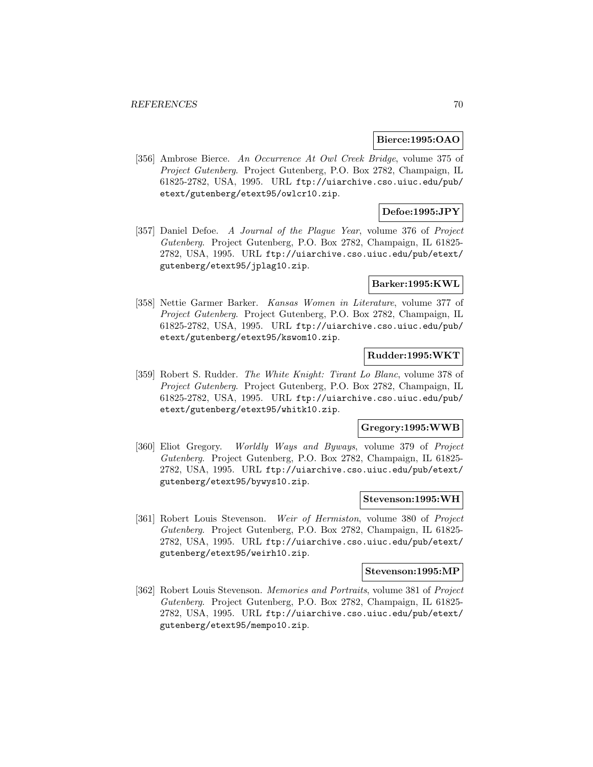#### **Bierce:1995:OAO**

[356] Ambrose Bierce. An Occurrence At Owl Creek Bridge, volume 375 of Project Gutenberg. Project Gutenberg, P.O. Box 2782, Champaign, IL 61825-2782, USA, 1995. URL ftp://uiarchive.cso.uiuc.edu/pub/ etext/gutenberg/etext95/owlcr10.zip.

# **Defoe:1995:JPY**

[357] Daniel Defoe. A Journal of the Plague Year, volume 376 of Project Gutenberg. Project Gutenberg, P.O. Box 2782, Champaign, IL 61825- 2782, USA, 1995. URL ftp://uiarchive.cso.uiuc.edu/pub/etext/ gutenberg/etext95/jplag10.zip.

### **Barker:1995:KWL**

[358] Nettie Garmer Barker. Kansas Women in Literature, volume 377 of Project Gutenberg. Project Gutenberg, P.O. Box 2782, Champaign, IL 61825-2782, USA, 1995. URL ftp://uiarchive.cso.uiuc.edu/pub/ etext/gutenberg/etext95/kswom10.zip.

# **Rudder:1995:WKT**

[359] Robert S. Rudder. The White Knight: Tirant Lo Blanc, volume 378 of Project Gutenberg. Project Gutenberg, P.O. Box 2782, Champaign, IL 61825-2782, USA, 1995. URL ftp://uiarchive.cso.uiuc.edu/pub/ etext/gutenberg/etext95/whitk10.zip.

### **Gregory:1995:WWB**

[360] Eliot Gregory. Worldly Ways and Byways, volume 379 of Project Gutenberg. Project Gutenberg, P.O. Box 2782, Champaign, IL 61825- 2782, USA, 1995. URL ftp://uiarchive.cso.uiuc.edu/pub/etext/ gutenberg/etext95/bywys10.zip.

## **Stevenson:1995:WH**

[361] Robert Louis Stevenson. Weir of Hermiston, volume 380 of Project Gutenberg. Project Gutenberg, P.O. Box 2782, Champaign, IL 61825- 2782, USA, 1995. URL ftp://uiarchive.cso.uiuc.edu/pub/etext/ gutenberg/etext95/weirh10.zip.

#### **Stevenson:1995:MP**

[362] Robert Louis Stevenson. Memories and Portraits, volume 381 of Project Gutenberg. Project Gutenberg, P.O. Box 2782, Champaign, IL 61825- 2782, USA, 1995. URL ftp://uiarchive.cso.uiuc.edu/pub/etext/ gutenberg/etext95/mempo10.zip.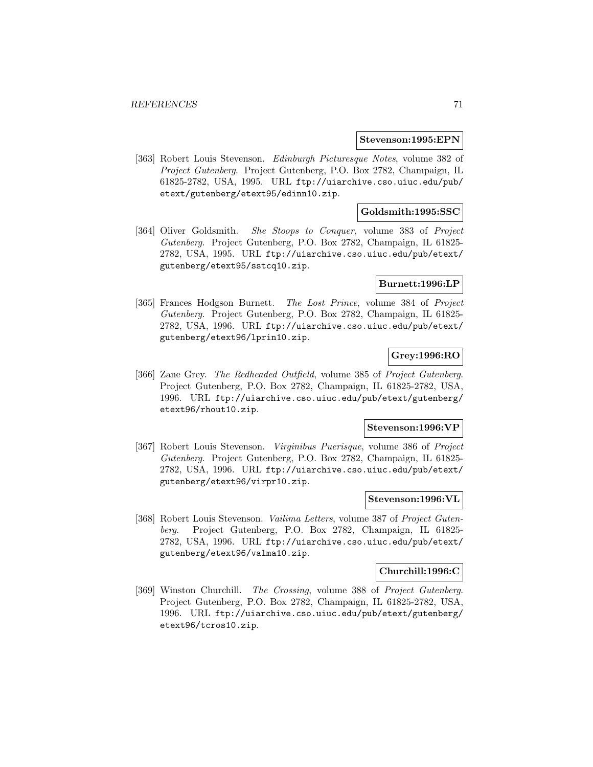#### **Stevenson:1995:EPN**

[363] Robert Louis Stevenson. Edinburgh Picturesque Notes, volume 382 of Project Gutenberg. Project Gutenberg, P.O. Box 2782, Champaign, IL 61825-2782, USA, 1995. URL ftp://uiarchive.cso.uiuc.edu/pub/ etext/gutenberg/etext95/edinn10.zip.

## **Goldsmith:1995:SSC**

[364] Oliver Goldsmith. She Stoops to Conquer, volume 383 of Project Gutenberg. Project Gutenberg, P.O. Box 2782, Champaign, IL 61825- 2782, USA, 1995. URL ftp://uiarchive.cso.uiuc.edu/pub/etext/ gutenberg/etext95/sstcq10.zip.

### **Burnett:1996:LP**

[365] Frances Hodgson Burnett. The Lost Prince, volume 384 of Project Gutenberg. Project Gutenberg, P.O. Box 2782, Champaign, IL 61825- 2782, USA, 1996. URL ftp://uiarchive.cso.uiuc.edu/pub/etext/ gutenberg/etext96/lprin10.zip.

## **Grey:1996:RO**

[366] Zane Grey. The Redheaded Outfield, volume 385 of Project Gutenberg. Project Gutenberg, P.O. Box 2782, Champaign, IL 61825-2782, USA, 1996. URL ftp://uiarchive.cso.uiuc.edu/pub/etext/gutenberg/ etext96/rhout10.zip.

### **Stevenson:1996:VP**

[367] Robert Louis Stevenson. Virginibus Puerisque, volume 386 of Project Gutenberg. Project Gutenberg, P.O. Box 2782, Champaign, IL 61825- 2782, USA, 1996. URL ftp://uiarchive.cso.uiuc.edu/pub/etext/ gutenberg/etext96/virpr10.zip.

## **Stevenson:1996:VL**

[368] Robert Louis Stevenson. Vailima Letters, volume 387 of Project Gutenberg. Project Gutenberg, P.O. Box 2782, Champaign, IL 61825- 2782, USA, 1996. URL ftp://uiarchive.cso.uiuc.edu/pub/etext/ gutenberg/etext96/valma10.zip.

#### **Churchill:1996:C**

[369] Winston Churchill. The Crossing, volume 388 of Project Gutenberg. Project Gutenberg, P.O. Box 2782, Champaign, IL 61825-2782, USA, 1996. URL ftp://uiarchive.cso.uiuc.edu/pub/etext/gutenberg/ etext96/tcros10.zip.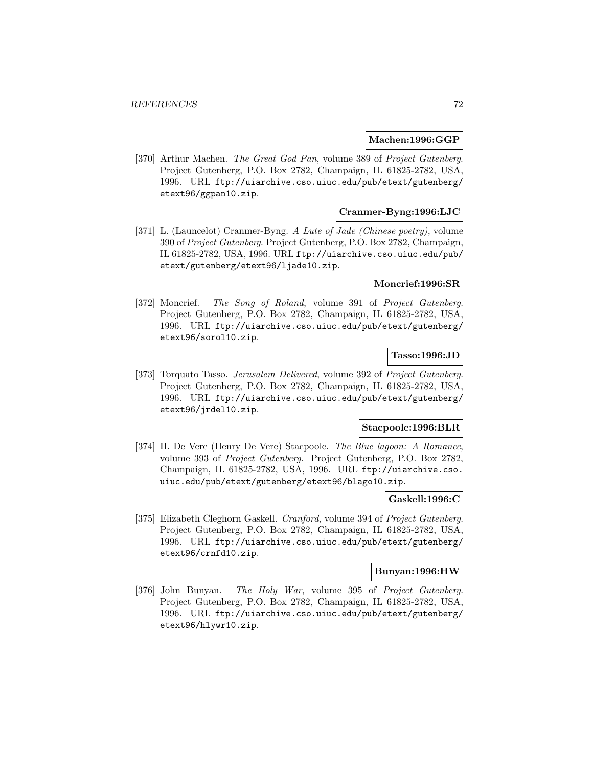### **Machen:1996:GGP**

[370] Arthur Machen. The Great God Pan, volume 389 of Project Gutenberg. Project Gutenberg, P.O. Box 2782, Champaign, IL 61825-2782, USA, 1996. URL ftp://uiarchive.cso.uiuc.edu/pub/etext/gutenberg/ etext96/ggpan10.zip.

# **Cranmer-Byng:1996:LJC**

[371] L. (Launcelot) Cranmer-Byng. A Lute of Jade (Chinese poetry), volume 390 of Project Gutenberg. Project Gutenberg, P.O. Box 2782, Champaign, IL 61825-2782, USA, 1996. URL ftp://uiarchive.cso.uiuc.edu/pub/ etext/gutenberg/etext96/ljade10.zip.

### **Moncrief:1996:SR**

[372] Moncrief. The Song of Roland, volume 391 of Project Gutenberg. Project Gutenberg, P.O. Box 2782, Champaign, IL 61825-2782, USA, 1996. URL ftp://uiarchive.cso.uiuc.edu/pub/etext/gutenberg/ etext96/sorol10.zip.

# **Tasso:1996:JD**

[373] Torquato Tasso. Jerusalem Delivered, volume 392 of Project Gutenberg. Project Gutenberg, P.O. Box 2782, Champaign, IL 61825-2782, USA, 1996. URL ftp://uiarchive.cso.uiuc.edu/pub/etext/gutenberg/ etext96/jrdel10.zip.

### **Stacpoole:1996:BLR**

[374] H. De Vere (Henry De Vere) Stacpoole. The Blue lagoon: A Romance, volume 393 of Project Gutenberg. Project Gutenberg, P.O. Box 2782, Champaign, IL 61825-2782, USA, 1996. URL ftp://uiarchive.cso. uiuc.edu/pub/etext/gutenberg/etext96/blago10.zip.

### **Gaskell:1996:C**

[375] Elizabeth Cleghorn Gaskell. Cranford, volume 394 of Project Gutenberg. Project Gutenberg, P.O. Box 2782, Champaign, IL 61825-2782, USA, 1996. URL ftp://uiarchive.cso.uiuc.edu/pub/etext/gutenberg/ etext96/crnfd10.zip.

#### **Bunyan:1996:HW**

[376] John Bunyan. The Holy War, volume 395 of Project Gutenberg. Project Gutenberg, P.O. Box 2782, Champaign, IL 61825-2782, USA, 1996. URL ftp://uiarchive.cso.uiuc.edu/pub/etext/gutenberg/ etext96/hlywr10.zip.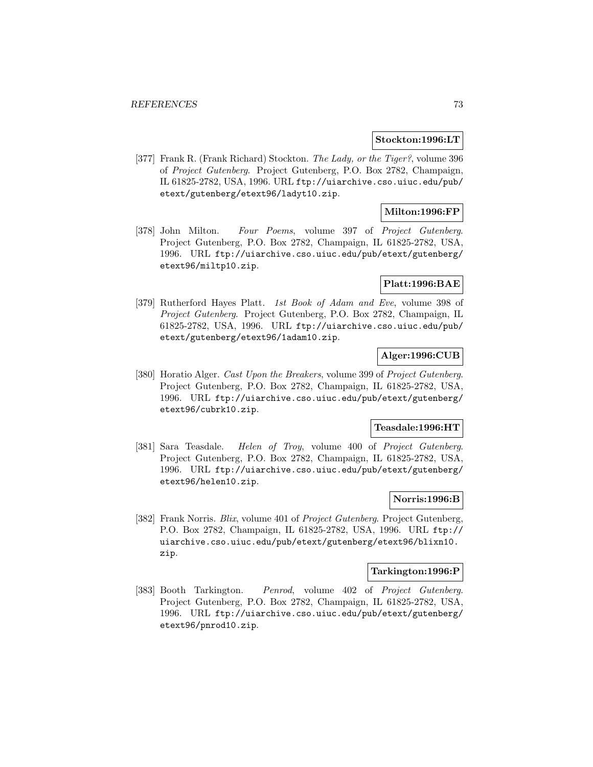#### **Stockton:1996:LT**

[377] Frank R. (Frank Richard) Stockton. The Lady, or the Tiger?, volume 396 of Project Gutenberg. Project Gutenberg, P.O. Box 2782, Champaign, IL 61825-2782, USA, 1996. URL ftp://uiarchive.cso.uiuc.edu/pub/ etext/gutenberg/etext96/ladyt10.zip.

# **Milton:1996:FP**

[378] John Milton. Four Poems, volume 397 of Project Gutenberg. Project Gutenberg, P.O. Box 2782, Champaign, IL 61825-2782, USA, 1996. URL ftp://uiarchive.cso.uiuc.edu/pub/etext/gutenberg/ etext96/miltp10.zip.

# **Platt:1996:BAE**

[379] Rutherford Hayes Platt. 1st Book of Adam and Eve, volume 398 of Project Gutenberg. Project Gutenberg, P.O. Box 2782, Champaign, IL 61825-2782, USA, 1996. URL ftp://uiarchive.cso.uiuc.edu/pub/ etext/gutenberg/etext96/1adam10.zip.

# **Alger:1996:CUB**

[380] Horatio Alger. Cast Upon the Breakers, volume 399 of Project Gutenberg. Project Gutenberg, P.O. Box 2782, Champaign, IL 61825-2782, USA, 1996. URL ftp://uiarchive.cso.uiuc.edu/pub/etext/gutenberg/ etext96/cubrk10.zip.

#### **Teasdale:1996:HT**

[381] Sara Teasdale. Helen of Troy, volume 400 of Project Gutenberg. Project Gutenberg, P.O. Box 2782, Champaign, IL 61825-2782, USA, 1996. URL ftp://uiarchive.cso.uiuc.edu/pub/etext/gutenberg/ etext96/helen10.zip.

# **Norris:1996:B**

[382] Frank Norris. Blix, volume 401 of Project Gutenberg. Project Gutenberg, P.O. Box 2782, Champaign, IL 61825-2782, USA, 1996. URL ftp:// uiarchive.cso.uiuc.edu/pub/etext/gutenberg/etext96/blixn10. zip.

#### **Tarkington:1996:P**

[383] Booth Tarkington. Penrod, volume 402 of Project Gutenberg. Project Gutenberg, P.O. Box 2782, Champaign, IL 61825-2782, USA, 1996. URL ftp://uiarchive.cso.uiuc.edu/pub/etext/gutenberg/ etext96/pnrod10.zip.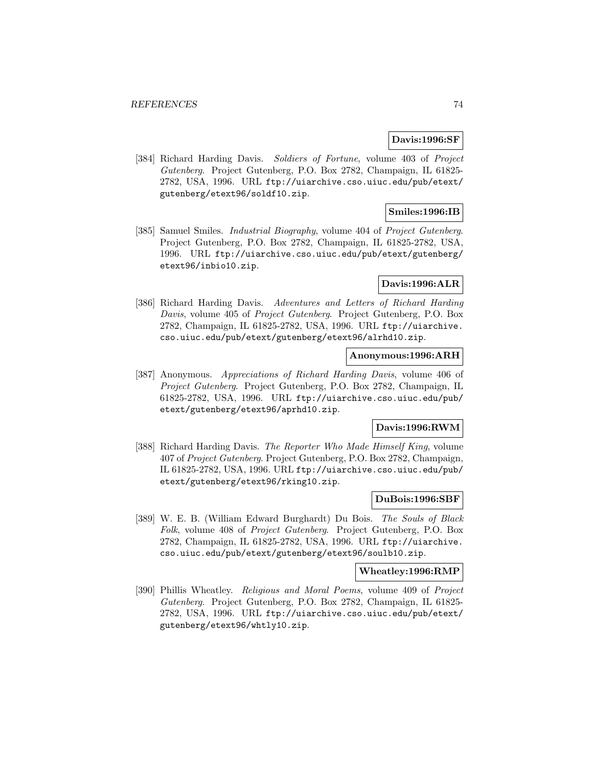### **Davis:1996:SF**

[384] Richard Harding Davis. Soldiers of Fortune, volume 403 of Project Gutenberg. Project Gutenberg, P.O. Box 2782, Champaign, IL 61825- 2782, USA, 1996. URL ftp://uiarchive.cso.uiuc.edu/pub/etext/ gutenberg/etext96/soldf10.zip.

# **Smiles:1996:IB**

[385] Samuel Smiles. *Industrial Biography*, volume 404 of *Project Gutenberg*. Project Gutenberg, P.O. Box 2782, Champaign, IL 61825-2782, USA, 1996. URL ftp://uiarchive.cso.uiuc.edu/pub/etext/gutenberg/ etext96/inbio10.zip.

# **Davis:1996:ALR**

[386] Richard Harding Davis. Adventures and Letters of Richard Harding Davis, volume 405 of Project Gutenberg. Project Gutenberg, P.O. Box 2782, Champaign, IL 61825-2782, USA, 1996. URL ftp://uiarchive. cso.uiuc.edu/pub/etext/gutenberg/etext96/alrhd10.zip.

## **Anonymous:1996:ARH**

[387] Anonymous. Appreciations of Richard Harding Davis, volume 406 of Project Gutenberg. Project Gutenberg, P.O. Box 2782, Champaign, IL 61825-2782, USA, 1996. URL ftp://uiarchive.cso.uiuc.edu/pub/ etext/gutenberg/etext96/aprhd10.zip.

# **Davis:1996:RWM**

[388] Richard Harding Davis. The Reporter Who Made Himself King, volume 407 of Project Gutenberg. Project Gutenberg, P.O. Box 2782, Champaign, IL 61825-2782, USA, 1996. URL ftp://uiarchive.cso.uiuc.edu/pub/ etext/gutenberg/etext96/rking10.zip.

# **DuBois:1996:SBF**

[389] W. E. B. (William Edward Burghardt) Du Bois. The Souls of Black Folk, volume 408 of Project Gutenberg. Project Gutenberg, P.O. Box 2782, Champaign, IL 61825-2782, USA, 1996. URL ftp://uiarchive. cso.uiuc.edu/pub/etext/gutenberg/etext96/soulb10.zip.

# **Wheatley:1996:RMP**

[390] Phillis Wheatley. Religious and Moral Poems, volume 409 of Project Gutenberg. Project Gutenberg, P.O. Box 2782, Champaign, IL 61825- 2782, USA, 1996. URL ftp://uiarchive.cso.uiuc.edu/pub/etext/ gutenberg/etext96/whtly10.zip.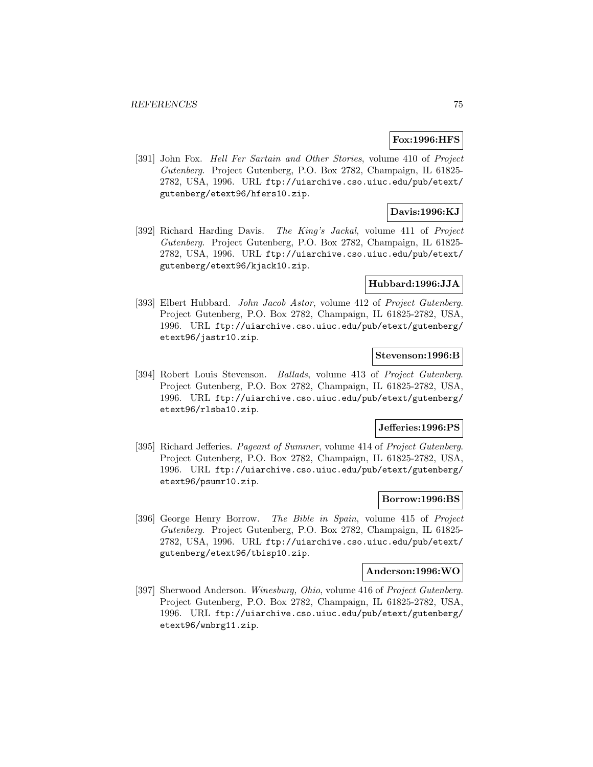# **Fox:1996:HFS**

[391] John Fox. Hell Fer Sartain and Other Stories, volume 410 of Project Gutenberg. Project Gutenberg, P.O. Box 2782, Champaign, IL 61825- 2782, USA, 1996. URL ftp://uiarchive.cso.uiuc.edu/pub/etext/ gutenberg/etext96/hfers10.zip.

# **Davis:1996:KJ**

[392] Richard Harding Davis. The King's Jackal, volume 411 of Project Gutenberg. Project Gutenberg, P.O. Box 2782, Champaign, IL 61825- 2782, USA, 1996. URL ftp://uiarchive.cso.uiuc.edu/pub/etext/ gutenberg/etext96/kjack10.zip.

## **Hubbard:1996:JJA**

[393] Elbert Hubbard. John Jacob Astor, volume 412 of Project Gutenberg. Project Gutenberg, P.O. Box 2782, Champaign, IL 61825-2782, USA, 1996. URL ftp://uiarchive.cso.uiuc.edu/pub/etext/gutenberg/ etext96/jastr10.zip.

# **Stevenson:1996:B**

[394] Robert Louis Stevenson. Ballads, volume 413 of Project Gutenberg. Project Gutenberg, P.O. Box 2782, Champaign, IL 61825-2782, USA, 1996. URL ftp://uiarchive.cso.uiuc.edu/pub/etext/gutenberg/ etext96/rlsba10.zip.

### **Jefferies:1996:PS**

[395] Richard Jefferies. Pageant of Summer, volume 414 of Project Gutenberg. Project Gutenberg, P.O. Box 2782, Champaign, IL 61825-2782, USA, 1996. URL ftp://uiarchive.cso.uiuc.edu/pub/etext/gutenberg/ etext96/psumr10.zip.

# **Borrow:1996:BS**

[396] George Henry Borrow. The Bible in Spain, volume 415 of Project Gutenberg. Project Gutenberg, P.O. Box 2782, Champaign, IL 61825- 2782, USA, 1996. URL ftp://uiarchive.cso.uiuc.edu/pub/etext/ gutenberg/etext96/tbisp10.zip.

#### **Anderson:1996:WO**

[397] Sherwood Anderson. Winesburg, Ohio, volume 416 of Project Gutenberg. Project Gutenberg, P.O. Box 2782, Champaign, IL 61825-2782, USA, 1996. URL ftp://uiarchive.cso.uiuc.edu/pub/etext/gutenberg/ etext96/wnbrg11.zip.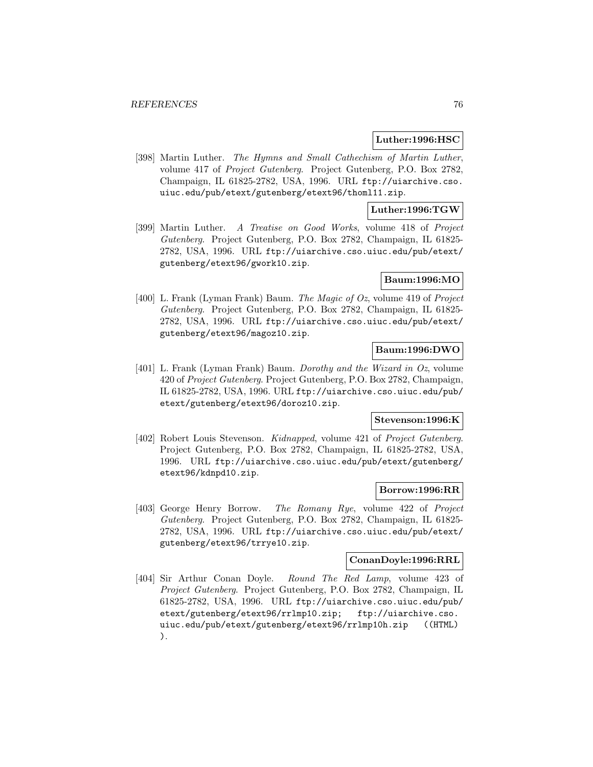### **Luther:1996:HSC**

[398] Martin Luther. The Hymns and Small Cathechism of Martin Luther, volume 417 of Project Gutenberg. Project Gutenberg, P.O. Box 2782, Champaign, IL 61825-2782, USA, 1996. URL ftp://uiarchive.cso. uiuc.edu/pub/etext/gutenberg/etext96/thoml11.zip.

# **Luther:1996:TGW**

[399] Martin Luther. A Treatise on Good Works, volume 418 of Project Gutenberg. Project Gutenberg, P.O. Box 2782, Champaign, IL 61825- 2782, USA, 1996. URL ftp://uiarchive.cso.uiuc.edu/pub/etext/ gutenberg/etext96/gwork10.zip.

# **Baum:1996:MO**

[400] L. Frank (Lyman Frank) Baum. The Magic of Oz, volume 419 of Project Gutenberg. Project Gutenberg, P.O. Box 2782, Champaign, IL 61825- 2782, USA, 1996. URL ftp://uiarchive.cso.uiuc.edu/pub/etext/ gutenberg/etext96/magoz10.zip.

# **Baum:1996:DWO**

[401] L. Frank (Lyman Frank) Baum. Dorothy and the Wizard in Oz, volume 420 of Project Gutenberg. Project Gutenberg, P.O. Box 2782, Champaign, IL 61825-2782, USA, 1996. URL ftp://uiarchive.cso.uiuc.edu/pub/ etext/gutenberg/etext96/doroz10.zip.

# **Stevenson:1996:K**

[402] Robert Louis Stevenson. Kidnapped, volume 421 of Project Gutenberg. Project Gutenberg, P.O. Box 2782, Champaign, IL 61825-2782, USA, 1996. URL ftp://uiarchive.cso.uiuc.edu/pub/etext/gutenberg/ etext96/kdnpd10.zip.

#### **Borrow:1996:RR**

[403] George Henry Borrow. The Romany Rye, volume 422 of Project Gutenberg. Project Gutenberg, P.O. Box 2782, Champaign, IL 61825- 2782, USA, 1996. URL ftp://uiarchive.cso.uiuc.edu/pub/etext/ gutenberg/etext96/trrye10.zip.

# **ConanDoyle:1996:RRL**

[404] Sir Arthur Conan Doyle. Round The Red Lamp, volume 423 of Project Gutenberg. Project Gutenberg, P.O. Box 2782, Champaign, IL 61825-2782, USA, 1996. URL ftp://uiarchive.cso.uiuc.edu/pub/ etext/gutenberg/etext96/rrlmp10.zip; ftp://uiarchive.cso. uiuc.edu/pub/etext/gutenberg/etext96/rrlmp10h.zip ((HTML) ).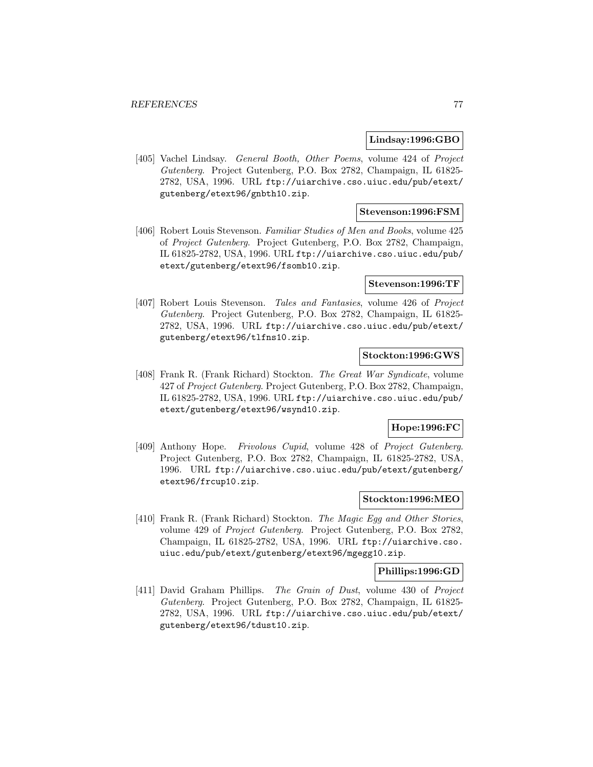#### **Lindsay:1996:GBO**

[405] Vachel Lindsay. General Booth, Other Poems, volume 424 of Project Gutenberg. Project Gutenberg, P.O. Box 2782, Champaign, IL 61825- 2782, USA, 1996. URL ftp://uiarchive.cso.uiuc.edu/pub/etext/ gutenberg/etext96/gnbth10.zip.

## **Stevenson:1996:FSM**

[406] Robert Louis Stevenson. Familiar Studies of Men and Books, volume 425 of Project Gutenberg. Project Gutenberg, P.O. Box 2782, Champaign, IL 61825-2782, USA, 1996. URL ftp://uiarchive.cso.uiuc.edu/pub/ etext/gutenberg/etext96/fsomb10.zip.

### **Stevenson:1996:TF**

[407] Robert Louis Stevenson. Tales and Fantasies, volume 426 of Project Gutenberg. Project Gutenberg, P.O. Box 2782, Champaign, IL 61825- 2782, USA, 1996. URL ftp://uiarchive.cso.uiuc.edu/pub/etext/ gutenberg/etext96/tlfns10.zip.

## **Stockton:1996:GWS**

[408] Frank R. (Frank Richard) Stockton. The Great War Syndicate, volume 427 of Project Gutenberg. Project Gutenberg, P.O. Box 2782, Champaign, IL 61825-2782, USA, 1996. URL ftp://uiarchive.cso.uiuc.edu/pub/ etext/gutenberg/etext96/wsynd10.zip.

# **Hope:1996:FC**

[409] Anthony Hope. Frivolous Cupid, volume 428 of Project Gutenberg. Project Gutenberg, P.O. Box 2782, Champaign, IL 61825-2782, USA, 1996. URL ftp://uiarchive.cso.uiuc.edu/pub/etext/gutenberg/ etext96/frcup10.zip.

# **Stockton:1996:MEO**

[410] Frank R. (Frank Richard) Stockton. The Magic Egg and Other Stories, volume 429 of Project Gutenberg. Project Gutenberg, P.O. Box 2782, Champaign, IL 61825-2782, USA, 1996. URL ftp://uiarchive.cso. uiuc.edu/pub/etext/gutenberg/etext96/mgegg10.zip.

# **Phillips:1996:GD**

[411] David Graham Phillips. The Grain of Dust, volume 430 of Project Gutenberg. Project Gutenberg, P.O. Box 2782, Champaign, IL 61825- 2782, USA, 1996. URL ftp://uiarchive.cso.uiuc.edu/pub/etext/ gutenberg/etext96/tdust10.zip.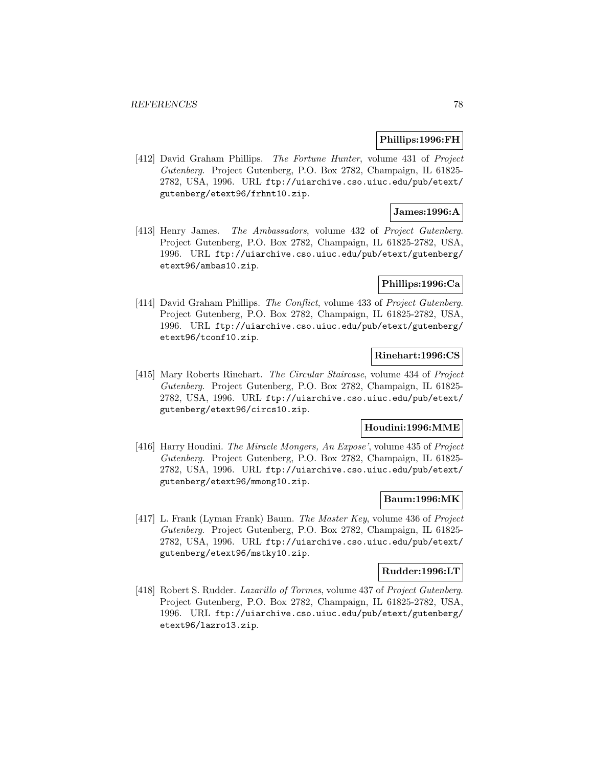### **Phillips:1996:FH**

[412] David Graham Phillips. The Fortune Hunter, volume 431 of Project Gutenberg. Project Gutenberg, P.O. Box 2782, Champaign, IL 61825- 2782, USA, 1996. URL ftp://uiarchive.cso.uiuc.edu/pub/etext/ gutenberg/etext96/frhnt10.zip.

# **James:1996:A**

[413] Henry James. The Ambassadors, volume 432 of Project Gutenberg. Project Gutenberg, P.O. Box 2782, Champaign, IL 61825-2782, USA, 1996. URL ftp://uiarchive.cso.uiuc.edu/pub/etext/gutenberg/ etext96/ambas10.zip.

### **Phillips:1996:Ca**

[414] David Graham Phillips. The Conflict, volume 433 of Project Gutenberg. Project Gutenberg, P.O. Box 2782, Champaign, IL 61825-2782, USA, 1996. URL ftp://uiarchive.cso.uiuc.edu/pub/etext/gutenberg/ etext96/tconf10.zip.

# **Rinehart:1996:CS**

[415] Mary Roberts Rinehart. The Circular Staircase, volume 434 of Project Gutenberg. Project Gutenberg, P.O. Box 2782, Champaign, IL 61825- 2782, USA, 1996. URL ftp://uiarchive.cso.uiuc.edu/pub/etext/ gutenberg/etext96/circs10.zip.

# **Houdini:1996:MME**

[416] Harry Houdini. The Miracle Mongers, An Expose', volume 435 of Project Gutenberg. Project Gutenberg, P.O. Box 2782, Champaign, IL 61825- 2782, USA, 1996. URL ftp://uiarchive.cso.uiuc.edu/pub/etext/ gutenberg/etext96/mmong10.zip.

# **Baum:1996:MK**

[417] L. Frank (Lyman Frank) Baum. The Master Key, volume 436 of Project Gutenberg. Project Gutenberg, P.O. Box 2782, Champaign, IL 61825- 2782, USA, 1996. URL ftp://uiarchive.cso.uiuc.edu/pub/etext/ gutenberg/etext96/mstky10.zip.

#### **Rudder:1996:LT**

[418] Robert S. Rudder. Lazarillo of Tormes, volume 437 of Project Gutenberg. Project Gutenberg, P.O. Box 2782, Champaign, IL 61825-2782, USA, 1996. URL ftp://uiarchive.cso.uiuc.edu/pub/etext/gutenberg/ etext96/lazro13.zip.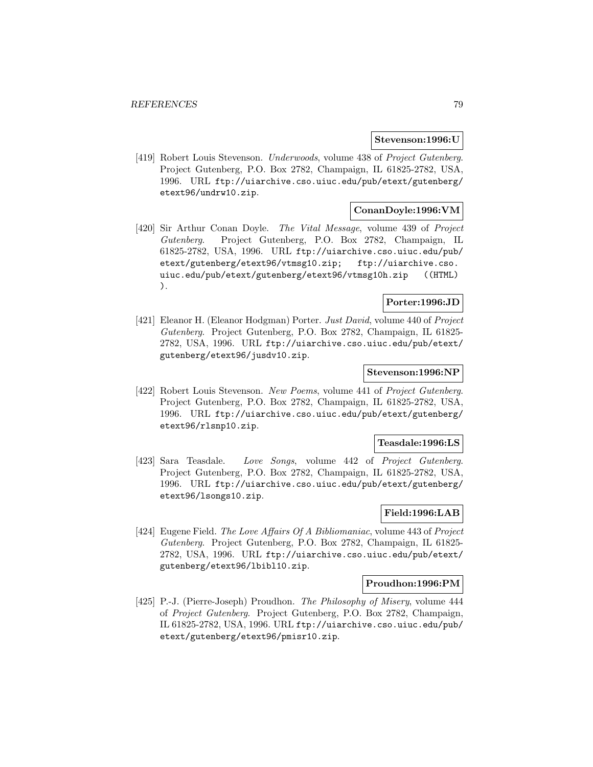#### **Stevenson:1996:U**

[419] Robert Louis Stevenson. Underwoods, volume 438 of Project Gutenberg. Project Gutenberg, P.O. Box 2782, Champaign, IL 61825-2782, USA, 1996. URL ftp://uiarchive.cso.uiuc.edu/pub/etext/gutenberg/ etext96/undrw10.zip.

# **ConanDoyle:1996:VM**

[420] Sir Arthur Conan Doyle. The Vital Message, volume 439 of Project Gutenberg. Project Gutenberg, P.O. Box 2782, Champaign, IL 61825-2782, USA, 1996. URL ftp://uiarchive.cso.uiuc.edu/pub/ etext/gutenberg/etext96/vtmsg10.zip; ftp://uiarchive.cso. uiuc.edu/pub/etext/gutenberg/etext96/vtmsg10h.zip ((HTML) ).

# **Porter:1996:JD**

[421] Eleanor H. (Eleanor Hodgman) Porter. Just David, volume 440 of Project Gutenberg. Project Gutenberg, P.O. Box 2782, Champaign, IL 61825- 2782, USA, 1996. URL ftp://uiarchive.cso.uiuc.edu/pub/etext/ gutenberg/etext96/jusdv10.zip.

# **Stevenson:1996:NP**

[422] Robert Louis Stevenson. New Poems, volume 441 of Project Gutenberg. Project Gutenberg, P.O. Box 2782, Champaign, IL 61825-2782, USA, 1996. URL ftp://uiarchive.cso.uiuc.edu/pub/etext/gutenberg/ etext96/rlsnp10.zip.

### **Teasdale:1996:LS**

[423] Sara Teasdale. Love Songs, volume 442 of Project Gutenberg. Project Gutenberg, P.O. Box 2782, Champaign, IL 61825-2782, USA, 1996. URL ftp://uiarchive.cso.uiuc.edu/pub/etext/gutenberg/ etext96/lsongs10.zip.

# **Field:1996:LAB**

[424] Eugene Field. The Love Affairs Of A Bibliomaniac, volume 443 of Project Gutenberg. Project Gutenberg, P.O. Box 2782, Champaign, IL 61825- 2782, USA, 1996. URL ftp://uiarchive.cso.uiuc.edu/pub/etext/ gutenberg/etext96/lbibl10.zip.

# **Proudhon:1996:PM**

[425] P.-J. (Pierre-Joseph) Proudhon. The Philosophy of Misery, volume 444 of Project Gutenberg. Project Gutenberg, P.O. Box 2782, Champaign, IL 61825-2782, USA, 1996. URL ftp://uiarchive.cso.uiuc.edu/pub/ etext/gutenberg/etext96/pmisr10.zip.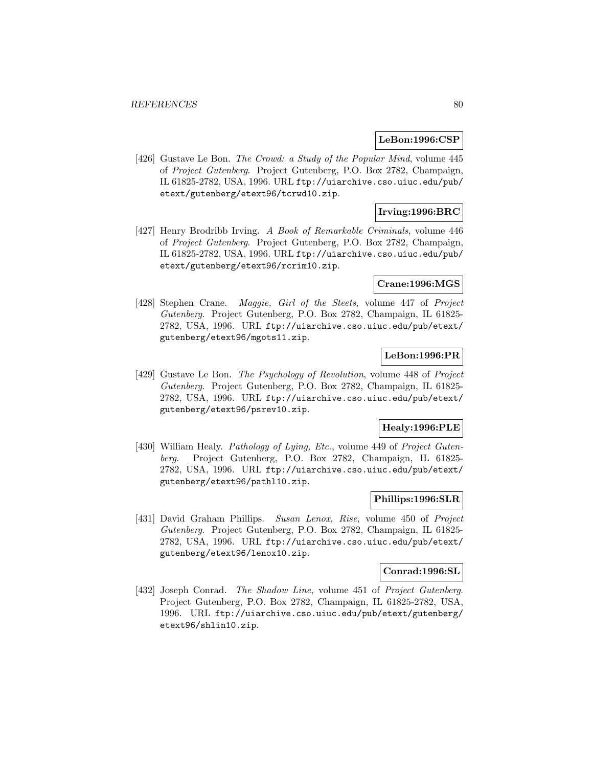#### **LeBon:1996:CSP**

[426] Gustave Le Bon. The Crowd: a Study of the Popular Mind, volume 445 of Project Gutenberg. Project Gutenberg, P.O. Box 2782, Champaign, IL 61825-2782, USA, 1996. URL ftp://uiarchive.cso.uiuc.edu/pub/ etext/gutenberg/etext96/tcrwd10.zip.

# **Irving:1996:BRC**

[427] Henry Brodribb Irving. A Book of Remarkable Criminals, volume 446 of Project Gutenberg. Project Gutenberg, P.O. Box 2782, Champaign, IL 61825-2782, USA, 1996. URL ftp://uiarchive.cso.uiuc.edu/pub/ etext/gutenberg/etext96/rcrim10.zip.

## **Crane:1996:MGS**

[428] Stephen Crane. *Maggie, Girl of the Steets*, volume 447 of *Project* Gutenberg. Project Gutenberg, P.O. Box 2782, Champaign, IL 61825- 2782, USA, 1996. URL ftp://uiarchive.cso.uiuc.edu/pub/etext/ gutenberg/etext96/mgots11.zip.

# **LeBon:1996:PR**

[429] Gustave Le Bon. The Psychology of Revolution, volume 448 of Project Gutenberg. Project Gutenberg, P.O. Box 2782, Champaign, IL 61825- 2782, USA, 1996. URL ftp://uiarchive.cso.uiuc.edu/pub/etext/ gutenberg/etext96/psrev10.zip.

# **Healy:1996:PLE**

[430] William Healy. Pathology of Lying, Etc., volume 449 of Project Gutenberg. Project Gutenberg, P.O. Box 2782, Champaign, IL 61825- 2782, USA, 1996. URL ftp://uiarchive.cso.uiuc.edu/pub/etext/ gutenberg/etext96/pathl10.zip.

# **Phillips:1996:SLR**

[431] David Graham Phillips. Susan Lenox, Rise, volume 450 of Project Gutenberg. Project Gutenberg, P.O. Box 2782, Champaign, IL 61825- 2782, USA, 1996. URL ftp://uiarchive.cso.uiuc.edu/pub/etext/ gutenberg/etext96/lenox10.zip.

#### **Conrad:1996:SL**

[432] Joseph Conrad. The Shadow Line, volume 451 of Project Gutenberg. Project Gutenberg, P.O. Box 2782, Champaign, IL 61825-2782, USA, 1996. URL ftp://uiarchive.cso.uiuc.edu/pub/etext/gutenberg/ etext96/shlin10.zip.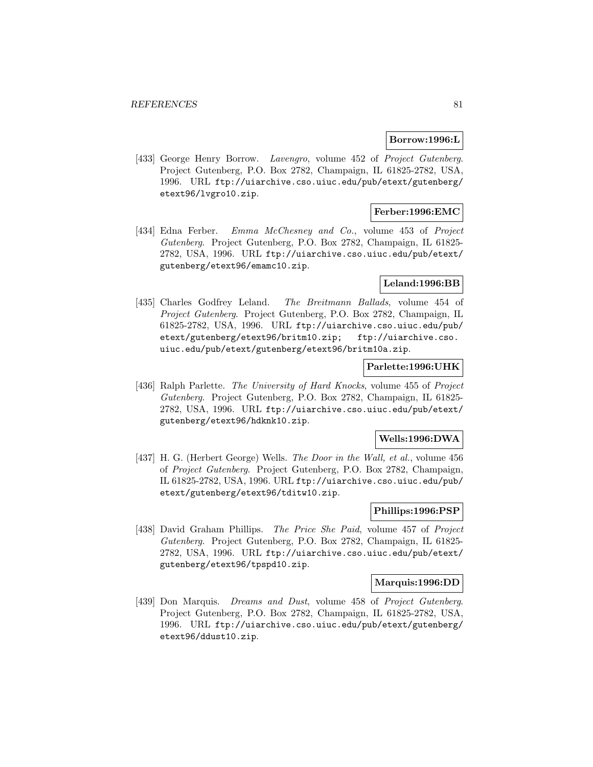### **Borrow:1996:L**

[433] George Henry Borrow. Lavengro, volume 452 of Project Gutenberg. Project Gutenberg, P.O. Box 2782, Champaign, IL 61825-2782, USA, 1996. URL ftp://uiarchive.cso.uiuc.edu/pub/etext/gutenberg/ etext96/lvgro10.zip.

# **Ferber:1996:EMC**

[434] Edna Ferber. Emma McChesney and Co., volume 453 of Project Gutenberg. Project Gutenberg, P.O. Box 2782, Champaign, IL 61825- 2782, USA, 1996. URL ftp://uiarchive.cso.uiuc.edu/pub/etext/ gutenberg/etext96/emamc10.zip.

## **Leland:1996:BB**

[435] Charles Godfrey Leland. The Breitmann Ballads, volume 454 of Project Gutenberg. Project Gutenberg, P.O. Box 2782, Champaign, IL 61825-2782, USA, 1996. URL ftp://uiarchive.cso.uiuc.edu/pub/ etext/gutenberg/etext96/britm10.zip; ftp://uiarchive.cso. uiuc.edu/pub/etext/gutenberg/etext96/britm10a.zip.

## **Parlette:1996:UHK**

[436] Ralph Parlette. The University of Hard Knocks, volume 455 of Project Gutenberg. Project Gutenberg, P.O. Box 2782, Champaign, IL 61825- 2782, USA, 1996. URL ftp://uiarchive.cso.uiuc.edu/pub/etext/ gutenberg/etext96/hdknk10.zip.

# **Wells:1996:DWA**

[437] H. G. (Herbert George) Wells. The Door in the Wall, et al., volume 456 of Project Gutenberg. Project Gutenberg, P.O. Box 2782, Champaign, IL 61825-2782, USA, 1996. URL ftp://uiarchive.cso.uiuc.edu/pub/ etext/gutenberg/etext96/tditw10.zip.

# **Phillips:1996:PSP**

[438] David Graham Phillips. The Price She Paid, volume 457 of Project Gutenberg. Project Gutenberg, P.O. Box 2782, Champaign, IL 61825- 2782, USA, 1996. URL ftp://uiarchive.cso.uiuc.edu/pub/etext/ gutenberg/etext96/tpspd10.zip.

#### **Marquis:1996:DD**

[439] Don Marquis. *Dreams and Dust*, volume 458 of *Project Gutenberg*. Project Gutenberg, P.O. Box 2782, Champaign, IL 61825-2782, USA, 1996. URL ftp://uiarchive.cso.uiuc.edu/pub/etext/gutenberg/ etext96/ddust10.zip.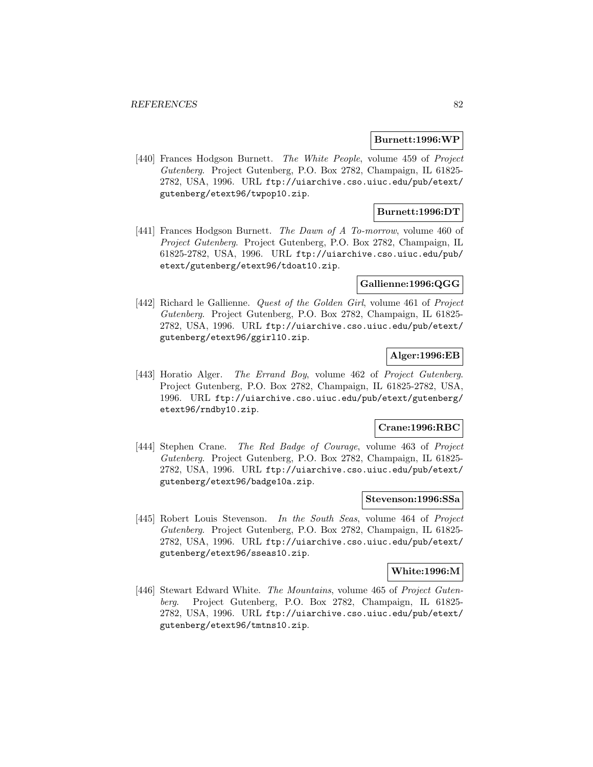### **Burnett:1996:WP**

[440] Frances Hodgson Burnett. The White People, volume 459 of Project Gutenberg. Project Gutenberg, P.O. Box 2782, Champaign, IL 61825- 2782, USA, 1996. URL ftp://uiarchive.cso.uiuc.edu/pub/etext/ gutenberg/etext96/twpop10.zip.

# **Burnett:1996:DT**

[441] Frances Hodgson Burnett. The Dawn of A To-morrow, volume 460 of Project Gutenberg. Project Gutenberg, P.O. Box 2782, Champaign, IL 61825-2782, USA, 1996. URL ftp://uiarchive.cso.uiuc.edu/pub/ etext/gutenberg/etext96/tdoat10.zip.

### **Gallienne:1996:QGG**

[442] Richard le Gallienne. *Quest of the Golden Girl*, volume 461 of *Project* Gutenberg. Project Gutenberg, P.O. Box 2782, Champaign, IL 61825- 2782, USA, 1996. URL ftp://uiarchive.cso.uiuc.edu/pub/etext/ gutenberg/etext96/ggirl10.zip.

## **Alger:1996:EB**

[443] Horatio Alger. The Errand Boy, volume 462 of Project Gutenberg. Project Gutenberg, P.O. Box 2782, Champaign, IL 61825-2782, USA, 1996. URL ftp://uiarchive.cso.uiuc.edu/pub/etext/gutenberg/ etext96/rndby10.zip.

### **Crane:1996:RBC**

[444] Stephen Crane. The Red Badge of Courage, volume 463 of Project Gutenberg. Project Gutenberg, P.O. Box 2782, Champaign, IL 61825- 2782, USA, 1996. URL ftp://uiarchive.cso.uiuc.edu/pub/etext/ gutenberg/etext96/badge10a.zip.

# **Stevenson:1996:SSa**

[445] Robert Louis Stevenson. In the South Seas, volume 464 of Project Gutenberg. Project Gutenberg, P.O. Box 2782, Champaign, IL 61825- 2782, USA, 1996. URL ftp://uiarchive.cso.uiuc.edu/pub/etext/ gutenberg/etext96/sseas10.zip.

#### **White:1996:M**

[446] Stewart Edward White. The Mountains, volume 465 of Project Gutenberg. Project Gutenberg, P.O. Box 2782, Champaign, IL 61825- 2782, USA, 1996. URL ftp://uiarchive.cso.uiuc.edu/pub/etext/ gutenberg/etext96/tmtns10.zip.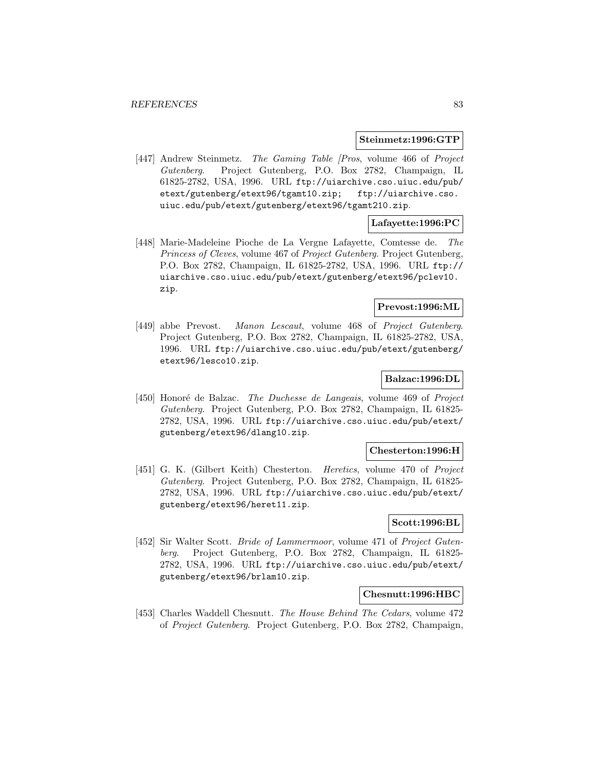#### **Steinmetz:1996:GTP**

[447] Andrew Steinmetz. The Gaming Table [Pros, volume 466 of Project Gutenberg. Project Gutenberg, P.O. Box 2782, Champaign, IL 61825-2782, USA, 1996. URL ftp://uiarchive.cso.uiuc.edu/pub/ etext/gutenberg/etext96/tgamt10.zip; ftp://uiarchive.cso. uiuc.edu/pub/etext/gutenberg/etext96/tgamt210.zip.

# **Lafayette:1996:PC**

[448] Marie-Madeleine Pioche de La Vergne Lafayette, Comtesse de. The Princess of Cleves, volume 467 of Project Gutenberg. Project Gutenberg, P.O. Box 2782, Champaign, IL 61825-2782, USA, 1996. URL ftp:// uiarchive.cso.uiuc.edu/pub/etext/gutenberg/etext96/pclev10. zip.

# **Prevost:1996:ML**

[449] abbe Prevost. Manon Lescaut, volume 468 of Project Gutenberg. Project Gutenberg, P.O. Box 2782, Champaign, IL 61825-2782, USA, 1996. URL ftp://uiarchive.cso.uiuc.edu/pub/etext/gutenberg/ etext96/lesco10.zip.

# **Balzac:1996:DL**

[450] Honoré de Balzac. The Duchesse de Langeais, volume 469 of Project Gutenberg. Project Gutenberg, P.O. Box 2782, Champaign, IL 61825- 2782, USA, 1996. URL ftp://uiarchive.cso.uiuc.edu/pub/etext/ gutenberg/etext96/dlang10.zip.

# **Chesterton:1996:H**

[451] G. K. (Gilbert Keith) Chesterton. Heretics, volume 470 of Project Gutenberg. Project Gutenberg, P.O. Box 2782, Champaign, IL 61825- 2782, USA, 1996. URL ftp://uiarchive.cso.uiuc.edu/pub/etext/ gutenberg/etext96/heret11.zip.

# **Scott:1996:BL**

[452] Sir Walter Scott. Bride of Lammermoor, volume 471 of Project Gutenberg. Project Gutenberg, P.O. Box 2782, Champaign, IL 61825- 2782, USA, 1996. URL ftp://uiarchive.cso.uiuc.edu/pub/etext/ gutenberg/etext96/brlam10.zip.

#### **Chesnutt:1996:HBC**

[453] Charles Waddell Chesnutt. The House Behind The Cedars, volume 472 of Project Gutenberg. Project Gutenberg, P.O. Box 2782, Champaign,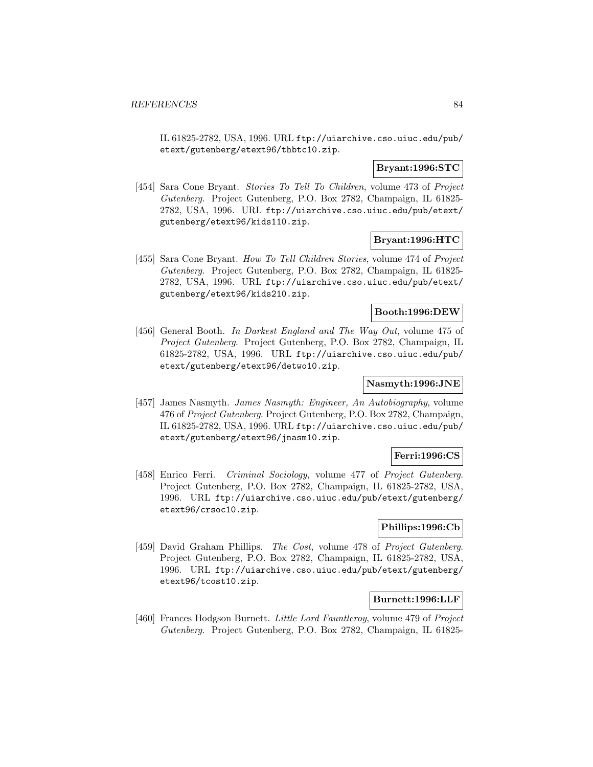IL 61825-2782, USA, 1996. URL ftp://uiarchive.cso.uiuc.edu/pub/ etext/gutenberg/etext96/thbtc10.zip.

# **Bryant:1996:STC**

[454] Sara Cone Bryant. Stories To Tell To Children, volume 473 of Project Gutenberg. Project Gutenberg, P.O. Box 2782, Champaign, IL 61825- 2782, USA, 1996. URL ftp://uiarchive.cso.uiuc.edu/pub/etext/ gutenberg/etext96/kids110.zip.

# **Bryant:1996:HTC**

[455] Sara Cone Bryant. How To Tell Children Stories, volume 474 of Project Gutenberg. Project Gutenberg, P.O. Box 2782, Champaign, IL 61825- 2782, USA, 1996. URL ftp://uiarchive.cso.uiuc.edu/pub/etext/ gutenberg/etext96/kids210.zip.

### **Booth:1996:DEW**

[456] General Booth. In Darkest England and The Way Out, volume 475 of Project Gutenberg. Project Gutenberg, P.O. Box 2782, Champaign, IL 61825-2782, USA, 1996. URL ftp://uiarchive.cso.uiuc.edu/pub/ etext/gutenberg/etext96/detwo10.zip.

# **Nasmyth:1996:JNE**

[457] James Nasmyth. James Nasmyth: Engineer, An Autobiography, volume 476 of Project Gutenberg. Project Gutenberg, P.O. Box 2782, Champaign, IL 61825-2782, USA, 1996. URL ftp://uiarchive.cso.uiuc.edu/pub/ etext/gutenberg/etext96/jnasm10.zip.

# **Ferri:1996:CS**

[458] Enrico Ferri. Criminal Sociology, volume 477 of Project Gutenberg. Project Gutenberg, P.O. Box 2782, Champaign, IL 61825-2782, USA, 1996. URL ftp://uiarchive.cso.uiuc.edu/pub/etext/gutenberg/ etext96/crsoc10.zip.

# **Phillips:1996:Cb**

[459] David Graham Phillips. The Cost, volume 478 of Project Gutenberg. Project Gutenberg, P.O. Box 2782, Champaign, IL 61825-2782, USA, 1996. URL ftp://uiarchive.cso.uiuc.edu/pub/etext/gutenberg/ etext96/tcost10.zip.

#### **Burnett:1996:LLF**

[460] Frances Hodgson Burnett. Little Lord Fauntleroy, volume 479 of Project Gutenberg. Project Gutenberg, P.O. Box 2782, Champaign, IL 61825-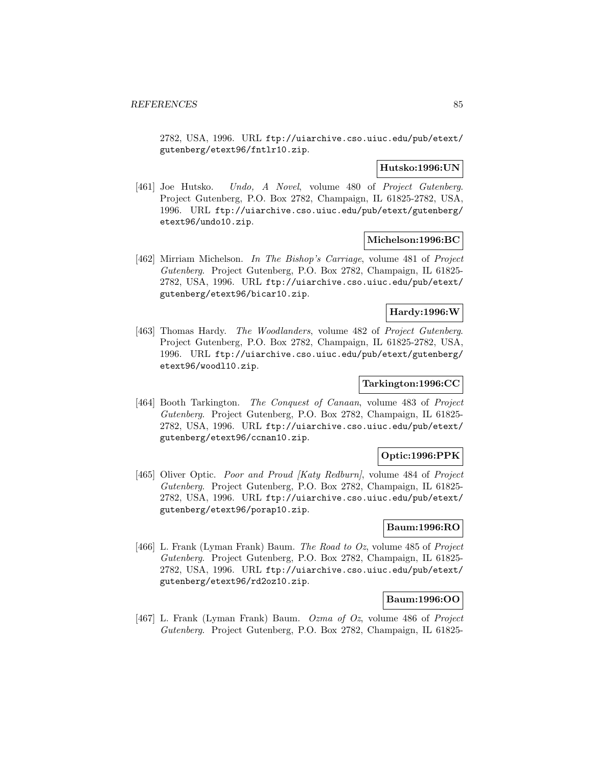2782, USA, 1996. URL ftp://uiarchive.cso.uiuc.edu/pub/etext/ gutenberg/etext96/fntlr10.zip.

# **Hutsko:1996:UN**

[461] Joe Hutsko. Undo, A Novel, volume 480 of Project Gutenberg. Project Gutenberg, P.O. Box 2782, Champaign, IL 61825-2782, USA, 1996. URL ftp://uiarchive.cso.uiuc.edu/pub/etext/gutenberg/ etext96/undo10.zip.

# **Michelson:1996:BC**

[462] Mirriam Michelson. In The Bishop's Carriage, volume 481 of Project Gutenberg. Project Gutenberg, P.O. Box 2782, Champaign, IL 61825- 2782, USA, 1996. URL ftp://uiarchive.cso.uiuc.edu/pub/etext/ gutenberg/etext96/bicar10.zip.

# **Hardy:1996:W**

[463] Thomas Hardy. The Woodlanders, volume 482 of Project Gutenberg. Project Gutenberg, P.O. Box 2782, Champaign, IL 61825-2782, USA, 1996. URL ftp://uiarchive.cso.uiuc.edu/pub/etext/gutenberg/ etext96/woodl10.zip.

# **Tarkington:1996:CC**

[464] Booth Tarkington. The Conquest of Canaan, volume 483 of Project Gutenberg. Project Gutenberg, P.O. Box 2782, Champaign, IL 61825- 2782, USA, 1996. URL ftp://uiarchive.cso.uiuc.edu/pub/etext/ gutenberg/etext96/ccnan10.zip.

# **Optic:1996:PPK**

[465] Oliver Optic. Poor and Proud [Katy Redburn], volume 484 of Project Gutenberg. Project Gutenberg, P.O. Box 2782, Champaign, IL 61825- 2782, USA, 1996. URL ftp://uiarchive.cso.uiuc.edu/pub/etext/ gutenberg/etext96/porap10.zip.

# **Baum:1996:RO**

[466] L. Frank (Lyman Frank) Baum. The Road to Oz, volume 485 of Project Gutenberg. Project Gutenberg, P.O. Box 2782, Champaign, IL 61825- 2782, USA, 1996. URL ftp://uiarchive.cso.uiuc.edu/pub/etext/ gutenberg/etext96/rd2oz10.zip.

# **Baum:1996:OO**

[467] L. Frank (Lyman Frank) Baum. Ozma of Oz, volume 486 of Project Gutenberg. Project Gutenberg, P.O. Box 2782, Champaign, IL 61825-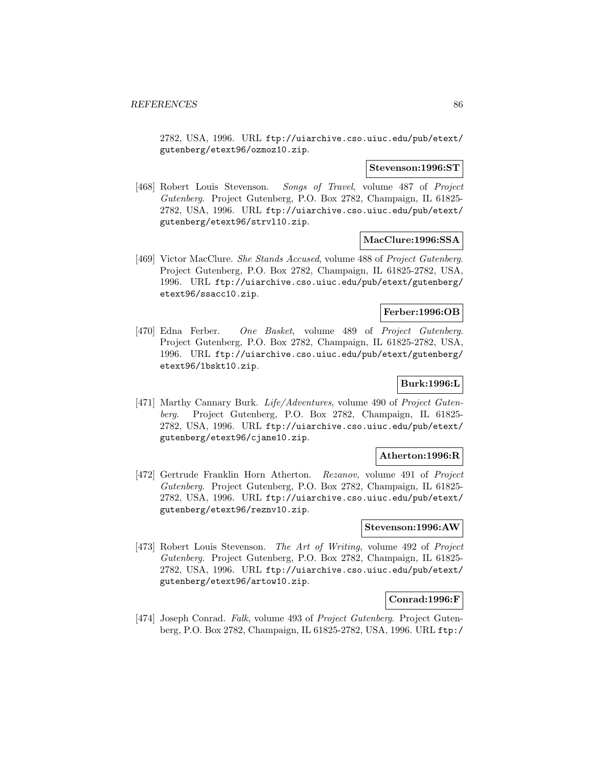2782, USA, 1996. URL ftp://uiarchive.cso.uiuc.edu/pub/etext/ gutenberg/etext96/ozmoz10.zip.

### **Stevenson:1996:ST**

[468] Robert Louis Stevenson. Songs of Travel, volume 487 of Project Gutenberg. Project Gutenberg, P.O. Box 2782, Champaign, IL 61825- 2782, USA, 1996. URL ftp://uiarchive.cso.uiuc.edu/pub/etext/ gutenberg/etext96/strvl10.zip.

### **MacClure:1996:SSA**

[469] Victor MacClure. She Stands Accused, volume 488 of Project Gutenberg. Project Gutenberg, P.O. Box 2782, Champaign, IL 61825-2782, USA, 1996. URL ftp://uiarchive.cso.uiuc.edu/pub/etext/gutenberg/ etext96/ssacc10.zip.

### **Ferber:1996:OB**

[470] Edna Ferber. One Basket, volume 489 of Project Gutenberg. Project Gutenberg, P.O. Box 2782, Champaign, IL 61825-2782, USA, 1996. URL ftp://uiarchive.cso.uiuc.edu/pub/etext/gutenberg/ etext96/1bskt10.zip.

# **Burk:1996:L**

[471] Marthy Cannary Burk. Life/Adventures, volume 490 of Project Gutenberg. Project Gutenberg, P.O. Box 2782, Champaign, IL 61825- 2782, USA, 1996. URL ftp://uiarchive.cso.uiuc.edu/pub/etext/ gutenberg/etext96/cjane10.zip.

# **Atherton:1996:R**

[472] Gertrude Franklin Horn Atherton. Rezanov, volume 491 of Project Gutenberg. Project Gutenberg, P.O. Box 2782, Champaign, IL 61825- 2782, USA, 1996. URL ftp://uiarchive.cso.uiuc.edu/pub/etext/ gutenberg/etext96/reznv10.zip.

# **Stevenson:1996:AW**

[473] Robert Louis Stevenson. The Art of Writing, volume 492 of Project Gutenberg. Project Gutenberg, P.O. Box 2782, Champaign, IL 61825- 2782, USA, 1996. URL ftp://uiarchive.cso.uiuc.edu/pub/etext/ gutenberg/etext96/artow10.zip.

# **Conrad:1996:F**

[474] Joseph Conrad. Falk, volume 493 of Project Gutenberg. Project Gutenberg, P.O. Box 2782, Champaign, IL 61825-2782, USA, 1996. URL ftp:/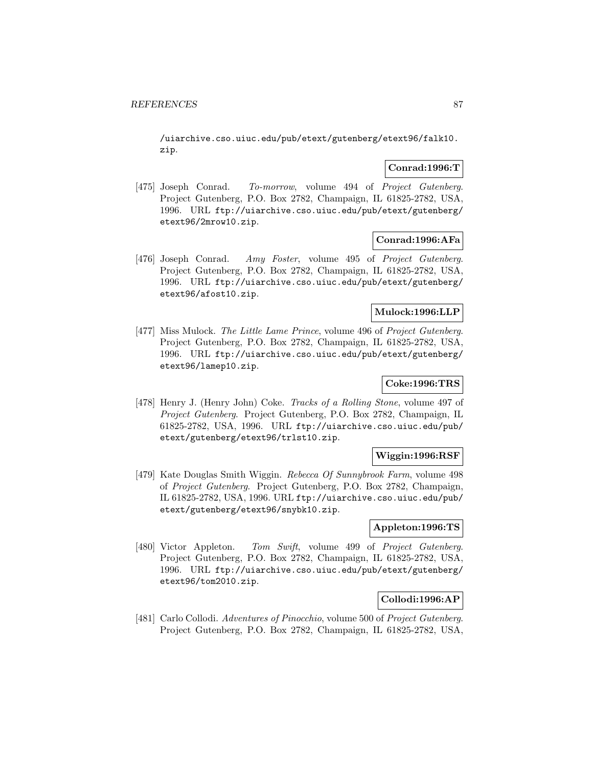/uiarchive.cso.uiuc.edu/pub/etext/gutenberg/etext96/falk10. zip.

# **Conrad:1996:T**

[475] Joseph Conrad. To-morrow, volume 494 of Project Gutenberg. Project Gutenberg, P.O. Box 2782, Champaign, IL 61825-2782, USA, 1996. URL ftp://uiarchive.cso.uiuc.edu/pub/etext/gutenberg/ etext96/2mrow10.zip.

### **Conrad:1996:AFa**

[476] Joseph Conrad. Amy Foster, volume 495 of Project Gutenberg. Project Gutenberg, P.O. Box 2782, Champaign, IL 61825-2782, USA, 1996. URL ftp://uiarchive.cso.uiuc.edu/pub/etext/gutenberg/ etext96/afost10.zip.

### **Mulock:1996:LLP**

[477] Miss Mulock. The Little Lame Prince, volume 496 of Project Gutenberg. Project Gutenberg, P.O. Box 2782, Champaign, IL 61825-2782, USA, 1996. URL ftp://uiarchive.cso.uiuc.edu/pub/etext/gutenberg/ etext96/lamep10.zip.

# **Coke:1996:TRS**

[478] Henry J. (Henry John) Coke. Tracks of a Rolling Stone, volume 497 of Project Gutenberg. Project Gutenberg, P.O. Box 2782, Champaign, IL 61825-2782, USA, 1996. URL ftp://uiarchive.cso.uiuc.edu/pub/ etext/gutenberg/etext96/trlst10.zip.

# **Wiggin:1996:RSF**

[479] Kate Douglas Smith Wiggin. Rebecca Of Sunnybrook Farm, volume 498 of Project Gutenberg. Project Gutenberg, P.O. Box 2782, Champaign, IL 61825-2782, USA, 1996. URL ftp://uiarchive.cso.uiuc.edu/pub/ etext/gutenberg/etext96/snybk10.zip.

# **Appleton:1996:TS**

[480] Victor Appleton. Tom Swift, volume 499 of Project Gutenberg. Project Gutenberg, P.O. Box 2782, Champaign, IL 61825-2782, USA, 1996. URL ftp://uiarchive.cso.uiuc.edu/pub/etext/gutenberg/ etext96/tom2010.zip.

# **Collodi:1996:AP**

[481] Carlo Collodi. Adventures of Pinocchio, volume 500 of Project Gutenberg. Project Gutenberg, P.O. Box 2782, Champaign, IL 61825-2782, USA,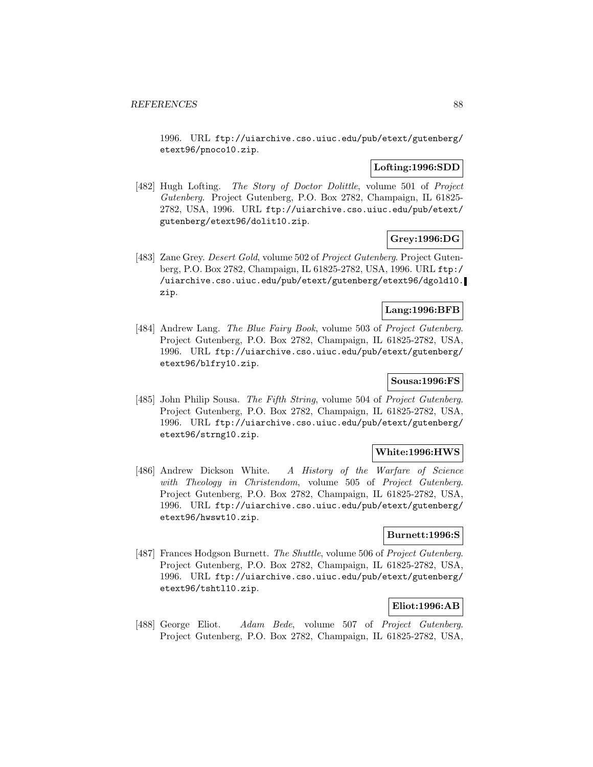1996. URL ftp://uiarchive.cso.uiuc.edu/pub/etext/gutenberg/ etext96/pnoco10.zip.

# **Lofting:1996:SDD**

[482] Hugh Lofting. The Story of Doctor Dolittle, volume 501 of Project Gutenberg. Project Gutenberg, P.O. Box 2782, Champaign, IL 61825- 2782, USA, 1996. URL ftp://uiarchive.cso.uiuc.edu/pub/etext/ gutenberg/etext96/dolit10.zip.

# **Grey:1996:DG**

[483] Zane Grey. Desert Gold, volume 502 of Project Gutenberg. Project Gutenberg, P.O. Box 2782, Champaign, IL 61825-2782, USA, 1996. URL ftp:/ /uiarchive.cso.uiuc.edu/pub/etext/gutenberg/etext96/dgold10. zip.

# **Lang:1996:BFB**

[484] Andrew Lang. The Blue Fairy Book, volume 503 of Project Gutenberg. Project Gutenberg, P.O. Box 2782, Champaign, IL 61825-2782, USA, 1996. URL ftp://uiarchive.cso.uiuc.edu/pub/etext/gutenberg/ etext96/blfry10.zip.

# **Sousa:1996:FS**

[485] John Philip Sousa. The Fifth String, volume 504 of Project Gutenberg. Project Gutenberg, P.O. Box 2782, Champaign, IL 61825-2782, USA, 1996. URL ftp://uiarchive.cso.uiuc.edu/pub/etext/gutenberg/ etext96/strng10.zip.

# **White:1996:HWS**

[486] Andrew Dickson White. A History of the Warfare of Science with Theology in Christendom, volume 505 of Project Gutenberg. Project Gutenberg, P.O. Box 2782, Champaign, IL 61825-2782, USA, 1996. URL ftp://uiarchive.cso.uiuc.edu/pub/etext/gutenberg/ etext96/hwswt10.zip.

# **Burnett:1996:S**

[487] Frances Hodgson Burnett. The Shuttle, volume 506 of Project Gutenberg. Project Gutenberg, P.O. Box 2782, Champaign, IL 61825-2782, USA, 1996. URL ftp://uiarchive.cso.uiuc.edu/pub/etext/gutenberg/ etext96/tshtl10.zip.

# **Eliot:1996:AB**

[488] George Eliot. Adam Bede, volume 507 of Project Gutenberg. Project Gutenberg, P.O. Box 2782, Champaign, IL 61825-2782, USA,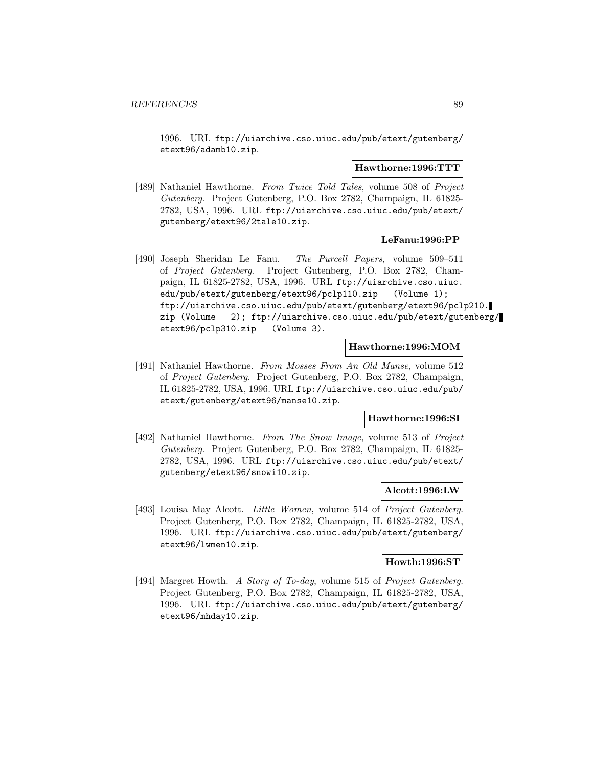1996. URL ftp://uiarchive.cso.uiuc.edu/pub/etext/gutenberg/ etext96/adamb10.zip.

#### **Hawthorne:1996:TTT**

[489] Nathaniel Hawthorne. From Twice Told Tales, volume 508 of Project Gutenberg. Project Gutenberg, P.O. Box 2782, Champaign, IL 61825- 2782, USA, 1996. URL ftp://uiarchive.cso.uiuc.edu/pub/etext/ gutenberg/etext96/2tale10.zip.

# **LeFanu:1996:PP**

[490] Joseph Sheridan Le Fanu. The Purcell Papers, volume 509–511 of Project Gutenberg. Project Gutenberg, P.O. Box 2782, Champaign, IL 61825-2782, USA, 1996. URL ftp://uiarchive.cso.uiuc. edu/pub/etext/gutenberg/etext96/pclp110.zip (Volume 1); ftp://uiarchive.cso.uiuc.edu/pub/etext/gutenberg/etext96/pclp210. zip (Volume 2); ftp://uiarchive.cso.uiuc.edu/pub/etext/gutenberg/ etext96/pclp310.zip (Volume 3).

### **Hawthorne:1996:MOM**

[491] Nathaniel Hawthorne. From Mosses From An Old Manse, volume 512 of Project Gutenberg. Project Gutenberg, P.O. Box 2782, Champaign, IL 61825-2782, USA, 1996. URL ftp://uiarchive.cso.uiuc.edu/pub/ etext/gutenberg/etext96/manse10.zip.

# **Hawthorne:1996:SI**

[492] Nathaniel Hawthorne. From The Snow Image, volume 513 of Project Gutenberg. Project Gutenberg, P.O. Box 2782, Champaign, IL 61825- 2782, USA, 1996. URL ftp://uiarchive.cso.uiuc.edu/pub/etext/ gutenberg/etext96/snowi10.zip.

#### **Alcott:1996:LW**

[493] Louisa May Alcott. Little Women, volume 514 of Project Gutenberg. Project Gutenberg, P.O. Box 2782, Champaign, IL 61825-2782, USA, 1996. URL ftp://uiarchive.cso.uiuc.edu/pub/etext/gutenberg/ etext96/lwmen10.zip.

# **Howth:1996:ST**

[494] Margret Howth. A Story of To-day, volume 515 of Project Gutenberg. Project Gutenberg, P.O. Box 2782, Champaign, IL 61825-2782, USA, 1996. URL ftp://uiarchive.cso.uiuc.edu/pub/etext/gutenberg/ etext96/mhday10.zip.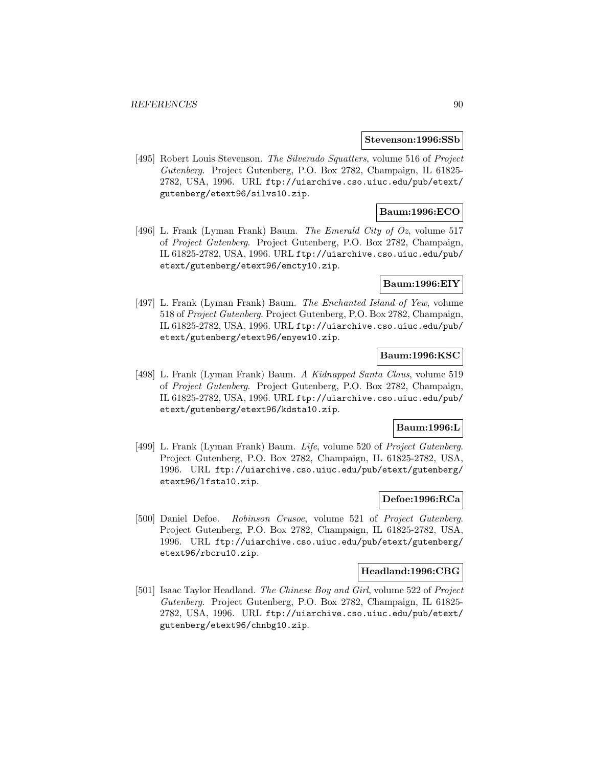#### **Stevenson:1996:SSb**

[495] Robert Louis Stevenson. The Silverado Squatters, volume 516 of Project Gutenberg. Project Gutenberg, P.O. Box 2782, Champaign, IL 61825- 2782, USA, 1996. URL ftp://uiarchive.cso.uiuc.edu/pub/etext/ gutenberg/etext96/silvs10.zip.

# **Baum:1996:ECO**

[496] L. Frank (Lyman Frank) Baum. The Emerald City of Oz, volume 517 of Project Gutenberg. Project Gutenberg, P.O. Box 2782, Champaign, IL 61825-2782, USA, 1996. URL ftp://uiarchive.cso.uiuc.edu/pub/ etext/gutenberg/etext96/emcty10.zip.

# **Baum:1996:EIY**

[497] L. Frank (Lyman Frank) Baum. The Enchanted Island of Yew, volume 518 of Project Gutenberg. Project Gutenberg, P.O. Box 2782, Champaign, IL 61825-2782, USA, 1996. URL ftp://uiarchive.cso.uiuc.edu/pub/ etext/gutenberg/etext96/enyew10.zip.

# **Baum:1996:KSC**

[498] L. Frank (Lyman Frank) Baum. A Kidnapped Santa Claus, volume 519 of Project Gutenberg. Project Gutenberg, P.O. Box 2782, Champaign, IL 61825-2782, USA, 1996. URL ftp://uiarchive.cso.uiuc.edu/pub/ etext/gutenberg/etext96/kdsta10.zip.

#### **Baum:1996:L**

[499] L. Frank (Lyman Frank) Baum. Life, volume 520 of Project Gutenberg. Project Gutenberg, P.O. Box 2782, Champaign, IL 61825-2782, USA, 1996. URL ftp://uiarchive.cso.uiuc.edu/pub/etext/gutenberg/ etext96/lfsta10.zip.

# **Defoe:1996:RCa**

[500] Daniel Defoe. Robinson Crusoe, volume 521 of Project Gutenberg. Project Gutenberg, P.O. Box 2782, Champaign, IL 61825-2782, USA, 1996. URL ftp://uiarchive.cso.uiuc.edu/pub/etext/gutenberg/ etext96/rbcru10.zip.

# **Headland:1996:CBG**

[501] Isaac Taylor Headland. The Chinese Boy and Girl, volume 522 of Project Gutenberg. Project Gutenberg, P.O. Box 2782, Champaign, IL 61825- 2782, USA, 1996. URL ftp://uiarchive.cso.uiuc.edu/pub/etext/ gutenberg/etext96/chnbg10.zip.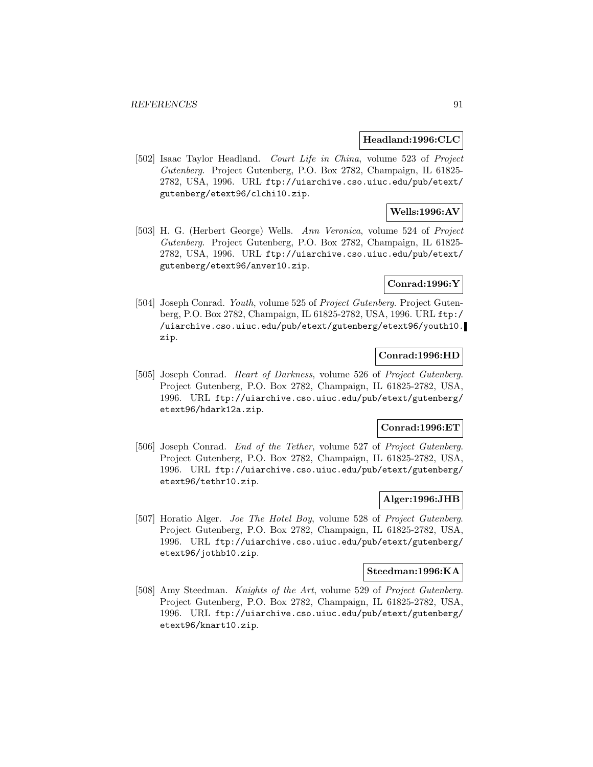#### **Headland:1996:CLC**

[502] Isaac Taylor Headland. Court Life in China, volume 523 of Project Gutenberg. Project Gutenberg, P.O. Box 2782, Champaign, IL 61825- 2782, USA, 1996. URL ftp://uiarchive.cso.uiuc.edu/pub/etext/ gutenberg/etext96/clchi10.zip.

# **Wells:1996:AV**

[503] H. G. (Herbert George) Wells. Ann Veronica, volume 524 of Project Gutenberg. Project Gutenberg, P.O. Box 2782, Champaign, IL 61825- 2782, USA, 1996. URL ftp://uiarchive.cso.uiuc.edu/pub/etext/ gutenberg/etext96/anver10.zip.

# **Conrad:1996:Y**

[504] Joseph Conrad. Youth, volume 525 of Project Gutenberg. Project Gutenberg, P.O. Box 2782, Champaign, IL 61825-2782, USA, 1996. URL ftp:/ /uiarchive.cso.uiuc.edu/pub/etext/gutenberg/etext96/youth10. zip.

# **Conrad:1996:HD**

[505] Joseph Conrad. Heart of Darkness, volume 526 of Project Gutenberg. Project Gutenberg, P.O. Box 2782, Champaign, IL 61825-2782, USA, 1996. URL ftp://uiarchive.cso.uiuc.edu/pub/etext/gutenberg/ etext96/hdark12a.zip.

# **Conrad:1996:ET**

[506] Joseph Conrad. End of the Tether, volume 527 of Project Gutenberg. Project Gutenberg, P.O. Box 2782, Champaign, IL 61825-2782, USA, 1996. URL ftp://uiarchive.cso.uiuc.edu/pub/etext/gutenberg/ etext96/tethr10.zip.

# **Alger:1996:JHB**

[507] Horatio Alger. Joe The Hotel Boy, volume 528 of Project Gutenberg. Project Gutenberg, P.O. Box 2782, Champaign, IL 61825-2782, USA, 1996. URL ftp://uiarchive.cso.uiuc.edu/pub/etext/gutenberg/ etext96/jothb10.zip.

#### **Steedman:1996:KA**

[508] Amy Steedman. Knights of the Art, volume 529 of Project Gutenberg. Project Gutenberg, P.O. Box 2782, Champaign, IL 61825-2782, USA, 1996. URL ftp://uiarchive.cso.uiuc.edu/pub/etext/gutenberg/ etext96/knart10.zip.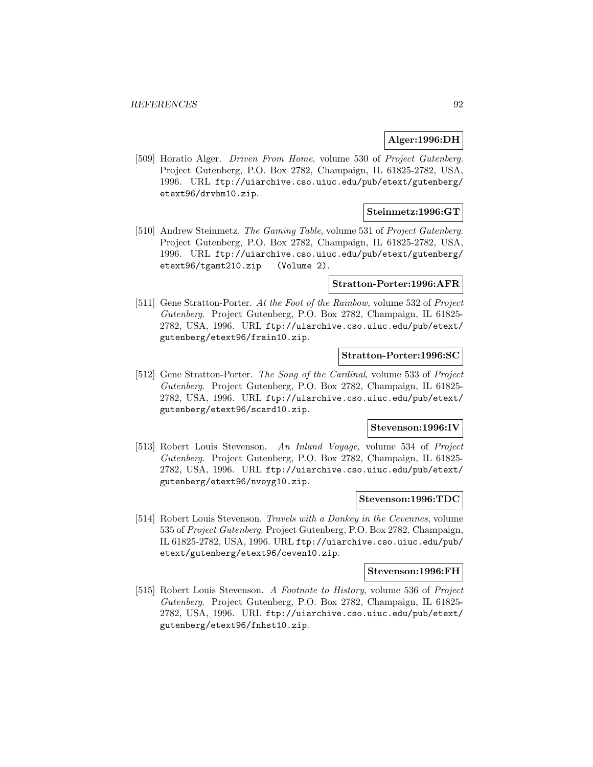# **Alger:1996:DH**

[509] Horatio Alger. Driven From Home, volume 530 of Project Gutenberg. Project Gutenberg, P.O. Box 2782, Champaign, IL 61825-2782, USA, 1996. URL ftp://uiarchive.cso.uiuc.edu/pub/etext/gutenberg/ etext96/drvhm10.zip.

### **Steinmetz:1996:GT**

[510] Andrew Steinmetz. The Gaming Table, volume 531 of Project Gutenberg. Project Gutenberg, P.O. Box 2782, Champaign, IL 61825-2782, USA, 1996. URL ftp://uiarchive.cso.uiuc.edu/pub/etext/gutenberg/ etext96/tgamt210.zip (Volume 2).

#### **Stratton-Porter:1996:AFR**

[511] Gene Stratton-Porter. At the Foot of the Rainbow, volume 532 of Project Gutenberg. Project Gutenberg, P.O. Box 2782, Champaign, IL 61825- 2782, USA, 1996. URL ftp://uiarchive.cso.uiuc.edu/pub/etext/ gutenberg/etext96/frain10.zip.

# **Stratton-Porter:1996:SC**

[512] Gene Stratton-Porter. The Song of the Cardinal, volume 533 of Project Gutenberg. Project Gutenberg, P.O. Box 2782, Champaign, IL 61825- 2782, USA, 1996. URL ftp://uiarchive.cso.uiuc.edu/pub/etext/ gutenberg/etext96/scard10.zip.

# **Stevenson:1996:IV**

[513] Robert Louis Stevenson. An Inland Voyage, volume 534 of Project Gutenberg. Project Gutenberg, P.O. Box 2782, Champaign, IL 61825- 2782, USA, 1996. URL ftp://uiarchive.cso.uiuc.edu/pub/etext/ gutenberg/etext96/nvoyg10.zip.

### **Stevenson:1996:TDC**

[514] Robert Louis Stevenson. Travels with a Donkey in the Cevennes, volume 535 of Project Gutenberg. Project Gutenberg, P.O. Box 2782, Champaign, IL 61825-2782, USA, 1996. URL ftp://uiarchive.cso.uiuc.edu/pub/ etext/gutenberg/etext96/ceven10.zip.

#### **Stevenson:1996:FH**

[515] Robert Louis Stevenson. A Footnote to History, volume 536 of Project Gutenberg. Project Gutenberg, P.O. Box 2782, Champaign, IL 61825- 2782, USA, 1996. URL ftp://uiarchive.cso.uiuc.edu/pub/etext/ gutenberg/etext96/fnhst10.zip.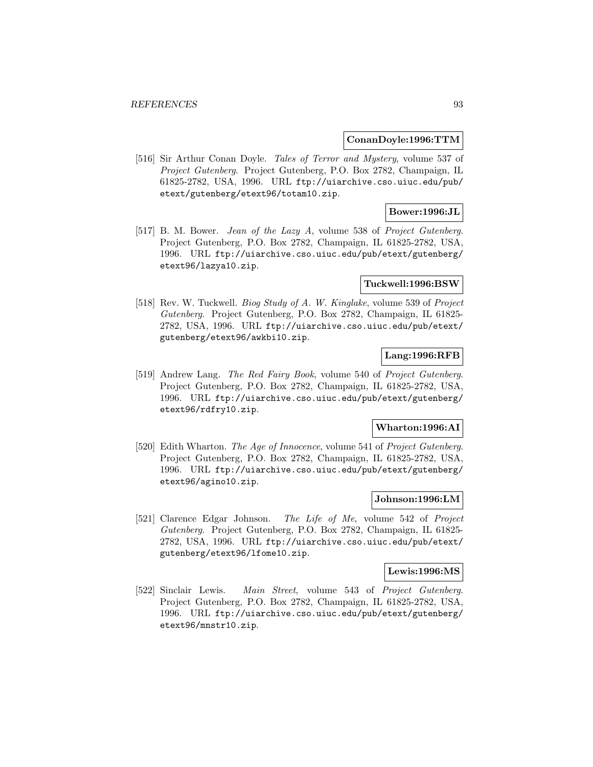### **ConanDoyle:1996:TTM**

[516] Sir Arthur Conan Doyle. Tales of Terror and Mystery, volume 537 of Project Gutenberg. Project Gutenberg, P.O. Box 2782, Champaign, IL 61825-2782, USA, 1996. URL ftp://uiarchive.cso.uiuc.edu/pub/ etext/gutenberg/etext96/totam10.zip.

# **Bower:1996:JL**

[517] B. M. Bower. *Jean of the Lazy A*, volume 538 of *Project Gutenberg*. Project Gutenberg, P.O. Box 2782, Champaign, IL 61825-2782, USA, 1996. URL ftp://uiarchive.cso.uiuc.edu/pub/etext/gutenberg/ etext96/lazya10.zip.

#### **Tuckwell:1996:BSW**

[518] Rev. W. Tuckwell. Biog Study of A. W. Kinglake, volume 539 of Project Gutenberg. Project Gutenberg, P.O. Box 2782, Champaign, IL 61825- 2782, USA, 1996. URL ftp://uiarchive.cso.uiuc.edu/pub/etext/ gutenberg/etext96/awkbi10.zip.

# **Lang:1996:RFB**

[519] Andrew Lang. The Red Fairy Book, volume 540 of Project Gutenberg. Project Gutenberg, P.O. Box 2782, Champaign, IL 61825-2782, USA, 1996. URL ftp://uiarchive.cso.uiuc.edu/pub/etext/gutenberg/ etext96/rdfry10.zip.

#### **Wharton:1996:AI**

[520] Edith Wharton. The Age of Innocence, volume 541 of Project Gutenberg. Project Gutenberg, P.O. Box 2782, Champaign, IL 61825-2782, USA, 1996. URL ftp://uiarchive.cso.uiuc.edu/pub/etext/gutenberg/ etext96/agino10.zip.

# **Johnson:1996:LM**

[521] Clarence Edgar Johnson. The Life of Me, volume 542 of Project Gutenberg. Project Gutenberg, P.O. Box 2782, Champaign, IL 61825- 2782, USA, 1996. URL ftp://uiarchive.cso.uiuc.edu/pub/etext/ gutenberg/etext96/lfome10.zip.

#### **Lewis:1996:MS**

[522] Sinclair Lewis. Main Street, volume 543 of Project Gutenberg. Project Gutenberg, P.O. Box 2782, Champaign, IL 61825-2782, USA, 1996. URL ftp://uiarchive.cso.uiuc.edu/pub/etext/gutenberg/ etext96/mnstr10.zip.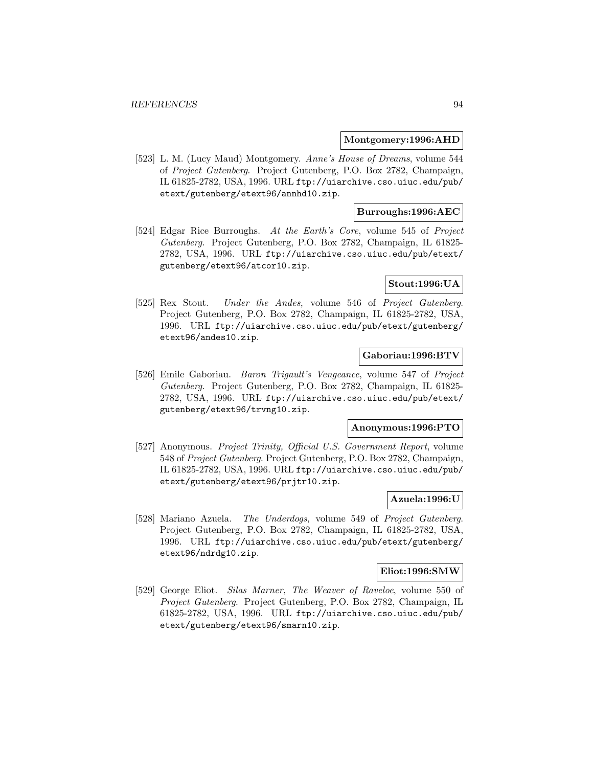### **Montgomery:1996:AHD**

[523] L. M. (Lucy Maud) Montgomery. Anne's House of Dreams, volume 544 of Project Gutenberg. Project Gutenberg, P.O. Box 2782, Champaign, IL 61825-2782, USA, 1996. URL ftp://uiarchive.cso.uiuc.edu/pub/ etext/gutenberg/etext96/annhd10.zip.

# **Burroughs:1996:AEC**

[524] Edgar Rice Burroughs. At the Earth's Core, volume 545 of Project Gutenberg. Project Gutenberg, P.O. Box 2782, Champaign, IL 61825- 2782, USA, 1996. URL ftp://uiarchive.cso.uiuc.edu/pub/etext/ gutenberg/etext96/atcor10.zip.

# **Stout:1996:UA**

[525] Rex Stout. Under the Andes, volume 546 of Project Gutenberg. Project Gutenberg, P.O. Box 2782, Champaign, IL 61825-2782, USA, 1996. URL ftp://uiarchive.cso.uiuc.edu/pub/etext/gutenberg/ etext96/andes10.zip.

# **Gaboriau:1996:BTV**

[526] Emile Gaboriau. Baron Trigault's Vengeance, volume 547 of Project Gutenberg. Project Gutenberg, P.O. Box 2782, Champaign, IL 61825- 2782, USA, 1996. URL ftp://uiarchive.cso.uiuc.edu/pub/etext/ gutenberg/etext96/trvng10.zip.

#### **Anonymous:1996:PTO**

[527] Anonymous. Project Trinity, Official U.S. Government Report, volume 548 of Project Gutenberg. Project Gutenberg, P.O. Box 2782, Champaign, IL 61825-2782, USA, 1996. URL ftp://uiarchive.cso.uiuc.edu/pub/ etext/gutenberg/etext96/prjtr10.zip.

# **Azuela:1996:U**

[528] Mariano Azuela. The Underdogs, volume 549 of Project Gutenberg. Project Gutenberg, P.O. Box 2782, Champaign, IL 61825-2782, USA, 1996. URL ftp://uiarchive.cso.uiuc.edu/pub/etext/gutenberg/ etext96/ndrdg10.zip.

#### **Eliot:1996:SMW**

[529] George Eliot. Silas Marner, The Weaver of Raveloe, volume 550 of Project Gutenberg. Project Gutenberg, P.O. Box 2782, Champaign, IL 61825-2782, USA, 1996. URL ftp://uiarchive.cso.uiuc.edu/pub/ etext/gutenberg/etext96/smarn10.zip.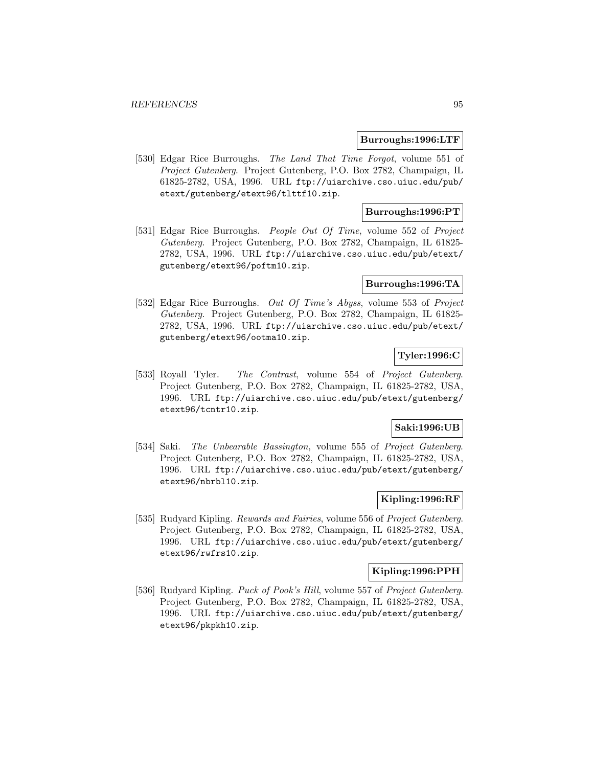#### **Burroughs:1996:LTF**

[530] Edgar Rice Burroughs. The Land That Time Forgot, volume 551 of Project Gutenberg. Project Gutenberg, P.O. Box 2782, Champaign, IL 61825-2782, USA, 1996. URL ftp://uiarchive.cso.uiuc.edu/pub/ etext/gutenberg/etext96/tlttf10.zip.

# **Burroughs:1996:PT**

[531] Edgar Rice Burroughs. People Out Of Time, volume 552 of Project Gutenberg. Project Gutenberg, P.O. Box 2782, Champaign, IL 61825- 2782, USA, 1996. URL ftp://uiarchive.cso.uiuc.edu/pub/etext/ gutenberg/etext96/poftm10.zip.

# **Burroughs:1996:TA**

[532] Edgar Rice Burroughs. Out Of Time's Abyss, volume 553 of Project Gutenberg. Project Gutenberg, P.O. Box 2782, Champaign, IL 61825- 2782, USA, 1996. URL ftp://uiarchive.cso.uiuc.edu/pub/etext/ gutenberg/etext96/ootma10.zip.

# **Tyler:1996:C**

[533] Royall Tyler. The Contrast, volume 554 of Project Gutenberg. Project Gutenberg, P.O. Box 2782, Champaign, IL 61825-2782, USA, 1996. URL ftp://uiarchive.cso.uiuc.edu/pub/etext/gutenberg/ etext96/tcntr10.zip.

### **Saki:1996:UB**

[534] Saki. The Unbearable Bassington, volume 555 of Project Gutenberg. Project Gutenberg, P.O. Box 2782, Champaign, IL 61825-2782, USA, 1996. URL ftp://uiarchive.cso.uiuc.edu/pub/etext/gutenberg/ etext96/nbrbl10.zip.

# **Kipling:1996:RF**

[535] Rudyard Kipling. *Rewards and Fairies*, volume 556 of *Project Gutenberg*. Project Gutenberg, P.O. Box 2782, Champaign, IL 61825-2782, USA, 1996. URL ftp://uiarchive.cso.uiuc.edu/pub/etext/gutenberg/ etext96/rwfrs10.zip.

### **Kipling:1996:PPH**

[536] Rudyard Kipling. Puck of Pook's Hill, volume 557 of Project Gutenberg. Project Gutenberg, P.O. Box 2782, Champaign, IL 61825-2782, USA, 1996. URL ftp://uiarchive.cso.uiuc.edu/pub/etext/gutenberg/ etext96/pkpkh10.zip.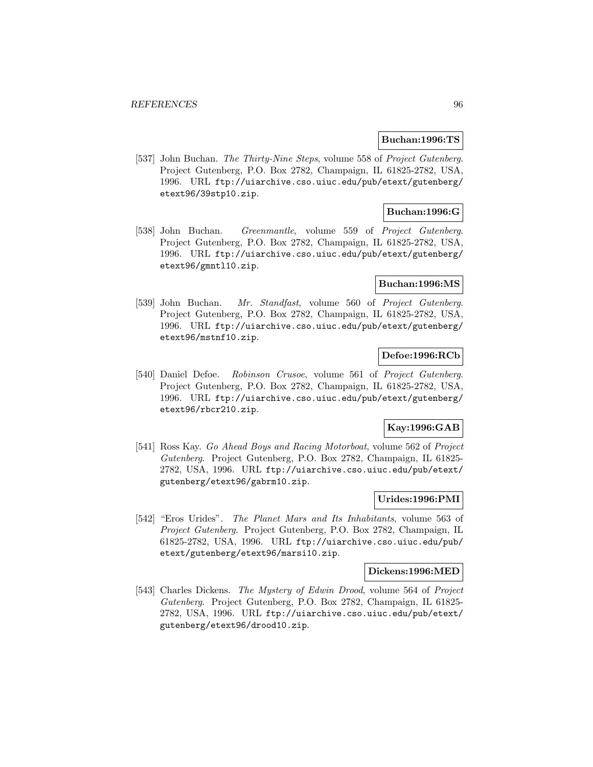### **Buchan:1996:TS**

[537] John Buchan. The Thirty-Nine Steps, volume 558 of Project Gutenberg. Project Gutenberg, P.O. Box 2782, Champaign, IL 61825-2782, USA, 1996. URL ftp://uiarchive.cso.uiuc.edu/pub/etext/gutenberg/ etext96/39stp10.zip.

# **Buchan:1996:G**

[538] John Buchan. Greenmantle, volume 559 of Project Gutenberg. Project Gutenberg, P.O. Box 2782, Champaign, IL 61825-2782, USA, 1996. URL ftp://uiarchive.cso.uiuc.edu/pub/etext/gutenberg/ etext96/gmntl10.zip.

### **Buchan:1996:MS**

[539] John Buchan. Mr. Standfast, volume 560 of Project Gutenberg. Project Gutenberg, P.O. Box 2782, Champaign, IL 61825-2782, USA, 1996. URL ftp://uiarchive.cso.uiuc.edu/pub/etext/gutenberg/ etext96/mstnf10.zip.

# **Defoe:1996:RCb**

[540] Daniel Defoe. Robinson Crusoe, volume 561 of Project Gutenberg. Project Gutenberg, P.O. Box 2782, Champaign, IL 61825-2782, USA, 1996. URL ftp://uiarchive.cso.uiuc.edu/pub/etext/gutenberg/ etext96/rbcr210.zip.

# **Kay:1996:GAB**

[541] Ross Kay. Go Ahead Boys and Racing Motorboat, volume 562 of Project Gutenberg. Project Gutenberg, P.O. Box 2782, Champaign, IL 61825- 2782, USA, 1996. URL ftp://uiarchive.cso.uiuc.edu/pub/etext/ gutenberg/etext96/gabrm10.zip.

# **Urides:1996:PMI**

[542] "Eros Urides". The Planet Mars and Its Inhabitants, volume 563 of Project Gutenberg. Project Gutenberg, P.O. Box 2782, Champaign, IL 61825-2782, USA, 1996. URL ftp://uiarchive.cso.uiuc.edu/pub/ etext/gutenberg/etext96/marsi10.zip.

#### **Dickens:1996:MED**

[543] Charles Dickens. The Mystery of Edwin Drood, volume 564 of Project Gutenberg. Project Gutenberg, P.O. Box 2782, Champaign, IL 61825- 2782, USA, 1996. URL ftp://uiarchive.cso.uiuc.edu/pub/etext/ gutenberg/etext96/drood10.zip.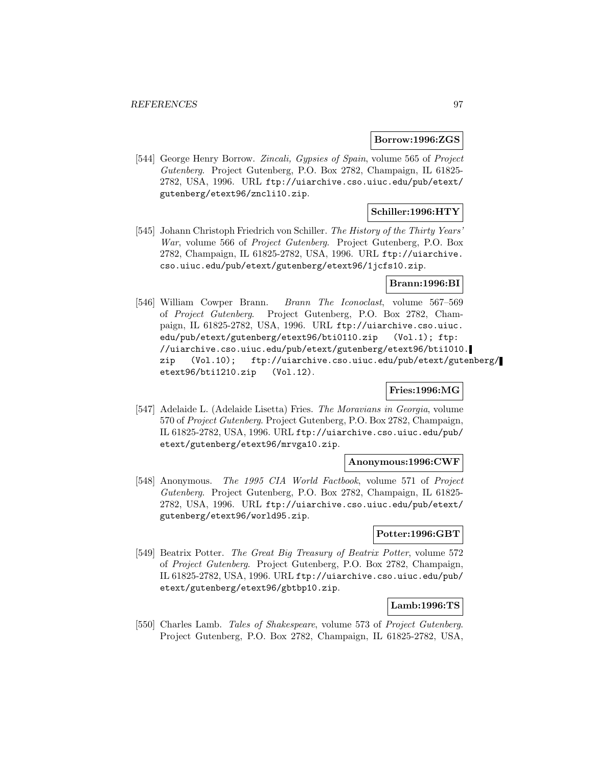#### **Borrow:1996:ZGS**

[544] George Henry Borrow. Zincali, Gypsies of Spain, volume 565 of Project Gutenberg. Project Gutenberg, P.O. Box 2782, Champaign, IL 61825- 2782, USA, 1996. URL ftp://uiarchive.cso.uiuc.edu/pub/etext/ gutenberg/etext96/zncli10.zip.

# **Schiller:1996:HTY**

[545] Johann Christoph Friedrich von Schiller. The History of the Thirty Years' War, volume 566 of Project Gutenberg. Project Gutenberg, P.O. Box 2782, Champaign, IL 61825-2782, USA, 1996. URL ftp://uiarchive. cso.uiuc.edu/pub/etext/gutenberg/etext96/1jcfs10.zip.

# **Brann:1996:BI**

[546] William Cowper Brann. Brann The Iconoclast, volume 567–569 of Project Gutenberg. Project Gutenberg, P.O. Box 2782, Champaign, IL 61825-2782, USA, 1996. URL ftp://uiarchive.cso.uiuc. edu/pub/etext/gutenberg/etext96/bti0110.zip (Vol.1); ftp: //uiarchive.cso.uiuc.edu/pub/etext/gutenberg/etext96/bti1010. zip (Vol.10); ftp://uiarchive.cso.uiuc.edu/pub/etext/gutenberg/ etext96/bti1210.zip (Vol.12).

# **Fries:1996:MG**

[547] Adelaide L. (Adelaide Lisetta) Fries. The Moravians in Georgia, volume 570 of Project Gutenberg. Project Gutenberg, P.O. Box 2782, Champaign, IL 61825-2782, USA, 1996. URL ftp://uiarchive.cso.uiuc.edu/pub/ etext/gutenberg/etext96/mrvga10.zip.

# **Anonymous:1996:CWF**

[548] Anonymous. The 1995 CIA World Factbook, volume 571 of Project Gutenberg. Project Gutenberg, P.O. Box 2782, Champaign, IL 61825- 2782, USA, 1996. URL ftp://uiarchive.cso.uiuc.edu/pub/etext/ gutenberg/etext96/world95.zip.

# **Potter:1996:GBT**

[549] Beatrix Potter. The Great Big Treasury of Beatrix Potter, volume 572 of Project Gutenberg. Project Gutenberg, P.O. Box 2782, Champaign, IL 61825-2782, USA, 1996. URL ftp://uiarchive.cso.uiuc.edu/pub/ etext/gutenberg/etext96/gbtbp10.zip.

### **Lamb:1996:TS**

[550] Charles Lamb. Tales of Shakespeare, volume 573 of Project Gutenberg. Project Gutenberg, P.O. Box 2782, Champaign, IL 61825-2782, USA,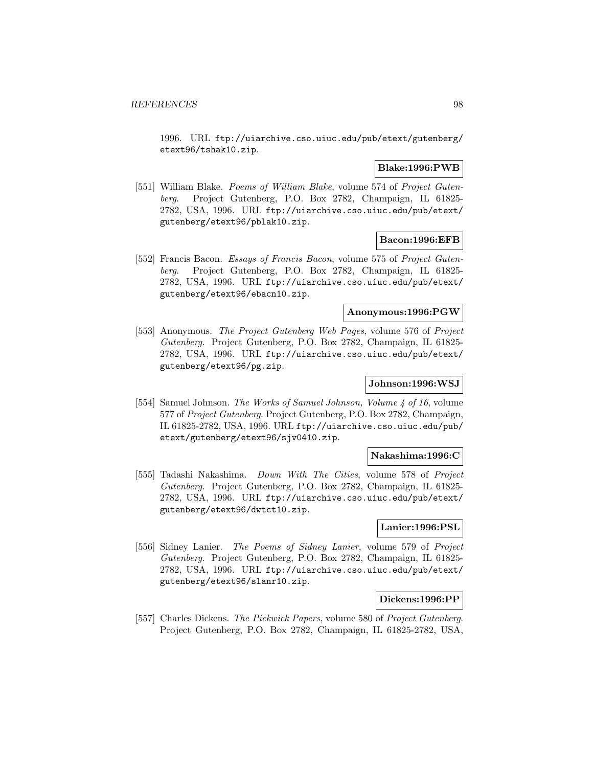1996. URL ftp://uiarchive.cso.uiuc.edu/pub/etext/gutenberg/ etext96/tshak10.zip.

# **Blake:1996:PWB**

[551] William Blake. *Poems of William Blake*, volume 574 of *Project Guten*berg. Project Gutenberg, P.O. Box 2782, Champaign, IL 61825- 2782, USA, 1996. URL ftp://uiarchive.cso.uiuc.edu/pub/etext/ gutenberg/etext96/pblak10.zip.

# **Bacon:1996:EFB**

[552] Francis Bacon. *Essays of Francis Bacon*, volume 575 of *Project Guten*berg. Project Gutenberg, P.O. Box 2782, Champaign, IL 61825- 2782, USA, 1996. URL ftp://uiarchive.cso.uiuc.edu/pub/etext/ gutenberg/etext96/ebacn10.zip.

# **Anonymous:1996:PGW**

[553] Anonymous. The Project Gutenberg Web Pages, volume 576 of Project Gutenberg. Project Gutenberg, P.O. Box 2782, Champaign, IL 61825- 2782, USA, 1996. URL ftp://uiarchive.cso.uiuc.edu/pub/etext/ gutenberg/etext96/pg.zip.

# **Johnson:1996:WSJ**

[554] Samuel Johnson. The Works of Samuel Johnson, Volume 4 of 16, volume 577 of Project Gutenberg. Project Gutenberg, P.O. Box 2782, Champaign, IL 61825-2782, USA, 1996. URL ftp://uiarchive.cso.uiuc.edu/pub/ etext/gutenberg/etext96/sjv0410.zip.

# **Nakashima:1996:C**

[555] Tadashi Nakashima. Down With The Cities, volume 578 of Project Gutenberg. Project Gutenberg, P.O. Box 2782, Champaign, IL 61825- 2782, USA, 1996. URL ftp://uiarchive.cso.uiuc.edu/pub/etext/ gutenberg/etext96/dwtct10.zip.

# **Lanier:1996:PSL**

[556] Sidney Lanier. The Poems of Sidney Lanier, volume 579 of Project Gutenberg. Project Gutenberg, P.O. Box 2782, Champaign, IL 61825- 2782, USA, 1996. URL ftp://uiarchive.cso.uiuc.edu/pub/etext/ gutenberg/etext96/slanr10.zip.

# **Dickens:1996:PP**

[557] Charles Dickens. The Pickwick Papers, volume 580 of Project Gutenberg. Project Gutenberg, P.O. Box 2782, Champaign, IL 61825-2782, USA,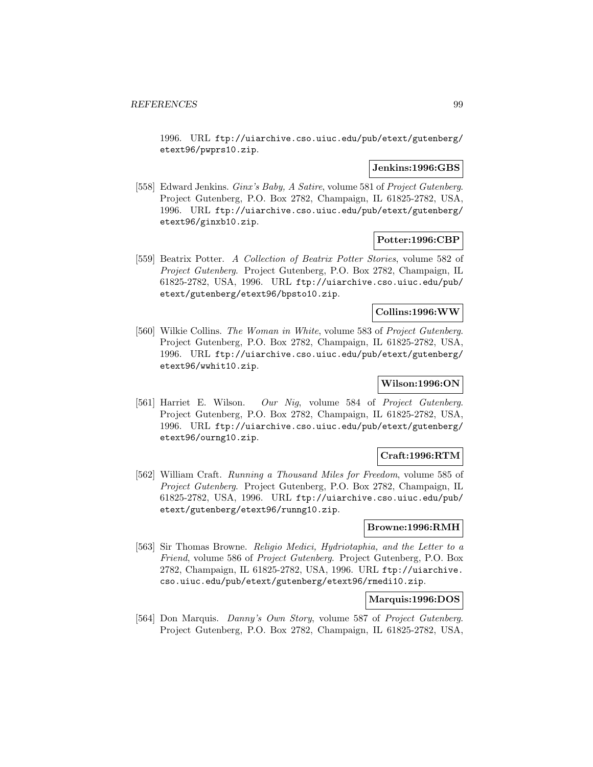1996. URL ftp://uiarchive.cso.uiuc.edu/pub/etext/gutenberg/ etext96/pwprs10.zip.

### **Jenkins:1996:GBS**

[558] Edward Jenkins. Ginx's Baby, A Satire, volume 581 of Project Gutenberg. Project Gutenberg, P.O. Box 2782, Champaign, IL 61825-2782, USA, 1996. URL ftp://uiarchive.cso.uiuc.edu/pub/etext/gutenberg/ etext96/ginxb10.zip.

# **Potter:1996:CBP**

[559] Beatrix Potter. A Collection of Beatrix Potter Stories, volume 582 of Project Gutenberg. Project Gutenberg, P.O. Box 2782, Champaign, IL 61825-2782, USA, 1996. URL ftp://uiarchive.cso.uiuc.edu/pub/ etext/gutenberg/etext96/bpsto10.zip.

### **Collins:1996:WW**

[560] Wilkie Collins. The Woman in White, volume 583 of Project Gutenberg. Project Gutenberg, P.O. Box 2782, Champaign, IL 61825-2782, USA, 1996. URL ftp://uiarchive.cso.uiuc.edu/pub/etext/gutenberg/ etext96/wwhit10.zip.

# **Wilson:1996:ON**

[561] Harriet E. Wilson. Our Nig, volume 584 of Project Gutenberg. Project Gutenberg, P.O. Box 2782, Champaign, IL 61825-2782, USA, 1996. URL ftp://uiarchive.cso.uiuc.edu/pub/etext/gutenberg/ etext96/ourng10.zip.

# **Craft:1996:RTM**

[562] William Craft. Running a Thousand Miles for Freedom, volume 585 of Project Gutenberg. Project Gutenberg, P.O. Box 2782, Champaign, IL 61825-2782, USA, 1996. URL ftp://uiarchive.cso.uiuc.edu/pub/ etext/gutenberg/etext96/runng10.zip.

### **Browne:1996:RMH**

[563] Sir Thomas Browne. Religio Medici, Hydriotaphia, and the Letter to a Friend, volume 586 of Project Gutenberg. Project Gutenberg, P.O. Box 2782, Champaign, IL 61825-2782, USA, 1996. URL ftp://uiarchive. cso.uiuc.edu/pub/etext/gutenberg/etext96/rmedi10.zip.

### **Marquis:1996:DOS**

[564] Don Marquis. Danny's Own Story, volume 587 of Project Gutenberg. Project Gutenberg, P.O. Box 2782, Champaign, IL 61825-2782, USA,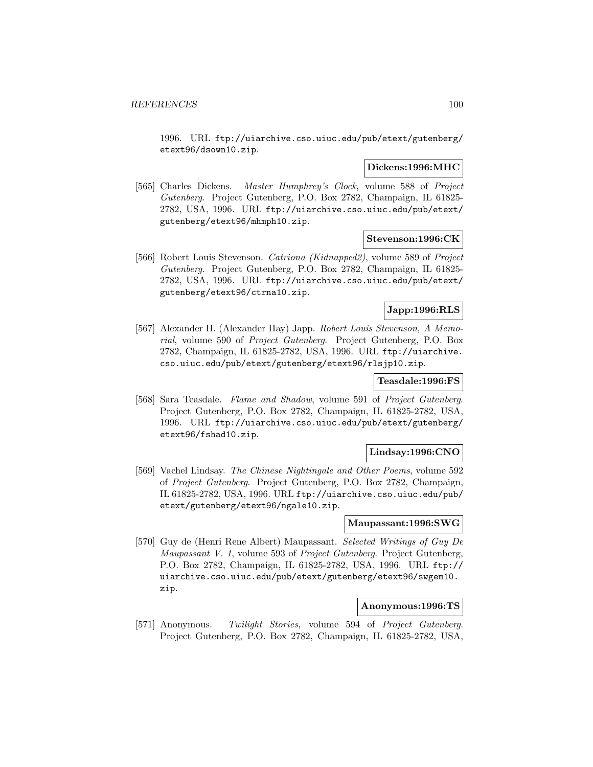1996. URL ftp://uiarchive.cso.uiuc.edu/pub/etext/gutenberg/ etext96/dsown10.zip.

## **Dickens:1996:MHC**

[565] Charles Dickens. Master Humphrey's Clock, volume 588 of Project Gutenberg. Project Gutenberg, P.O. Box 2782, Champaign, IL 61825- 2782, USA, 1996. URL ftp://uiarchive.cso.uiuc.edu/pub/etext/ gutenberg/etext96/mhmph10.zip.

# **Stevenson:1996:CK**

[566] Robert Louis Stevenson. Catriona (Kidnapped2), volume 589 of Project Gutenberg. Project Gutenberg, P.O. Box 2782, Champaign, IL 61825- 2782, USA, 1996. URL ftp://uiarchive.cso.uiuc.edu/pub/etext/ gutenberg/etext96/ctrna10.zip.

# **Japp:1996:RLS**

[567] Alexander H. (Alexander Hay) Japp. Robert Louis Stevenson, A Memorial, volume 590 of Project Gutenberg. Project Gutenberg, P.O. Box 2782, Champaign, IL 61825-2782, USA, 1996. URL ftp://uiarchive. cso.uiuc.edu/pub/etext/gutenberg/etext96/rlsjp10.zip.

# **Teasdale:1996:FS**

[568] Sara Teasdale. Flame and Shadow, volume 591 of Project Gutenberg. Project Gutenberg, P.O. Box 2782, Champaign, IL 61825-2782, USA, 1996. URL ftp://uiarchive.cso.uiuc.edu/pub/etext/gutenberg/ etext96/fshad10.zip.

### **Lindsay:1996:CNO**

[569] Vachel Lindsay. The Chinese Nightingale and Other Poems, volume 592 of Project Gutenberg. Project Gutenberg, P.O. Box 2782, Champaign, IL 61825-2782, USA, 1996. URL ftp://uiarchive.cso.uiuc.edu/pub/ etext/gutenberg/etext96/ngale10.zip.

#### **Maupassant:1996:SWG**

[570] Guy de (Henri Rene Albert) Maupassant. Selected Writings of Guy De Maupassant V. 1, volume 593 of Project Gutenberg. Project Gutenberg, P.O. Box 2782, Champaign, IL 61825-2782, USA, 1996. URL ftp:// uiarchive.cso.uiuc.edu/pub/etext/gutenberg/etext96/swgem10. zip.

# **Anonymous:1996:TS**

[571] Anonymous. Twilight Stories, volume 594 of Project Gutenberg. Project Gutenberg, P.O. Box 2782, Champaign, IL 61825-2782, USA,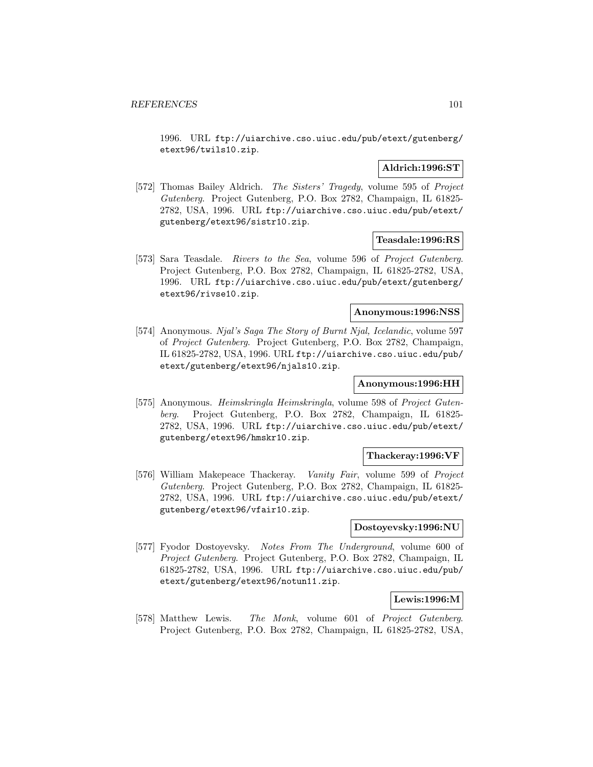1996. URL ftp://uiarchive.cso.uiuc.edu/pub/etext/gutenberg/ etext96/twils10.zip.

# **Aldrich:1996:ST**

[572] Thomas Bailey Aldrich. The Sisters' Tragedy, volume 595 of Project Gutenberg. Project Gutenberg, P.O. Box 2782, Champaign, IL 61825- 2782, USA, 1996. URL ftp://uiarchive.cso.uiuc.edu/pub/etext/ gutenberg/etext96/sistr10.zip.

### **Teasdale:1996:RS**

[573] Sara Teasdale. Rivers to the Sea, volume 596 of Project Gutenberg. Project Gutenberg, P.O. Box 2782, Champaign, IL 61825-2782, USA, 1996. URL ftp://uiarchive.cso.uiuc.edu/pub/etext/gutenberg/ etext96/rivse10.zip.

# **Anonymous:1996:NSS**

[574] Anonymous. Njal's Saga The Story of Burnt Njal, Icelandic, volume 597 of Project Gutenberg. Project Gutenberg, P.O. Box 2782, Champaign, IL 61825-2782, USA, 1996. URL ftp://uiarchive.cso.uiuc.edu/pub/ etext/gutenberg/etext96/njals10.zip.

# **Anonymous:1996:HH**

[575] Anonymous. Heimskringla Heimskringla, volume 598 of Project Gutenberg. Project Gutenberg, P.O. Box 2782, Champaign, IL 61825- 2782, USA, 1996. URL ftp://uiarchive.cso.uiuc.edu/pub/etext/ gutenberg/etext96/hmskr10.zip.

#### **Thackeray:1996:VF**

[576] William Makepeace Thackeray. Vanity Fair, volume 599 of Project Gutenberg. Project Gutenberg, P.O. Box 2782, Champaign, IL 61825- 2782, USA, 1996. URL ftp://uiarchive.cso.uiuc.edu/pub/etext/ gutenberg/etext96/vfair10.zip.

# **Dostoyevsky:1996:NU**

[577] Fyodor Dostoyevsky. Notes From The Underground, volume 600 of Project Gutenberg. Project Gutenberg, P.O. Box 2782, Champaign, IL 61825-2782, USA, 1996. URL ftp://uiarchive.cso.uiuc.edu/pub/ etext/gutenberg/etext96/notun11.zip.

# **Lewis:1996:M**

[578] Matthew Lewis. The Monk, volume 601 of Project Gutenberg. Project Gutenberg, P.O. Box 2782, Champaign, IL 61825-2782, USA,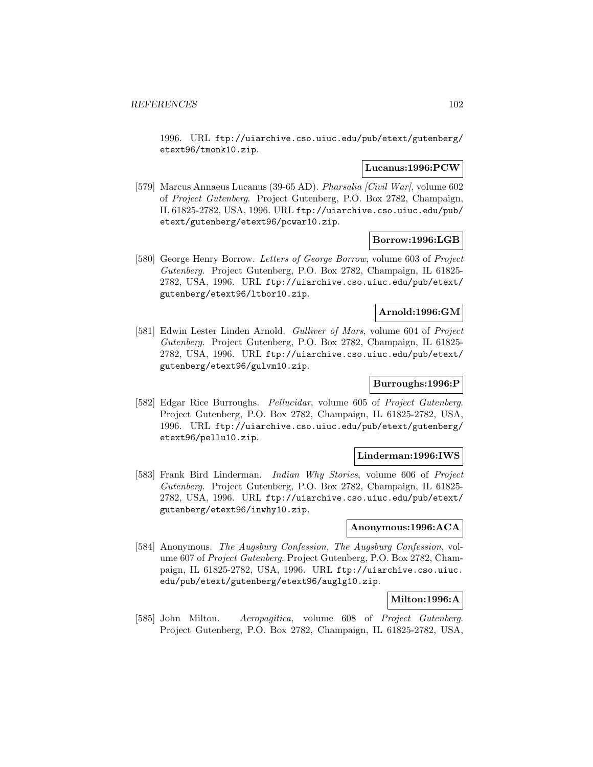1996. URL ftp://uiarchive.cso.uiuc.edu/pub/etext/gutenberg/ etext96/tmonk10.zip.

# **Lucanus:1996:PCW**

[579] Marcus Annaeus Lucanus (39-65 AD). Pharsalia [Civil War], volume 602 of Project Gutenberg. Project Gutenberg, P.O. Box 2782, Champaign, IL 61825-2782, USA, 1996. URL ftp://uiarchive.cso.uiuc.edu/pub/ etext/gutenberg/etext96/pcwar10.zip.

### **Borrow:1996:LGB**

[580] George Henry Borrow. Letters of George Borrow, volume 603 of Project Gutenberg. Project Gutenberg, P.O. Box 2782, Champaign, IL 61825- 2782, USA, 1996. URL ftp://uiarchive.cso.uiuc.edu/pub/etext/ gutenberg/etext96/ltbor10.zip.

# **Arnold:1996:GM**

[581] Edwin Lester Linden Arnold. Gulliver of Mars, volume 604 of Project Gutenberg. Project Gutenberg, P.O. Box 2782, Champaign, IL 61825- 2782, USA, 1996. URL ftp://uiarchive.cso.uiuc.edu/pub/etext/ gutenberg/etext96/gulvm10.zip.

# **Burroughs:1996:P**

[582] Edgar Rice Burroughs. Pellucidar, volume 605 of Project Gutenberg. Project Gutenberg, P.O. Box 2782, Champaign, IL 61825-2782, USA, 1996. URL ftp://uiarchive.cso.uiuc.edu/pub/etext/gutenberg/ etext96/pellu10.zip.

#### **Linderman:1996:IWS**

[583] Frank Bird Linderman. *Indian Why Stories*, volume 606 of *Project* Gutenberg. Project Gutenberg, P.O. Box 2782, Champaign, IL 61825- 2782, USA, 1996. URL ftp://uiarchive.cso.uiuc.edu/pub/etext/ gutenberg/etext96/inwhy10.zip.

# **Anonymous:1996:ACA**

[584] Anonymous. The Augsburg Confession, The Augsburg Confession, volume 607 of Project Gutenberg. Project Gutenberg, P.O. Box 2782, Champaign, IL 61825-2782, USA, 1996. URL ftp://uiarchive.cso.uiuc. edu/pub/etext/gutenberg/etext96/auglg10.zip.

# **Milton:1996:A**

[585] John Milton. Aeropagitica, volume 608 of Project Gutenberg. Project Gutenberg, P.O. Box 2782, Champaign, IL 61825-2782, USA,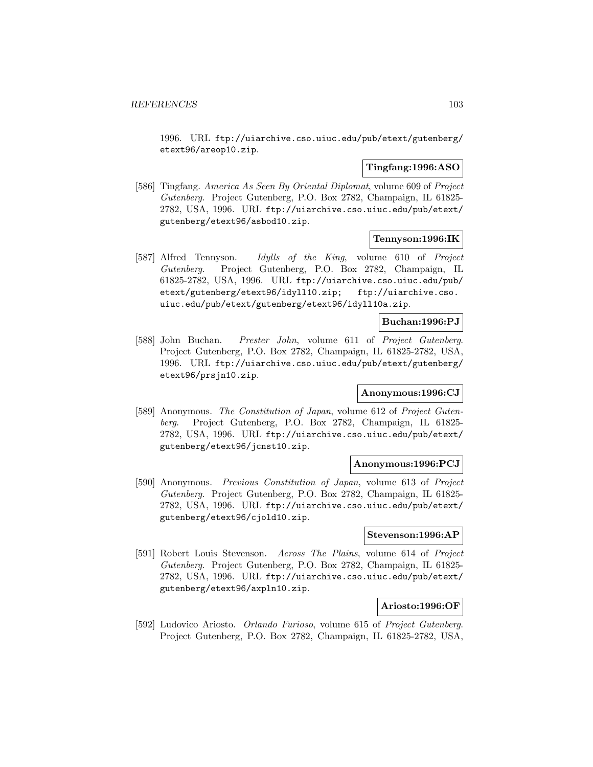1996. URL ftp://uiarchive.cso.uiuc.edu/pub/etext/gutenberg/ etext96/areop10.zip.

## **Tingfang:1996:ASO**

[586] Tingfang. America As Seen By Oriental Diplomat, volume 609 of Project Gutenberg. Project Gutenberg, P.O. Box 2782, Champaign, IL 61825- 2782, USA, 1996. URL ftp://uiarchive.cso.uiuc.edu/pub/etext/ gutenberg/etext96/asbod10.zip.

# **Tennyson:1996:IK**

[587] Alfred Tennyson. Idylls of the King, volume 610 of Project Gutenberg. Project Gutenberg, P.O. Box 2782, Champaign, IL 61825-2782, USA, 1996. URL ftp://uiarchive.cso.uiuc.edu/pub/ etext/gutenberg/etext96/idyll10.zip; ftp://uiarchive.cso. uiuc.edu/pub/etext/gutenberg/etext96/idyll10a.zip.

### **Buchan:1996:PJ**

[588] John Buchan. Prester John, volume 611 of Project Gutenberg. Project Gutenberg, P.O. Box 2782, Champaign, IL 61825-2782, USA, 1996. URL ftp://uiarchive.cso.uiuc.edu/pub/etext/gutenberg/ etext96/prsjn10.zip.

# **Anonymous:1996:CJ**

[589] Anonymous. The Constitution of Japan, volume 612 of Project Gutenberg. Project Gutenberg, P.O. Box 2782, Champaign, IL 61825- 2782, USA, 1996. URL ftp://uiarchive.cso.uiuc.edu/pub/etext/ gutenberg/etext96/jcnst10.zip.

### **Anonymous:1996:PCJ**

[590] Anonymous. Previous Constitution of Japan, volume 613 of Project Gutenberg. Project Gutenberg, P.O. Box 2782, Champaign, IL 61825- 2782, USA, 1996. URL ftp://uiarchive.cso.uiuc.edu/pub/etext/ gutenberg/etext96/cjold10.zip.

# **Stevenson:1996:AP**

[591] Robert Louis Stevenson. Across The Plains, volume 614 of Project Gutenberg. Project Gutenberg, P.O. Box 2782, Champaign, IL 61825- 2782, USA, 1996. URL ftp://uiarchive.cso.uiuc.edu/pub/etext/ gutenberg/etext96/axpln10.zip.

# **Ariosto:1996:OF**

[592] Ludovico Ariosto. Orlando Furioso, volume 615 of Project Gutenberg. Project Gutenberg, P.O. Box 2782, Champaign, IL 61825-2782, USA,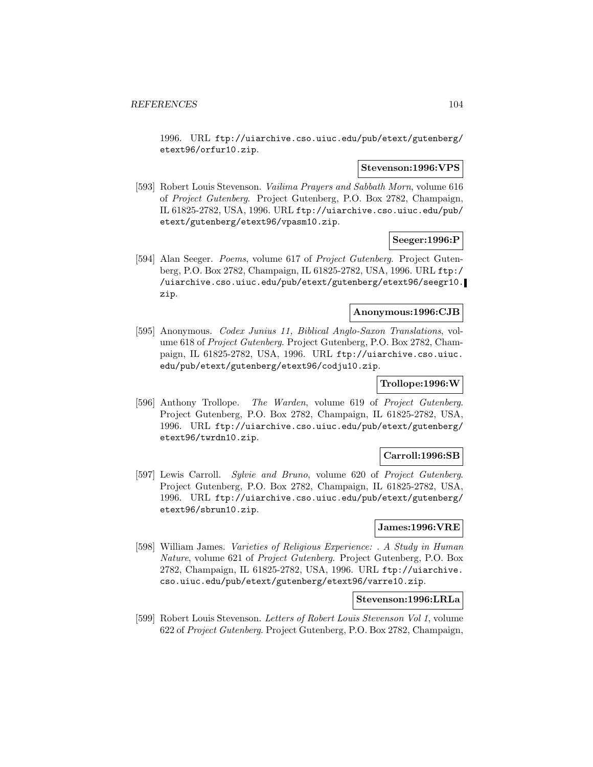1996. URL ftp://uiarchive.cso.uiuc.edu/pub/etext/gutenberg/ etext96/orfur10.zip.

#### **Stevenson:1996:VPS**

[593] Robert Louis Stevenson. Vailima Prayers and Sabbath Morn, volume 616 of Project Gutenberg. Project Gutenberg, P.O. Box 2782, Champaign, IL 61825-2782, USA, 1996. URL ftp://uiarchive.cso.uiuc.edu/pub/ etext/gutenberg/etext96/vpasm10.zip.

# **Seeger:1996:P**

[594] Alan Seeger. *Poems*, volume 617 of *Project Gutenberg*. Project Gutenberg, P.O. Box 2782, Champaign, IL 61825-2782, USA, 1996. URL ftp:/ /uiarchive.cso.uiuc.edu/pub/etext/gutenberg/etext96/seegr10. zip.

#### **Anonymous:1996:CJB**

[595] Anonymous. Codex Junius 11, Biblical Anglo-Saxon Translations, volume 618 of Project Gutenberg. Project Gutenberg, P.O. Box 2782, Champaign, IL 61825-2782, USA, 1996. URL ftp://uiarchive.cso.uiuc. edu/pub/etext/gutenberg/etext96/codju10.zip.

# **Trollope:1996:W**

[596] Anthony Trollope. The Warden, volume 619 of Project Gutenberg. Project Gutenberg, P.O. Box 2782, Champaign, IL 61825-2782, USA, 1996. URL ftp://uiarchive.cso.uiuc.edu/pub/etext/gutenberg/ etext96/twrdn10.zip.

#### **Carroll:1996:SB**

[597] Lewis Carroll. Sylvie and Bruno, volume 620 of Project Gutenberg. Project Gutenberg, P.O. Box 2782, Champaign, IL 61825-2782, USA, 1996. URL ftp://uiarchive.cso.uiuc.edu/pub/etext/gutenberg/ etext96/sbrun10.zip.

# **James:1996:VRE**

[598] William James. Varieties of Religious Experience: . A Study in Human Nature, volume 621 of Project Gutenberg. Project Gutenberg, P.O. Box 2782, Champaign, IL 61825-2782, USA, 1996. URL ftp://uiarchive. cso.uiuc.edu/pub/etext/gutenberg/etext96/varre10.zip.

### **Stevenson:1996:LRLa**

[599] Robert Louis Stevenson. Letters of Robert Louis Stevenson Vol 1, volume 622 of Project Gutenberg. Project Gutenberg, P.O. Box 2782, Champaign,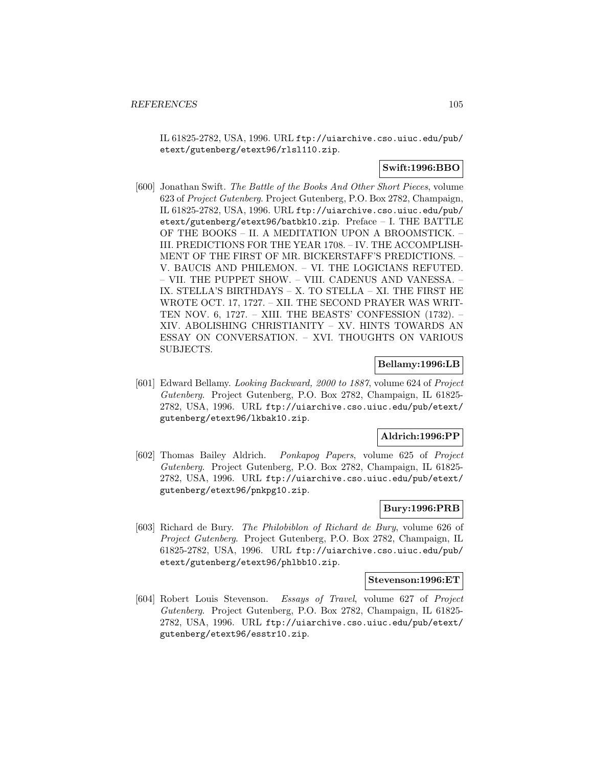IL 61825-2782, USA, 1996. URL ftp://uiarchive.cso.uiuc.edu/pub/ etext/gutenberg/etext96/rlsl110.zip.

# **Swift:1996:BBO**

[600] Jonathan Swift. The Battle of the Books And Other Short Pieces, volume 623 of Project Gutenberg. Project Gutenberg, P.O. Box 2782, Champaign, IL 61825-2782, USA, 1996. URL ftp://uiarchive.cso.uiuc.edu/pub/ etext/gutenberg/etext96/batbk10.zip. Preface – I. THE BATTLE OF THE BOOKS – II. A MEDITATION UPON A BROOMSTICK. – III. PREDICTIONS FOR THE YEAR 1708. – IV. THE ACCOMPLISH-MENT OF THE FIRST OF MR. BICKERSTAFF'S PREDICTIONS. – V. BAUCIS AND PHILEMON. – VI. THE LOGICIANS REFUTED. – VII. THE PUPPET SHOW. – VIII. CADENUS AND VANESSA. – IX. STELLA'S BIRTHDAYS – X. TO STELLA – XI. THE FIRST HE WROTE OCT. 17, 1727. – XII. THE SECOND PRAYER WAS WRIT-TEN NOV. 6, 1727. – XIII. THE BEASTS' CONFESSION (1732). – XIV. ABOLISHING CHRISTIANITY – XV. HINTS TOWARDS AN ESSAY ON CONVERSATION. – XVI. THOUGHTS ON VARIOUS SUBJECTS.

### **Bellamy:1996:LB**

[601] Edward Bellamy. Looking Backward, 2000 to 1887, volume 624 of Project Gutenberg. Project Gutenberg, P.O. Box 2782, Champaign, IL 61825- 2782, USA, 1996. URL ftp://uiarchive.cso.uiuc.edu/pub/etext/ gutenberg/etext96/lkbak10.zip.

# **Aldrich:1996:PP**

[602] Thomas Bailey Aldrich. Ponkapog Papers, volume 625 of Project Gutenberg. Project Gutenberg, P.O. Box 2782, Champaign, IL 61825- 2782, USA, 1996. URL ftp://uiarchive.cso.uiuc.edu/pub/etext/ gutenberg/etext96/pnkpg10.zip.

# **Bury:1996:PRB**

[603] Richard de Bury. The Philobiblon of Richard de Bury, volume 626 of Project Gutenberg. Project Gutenberg, P.O. Box 2782, Champaign, IL 61825-2782, USA, 1996. URL ftp://uiarchive.cso.uiuc.edu/pub/ etext/gutenberg/etext96/phlbb10.zip.

### **Stevenson:1996:ET**

[604] Robert Louis Stevenson. Essays of Travel, volume 627 of Project Gutenberg. Project Gutenberg, P.O. Box 2782, Champaign, IL 61825- 2782, USA, 1996. URL ftp://uiarchive.cso.uiuc.edu/pub/etext/ gutenberg/etext96/esstr10.zip.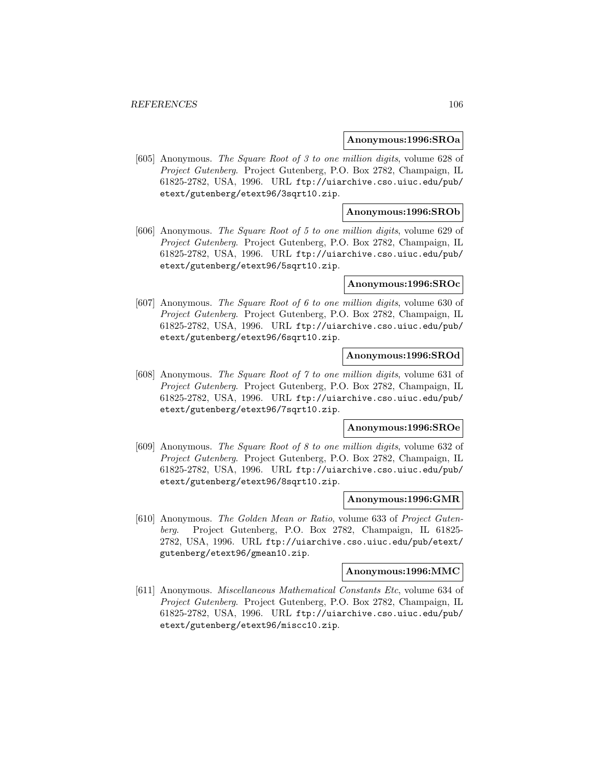#### **Anonymous:1996:SROa**

[605] Anonymous. The Square Root of 3 to one million digits, volume 628 of Project Gutenberg. Project Gutenberg, P.O. Box 2782, Champaign, IL 61825-2782, USA, 1996. URL ftp://uiarchive.cso.uiuc.edu/pub/ etext/gutenberg/etext96/3sqrt10.zip.

## **Anonymous:1996:SROb**

[606] Anonymous. The Square Root of 5 to one million digits, volume 629 of Project Gutenberg. Project Gutenberg, P.O. Box 2782, Champaign, IL 61825-2782, USA, 1996. URL ftp://uiarchive.cso.uiuc.edu/pub/ etext/gutenberg/etext96/5sqrt10.zip.

#### **Anonymous:1996:SROc**

[607] Anonymous. The Square Root of 6 to one million digits, volume 630 of Project Gutenberg. Project Gutenberg, P.O. Box 2782, Champaign, IL 61825-2782, USA, 1996. URL ftp://uiarchive.cso.uiuc.edu/pub/ etext/gutenberg/etext96/6sqrt10.zip.

## **Anonymous:1996:SROd**

[608] Anonymous. The Square Root of 7 to one million digits, volume 631 of Project Gutenberg. Project Gutenberg, P.O. Box 2782, Champaign, IL 61825-2782, USA, 1996. URL ftp://uiarchive.cso.uiuc.edu/pub/ etext/gutenberg/etext96/7sqrt10.zip.

#### **Anonymous:1996:SROe**

[609] Anonymous. The Square Root of 8 to one million digits, volume 632 of Project Gutenberg. Project Gutenberg, P.O. Box 2782, Champaign, IL 61825-2782, USA, 1996. URL ftp://uiarchive.cso.uiuc.edu/pub/ etext/gutenberg/etext96/8sqrt10.zip.

### **Anonymous:1996:GMR**

[610] Anonymous. The Golden Mean or Ratio, volume 633 of Project Gutenberg. Project Gutenberg, P.O. Box 2782, Champaign, IL 61825- 2782, USA, 1996. URL ftp://uiarchive.cso.uiuc.edu/pub/etext/ gutenberg/etext96/gmean10.zip.

#### **Anonymous:1996:MMC**

[611] Anonymous. Miscellaneous Mathematical Constants Etc, volume 634 of Project Gutenberg. Project Gutenberg, P.O. Box 2782, Champaign, IL 61825-2782, USA, 1996. URL ftp://uiarchive.cso.uiuc.edu/pub/ etext/gutenberg/etext96/miscc10.zip.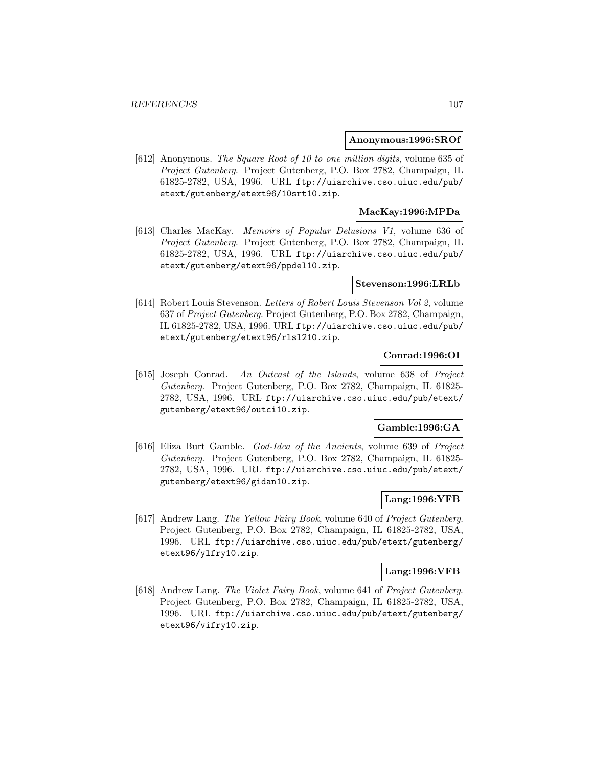#### **Anonymous:1996:SROf**

[612] Anonymous. The Square Root of 10 to one million digits, volume 635 of Project Gutenberg. Project Gutenberg, P.O. Box 2782, Champaign, IL 61825-2782, USA, 1996. URL ftp://uiarchive.cso.uiuc.edu/pub/ etext/gutenberg/etext96/10srt10.zip.

# **MacKay:1996:MPDa**

[613] Charles MacKay. Memoirs of Popular Delusions V1, volume 636 of Project Gutenberg. Project Gutenberg, P.O. Box 2782, Champaign, IL 61825-2782, USA, 1996. URL ftp://uiarchive.cso.uiuc.edu/pub/ etext/gutenberg/etext96/ppdel10.zip.

### **Stevenson:1996:LRLb**

[614] Robert Louis Stevenson. Letters of Robert Louis Stevenson Vol 2, volume 637 of Project Gutenberg. Project Gutenberg, P.O. Box 2782, Champaign, IL 61825-2782, USA, 1996. URL ftp://uiarchive.cso.uiuc.edu/pub/ etext/gutenberg/etext96/rlsl210.zip.

# **Conrad:1996:OI**

[615] Joseph Conrad. An Outcast of the Islands, volume 638 of Project Gutenberg. Project Gutenberg, P.O. Box 2782, Champaign, IL 61825- 2782, USA, 1996. URL ftp://uiarchive.cso.uiuc.edu/pub/etext/ gutenberg/etext96/outci10.zip.

# **Gamble:1996:GA**

[616] Eliza Burt Gamble. God-Idea of the Ancients, volume 639 of Project Gutenberg. Project Gutenberg, P.O. Box 2782, Champaign, IL 61825- 2782, USA, 1996. URL ftp://uiarchive.cso.uiuc.edu/pub/etext/ gutenberg/etext96/gidan10.zip.

# **Lang:1996:YFB**

[617] Andrew Lang. The Yellow Fairy Book, volume 640 of Project Gutenberg. Project Gutenberg, P.O. Box 2782, Champaign, IL 61825-2782, USA, 1996. URL ftp://uiarchive.cso.uiuc.edu/pub/etext/gutenberg/ etext96/ylfry10.zip.

# **Lang:1996:VFB**

[618] Andrew Lang. The Violet Fairy Book, volume 641 of Project Gutenberg. Project Gutenberg, P.O. Box 2782, Champaign, IL 61825-2782, USA, 1996. URL ftp://uiarchive.cso.uiuc.edu/pub/etext/gutenberg/ etext96/vifry10.zip.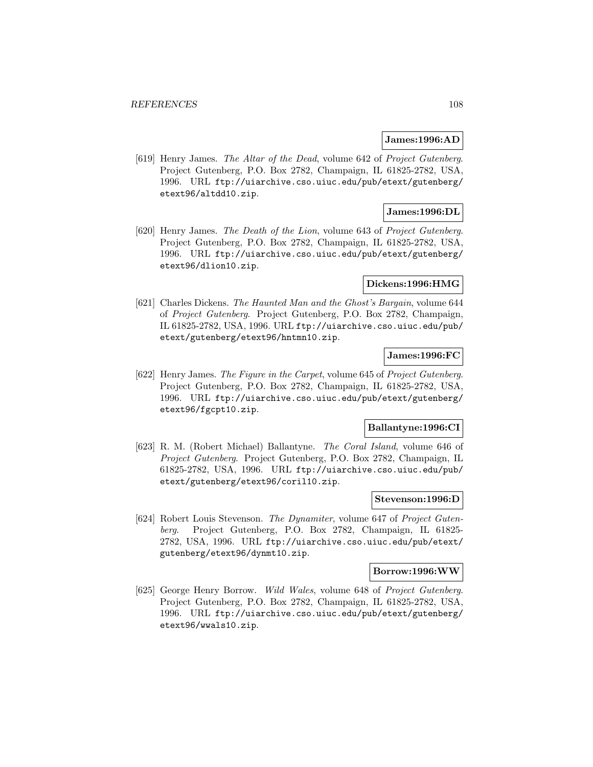#### **James:1996:AD**

[619] Henry James. The Altar of the Dead, volume 642 of Project Gutenberg. Project Gutenberg, P.O. Box 2782, Champaign, IL 61825-2782, USA, 1996. URL ftp://uiarchive.cso.uiuc.edu/pub/etext/gutenberg/ etext96/altdd10.zip.

# **James:1996:DL**

[620] Henry James. The Death of the Lion, volume 643 of Project Gutenberg. Project Gutenberg, P.O. Box 2782, Champaign, IL 61825-2782, USA, 1996. URL ftp://uiarchive.cso.uiuc.edu/pub/etext/gutenberg/ etext96/dlion10.zip.

### **Dickens:1996:HMG**

[621] Charles Dickens. The Haunted Man and the Ghost's Bargain, volume 644 of Project Gutenberg. Project Gutenberg, P.O. Box 2782, Champaign, IL 61825-2782, USA, 1996. URL ftp://uiarchive.cso.uiuc.edu/pub/ etext/gutenberg/etext96/hntmn10.zip.

# **James:1996:FC**

[622] Henry James. The Figure in the Carpet, volume 645 of Project Gutenberg. Project Gutenberg, P.O. Box 2782, Champaign, IL 61825-2782, USA, 1996. URL ftp://uiarchive.cso.uiuc.edu/pub/etext/gutenberg/ etext96/fgcpt10.zip.

#### **Ballantyne:1996:CI**

[623] R. M. (Robert Michael) Ballantyne. The Coral Island, volume 646 of Project Gutenberg. Project Gutenberg, P.O. Box 2782, Champaign, IL 61825-2782, USA, 1996. URL ftp://uiarchive.cso.uiuc.edu/pub/ etext/gutenberg/etext96/coril10.zip.

# **Stevenson:1996:D**

[624] Robert Louis Stevenson. The Dynamiter, volume 647 of Project Gutenberg. Project Gutenberg, P.O. Box 2782, Champaign, IL 61825- 2782, USA, 1996. URL ftp://uiarchive.cso.uiuc.edu/pub/etext/ gutenberg/etext96/dynmt10.zip.

#### **Borrow:1996:WW**

[625] George Henry Borrow. Wild Wales, volume 648 of Project Gutenberg. Project Gutenberg, P.O. Box 2782, Champaign, IL 61825-2782, USA, 1996. URL ftp://uiarchive.cso.uiuc.edu/pub/etext/gutenberg/ etext96/wwals10.zip.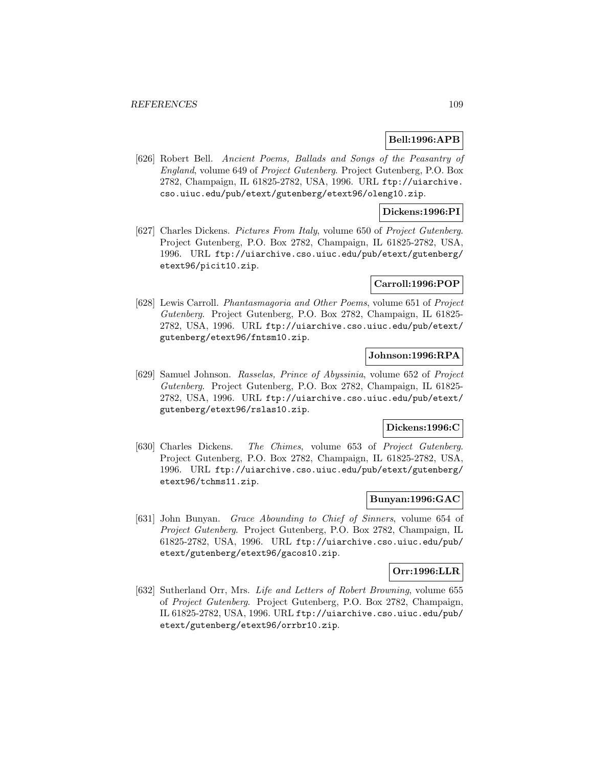### **Bell:1996:APB**

[626] Robert Bell. Ancient Poems, Ballads and Songs of the Peasantry of England, volume 649 of Project Gutenberg. Project Gutenberg, P.O. Box 2782, Champaign, IL 61825-2782, USA, 1996. URL ftp://uiarchive. cso.uiuc.edu/pub/etext/gutenberg/etext96/oleng10.zip.

### **Dickens:1996:PI**

[627] Charles Dickens. Pictures From Italy, volume 650 of Project Gutenberg. Project Gutenberg, P.O. Box 2782, Champaign, IL 61825-2782, USA, 1996. URL ftp://uiarchive.cso.uiuc.edu/pub/etext/gutenberg/ etext96/picit10.zip.

#### **Carroll:1996:POP**

[628] Lewis Carroll. Phantasmagoria and Other Poems, volume 651 of Project Gutenberg. Project Gutenberg, P.O. Box 2782, Champaign, IL 61825- 2782, USA, 1996. URL ftp://uiarchive.cso.uiuc.edu/pub/etext/ gutenberg/etext96/fntsm10.zip.

## **Johnson:1996:RPA**

[629] Samuel Johnson. Rasselas, Prince of Abyssinia, volume 652 of Project Gutenberg. Project Gutenberg, P.O. Box 2782, Champaign, IL 61825- 2782, USA, 1996. URL ftp://uiarchive.cso.uiuc.edu/pub/etext/ gutenberg/etext96/rslas10.zip.

#### **Dickens:1996:C**

[630] Charles Dickens. The Chimes, volume 653 of Project Gutenberg. Project Gutenberg, P.O. Box 2782, Champaign, IL 61825-2782, USA, 1996. URL ftp://uiarchive.cso.uiuc.edu/pub/etext/gutenberg/ etext96/tchms11.zip.

### **Bunyan:1996:GAC**

[631] John Bunyan. Grace Abounding to Chief of Sinners, volume 654 of Project Gutenberg. Project Gutenberg, P.O. Box 2782, Champaign, IL 61825-2782, USA, 1996. URL ftp://uiarchive.cso.uiuc.edu/pub/ etext/gutenberg/etext96/gacos10.zip.

### **Orr:1996:LLR**

[632] Sutherland Orr, Mrs. Life and Letters of Robert Browning, volume 655 of Project Gutenberg. Project Gutenberg, P.O. Box 2782, Champaign, IL 61825-2782, USA, 1996. URL ftp://uiarchive.cso.uiuc.edu/pub/ etext/gutenberg/etext96/orrbr10.zip.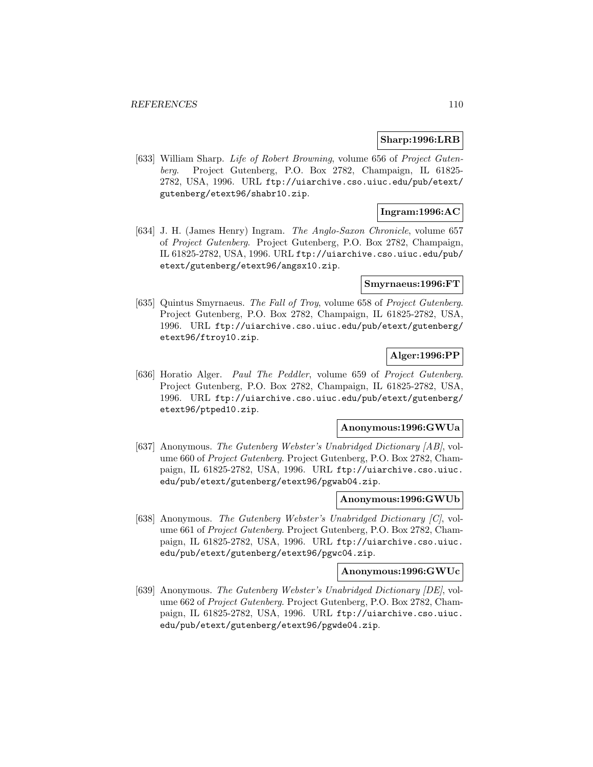#### **Sharp:1996:LRB**

[633] William Sharp. Life of Robert Browning, volume 656 of Project Gutenberg. Project Gutenberg, P.O. Box 2782, Champaign, IL 61825- 2782, USA, 1996. URL ftp://uiarchive.cso.uiuc.edu/pub/etext/ gutenberg/etext96/shabr10.zip.

## **Ingram:1996:AC**

[634] J. H. (James Henry) Ingram. The Anglo-Saxon Chronicle, volume 657 of Project Gutenberg. Project Gutenberg, P.O. Box 2782, Champaign, IL 61825-2782, USA, 1996. URL ftp://uiarchive.cso.uiuc.edu/pub/ etext/gutenberg/etext96/angsx10.zip.

#### **Smyrnaeus:1996:FT**

[635] Quintus Smyrnaeus. The Fall of Troy, volume 658 of Project Gutenberg. Project Gutenberg, P.O. Box 2782, Champaign, IL 61825-2782, USA, 1996. URL ftp://uiarchive.cso.uiuc.edu/pub/etext/gutenberg/ etext96/ftroy10.zip.

### **Alger:1996:PP**

[636] Horatio Alger. Paul The Peddler, volume 659 of Project Gutenberg. Project Gutenberg, P.O. Box 2782, Champaign, IL 61825-2782, USA, 1996. URL ftp://uiarchive.cso.uiuc.edu/pub/etext/gutenberg/ etext96/ptped10.zip.

### **Anonymous:1996:GWUa**

[637] Anonymous. The Gutenberg Webster's Unabridged Dictionary [AB], volume 660 of Project Gutenberg. Project Gutenberg, P.O. Box 2782, Champaign, IL 61825-2782, USA, 1996. URL ftp://uiarchive.cso.uiuc. edu/pub/etext/gutenberg/etext96/pgwab04.zip.

#### **Anonymous:1996:GWUb**

[638] Anonymous. The Gutenberg Webster's Unabridged Dictionary [C], volume 661 of Project Gutenberg. Project Gutenberg, P.O. Box 2782, Champaign, IL 61825-2782, USA, 1996. URL ftp://uiarchive.cso.uiuc. edu/pub/etext/gutenberg/etext96/pgwc04.zip.

## **Anonymous:1996:GWUc**

[639] Anonymous. The Gutenberg Webster's Unabridged Dictionary [DE], volume 662 of Project Gutenberg. Project Gutenberg, P.O. Box 2782, Champaign, IL 61825-2782, USA, 1996. URL ftp://uiarchive.cso.uiuc. edu/pub/etext/gutenberg/etext96/pgwde04.zip.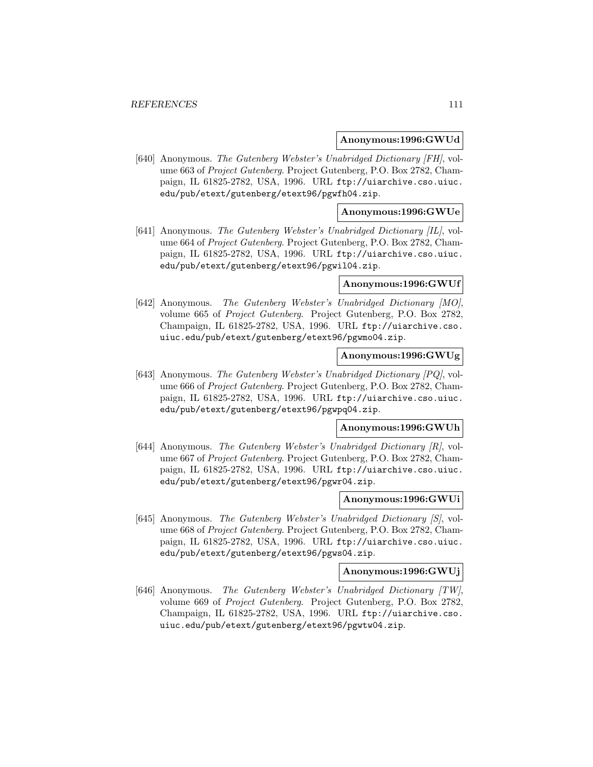#### **Anonymous:1996:GWUd**

[640] Anonymous. The Gutenberg Webster's Unabridged Dictionary [FH], volume 663 of Project Gutenberg. Project Gutenberg, P.O. Box 2782, Champaign, IL 61825-2782, USA, 1996. URL ftp://uiarchive.cso.uiuc. edu/pub/etext/gutenberg/etext96/pgwfh04.zip.

### **Anonymous:1996:GWUe**

[641] Anonymous. The Gutenberg Webster's Unabridged Dictionary [IL], volume 664 of Project Gutenberg. Project Gutenberg, P.O. Box 2782, Champaign, IL 61825-2782, USA, 1996. URL ftp://uiarchive.cso.uiuc. edu/pub/etext/gutenberg/etext96/pgwil04.zip.

### **Anonymous:1996:GWUf**

[642] Anonymous. The Gutenberg Webster's Unabridged Dictionary [MO], volume 665 of Project Gutenberg. Project Gutenberg, P.O. Box 2782, Champaign, IL 61825-2782, USA, 1996. URL ftp://uiarchive.cso. uiuc.edu/pub/etext/gutenberg/etext96/pgwmo04.zip.

# **Anonymous:1996:GWUg**

[643] Anonymous. The Gutenberg Webster's Unabridged Dictionary [PQ], volume 666 of Project Gutenberg. Project Gutenberg, P.O. Box 2782, Champaign, IL 61825-2782, USA, 1996. URL ftp://uiarchive.cso.uiuc. edu/pub/etext/gutenberg/etext96/pgwpq04.zip.

#### **Anonymous:1996:GWUh**

[644] Anonymous. The Gutenberg Webster's Unabridged Dictionary [R], volume 667 of Project Gutenberg. Project Gutenberg, P.O. Box 2782, Champaign, IL 61825-2782, USA, 1996. URL ftp://uiarchive.cso.uiuc. edu/pub/etext/gutenberg/etext96/pgwr04.zip.

#### **Anonymous:1996:GWUi**

[645] Anonymous. The Gutenberg Webster's Unabridged Dictionary [S], volume 668 of Project Gutenberg. Project Gutenberg, P.O. Box 2782, Champaign, IL 61825-2782, USA, 1996. URL ftp://uiarchive.cso.uiuc. edu/pub/etext/gutenberg/etext96/pgws04.zip.

### **Anonymous:1996:GWUj**

[646] Anonymous. The Gutenberg Webster's Unabridged Dictionary [TW], volume 669 of Project Gutenberg. Project Gutenberg, P.O. Box 2782, Champaign, IL 61825-2782, USA, 1996. URL ftp://uiarchive.cso. uiuc.edu/pub/etext/gutenberg/etext96/pgwtw04.zip.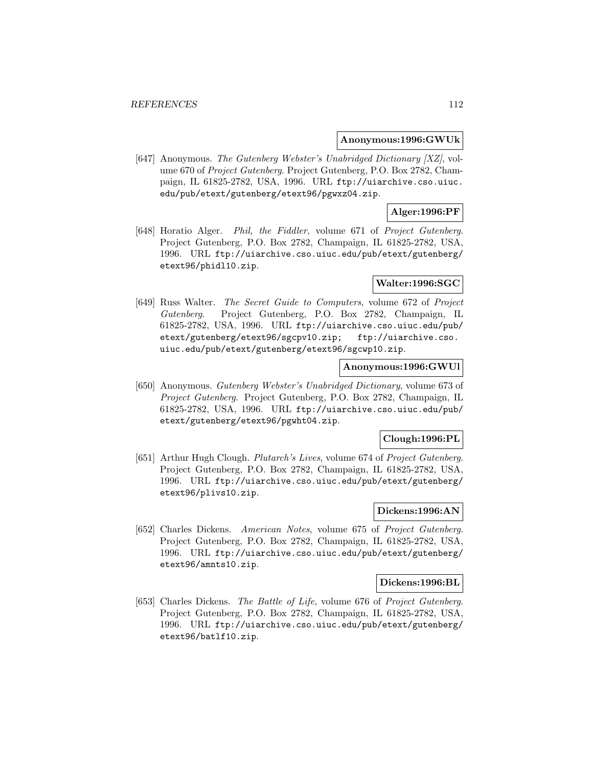#### **Anonymous:1996:GWUk**

[647] Anonymous. The Gutenberg Webster's Unabridged Dictionary [XZ], volume 670 of Project Gutenberg. Project Gutenberg, P.O. Box 2782, Champaign, IL 61825-2782, USA, 1996. URL ftp://uiarchive.cso.uiuc. edu/pub/etext/gutenberg/etext96/pgwxz04.zip.

## **Alger:1996:PF**

[648] Horatio Alger. Phil, the Fiddler, volume 671 of Project Gutenberg. Project Gutenberg, P.O. Box 2782, Champaign, IL 61825-2782, USA, 1996. URL ftp://uiarchive.cso.uiuc.edu/pub/etext/gutenberg/ etext96/phidl10.zip.

#### **Walter:1996:SGC**

[649] Russ Walter. The Secret Guide to Computers, volume 672 of Project Gutenberg. Project Gutenberg, P.O. Box 2782, Champaign, IL 61825-2782, USA, 1996. URL ftp://uiarchive.cso.uiuc.edu/pub/ etext/gutenberg/etext96/sgcpv10.zip; ftp://uiarchive.cso. uiuc.edu/pub/etext/gutenberg/etext96/sgcwp10.zip.

### **Anonymous:1996:GWUl**

[650] Anonymous. Gutenberg Webster's Unabridged Dictionary, volume 673 of Project Gutenberg. Project Gutenberg, P.O. Box 2782, Champaign, IL 61825-2782, USA, 1996. URL ftp://uiarchive.cso.uiuc.edu/pub/ etext/gutenberg/etext96/pgwht04.zip.

### **Clough:1996:PL**

[651] Arthur Hugh Clough. Plutarch's Lives, volume 674 of Project Gutenberg. Project Gutenberg, P.O. Box 2782, Champaign, IL 61825-2782, USA, 1996. URL ftp://uiarchive.cso.uiuc.edu/pub/etext/gutenberg/ etext96/plivs10.zip.

## **Dickens:1996:AN**

[652] Charles Dickens. American Notes, volume 675 of Project Gutenberg. Project Gutenberg, P.O. Box 2782, Champaign, IL 61825-2782, USA, 1996. URL ftp://uiarchive.cso.uiuc.edu/pub/etext/gutenberg/ etext96/amnts10.zip.

#### **Dickens:1996:BL**

[653] Charles Dickens. The Battle of Life, volume 676 of Project Gutenberg. Project Gutenberg, P.O. Box 2782, Champaign, IL 61825-2782, USA, 1996. URL ftp://uiarchive.cso.uiuc.edu/pub/etext/gutenberg/ etext96/batlf10.zip.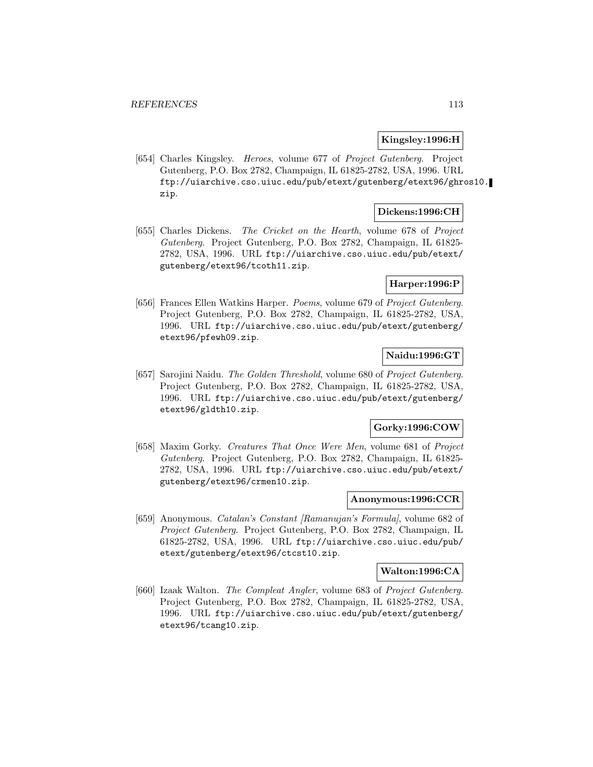#### **Kingsley:1996:H**

[654] Charles Kingsley. Heroes, volume 677 of Project Gutenberg. Project Gutenberg, P.O. Box 2782, Champaign, IL 61825-2782, USA, 1996. URL ftp://uiarchive.cso.uiuc.edu/pub/etext/gutenberg/etext96/ghros10. zip.

### **Dickens:1996:CH**

[655] Charles Dickens. The Cricket on the Hearth, volume 678 of Project Gutenberg. Project Gutenberg, P.O. Box 2782, Champaign, IL 61825- 2782, USA, 1996. URL ftp://uiarchive.cso.uiuc.edu/pub/etext/ gutenberg/etext96/tcoth11.zip.

### **Harper:1996:P**

[656] Frances Ellen Watkins Harper. Poems, volume 679 of Project Gutenberg. Project Gutenberg, P.O. Box 2782, Champaign, IL 61825-2782, USA, 1996. URL ftp://uiarchive.cso.uiuc.edu/pub/etext/gutenberg/ etext96/pfewh09.zip.

### **Naidu:1996:GT**

[657] Sarojini Naidu. The Golden Threshold, volume 680 of Project Gutenberg. Project Gutenberg, P.O. Box 2782, Champaign, IL 61825-2782, USA, 1996. URL ftp://uiarchive.cso.uiuc.edu/pub/etext/gutenberg/ etext96/gldth10.zip.

#### **Gorky:1996:COW**

[658] Maxim Gorky. Creatures That Once Were Men, volume 681 of Project Gutenberg. Project Gutenberg, P.O. Box 2782, Champaign, IL 61825- 2782, USA, 1996. URL ftp://uiarchive.cso.uiuc.edu/pub/etext/ gutenberg/etext96/crmen10.zip.

### **Anonymous:1996:CCR**

[659] Anonymous. Catalan's Constant [Ramanujan's Formula], volume 682 of Project Gutenberg. Project Gutenberg, P.O. Box 2782, Champaign, IL 61825-2782, USA, 1996. URL ftp://uiarchive.cso.uiuc.edu/pub/ etext/gutenberg/etext96/ctcst10.zip.

#### **Walton:1996:CA**

[660] Izaak Walton. The Compleat Angler, volume 683 of Project Gutenberg. Project Gutenberg, P.O. Box 2782, Champaign, IL 61825-2782, USA, 1996. URL ftp://uiarchive.cso.uiuc.edu/pub/etext/gutenberg/ etext96/tcang10.zip.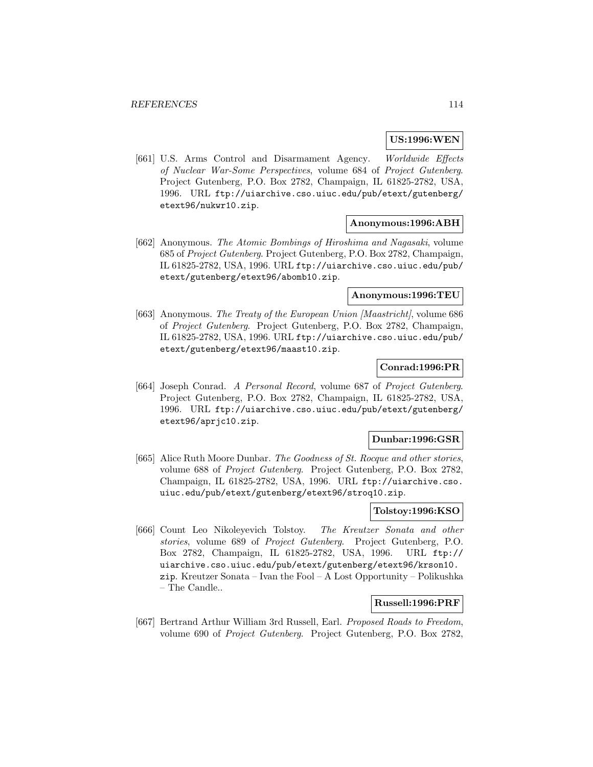#### **US:1996:WEN**

[661] U.S. Arms Control and Disarmament Agency. Worldwide Effects of Nuclear War-Some Perspectives, volume 684 of Project Gutenberg. Project Gutenberg, P.O. Box 2782, Champaign, IL 61825-2782, USA, 1996. URL ftp://uiarchive.cso.uiuc.edu/pub/etext/gutenberg/ etext96/nukwr10.zip.

#### **Anonymous:1996:ABH**

[662] Anonymous. The Atomic Bombings of Hiroshima and Nagasaki, volume 685 of Project Gutenberg. Project Gutenberg, P.O. Box 2782, Champaign, IL 61825-2782, USA, 1996. URL ftp://uiarchive.cso.uiuc.edu/pub/ etext/gutenberg/etext96/abomb10.zip.

#### **Anonymous:1996:TEU**

[663] Anonymous. The Treaty of the European Union [Maastricht], volume 686 of Project Gutenberg. Project Gutenberg, P.O. Box 2782, Champaign, IL 61825-2782, USA, 1996. URL ftp://uiarchive.cso.uiuc.edu/pub/ etext/gutenberg/etext96/maast10.zip.

## **Conrad:1996:PR**

[664] Joseph Conrad. A Personal Record, volume 687 of Project Gutenberg. Project Gutenberg, P.O. Box 2782, Champaign, IL 61825-2782, USA, 1996. URL ftp://uiarchive.cso.uiuc.edu/pub/etext/gutenberg/ etext96/aprjc10.zip.

#### **Dunbar:1996:GSR**

[665] Alice Ruth Moore Dunbar. The Goodness of St. Rocque and other stories, volume 688 of Project Gutenberg. Project Gutenberg, P.O. Box 2782, Champaign, IL 61825-2782, USA, 1996. URL ftp://uiarchive.cso. uiuc.edu/pub/etext/gutenberg/etext96/stroq10.zip.

## **Tolstoy:1996:KSO**

[666] Count Leo Nikoleyevich Tolstoy. The Kreutzer Sonata and other stories, volume 689 of Project Gutenberg. Project Gutenberg, P.O. Box 2782, Champaign, IL 61825-2782, USA, 1996. URL ftp:// uiarchive.cso.uiuc.edu/pub/etext/gutenberg/etext96/krson10. zip. Kreutzer Sonata – Ivan the Fool – A Lost Opportunity – Polikushka – The Candle..

#### **Russell:1996:PRF**

[667] Bertrand Arthur William 3rd Russell, Earl. Proposed Roads to Freedom, volume 690 of Project Gutenberg. Project Gutenberg, P.O. Box 2782,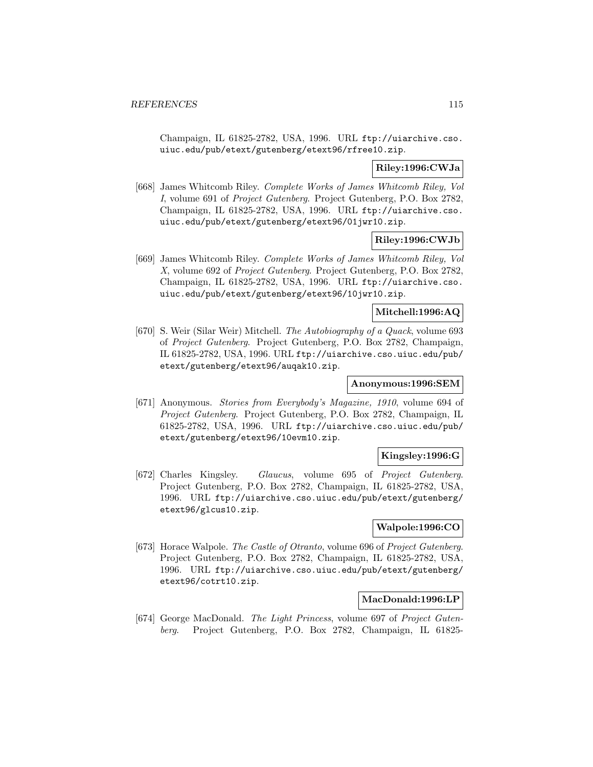Champaign, IL 61825-2782, USA, 1996. URL ftp://uiarchive.cso. uiuc.edu/pub/etext/gutenberg/etext96/rfree10.zip.

### **Riley:1996:CWJa**

[668] James Whitcomb Riley. Complete Works of James Whitcomb Riley, Vol I, volume 691 of Project Gutenberg. Project Gutenberg, P.O. Box 2782, Champaign, IL 61825-2782, USA, 1996. URL ftp://uiarchive.cso. uiuc.edu/pub/etext/gutenberg/etext96/01jwr10.zip.

## **Riley:1996:CWJb**

[669] James Whitcomb Riley. Complete Works of James Whitcomb Riley, Vol X, volume 692 of Project Gutenberg. Project Gutenberg, P.O. Box 2782, Champaign, IL 61825-2782, USA, 1996. URL ftp://uiarchive.cso. uiuc.edu/pub/etext/gutenberg/etext96/10jwr10.zip.

### **Mitchell:1996:AQ**

[670] S. Weir (Silar Weir) Mitchell. The Autobiography of a Quack, volume 693 of Project Gutenberg. Project Gutenberg, P.O. Box 2782, Champaign, IL 61825-2782, USA, 1996. URL ftp://uiarchive.cso.uiuc.edu/pub/ etext/gutenberg/etext96/auqak10.zip.

## **Anonymous:1996:SEM**

[671] Anonymous. Stories from Everybody's Magazine, 1910, volume 694 of Project Gutenberg. Project Gutenberg, P.O. Box 2782, Champaign, IL 61825-2782, USA, 1996. URL ftp://uiarchive.cso.uiuc.edu/pub/ etext/gutenberg/etext96/10evm10.zip.

### **Kingsley:1996:G**

[672] Charles Kingsley. Glaucus, volume 695 of Project Gutenberg. Project Gutenberg, P.O. Box 2782, Champaign, IL 61825-2782, USA, 1996. URL ftp://uiarchive.cso.uiuc.edu/pub/etext/gutenberg/ etext96/glcus10.zip.

## **Walpole:1996:CO**

[673] Horace Walpole. The Castle of Otranto, volume 696 of Project Gutenberg. Project Gutenberg, P.O. Box 2782, Champaign, IL 61825-2782, USA, 1996. URL ftp://uiarchive.cso.uiuc.edu/pub/etext/gutenberg/ etext96/cotrt10.zip.

## **MacDonald:1996:LP**

[674] George MacDonald. The Light Princess, volume 697 of Project Gutenberg. Project Gutenberg, P.O. Box 2782, Champaign, IL 61825-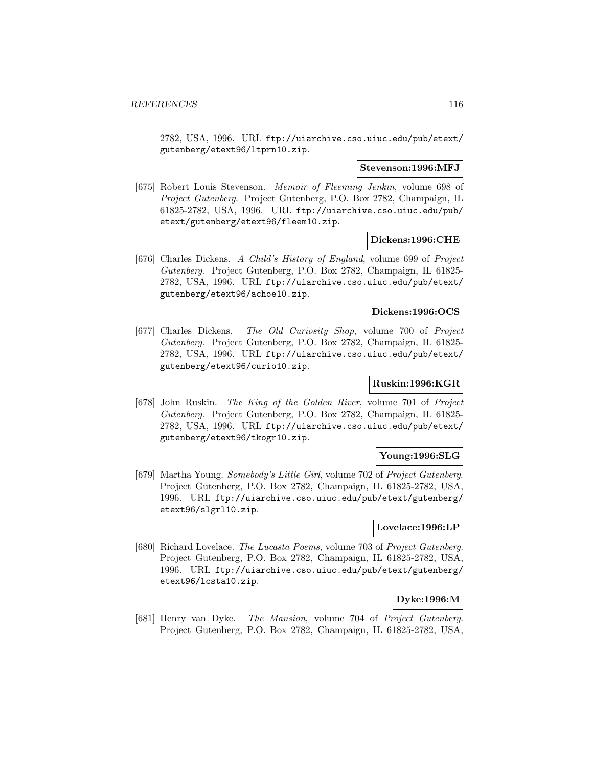2782, USA, 1996. URL ftp://uiarchive.cso.uiuc.edu/pub/etext/ gutenberg/etext96/ltprn10.zip.

#### **Stevenson:1996:MFJ**

[675] Robert Louis Stevenson. Memoir of Fleeming Jenkin, volume 698 of Project Gutenberg. Project Gutenberg, P.O. Box 2782, Champaign, IL 61825-2782, USA, 1996. URL ftp://uiarchive.cso.uiuc.edu/pub/ etext/gutenberg/etext96/fleem10.zip.

#### **Dickens:1996:CHE**

[676] Charles Dickens. A Child's History of England, volume 699 of Project Gutenberg. Project Gutenberg, P.O. Box 2782, Champaign, IL 61825- 2782, USA, 1996. URL ftp://uiarchive.cso.uiuc.edu/pub/etext/ gutenberg/etext96/achoe10.zip.

#### **Dickens:1996:OCS**

[677] Charles Dickens. The Old Curiosity Shop, volume 700 of Project Gutenberg. Project Gutenberg, P.O. Box 2782, Champaign, IL 61825- 2782, USA, 1996. URL ftp://uiarchive.cso.uiuc.edu/pub/etext/ gutenberg/etext96/curio10.zip.

## **Ruskin:1996:KGR**

[678] John Ruskin. The King of the Golden River, volume 701 of Project Gutenberg. Project Gutenberg, P.O. Box 2782, Champaign, IL 61825- 2782, USA, 1996. URL ftp://uiarchive.cso.uiuc.edu/pub/etext/ gutenberg/etext96/tkogr10.zip.

### **Young:1996:SLG**

[679] Martha Young. Somebody's Little Girl, volume 702 of Project Gutenberg. Project Gutenberg, P.O. Box 2782, Champaign, IL 61825-2782, USA, 1996. URL ftp://uiarchive.cso.uiuc.edu/pub/etext/gutenberg/ etext96/slgrl10.zip.

## **Lovelace:1996:LP**

[680] Richard Lovelace. The Lucasta Poems, volume 703 of Project Gutenberg. Project Gutenberg, P.O. Box 2782, Champaign, IL 61825-2782, USA, 1996. URL ftp://uiarchive.cso.uiuc.edu/pub/etext/gutenberg/ etext96/lcsta10.zip.

### **Dyke:1996:M**

[681] Henry van Dyke. The Mansion, volume 704 of Project Gutenberg. Project Gutenberg, P.O. Box 2782, Champaign, IL 61825-2782, USA,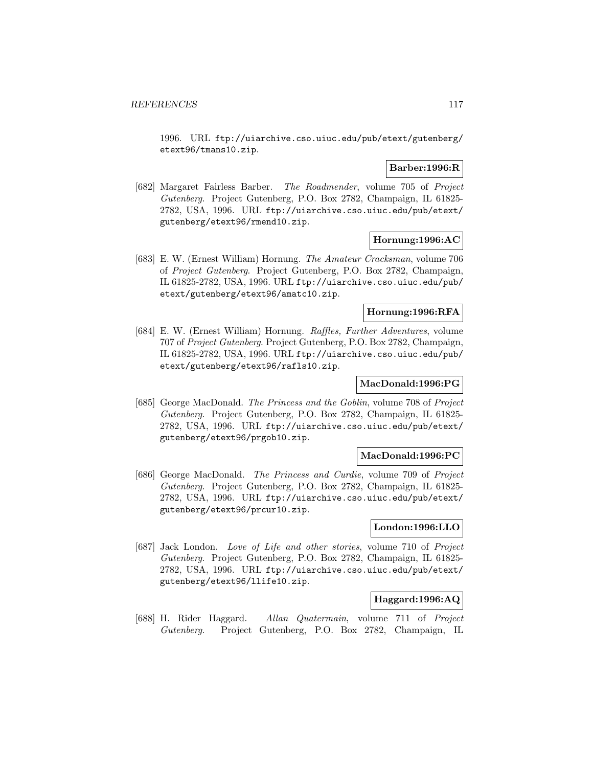1996. URL ftp://uiarchive.cso.uiuc.edu/pub/etext/gutenberg/ etext96/tmans10.zip.

### **Barber:1996:R**

[682] Margaret Fairless Barber. The Roadmender, volume 705 of Project Gutenberg. Project Gutenberg, P.O. Box 2782, Champaign, IL 61825- 2782, USA, 1996. URL ftp://uiarchive.cso.uiuc.edu/pub/etext/ gutenberg/etext96/rmend10.zip.

### **Hornung:1996:AC**

[683] E. W. (Ernest William) Hornung. The Amateur Cracksman, volume 706 of Project Gutenberg. Project Gutenberg, P.O. Box 2782, Champaign, IL 61825-2782, USA, 1996. URL ftp://uiarchive.cso.uiuc.edu/pub/ etext/gutenberg/etext96/amatc10.zip.

## **Hornung:1996:RFA**

[684] E. W. (Ernest William) Hornung. Raffles, Further Adventures, volume 707 of Project Gutenberg. Project Gutenberg, P.O. Box 2782, Champaign, IL 61825-2782, USA, 1996. URL ftp://uiarchive.cso.uiuc.edu/pub/ etext/gutenberg/etext96/rafls10.zip.

### **MacDonald:1996:PG**

[685] George MacDonald. The Princess and the Goblin, volume 708 of Project Gutenberg. Project Gutenberg, P.O. Box 2782, Champaign, IL 61825- 2782, USA, 1996. URL ftp://uiarchive.cso.uiuc.edu/pub/etext/ gutenberg/etext96/prgob10.zip.

### **MacDonald:1996:PC**

[686] George MacDonald. The Princess and Curdie, volume 709 of Project Gutenberg. Project Gutenberg, P.O. Box 2782, Champaign, IL 61825- 2782, USA, 1996. URL ftp://uiarchive.cso.uiuc.edu/pub/etext/ gutenberg/etext96/prcur10.zip.

### **London:1996:LLO**

[687] Jack London. Love of Life and other stories, volume 710 of Project Gutenberg. Project Gutenberg, P.O. Box 2782, Champaign, IL 61825- 2782, USA, 1996. URL ftp://uiarchive.cso.uiuc.edu/pub/etext/ gutenberg/etext96/llife10.zip.

### **Haggard:1996:AQ**

[688] H. Rider Haggard. Allan Quatermain, volume 711 of Project Gutenberg. Project Gutenberg, P.O. Box 2782, Champaign, IL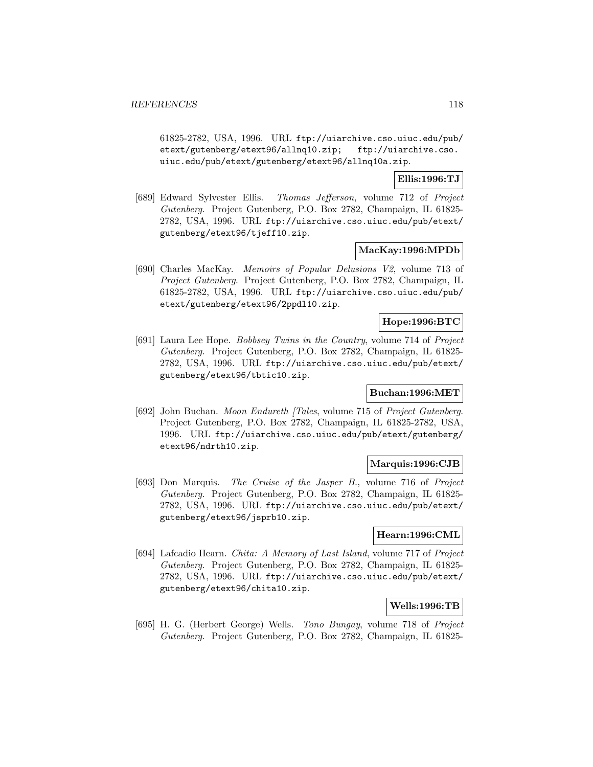61825-2782, USA, 1996. URL ftp://uiarchive.cso.uiuc.edu/pub/ etext/gutenberg/etext96/allnq10.zip; ftp://uiarchive.cso. uiuc.edu/pub/etext/gutenberg/etext96/allnq10a.zip.

## **Ellis:1996:TJ**

[689] Edward Sylvester Ellis. Thomas Jefferson, volume 712 of Project Gutenberg. Project Gutenberg, P.O. Box 2782, Champaign, IL 61825- 2782, USA, 1996. URL ftp://uiarchive.cso.uiuc.edu/pub/etext/ gutenberg/etext96/tjeff10.zip.

### **MacKay:1996:MPDb**

[690] Charles MacKay. Memoirs of Popular Delusions V2, volume 713 of Project Gutenberg. Project Gutenberg, P.O. Box 2782, Champaign, IL 61825-2782, USA, 1996. URL ftp://uiarchive.cso.uiuc.edu/pub/ etext/gutenberg/etext96/2ppdl10.zip.

## **Hope:1996:BTC**

[691] Laura Lee Hope. Bobbsey Twins in the Country, volume 714 of Project Gutenberg. Project Gutenberg, P.O. Box 2782, Champaign, IL 61825- 2782, USA, 1996. URL ftp://uiarchive.cso.uiuc.edu/pub/etext/ gutenberg/etext96/tbtic10.zip.

## **Buchan:1996:MET**

[692] John Buchan. Moon Endureth [Tales, volume 715 of Project Gutenberg. Project Gutenberg, P.O. Box 2782, Champaign, IL 61825-2782, USA, 1996. URL ftp://uiarchive.cso.uiuc.edu/pub/etext/gutenberg/ etext96/ndrth10.zip.

### **Marquis:1996:CJB**

[693] Don Marquis. The Cruise of the Jasper B., volume 716 of Project Gutenberg. Project Gutenberg, P.O. Box 2782, Champaign, IL 61825- 2782, USA, 1996. URL ftp://uiarchive.cso.uiuc.edu/pub/etext/ gutenberg/etext96/jsprb10.zip.

## **Hearn:1996:CML**

[694] Lafcadio Hearn. Chita: A Memory of Last Island, volume 717 of Project Gutenberg. Project Gutenberg, P.O. Box 2782, Champaign, IL 61825- 2782, USA, 1996. URL ftp://uiarchive.cso.uiuc.edu/pub/etext/ gutenberg/etext96/chita10.zip.

### **Wells:1996:TB**

[695] H. G. (Herbert George) Wells. Tono Bungay, volume 718 of Project Gutenberg. Project Gutenberg, P.O. Box 2782, Champaign, IL 61825-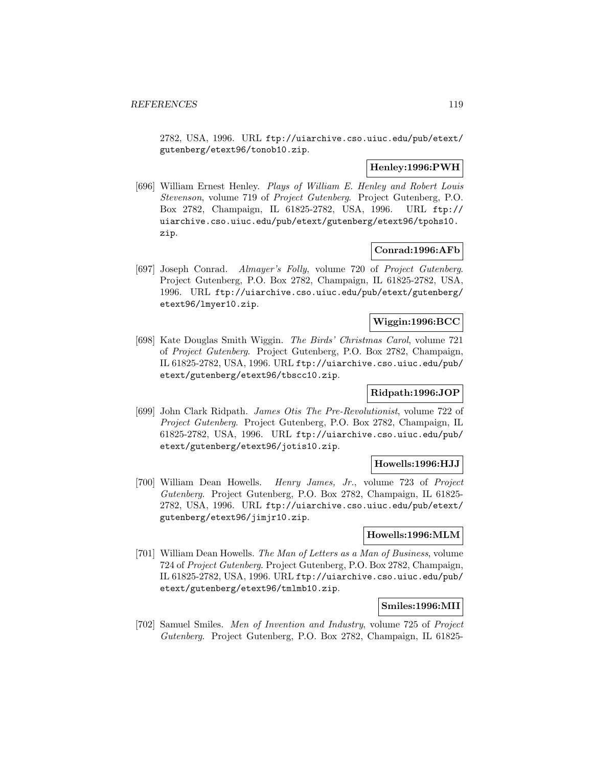2782, USA, 1996. URL ftp://uiarchive.cso.uiuc.edu/pub/etext/ gutenberg/etext96/tonob10.zip.

# **Henley:1996:PWH**

[696] William Ernest Henley. Plays of William E. Henley and Robert Louis Stevenson, volume 719 of Project Gutenberg. Project Gutenberg, P.O. Box 2782, Champaign, IL 61825-2782, USA, 1996. URL ftp:// uiarchive.cso.uiuc.edu/pub/etext/gutenberg/etext96/tpohs10. zip.

### **Conrad:1996:AFb**

[697] Joseph Conrad. Almayer's Folly, volume 720 of Project Gutenberg. Project Gutenberg, P.O. Box 2782, Champaign, IL 61825-2782, USA, 1996. URL ftp://uiarchive.cso.uiuc.edu/pub/etext/gutenberg/ etext96/lmyer10.zip.

## **Wiggin:1996:BCC**

[698] Kate Douglas Smith Wiggin. The Birds' Christmas Carol, volume 721 of Project Gutenberg. Project Gutenberg, P.O. Box 2782, Champaign, IL 61825-2782, USA, 1996. URL ftp://uiarchive.cso.uiuc.edu/pub/ etext/gutenberg/etext96/tbscc10.zip.

### **Ridpath:1996:JOP**

[699] John Clark Ridpath. James Otis The Pre-Revolutionist, volume 722 of Project Gutenberg. Project Gutenberg, P.O. Box 2782, Champaign, IL 61825-2782, USA, 1996. URL ftp://uiarchive.cso.uiuc.edu/pub/ etext/gutenberg/etext96/jotis10.zip.

### **Howells:1996:HJJ**

[700] William Dean Howells. Henry James, Jr., volume 723 of Project Gutenberg. Project Gutenberg, P.O. Box 2782, Champaign, IL 61825- 2782, USA, 1996. URL ftp://uiarchive.cso.uiuc.edu/pub/etext/ gutenberg/etext96/jimjr10.zip.

### **Howells:1996:MLM**

[701] William Dean Howells. The Man of Letters as a Man of Business, volume 724 of Project Gutenberg. Project Gutenberg, P.O. Box 2782, Champaign, IL 61825-2782, USA, 1996. URL ftp://uiarchive.cso.uiuc.edu/pub/ etext/gutenberg/etext96/tmlmb10.zip.

## **Smiles:1996:MII**

[702] Samuel Smiles. Men of Invention and Industry, volume 725 of Project Gutenberg. Project Gutenberg, P.O. Box 2782, Champaign, IL 61825-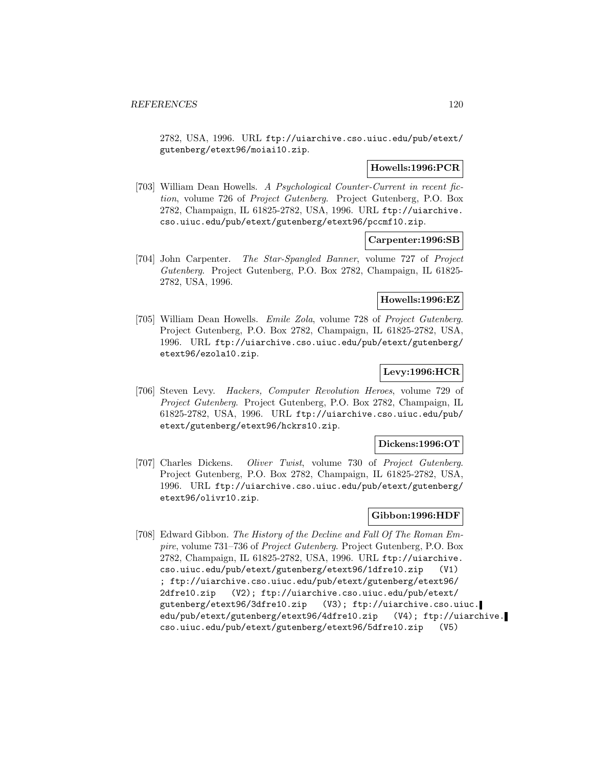2782, USA, 1996. URL ftp://uiarchive.cso.uiuc.edu/pub/etext/ gutenberg/etext96/moiai10.zip.

### **Howells:1996:PCR**

[703] William Dean Howells. A Psychological Counter-Current in recent fiction, volume 726 of Project Gutenberg. Project Gutenberg, P.O. Box 2782, Champaign, IL 61825-2782, USA, 1996. URL ftp://uiarchive. cso.uiuc.edu/pub/etext/gutenberg/etext96/pccmf10.zip.

### **Carpenter:1996:SB**

[704] John Carpenter. The Star-Spangled Banner, volume 727 of Project Gutenberg. Project Gutenberg, P.O. Box 2782, Champaign, IL 61825- 2782, USA, 1996.

# **Howells:1996:EZ**

[705] William Dean Howells. Emile Zola, volume 728 of Project Gutenberg. Project Gutenberg, P.O. Box 2782, Champaign, IL 61825-2782, USA, 1996. URL ftp://uiarchive.cso.uiuc.edu/pub/etext/gutenberg/ etext96/ezola10.zip.

# **Levy:1996:HCR**

[706] Steven Levy. Hackers, Computer Revolution Heroes, volume 729 of Project Gutenberg. Project Gutenberg, P.O. Box 2782, Champaign, IL 61825-2782, USA, 1996. URL ftp://uiarchive.cso.uiuc.edu/pub/ etext/gutenberg/etext96/hckrs10.zip.

#### **Dickens:1996:OT**

[707] Charles Dickens. Oliver Twist, volume 730 of Project Gutenberg. Project Gutenberg, P.O. Box 2782, Champaign, IL 61825-2782, USA, 1996. URL ftp://uiarchive.cso.uiuc.edu/pub/etext/gutenberg/ etext96/olivr10.zip.

### **Gibbon:1996:HDF**

[708] Edward Gibbon. The History of the Decline and Fall Of The Roman Empire, volume 731–736 of Project Gutenberg. Project Gutenberg, P.O. Box 2782, Champaign, IL 61825-2782, USA, 1996. URL ftp://uiarchive. cso.uiuc.edu/pub/etext/gutenberg/etext96/1dfre10.zip (V1) ; ftp://uiarchive.cso.uiuc.edu/pub/etext/gutenberg/etext96/ 2dfre10.zip (V2); ftp://uiarchive.cso.uiuc.edu/pub/etext/ gutenberg/etext96/3dfre10.zip (V3); ftp://uiarchive.cso.uiuc. edu/pub/etext/gutenberg/etext96/4dfre10.zip (V4); ftp://uiarchive. cso.uiuc.edu/pub/etext/gutenberg/etext96/5dfre10.zip (V5)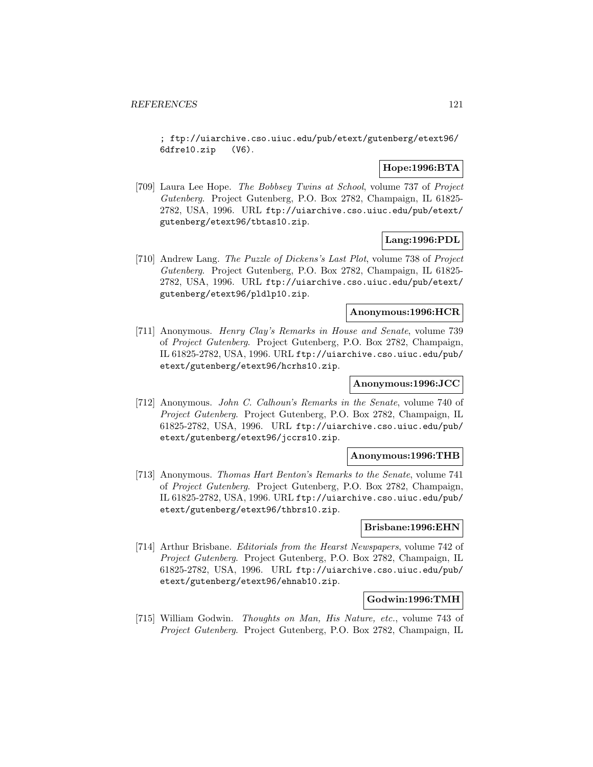; ftp://uiarchive.cso.uiuc.edu/pub/etext/gutenberg/etext96/ 6dfre10.zip (V6).

## **Hope:1996:BTA**

[709] Laura Lee Hope. The Bobbsey Twins at School, volume 737 of Project Gutenberg. Project Gutenberg, P.O. Box 2782, Champaign, IL 61825- 2782, USA, 1996. URL ftp://uiarchive.cso.uiuc.edu/pub/etext/ gutenberg/etext96/tbtas10.zip.

## **Lang:1996:PDL**

[710] Andrew Lang. The Puzzle of Dickens's Last Plot, volume 738 of Project Gutenberg. Project Gutenberg, P.O. Box 2782, Champaign, IL 61825- 2782, USA, 1996. URL ftp://uiarchive.cso.uiuc.edu/pub/etext/ gutenberg/etext96/pldlp10.zip.

## **Anonymous:1996:HCR**

[711] Anonymous. Henry Clay's Remarks in House and Senate, volume 739 of Project Gutenberg. Project Gutenberg, P.O. Box 2782, Champaign, IL 61825-2782, USA, 1996. URL ftp://uiarchive.cso.uiuc.edu/pub/ etext/gutenberg/etext96/hcrhs10.zip.

## **Anonymous:1996:JCC**

[712] Anonymous. John C. Calhoun's Remarks in the Senate, volume 740 of Project Gutenberg. Project Gutenberg, P.O. Box 2782, Champaign, IL 61825-2782, USA, 1996. URL ftp://uiarchive.cso.uiuc.edu/pub/ etext/gutenberg/etext96/jccrs10.zip.

#### **Anonymous:1996:THB**

[713] Anonymous. Thomas Hart Benton's Remarks to the Senate, volume 741 of Project Gutenberg. Project Gutenberg, P.O. Box 2782, Champaign, IL 61825-2782, USA, 1996. URL ftp://uiarchive.cso.uiuc.edu/pub/ etext/gutenberg/etext96/thbrs10.zip.

#### **Brisbane:1996:EHN**

[714] Arthur Brisbane. Editorials from the Hearst Newspapers, volume 742 of Project Gutenberg. Project Gutenberg, P.O. Box 2782, Champaign, IL 61825-2782, USA, 1996. URL ftp://uiarchive.cso.uiuc.edu/pub/ etext/gutenberg/etext96/ehnab10.zip.

### **Godwin:1996:TMH**

[715] William Godwin. Thoughts on Man, His Nature, etc., volume 743 of Project Gutenberg. Project Gutenberg, P.O. Box 2782, Champaign, IL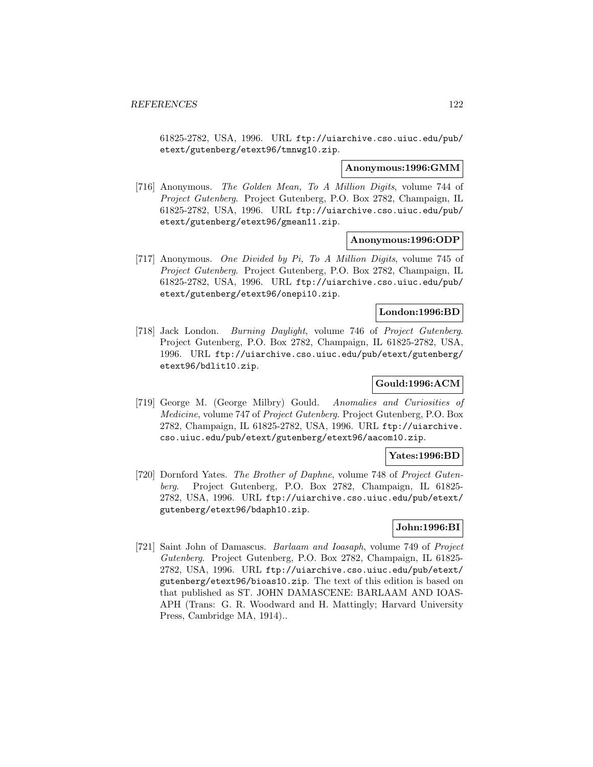61825-2782, USA, 1996. URL ftp://uiarchive.cso.uiuc.edu/pub/ etext/gutenberg/etext96/tmnwg10.zip.

#### **Anonymous:1996:GMM**

[716] Anonymous. The Golden Mean, To A Million Digits, volume 744 of Project Gutenberg. Project Gutenberg, P.O. Box 2782, Champaign, IL 61825-2782, USA, 1996. URL ftp://uiarchive.cso.uiuc.edu/pub/ etext/gutenberg/etext96/gmean11.zip.

#### **Anonymous:1996:ODP**

[717] Anonymous. One Divided by Pi, To A Million Digits, volume 745 of Project Gutenberg. Project Gutenberg, P.O. Box 2782, Champaign, IL 61825-2782, USA, 1996. URL ftp://uiarchive.cso.uiuc.edu/pub/ etext/gutenberg/etext96/onepi10.zip.

#### **London:1996:BD**

[718] Jack London. Burning Daylight, volume 746 of Project Gutenberg. Project Gutenberg, P.O. Box 2782, Champaign, IL 61825-2782, USA, 1996. URL ftp://uiarchive.cso.uiuc.edu/pub/etext/gutenberg/ etext96/bdlit10.zip.

## **Gould:1996:ACM**

[719] George M. (George Milbry) Gould. Anomalies and Curiosities of Medicine, volume 747 of Project Gutenberg. Project Gutenberg, P.O. Box 2782, Champaign, IL 61825-2782, USA, 1996. URL ftp://uiarchive. cso.uiuc.edu/pub/etext/gutenberg/etext96/aacom10.zip.

### **Yates:1996:BD**

[720] Dornford Yates. The Brother of Daphne, volume 748 of Project Gutenberg. Project Gutenberg, P.O. Box 2782, Champaign, IL 61825- 2782, USA, 1996. URL ftp://uiarchive.cso.uiuc.edu/pub/etext/ gutenberg/etext96/bdaph10.zip.

### **John:1996:BI**

[721] Saint John of Damascus. Barlaam and Ioasaph, volume 749 of Project Gutenberg. Project Gutenberg, P.O. Box 2782, Champaign, IL 61825- 2782, USA, 1996. URL ftp://uiarchive.cso.uiuc.edu/pub/etext/ gutenberg/etext96/bioas10.zip. The text of this edition is based on that published as ST. JOHN DAMASCENE: BARLAAM AND IOAS-APH (Trans: G. R. Woodward and H. Mattingly; Harvard University Press, Cambridge MA, 1914)..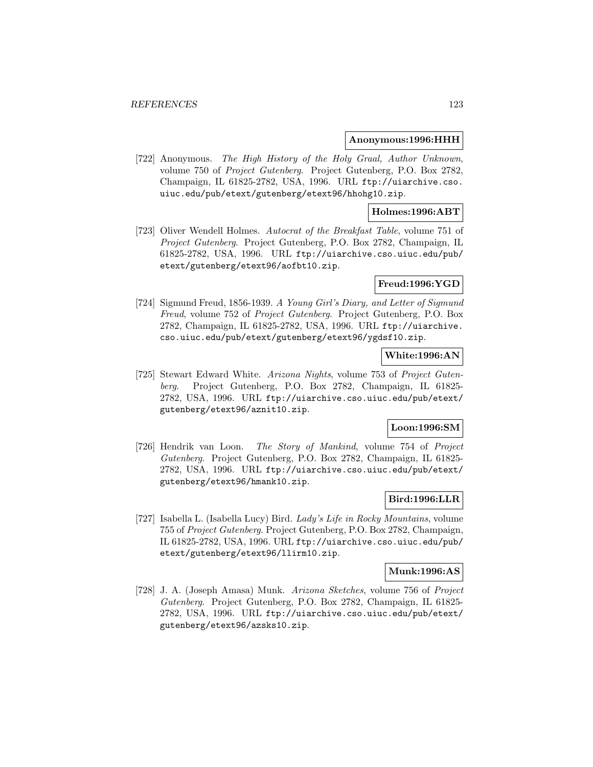#### **Anonymous:1996:HHH**

[722] Anonymous. The High History of the Holy Graal, Author Unknown, volume 750 of Project Gutenberg. Project Gutenberg, P.O. Box 2782, Champaign, IL 61825-2782, USA, 1996. URL ftp://uiarchive.cso. uiuc.edu/pub/etext/gutenberg/etext96/hhohg10.zip.

### **Holmes:1996:ABT**

[723] Oliver Wendell Holmes. Autocrat of the Breakfast Table, volume 751 of Project Gutenberg. Project Gutenberg, P.O. Box 2782, Champaign, IL 61825-2782, USA, 1996. URL ftp://uiarchive.cso.uiuc.edu/pub/ etext/gutenberg/etext96/aofbt10.zip.

### **Freud:1996:YGD**

[724] Sigmund Freud, 1856-1939. A Young Girl's Diary, and Letter of Sigmund Freud, volume 752 of Project Gutenberg. Project Gutenberg, P.O. Box 2782, Champaign, IL 61825-2782, USA, 1996. URL ftp://uiarchive. cso.uiuc.edu/pub/etext/gutenberg/etext96/ygdsf10.zip.

### **White:1996:AN**

[725] Stewart Edward White. Arizona Nights, volume 753 of Project Gutenberg. Project Gutenberg, P.O. Box 2782, Champaign, IL 61825- 2782, USA, 1996. URL ftp://uiarchive.cso.uiuc.edu/pub/etext/ gutenberg/etext96/aznit10.zip.

### **Loon:1996:SM**

[726] Hendrik van Loon. The Story of Mankind, volume 754 of Project Gutenberg. Project Gutenberg, P.O. Box 2782, Champaign, IL 61825- 2782, USA, 1996. URL ftp://uiarchive.cso.uiuc.edu/pub/etext/ gutenberg/etext96/hmank10.zip.

### **Bird:1996:LLR**

[727] Isabella L. (Isabella Lucy) Bird. Lady's Life in Rocky Mountains, volume 755 of Project Gutenberg. Project Gutenberg, P.O. Box 2782, Champaign, IL 61825-2782, USA, 1996. URL ftp://uiarchive.cso.uiuc.edu/pub/ etext/gutenberg/etext96/llirm10.zip.

#### **Munk:1996:AS**

[728] J. A. (Joseph Amasa) Munk. Arizona Sketches, volume 756 of Project Gutenberg. Project Gutenberg, P.O. Box 2782, Champaign, IL 61825- 2782, USA, 1996. URL ftp://uiarchive.cso.uiuc.edu/pub/etext/ gutenberg/etext96/azsks10.zip.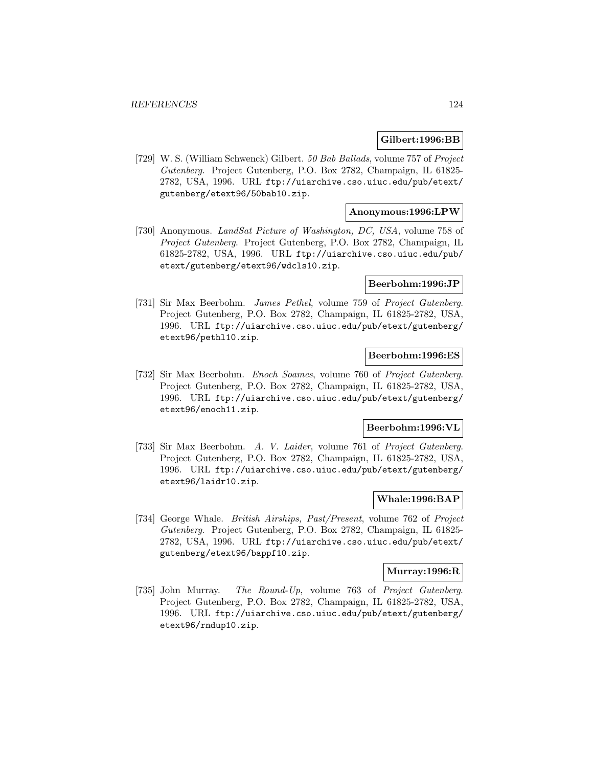#### **Gilbert:1996:BB**

[729] W. S. (William Schwenck) Gilbert. 50 Bab Ballads, volume 757 of Project Gutenberg. Project Gutenberg, P.O. Box 2782, Champaign, IL 61825- 2782, USA, 1996. URL ftp://uiarchive.cso.uiuc.edu/pub/etext/ gutenberg/etext96/50bab10.zip.

### **Anonymous:1996:LPW**

[730] Anonymous. LandSat Picture of Washington, DC, USA, volume 758 of Project Gutenberg. Project Gutenberg, P.O. Box 2782, Champaign, IL 61825-2782, USA, 1996. URL ftp://uiarchive.cso.uiuc.edu/pub/ etext/gutenberg/etext96/wdcls10.zip.

#### **Beerbohm:1996:JP**

[731] Sir Max Beerbohm. James Pethel, volume 759 of Project Gutenberg. Project Gutenberg, P.O. Box 2782, Champaign, IL 61825-2782, USA, 1996. URL ftp://uiarchive.cso.uiuc.edu/pub/etext/gutenberg/ etext96/pethl10.zip.

### **Beerbohm:1996:ES**

[732] Sir Max Beerbohm. Enoch Soames, volume 760 of Project Gutenberg. Project Gutenberg, P.O. Box 2782, Champaign, IL 61825-2782, USA, 1996. URL ftp://uiarchive.cso.uiuc.edu/pub/etext/gutenberg/ etext96/enoch11.zip.

#### **Beerbohm:1996:VL**

[733] Sir Max Beerbohm. A. V. Laider, volume 761 of Project Gutenberg. Project Gutenberg, P.O. Box 2782, Champaign, IL 61825-2782, USA, 1996. URL ftp://uiarchive.cso.uiuc.edu/pub/etext/gutenberg/ etext96/laidr10.zip.

## **Whale:1996:BAP**

[734] George Whale. British Airships, Past/Present, volume 762 of Project Gutenberg. Project Gutenberg, P.O. Box 2782, Champaign, IL 61825- 2782, USA, 1996. URL ftp://uiarchive.cso.uiuc.edu/pub/etext/ gutenberg/etext96/bappf10.zip.

#### **Murray:1996:R**

[735] John Murray. The Round-Up, volume 763 of Project Gutenberg. Project Gutenberg, P.O. Box 2782, Champaign, IL 61825-2782, USA, 1996. URL ftp://uiarchive.cso.uiuc.edu/pub/etext/gutenberg/ etext96/rndup10.zip.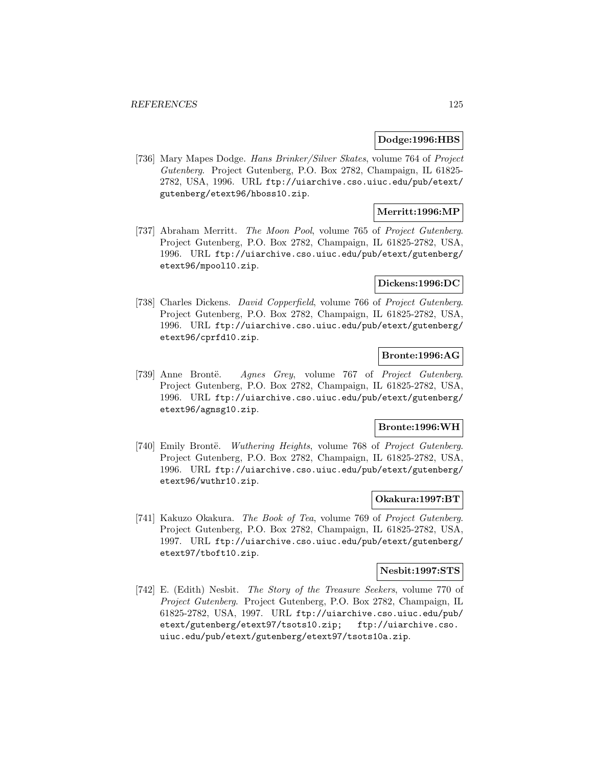#### **Dodge:1996:HBS**

[736] Mary Mapes Dodge. Hans Brinker/Silver Skates, volume 764 of Project Gutenberg. Project Gutenberg, P.O. Box 2782, Champaign, IL 61825- 2782, USA, 1996. URL ftp://uiarchive.cso.uiuc.edu/pub/etext/ gutenberg/etext96/hboss10.zip.

## **Merritt:1996:MP**

[737] Abraham Merritt. The Moon Pool, volume 765 of Project Gutenberg. Project Gutenberg, P.O. Box 2782, Champaign, IL 61825-2782, USA, 1996. URL ftp://uiarchive.cso.uiuc.edu/pub/etext/gutenberg/ etext96/mpool10.zip.

#### **Dickens:1996:DC**

[738] Charles Dickens. *David Copperfield*, volume 766 of *Project Gutenberg*. Project Gutenberg, P.O. Box 2782, Champaign, IL 61825-2782, USA, 1996. URL ftp://uiarchive.cso.uiuc.edu/pub/etext/gutenberg/ etext96/cprfd10.zip.

# **Bronte:1996:AG**

[739] Anne Brontë. Agnes Grey, volume 767 of Project Gutenberg. Project Gutenberg, P.O. Box 2782, Champaign, IL 61825-2782, USA, 1996. URL ftp://uiarchive.cso.uiuc.edu/pub/etext/gutenberg/ etext96/agnsg10.zip.

#### **Bronte:1996:WH**

[740] Emily Brontë. Wuthering Heights, volume 768 of Project Gutenberg. Project Gutenberg, P.O. Box 2782, Champaign, IL 61825-2782, USA, 1996. URL ftp://uiarchive.cso.uiuc.edu/pub/etext/gutenberg/ etext96/wuthr10.zip.

### **Okakura:1997:BT**

[741] Kakuzo Okakura. The Book of Tea, volume 769 of Project Gutenberg. Project Gutenberg, P.O. Box 2782, Champaign, IL 61825-2782, USA, 1997. URL ftp://uiarchive.cso.uiuc.edu/pub/etext/gutenberg/ etext97/tboft10.zip.

#### **Nesbit:1997:STS**

[742] E. (Edith) Nesbit. The Story of the Treasure Seekers, volume 770 of Project Gutenberg. Project Gutenberg, P.O. Box 2782, Champaign, IL 61825-2782, USA, 1997. URL ftp://uiarchive.cso.uiuc.edu/pub/ etext/gutenberg/etext97/tsots10.zip; ftp://uiarchive.cso. uiuc.edu/pub/etext/gutenberg/etext97/tsots10a.zip.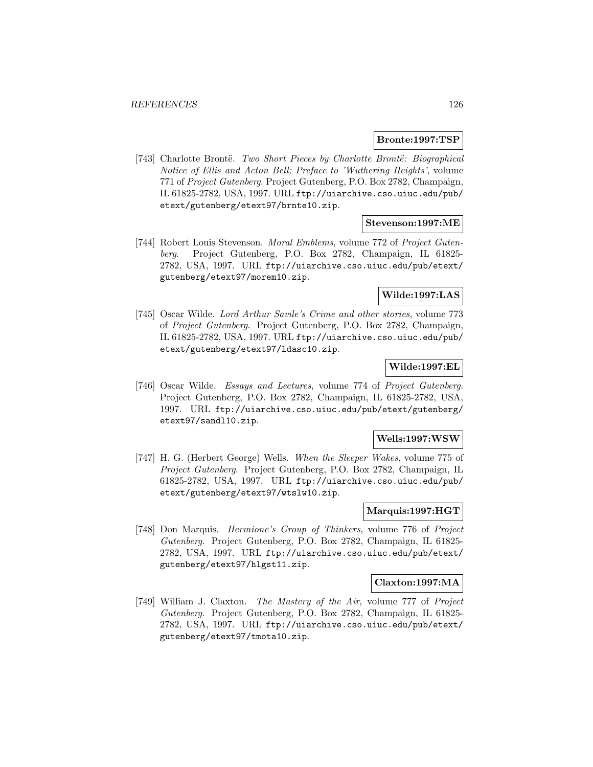#### **Bronte:1997:TSP**

[743] Charlotte Brontë. Two Short Pieces by Charlotte Brontë: Biographical Notice of Ellis and Acton Bell; Preface to 'Wuthering Heights', volume 771 of Project Gutenberg. Project Gutenberg, P.O. Box 2782, Champaign, IL 61825-2782, USA, 1997. URL ftp://uiarchive.cso.uiuc.edu/pub/ etext/gutenberg/etext97/brnte10.zip.

#### **Stevenson:1997:ME**

[744] Robert Louis Stevenson. Moral Emblems, volume 772 of Project Gutenberg. Project Gutenberg, P.O. Box 2782, Champaign, IL 61825- 2782, USA, 1997. URL ftp://uiarchive.cso.uiuc.edu/pub/etext/ gutenberg/etext97/morem10.zip.

### **Wilde:1997:LAS**

[745] Oscar Wilde. Lord Arthur Savile's Crime and other stories, volume 773 of Project Gutenberg. Project Gutenberg, P.O. Box 2782, Champaign, IL 61825-2782, USA, 1997. URL ftp://uiarchive.cso.uiuc.edu/pub/ etext/gutenberg/etext97/ldasc10.zip.

## **Wilde:1997:EL**

[746] Oscar Wilde. Essays and Lectures, volume 774 of Project Gutenberg. Project Gutenberg, P.O. Box 2782, Champaign, IL 61825-2782, USA, 1997. URL ftp://uiarchive.cso.uiuc.edu/pub/etext/gutenberg/ etext97/sandl10.zip.

### **Wells:1997:WSW**

[747] H. G. (Herbert George) Wells. When the Sleeper Wakes, volume 775 of Project Gutenberg. Project Gutenberg, P.O. Box 2782, Champaign, IL 61825-2782, USA, 1997. URL ftp://uiarchive.cso.uiuc.edu/pub/ etext/gutenberg/etext97/wtslw10.zip.

## **Marquis:1997:HGT**

[748] Don Marquis. Hermione's Group of Thinkers, volume 776 of Project Gutenberg. Project Gutenberg, P.O. Box 2782, Champaign, IL 61825- 2782, USA, 1997. URL ftp://uiarchive.cso.uiuc.edu/pub/etext/ gutenberg/etext97/hlgst11.zip.

#### **Claxton:1997:MA**

[749] William J. Claxton. The Mastery of the Air, volume 777 of Project Gutenberg. Project Gutenberg, P.O. Box 2782, Champaign, IL 61825- 2782, USA, 1997. URL ftp://uiarchive.cso.uiuc.edu/pub/etext/ gutenberg/etext97/tmota10.zip.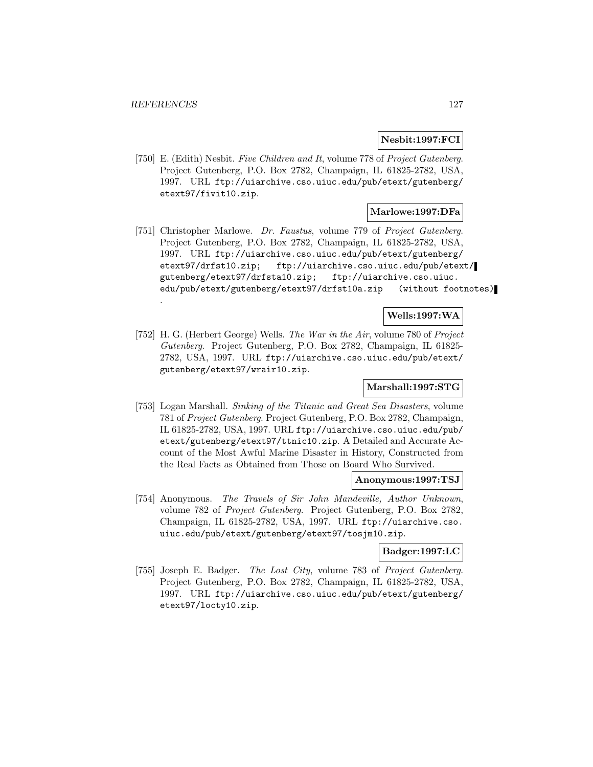## **Nesbit:1997:FCI**

[750] E. (Edith) Nesbit. Five Children and It, volume 778 of Project Gutenberg. Project Gutenberg, P.O. Box 2782, Champaign, IL 61825-2782, USA, 1997. URL ftp://uiarchive.cso.uiuc.edu/pub/etext/gutenberg/ etext97/fivit10.zip.

## **Marlowe:1997:DFa**

[751] Christopher Marlowe. Dr. Faustus, volume 779 of Project Gutenberg. Project Gutenberg, P.O. Box 2782, Champaign, IL 61825-2782, USA, 1997. URL ftp://uiarchive.cso.uiuc.edu/pub/etext/gutenberg/ etext97/drfst10.zip; ftp://uiarchive.cso.uiuc.edu/pub/etext/ gutenberg/etext97/drfsta10.zip; ftp://uiarchive.cso.uiuc. edu/pub/etext/gutenberg/etext97/drfst10a.zip (without footnotes) .

### **Wells:1997:WA**

[752] H. G. (Herbert George) Wells. The War in the Air, volume 780 of Project Gutenberg. Project Gutenberg, P.O. Box 2782, Champaign, IL 61825- 2782, USA, 1997. URL ftp://uiarchive.cso.uiuc.edu/pub/etext/ gutenberg/etext97/wrair10.zip.

## **Marshall:1997:STG**

[753] Logan Marshall. Sinking of the Titanic and Great Sea Disasters, volume 781 of Project Gutenberg. Project Gutenberg, P.O. Box 2782, Champaign, IL 61825-2782, USA, 1997. URL ftp://uiarchive.cso.uiuc.edu/pub/ etext/gutenberg/etext97/ttnic10.zip. A Detailed and Accurate Account of the Most Awful Marine Disaster in History, Constructed from the Real Facts as Obtained from Those on Board Who Survived.

#### **Anonymous:1997:TSJ**

[754] Anonymous. The Travels of Sir John Mandeville, Author Unknown, volume 782 of Project Gutenberg. Project Gutenberg, P.O. Box 2782, Champaign, IL 61825-2782, USA, 1997. URL ftp://uiarchive.cso. uiuc.edu/pub/etext/gutenberg/etext97/tosjm10.zip.

### **Badger:1997:LC**

[755] Joseph E. Badger. The Lost City, volume 783 of Project Gutenberg. Project Gutenberg, P.O. Box 2782, Champaign, IL 61825-2782, USA, 1997. URL ftp://uiarchive.cso.uiuc.edu/pub/etext/gutenberg/ etext97/locty10.zip.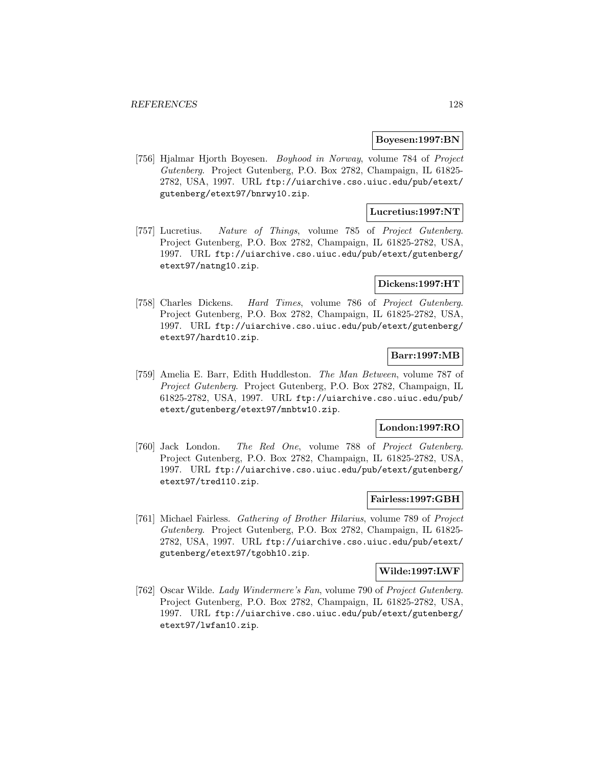#### **Boyesen:1997:BN**

[756] Hjalmar Hjorth Boyesen. Boyhood in Norway, volume 784 of Project Gutenberg. Project Gutenberg, P.O. Box 2782, Champaign, IL 61825- 2782, USA, 1997. URL ftp://uiarchive.cso.uiuc.edu/pub/etext/ gutenberg/etext97/bnrwy10.zip.

## **Lucretius:1997:NT**

[757] Lucretius. Nature of Things, volume 785 of Project Gutenberg. Project Gutenberg, P.O. Box 2782, Champaign, IL 61825-2782, USA, 1997. URL ftp://uiarchive.cso.uiuc.edu/pub/etext/gutenberg/ etext97/natng10.zip.

#### **Dickens:1997:HT**

[758] Charles Dickens. Hard Times, volume 786 of Project Gutenberg. Project Gutenberg, P.O. Box 2782, Champaign, IL 61825-2782, USA, 1997. URL ftp://uiarchive.cso.uiuc.edu/pub/etext/gutenberg/ etext97/hardt10.zip.

### **Barr:1997:MB**

[759] Amelia E. Barr, Edith Huddleston. The Man Between, volume 787 of Project Gutenberg. Project Gutenberg, P.O. Box 2782, Champaign, IL 61825-2782, USA, 1997. URL ftp://uiarchive.cso.uiuc.edu/pub/ etext/gutenberg/etext97/mnbtw10.zip.

## **London:1997:RO**

[760] Jack London. The Red One, volume 788 of Project Gutenberg. Project Gutenberg, P.O. Box 2782, Champaign, IL 61825-2782, USA, 1997. URL ftp://uiarchive.cso.uiuc.edu/pub/etext/gutenberg/ etext97/tred110.zip.

### **Fairless:1997:GBH**

[761] Michael Fairless. Gathering of Brother Hilarius, volume 789 of Project Gutenberg. Project Gutenberg, P.O. Box 2782, Champaign, IL 61825- 2782, USA, 1997. URL ftp://uiarchive.cso.uiuc.edu/pub/etext/ gutenberg/etext97/tgobh10.zip.

#### **Wilde:1997:LWF**

[762] Oscar Wilde. Lady Windermere's Fan, volume 790 of Project Gutenberg. Project Gutenberg, P.O. Box 2782, Champaign, IL 61825-2782, USA, 1997. URL ftp://uiarchive.cso.uiuc.edu/pub/etext/gutenberg/ etext97/lwfan10.zip.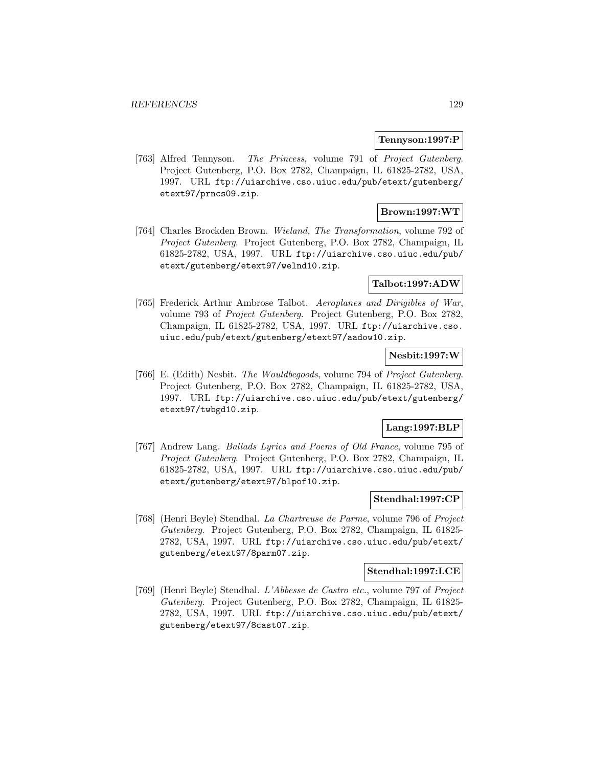#### **Tennyson:1997:P**

[763] Alfred Tennyson. The Princess, volume 791 of Project Gutenberg. Project Gutenberg, P.O. Box 2782, Champaign, IL 61825-2782, USA, 1997. URL ftp://uiarchive.cso.uiuc.edu/pub/etext/gutenberg/ etext97/prncs09.zip.

# **Brown:1997:WT**

[764] Charles Brockden Brown. Wieland, The Transformation, volume 792 of Project Gutenberg. Project Gutenberg, P.O. Box 2782, Champaign, IL 61825-2782, USA, 1997. URL ftp://uiarchive.cso.uiuc.edu/pub/ etext/gutenberg/etext97/welnd10.zip.

#### **Talbot:1997:ADW**

[765] Frederick Arthur Ambrose Talbot. Aeroplanes and Dirigibles of War, volume 793 of Project Gutenberg. Project Gutenberg, P.O. Box 2782, Champaign, IL 61825-2782, USA, 1997. URL ftp://uiarchive.cso. uiuc.edu/pub/etext/gutenberg/etext97/aadow10.zip.

### **Nesbit:1997:W**

[766] E. (Edith) Nesbit. The Wouldbegoods, volume 794 of Project Gutenberg. Project Gutenberg, P.O. Box 2782, Champaign, IL 61825-2782, USA, 1997. URL ftp://uiarchive.cso.uiuc.edu/pub/etext/gutenberg/ etext97/twbgd10.zip.

### **Lang:1997:BLP**

[767] Andrew Lang. Ballads Lyrics and Poems of Old France, volume 795 of Project Gutenberg. Project Gutenberg, P.O. Box 2782, Champaign, IL 61825-2782, USA, 1997. URL ftp://uiarchive.cso.uiuc.edu/pub/ etext/gutenberg/etext97/blpof10.zip.

## **Stendhal:1997:CP**

[768] (Henri Beyle) Stendhal. La Chartreuse de Parme, volume 796 of Project Gutenberg. Project Gutenberg, P.O. Box 2782, Champaign, IL 61825- 2782, USA, 1997. URL ftp://uiarchive.cso.uiuc.edu/pub/etext/ gutenberg/etext97/8parm07.zip.

#### **Stendhal:1997:LCE**

[769] (Henri Beyle) Stendhal. L'Abbesse de Castro etc., volume 797 of Project Gutenberg. Project Gutenberg, P.O. Box 2782, Champaign, IL 61825- 2782, USA, 1997. URL ftp://uiarchive.cso.uiuc.edu/pub/etext/ gutenberg/etext97/8cast07.zip.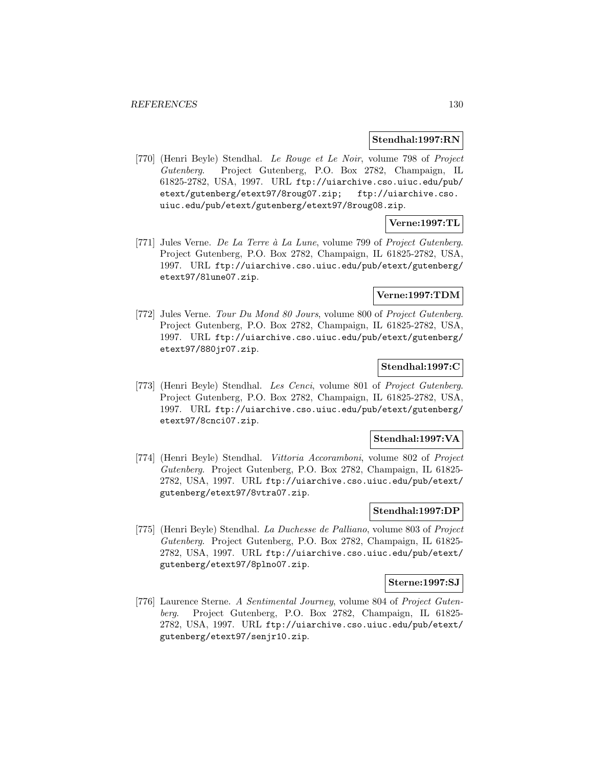#### **Stendhal:1997:RN**

[770] (Henri Beyle) Stendhal. Le Rouge et Le Noir, volume 798 of Project Gutenberg. Project Gutenberg, P.O. Box 2782, Champaign, IL 61825-2782, USA, 1997. URL ftp://uiarchive.cso.uiuc.edu/pub/ etext/gutenberg/etext97/8roug07.zip; ftp://uiarchive.cso. uiuc.edu/pub/etext/gutenberg/etext97/8roug08.zip.

# **Verne:1997:TL**

[771] Jules Verne. De La Terre à La Lune, volume 799 of Project Gutenberg. Project Gutenberg, P.O. Box 2782, Champaign, IL 61825-2782, USA, 1997. URL ftp://uiarchive.cso.uiuc.edu/pub/etext/gutenberg/ etext97/8lune07.zip.

## **Verne:1997:TDM**

[772] Jules Verne. Tour Du Mond 80 Jours, volume 800 of Project Gutenberg. Project Gutenberg, P.O. Box 2782, Champaign, IL 61825-2782, USA, 1997. URL ftp://uiarchive.cso.uiuc.edu/pub/etext/gutenberg/ etext97/880jr07.zip.

## **Stendhal:1997:C**

[773] (Henri Beyle) Stendhal. Les Cenci, volume 801 of Project Gutenberg. Project Gutenberg, P.O. Box 2782, Champaign, IL 61825-2782, USA, 1997. URL ftp://uiarchive.cso.uiuc.edu/pub/etext/gutenberg/ etext97/8cnci07.zip.

## **Stendhal:1997:VA**

[774] (Henri Beyle) Stendhal. Vittoria Accoramboni, volume 802 of Project Gutenberg. Project Gutenberg, P.O. Box 2782, Champaign, IL 61825- 2782, USA, 1997. URL ftp://uiarchive.cso.uiuc.edu/pub/etext/ gutenberg/etext97/8vtra07.zip.

### **Stendhal:1997:DP**

[775] (Henri Beyle) Stendhal. La Duchesse de Palliano, volume 803 of Project Gutenberg. Project Gutenberg, P.O. Box 2782, Champaign, IL 61825- 2782, USA, 1997. URL ftp://uiarchive.cso.uiuc.edu/pub/etext/ gutenberg/etext97/8plno07.zip.

#### **Sterne:1997:SJ**

[776] Laurence Sterne. A Sentimental Journey, volume 804 of Project Gutenberg. Project Gutenberg, P.O. Box 2782, Champaign, IL 61825- 2782, USA, 1997. URL ftp://uiarchive.cso.uiuc.edu/pub/etext/ gutenberg/etext97/senjr10.zip.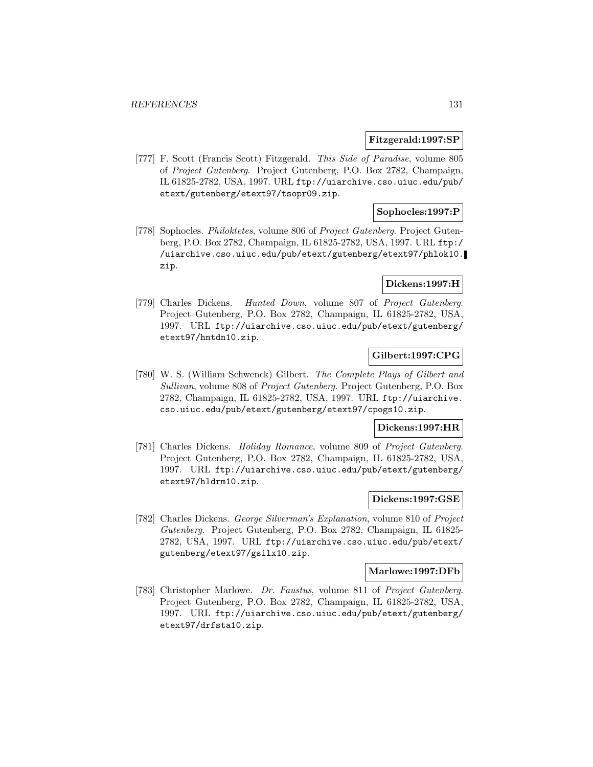#### **Fitzgerald:1997:SP**

[777] F. Scott (Francis Scott) Fitzgerald. This Side of Paradise, volume 805 of Project Gutenberg. Project Gutenberg, P.O. Box 2782, Champaign, IL 61825-2782, USA, 1997. URL ftp://uiarchive.cso.uiuc.edu/pub/ etext/gutenberg/etext97/tsopr09.zip.

## **Sophocles:1997:P**

[778] Sophocles. Philoktetes, volume 806 of Project Gutenberg. Project Gutenberg, P.O. Box 2782, Champaign, IL 61825-2782, USA, 1997. URL ftp:/ /uiarchive.cso.uiuc.edu/pub/etext/gutenberg/etext97/phlok10. zip.

## **Dickens:1997:H**

[779] Charles Dickens. Hunted Down, volume 807 of Project Gutenberg. Project Gutenberg, P.O. Box 2782, Champaign, IL 61825-2782, USA, 1997. URL ftp://uiarchive.cso.uiuc.edu/pub/etext/gutenberg/ etext97/hntdn10.zip.

# **Gilbert:1997:CPG**

[780] W. S. (William Schwenck) Gilbert. The Complete Plays of Gilbert and Sullivan, volume 808 of Project Gutenberg. Project Gutenberg, P.O. Box 2782, Champaign, IL 61825-2782, USA, 1997. URL ftp://uiarchive. cso.uiuc.edu/pub/etext/gutenberg/etext97/cpogs10.zip.

#### **Dickens:1997:HR**

[781] Charles Dickens. Holiday Romance, volume 809 of Project Gutenberg. Project Gutenberg, P.O. Box 2782, Champaign, IL 61825-2782, USA, 1997. URL ftp://uiarchive.cso.uiuc.edu/pub/etext/gutenberg/ etext97/hldrm10.zip.

### **Dickens:1997:GSE**

[782] Charles Dickens. George Silverman's Explanation, volume 810 of Project Gutenberg. Project Gutenberg, P.O. Box 2782, Champaign, IL 61825- 2782, USA, 1997. URL ftp://uiarchive.cso.uiuc.edu/pub/etext/ gutenberg/etext97/gsilx10.zip.

#### **Marlowe:1997:DFb**

[783] Christopher Marlowe. Dr. Faustus, volume 811 of Project Gutenberg. Project Gutenberg, P.O. Box 2782, Champaign, IL 61825-2782, USA, 1997. URL ftp://uiarchive.cso.uiuc.edu/pub/etext/gutenberg/ etext97/drfsta10.zip.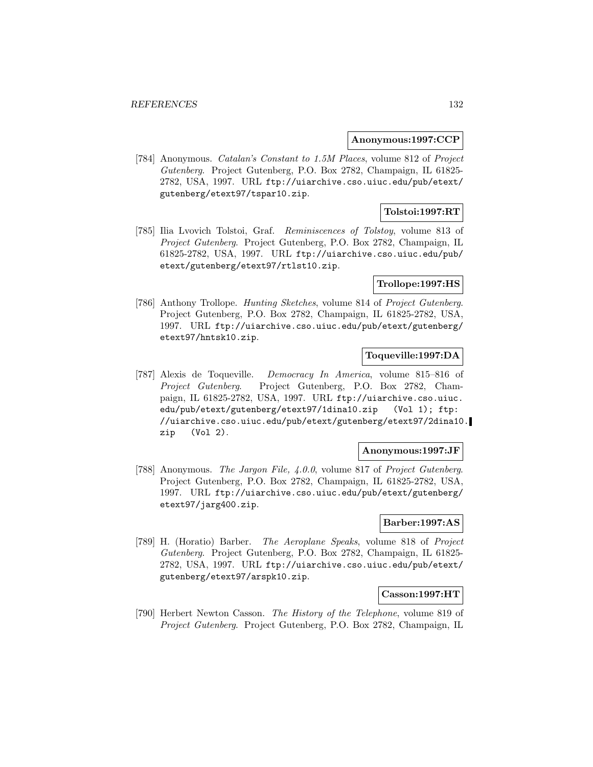#### **Anonymous:1997:CCP**

[784] Anonymous. Catalan's Constant to 1.5M Places, volume 812 of Project Gutenberg. Project Gutenberg, P.O. Box 2782, Champaign, IL 61825- 2782, USA, 1997. URL ftp://uiarchive.cso.uiuc.edu/pub/etext/ gutenberg/etext97/tspar10.zip.

## **Tolstoi:1997:RT**

[785] Ilia Lvovich Tolstoi, Graf. Reminiscences of Tolstoy, volume 813 of Project Gutenberg. Project Gutenberg, P.O. Box 2782, Champaign, IL 61825-2782, USA, 1997. URL ftp://uiarchive.cso.uiuc.edu/pub/ etext/gutenberg/etext97/rtlst10.zip.

### **Trollope:1997:HS**

[786] Anthony Trollope. Hunting Sketches, volume 814 of Project Gutenberg. Project Gutenberg, P.O. Box 2782, Champaign, IL 61825-2782, USA, 1997. URL ftp://uiarchive.cso.uiuc.edu/pub/etext/gutenberg/ etext97/hntsk10.zip.

## **Toqueville:1997:DA**

[787] Alexis de Toqueville. Democracy In America, volume 815–816 of Project Gutenberg. Project Gutenberg, P.O. Box 2782, Champaign, IL 61825-2782, USA, 1997. URL ftp://uiarchive.cso.uiuc. edu/pub/etext/gutenberg/etext97/1dina10.zip (Vol 1); ftp: //uiarchive.cso.uiuc.edu/pub/etext/gutenberg/etext97/2dina10. zip (Vol 2).

### **Anonymous:1997:JF**

[788] Anonymous. The Jargon File, 4.0.0, volume 817 of Project Gutenberg. Project Gutenberg, P.O. Box 2782, Champaign, IL 61825-2782, USA, 1997. URL ftp://uiarchive.cso.uiuc.edu/pub/etext/gutenberg/ etext97/jarg400.zip.

## **Barber:1997:AS**

[789] H. (Horatio) Barber. The Aeroplane Speaks, volume 818 of Project Gutenberg. Project Gutenberg, P.O. Box 2782, Champaign, IL 61825- 2782, USA, 1997. URL ftp://uiarchive.cso.uiuc.edu/pub/etext/ gutenberg/etext97/arspk10.zip.

#### **Casson:1997:HT**

[790] Herbert Newton Casson. The History of the Telephone, volume 819 of Project Gutenberg. Project Gutenberg, P.O. Box 2782, Champaign, IL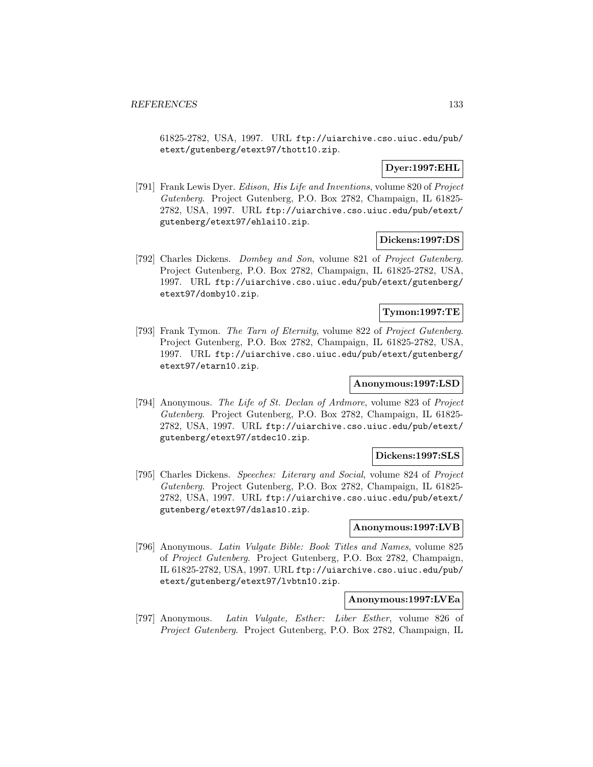61825-2782, USA, 1997. URL ftp://uiarchive.cso.uiuc.edu/pub/ etext/gutenberg/etext97/thott10.zip.

### **Dyer:1997:EHL**

[791] Frank Lewis Dyer. Edison, His Life and Inventions, volume 820 of Project Gutenberg. Project Gutenberg, P.O. Box 2782, Champaign, IL 61825- 2782, USA, 1997. URL ftp://uiarchive.cso.uiuc.edu/pub/etext/ gutenberg/etext97/ehlai10.zip.

### **Dickens:1997:DS**

[792] Charles Dickens. Dombey and Son, volume 821 of Project Gutenberg. Project Gutenberg, P.O. Box 2782, Champaign, IL 61825-2782, USA, 1997. URL ftp://uiarchive.cso.uiuc.edu/pub/etext/gutenberg/ etext97/domby10.zip.

### **Tymon:1997:TE**

[793] Frank Tymon. The Tarn of Eternity, volume 822 of Project Gutenberg. Project Gutenberg, P.O. Box 2782, Champaign, IL 61825-2782, USA, 1997. URL ftp://uiarchive.cso.uiuc.edu/pub/etext/gutenberg/ etext97/etarn10.zip.

# **Anonymous:1997:LSD**

[794] Anonymous. The Life of St. Declan of Ardmore, volume 823 of Project Gutenberg. Project Gutenberg, P.O. Box 2782, Champaign, IL 61825- 2782, USA, 1997. URL ftp://uiarchive.cso.uiuc.edu/pub/etext/ gutenberg/etext97/stdec10.zip.

### **Dickens:1997:SLS**

[795] Charles Dickens. Speeches: Literary and Social, volume 824 of Project Gutenberg. Project Gutenberg, P.O. Box 2782, Champaign, IL 61825- 2782, USA, 1997. URL ftp://uiarchive.cso.uiuc.edu/pub/etext/ gutenberg/etext97/dslas10.zip.

## **Anonymous:1997:LVB**

[796] Anonymous. Latin Vulgate Bible: Book Titles and Names, volume 825 of Project Gutenberg. Project Gutenberg, P.O. Box 2782, Champaign, IL 61825-2782, USA, 1997. URL ftp://uiarchive.cso.uiuc.edu/pub/ etext/gutenberg/etext97/lvbtn10.zip.

#### **Anonymous:1997:LVEa**

[797] Anonymous. Latin Vulgate, Esther: Liber Esther, volume 826 of Project Gutenberg. Project Gutenberg, P.O. Box 2782, Champaign, IL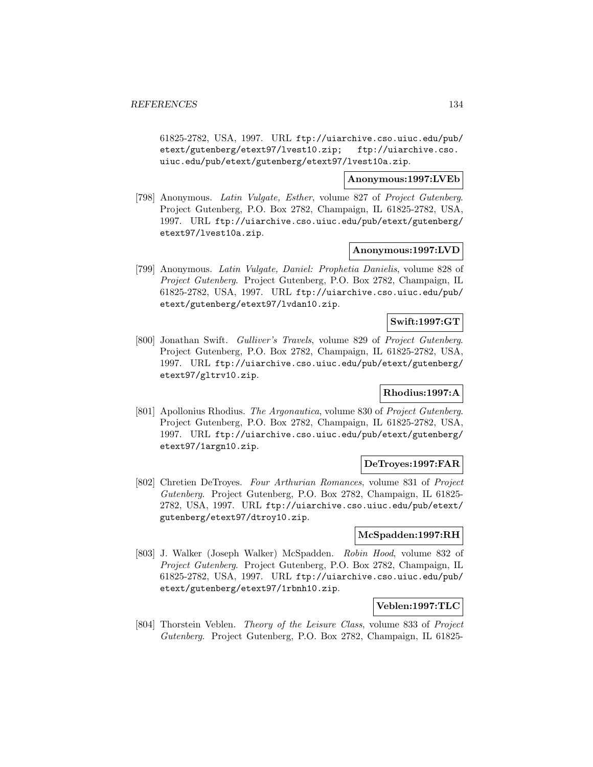61825-2782, USA, 1997. URL ftp://uiarchive.cso.uiuc.edu/pub/ etext/gutenberg/etext97/lvest10.zip; ftp://uiarchive.cso. uiuc.edu/pub/etext/gutenberg/etext97/lvest10a.zip.

**Anonymous:1997:LVEb**

[798] Anonymous. Latin Vulgate, Esther, volume 827 of Project Gutenberg. Project Gutenberg, P.O. Box 2782, Champaign, IL 61825-2782, USA, 1997. URL ftp://uiarchive.cso.uiuc.edu/pub/etext/gutenberg/ etext97/lvest10a.zip.

### **Anonymous:1997:LVD**

[799] Anonymous. Latin Vulgate, Daniel: Prophetia Danielis, volume 828 of Project Gutenberg. Project Gutenberg, P.O. Box 2782, Champaign, IL 61825-2782, USA, 1997. URL ftp://uiarchive.cso.uiuc.edu/pub/ etext/gutenberg/etext97/lvdan10.zip.

# **Swift:1997:GT**

[800] Jonathan Swift. Gulliver's Travels, volume 829 of Project Gutenberg. Project Gutenberg, P.O. Box 2782, Champaign, IL 61825-2782, USA, 1997. URL ftp://uiarchive.cso.uiuc.edu/pub/etext/gutenberg/ etext97/gltrv10.zip.

## **Rhodius:1997:A**

[801] Apollonius Rhodius. The Argonautica, volume 830 of Project Gutenberg. Project Gutenberg, P.O. Box 2782, Champaign, IL 61825-2782, USA, 1997. URL ftp://uiarchive.cso.uiuc.edu/pub/etext/gutenberg/ etext97/1argn10.zip.

### **DeTroyes:1997:FAR**

[802] Chretien DeTroyes. Four Arthurian Romances, volume 831 of Project Gutenberg. Project Gutenberg, P.O. Box 2782, Champaign, IL 61825- 2782, USA, 1997. URL ftp://uiarchive.cso.uiuc.edu/pub/etext/ gutenberg/etext97/dtroy10.zip.

### **McSpadden:1997:RH**

[803] J. Walker (Joseph Walker) McSpadden. Robin Hood, volume 832 of Project Gutenberg. Project Gutenberg, P.O. Box 2782, Champaign, IL 61825-2782, USA, 1997. URL ftp://uiarchive.cso.uiuc.edu/pub/ etext/gutenberg/etext97/1rbnh10.zip.

## **Veblen:1997:TLC**

[804] Thorstein Veblen. Theory of the Leisure Class, volume 833 of Project Gutenberg. Project Gutenberg, P.O. Box 2782, Champaign, IL 61825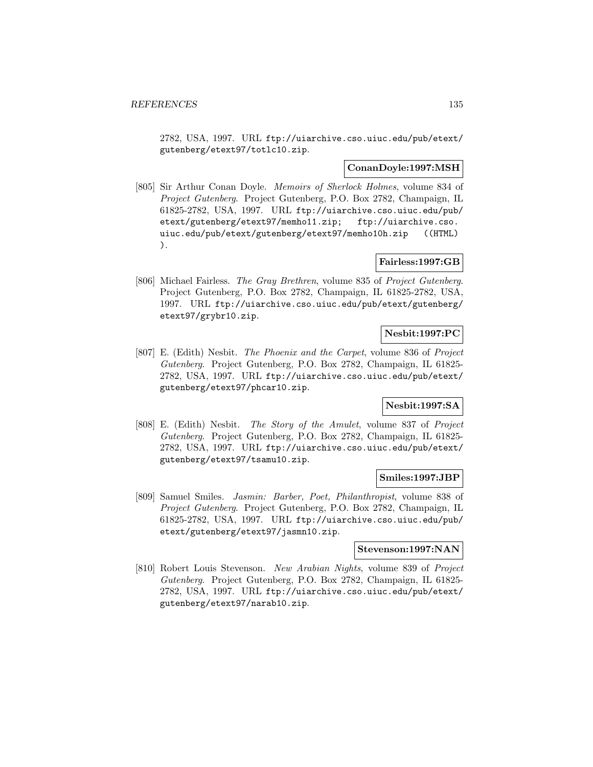2782, USA, 1997. URL ftp://uiarchive.cso.uiuc.edu/pub/etext/ gutenberg/etext97/totlc10.zip.

#### **ConanDoyle:1997:MSH**

[805] Sir Arthur Conan Doyle. Memoirs of Sherlock Holmes, volume 834 of Project Gutenberg. Project Gutenberg, P.O. Box 2782, Champaign, IL 61825-2782, USA, 1997. URL ftp://uiarchive.cso.uiuc.edu/pub/ etext/gutenberg/etext97/memho11.zip; ftp://uiarchive.cso. uiuc.edu/pub/etext/gutenberg/etext97/memho10h.zip ((HTML) ).

### **Fairless:1997:GB**

[806] Michael Fairless. The Gray Brethren, volume 835 of Project Gutenberg. Project Gutenberg, P.O. Box 2782, Champaign, IL 61825-2782, USA, 1997. URL ftp://uiarchive.cso.uiuc.edu/pub/etext/gutenberg/ etext97/grybr10.zip.

#### **Nesbit:1997:PC**

[807] E. (Edith) Nesbit. The Phoenix and the Carpet, volume 836 of Project Gutenberg. Project Gutenberg, P.O. Box 2782, Champaign, IL 61825- 2782, USA, 1997. URL ftp://uiarchive.cso.uiuc.edu/pub/etext/ gutenberg/etext97/phcar10.zip.

### **Nesbit:1997:SA**

[808] E. (Edith) Nesbit. The Story of the Amulet, volume 837 of Project Gutenberg. Project Gutenberg, P.O. Box 2782, Champaign, IL 61825- 2782, USA, 1997. URL ftp://uiarchive.cso.uiuc.edu/pub/etext/ gutenberg/etext97/tsamu10.zip.

### **Smiles:1997:JBP**

[809] Samuel Smiles. Jasmin: Barber, Poet, Philanthropist, volume 838 of Project Gutenberg. Project Gutenberg, P.O. Box 2782, Champaign, IL 61825-2782, USA, 1997. URL ftp://uiarchive.cso.uiuc.edu/pub/ etext/gutenberg/etext97/jasmn10.zip.

### **Stevenson:1997:NAN**

[810] Robert Louis Stevenson. New Arabian Nights, volume 839 of Project Gutenberg. Project Gutenberg, P.O. Box 2782, Champaign, IL 61825- 2782, USA, 1997. URL ftp://uiarchive.cso.uiuc.edu/pub/etext/ gutenberg/etext97/narab10.zip.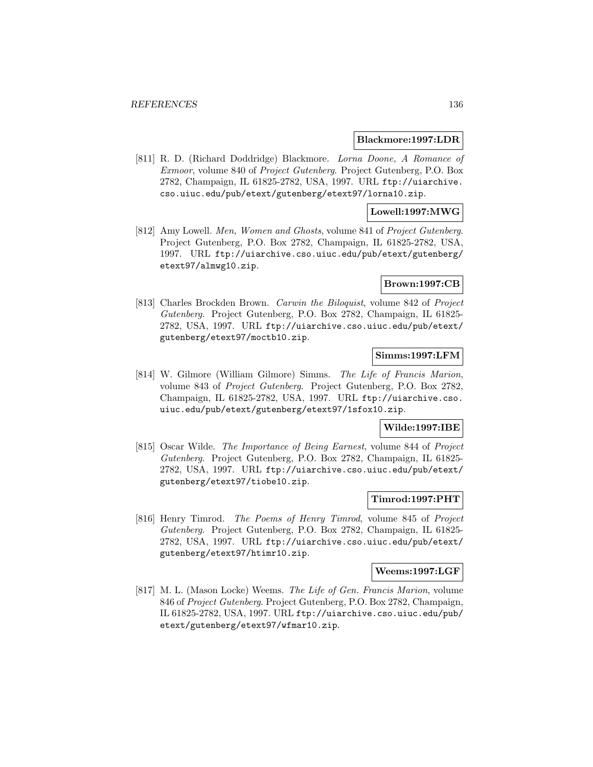#### **Blackmore:1997:LDR**

[811] R. D. (Richard Doddridge) Blackmore. Lorna Doone, A Romance of Exmoor, volume 840 of Project Gutenberg. Project Gutenberg, P.O. Box 2782, Champaign, IL 61825-2782, USA, 1997. URL ftp://uiarchive. cso.uiuc.edu/pub/etext/gutenberg/etext97/lorna10.zip.

### **Lowell:1997:MWG**

[812] Amy Lowell. Men, Women and Ghosts, volume 841 of Project Gutenberg. Project Gutenberg, P.O. Box 2782, Champaign, IL 61825-2782, USA, 1997. URL ftp://uiarchive.cso.uiuc.edu/pub/etext/gutenberg/ etext97/almwg10.zip.

#### **Brown:1997:CB**

[813] Charles Brockden Brown. Carwin the Biloquist, volume 842 of Project Gutenberg. Project Gutenberg, P.O. Box 2782, Champaign, IL 61825- 2782, USA, 1997. URL ftp://uiarchive.cso.uiuc.edu/pub/etext/ gutenberg/etext97/moctb10.zip.

### **Simms:1997:LFM**

[814] W. Gilmore (William Gilmore) Simms. The Life of Francis Marion, volume 843 of Project Gutenberg. Project Gutenberg, P.O. Box 2782, Champaign, IL 61825-2782, USA, 1997. URL ftp://uiarchive.cso. uiuc.edu/pub/etext/gutenberg/etext97/1sfox10.zip.

#### **Wilde:1997:IBE**

[815] Oscar Wilde. The Importance of Being Earnest, volume 844 of Project Gutenberg. Project Gutenberg, P.O. Box 2782, Champaign, IL 61825- 2782, USA, 1997. URL ftp://uiarchive.cso.uiuc.edu/pub/etext/ gutenberg/etext97/tiobe10.zip.

### **Timrod:1997:PHT**

[816] Henry Timrod. The Poems of Henry Timrod, volume 845 of Project Gutenberg. Project Gutenberg, P.O. Box 2782, Champaign, IL 61825- 2782, USA, 1997. URL ftp://uiarchive.cso.uiuc.edu/pub/etext/ gutenberg/etext97/htimr10.zip.

#### **Weems:1997:LGF**

[817] M. L. (Mason Locke) Weems. The Life of Gen. Francis Marion, volume 846 of Project Gutenberg. Project Gutenberg, P.O. Box 2782, Champaign, IL 61825-2782, USA, 1997. URL ftp://uiarchive.cso.uiuc.edu/pub/ etext/gutenberg/etext97/wfmar10.zip.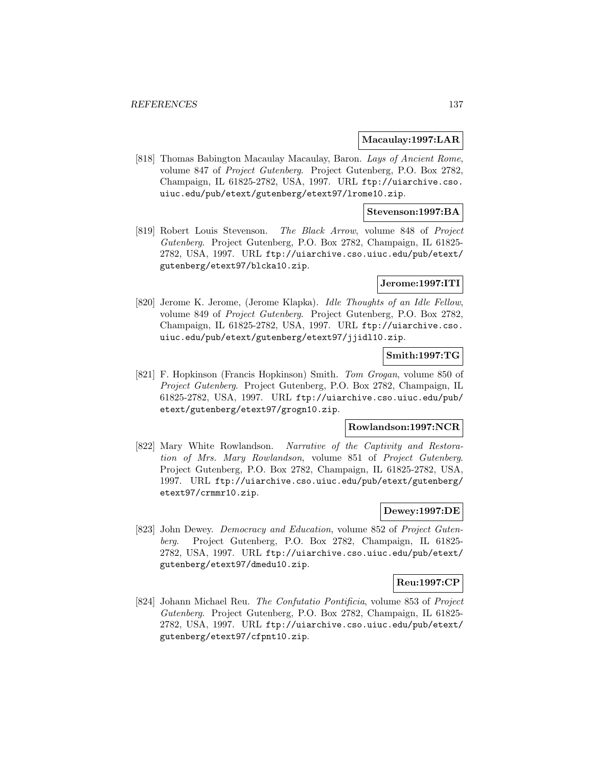#### **Macaulay:1997:LAR**

[818] Thomas Babington Macaulay Macaulay, Baron. Lays of Ancient Rome, volume 847 of Project Gutenberg. Project Gutenberg, P.O. Box 2782, Champaign, IL 61825-2782, USA, 1997. URL ftp://uiarchive.cso. uiuc.edu/pub/etext/gutenberg/etext97/lrome10.zip.

### **Stevenson:1997:BA**

[819] Robert Louis Stevenson. The Black Arrow, volume 848 of Project Gutenberg. Project Gutenberg, P.O. Box 2782, Champaign, IL 61825- 2782, USA, 1997. URL ftp://uiarchive.cso.uiuc.edu/pub/etext/ gutenberg/etext97/blcka10.zip.

### **Jerome:1997:ITI**

[820] Jerome K. Jerome, (Jerome Klapka). Idle Thoughts of an Idle Fellow, volume 849 of Project Gutenberg. Project Gutenberg, P.O. Box 2782, Champaign, IL 61825-2782, USA, 1997. URL ftp://uiarchive.cso. uiuc.edu/pub/etext/gutenberg/etext97/jjidl10.zip.

#### **Smith:1997:TG**

[821] F. Hopkinson (Francis Hopkinson) Smith. Tom Grogan, volume 850 of Project Gutenberg. Project Gutenberg, P.O. Box 2782, Champaign, IL 61825-2782, USA, 1997. URL ftp://uiarchive.cso.uiuc.edu/pub/ etext/gutenberg/etext97/grogn10.zip.

#### **Rowlandson:1997:NCR**

[822] Mary White Rowlandson. Narrative of the Captivity and Restoration of Mrs. Mary Rowlandson, volume 851 of Project Gutenberg. Project Gutenberg, P.O. Box 2782, Champaign, IL 61825-2782, USA, 1997. URL ftp://uiarchive.cso.uiuc.edu/pub/etext/gutenberg/ etext97/crmmr10.zip.

## **Dewey:1997:DE**

[823] John Dewey. *Democracy and Education*, volume 852 of *Project Guten*berg. Project Gutenberg, P.O. Box 2782, Champaign, IL 61825- 2782, USA, 1997. URL ftp://uiarchive.cso.uiuc.edu/pub/etext/ gutenberg/etext97/dmedu10.zip.

#### **Reu:1997:CP**

[824] Johann Michael Reu. The Confutatio Pontificia, volume 853 of Project Gutenberg. Project Gutenberg, P.O. Box 2782, Champaign, IL 61825- 2782, USA, 1997. URL ftp://uiarchive.cso.uiuc.edu/pub/etext/ gutenberg/etext97/cfpnt10.zip.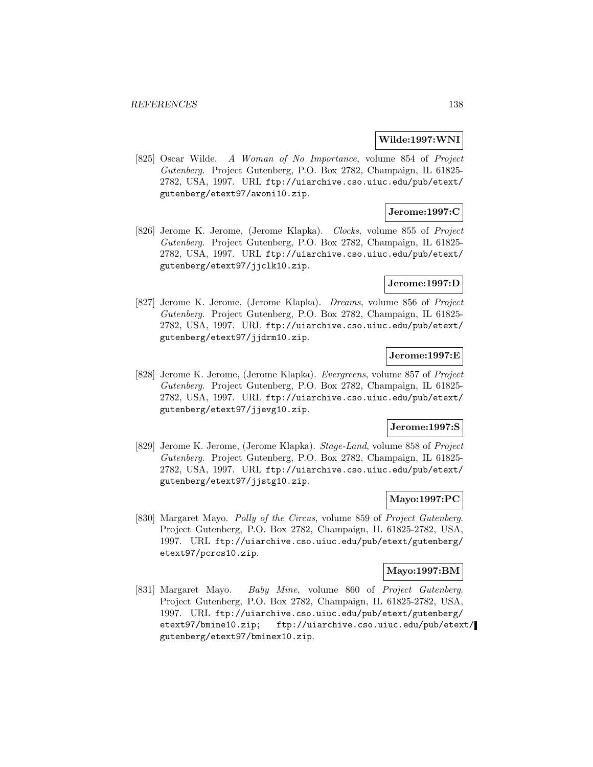#### **Wilde:1997:WNI**

[825] Oscar Wilde. A Woman of No Importance, volume 854 of Project Gutenberg. Project Gutenberg, P.O. Box 2782, Champaign, IL 61825- 2782, USA, 1997. URL ftp://uiarchive.cso.uiuc.edu/pub/etext/ gutenberg/etext97/awoni10.zip.

## **Jerome:1997:C**

[826] Jerome K. Jerome, (Jerome Klapka). Clocks, volume 855 of Project Gutenberg. Project Gutenberg, P.O. Box 2782, Champaign, IL 61825- 2782, USA, 1997. URL ftp://uiarchive.cso.uiuc.edu/pub/etext/ gutenberg/etext97/jjclk10.zip.

### **Jerome:1997:D**

[827] Jerome K. Jerome, (Jerome Klapka). Dreams, volume 856 of Project Gutenberg. Project Gutenberg, P.O. Box 2782, Champaign, IL 61825- 2782, USA, 1997. URL ftp://uiarchive.cso.uiuc.edu/pub/etext/ gutenberg/etext97/jjdrm10.zip.

## **Jerome:1997:E**

[828] Jerome K. Jerome, (Jerome Klapka). Evergreens, volume 857 of Project Gutenberg. Project Gutenberg, P.O. Box 2782, Champaign, IL 61825- 2782, USA, 1997. URL ftp://uiarchive.cso.uiuc.edu/pub/etext/ gutenberg/etext97/jjevg10.zip.

### **Jerome:1997:S**

[829] Jerome K. Jerome, (Jerome Klapka). Stage-Land, volume 858 of Project Gutenberg. Project Gutenberg, P.O. Box 2782, Champaign, IL 61825- 2782, USA, 1997. URL ftp://uiarchive.cso.uiuc.edu/pub/etext/ gutenberg/etext97/jjstg10.zip.

### **Mayo:1997:PC**

[830] Margaret Mayo. Polly of the Circus, volume 859 of Project Gutenberg. Project Gutenberg, P.O. Box 2782, Champaign, IL 61825-2782, USA, 1997. URL ftp://uiarchive.cso.uiuc.edu/pub/etext/gutenberg/ etext97/pcrcs10.zip.

#### **Mayo:1997:BM**

[831] Margaret Mayo. Baby Mine, volume 860 of Project Gutenberg. Project Gutenberg, P.O. Box 2782, Champaign, IL 61825-2782, USA, 1997. URL ftp://uiarchive.cso.uiuc.edu/pub/etext/gutenberg/ etext97/bmine10.zip; ftp://uiarchive.cso.uiuc.edu/pub/etext/ gutenberg/etext97/bminex10.zip.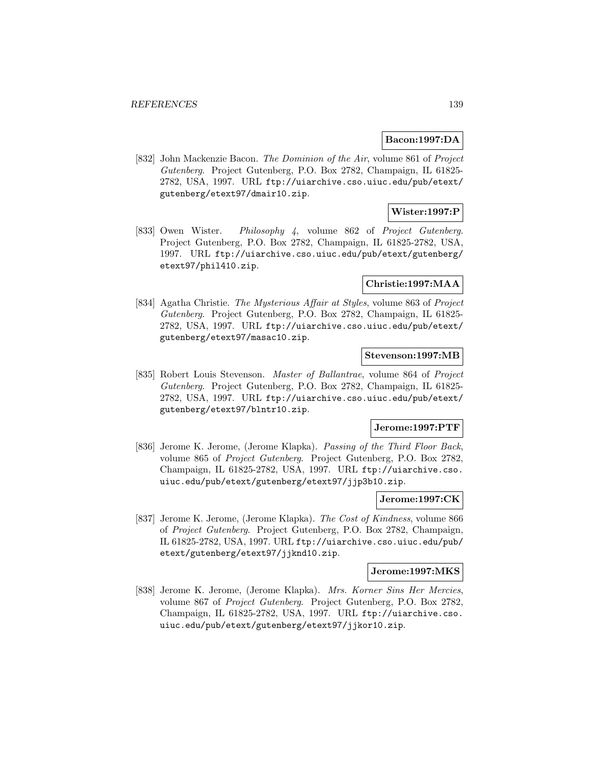#### **Bacon:1997:DA**

[832] John Mackenzie Bacon. The Dominion of the Air, volume 861 of Project Gutenberg. Project Gutenberg, P.O. Box 2782, Champaign, IL 61825- 2782, USA, 1997. URL ftp://uiarchive.cso.uiuc.edu/pub/etext/ gutenberg/etext97/dmair10.zip.

# **Wister:1997:P**

[833] Owen Wister. Philosophy 4, volume 862 of Project Gutenberg. Project Gutenberg, P.O. Box 2782, Champaign, IL 61825-2782, USA, 1997. URL ftp://uiarchive.cso.uiuc.edu/pub/etext/gutenberg/ etext97/phil410.zip.

#### **Christie:1997:MAA**

[834] Agatha Christie. The Mysterious Affair at Styles, volume 863 of Project Gutenberg. Project Gutenberg, P.O. Box 2782, Champaign, IL 61825- 2782, USA, 1997. URL ftp://uiarchive.cso.uiuc.edu/pub/etext/ gutenberg/etext97/masac10.zip.

### **Stevenson:1997:MB**

[835] Robert Louis Stevenson. Master of Ballantrae, volume 864 of Project Gutenberg. Project Gutenberg, P.O. Box 2782, Champaign, IL 61825- 2782, USA, 1997. URL ftp://uiarchive.cso.uiuc.edu/pub/etext/ gutenberg/etext97/blntr10.zip.

#### **Jerome:1997:PTF**

[836] Jerome K. Jerome, (Jerome Klapka). Passing of the Third Floor Back, volume 865 of Project Gutenberg. Project Gutenberg, P.O. Box 2782, Champaign, IL 61825-2782, USA, 1997. URL ftp://uiarchive.cso. uiuc.edu/pub/etext/gutenberg/etext97/jjp3b10.zip.

### **Jerome:1997:CK**

[837] Jerome K. Jerome, (Jerome Klapka). The Cost of Kindness, volume 866 of Project Gutenberg. Project Gutenberg, P.O. Box 2782, Champaign, IL 61825-2782, USA, 1997. URL ftp://uiarchive.cso.uiuc.edu/pub/ etext/gutenberg/etext97/jjknd10.zip.

## **Jerome:1997:MKS**

[838] Jerome K. Jerome, (Jerome Klapka). Mrs. Korner Sins Her Mercies, volume 867 of Project Gutenberg. Project Gutenberg, P.O. Box 2782, Champaign, IL 61825-2782, USA, 1997. URL ftp://uiarchive.cso. uiuc.edu/pub/etext/gutenberg/etext97/jjkor10.zip.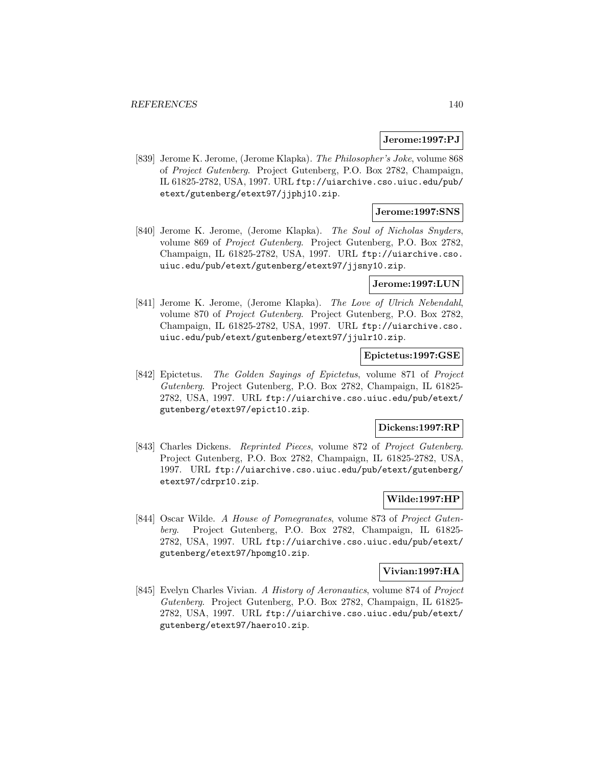#### **Jerome:1997:PJ**

[839] Jerome K. Jerome, (Jerome Klapka). The Philosopher's Joke, volume 868 of Project Gutenberg. Project Gutenberg, P.O. Box 2782, Champaign, IL 61825-2782, USA, 1997. URL ftp://uiarchive.cso.uiuc.edu/pub/ etext/gutenberg/etext97/jjphj10.zip.

### **Jerome:1997:SNS**

[840] Jerome K. Jerome, (Jerome Klapka). The Soul of Nicholas Snyders, volume 869 of Project Gutenberg. Project Gutenberg, P.O. Box 2782, Champaign, IL 61825-2782, USA, 1997. URL ftp://uiarchive.cso. uiuc.edu/pub/etext/gutenberg/etext97/jjsny10.zip.

#### **Jerome:1997:LUN**

[841] Jerome K. Jerome, (Jerome Klapka). The Love of Ulrich Nebendahl, volume 870 of Project Gutenberg. Project Gutenberg, P.O. Box 2782, Champaign, IL 61825-2782, USA, 1997. URL ftp://uiarchive.cso. uiuc.edu/pub/etext/gutenberg/etext97/jjulr10.zip.

## **Epictetus:1997:GSE**

[842] Epictetus. The Golden Sayings of Epictetus, volume 871 of Project Gutenberg. Project Gutenberg, P.O. Box 2782, Champaign, IL 61825- 2782, USA, 1997. URL ftp://uiarchive.cso.uiuc.edu/pub/etext/ gutenberg/etext97/epict10.zip.

#### **Dickens:1997:RP**

[843] Charles Dickens. Reprinted Pieces, volume 872 of Project Gutenberg. Project Gutenberg, P.O. Box 2782, Champaign, IL 61825-2782, USA, 1997. URL ftp://uiarchive.cso.uiuc.edu/pub/etext/gutenberg/ etext97/cdrpr10.zip.

## **Wilde:1997:HP**

[844] Oscar Wilde. A House of Pomegranates, volume 873 of Project Gutenberg. Project Gutenberg, P.O. Box 2782, Champaign, IL 61825- 2782, USA, 1997. URL ftp://uiarchive.cso.uiuc.edu/pub/etext/ gutenberg/etext97/hpomg10.zip.

#### **Vivian:1997:HA**

[845] Evelyn Charles Vivian. A History of Aeronautics, volume 874 of Project Gutenberg. Project Gutenberg, P.O. Box 2782, Champaign, IL 61825- 2782, USA, 1997. URL ftp://uiarchive.cso.uiuc.edu/pub/etext/ gutenberg/etext97/haero10.zip.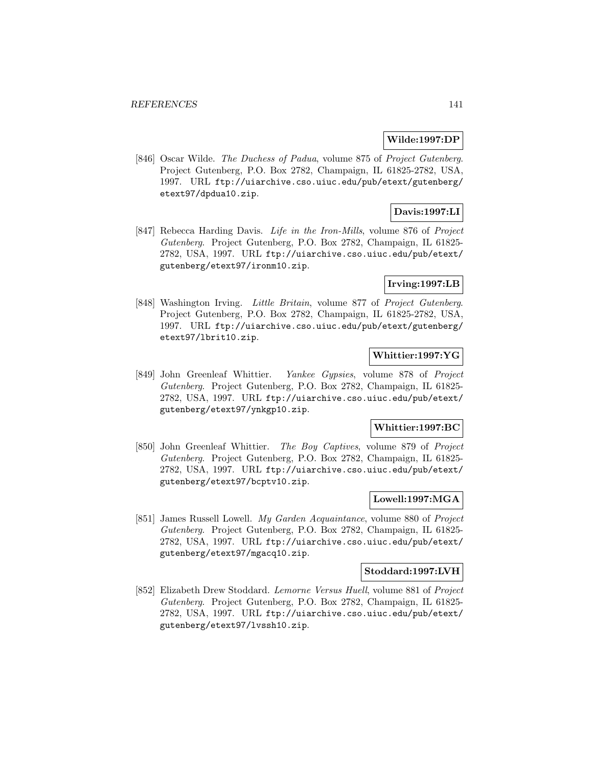### **Wilde:1997:DP**

[846] Oscar Wilde. The Duchess of Padua, volume 875 of Project Gutenberg. Project Gutenberg, P.O. Box 2782, Champaign, IL 61825-2782, USA, 1997. URL ftp://uiarchive.cso.uiuc.edu/pub/etext/gutenberg/ etext97/dpdua10.zip.

## **Davis:1997:LI**

[847] Rebecca Harding Davis. Life in the Iron-Mills, volume 876 of Project Gutenberg. Project Gutenberg, P.O. Box 2782, Champaign, IL 61825- 2782, USA, 1997. URL ftp://uiarchive.cso.uiuc.edu/pub/etext/ gutenberg/etext97/ironm10.zip.

## **Irving:1997:LB**

[848] Washington Irving. Little Britain, volume 877 of Project Gutenberg. Project Gutenberg, P.O. Box 2782, Champaign, IL 61825-2782, USA, 1997. URL ftp://uiarchive.cso.uiuc.edu/pub/etext/gutenberg/ etext97/lbrit10.zip.

## **Whittier:1997:YG**

[849] John Greenleaf Whittier. Yankee Gypsies, volume 878 of Project Gutenberg. Project Gutenberg, P.O. Box 2782, Champaign, IL 61825- 2782, USA, 1997. URL ftp://uiarchive.cso.uiuc.edu/pub/etext/ gutenberg/etext97/ynkgp10.zip.

#### **Whittier:1997:BC**

[850] John Greenleaf Whittier. The Boy Captives, volume 879 of Project Gutenberg. Project Gutenberg, P.O. Box 2782, Champaign, IL 61825- 2782, USA, 1997. URL ftp://uiarchive.cso.uiuc.edu/pub/etext/ gutenberg/etext97/bcptv10.zip.

### **Lowell:1997:MGA**

[851] James Russell Lowell. My Garden Acquaintance, volume 880 of Project Gutenberg. Project Gutenberg, P.O. Box 2782, Champaign, IL 61825- 2782, USA, 1997. URL ftp://uiarchive.cso.uiuc.edu/pub/etext/ gutenberg/etext97/mgacq10.zip.

#### **Stoddard:1997:LVH**

[852] Elizabeth Drew Stoddard. Lemorne Versus Huell, volume 881 of Project Gutenberg. Project Gutenberg, P.O. Box 2782, Champaign, IL 61825- 2782, USA, 1997. URL ftp://uiarchive.cso.uiuc.edu/pub/etext/ gutenberg/etext97/lvssh10.zip.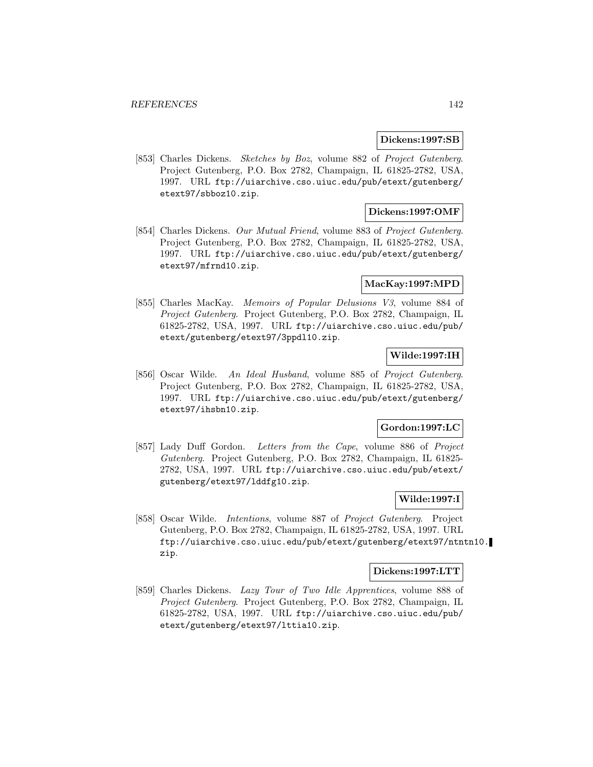#### **Dickens:1997:SB**

[853] Charles Dickens. Sketches by Boz, volume 882 of Project Gutenberg. Project Gutenberg, P.O. Box 2782, Champaign, IL 61825-2782, USA, 1997. URL ftp://uiarchive.cso.uiuc.edu/pub/etext/gutenberg/ etext97/sbboz10.zip.

### **Dickens:1997:OMF**

[854] Charles Dickens. Our Mutual Friend, volume 883 of Project Gutenberg. Project Gutenberg, P.O. Box 2782, Champaign, IL 61825-2782, USA, 1997. URL ftp://uiarchive.cso.uiuc.edu/pub/etext/gutenberg/ etext97/mfrnd10.zip.

### **MacKay:1997:MPD**

[855] Charles MacKay. Memoirs of Popular Delusions V3, volume 884 of Project Gutenberg. Project Gutenberg, P.O. Box 2782, Champaign, IL 61825-2782, USA, 1997. URL ftp://uiarchive.cso.uiuc.edu/pub/ etext/gutenberg/etext97/3ppdl10.zip.

## **Wilde:1997:IH**

[856] Oscar Wilde. An Ideal Husband, volume 885 of Project Gutenberg. Project Gutenberg, P.O. Box 2782, Champaign, IL 61825-2782, USA, 1997. URL ftp://uiarchive.cso.uiuc.edu/pub/etext/gutenberg/ etext97/ihsbn10.zip.

### **Gordon:1997:LC**

[857] Lady Duff Gordon. Letters from the Cape, volume 886 of Project Gutenberg. Project Gutenberg, P.O. Box 2782, Champaign, IL 61825- 2782, USA, 1997. URL ftp://uiarchive.cso.uiuc.edu/pub/etext/ gutenberg/etext97/lddfg10.zip.

### **Wilde:1997:I**

[858] Oscar Wilde. Intentions, volume 887 of Project Gutenberg. Project Gutenberg, P.O. Box 2782, Champaign, IL 61825-2782, USA, 1997. URL ftp://uiarchive.cso.uiuc.edu/pub/etext/gutenberg/etext97/ntntn10. zip.

#### **Dickens:1997:LTT**

[859] Charles Dickens. Lazy Tour of Two Idle Apprentices, volume 888 of Project Gutenberg. Project Gutenberg, P.O. Box 2782, Champaign, IL 61825-2782, USA, 1997. URL ftp://uiarchive.cso.uiuc.edu/pub/ etext/gutenberg/etext97/lttia10.zip.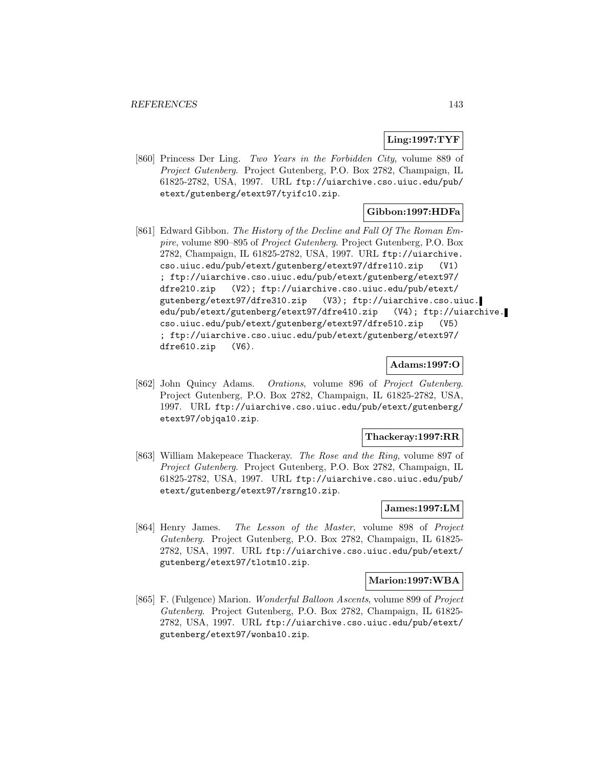## **Ling:1997:TYF**

[860] Princess Der Ling. Two Years in the Forbidden City, volume 889 of Project Gutenberg. Project Gutenberg, P.O. Box 2782, Champaign, IL 61825-2782, USA, 1997. URL ftp://uiarchive.cso.uiuc.edu/pub/ etext/gutenberg/etext97/tyifc10.zip.

## **Gibbon:1997:HDFa**

[861] Edward Gibbon. The History of the Decline and Fall Of The Roman Empire, volume 890–895 of Project Gutenberg. Project Gutenberg, P.O. Box 2782, Champaign, IL 61825-2782, USA, 1997. URL ftp://uiarchive. cso.uiuc.edu/pub/etext/gutenberg/etext97/dfre110.zip (V1) ; ftp://uiarchive.cso.uiuc.edu/pub/etext/gutenberg/etext97/ dfre210.zip (V2); ftp://uiarchive.cso.uiuc.edu/pub/etext/ gutenberg/etext97/dfre310.zip (V3); ftp://uiarchive.cso.uiuc. edu/pub/etext/gutenberg/etext97/dfre410.zip (V4); ftp://uiarchive. cso.uiuc.edu/pub/etext/gutenberg/etext97/dfre510.zip (V5) ; ftp://uiarchive.cso.uiuc.edu/pub/etext/gutenberg/etext97/ dfre610.zip (V6).

#### **Adams:1997:O**

[862] John Quincy Adams. Orations, volume 896 of Project Gutenberg. Project Gutenberg, P.O. Box 2782, Champaign, IL 61825-2782, USA, 1997. URL ftp://uiarchive.cso.uiuc.edu/pub/etext/gutenberg/ etext97/objqa10.zip.

### **Thackeray:1997:RR**

[863] William Makepeace Thackeray. The Rose and the Ring, volume 897 of Project Gutenberg. Project Gutenberg, P.O. Box 2782, Champaign, IL 61825-2782, USA, 1997. URL ftp://uiarchive.cso.uiuc.edu/pub/ etext/gutenberg/etext97/rsrng10.zip.

#### **James:1997:LM**

[864] Henry James. The Lesson of the Master, volume 898 of Project Gutenberg. Project Gutenberg, P.O. Box 2782, Champaign, IL 61825- 2782, USA, 1997. URL ftp://uiarchive.cso.uiuc.edu/pub/etext/ gutenberg/etext97/tlotm10.zip.

### **Marion:1997:WBA**

[865] F. (Fulgence) Marion. Wonderful Balloon Ascents, volume 899 of Project Gutenberg. Project Gutenberg, P.O. Box 2782, Champaign, IL 61825- 2782, USA, 1997. URL ftp://uiarchive.cso.uiuc.edu/pub/etext/ gutenberg/etext97/wonba10.zip.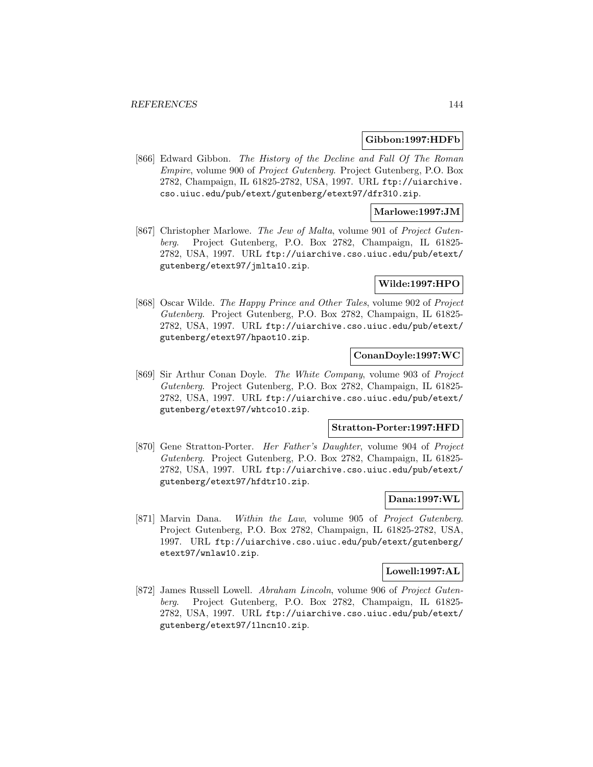#### **Gibbon:1997:HDFb**

[866] Edward Gibbon. The History of the Decline and Fall Of The Roman Empire, volume 900 of Project Gutenberg. Project Gutenberg, P.O. Box 2782, Champaign, IL 61825-2782, USA, 1997. URL ftp://uiarchive. cso.uiuc.edu/pub/etext/gutenberg/etext97/dfr310.zip.

## **Marlowe:1997:JM**

[867] Christopher Marlowe. The Jew of Malta, volume 901 of Project Gutenberg. Project Gutenberg, P.O. Box 2782, Champaign, IL 61825- 2782, USA, 1997. URL ftp://uiarchive.cso.uiuc.edu/pub/etext/ gutenberg/etext97/jmlta10.zip.

## **Wilde:1997:HPO**

[868] Oscar Wilde. The Happy Prince and Other Tales, volume 902 of Project Gutenberg. Project Gutenberg, P.O. Box 2782, Champaign, IL 61825- 2782, USA, 1997. URL ftp://uiarchive.cso.uiuc.edu/pub/etext/ gutenberg/etext97/hpaot10.zip.

## **ConanDoyle:1997:WC**

[869] Sir Arthur Conan Doyle. The White Company, volume 903 of Project Gutenberg. Project Gutenberg, P.O. Box 2782, Champaign, IL 61825- 2782, USA, 1997. URL ftp://uiarchive.cso.uiuc.edu/pub/etext/ gutenberg/etext97/whtco10.zip.

#### **Stratton-Porter:1997:HFD**

[870] Gene Stratton-Porter. Her Father's Daughter, volume 904 of Project Gutenberg. Project Gutenberg, P.O. Box 2782, Champaign, IL 61825- 2782, USA, 1997. URL ftp://uiarchive.cso.uiuc.edu/pub/etext/ gutenberg/etext97/hfdtr10.zip.

### **Dana:1997:WL**

[871] Marvin Dana. Within the Law, volume 905 of Project Gutenberg. Project Gutenberg, P.O. Box 2782, Champaign, IL 61825-2782, USA, 1997. URL ftp://uiarchive.cso.uiuc.edu/pub/etext/gutenberg/ etext97/wnlaw10.zip.

#### **Lowell:1997:AL**

[872] James Russell Lowell. Abraham Lincoln, volume 906 of Project Gutenberg. Project Gutenberg, P.O. Box 2782, Champaign, IL 61825- 2782, USA, 1997. URL ftp://uiarchive.cso.uiuc.edu/pub/etext/ gutenberg/etext97/1lncn10.zip.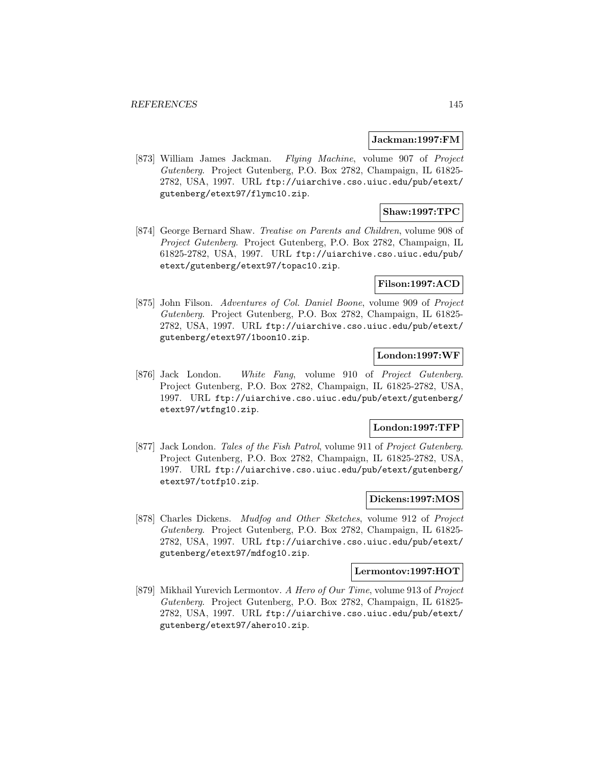#### **Jackman:1997:FM**

[873] William James Jackman. Flying Machine, volume 907 of Project Gutenberg. Project Gutenberg, P.O. Box 2782, Champaign, IL 61825- 2782, USA, 1997. URL ftp://uiarchive.cso.uiuc.edu/pub/etext/ gutenberg/etext97/flymc10.zip.

### **Shaw:1997:TPC**

[874] George Bernard Shaw. Treatise on Parents and Children, volume 908 of Project Gutenberg. Project Gutenberg, P.O. Box 2782, Champaign, IL 61825-2782, USA, 1997. URL ftp://uiarchive.cso.uiuc.edu/pub/ etext/gutenberg/etext97/topac10.zip.

### **Filson:1997:ACD**

[875] John Filson. Adventures of Col. Daniel Boone, volume 909 of Project Gutenberg. Project Gutenberg, P.O. Box 2782, Champaign, IL 61825- 2782, USA, 1997. URL ftp://uiarchive.cso.uiuc.edu/pub/etext/ gutenberg/etext97/1boon10.zip.

# **London:1997:WF**

[876] Jack London. White Fang, volume 910 of Project Gutenberg. Project Gutenberg, P.O. Box 2782, Champaign, IL 61825-2782, USA, 1997. URL ftp://uiarchive.cso.uiuc.edu/pub/etext/gutenberg/ etext97/wtfng10.zip.

#### **London:1997:TFP**

[877] Jack London. Tales of the Fish Patrol, volume 911 of Project Gutenberg. Project Gutenberg, P.O. Box 2782, Champaign, IL 61825-2782, USA, 1997. URL ftp://uiarchive.cso.uiuc.edu/pub/etext/gutenberg/ etext97/totfp10.zip.

## **Dickens:1997:MOS**

[878] Charles Dickens. Mudfog and Other Sketches, volume 912 of Project Gutenberg. Project Gutenberg, P.O. Box 2782, Champaign, IL 61825- 2782, USA, 1997. URL ftp://uiarchive.cso.uiuc.edu/pub/etext/ gutenberg/etext97/mdfog10.zip.

#### **Lermontov:1997:HOT**

[879] Mikhail Yurevich Lermontov. A Hero of Our Time, volume 913 of Project Gutenberg. Project Gutenberg, P.O. Box 2782, Champaign, IL 61825- 2782, USA, 1997. URL ftp://uiarchive.cso.uiuc.edu/pub/etext/ gutenberg/etext97/ahero10.zip.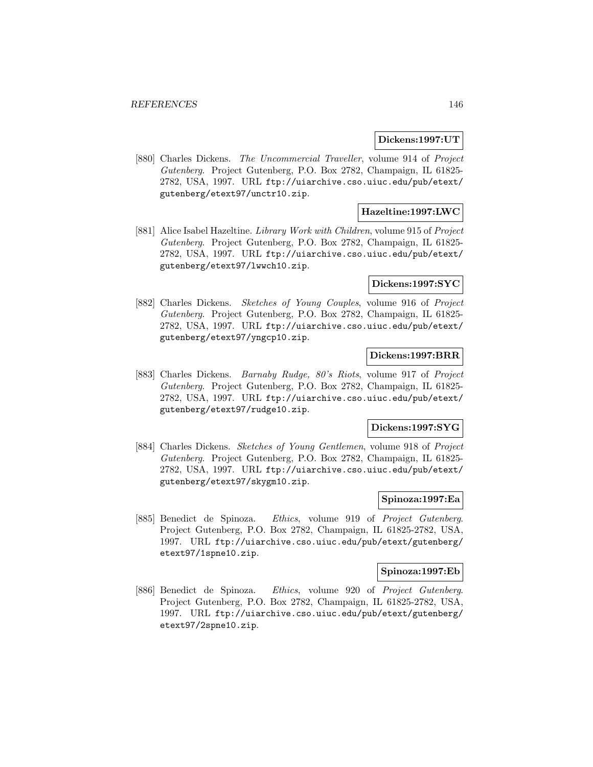#### **Dickens:1997:UT**

[880] Charles Dickens. The Uncommercial Traveller, volume 914 of Project Gutenberg. Project Gutenberg, P.O. Box 2782, Champaign, IL 61825- 2782, USA, 1997. URL ftp://uiarchive.cso.uiuc.edu/pub/etext/ gutenberg/etext97/unctr10.zip.

## **Hazeltine:1997:LWC**

[881] Alice Isabel Hazeltine. Library Work with Children, volume 915 of Project Gutenberg. Project Gutenberg, P.O. Box 2782, Champaign, IL 61825- 2782, USA, 1997. URL ftp://uiarchive.cso.uiuc.edu/pub/etext/ gutenberg/etext97/lwwch10.zip.

#### **Dickens:1997:SYC**

[882] Charles Dickens. Sketches of Young Couples, volume 916 of Project Gutenberg. Project Gutenberg, P.O. Box 2782, Champaign, IL 61825- 2782, USA, 1997. URL ftp://uiarchive.cso.uiuc.edu/pub/etext/ gutenberg/etext97/yngcp10.zip.

# **Dickens:1997:BRR**

[883] Charles Dickens. Barnaby Rudge, 80's Riots, volume 917 of Project Gutenberg. Project Gutenberg, P.O. Box 2782, Champaign, IL 61825- 2782, USA, 1997. URL ftp://uiarchive.cso.uiuc.edu/pub/etext/ gutenberg/etext97/rudge10.zip.

#### **Dickens:1997:SYG**

[884] Charles Dickens. Sketches of Young Gentlemen, volume 918 of Project Gutenberg. Project Gutenberg, P.O. Box 2782, Champaign, IL 61825- 2782, USA, 1997. URL ftp://uiarchive.cso.uiuc.edu/pub/etext/ gutenberg/etext97/skygm10.zip.

### **Spinoza:1997:Ea**

[885] Benedict de Spinoza. Ethics, volume 919 of Project Gutenberg. Project Gutenberg, P.O. Box 2782, Champaign, IL 61825-2782, USA, 1997. URL ftp://uiarchive.cso.uiuc.edu/pub/etext/gutenberg/ etext97/1spne10.zip.

#### **Spinoza:1997:Eb**

[886] Benedict de Spinoza. Ethics, volume 920 of Project Gutenberg. Project Gutenberg, P.O. Box 2782, Champaign, IL 61825-2782, USA, 1997. URL ftp://uiarchive.cso.uiuc.edu/pub/etext/gutenberg/ etext97/2spne10.zip.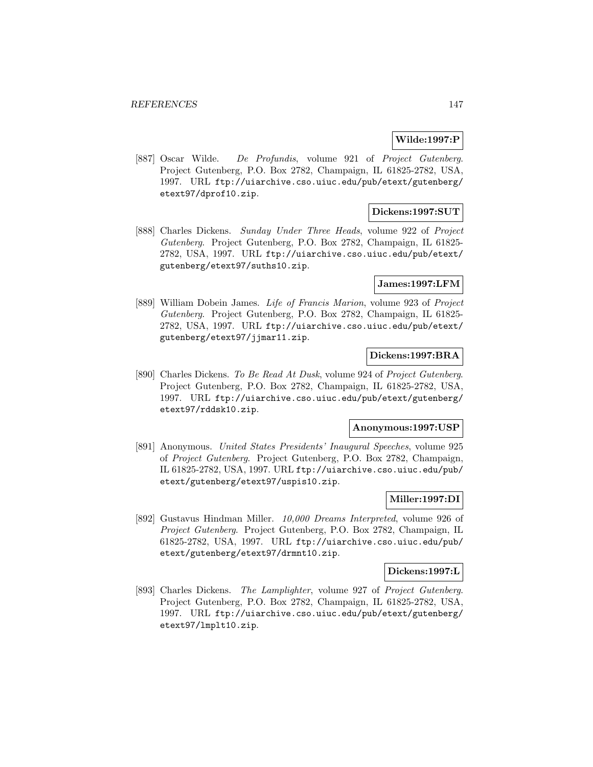## **Wilde:1997:P**

[887] Oscar Wilde. De Profundis, volume 921 of Project Gutenberg. Project Gutenberg, P.O. Box 2782, Champaign, IL 61825-2782, USA, 1997. URL ftp://uiarchive.cso.uiuc.edu/pub/etext/gutenberg/ etext97/dprof10.zip.

## **Dickens:1997:SUT**

[888] Charles Dickens. Sunday Under Three Heads, volume 922 of Project Gutenberg. Project Gutenberg, P.O. Box 2782, Champaign, IL 61825- 2782, USA, 1997. URL ftp://uiarchive.cso.uiuc.edu/pub/etext/ gutenberg/etext97/suths10.zip.

### **James:1997:LFM**

[889] William Dobein James. Life of Francis Marion, volume 923 of Project Gutenberg. Project Gutenberg, P.O. Box 2782, Champaign, IL 61825- 2782, USA, 1997. URL ftp://uiarchive.cso.uiuc.edu/pub/etext/ gutenberg/etext97/jjmar11.zip.

### **Dickens:1997:BRA**

[890] Charles Dickens. To Be Read At Dusk, volume 924 of Project Gutenberg. Project Gutenberg, P.O. Box 2782, Champaign, IL 61825-2782, USA, 1997. URL ftp://uiarchive.cso.uiuc.edu/pub/etext/gutenberg/ etext97/rddsk10.zip.

#### **Anonymous:1997:USP**

[891] Anonymous. United States Presidents' Inaugural Speeches, volume 925 of Project Gutenberg. Project Gutenberg, P.O. Box 2782, Champaign, IL 61825-2782, USA, 1997. URL ftp://uiarchive.cso.uiuc.edu/pub/ etext/gutenberg/etext97/uspis10.zip.

## **Miller:1997:DI**

[892] Gustavus Hindman Miller. 10,000 Dreams Interpreted, volume 926 of Project Gutenberg. Project Gutenberg, P.O. Box 2782, Champaign, IL 61825-2782, USA, 1997. URL ftp://uiarchive.cso.uiuc.edu/pub/ etext/gutenberg/etext97/drmnt10.zip.

#### **Dickens:1997:L**

[893] Charles Dickens. The Lamplighter, volume 927 of Project Gutenberg. Project Gutenberg, P.O. Box 2782, Champaign, IL 61825-2782, USA, 1997. URL ftp://uiarchive.cso.uiuc.edu/pub/etext/gutenberg/ etext97/lmplt10.zip.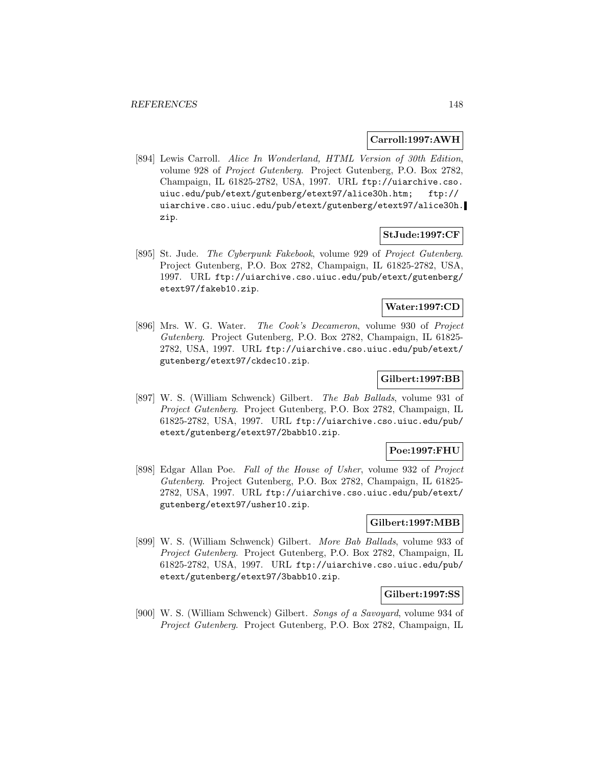#### **Carroll:1997:AWH**

[894] Lewis Carroll. Alice In Wonderland, HTML Version of 30th Edition, volume 928 of Project Gutenberg. Project Gutenberg, P.O. Box 2782, Champaign, IL 61825-2782, USA, 1997. URL ftp://uiarchive.cso. uiuc.edu/pub/etext/gutenberg/etext97/alice30h.htm; ftp:// uiarchive.cso.uiuc.edu/pub/etext/gutenberg/etext97/alice30h. zip.

### **StJude:1997:CF**

[895] St. Jude. The Cyberpunk Fakebook, volume 929 of Project Gutenberg. Project Gutenberg, P.O. Box 2782, Champaign, IL 61825-2782, USA, 1997. URL ftp://uiarchive.cso.uiuc.edu/pub/etext/gutenberg/ etext97/fakeb10.zip.

## **Water:1997:CD**

[896] Mrs. W. G. Water. The Cook's Decameron, volume 930 of Project Gutenberg. Project Gutenberg, P.O. Box 2782, Champaign, IL 61825- 2782, USA, 1997. URL ftp://uiarchive.cso.uiuc.edu/pub/etext/ gutenberg/etext97/ckdec10.zip.

## **Gilbert:1997:BB**

[897] W. S. (William Schwenck) Gilbert. The Bab Ballads, volume 931 of Project Gutenberg. Project Gutenberg, P.O. Box 2782, Champaign, IL 61825-2782, USA, 1997. URL ftp://uiarchive.cso.uiuc.edu/pub/ etext/gutenberg/etext97/2babb10.zip.

### **Poe:1997:FHU**

[898] Edgar Allan Poe. Fall of the House of Usher, volume 932 of Project Gutenberg. Project Gutenberg, P.O. Box 2782, Champaign, IL 61825- 2782, USA, 1997. URL ftp://uiarchive.cso.uiuc.edu/pub/etext/ gutenberg/etext97/usher10.zip.

## **Gilbert:1997:MBB**

[899] W. S. (William Schwenck) Gilbert. More Bab Ballads, volume 933 of Project Gutenberg. Project Gutenberg, P.O. Box 2782, Champaign, IL 61825-2782, USA, 1997. URL ftp://uiarchive.cso.uiuc.edu/pub/ etext/gutenberg/etext97/3babb10.zip.

#### **Gilbert:1997:SS**

[900] W. S. (William Schwenck) Gilbert. Songs of a Savoyard, volume 934 of Project Gutenberg. Project Gutenberg, P.O. Box 2782, Champaign, IL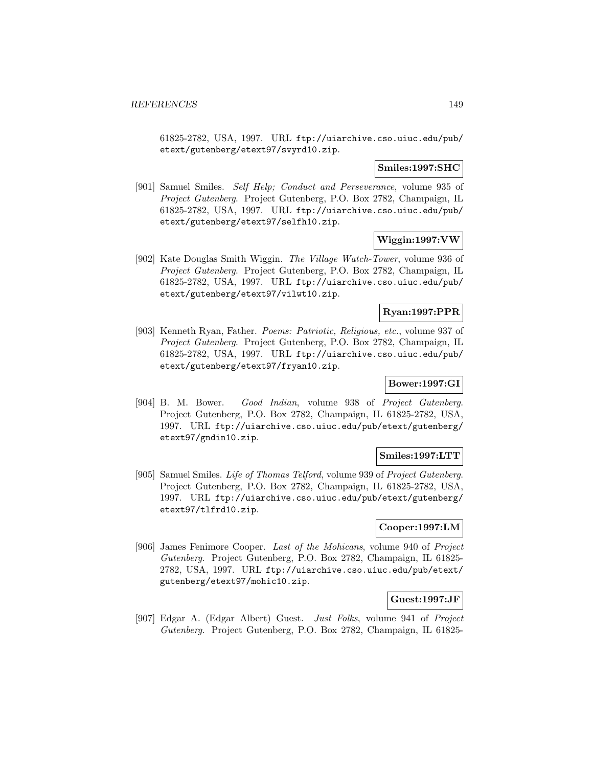61825-2782, USA, 1997. URL ftp://uiarchive.cso.uiuc.edu/pub/ etext/gutenberg/etext97/svyrd10.zip.

### **Smiles:1997:SHC**

[901] Samuel Smiles. Self Help; Conduct and Perseverance, volume 935 of Project Gutenberg. Project Gutenberg, P.O. Box 2782, Champaign, IL 61825-2782, USA, 1997. URL ftp://uiarchive.cso.uiuc.edu/pub/ etext/gutenberg/etext97/selfh10.zip.

## **Wiggin:1997:VW**

[902] Kate Douglas Smith Wiggin. The Village Watch-Tower, volume 936 of Project Gutenberg. Project Gutenberg, P.O. Box 2782, Champaign, IL 61825-2782, USA, 1997. URL ftp://uiarchive.cso.uiuc.edu/pub/ etext/gutenberg/etext97/vilwt10.zip.

### **Ryan:1997:PPR**

[903] Kenneth Ryan, Father. Poems: Patriotic, Religious, etc., volume 937 of Project Gutenberg. Project Gutenberg, P.O. Box 2782, Champaign, IL 61825-2782, USA, 1997. URL ftp://uiarchive.cso.uiuc.edu/pub/ etext/gutenberg/etext97/fryan10.zip.

## **Bower:1997:GI**

[904] B. M. Bower. Good Indian, volume 938 of Project Gutenberg. Project Gutenberg, P.O. Box 2782, Champaign, IL 61825-2782, USA, 1997. URL ftp://uiarchive.cso.uiuc.edu/pub/etext/gutenberg/ etext97/gndin10.zip.

### **Smiles:1997:LTT**

[905] Samuel Smiles. Life of Thomas Telford, volume 939 of Project Gutenberg. Project Gutenberg, P.O. Box 2782, Champaign, IL 61825-2782, USA, 1997. URL ftp://uiarchive.cso.uiuc.edu/pub/etext/gutenberg/ etext97/tlfrd10.zip.

# **Cooper:1997:LM**

[906] James Fenimore Cooper. Last of the Mohicans, volume 940 of Project Gutenberg. Project Gutenberg, P.O. Box 2782, Champaign, IL 61825- 2782, USA, 1997. URL ftp://uiarchive.cso.uiuc.edu/pub/etext/ gutenberg/etext97/mohic10.zip.

### **Guest:1997:JF**

[907] Edgar A. (Edgar Albert) Guest. Just Folks, volume 941 of Project Gutenberg. Project Gutenberg, P.O. Box 2782, Champaign, IL 61825-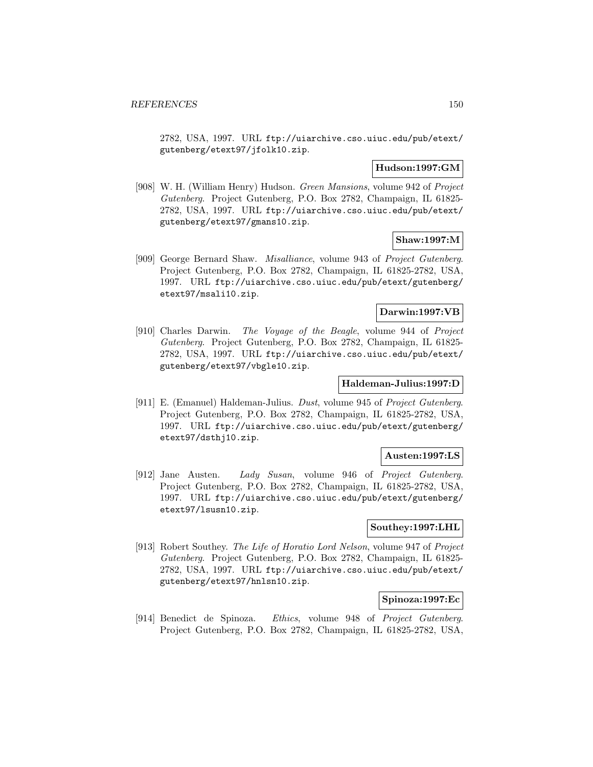2782, USA, 1997. URL ftp://uiarchive.cso.uiuc.edu/pub/etext/ gutenberg/etext97/jfolk10.zip.

## **Hudson:1997:GM**

[908] W. H. (William Henry) Hudson. Green Mansions, volume 942 of Project Gutenberg. Project Gutenberg, P.O. Box 2782, Champaign, IL 61825- 2782, USA, 1997. URL ftp://uiarchive.cso.uiuc.edu/pub/etext/ gutenberg/etext97/gmans10.zip.

### **Shaw:1997:M**

[909] George Bernard Shaw. Misalliance, volume 943 of Project Gutenberg. Project Gutenberg, P.O. Box 2782, Champaign, IL 61825-2782, USA, 1997. URL ftp://uiarchive.cso.uiuc.edu/pub/etext/gutenberg/ etext97/msali10.zip.

## **Darwin:1997:VB**

[910] Charles Darwin. The Voyage of the Beagle, volume 944 of Project Gutenberg. Project Gutenberg, P.O. Box 2782, Champaign, IL 61825- 2782, USA, 1997. URL ftp://uiarchive.cso.uiuc.edu/pub/etext/ gutenberg/etext97/vbgle10.zip.

## **Haldeman-Julius:1997:D**

[911] E. (Emanuel) Haldeman-Julius. Dust, volume 945 of Project Gutenberg. Project Gutenberg, P.O. Box 2782, Champaign, IL 61825-2782, USA, 1997. URL ftp://uiarchive.cso.uiuc.edu/pub/etext/gutenberg/ etext97/dsthj10.zip.

### **Austen:1997:LS**

[912] Jane Austen. Lady Susan, volume 946 of Project Gutenberg. Project Gutenberg, P.O. Box 2782, Champaign, IL 61825-2782, USA, 1997. URL ftp://uiarchive.cso.uiuc.edu/pub/etext/gutenberg/ etext97/lsusn10.zip.

## **Southey:1997:LHL**

[913] Robert Southey. The Life of Horatio Lord Nelson, volume 947 of Project Gutenberg. Project Gutenberg, P.O. Box 2782, Champaign, IL 61825- 2782, USA, 1997. URL ftp://uiarchive.cso.uiuc.edu/pub/etext/ gutenberg/etext97/hnlsn10.zip.

### **Spinoza:1997:Ec**

[914] Benedict de Spinoza. Ethics, volume 948 of Project Gutenberg. Project Gutenberg, P.O. Box 2782, Champaign, IL 61825-2782, USA,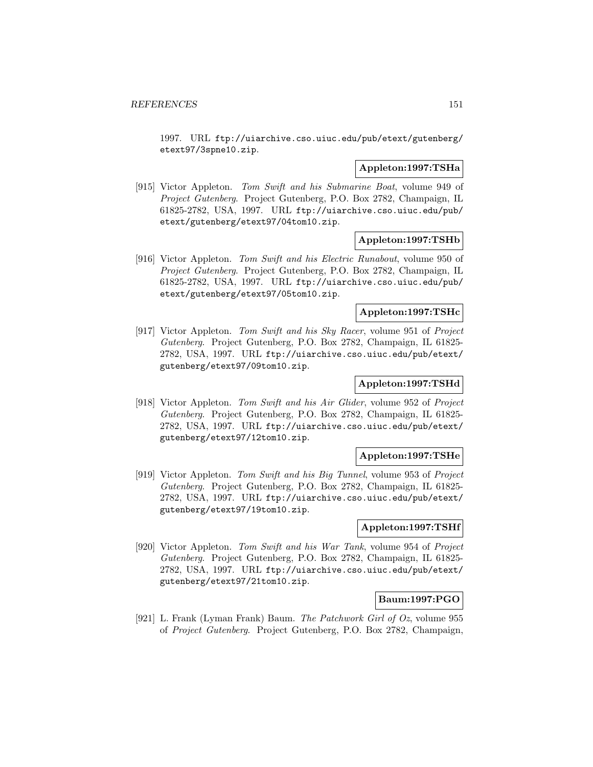1997. URL ftp://uiarchive.cso.uiuc.edu/pub/etext/gutenberg/ etext97/3spne10.zip.

#### **Appleton:1997:TSHa**

[915] Victor Appleton. Tom Swift and his Submarine Boat, volume 949 of Project Gutenberg. Project Gutenberg, P.O. Box 2782, Champaign, IL 61825-2782, USA, 1997. URL ftp://uiarchive.cso.uiuc.edu/pub/ etext/gutenberg/etext97/04tom10.zip.

#### **Appleton:1997:TSHb**

[916] Victor Appleton. Tom Swift and his Electric Runabout, volume 950 of Project Gutenberg. Project Gutenberg, P.O. Box 2782, Champaign, IL 61825-2782, USA, 1997. URL ftp://uiarchive.cso.uiuc.edu/pub/ etext/gutenberg/etext97/05tom10.zip.

#### **Appleton:1997:TSHc**

[917] Victor Appleton. Tom Swift and his Sky Racer, volume 951 of Project Gutenberg. Project Gutenberg, P.O. Box 2782, Champaign, IL 61825- 2782, USA, 1997. URL ftp://uiarchive.cso.uiuc.edu/pub/etext/ gutenberg/etext97/09tom10.zip.

## **Appleton:1997:TSHd**

[918] Victor Appleton. Tom Swift and his Air Glider, volume 952 of Project Gutenberg. Project Gutenberg, P.O. Box 2782, Champaign, IL 61825- 2782, USA, 1997. URL ftp://uiarchive.cso.uiuc.edu/pub/etext/ gutenberg/etext97/12tom10.zip.

#### **Appleton:1997:TSHe**

[919] Victor Appleton. Tom Swift and his Big Tunnel, volume 953 of Project Gutenberg. Project Gutenberg, P.O. Box 2782, Champaign, IL 61825- 2782, USA, 1997. URL ftp://uiarchive.cso.uiuc.edu/pub/etext/ gutenberg/etext97/19tom10.zip.

## **Appleton:1997:TSHf**

[920] Victor Appleton. Tom Swift and his War Tank, volume 954 of Project Gutenberg. Project Gutenberg, P.O. Box 2782, Champaign, IL 61825- 2782, USA, 1997. URL ftp://uiarchive.cso.uiuc.edu/pub/etext/ gutenberg/etext97/21tom10.zip.

### **Baum:1997:PGO**

[921] L. Frank (Lyman Frank) Baum. The Patchwork Girl of Oz, volume 955 of Project Gutenberg. Project Gutenberg, P.O. Box 2782, Champaign,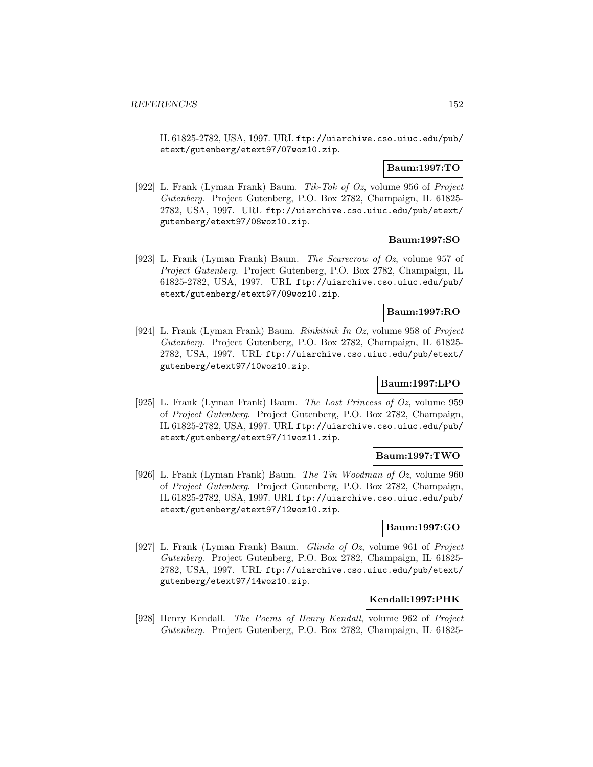IL 61825-2782, USA, 1997. URL ftp://uiarchive.cso.uiuc.edu/pub/ etext/gutenberg/etext97/07woz10.zip.

## **Baum:1997:TO**

[922] L. Frank (Lyman Frank) Baum. Tik-Tok of Oz, volume 956 of Project Gutenberg. Project Gutenberg, P.O. Box 2782, Champaign, IL 61825- 2782, USA, 1997. URL ftp://uiarchive.cso.uiuc.edu/pub/etext/ gutenberg/etext97/08woz10.zip.

### **Baum:1997:SO**

[923] L. Frank (Lyman Frank) Baum. The Scarecrow of Oz, volume 957 of Project Gutenberg. Project Gutenberg, P.O. Box 2782, Champaign, IL 61825-2782, USA, 1997. URL ftp://uiarchive.cso.uiuc.edu/pub/ etext/gutenberg/etext97/09woz10.zip.

## **Baum:1997:RO**

[924] L. Frank (Lyman Frank) Baum. Rinkitink In Oz, volume 958 of Project Gutenberg. Project Gutenberg, P.O. Box 2782, Champaign, IL 61825- 2782, USA, 1997. URL ftp://uiarchive.cso.uiuc.edu/pub/etext/ gutenberg/etext97/10woz10.zip.

# **Baum:1997:LPO**

[925] L. Frank (Lyman Frank) Baum. The Lost Princess of Oz, volume 959 of Project Gutenberg. Project Gutenberg, P.O. Box 2782, Champaign, IL 61825-2782, USA, 1997. URL ftp://uiarchive.cso.uiuc.edu/pub/ etext/gutenberg/etext97/11woz11.zip.

### **Baum:1997:TWO**

[926] L. Frank (Lyman Frank) Baum. The Tin Woodman of Oz, volume 960 of Project Gutenberg. Project Gutenberg, P.O. Box 2782, Champaign, IL 61825-2782, USA, 1997. URL ftp://uiarchive.cso.uiuc.edu/pub/ etext/gutenberg/etext97/12woz10.zip.

## **Baum:1997:GO**

[927] L. Frank (Lyman Frank) Baum. Glinda of Oz, volume 961 of Project Gutenberg. Project Gutenberg, P.O. Box 2782, Champaign, IL 61825- 2782, USA, 1997. URL ftp://uiarchive.cso.uiuc.edu/pub/etext/ gutenberg/etext97/14woz10.zip.

### **Kendall:1997:PHK**

[928] Henry Kendall. The Poems of Henry Kendall, volume 962 of Project Gutenberg. Project Gutenberg, P.O. Box 2782, Champaign, IL 61825-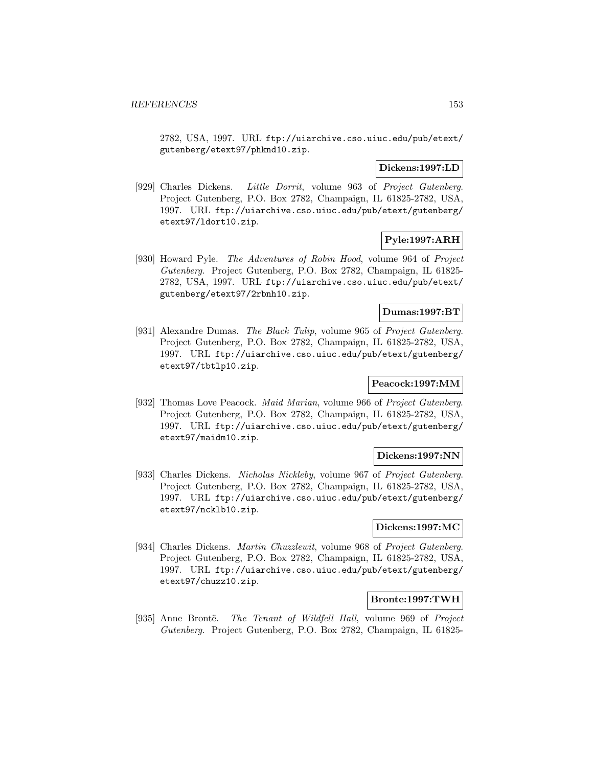2782, USA, 1997. URL ftp://uiarchive.cso.uiuc.edu/pub/etext/ gutenberg/etext97/phknd10.zip.

### **Dickens:1997:LD**

[929] Charles Dickens. Little Dorrit, volume 963 of Project Gutenberg. Project Gutenberg, P.O. Box 2782, Champaign, IL 61825-2782, USA, 1997. URL ftp://uiarchive.cso.uiuc.edu/pub/etext/gutenberg/ etext97/ldort10.zip.

# **Pyle:1997:ARH**

[930] Howard Pyle. The Adventures of Robin Hood, volume 964 of Project Gutenberg. Project Gutenberg, P.O. Box 2782, Champaign, IL 61825- 2782, USA, 1997. URL ftp://uiarchive.cso.uiuc.edu/pub/etext/ gutenberg/etext97/2rbnh10.zip.

### **Dumas:1997:BT**

[931] Alexandre Dumas. The Black Tulip, volume 965 of Project Gutenberg. Project Gutenberg, P.O. Box 2782, Champaign, IL 61825-2782, USA, 1997. URL ftp://uiarchive.cso.uiuc.edu/pub/etext/gutenberg/ etext97/tbtlp10.zip.

## **Peacock:1997:MM**

[932] Thomas Love Peacock. Maid Marian, volume 966 of Project Gutenberg. Project Gutenberg, P.O. Box 2782, Champaign, IL 61825-2782, USA, 1997. URL ftp://uiarchive.cso.uiuc.edu/pub/etext/gutenberg/ etext97/maidm10.zip.

#### **Dickens:1997:NN**

[933] Charles Dickens. Nicholas Nickleby, volume 967 of Project Gutenberg. Project Gutenberg, P.O. Box 2782, Champaign, IL 61825-2782, USA, 1997. URL ftp://uiarchive.cso.uiuc.edu/pub/etext/gutenberg/ etext97/ncklb10.zip.

## **Dickens:1997:MC**

[934] Charles Dickens. Martin Chuzzlewit, volume 968 of Project Gutenberg. Project Gutenberg, P.O. Box 2782, Champaign, IL 61825-2782, USA, 1997. URL ftp://uiarchive.cso.uiuc.edu/pub/etext/gutenberg/ etext97/chuzz10.zip.

#### **Bronte:1997:TWH**

[935] Anne Brontë. The Tenant of Wildfell Hall, volume 969 of Project Gutenberg. Project Gutenberg, P.O. Box 2782, Champaign, IL 61825-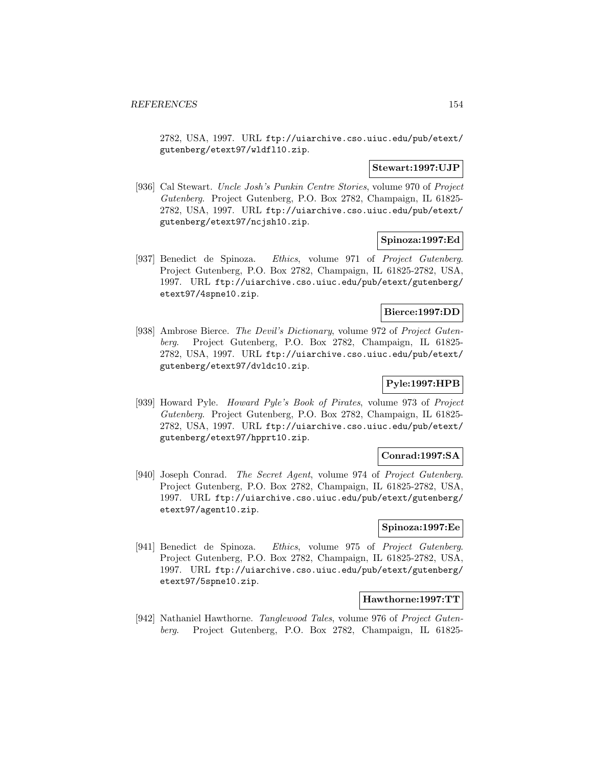2782, USA, 1997. URL ftp://uiarchive.cso.uiuc.edu/pub/etext/ gutenberg/etext97/wldfl10.zip.

#### **Stewart:1997:UJP**

[936] Cal Stewart. Uncle Josh's Punkin Centre Stories, volume 970 of Project Gutenberg. Project Gutenberg, P.O. Box 2782, Champaign, IL 61825- 2782, USA, 1997. URL ftp://uiarchive.cso.uiuc.edu/pub/etext/ gutenberg/etext97/ncjsh10.zip.

## **Spinoza:1997:Ed**

[937] Benedict de Spinoza. Ethics, volume 971 of Project Gutenberg. Project Gutenberg, P.O. Box 2782, Champaign, IL 61825-2782, USA, 1997. URL ftp://uiarchive.cso.uiuc.edu/pub/etext/gutenberg/ etext97/4spne10.zip.

#### **Bierce:1997:DD**

[938] Ambrose Bierce. The Devil's Dictionary, volume 972 of Project Gutenberg. Project Gutenberg, P.O. Box 2782, Champaign, IL 61825- 2782, USA, 1997. URL ftp://uiarchive.cso.uiuc.edu/pub/etext/ gutenberg/etext97/dvldc10.zip.

# **Pyle:1997:HPB**

[939] Howard Pyle. Howard Pyle's Book of Pirates, volume 973 of Project Gutenberg. Project Gutenberg, P.O. Box 2782, Champaign, IL 61825- 2782, USA, 1997. URL ftp://uiarchive.cso.uiuc.edu/pub/etext/ gutenberg/etext97/hpprt10.zip.

### **Conrad:1997:SA**

[940] Joseph Conrad. The Secret Agent, volume 974 of Project Gutenberg. Project Gutenberg, P.O. Box 2782, Champaign, IL 61825-2782, USA, 1997. URL ftp://uiarchive.cso.uiuc.edu/pub/etext/gutenberg/ etext97/agent10.zip.

## **Spinoza:1997:Ee**

[941] Benedict de Spinoza. Ethics, volume 975 of Project Gutenberg. Project Gutenberg, P.O. Box 2782, Champaign, IL 61825-2782, USA, 1997. URL ftp://uiarchive.cso.uiuc.edu/pub/etext/gutenberg/ etext97/5spne10.zip.

## **Hawthorne:1997:TT**

[942] Nathaniel Hawthorne. Tanglewood Tales, volume 976 of Project Gutenberg. Project Gutenberg, P.O. Box 2782, Champaign, IL 61825-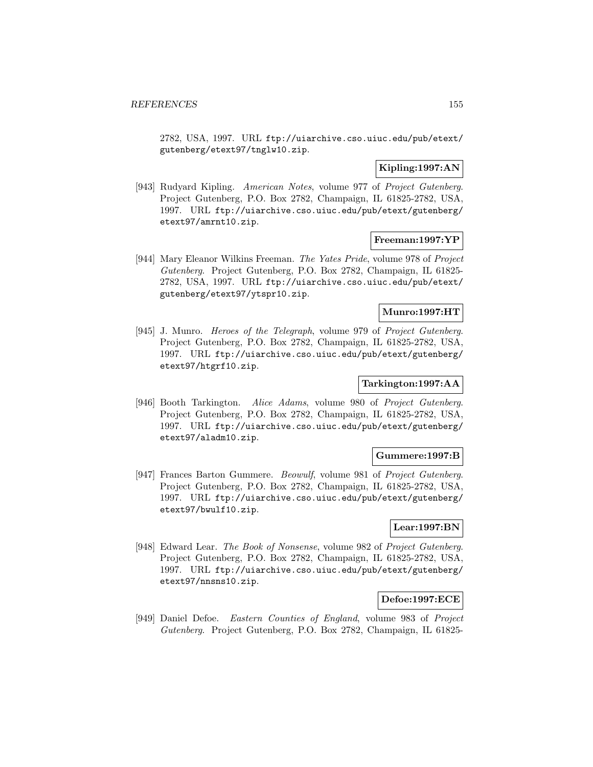2782, USA, 1997. URL ftp://uiarchive.cso.uiuc.edu/pub/etext/ gutenberg/etext97/tnglw10.zip.

# **Kipling:1997:AN**

[943] Rudyard Kipling. American Notes, volume 977 of Project Gutenberg. Project Gutenberg, P.O. Box 2782, Champaign, IL 61825-2782, USA, 1997. URL ftp://uiarchive.cso.uiuc.edu/pub/etext/gutenberg/ etext97/amrnt10.zip.

## **Freeman:1997:YP**

[944] Mary Eleanor Wilkins Freeman. The Yates Pride, volume 978 of Project Gutenberg. Project Gutenberg, P.O. Box 2782, Champaign, IL 61825- 2782, USA, 1997. URL ftp://uiarchive.cso.uiuc.edu/pub/etext/ gutenberg/etext97/ytspr10.zip.

## **Munro:1997:HT**

[945] J. Munro. Heroes of the Telegraph, volume 979 of Project Gutenberg. Project Gutenberg, P.O. Box 2782, Champaign, IL 61825-2782, USA, 1997. URL ftp://uiarchive.cso.uiuc.edu/pub/etext/gutenberg/ etext97/htgrf10.zip.

# **Tarkington:1997:AA**

[946] Booth Tarkington. Alice Adams, volume 980 of Project Gutenberg. Project Gutenberg, P.O. Box 2782, Champaign, IL 61825-2782, USA, 1997. URL ftp://uiarchive.cso.uiuc.edu/pub/etext/gutenberg/ etext97/aladm10.zip.

### **Gummere:1997:B**

[947] Frances Barton Gummere. Beowulf, volume 981 of Project Gutenberg. Project Gutenberg, P.O. Box 2782, Champaign, IL 61825-2782, USA, 1997. URL ftp://uiarchive.cso.uiuc.edu/pub/etext/gutenberg/ etext97/bwulf10.zip.

## **Lear:1997:BN**

[948] Edward Lear. The Book of Nonsense, volume 982 of Project Gutenberg. Project Gutenberg, P.O. Box 2782, Champaign, IL 61825-2782, USA, 1997. URL ftp://uiarchive.cso.uiuc.edu/pub/etext/gutenberg/ etext97/nnsns10.zip.

### **Defoe:1997:ECE**

[949] Daniel Defoe. Eastern Counties of England, volume 983 of Project Gutenberg. Project Gutenberg, P.O. Box 2782, Champaign, IL 61825-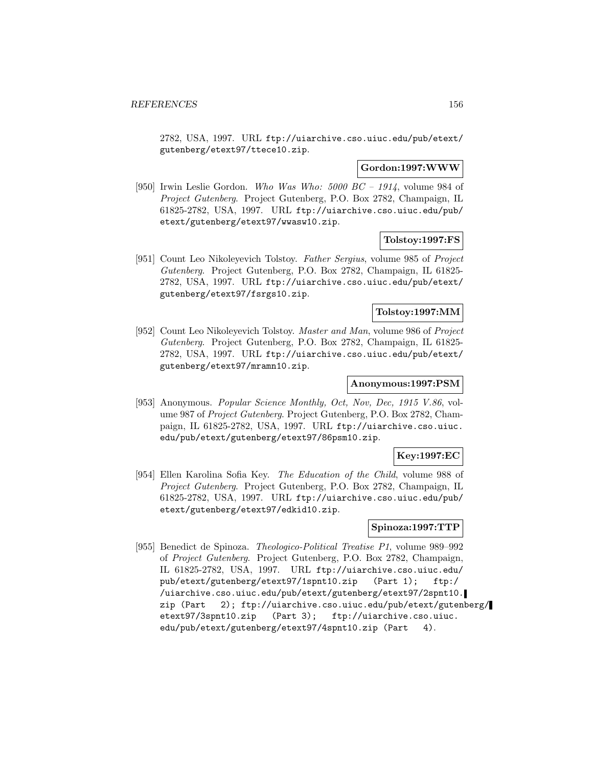2782, USA, 1997. URL ftp://uiarchive.cso.uiuc.edu/pub/etext/ gutenberg/etext97/ttece10.zip.

#### **Gordon:1997:WWW**

[950] Irwin Leslie Gordon. Who Was Who:  $5000$  BC –  $1914$ , volume 984 of Project Gutenberg. Project Gutenberg, P.O. Box 2782, Champaign, IL 61825-2782, USA, 1997. URL ftp://uiarchive.cso.uiuc.edu/pub/ etext/gutenberg/etext97/wwasw10.zip.

## **Tolstoy:1997:FS**

[951] Count Leo Nikoleyevich Tolstoy. Father Sergius, volume 985 of Project Gutenberg. Project Gutenberg, P.O. Box 2782, Champaign, IL 61825- 2782, USA, 1997. URL ftp://uiarchive.cso.uiuc.edu/pub/etext/ gutenberg/etext97/fsrgs10.zip.

### **Tolstoy:1997:MM**

[952] Count Leo Nikoleyevich Tolstoy. Master and Man, volume 986 of Project Gutenberg. Project Gutenberg, P.O. Box 2782, Champaign, IL 61825- 2782, USA, 1997. URL ftp://uiarchive.cso.uiuc.edu/pub/etext/ gutenberg/etext97/mramn10.zip.

## **Anonymous:1997:PSM**

[953] Anonymous. Popular Science Monthly, Oct, Nov, Dec, 1915 V.86, volume 987 of Project Gutenberg. Project Gutenberg, P.O. Box 2782, Champaign, IL 61825-2782, USA, 1997. URL ftp://uiarchive.cso.uiuc. edu/pub/etext/gutenberg/etext97/86psm10.zip.

## **Key:1997:EC**

[954] Ellen Karolina Sofia Key. The Education of the Child, volume 988 of Project Gutenberg. Project Gutenberg, P.O. Box 2782, Champaign, IL 61825-2782, USA, 1997. URL ftp://uiarchive.cso.uiuc.edu/pub/ etext/gutenberg/etext97/edkid10.zip.

## **Spinoza:1997:TTP**

[955] Benedict de Spinoza. Theologico-Political Treatise P1, volume 989–992 of Project Gutenberg. Project Gutenberg, P.O. Box 2782, Champaign, IL 61825-2782, USA, 1997. URL ftp://uiarchive.cso.uiuc.edu/ pub/etext/gutenberg/etext97/1spnt10.zip (Part 1); ftp:/ /uiarchive.cso.uiuc.edu/pub/etext/gutenberg/etext97/2spnt10. zip (Part 2); ftp://uiarchive.cso.uiuc.edu/pub/etext/gutenberg/ etext97/3spnt10.zip (Part 3); ftp://uiarchive.cso.uiuc. edu/pub/etext/gutenberg/etext97/4spnt10.zip (Part 4).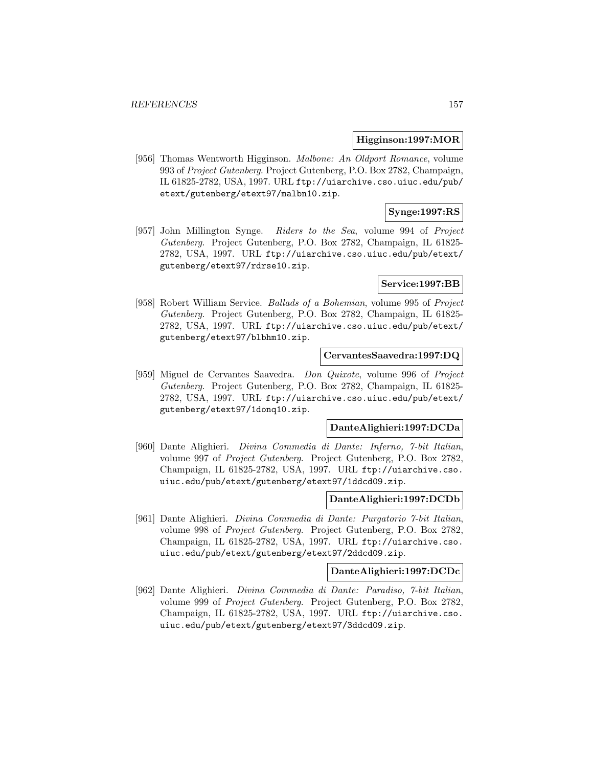#### **Higginson:1997:MOR**

[956] Thomas Wentworth Higginson. Malbone: An Oldport Romance, volume 993 of Project Gutenberg. Project Gutenberg, P.O. Box 2782, Champaign, IL 61825-2782, USA, 1997. URL ftp://uiarchive.cso.uiuc.edu/pub/ etext/gutenberg/etext97/malbn10.zip.

## **Synge:1997:RS**

[957] John Millington Synge. Riders to the Sea, volume 994 of Project Gutenberg. Project Gutenberg, P.O. Box 2782, Champaign, IL 61825- 2782, USA, 1997. URL ftp://uiarchive.cso.uiuc.edu/pub/etext/ gutenberg/etext97/rdrse10.zip.

### **Service:1997:BB**

[958] Robert William Service. Ballads of a Bohemian, volume 995 of Project Gutenberg. Project Gutenberg, P.O. Box 2782, Champaign, IL 61825- 2782, USA, 1997. URL ftp://uiarchive.cso.uiuc.edu/pub/etext/ gutenberg/etext97/blbhm10.zip.

#### **CervantesSaavedra:1997:DQ**

[959] Miguel de Cervantes Saavedra. Don Quixote, volume 996 of Project Gutenberg. Project Gutenberg, P.O. Box 2782, Champaign, IL 61825- 2782, USA, 1997. URL ftp://uiarchive.cso.uiuc.edu/pub/etext/ gutenberg/etext97/1donq10.zip.

#### **DanteAlighieri:1997:DCDa**

[960] Dante Alighieri. Divina Commedia di Dante: Inferno, 7-bit Italian, volume 997 of Project Gutenberg. Project Gutenberg, P.O. Box 2782, Champaign, IL 61825-2782, USA, 1997. URL ftp://uiarchive.cso. uiuc.edu/pub/etext/gutenberg/etext97/1ddcd09.zip.

#### **DanteAlighieri:1997:DCDb**

[961] Dante Alighieri. Divina Commedia di Dante: Purgatorio 7-bit Italian, volume 998 of Project Gutenberg. Project Gutenberg, P.O. Box 2782, Champaign, IL 61825-2782, USA, 1997. URL ftp://uiarchive.cso. uiuc.edu/pub/etext/gutenberg/etext97/2ddcd09.zip.

## **DanteAlighieri:1997:DCDc**

[962] Dante Alighieri. Divina Commedia di Dante: Paradiso, 7-bit Italian, volume 999 of Project Gutenberg. Project Gutenberg, P.O. Box 2782, Champaign, IL 61825-2782, USA, 1997. URL ftp://uiarchive.cso. uiuc.edu/pub/etext/gutenberg/etext97/3ddcd09.zip.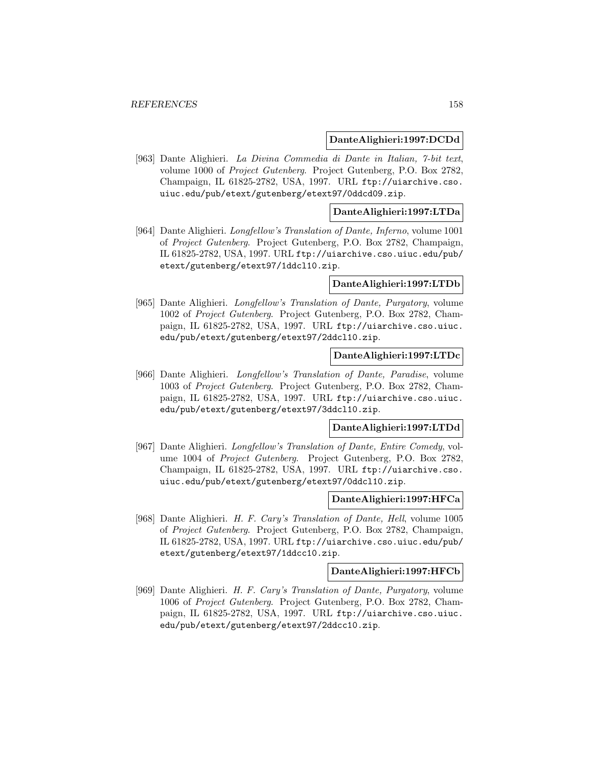#### **DanteAlighieri:1997:DCDd**

[963] Dante Alighieri. La Divina Commedia di Dante in Italian, 7-bit text, volume 1000 of Project Gutenberg. Project Gutenberg, P.O. Box 2782, Champaign, IL 61825-2782, USA, 1997. URL ftp://uiarchive.cso. uiuc.edu/pub/etext/gutenberg/etext97/0ddcd09.zip.

### **DanteAlighieri:1997:LTDa**

[964] Dante Alighieri. Longfellow's Translation of Dante, Inferno, volume 1001 of Project Gutenberg. Project Gutenberg, P.O. Box 2782, Champaign, IL 61825-2782, USA, 1997. URL ftp://uiarchive.cso.uiuc.edu/pub/ etext/gutenberg/etext97/1ddcl10.zip.

#### **DanteAlighieri:1997:LTDb**

[965] Dante Alighieri. Longfellow's Translation of Dante, Purgatory, volume 1002 of Project Gutenberg. Project Gutenberg, P.O. Box 2782, Champaign, IL 61825-2782, USA, 1997. URL ftp://uiarchive.cso.uiuc. edu/pub/etext/gutenberg/etext97/2ddcl10.zip.

## **DanteAlighieri:1997:LTDc**

[966] Dante Alighieri. Longfellow's Translation of Dante, Paradise, volume 1003 of Project Gutenberg. Project Gutenberg, P.O. Box 2782, Champaign, IL 61825-2782, USA, 1997. URL ftp://uiarchive.cso.uiuc. edu/pub/etext/gutenberg/etext97/3ddcl10.zip.

#### **DanteAlighieri:1997:LTDd**

[967] Dante Alighieri. Longfellow's Translation of Dante, Entire Comedy, volume 1004 of Project Gutenberg. Project Gutenberg, P.O. Box 2782, Champaign, IL 61825-2782, USA, 1997. URL ftp://uiarchive.cso. uiuc.edu/pub/etext/gutenberg/etext97/0ddcl10.zip.

#### **DanteAlighieri:1997:HFCa**

[968] Dante Alighieri. H. F. Cary's Translation of Dante, Hell, volume 1005 of Project Gutenberg. Project Gutenberg, P.O. Box 2782, Champaign, IL 61825-2782, USA, 1997. URL ftp://uiarchive.cso.uiuc.edu/pub/ etext/gutenberg/etext97/1ddcc10.zip.

#### **DanteAlighieri:1997:HFCb**

[969] Dante Alighieri. H. F. Cary's Translation of Dante, Purgatory, volume 1006 of Project Gutenberg. Project Gutenberg, P.O. Box 2782, Champaign, IL 61825-2782, USA, 1997. URL ftp://uiarchive.cso.uiuc. edu/pub/etext/gutenberg/etext97/2ddcc10.zip.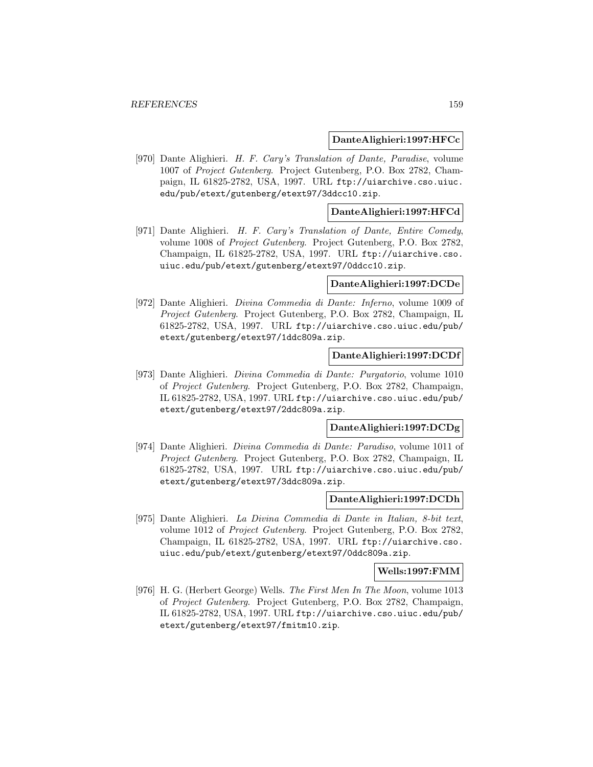#### **DanteAlighieri:1997:HFCc**

[970] Dante Alighieri. H. F. Cary's Translation of Dante, Paradise, volume 1007 of Project Gutenberg. Project Gutenberg, P.O. Box 2782, Champaign, IL 61825-2782, USA, 1997. URL ftp://uiarchive.cso.uiuc. edu/pub/etext/gutenberg/etext97/3ddcc10.zip.

### **DanteAlighieri:1997:HFCd**

[971] Dante Alighieri. H. F. Cary's Translation of Dante, Entire Comedy, volume 1008 of Project Gutenberg. Project Gutenberg, P.O. Box 2782, Champaign, IL 61825-2782, USA, 1997. URL ftp://uiarchive.cso. uiuc.edu/pub/etext/gutenberg/etext97/0ddcc10.zip.

#### **DanteAlighieri:1997:DCDe**

[972] Dante Alighieri. Divina Commedia di Dante: Inferno, volume 1009 of Project Gutenberg. Project Gutenberg, P.O. Box 2782, Champaign, IL 61825-2782, USA, 1997. URL ftp://uiarchive.cso.uiuc.edu/pub/ etext/gutenberg/etext97/1ddc809a.zip.

### **DanteAlighieri:1997:DCDf**

[973] Dante Alighieri. Divina Commedia di Dante: Purgatorio, volume 1010 of Project Gutenberg. Project Gutenberg, P.O. Box 2782, Champaign, IL 61825-2782, USA, 1997. URL ftp://uiarchive.cso.uiuc.edu/pub/ etext/gutenberg/etext97/2ddc809a.zip.

#### **DanteAlighieri:1997:DCDg**

[974] Dante Alighieri. Divina Commedia di Dante: Paradiso, volume 1011 of Project Gutenberg. Project Gutenberg, P.O. Box 2782, Champaign, IL 61825-2782, USA, 1997. URL ftp://uiarchive.cso.uiuc.edu/pub/ etext/gutenberg/etext97/3ddc809a.zip.

#### **DanteAlighieri:1997:DCDh**

[975] Dante Alighieri. La Divina Commedia di Dante in Italian, 8-bit text, volume 1012 of Project Gutenberg. Project Gutenberg, P.O. Box 2782, Champaign, IL 61825-2782, USA, 1997. URL ftp://uiarchive.cso. uiuc.edu/pub/etext/gutenberg/etext97/0ddc809a.zip.

#### **Wells:1997:FMM**

[976] H. G. (Herbert George) Wells. The First Men In The Moon, volume 1013 of Project Gutenberg. Project Gutenberg, P.O. Box 2782, Champaign, IL 61825-2782, USA, 1997. URL ftp://uiarchive.cso.uiuc.edu/pub/ etext/gutenberg/etext97/fmitm10.zip.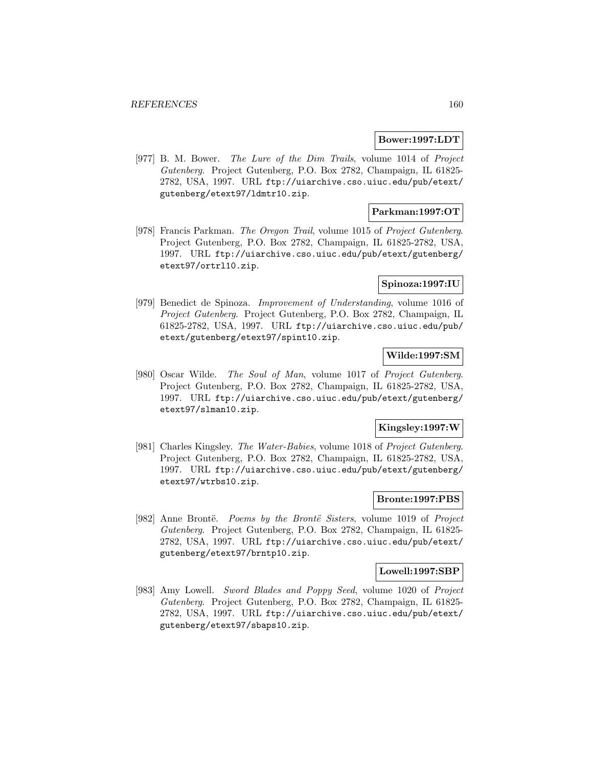#### **Bower:1997:LDT**

[977] B. M. Bower. The Lure of the Dim Trails, volume 1014 of Project Gutenberg. Project Gutenberg, P.O. Box 2782, Champaign, IL 61825- 2782, USA, 1997. URL ftp://uiarchive.cso.uiuc.edu/pub/etext/ gutenberg/etext97/ldmtr10.zip.

### **Parkman:1997:OT**

[978] Francis Parkman. The Oregon Trail, volume 1015 of Project Gutenberg. Project Gutenberg, P.O. Box 2782, Champaign, IL 61825-2782, USA, 1997. URL ftp://uiarchive.cso.uiuc.edu/pub/etext/gutenberg/ etext97/ortrl10.zip.

## **Spinoza:1997:IU**

[979] Benedict de Spinoza. Improvement of Understanding, volume 1016 of Project Gutenberg. Project Gutenberg, P.O. Box 2782, Champaign, IL 61825-2782, USA, 1997. URL ftp://uiarchive.cso.uiuc.edu/pub/ etext/gutenberg/etext97/spint10.zip.

### **Wilde:1997:SM**

[980] Oscar Wilde. The Soul of Man, volume 1017 of Project Gutenberg. Project Gutenberg, P.O. Box 2782, Champaign, IL 61825-2782, USA, 1997. URL ftp://uiarchive.cso.uiuc.edu/pub/etext/gutenberg/ etext97/slman10.zip.

### **Kingsley:1997:W**

[981] Charles Kingsley. The Water-Babies, volume 1018 of Project Gutenberg. Project Gutenberg, P.O. Box 2782, Champaign, IL 61825-2782, USA, 1997. URL ftp://uiarchive.cso.uiuc.edu/pub/etext/gutenberg/ etext97/wtrbs10.zip.

### **Bronte:1997:PBS**

[982] Anne Brontë. *Poems by the Brontë Sisters*, volume 1019 of *Project* Gutenberg. Project Gutenberg, P.O. Box 2782, Champaign, IL 61825- 2782, USA, 1997. URL ftp://uiarchive.cso.uiuc.edu/pub/etext/ gutenberg/etext97/brntp10.zip.

#### **Lowell:1997:SBP**

[983] Amy Lowell. Sword Blades and Poppy Seed, volume 1020 of Project Gutenberg. Project Gutenberg, P.O. Box 2782, Champaign, IL 61825- 2782, USA, 1997. URL ftp://uiarchive.cso.uiuc.edu/pub/etext/ gutenberg/etext97/sbaps10.zip.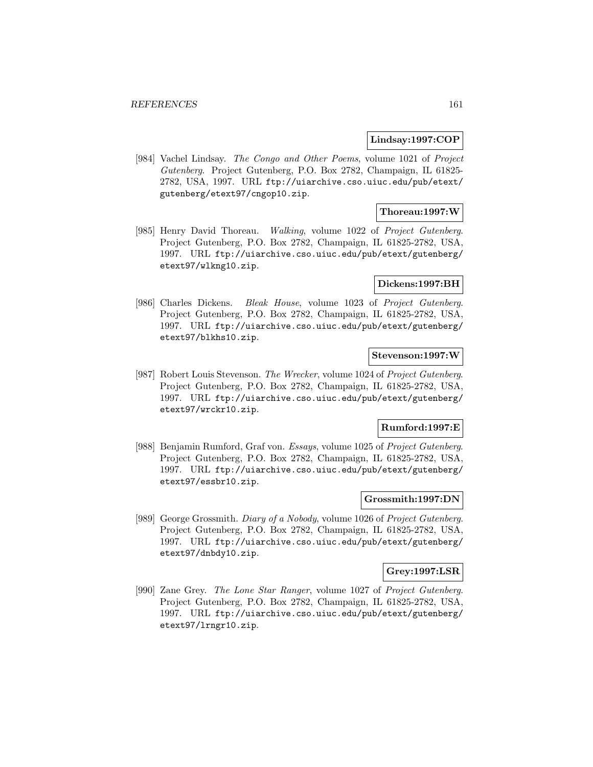#### **Lindsay:1997:COP**

[984] Vachel Lindsay. The Congo and Other Poems, volume 1021 of Project Gutenberg. Project Gutenberg, P.O. Box 2782, Champaign, IL 61825- 2782, USA, 1997. URL ftp://uiarchive.cso.uiuc.edu/pub/etext/ gutenberg/etext97/cngop10.zip.

## **Thoreau:1997:W**

[985] Henry David Thoreau. Walking, volume 1022 of Project Gutenberg. Project Gutenberg, P.O. Box 2782, Champaign, IL 61825-2782, USA, 1997. URL ftp://uiarchive.cso.uiuc.edu/pub/etext/gutenberg/ etext97/wlkng10.zip.

#### **Dickens:1997:BH**

[986] Charles Dickens. Bleak House, volume 1023 of Project Gutenberg. Project Gutenberg, P.O. Box 2782, Champaign, IL 61825-2782, USA, 1997. URL ftp://uiarchive.cso.uiuc.edu/pub/etext/gutenberg/ etext97/blkhs10.zip.

#### **Stevenson:1997:W**

[987] Robert Louis Stevenson. The Wrecker, volume 1024 of Project Gutenberg. Project Gutenberg, P.O. Box 2782, Champaign, IL 61825-2782, USA, 1997. URL ftp://uiarchive.cso.uiuc.edu/pub/etext/gutenberg/ etext97/wrckr10.zip.

### **Rumford:1997:E**

[988] Benjamin Rumford, Graf von. Essays, volume 1025 of Project Gutenberg. Project Gutenberg, P.O. Box 2782, Champaign, IL 61825-2782, USA, 1997. URL ftp://uiarchive.cso.uiuc.edu/pub/etext/gutenberg/ etext97/essbr10.zip.

### **Grossmith:1997:DN**

[989] George Grossmith. Diary of a Nobody, volume 1026 of Project Gutenberg. Project Gutenberg, P.O. Box 2782, Champaign, IL 61825-2782, USA, 1997. URL ftp://uiarchive.cso.uiuc.edu/pub/etext/gutenberg/ etext97/dnbdy10.zip.

#### **Grey:1997:LSR**

[990] Zane Grey. The Lone Star Ranger, volume 1027 of Project Gutenberg. Project Gutenberg, P.O. Box 2782, Champaign, IL 61825-2782, USA, 1997. URL ftp://uiarchive.cso.uiuc.edu/pub/etext/gutenberg/ etext97/lrngr10.zip.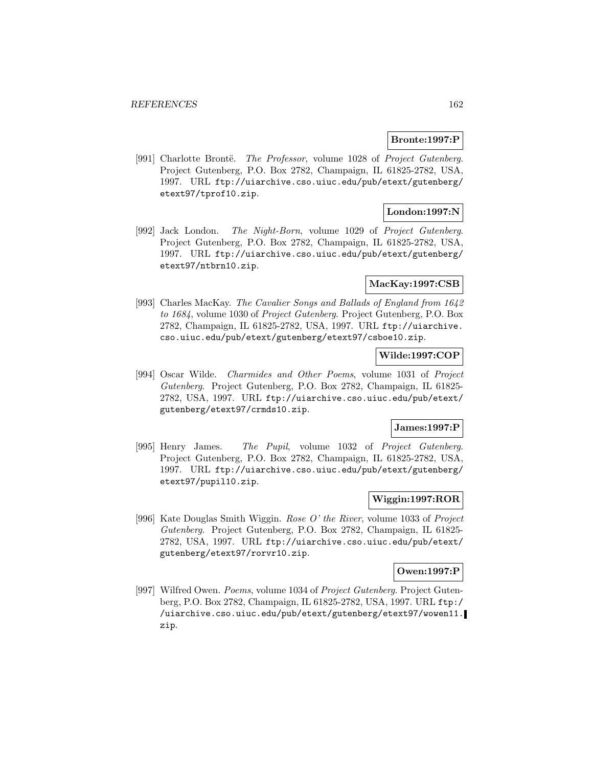## **Bronte:1997:P**

[991] Charlotte Brontë. The Professor, volume 1028 of Project Gutenberg. Project Gutenberg, P.O. Box 2782, Champaign, IL 61825-2782, USA, 1997. URL ftp://uiarchive.cso.uiuc.edu/pub/etext/gutenberg/ etext97/tprof10.zip.

## **London:1997:N**

[992] Jack London. The Night-Born, volume 1029 of Project Gutenberg. Project Gutenberg, P.O. Box 2782, Champaign, IL 61825-2782, USA, 1997. URL ftp://uiarchive.cso.uiuc.edu/pub/etext/gutenberg/ etext97/ntbrn10.zip.

#### **MacKay:1997:CSB**

[993] Charles MacKay. The Cavalier Songs and Ballads of England from 1642 to 1684, volume 1030 of Project Gutenberg. Project Gutenberg, P.O. Box 2782, Champaign, IL 61825-2782, USA, 1997. URL ftp://uiarchive. cso.uiuc.edu/pub/etext/gutenberg/etext97/csboe10.zip.

### **Wilde:1997:COP**

[994] Oscar Wilde. Charmides and Other Poems, volume 1031 of Project Gutenberg. Project Gutenberg, P.O. Box 2782, Champaign, IL 61825- 2782, USA, 1997. URL ftp://uiarchive.cso.uiuc.edu/pub/etext/ gutenberg/etext97/crmds10.zip.

### **James:1997:P**

[995] Henry James. The Pupil, volume 1032 of Project Gutenberg. Project Gutenberg, P.O. Box 2782, Champaign, IL 61825-2782, USA, 1997. URL ftp://uiarchive.cso.uiuc.edu/pub/etext/gutenberg/ etext97/pupil10.zip.

## **Wiggin:1997:ROR**

[996] Kate Douglas Smith Wiggin. Rose O' the River, volume 1033 of Project Gutenberg. Project Gutenberg, P.O. Box 2782, Champaign, IL 61825- 2782, USA, 1997. URL ftp://uiarchive.cso.uiuc.edu/pub/etext/ gutenberg/etext97/rorvr10.zip.

#### **Owen:1997:P**

[997] Wilfred Owen. Poems, volume 1034 of Project Gutenberg. Project Gutenberg, P.O. Box 2782, Champaign, IL 61825-2782, USA, 1997. URL ftp:/ /uiarchive.cso.uiuc.edu/pub/etext/gutenberg/etext97/wowen11. zip.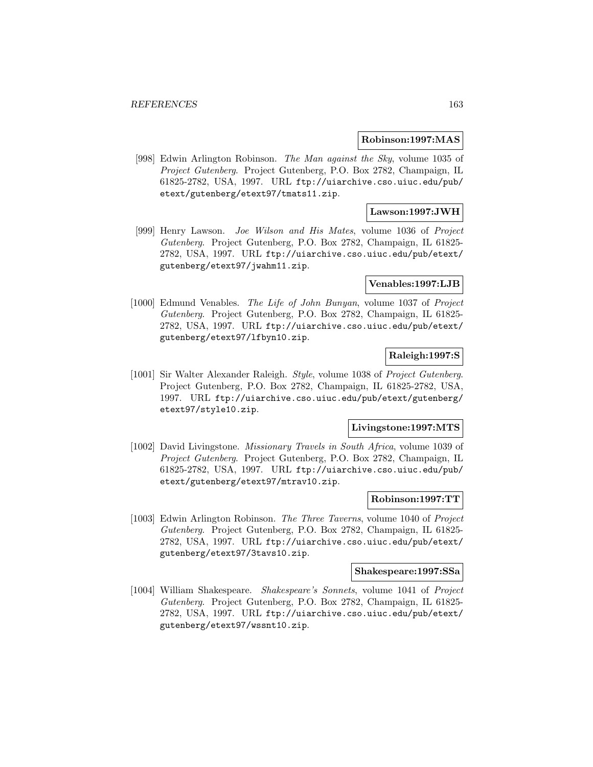#### **Robinson:1997:MAS**

[998] Edwin Arlington Robinson. The Man against the Sky, volume 1035 of Project Gutenberg. Project Gutenberg, P.O. Box 2782, Champaign, IL 61825-2782, USA, 1997. URL ftp://uiarchive.cso.uiuc.edu/pub/ etext/gutenberg/etext97/tmats11.zip.

## **Lawson:1997:JWH**

[999] Henry Lawson. Joe Wilson and His Mates, volume 1036 of Project Gutenberg. Project Gutenberg, P.O. Box 2782, Champaign, IL 61825- 2782, USA, 1997. URL ftp://uiarchive.cso.uiuc.edu/pub/etext/ gutenberg/etext97/jwahm11.zip.

### **Venables:1997:LJB**

[1000] Edmund Venables. The Life of John Bunyan, volume 1037 of Project Gutenberg. Project Gutenberg, P.O. Box 2782, Champaign, IL 61825- 2782, USA, 1997. URL ftp://uiarchive.cso.uiuc.edu/pub/etext/ gutenberg/etext97/lfbyn10.zip.

### **Raleigh:1997:S**

[1001] Sir Walter Alexander Raleigh. Style, volume 1038 of Project Gutenberg. Project Gutenberg, P.O. Box 2782, Champaign, IL 61825-2782, USA, 1997. URL ftp://uiarchive.cso.uiuc.edu/pub/etext/gutenberg/ etext97/style10.zip.

#### **Livingstone:1997:MTS**

[1002] David Livingstone. Missionary Travels in South Africa, volume 1039 of Project Gutenberg. Project Gutenberg, P.O. Box 2782, Champaign, IL 61825-2782, USA, 1997. URL ftp://uiarchive.cso.uiuc.edu/pub/ etext/gutenberg/etext97/mtrav10.zip.

### **Robinson:1997:TT**

[1003] Edwin Arlington Robinson. The Three Taverns, volume 1040 of Project Gutenberg. Project Gutenberg, P.O. Box 2782, Champaign, IL 61825- 2782, USA, 1997. URL ftp://uiarchive.cso.uiuc.edu/pub/etext/ gutenberg/etext97/3tavs10.zip.

#### **Shakespeare:1997:SSa**

[1004] William Shakespeare. Shakespeare's Sonnets, volume 1041 of Project Gutenberg. Project Gutenberg, P.O. Box 2782, Champaign, IL 61825- 2782, USA, 1997. URL ftp://uiarchive.cso.uiuc.edu/pub/etext/ gutenberg/etext97/wssnt10.zip.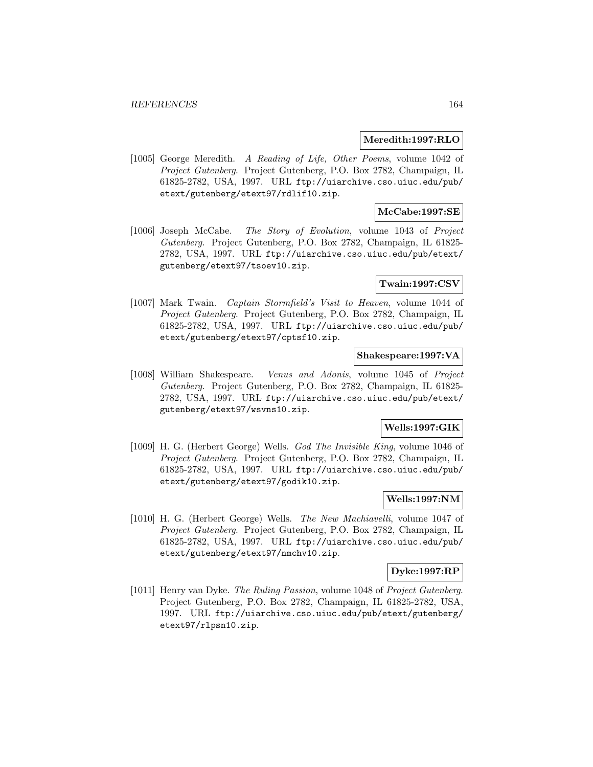#### **Meredith:1997:RLO**

[1005] George Meredith. A Reading of Life, Other Poems, volume 1042 of Project Gutenberg. Project Gutenberg, P.O. Box 2782, Champaign, IL 61825-2782, USA, 1997. URL ftp://uiarchive.cso.uiuc.edu/pub/ etext/gutenberg/etext97/rdlif10.zip.

## **McCabe:1997:SE**

[1006] Joseph McCabe. The Story of Evolution, volume 1043 of Project Gutenberg. Project Gutenberg, P.O. Box 2782, Champaign, IL 61825- 2782, USA, 1997. URL ftp://uiarchive.cso.uiuc.edu/pub/etext/ gutenberg/etext97/tsoev10.zip.

### **Twain:1997:CSV**

[1007] Mark Twain. Captain Stormfield's Visit to Heaven, volume 1044 of Project Gutenberg. Project Gutenberg, P.O. Box 2782, Champaign, IL 61825-2782, USA, 1997. URL ftp://uiarchive.cso.uiuc.edu/pub/ etext/gutenberg/etext97/cptsf10.zip.

## **Shakespeare:1997:VA**

[1008] William Shakespeare. Venus and Adonis, volume 1045 of Project Gutenberg. Project Gutenberg, P.O. Box 2782, Champaign, IL 61825- 2782, USA, 1997. URL ftp://uiarchive.cso.uiuc.edu/pub/etext/ gutenberg/etext97/wsvns10.zip.

#### **Wells:1997:GIK**

[1009] H. G. (Herbert George) Wells. God The Invisible King, volume 1046 of Project Gutenberg. Project Gutenberg, P.O. Box 2782, Champaign, IL 61825-2782, USA, 1997. URL ftp://uiarchive.cso.uiuc.edu/pub/ etext/gutenberg/etext97/godik10.zip.

### **Wells:1997:NM**

[1010] H. G. (Herbert George) Wells. The New Machiavelli, volume 1047 of Project Gutenberg. Project Gutenberg, P.O. Box 2782, Champaign, IL 61825-2782, USA, 1997. URL ftp://uiarchive.cso.uiuc.edu/pub/ etext/gutenberg/etext97/nmchv10.zip.

#### **Dyke:1997:RP**

[1011] Henry van Dyke. The Ruling Passion, volume 1048 of Project Gutenberg. Project Gutenberg, P.O. Box 2782, Champaign, IL 61825-2782, USA, 1997. URL ftp://uiarchive.cso.uiuc.edu/pub/etext/gutenberg/ etext97/rlpsn10.zip.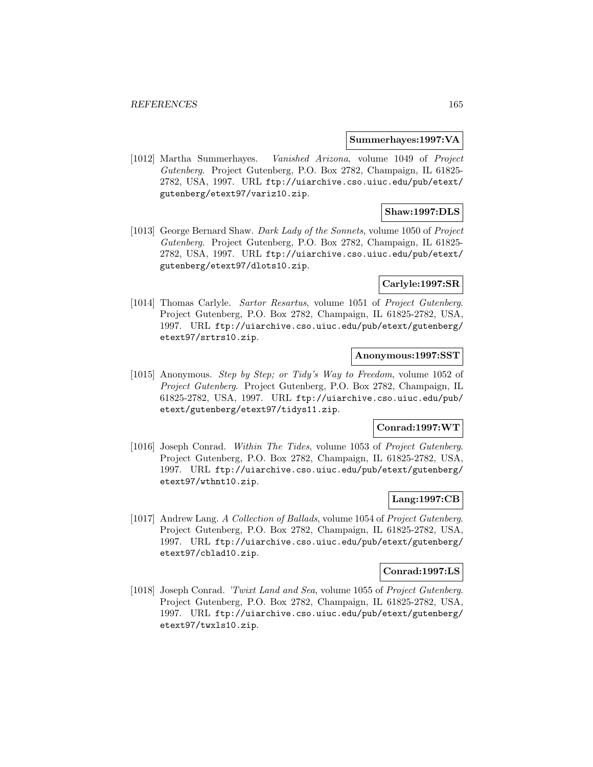#### **Summerhayes:1997:VA**

[1012] Martha Summerhayes. Vanished Arizona, volume 1049 of Project Gutenberg. Project Gutenberg, P.O. Box 2782, Champaign, IL 61825- 2782, USA, 1997. URL ftp://uiarchive.cso.uiuc.edu/pub/etext/ gutenberg/etext97/variz10.zip.

### **Shaw:1997:DLS**

[1013] George Bernard Shaw. Dark Lady of the Sonnets, volume 1050 of Project Gutenberg. Project Gutenberg, P.O. Box 2782, Champaign, IL 61825- 2782, USA, 1997. URL ftp://uiarchive.cso.uiuc.edu/pub/etext/ gutenberg/etext97/dlots10.zip.

### **Carlyle:1997:SR**

[1014] Thomas Carlyle. Sartor Resartus, volume 1051 of Project Gutenberg. Project Gutenberg, P.O. Box 2782, Champaign, IL 61825-2782, USA, 1997. URL ftp://uiarchive.cso.uiuc.edu/pub/etext/gutenberg/ etext97/srtrs10.zip.

### **Anonymous:1997:SST**

[1015] Anonymous. Step by Step; or Tidy's Way to Freedom, volume 1052 of Project Gutenberg. Project Gutenberg, P.O. Box 2782, Champaign, IL 61825-2782, USA, 1997. URL ftp://uiarchive.cso.uiuc.edu/pub/ etext/gutenberg/etext97/tidys11.zip.

### **Conrad:1997:WT**

[1016] Joseph Conrad. Within The Tides, volume 1053 of Project Gutenberg. Project Gutenberg, P.O. Box 2782, Champaign, IL 61825-2782, USA, 1997. URL ftp://uiarchive.cso.uiuc.edu/pub/etext/gutenberg/ etext97/wthnt10.zip.

## **Lang:1997:CB**

[1017] Andrew Lang. A Collection of Ballads, volume 1054 of Project Gutenberg. Project Gutenberg, P.O. Box 2782, Champaign, IL 61825-2782, USA, 1997. URL ftp://uiarchive.cso.uiuc.edu/pub/etext/gutenberg/ etext97/cblad10.zip.

#### **Conrad:1997:LS**

[1018] Joseph Conrad. 'Twixt Land and Sea, volume 1055 of Project Gutenberg. Project Gutenberg, P.O. Box 2782, Champaign, IL 61825-2782, USA, 1997. URL ftp://uiarchive.cso.uiuc.edu/pub/etext/gutenberg/ etext97/twxls10.zip.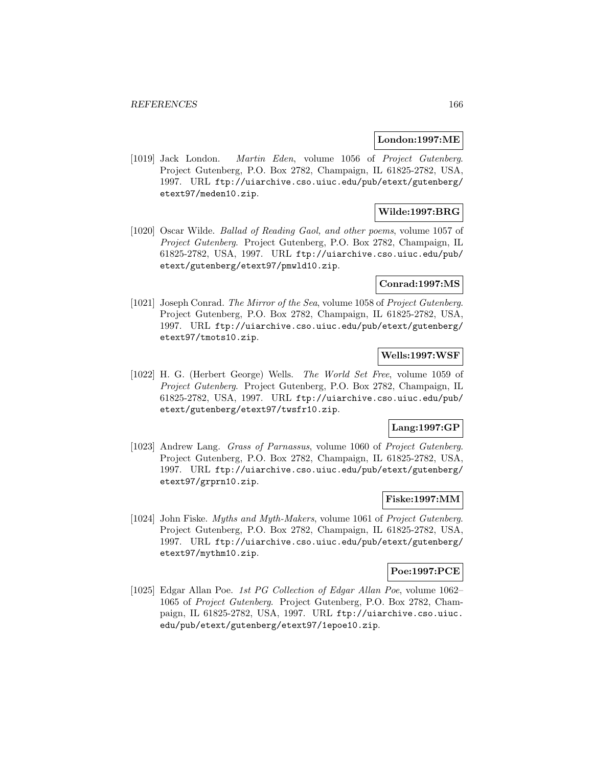#### **London:1997:ME**

[1019] Jack London. Martin Eden, volume 1056 of Project Gutenberg. Project Gutenberg, P.O. Box 2782, Champaign, IL 61825-2782, USA, 1997. URL ftp://uiarchive.cso.uiuc.edu/pub/etext/gutenberg/ etext97/meden10.zip.

## **Wilde:1997:BRG**

[1020] Oscar Wilde. Ballad of Reading Gaol, and other poems, volume 1057 of Project Gutenberg. Project Gutenberg, P.O. Box 2782, Champaign, IL 61825-2782, USA, 1997. URL ftp://uiarchive.cso.uiuc.edu/pub/ etext/gutenberg/etext97/pmwld10.zip.

#### **Conrad:1997:MS**

[1021] Joseph Conrad. The Mirror of the Sea, volume 1058 of Project Gutenberg. Project Gutenberg, P.O. Box 2782, Champaign, IL 61825-2782, USA, 1997. URL ftp://uiarchive.cso.uiuc.edu/pub/etext/gutenberg/ etext97/tmots10.zip.

# **Wells:1997:WSF**

[1022] H. G. (Herbert George) Wells. The World Set Free, volume 1059 of Project Gutenberg. Project Gutenberg, P.O. Box 2782, Champaign, IL 61825-2782, USA, 1997. URL ftp://uiarchive.cso.uiuc.edu/pub/ etext/gutenberg/etext97/twsfr10.zip.

### **Lang:1997:GP**

[1023] Andrew Lang. Grass of Parnassus, volume 1060 of Project Gutenberg. Project Gutenberg, P.O. Box 2782, Champaign, IL 61825-2782, USA, 1997. URL ftp://uiarchive.cso.uiuc.edu/pub/etext/gutenberg/ etext97/grprn10.zip.

## **Fiske:1997:MM**

[1024] John Fiske. Myths and Myth-Makers, volume 1061 of Project Gutenberg. Project Gutenberg, P.O. Box 2782, Champaign, IL 61825-2782, USA, 1997. URL ftp://uiarchive.cso.uiuc.edu/pub/etext/gutenberg/ etext97/mythm10.zip.

#### **Poe:1997:PCE**

[1025] Edgar Allan Poe. 1st PG Collection of Edgar Allan Poe, volume 1062– 1065 of Project Gutenberg. Project Gutenberg, P.O. Box 2782, Champaign, IL 61825-2782, USA, 1997. URL ftp://uiarchive.cso.uiuc. edu/pub/etext/gutenberg/etext97/1epoe10.zip.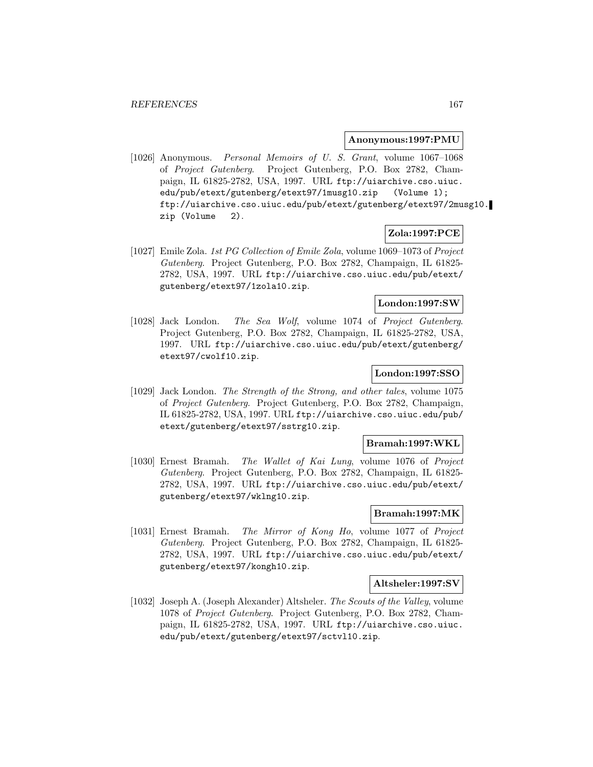#### **Anonymous:1997:PMU**

[1026] Anonymous. Personal Memoirs of U. S. Grant, volume 1067–1068 of Project Gutenberg. Project Gutenberg, P.O. Box 2782, Champaign, IL 61825-2782, USA, 1997. URL ftp://uiarchive.cso.uiuc. edu/pub/etext/gutenberg/etext97/1musg10.zip (Volume 1); ftp://uiarchive.cso.uiuc.edu/pub/etext/gutenberg/etext97/2musg10. zip (Volume 2).

## **Zola:1997:PCE**

[1027] Emile Zola. 1st PG Collection of Emile Zola, volume 1069–1073 of Project Gutenberg. Project Gutenberg, P.O. Box 2782, Champaign, IL 61825- 2782, USA, 1997. URL ftp://uiarchive.cso.uiuc.edu/pub/etext/ gutenberg/etext97/1zola10.zip.

## **London:1997:SW**

[1028] Jack London. The Sea Wolf, volume 1074 of Project Gutenberg. Project Gutenberg, P.O. Box 2782, Champaign, IL 61825-2782, USA, 1997. URL ftp://uiarchive.cso.uiuc.edu/pub/etext/gutenberg/ etext97/cwolf10.zip.

## **London:1997:SSO**

[1029] Jack London. The Strength of the Strong, and other tales, volume 1075 of Project Gutenberg. Project Gutenberg, P.O. Box 2782, Champaign, IL 61825-2782, USA, 1997. URL ftp://uiarchive.cso.uiuc.edu/pub/ etext/gutenberg/etext97/sstrg10.zip.

#### **Bramah:1997:WKL**

[1030] Ernest Bramah. The Wallet of Kai Lung, volume 1076 of Project Gutenberg. Project Gutenberg, P.O. Box 2782, Champaign, IL 61825- 2782, USA, 1997. URL ftp://uiarchive.cso.uiuc.edu/pub/etext/ gutenberg/etext97/wklng10.zip.

#### **Bramah:1997:MK**

[1031] Ernest Bramah. The Mirror of Kong Ho, volume 1077 of Project Gutenberg. Project Gutenberg, P.O. Box 2782, Champaign, IL 61825- 2782, USA, 1997. URL ftp://uiarchive.cso.uiuc.edu/pub/etext/ gutenberg/etext97/kongh10.zip.

#### **Altsheler:1997:SV**

[1032] Joseph A. (Joseph Alexander) Altsheler. The Scouts of the Valley, volume 1078 of Project Gutenberg. Project Gutenberg, P.O. Box 2782, Champaign, IL 61825-2782, USA, 1997. URL ftp://uiarchive.cso.uiuc. edu/pub/etext/gutenberg/etext97/sctvl10.zip.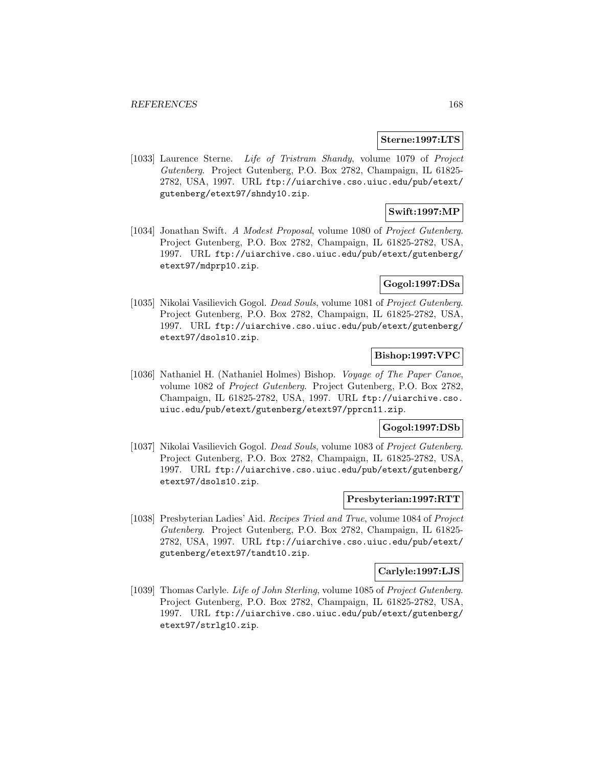#### **Sterne:1997:LTS**

[1033] Laurence Sterne. Life of Tristram Shandy, volume 1079 of Project Gutenberg. Project Gutenberg, P.O. Box 2782, Champaign, IL 61825- 2782, USA, 1997. URL ftp://uiarchive.cso.uiuc.edu/pub/etext/ gutenberg/etext97/shndy10.zip.

## **Swift:1997:MP**

[1034] Jonathan Swift. A Modest Proposal, volume 1080 of Project Gutenberg. Project Gutenberg, P.O. Box 2782, Champaign, IL 61825-2782, USA, 1997. URL ftp://uiarchive.cso.uiuc.edu/pub/etext/gutenberg/ etext97/mdprp10.zip.

#### **Gogol:1997:DSa**

[1035] Nikolai Vasilievich Gogol. Dead Souls, volume 1081 of Project Gutenberg. Project Gutenberg, P.O. Box 2782, Champaign, IL 61825-2782, USA, 1997. URL ftp://uiarchive.cso.uiuc.edu/pub/etext/gutenberg/ etext97/dsols10.zip.

## **Bishop:1997:VPC**

[1036] Nathaniel H. (Nathaniel Holmes) Bishop. Voyage of The Paper Canoe, volume 1082 of Project Gutenberg. Project Gutenberg, P.O. Box 2782, Champaign, IL 61825-2782, USA, 1997. URL ftp://uiarchive.cso. uiuc.edu/pub/etext/gutenberg/etext97/pprcn11.zip.

#### **Gogol:1997:DSb**

[1037] Nikolai Vasilievich Gogol. Dead Souls, volume 1083 of Project Gutenberg. Project Gutenberg, P.O. Box 2782, Champaign, IL 61825-2782, USA, 1997. URL ftp://uiarchive.cso.uiuc.edu/pub/etext/gutenberg/ etext97/dsols10.zip.

### **Presbyterian:1997:RTT**

[1038] Presbyterian Ladies' Aid. Recipes Tried and True, volume 1084 of Project Gutenberg. Project Gutenberg, P.O. Box 2782, Champaign, IL 61825- 2782, USA, 1997. URL ftp://uiarchive.cso.uiuc.edu/pub/etext/ gutenberg/etext97/tandt10.zip.

#### **Carlyle:1997:LJS**

[1039] Thomas Carlyle. Life of John Sterling, volume 1085 of Project Gutenberg. Project Gutenberg, P.O. Box 2782, Champaign, IL 61825-2782, USA, 1997. URL ftp://uiarchive.cso.uiuc.edu/pub/etext/gutenberg/ etext97/strlg10.zip.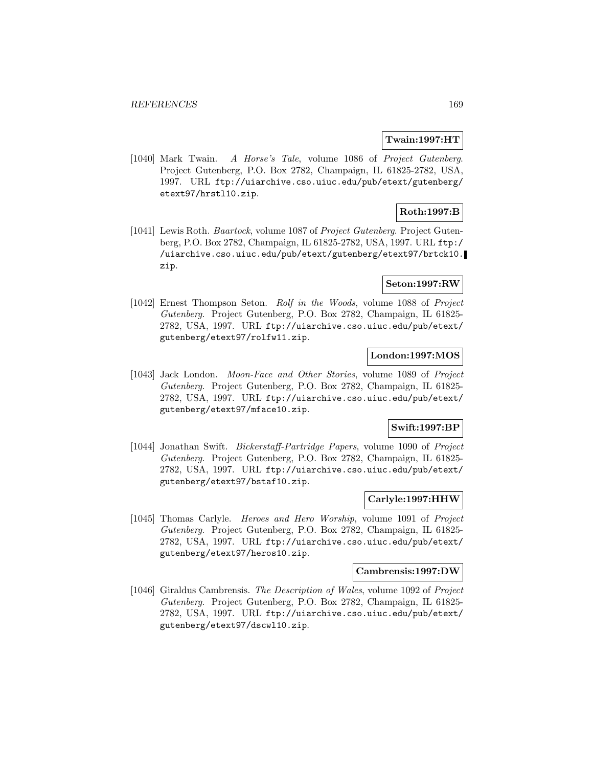#### **Twain:1997:HT**

[1040] Mark Twain. A Horse's Tale, volume 1086 of Project Gutenberg. Project Gutenberg, P.O. Box 2782, Champaign, IL 61825-2782, USA, 1997. URL ftp://uiarchive.cso.uiuc.edu/pub/etext/gutenberg/ etext97/hrstl10.zip.

# **Roth:1997:B**

[1041] Lewis Roth. Baartock, volume 1087 of Project Gutenberg. Project Gutenberg, P.O. Box 2782, Champaign, IL 61825-2782, USA, 1997. URL ftp:/ /uiarchive.cso.uiuc.edu/pub/etext/gutenberg/etext97/brtck10. zip.

## **Seton:1997:RW**

[1042] Ernest Thompson Seton. Rolf in the Woods, volume 1088 of Project Gutenberg. Project Gutenberg, P.O. Box 2782, Champaign, IL 61825- 2782, USA, 1997. URL ftp://uiarchive.cso.uiuc.edu/pub/etext/ gutenberg/etext97/rolfw11.zip.

## **London:1997:MOS**

[1043] Jack London. Moon-Face and Other Stories, volume 1089 of Project Gutenberg. Project Gutenberg, P.O. Box 2782, Champaign, IL 61825- 2782, USA, 1997. URL ftp://uiarchive.cso.uiuc.edu/pub/etext/ gutenberg/etext97/mface10.zip.

#### **Swift:1997:BP**

[1044] Jonathan Swift. Bickerstaff-Partridge Papers, volume 1090 of Project Gutenberg. Project Gutenberg, P.O. Box 2782, Champaign, IL 61825- 2782, USA, 1997. URL ftp://uiarchive.cso.uiuc.edu/pub/etext/ gutenberg/etext97/bstaf10.zip.

## **Carlyle:1997:HHW**

[1045] Thomas Carlyle. Heroes and Hero Worship, volume 1091 of Project Gutenberg. Project Gutenberg, P.O. Box 2782, Champaign, IL 61825- 2782, USA, 1997. URL ftp://uiarchive.cso.uiuc.edu/pub/etext/ gutenberg/etext97/heros10.zip.

#### **Cambrensis:1997:DW**

[1046] Giraldus Cambrensis. The Description of Wales, volume 1092 of Project Gutenberg. Project Gutenberg, P.O. Box 2782, Champaign, IL 61825- 2782, USA, 1997. URL ftp://uiarchive.cso.uiuc.edu/pub/etext/ gutenberg/etext97/dscwl10.zip.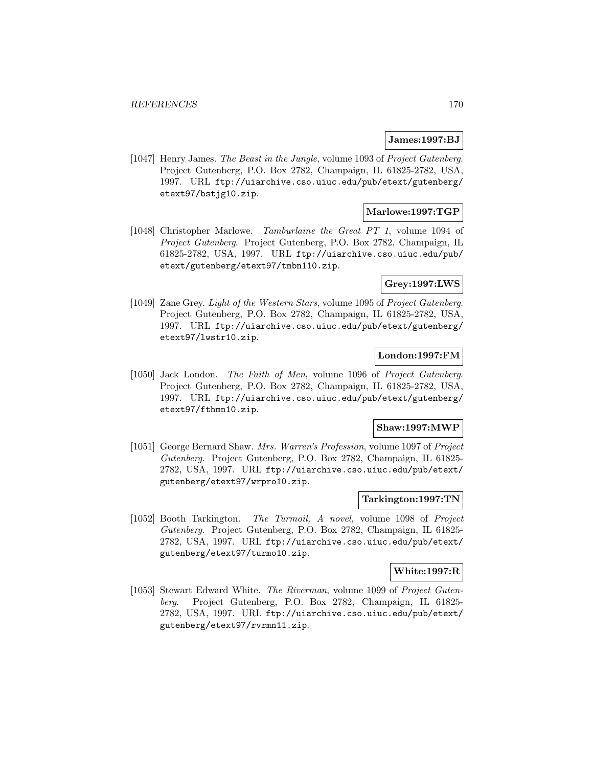### **James:1997:BJ**

[1047] Henry James. The Beast in the Jungle, volume 1093 of Project Gutenberg. Project Gutenberg, P.O. Box 2782, Champaign, IL 61825-2782, USA, 1997. URL ftp://uiarchive.cso.uiuc.edu/pub/etext/gutenberg/ etext97/bstjg10.zip.

# **Marlowe:1997:TGP**

[1048] Christopher Marlowe. Tamburlaine the Great PT 1, volume 1094 of Project Gutenberg. Project Gutenberg, P.O. Box 2782, Champaign, IL 61825-2782, USA, 1997. URL ftp://uiarchive.cso.uiuc.edu/pub/ etext/gutenberg/etext97/tmbn110.zip.

## **Grey:1997:LWS**

[1049] Zane Grey. Light of the Western Stars, volume 1095 of Project Gutenberg. Project Gutenberg, P.O. Box 2782, Champaign, IL 61825-2782, USA, 1997. URL ftp://uiarchive.cso.uiuc.edu/pub/etext/gutenberg/ etext97/lwstr10.zip.

### **London:1997:FM**

[1050] Jack London. The Faith of Men, volume 1096 of Project Gutenberg. Project Gutenberg, P.O. Box 2782, Champaign, IL 61825-2782, USA, 1997. URL ftp://uiarchive.cso.uiuc.edu/pub/etext/gutenberg/ etext97/fthmn10.zip.

#### **Shaw:1997:MWP**

[1051] George Bernard Shaw. Mrs. Warren's Profession, volume 1097 of Project Gutenberg. Project Gutenberg, P.O. Box 2782, Champaign, IL 61825- 2782, USA, 1997. URL ftp://uiarchive.cso.uiuc.edu/pub/etext/ gutenberg/etext97/wrpro10.zip.

### **Tarkington:1997:TN**

[1052] Booth Tarkington. The Turmoil, A novel, volume 1098 of Project Gutenberg. Project Gutenberg, P.O. Box 2782, Champaign, IL 61825- 2782, USA, 1997. URL ftp://uiarchive.cso.uiuc.edu/pub/etext/ gutenberg/etext97/turmo10.zip.

#### **White:1997:R**

[1053] Stewart Edward White. The Riverman, volume 1099 of Project Gutenberg. Project Gutenberg, P.O. Box 2782, Champaign, IL 61825- 2782, USA, 1997. URL ftp://uiarchive.cso.uiuc.edu/pub/etext/ gutenberg/etext97/rvrmn11.zip.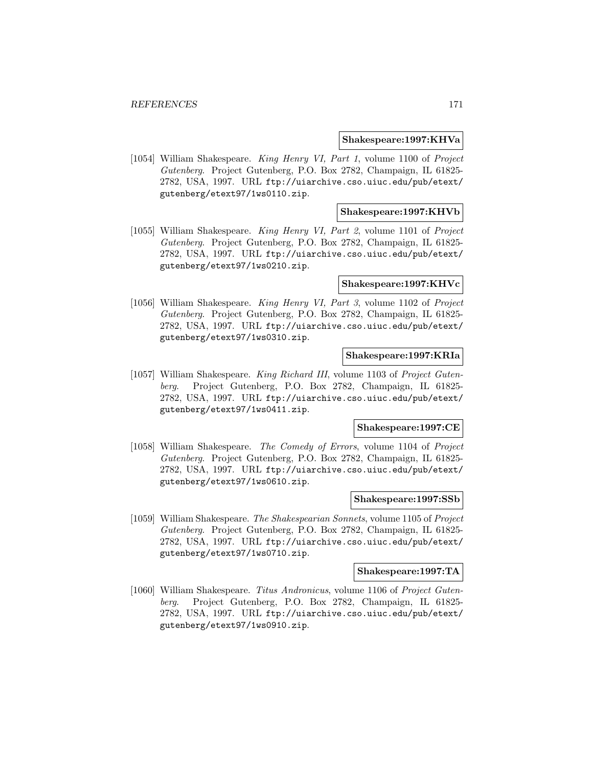#### **Shakespeare:1997:KHVa**

[1054] William Shakespeare. King Henry VI, Part 1, volume 1100 of Project Gutenberg. Project Gutenberg, P.O. Box 2782, Champaign, IL 61825- 2782, USA, 1997. URL ftp://uiarchive.cso.uiuc.edu/pub/etext/ gutenberg/etext97/1ws0110.zip.

#### **Shakespeare:1997:KHVb**

[1055] William Shakespeare. King Henry VI, Part 2, volume 1101 of Project Gutenberg. Project Gutenberg, P.O. Box 2782, Champaign, IL 61825- 2782, USA, 1997. URL ftp://uiarchive.cso.uiuc.edu/pub/etext/ gutenberg/etext97/1ws0210.zip.

#### **Shakespeare:1997:KHVc**

[1056] William Shakespeare. King Henry VI, Part 3, volume 1102 of Project Gutenberg. Project Gutenberg, P.O. Box 2782, Champaign, IL 61825- 2782, USA, 1997. URL ftp://uiarchive.cso.uiuc.edu/pub/etext/ gutenberg/etext97/1ws0310.zip.

## **Shakespeare:1997:KRIa**

[1057] William Shakespeare. King Richard III, volume 1103 of Project Gutenberg. Project Gutenberg, P.O. Box 2782, Champaign, IL 61825- 2782, USA, 1997. URL ftp://uiarchive.cso.uiuc.edu/pub/etext/ gutenberg/etext97/1ws0411.zip.

#### **Shakespeare:1997:CE**

[1058] William Shakespeare. The Comedy of Errors, volume 1104 of Project Gutenberg. Project Gutenberg, P.O. Box 2782, Champaign, IL 61825- 2782, USA, 1997. URL ftp://uiarchive.cso.uiuc.edu/pub/etext/ gutenberg/etext97/1ws0610.zip.

#### **Shakespeare:1997:SSb**

[1059] William Shakespeare. The Shakespearian Sonnets, volume 1105 of Project Gutenberg. Project Gutenberg, P.O. Box 2782, Champaign, IL 61825- 2782, USA, 1997. URL ftp://uiarchive.cso.uiuc.edu/pub/etext/ gutenberg/etext97/1ws0710.zip.

#### **Shakespeare:1997:TA**

[1060] William Shakespeare. Titus Andronicus, volume 1106 of Project Gutenberg. Project Gutenberg, P.O. Box 2782, Champaign, IL 61825- 2782, USA, 1997. URL ftp://uiarchive.cso.uiuc.edu/pub/etext/ gutenberg/etext97/1ws0910.zip.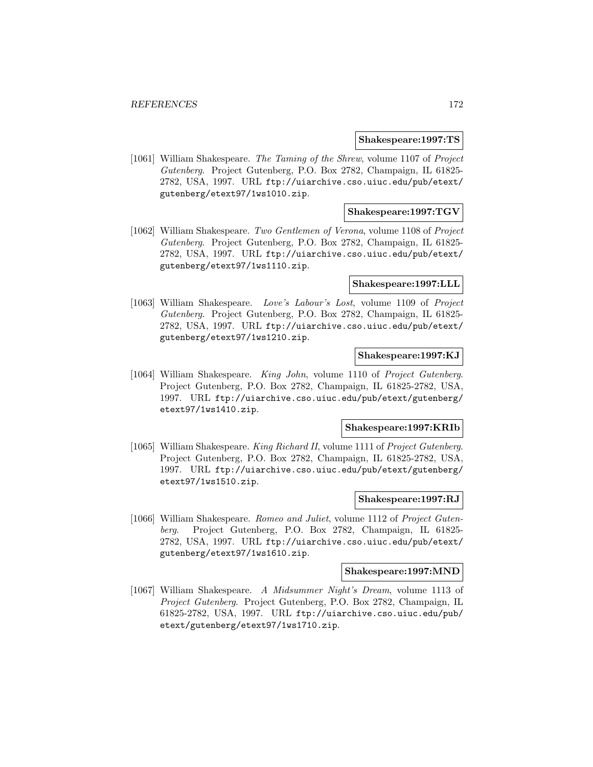#### **Shakespeare:1997:TS**

[1061] William Shakespeare. The Taming of the Shrew, volume 1107 of Project Gutenberg. Project Gutenberg, P.O. Box 2782, Champaign, IL 61825- 2782, USA, 1997. URL ftp://uiarchive.cso.uiuc.edu/pub/etext/ gutenberg/etext97/1ws1010.zip.

### **Shakespeare:1997:TGV**

[1062] William Shakespeare. Two Gentlemen of Verona, volume 1108 of Project Gutenberg. Project Gutenberg, P.O. Box 2782, Champaign, IL 61825- 2782, USA, 1997. URL ftp://uiarchive.cso.uiuc.edu/pub/etext/ gutenberg/etext97/1ws1110.zip.

#### **Shakespeare:1997:LLL**

[1063] William Shakespeare. Love's Labour's Lost, volume 1109 of Project Gutenberg. Project Gutenberg, P.O. Box 2782, Champaign, IL 61825- 2782, USA, 1997. URL ftp://uiarchive.cso.uiuc.edu/pub/etext/ gutenberg/etext97/1ws1210.zip.

#### **Shakespeare:1997:KJ**

[1064] William Shakespeare. King John, volume 1110 of Project Gutenberg. Project Gutenberg, P.O. Box 2782, Champaign, IL 61825-2782, USA, 1997. URL ftp://uiarchive.cso.uiuc.edu/pub/etext/gutenberg/ etext97/1ws1410.zip.

#### **Shakespeare:1997:KRIb**

[1065] William Shakespeare. King Richard II, volume 1111 of Project Gutenberg. Project Gutenberg, P.O. Box 2782, Champaign, IL 61825-2782, USA, 1997. URL ftp://uiarchive.cso.uiuc.edu/pub/etext/gutenberg/ etext97/1ws1510.zip.

### **Shakespeare:1997:RJ**

[1066] William Shakespeare. Romeo and Juliet, volume 1112 of Project Gutenberg. Project Gutenberg, P.O. Box 2782, Champaign, IL 61825- 2782, USA, 1997. URL ftp://uiarchive.cso.uiuc.edu/pub/etext/ gutenberg/etext97/1ws1610.zip.

#### **Shakespeare:1997:MND**

[1067] William Shakespeare. A Midsummer Night's Dream, volume 1113 of Project Gutenberg. Project Gutenberg, P.O. Box 2782, Champaign, IL 61825-2782, USA, 1997. URL ftp://uiarchive.cso.uiuc.edu/pub/ etext/gutenberg/etext97/1ws1710.zip.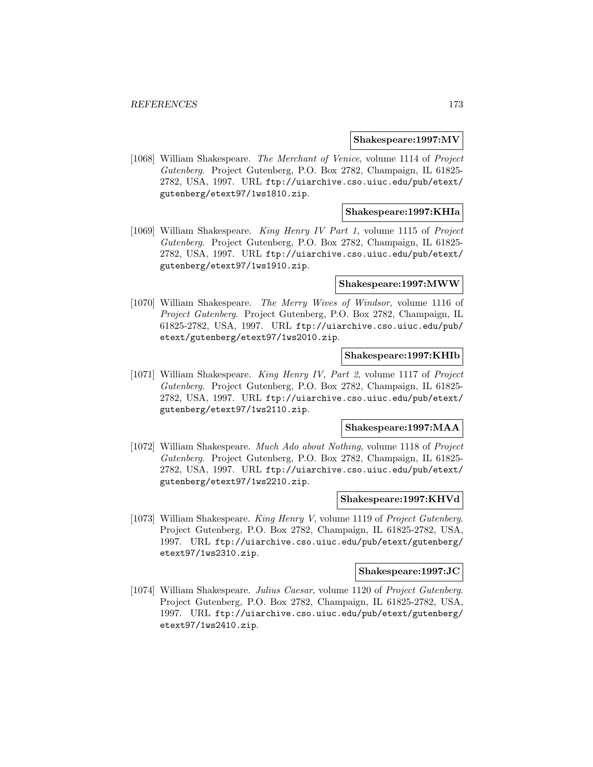#### **Shakespeare:1997:MV**

[1068] William Shakespeare. The Merchant of Venice, volume 1114 of Project Gutenberg. Project Gutenberg, P.O. Box 2782, Champaign, IL 61825- 2782, USA, 1997. URL ftp://uiarchive.cso.uiuc.edu/pub/etext/ gutenberg/etext97/1ws1810.zip.

### **Shakespeare:1997:KHIa**

[1069] William Shakespeare. King Henry IV Part 1, volume 1115 of Project Gutenberg. Project Gutenberg, P.O. Box 2782, Champaign, IL 61825- 2782, USA, 1997. URL ftp://uiarchive.cso.uiuc.edu/pub/etext/ gutenberg/etext97/1ws1910.zip.

#### **Shakespeare:1997:MWW**

[1070] William Shakespeare. The Merry Wives of Windsor, volume 1116 of Project Gutenberg. Project Gutenberg, P.O. Box 2782, Champaign, IL 61825-2782, USA, 1997. URL ftp://uiarchive.cso.uiuc.edu/pub/ etext/gutenberg/etext97/1ws2010.zip.

#### **Shakespeare:1997:KHIb**

[1071] William Shakespeare. King Henry IV, Part 2, volume 1117 of Project Gutenberg. Project Gutenberg, P.O. Box 2782, Champaign, IL 61825- 2782, USA, 1997. URL ftp://uiarchive.cso.uiuc.edu/pub/etext/ gutenberg/etext97/1ws2110.zip.

#### **Shakespeare:1997:MAA**

[1072] William Shakespeare. Much Ado about Nothing, volume 1118 of Project Gutenberg. Project Gutenberg, P.O. Box 2782, Champaign, IL 61825- 2782, USA, 1997. URL ftp://uiarchive.cso.uiuc.edu/pub/etext/ gutenberg/etext97/1ws2210.zip.

#### **Shakespeare:1997:KHVd**

[1073] William Shakespeare. King Henry V, volume 1119 of Project Gutenberg. Project Gutenberg, P.O. Box 2782, Champaign, IL 61825-2782, USA, 1997. URL ftp://uiarchive.cso.uiuc.edu/pub/etext/gutenberg/ etext97/1ws2310.zip.

#### **Shakespeare:1997:JC**

[1074] William Shakespeare. Julius Caesar, volume 1120 of Project Gutenberg. Project Gutenberg, P.O. Box 2782, Champaign, IL 61825-2782, USA, 1997. URL ftp://uiarchive.cso.uiuc.edu/pub/etext/gutenberg/ etext97/1ws2410.zip.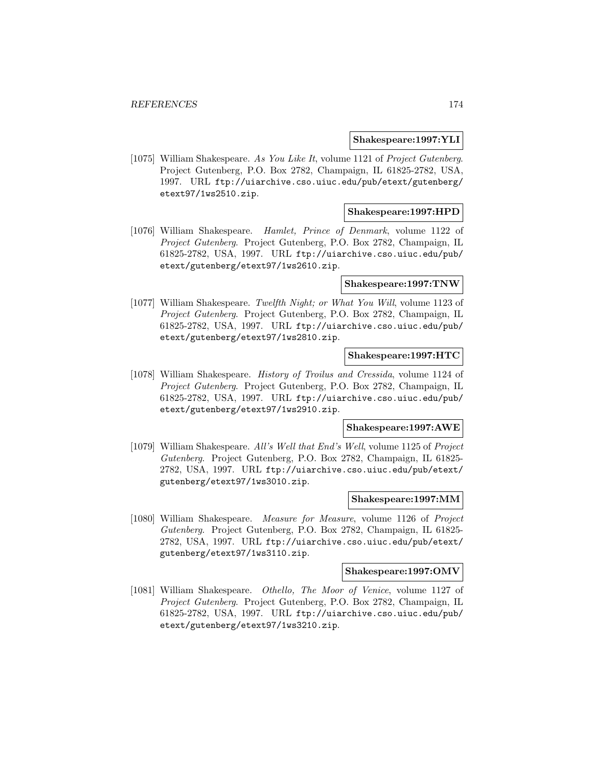#### **Shakespeare:1997:YLI**

[1075] William Shakespeare. As You Like It, volume 1121 of Project Gutenberg. Project Gutenberg, P.O. Box 2782, Champaign, IL 61825-2782, USA, 1997. URL ftp://uiarchive.cso.uiuc.edu/pub/etext/gutenberg/ etext97/1ws2510.zip.

#### **Shakespeare:1997:HPD**

[1076] William Shakespeare. Hamlet, Prince of Denmark, volume 1122 of Project Gutenberg. Project Gutenberg, P.O. Box 2782, Champaign, IL 61825-2782, USA, 1997. URL ftp://uiarchive.cso.uiuc.edu/pub/ etext/gutenberg/etext97/1ws2610.zip.

#### **Shakespeare:1997:TNW**

[1077] William Shakespeare. Twelfth Night; or What You Will, volume 1123 of Project Gutenberg. Project Gutenberg, P.O. Box 2782, Champaign, IL 61825-2782, USA, 1997. URL ftp://uiarchive.cso.uiuc.edu/pub/ etext/gutenberg/etext97/1ws2810.zip.

### **Shakespeare:1997:HTC**

[1078] William Shakespeare. History of Troilus and Cressida, volume 1124 of Project Gutenberg. Project Gutenberg, P.O. Box 2782, Champaign, IL 61825-2782, USA, 1997. URL ftp://uiarchive.cso.uiuc.edu/pub/ etext/gutenberg/etext97/1ws2910.zip.

#### **Shakespeare:1997:AWE**

[1079] William Shakespeare. All's Well that End's Well, volume 1125 of Project Gutenberg. Project Gutenberg, P.O. Box 2782, Champaign, IL 61825- 2782, USA, 1997. URL ftp://uiarchive.cso.uiuc.edu/pub/etext/ gutenberg/etext97/1ws3010.zip.

#### **Shakespeare:1997:MM**

[1080] William Shakespeare. Measure for Measure, volume 1126 of Project Gutenberg. Project Gutenberg, P.O. Box 2782, Champaign, IL 61825- 2782, USA, 1997. URL ftp://uiarchive.cso.uiuc.edu/pub/etext/ gutenberg/etext97/1ws3110.zip.

#### **Shakespeare:1997:OMV**

[1081] William Shakespeare. Othello, The Moor of Venice, volume 1127 of Project Gutenberg. Project Gutenberg, P.O. Box 2782, Champaign, IL 61825-2782, USA, 1997. URL ftp://uiarchive.cso.uiuc.edu/pub/ etext/gutenberg/etext97/1ws3210.zip.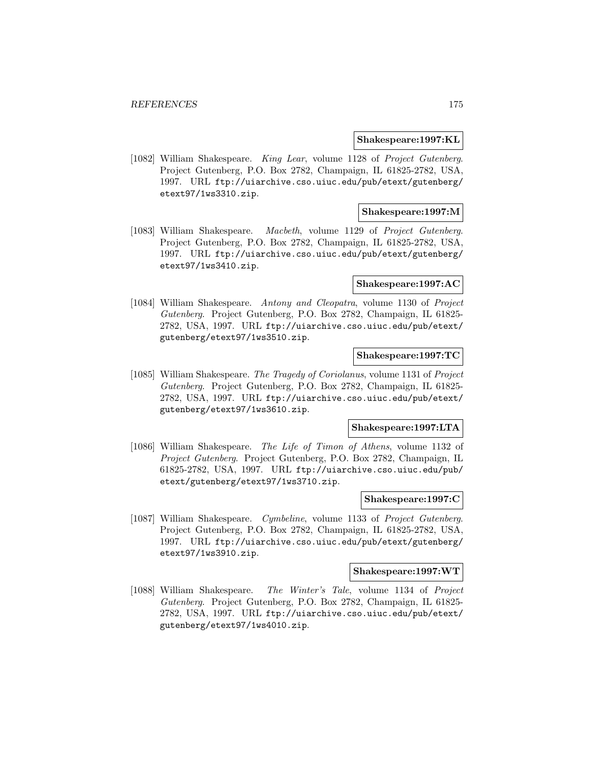#### **Shakespeare:1997:KL**

[1082] William Shakespeare. King Lear, volume 1128 of Project Gutenberg. Project Gutenberg, P.O. Box 2782, Champaign, IL 61825-2782, USA, 1997. URL ftp://uiarchive.cso.uiuc.edu/pub/etext/gutenberg/ etext97/1ws3310.zip.

### **Shakespeare:1997:M**

[1083] William Shakespeare. Macbeth, volume 1129 of Project Gutenberg. Project Gutenberg, P.O. Box 2782, Champaign, IL 61825-2782, USA, 1997. URL ftp://uiarchive.cso.uiuc.edu/pub/etext/gutenberg/ etext97/1ws3410.zip.

#### **Shakespeare:1997:AC**

[1084] William Shakespeare. Antony and Cleopatra, volume 1130 of Project Gutenberg. Project Gutenberg, P.O. Box 2782, Champaign, IL 61825- 2782, USA, 1997. URL ftp://uiarchive.cso.uiuc.edu/pub/etext/ gutenberg/etext97/1ws3510.zip.

### **Shakespeare:1997:TC**

[1085] William Shakespeare. The Tragedy of Coriolanus, volume 1131 of Project Gutenberg. Project Gutenberg, P.O. Box 2782, Champaign, IL 61825- 2782, USA, 1997. URL ftp://uiarchive.cso.uiuc.edu/pub/etext/ gutenberg/etext97/1ws3610.zip.

#### **Shakespeare:1997:LTA**

[1086] William Shakespeare. The Life of Timon of Athens, volume 1132 of Project Gutenberg. Project Gutenberg, P.O. Box 2782, Champaign, IL 61825-2782, USA, 1997. URL ftp://uiarchive.cso.uiuc.edu/pub/ etext/gutenberg/etext97/1ws3710.zip.

### **Shakespeare:1997:C**

[1087] William Shakespeare. Cymbeline, volume 1133 of Project Gutenberg. Project Gutenberg, P.O. Box 2782, Champaign, IL 61825-2782, USA, 1997. URL ftp://uiarchive.cso.uiuc.edu/pub/etext/gutenberg/ etext97/1ws3910.zip.

#### **Shakespeare:1997:WT**

[1088] William Shakespeare. The Winter's Tale, volume 1134 of Project Gutenberg. Project Gutenberg, P.O. Box 2782, Champaign, IL 61825- 2782, USA, 1997. URL ftp://uiarchive.cso.uiuc.edu/pub/etext/ gutenberg/etext97/1ws4010.zip.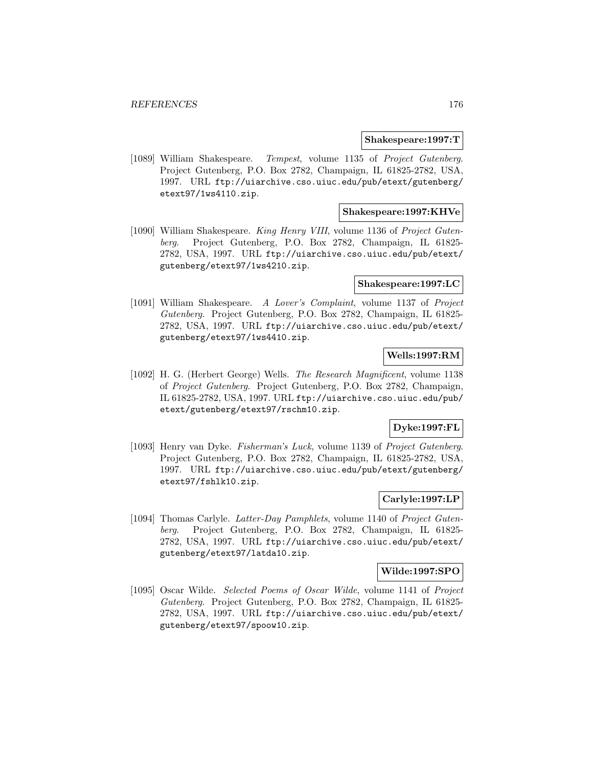#### **Shakespeare:1997:T**

[1089] William Shakespeare. Tempest, volume 1135 of Project Gutenberg. Project Gutenberg, P.O. Box 2782, Champaign, IL 61825-2782, USA, 1997. URL ftp://uiarchive.cso.uiuc.edu/pub/etext/gutenberg/ etext97/1ws4110.zip.

### **Shakespeare:1997:KHVe**

[1090] William Shakespeare. King Henry VIII, volume 1136 of Project Gutenberg. Project Gutenberg, P.O. Box 2782, Champaign, IL 61825- 2782, USA, 1997. URL ftp://uiarchive.cso.uiuc.edu/pub/etext/ gutenberg/etext97/1ws4210.zip.

#### **Shakespeare:1997:LC**

[1091] William Shakespeare. A Lover's Complaint, volume 1137 of Project Gutenberg. Project Gutenberg, P.O. Box 2782, Champaign, IL 61825- 2782, USA, 1997. URL ftp://uiarchive.cso.uiuc.edu/pub/etext/ gutenberg/etext97/1ws4410.zip.

### **Wells:1997:RM**

[1092] H. G. (Herbert George) Wells. The Research Magnificent, volume 1138 of Project Gutenberg. Project Gutenberg, P.O. Box 2782, Champaign, IL 61825-2782, USA, 1997. URL ftp://uiarchive.cso.uiuc.edu/pub/ etext/gutenberg/etext97/rschm10.zip.

### **Dyke:1997:FL**

[1093] Henry van Dyke. Fisherman's Luck, volume 1139 of Project Gutenberg. Project Gutenberg, P.O. Box 2782, Champaign, IL 61825-2782, USA, 1997. URL ftp://uiarchive.cso.uiuc.edu/pub/etext/gutenberg/ etext97/fshlk10.zip.

## **Carlyle:1997:LP**

[1094] Thomas Carlyle. Latter-Day Pamphlets, volume 1140 of Project Gutenberg. Project Gutenberg, P.O. Box 2782, Champaign, IL 61825- 2782, USA, 1997. URL ftp://uiarchive.cso.uiuc.edu/pub/etext/ gutenberg/etext97/latda10.zip.

#### **Wilde:1997:SPO**

[1095] Oscar Wilde. Selected Poems of Oscar Wilde, volume 1141 of Project Gutenberg. Project Gutenberg, P.O. Box 2782, Champaign, IL 61825- 2782, USA, 1997. URL ftp://uiarchive.cso.uiuc.edu/pub/etext/ gutenberg/etext97/spoow10.zip.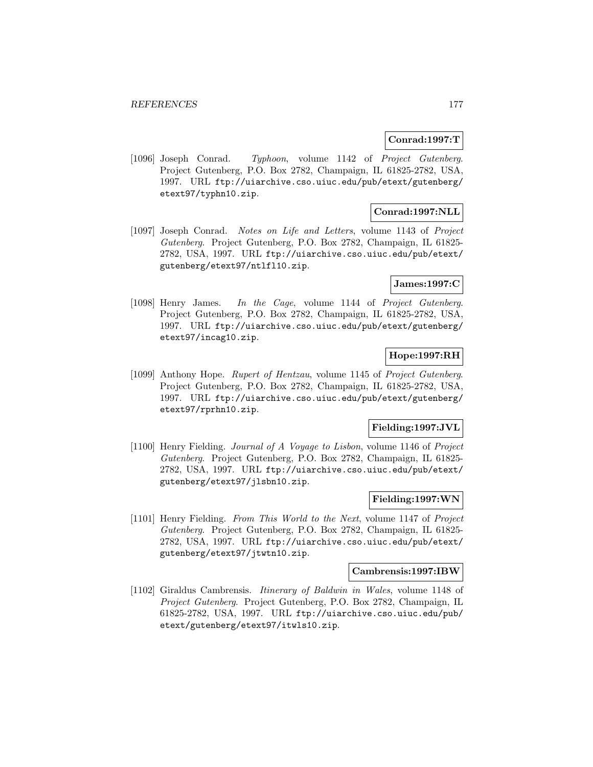## **Conrad:1997:T**

[1096] Joseph Conrad. Typhoon, volume 1142 of Project Gutenberg. Project Gutenberg, P.O. Box 2782, Champaign, IL 61825-2782, USA, 1997. URL ftp://uiarchive.cso.uiuc.edu/pub/etext/gutenberg/ etext97/typhn10.zip.

## **Conrad:1997:NLL**

[1097] Joseph Conrad. Notes on Life and Letters, volume 1143 of Project Gutenberg. Project Gutenberg, P.O. Box 2782, Champaign, IL 61825- 2782, USA, 1997. URL ftp://uiarchive.cso.uiuc.edu/pub/etext/ gutenberg/etext97/ntlfl10.zip.

## **James:1997:C**

[1098] Henry James. In the Cage, volume 1144 of Project Gutenberg. Project Gutenberg, P.O. Box 2782, Champaign, IL 61825-2782, USA, 1997. URL ftp://uiarchive.cso.uiuc.edu/pub/etext/gutenberg/ etext97/incag10.zip.

## **Hope:1997:RH**

[1099] Anthony Hope. Rupert of Hentzau, volume 1145 of Project Gutenberg. Project Gutenberg, P.O. Box 2782, Champaign, IL 61825-2782, USA, 1997. URL ftp://uiarchive.cso.uiuc.edu/pub/etext/gutenberg/ etext97/rprhn10.zip.

### **Fielding:1997:JVL**

[1100] Henry Fielding. Journal of A Voyage to Lisbon, volume 1146 of Project Gutenberg. Project Gutenberg, P.O. Box 2782, Champaign, IL 61825- 2782, USA, 1997. URL ftp://uiarchive.cso.uiuc.edu/pub/etext/ gutenberg/etext97/jlsbn10.zip.

### **Fielding:1997:WN**

[1101] Henry Fielding. From This World to the Next, volume 1147 of Project Gutenberg. Project Gutenberg, P.O. Box 2782, Champaign, IL 61825- 2782, USA, 1997. URL ftp://uiarchive.cso.uiuc.edu/pub/etext/ gutenberg/etext97/jtwtn10.zip.

#### **Cambrensis:1997:IBW**

[1102] Giraldus Cambrensis. Itinerary of Baldwin in Wales, volume 1148 of Project Gutenberg. Project Gutenberg, P.O. Box 2782, Champaign, IL 61825-2782, USA, 1997. URL ftp://uiarchive.cso.uiuc.edu/pub/ etext/gutenberg/etext97/itwls10.zip.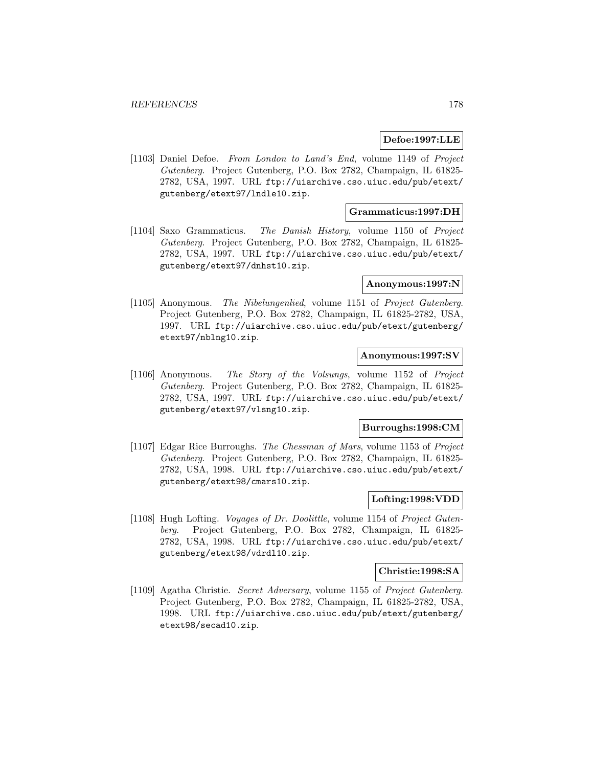#### **Defoe:1997:LLE**

[1103] Daniel Defoe. From London to Land's End, volume 1149 of Project Gutenberg. Project Gutenberg, P.O. Box 2782, Champaign, IL 61825- 2782, USA, 1997. URL ftp://uiarchive.cso.uiuc.edu/pub/etext/ gutenberg/etext97/lndle10.zip.

### **Grammaticus:1997:DH**

[1104] Saxo Grammaticus. The Danish History, volume 1150 of Project Gutenberg. Project Gutenberg, P.O. Box 2782, Champaign, IL 61825- 2782, USA, 1997. URL ftp://uiarchive.cso.uiuc.edu/pub/etext/ gutenberg/etext97/dnhst10.zip.

### **Anonymous:1997:N**

[1105] Anonymous. The Nibelungenlied, volume 1151 of Project Gutenberg. Project Gutenberg, P.O. Box 2782, Champaign, IL 61825-2782, USA, 1997. URL ftp://uiarchive.cso.uiuc.edu/pub/etext/gutenberg/ etext97/nblng10.zip.

## **Anonymous:1997:SV**

[1106] Anonymous. The Story of the Volsungs, volume 1152 of Project Gutenberg. Project Gutenberg, P.O. Box 2782, Champaign, IL 61825- 2782, USA, 1997. URL ftp://uiarchive.cso.uiuc.edu/pub/etext/ gutenberg/etext97/vlsng10.zip.

#### **Burroughs:1998:CM**

[1107] Edgar Rice Burroughs. The Chessman of Mars, volume 1153 of Project Gutenberg. Project Gutenberg, P.O. Box 2782, Champaign, IL 61825- 2782, USA, 1998. URL ftp://uiarchive.cso.uiuc.edu/pub/etext/ gutenberg/etext98/cmars10.zip.

### **Lofting:1998:VDD**

[1108] Hugh Lofting. Voyages of Dr. Doolittle, volume 1154 of Project Gutenberg. Project Gutenberg, P.O. Box 2782, Champaign, IL 61825- 2782, USA, 1998. URL ftp://uiarchive.cso.uiuc.edu/pub/etext/ gutenberg/etext98/vdrdl10.zip.

#### **Christie:1998:SA**

[1109] Agatha Christie. Secret Adversary, volume 1155 of Project Gutenberg. Project Gutenberg, P.O. Box 2782, Champaign, IL 61825-2782, USA, 1998. URL ftp://uiarchive.cso.uiuc.edu/pub/etext/gutenberg/ etext98/secad10.zip.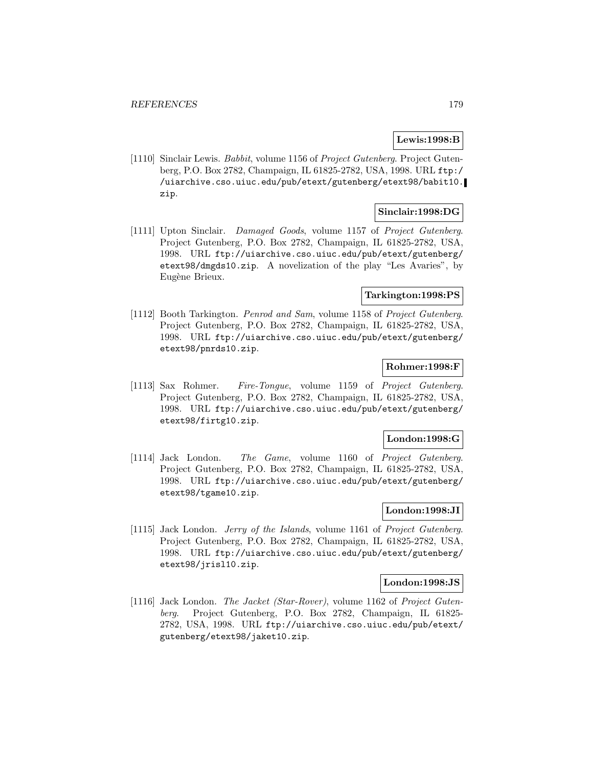## **Lewis:1998:B**

[1110] Sinclair Lewis. *Babbit*, volume 1156 of *Project Gutenberg*. Project Gutenberg, P.O. Box 2782, Champaign, IL 61825-2782, USA, 1998. URL ftp:/ /uiarchive.cso.uiuc.edu/pub/etext/gutenberg/etext98/babit10. zip.

## **Sinclair:1998:DG**

[1111] Upton Sinclair. Damaged Goods, volume 1157 of Project Gutenberg. Project Gutenberg, P.O. Box 2782, Champaign, IL 61825-2782, USA, 1998. URL ftp://uiarchive.cso.uiuc.edu/pub/etext/gutenberg/ etext98/dmgds10.zip. A novelization of the play "Les Avaries", by Eugène Brieux.

#### **Tarkington:1998:PS**

[1112] Booth Tarkington. Penrod and Sam, volume 1158 of Project Gutenberg. Project Gutenberg, P.O. Box 2782, Champaign, IL 61825-2782, USA, 1998. URL ftp://uiarchive.cso.uiuc.edu/pub/etext/gutenberg/ etext98/pnrds10.zip.

#### **Rohmer:1998:F**

[1113] Sax Rohmer. Fire-Tongue, volume 1159 of Project Gutenberg. Project Gutenberg, P.O. Box 2782, Champaign, IL 61825-2782, USA, 1998. URL ftp://uiarchive.cso.uiuc.edu/pub/etext/gutenberg/ etext98/firtg10.zip.

#### **London:1998:G**

[1114] Jack London. The Game, volume 1160 of Project Gutenberg. Project Gutenberg, P.O. Box 2782, Champaign, IL 61825-2782, USA, 1998. URL ftp://uiarchive.cso.uiuc.edu/pub/etext/gutenberg/ etext98/tgame10.zip.

### **London:1998:JI**

[1115] Jack London. Jerry of the Islands, volume 1161 of Project Gutenberg. Project Gutenberg, P.O. Box 2782, Champaign, IL 61825-2782, USA, 1998. URL ftp://uiarchive.cso.uiuc.edu/pub/etext/gutenberg/ etext98/jrisl10.zip.

#### **London:1998:JS**

[1116] Jack London. The Jacket (Star-Rover), volume 1162 of Project Gutenberg. Project Gutenberg, P.O. Box 2782, Champaign, IL 61825- 2782, USA, 1998. URL ftp://uiarchive.cso.uiuc.edu/pub/etext/ gutenberg/etext98/jaket10.zip.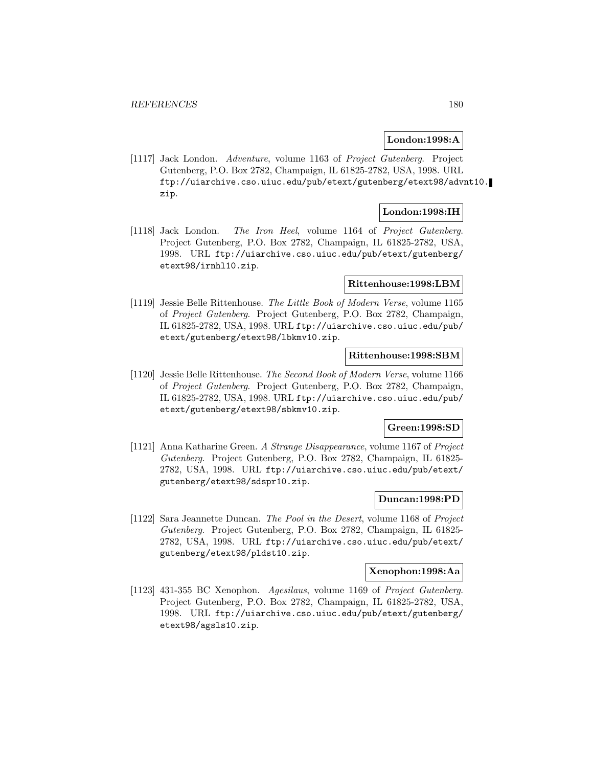### **London:1998:A**

[1117] Jack London. Adventure, volume 1163 of Project Gutenberg. Project Gutenberg, P.O. Box 2782, Champaign, IL 61825-2782, USA, 1998. URL ftp://uiarchive.cso.uiuc.edu/pub/etext/gutenberg/etext98/advnt10. zip.

### **London:1998:IH**

[1118] Jack London. The Iron Heel, volume 1164 of Project Gutenberg. Project Gutenberg, P.O. Box 2782, Champaign, IL 61825-2782, USA, 1998. URL ftp://uiarchive.cso.uiuc.edu/pub/etext/gutenberg/ etext98/irnhl10.zip.

#### **Rittenhouse:1998:LBM**

[1119] Jessie Belle Rittenhouse. The Little Book of Modern Verse, volume 1165 of Project Gutenberg. Project Gutenberg, P.O. Box 2782, Champaign, IL 61825-2782, USA, 1998. URL ftp://uiarchive.cso.uiuc.edu/pub/ etext/gutenberg/etext98/lbkmv10.zip.

### **Rittenhouse:1998:SBM**

[1120] Jessie Belle Rittenhouse. The Second Book of Modern Verse, volume 1166 of Project Gutenberg. Project Gutenberg, P.O. Box 2782, Champaign, IL 61825-2782, USA, 1998. URL ftp://uiarchive.cso.uiuc.edu/pub/ etext/gutenberg/etext98/sbkmv10.zip.

### **Green:1998:SD**

[1121] Anna Katharine Green. A Strange Disappearance, volume 1167 of Project Gutenberg. Project Gutenberg, P.O. Box 2782, Champaign, IL 61825- 2782, USA, 1998. URL ftp://uiarchive.cso.uiuc.edu/pub/etext/ gutenberg/etext98/sdspr10.zip.

### **Duncan:1998:PD**

[1122] Sara Jeannette Duncan. The Pool in the Desert, volume 1168 of Project Gutenberg. Project Gutenberg, P.O. Box 2782, Champaign, IL 61825- 2782, USA, 1998. URL ftp://uiarchive.cso.uiuc.edu/pub/etext/ gutenberg/etext98/pldst10.zip.

#### **Xenophon:1998:Aa**

[1123] 431-355 BC Xenophon. Agesilaus, volume 1169 of Project Gutenberg. Project Gutenberg, P.O. Box 2782, Champaign, IL 61825-2782, USA, 1998. URL ftp://uiarchive.cso.uiuc.edu/pub/etext/gutenberg/ etext98/agsls10.zip.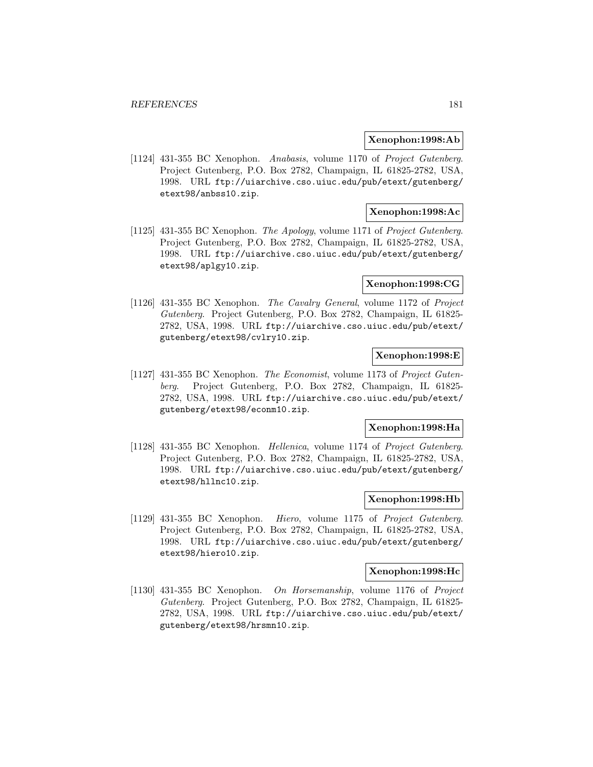### **Xenophon:1998:Ab**

[1124] 431-355 BC Xenophon. Anabasis, volume 1170 of Project Gutenberg. Project Gutenberg, P.O. Box 2782, Champaign, IL 61825-2782, USA, 1998. URL ftp://uiarchive.cso.uiuc.edu/pub/etext/gutenberg/ etext98/anbss10.zip.

## **Xenophon:1998:Ac**

[1125] 431-355 BC Xenophon. The Apology, volume 1171 of Project Gutenberg. Project Gutenberg, P.O. Box 2782, Champaign, IL 61825-2782, USA, 1998. URL ftp://uiarchive.cso.uiuc.edu/pub/etext/gutenberg/ etext98/aplgy10.zip.

## **Xenophon:1998:CG**

[1126] 431-355 BC Xenophon. The Cavalry General, volume 1172 of Project Gutenberg. Project Gutenberg, P.O. Box 2782, Champaign, IL 61825- 2782, USA, 1998. URL ftp://uiarchive.cso.uiuc.edu/pub/etext/ gutenberg/etext98/cvlry10.zip.

## **Xenophon:1998:E**

[1127] 431-355 BC Xenophon. The Economist, volume 1173 of Project Gutenberg. Project Gutenberg, P.O. Box 2782, Champaign, IL 61825- 2782, USA, 1998. URL ftp://uiarchive.cso.uiuc.edu/pub/etext/ gutenberg/etext98/econm10.zip.

### **Xenophon:1998:Ha**

[1128] 431-355 BC Xenophon. Hellenica, volume 1174 of Project Gutenberg. Project Gutenberg, P.O. Box 2782, Champaign, IL 61825-2782, USA, 1998. URL ftp://uiarchive.cso.uiuc.edu/pub/etext/gutenberg/ etext98/hllnc10.zip.

# **Xenophon:1998:Hb**

[1129] 431-355 BC Xenophon. Hiero, volume 1175 of Project Gutenberg. Project Gutenberg, P.O. Box 2782, Champaign, IL 61825-2782, USA, 1998. URL ftp://uiarchive.cso.uiuc.edu/pub/etext/gutenberg/ etext98/hiero10.zip.

## **Xenophon:1998:Hc**

[1130] 431-355 BC Xenophon. On Horsemanship, volume 1176 of Project Gutenberg. Project Gutenberg, P.O. Box 2782, Champaign, IL 61825- 2782, USA, 1998. URL ftp://uiarchive.cso.uiuc.edu/pub/etext/ gutenberg/etext98/hrsmn10.zip.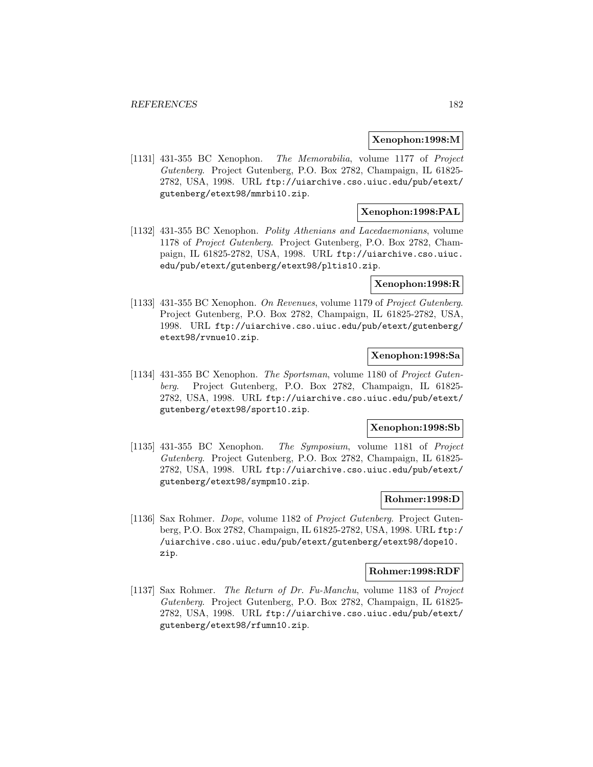#### **Xenophon:1998:M**

[1131] 431-355 BC Xenophon. The Memorabilia, volume 1177 of Project Gutenberg. Project Gutenberg, P.O. Box 2782, Champaign, IL 61825- 2782, USA, 1998. URL ftp://uiarchive.cso.uiuc.edu/pub/etext/ gutenberg/etext98/mmrbi10.zip.

## **Xenophon:1998:PAL**

[1132] 431-355 BC Xenophon. Polity Athenians and Lacedaemonians, volume 1178 of Project Gutenberg. Project Gutenberg, P.O. Box 2782, Champaign, IL 61825-2782, USA, 1998. URL ftp://uiarchive.cso.uiuc. edu/pub/etext/gutenberg/etext98/pltis10.zip.

## **Xenophon:1998:R**

[1133] 431-355 BC Xenophon. On Revenues, volume 1179 of Project Gutenberg. Project Gutenberg, P.O. Box 2782, Champaign, IL 61825-2782, USA, 1998. URL ftp://uiarchive.cso.uiuc.edu/pub/etext/gutenberg/ etext98/rvnue10.zip.

# **Xenophon:1998:Sa**

[1134] 431-355 BC Xenophon. The Sportsman, volume 1180 of Project Gutenberg. Project Gutenberg, P.O. Box 2782, Champaign, IL 61825- 2782, USA, 1998. URL ftp://uiarchive.cso.uiuc.edu/pub/etext/ gutenberg/etext98/sport10.zip.

#### **Xenophon:1998:Sb**

[1135] 431-355 BC Xenophon. The Symposium, volume 1181 of Project Gutenberg. Project Gutenberg, P.O. Box 2782, Champaign, IL 61825- 2782, USA, 1998. URL ftp://uiarchive.cso.uiuc.edu/pub/etext/ gutenberg/etext98/sympm10.zip.

## **Rohmer:1998:D**

[1136] Sax Rohmer. Dope, volume 1182 of Project Gutenberg. Project Gutenberg, P.O. Box 2782, Champaign, IL 61825-2782, USA, 1998. URL ftp:/ /uiarchive.cso.uiuc.edu/pub/etext/gutenberg/etext98/dope10. zip.

#### **Rohmer:1998:RDF**

[1137] Sax Rohmer. The Return of Dr. Fu-Manchu, volume 1183 of Project Gutenberg. Project Gutenberg, P.O. Box 2782, Champaign, IL 61825- 2782, USA, 1998. URL ftp://uiarchive.cso.uiuc.edu/pub/etext/ gutenberg/etext98/rfumn10.zip.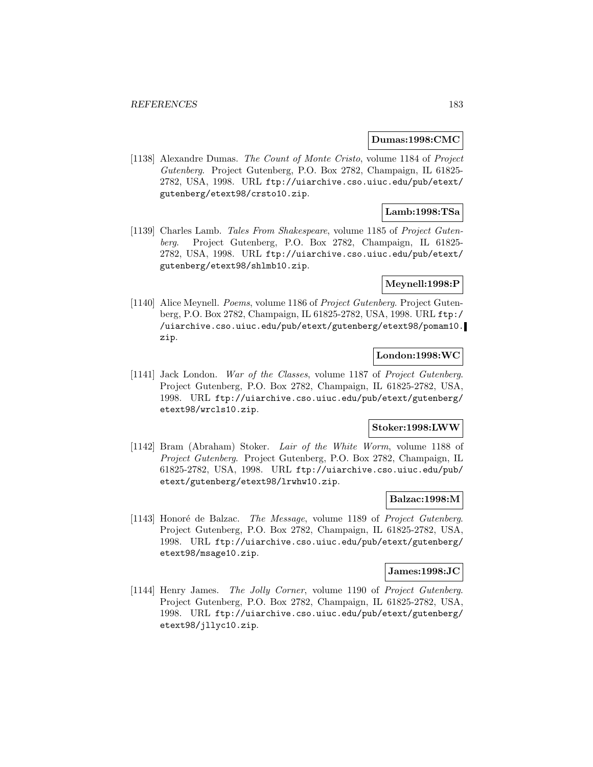#### **Dumas:1998:CMC**

[1138] Alexandre Dumas. The Count of Monte Cristo, volume 1184 of Project Gutenberg. Project Gutenberg, P.O. Box 2782, Champaign, IL 61825- 2782, USA, 1998. URL ftp://uiarchive.cso.uiuc.edu/pub/etext/ gutenberg/etext98/crsto10.zip.

## **Lamb:1998:TSa**

[1139] Charles Lamb. Tales From Shakespeare, volume 1185 of Project Gutenberg. Project Gutenberg, P.O. Box 2782, Champaign, IL 61825- 2782, USA, 1998. URL ftp://uiarchive.cso.uiuc.edu/pub/etext/ gutenberg/etext98/shlmb10.zip.

## **Meynell:1998:P**

[1140] Alice Meynell. Poems, volume 1186 of Project Gutenberg. Project Gutenberg, P.O. Box 2782, Champaign, IL 61825-2782, USA, 1998. URL ftp:/ /uiarchive.cso.uiuc.edu/pub/etext/gutenberg/etext98/pomam10. zip.

## **London:1998:WC**

[1141] Jack London. War of the Classes, volume 1187 of Project Gutenberg. Project Gutenberg, P.O. Box 2782, Champaign, IL 61825-2782, USA, 1998. URL ftp://uiarchive.cso.uiuc.edu/pub/etext/gutenberg/ etext98/wrcls10.zip.

### **Stoker:1998:LWW**

[1142] Bram (Abraham) Stoker. Lair of the White Worm, volume 1188 of Project Gutenberg. Project Gutenberg, P.O. Box 2782, Champaign, IL 61825-2782, USA, 1998. URL ftp://uiarchive.cso.uiuc.edu/pub/ etext/gutenberg/etext98/lrwhw10.zip.

## **Balzac:1998:M**

[1143] Honoré de Balzac. *The Message*, volume 1189 of *Project Gutenberg*. Project Gutenberg, P.O. Box 2782, Champaign, IL 61825-2782, USA, 1998. URL ftp://uiarchive.cso.uiuc.edu/pub/etext/gutenberg/ etext98/msage10.zip.

#### **James:1998:JC**

[1144] Henry James. The Jolly Corner, volume 1190 of Project Gutenberg. Project Gutenberg, P.O. Box 2782, Champaign, IL 61825-2782, USA, 1998. URL ftp://uiarchive.cso.uiuc.edu/pub/etext/gutenberg/ etext98/jllyc10.zip.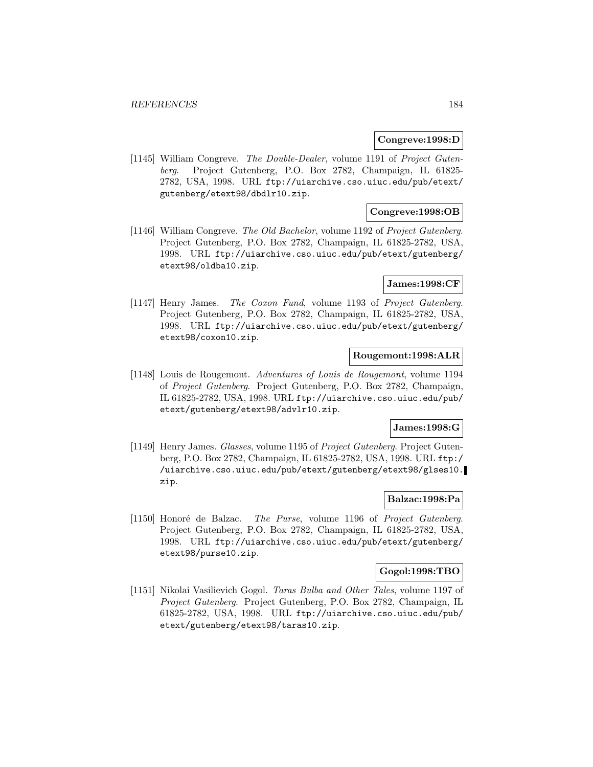### **Congreve:1998:D**

[1145] William Congreve. The Double-Dealer, volume 1191 of Project Gutenberg. Project Gutenberg, P.O. Box 2782, Champaign, IL 61825- 2782, USA, 1998. URL ftp://uiarchive.cso.uiuc.edu/pub/etext/ gutenberg/etext98/dbdlr10.zip.

## **Congreve:1998:OB**

[1146] William Congreve. The Old Bachelor, volume 1192 of Project Gutenberg. Project Gutenberg, P.O. Box 2782, Champaign, IL 61825-2782, USA, 1998. URL ftp://uiarchive.cso.uiuc.edu/pub/etext/gutenberg/ etext98/oldba10.zip.

## **James:1998:CF**

[1147] Henry James. The Coxon Fund, volume 1193 of Project Gutenberg. Project Gutenberg, P.O. Box 2782, Champaign, IL 61825-2782, USA, 1998. URL ftp://uiarchive.cso.uiuc.edu/pub/etext/gutenberg/ etext98/coxon10.zip.

# **Rougemont:1998:ALR**

[1148] Louis de Rougemont. Adventures of Louis de Rougemont, volume 1194 of Project Gutenberg. Project Gutenberg, P.O. Box 2782, Champaign, IL 61825-2782, USA, 1998. URL ftp://uiarchive.cso.uiuc.edu/pub/ etext/gutenberg/etext98/advlr10.zip.

## **James:1998:G**

[1149] Henry James. Glasses, volume 1195 of Project Gutenberg. Project Gutenberg, P.O. Box 2782, Champaign, IL 61825-2782, USA, 1998. URL ftp:/ /uiarchive.cso.uiuc.edu/pub/etext/gutenberg/etext98/glses10. zip.

# **Balzac:1998:Pa**

[1150] Honoré de Balzac. The Purse, volume 1196 of Project Gutenberg. Project Gutenberg, P.O. Box 2782, Champaign, IL 61825-2782, USA, 1998. URL ftp://uiarchive.cso.uiuc.edu/pub/etext/gutenberg/ etext98/purse10.zip.

### **Gogol:1998:TBO**

[1151] Nikolai Vasilievich Gogol. Taras Bulba and Other Tales, volume 1197 of Project Gutenberg. Project Gutenberg, P.O. Box 2782, Champaign, IL 61825-2782, USA, 1998. URL ftp://uiarchive.cso.uiuc.edu/pub/ etext/gutenberg/etext98/taras10.zip.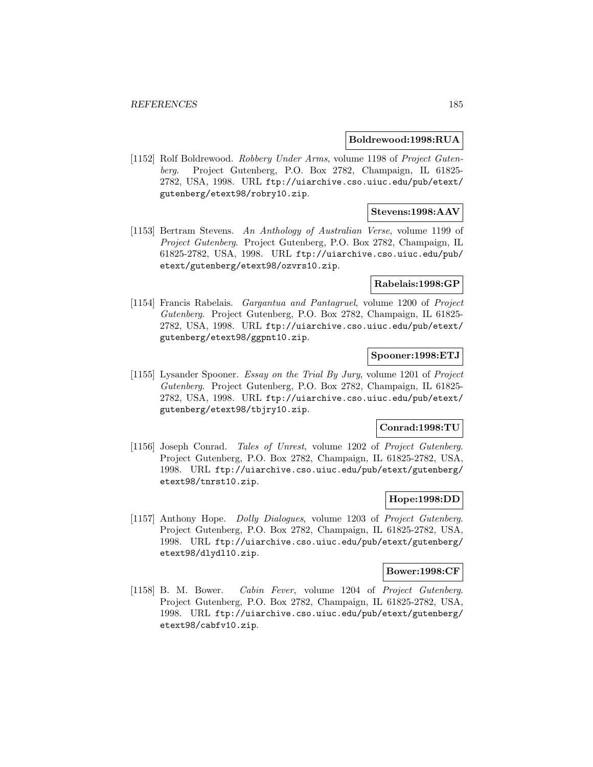### **Boldrewood:1998:RUA**

[1152] Rolf Boldrewood. Robbery Under Arms, volume 1198 of Project Gutenberg. Project Gutenberg, P.O. Box 2782, Champaign, IL 61825- 2782, USA, 1998. URL ftp://uiarchive.cso.uiuc.edu/pub/etext/ gutenberg/etext98/robry10.zip.

## **Stevens:1998:AAV**

[1153] Bertram Stevens. An Anthology of Australian Verse, volume 1199 of Project Gutenberg. Project Gutenberg, P.O. Box 2782, Champaign, IL 61825-2782, USA, 1998. URL ftp://uiarchive.cso.uiuc.edu/pub/ etext/gutenberg/etext98/ozvrs10.zip.

### **Rabelais:1998:GP**

[1154] Francis Rabelais. Gargantua and Pantagruel, volume 1200 of Project Gutenberg. Project Gutenberg, P.O. Box 2782, Champaign, IL 61825- 2782, USA, 1998. URL ftp://uiarchive.cso.uiuc.edu/pub/etext/ gutenberg/etext98/ggpnt10.zip.

## **Spooner:1998:ETJ**

[1155] Lysander Spooner. Essay on the Trial By Jury, volume 1201 of Project Gutenberg. Project Gutenberg, P.O. Box 2782, Champaign, IL 61825- 2782, USA, 1998. URL ftp://uiarchive.cso.uiuc.edu/pub/etext/ gutenberg/etext98/tbjry10.zip.

### **Conrad:1998:TU**

[1156] Joseph Conrad. Tales of Unrest, volume 1202 of Project Gutenberg. Project Gutenberg, P.O. Box 2782, Champaign, IL 61825-2782, USA, 1998. URL ftp://uiarchive.cso.uiuc.edu/pub/etext/gutenberg/ etext98/tnrst10.zip.

## **Hope:1998:DD**

[1157] Anthony Hope. Dolly Dialogues, volume 1203 of Project Gutenberg. Project Gutenberg, P.O. Box 2782, Champaign, IL 61825-2782, USA, 1998. URL ftp://uiarchive.cso.uiuc.edu/pub/etext/gutenberg/ etext98/dlydl10.zip.

#### **Bower:1998:CF**

[1158] B. M. Bower. Cabin Fever, volume 1204 of Project Gutenberg. Project Gutenberg, P.O. Box 2782, Champaign, IL 61825-2782, USA, 1998. URL ftp://uiarchive.cso.uiuc.edu/pub/etext/gutenberg/ etext98/cabfv10.zip.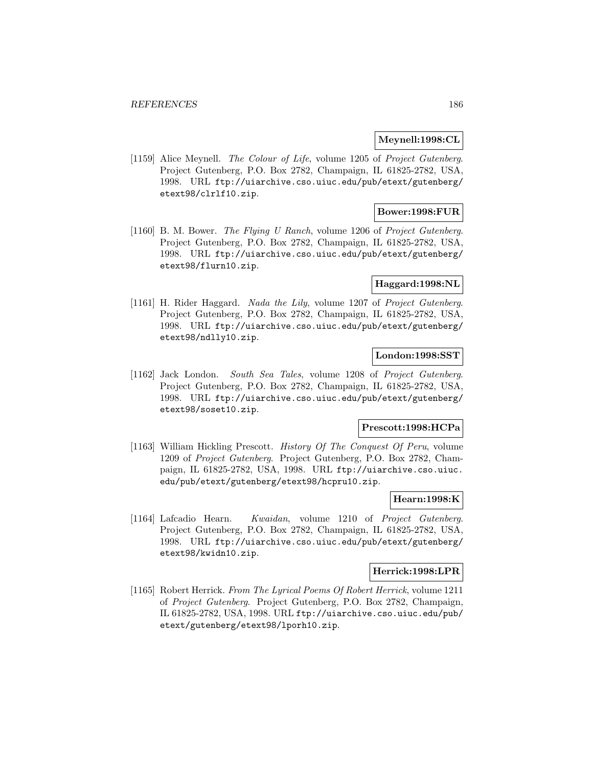### **Meynell:1998:CL**

[1159] Alice Meynell. The Colour of Life, volume 1205 of Project Gutenberg. Project Gutenberg, P.O. Box 2782, Champaign, IL 61825-2782, USA, 1998. URL ftp://uiarchive.cso.uiuc.edu/pub/etext/gutenberg/ etext98/clrlf10.zip.

## **Bower:1998:FUR**

[1160] B. M. Bower. The Flying U Ranch, volume 1206 of Project Gutenberg. Project Gutenberg, P.O. Box 2782, Champaign, IL 61825-2782, USA, 1998. URL ftp://uiarchive.cso.uiuc.edu/pub/etext/gutenberg/ etext98/flurn10.zip.

## **Haggard:1998:NL**

[1161] H. Rider Haggard. Nada the Lily, volume 1207 of Project Gutenberg. Project Gutenberg, P.O. Box 2782, Champaign, IL 61825-2782, USA, 1998. URL ftp://uiarchive.cso.uiuc.edu/pub/etext/gutenberg/ etext98/ndlly10.zip.

# **London:1998:SST**

[1162] Jack London. South Sea Tales, volume 1208 of Project Gutenberg. Project Gutenberg, P.O. Box 2782, Champaign, IL 61825-2782, USA, 1998. URL ftp://uiarchive.cso.uiuc.edu/pub/etext/gutenberg/ etext98/soset10.zip.

## **Prescott:1998:HCPa**

[1163] William Hickling Prescott. History Of The Conquest Of Peru, volume 1209 of Project Gutenberg. Project Gutenberg, P.O. Box 2782, Champaign, IL 61825-2782, USA, 1998. URL ftp://uiarchive.cso.uiuc. edu/pub/etext/gutenberg/etext98/hcpru10.zip.

## **Hearn:1998:K**

[1164] Lafcadio Hearn. Kwaidan, volume 1210 of Project Gutenberg. Project Gutenberg, P.O. Box 2782, Champaign, IL 61825-2782, USA, 1998. URL ftp://uiarchive.cso.uiuc.edu/pub/etext/gutenberg/ etext98/kwidn10.zip.

#### **Herrick:1998:LPR**

[1165] Robert Herrick. From The Lyrical Poems Of Robert Herrick, volume 1211 of Project Gutenberg. Project Gutenberg, P.O. Box 2782, Champaign, IL 61825-2782, USA, 1998. URL ftp://uiarchive.cso.uiuc.edu/pub/ etext/gutenberg/etext98/lporh10.zip.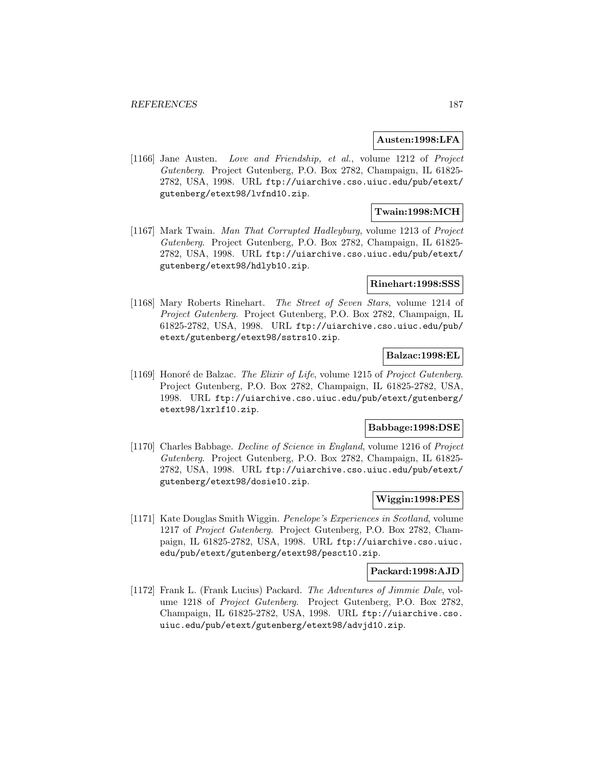#### **Austen:1998:LFA**

[1166] Jane Austen. Love and Friendship, et al., volume 1212 of Project Gutenberg. Project Gutenberg, P.O. Box 2782, Champaign, IL 61825- 2782, USA, 1998. URL ftp://uiarchive.cso.uiuc.edu/pub/etext/ gutenberg/etext98/lvfnd10.zip.

## **Twain:1998:MCH**

[1167] Mark Twain. Man That Corrupted Hadleyburg, volume 1213 of Project Gutenberg. Project Gutenberg, P.O. Box 2782, Champaign, IL 61825- 2782, USA, 1998. URL ftp://uiarchive.cso.uiuc.edu/pub/etext/ gutenberg/etext98/hdlyb10.zip.

### **Rinehart:1998:SSS**

[1168] Mary Roberts Rinehart. The Street of Seven Stars, volume 1214 of Project Gutenberg. Project Gutenberg, P.O. Box 2782, Champaign, IL 61825-2782, USA, 1998. URL ftp://uiarchive.cso.uiuc.edu/pub/ etext/gutenberg/etext98/sstrs10.zip.

# **Balzac:1998:EL**

[1169] Honoré de Balzac. The Elixir of Life, volume 1215 of Project Gutenberg. Project Gutenberg, P.O. Box 2782, Champaign, IL 61825-2782, USA, 1998. URL ftp://uiarchive.cso.uiuc.edu/pub/etext/gutenberg/ etext98/lxrlf10.zip.

### **Babbage:1998:DSE**

[1170] Charles Babbage. Decline of Science in England, volume 1216 of Project Gutenberg. Project Gutenberg, P.O. Box 2782, Champaign, IL 61825- 2782, USA, 1998. URL ftp://uiarchive.cso.uiuc.edu/pub/etext/ gutenberg/etext98/dosie10.zip.

## **Wiggin:1998:PES**

[1171] Kate Douglas Smith Wiggin. Penelope's Experiences in Scotland, volume 1217 of Project Gutenberg. Project Gutenberg, P.O. Box 2782, Champaign, IL 61825-2782, USA, 1998. URL ftp://uiarchive.cso.uiuc. edu/pub/etext/gutenberg/etext98/pesct10.zip.

#### **Packard:1998:AJD**

[1172] Frank L. (Frank Lucius) Packard. The Adventures of Jimmie Dale, volume 1218 of Project Gutenberg. Project Gutenberg, P.O. Box 2782, Champaign, IL 61825-2782, USA, 1998. URL ftp://uiarchive.cso. uiuc.edu/pub/etext/gutenberg/etext98/advjd10.zip.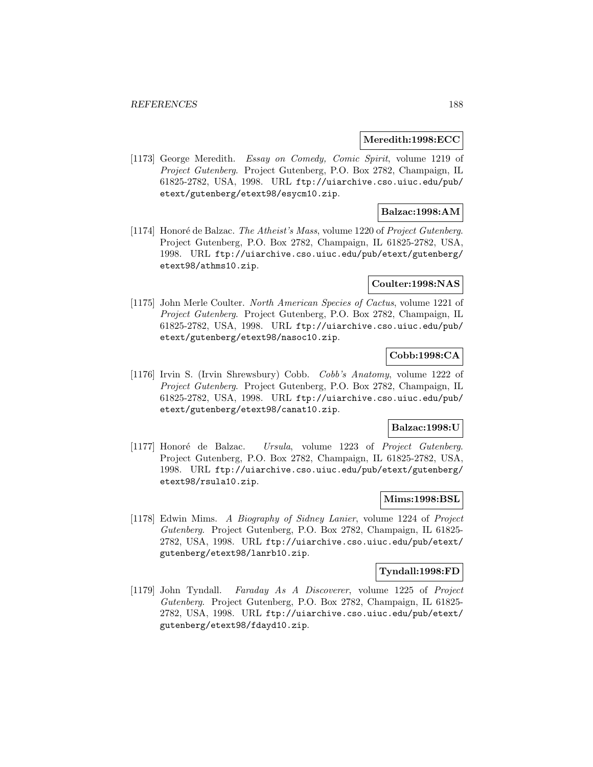### **Meredith:1998:ECC**

[1173] George Meredith. Essay on Comedy, Comic Spirit, volume 1219 of Project Gutenberg. Project Gutenberg, P.O. Box 2782, Champaign, IL 61825-2782, USA, 1998. URL ftp://uiarchive.cso.uiuc.edu/pub/ etext/gutenberg/etext98/esycm10.zip.

## **Balzac:1998:AM**

[1174] Honoré de Balzac. The Atheist's Mass, volume 1220 of Project Gutenberg. Project Gutenberg, P.O. Box 2782, Champaign, IL 61825-2782, USA, 1998. URL ftp://uiarchive.cso.uiuc.edu/pub/etext/gutenberg/ etext98/athms10.zip.

## **Coulter:1998:NAS**

[1175] John Merle Coulter. North American Species of Cactus, volume 1221 of Project Gutenberg. Project Gutenberg, P.O. Box 2782, Champaign, IL 61825-2782, USA, 1998. URL ftp://uiarchive.cso.uiuc.edu/pub/ etext/gutenberg/etext98/nasoc10.zip.

# **Cobb:1998:CA**

[1176] Irvin S. (Irvin Shrewsbury) Cobb. Cobb's Anatomy, volume 1222 of Project Gutenberg. Project Gutenberg, P.O. Box 2782, Champaign, IL 61825-2782, USA, 1998. URL ftp://uiarchive.cso.uiuc.edu/pub/ etext/gutenberg/etext98/canat10.zip.

## **Balzac:1998:U**

[1177] Honoré de Balzac. Ursula, volume 1223 of Project Gutenberg. Project Gutenberg, P.O. Box 2782, Champaign, IL 61825-2782, USA, 1998. URL ftp://uiarchive.cso.uiuc.edu/pub/etext/gutenberg/ etext98/rsula10.zip.

# **Mims:1998:BSL**

[1178] Edwin Mims. A Biography of Sidney Lanier, volume 1224 of Project Gutenberg. Project Gutenberg, P.O. Box 2782, Champaign, IL 61825- 2782, USA, 1998. URL ftp://uiarchive.cso.uiuc.edu/pub/etext/ gutenberg/etext98/lanrb10.zip.

#### **Tyndall:1998:FD**

[1179] John Tyndall. Faraday As A Discoverer, volume 1225 of Project Gutenberg. Project Gutenberg, P.O. Box 2782, Champaign, IL 61825- 2782, USA, 1998. URL ftp://uiarchive.cso.uiuc.edu/pub/etext/ gutenberg/etext98/fdayd10.zip.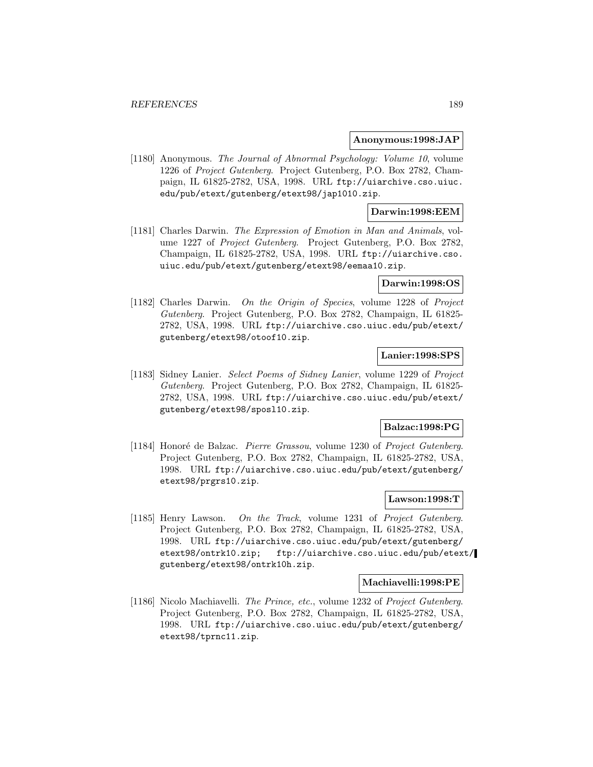#### **Anonymous:1998:JAP**

[1180] Anonymous. The Journal of Abnormal Psychology: Volume 10, volume 1226 of Project Gutenberg. Project Gutenberg, P.O. Box 2782, Champaign, IL 61825-2782, USA, 1998. URL ftp://uiarchive.cso.uiuc. edu/pub/etext/gutenberg/etext98/jap1010.zip.

## **Darwin:1998:EEM**

[1181] Charles Darwin. The Expression of Emotion in Man and Animals, volume 1227 of Project Gutenberg. Project Gutenberg, P.O. Box 2782, Champaign, IL 61825-2782, USA, 1998. URL ftp://uiarchive.cso. uiuc.edu/pub/etext/gutenberg/etext98/eemaa10.zip.

### **Darwin:1998:OS**

[1182] Charles Darwin. On the Origin of Species, volume 1228 of Project Gutenberg. Project Gutenberg, P.O. Box 2782, Champaign, IL 61825- 2782, USA, 1998. URL ftp://uiarchive.cso.uiuc.edu/pub/etext/ gutenberg/etext98/otoof10.zip.

## **Lanier:1998:SPS**

[1183] Sidney Lanier. Select Poems of Sidney Lanier, volume 1229 of Project Gutenberg. Project Gutenberg, P.O. Box 2782, Champaign, IL 61825- 2782, USA, 1998. URL ftp://uiarchive.cso.uiuc.edu/pub/etext/ gutenberg/etext98/sposl10.zip.

### **Balzac:1998:PG**

[1184] Honoré de Balzac. Pierre Grassou, volume 1230 of Project Gutenberg. Project Gutenberg, P.O. Box 2782, Champaign, IL 61825-2782, USA, 1998. URL ftp://uiarchive.cso.uiuc.edu/pub/etext/gutenberg/ etext98/prgrs10.zip.

### **Lawson:1998:T**

[1185] Henry Lawson. On the Track, volume 1231 of Project Gutenberg. Project Gutenberg, P.O. Box 2782, Champaign, IL 61825-2782, USA, 1998. URL ftp://uiarchive.cso.uiuc.edu/pub/etext/gutenberg/ etext98/ontrk10.zip; ftp://uiarchive.cso.uiuc.edu/pub/etext/ gutenberg/etext98/ontrk10h.zip.

#### **Machiavelli:1998:PE**

[1186] Nicolo Machiavelli. The Prince, etc., volume 1232 of Project Gutenberg. Project Gutenberg, P.O. Box 2782, Champaign, IL 61825-2782, USA, 1998. URL ftp://uiarchive.cso.uiuc.edu/pub/etext/gutenberg/ etext98/tprnc11.zip.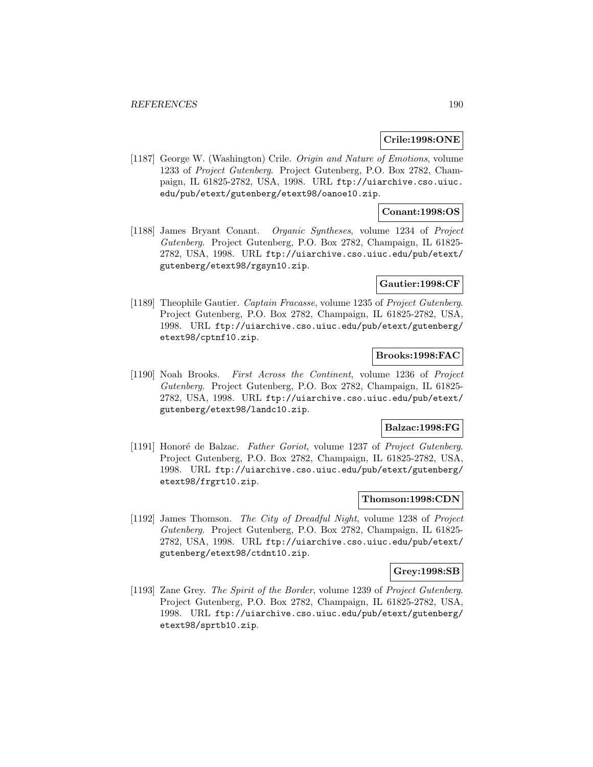### **Crile:1998:ONE**

[1187] George W. (Washington) Crile. Origin and Nature of Emotions, volume 1233 of Project Gutenberg. Project Gutenberg, P.O. Box 2782, Champaign, IL 61825-2782, USA, 1998. URL ftp://uiarchive.cso.uiuc. edu/pub/etext/gutenberg/etext98/oanoe10.zip.

## **Conant:1998:OS**

[1188] James Bryant Conant. Organic Syntheses, volume 1234 of Project Gutenberg. Project Gutenberg, P.O. Box 2782, Champaign, IL 61825- 2782, USA, 1998. URL ftp://uiarchive.cso.uiuc.edu/pub/etext/ gutenberg/etext98/rgsyn10.zip.

### **Gautier:1998:CF**

[1189] Theophile Gautier. Captain Fracasse, volume 1235 of Project Gutenberg. Project Gutenberg, P.O. Box 2782, Champaign, IL 61825-2782, USA, 1998. URL ftp://uiarchive.cso.uiuc.edu/pub/etext/gutenberg/ etext98/cptnf10.zip.

## **Brooks:1998:FAC**

[1190] Noah Brooks. First Across the Continent, volume 1236 of Project Gutenberg. Project Gutenberg, P.O. Box 2782, Champaign, IL 61825- 2782, USA, 1998. URL ftp://uiarchive.cso.uiuc.edu/pub/etext/ gutenberg/etext98/landc10.zip.

### **Balzac:1998:FG**

[1191] Honoré de Balzac. Father Goriot, volume 1237 of Project Gutenberg. Project Gutenberg, P.O. Box 2782, Champaign, IL 61825-2782, USA, 1998. URL ftp://uiarchive.cso.uiuc.edu/pub/etext/gutenberg/ etext98/frgrt10.zip.

## **Thomson:1998:CDN**

[1192] James Thomson. The City of Dreadful Night, volume 1238 of Project Gutenberg. Project Gutenberg, P.O. Box 2782, Champaign, IL 61825- 2782, USA, 1998. URL ftp://uiarchive.cso.uiuc.edu/pub/etext/ gutenberg/etext98/ctdnt10.zip.

#### **Grey:1998:SB**

[1193] Zane Grey. The Spirit of the Border, volume 1239 of Project Gutenberg. Project Gutenberg, P.O. Box 2782, Champaign, IL 61825-2782, USA, 1998. URL ftp://uiarchive.cso.uiuc.edu/pub/etext/gutenberg/ etext98/sprtb10.zip.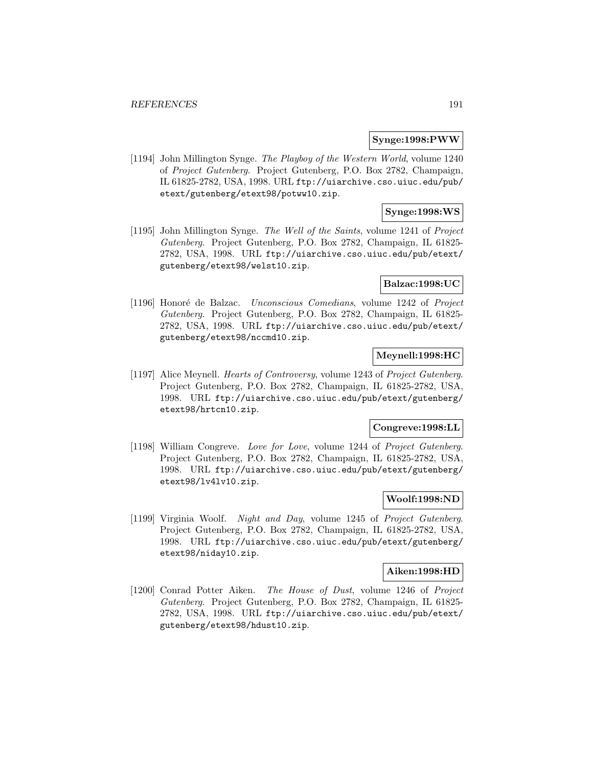### **Synge:1998:PWW**

[1194] John Millington Synge. The Playboy of the Western World, volume 1240 of Project Gutenberg. Project Gutenberg, P.O. Box 2782, Champaign, IL 61825-2782, USA, 1998. URL ftp://uiarchive.cso.uiuc.edu/pub/ etext/gutenberg/etext98/potww10.zip.

## **Synge:1998:WS**

[1195] John Millington Synge. The Well of the Saints, volume 1241 of Project Gutenberg. Project Gutenberg, P.O. Box 2782, Champaign, IL 61825- 2782, USA, 1998. URL ftp://uiarchive.cso.uiuc.edu/pub/etext/ gutenberg/etext98/welst10.zip.

## **Balzac:1998:UC**

[1196] Honoré de Balzac. Unconscious Comedians, volume 1242 of Project Gutenberg. Project Gutenberg, P.O. Box 2782, Champaign, IL 61825- 2782, USA, 1998. URL ftp://uiarchive.cso.uiuc.edu/pub/etext/ gutenberg/etext98/nccmd10.zip.

# **Meynell:1998:HC**

[1197] Alice Meynell. *Hearts of Controversy*, volume 1243 of *Project Gutenberg*. Project Gutenberg, P.O. Box 2782, Champaign, IL 61825-2782, USA, 1998. URL ftp://uiarchive.cso.uiuc.edu/pub/etext/gutenberg/ etext98/hrtcn10.zip.

### **Congreve:1998:LL**

[1198] William Congreve. Love for Love, volume 1244 of Project Gutenberg. Project Gutenberg, P.O. Box 2782, Champaign, IL 61825-2782, USA, 1998. URL ftp://uiarchive.cso.uiuc.edu/pub/etext/gutenberg/ etext98/lv4lv10.zip.

## **Woolf:1998:ND**

[1199] Virginia Woolf. Night and Day, volume 1245 of Project Gutenberg. Project Gutenberg, P.O. Box 2782, Champaign, IL 61825-2782, USA, 1998. URL ftp://uiarchive.cso.uiuc.edu/pub/etext/gutenberg/ etext98/niday10.zip.

#### **Aiken:1998:HD**

[1200] Conrad Potter Aiken. The House of Dust, volume 1246 of Project Gutenberg. Project Gutenberg, P.O. Box 2782, Champaign, IL 61825- 2782, USA, 1998. URL ftp://uiarchive.cso.uiuc.edu/pub/etext/ gutenberg/etext98/hdust10.zip.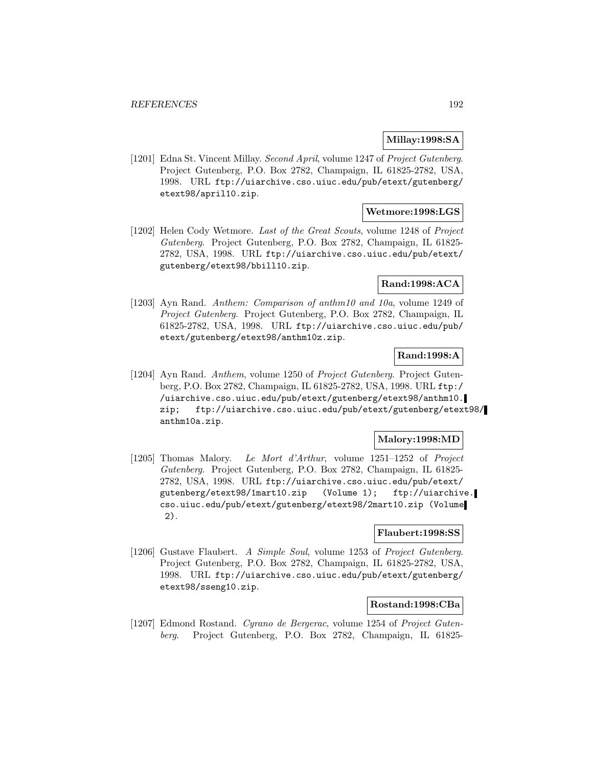## **Millay:1998:SA**

[1201] Edna St. Vincent Millay. Second April, volume 1247 of Project Gutenberg. Project Gutenberg, P.O. Box 2782, Champaign, IL 61825-2782, USA, 1998. URL ftp://uiarchive.cso.uiuc.edu/pub/etext/gutenberg/ etext98/april10.zip.

## **Wetmore:1998:LGS**

[1202] Helen Cody Wetmore. Last of the Great Scouts, volume 1248 of Project Gutenberg. Project Gutenberg, P.O. Box 2782, Champaign, IL 61825- 2782, USA, 1998. URL ftp://uiarchive.cso.uiuc.edu/pub/etext/ gutenberg/etext98/bbill10.zip.

## **Rand:1998:ACA**

[1203] Ayn Rand. Anthem: Comparison of anthm10 and 10a, volume 1249 of Project Gutenberg. Project Gutenberg, P.O. Box 2782, Champaign, IL 61825-2782, USA, 1998. URL ftp://uiarchive.cso.uiuc.edu/pub/ etext/gutenberg/etext98/anthm10z.zip.

## **Rand:1998:A**

[1204] Ayn Rand. Anthem, volume 1250 of Project Gutenberg. Project Gutenberg, P.O. Box 2782, Champaign, IL 61825-2782, USA, 1998. URL ftp:/ /uiarchive.cso.uiuc.edu/pub/etext/gutenberg/etext98/anthm10. zip; ftp://uiarchive.cso.uiuc.edu/pub/etext/gutenberg/etext98/ anthm10a.zip.

## **Malory:1998:MD**

[1205] Thomas Malory. Le Mort d'Arthur, volume 1251–1252 of Project Gutenberg. Project Gutenberg, P.O. Box 2782, Champaign, IL 61825- 2782, USA, 1998. URL ftp://uiarchive.cso.uiuc.edu/pub/etext/ gutenberg/etext98/1mart10.zip (Volume 1); ftp://uiarchive. cso.uiuc.edu/pub/etext/gutenberg/etext98/2mart10.zip (Volume 2).

## **Flaubert:1998:SS**

[1206] Gustave Flaubert. A Simple Soul, volume 1253 of Project Gutenberg. Project Gutenberg, P.O. Box 2782, Champaign, IL 61825-2782, USA, 1998. URL ftp://uiarchive.cso.uiuc.edu/pub/etext/gutenberg/ etext98/sseng10.zip.

### **Rostand:1998:CBa**

[1207] Edmond Rostand. Cyrano de Bergerac, volume 1254 of Project Gutenberg. Project Gutenberg, P.O. Box 2782, Champaign, IL 61825-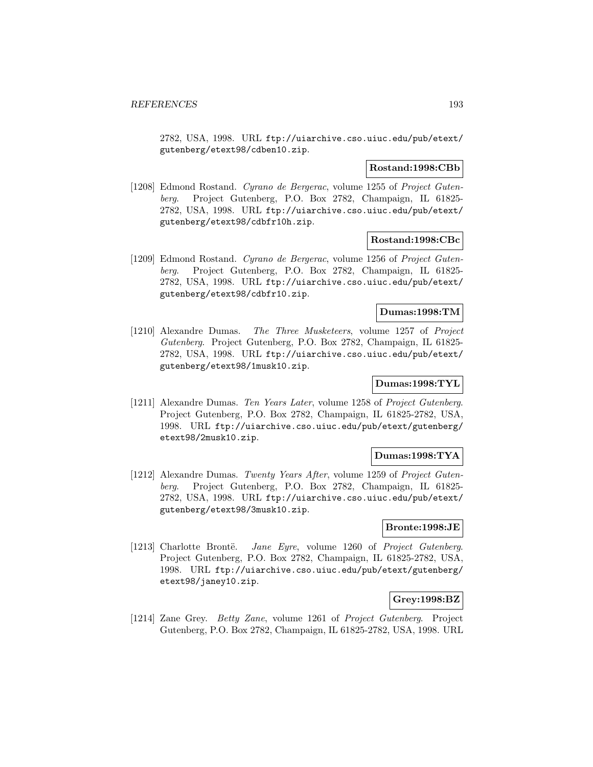2782, USA, 1998. URL ftp://uiarchive.cso.uiuc.edu/pub/etext/ gutenberg/etext98/cdben10.zip.

### **Rostand:1998:CBb**

[1208] Edmond Rostand. Cyrano de Bergerac, volume 1255 of Project Gutenberg. Project Gutenberg, P.O. Box 2782, Champaign, IL 61825- 2782, USA, 1998. URL ftp://uiarchive.cso.uiuc.edu/pub/etext/ gutenberg/etext98/cdbfr10h.zip.

### **Rostand:1998:CBc**

[1209] Edmond Rostand. Cyrano de Bergerac, volume 1256 of Project Gutenberg. Project Gutenberg, P.O. Box 2782, Champaign, IL 61825- 2782, USA, 1998. URL ftp://uiarchive.cso.uiuc.edu/pub/etext/ gutenberg/etext98/cdbfr10.zip.

### **Dumas:1998:TM**

[1210] Alexandre Dumas. The Three Musketeers, volume 1257 of Project Gutenberg. Project Gutenberg, P.O. Box 2782, Champaign, IL 61825- 2782, USA, 1998. URL ftp://uiarchive.cso.uiuc.edu/pub/etext/ gutenberg/etext98/1musk10.zip.

# **Dumas:1998:TYL**

[1211] Alexandre Dumas. Ten Years Later, volume 1258 of Project Gutenberg. Project Gutenberg, P.O. Box 2782, Champaign, IL 61825-2782, USA, 1998. URL ftp://uiarchive.cso.uiuc.edu/pub/etext/gutenberg/ etext98/2musk10.zip.

## **Dumas:1998:TYA**

[1212] Alexandre Dumas. Twenty Years After, volume 1259 of Project Gutenberg. Project Gutenberg, P.O. Box 2782, Champaign, IL 61825- 2782, USA, 1998. URL ftp://uiarchive.cso.uiuc.edu/pub/etext/ gutenberg/etext98/3musk10.zip.

## **Bronte:1998:JE**

[1213] Charlotte Brontë. *Jane Eyre*, volume 1260 of *Project Gutenberg.* Project Gutenberg, P.O. Box 2782, Champaign, IL 61825-2782, USA, 1998. URL ftp://uiarchive.cso.uiuc.edu/pub/etext/gutenberg/ etext98/janey10.zip.

## **Grey:1998:BZ**

[1214] Zane Grey. Betty Zane, volume 1261 of Project Gutenberg. Project Gutenberg, P.O. Box 2782, Champaign, IL 61825-2782, USA, 1998. URL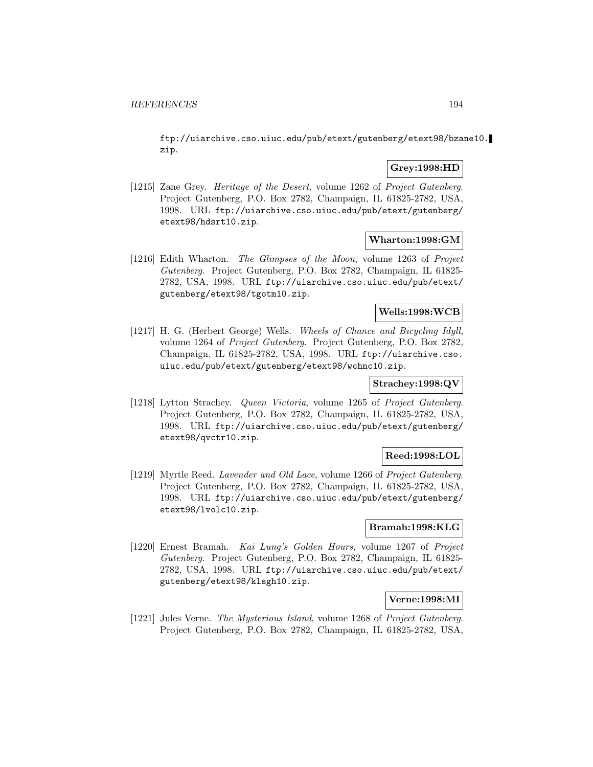ftp://uiarchive.cso.uiuc.edu/pub/etext/gutenberg/etext98/bzane10. zip.

## **Grey:1998:HD**

[1215] Zane Grey. Heritage of the Desert, volume 1262 of Project Gutenberg. Project Gutenberg, P.O. Box 2782, Champaign, IL 61825-2782, USA, 1998. URL ftp://uiarchive.cso.uiuc.edu/pub/etext/gutenberg/ etext98/hdsrt10.zip.

## **Wharton:1998:GM**

[1216] Edith Wharton. The Glimpses of the Moon, volume 1263 of Project Gutenberg. Project Gutenberg, P.O. Box 2782, Champaign, IL 61825- 2782, USA, 1998. URL ftp://uiarchive.cso.uiuc.edu/pub/etext/ gutenberg/etext98/tgotm10.zip.

## **Wells:1998:WCB**

[1217] H. G. (Herbert George) Wells. Wheels of Chance and Bicycling Idyll, volume 1264 of Project Gutenberg. Project Gutenberg, P.O. Box 2782, Champaign, IL 61825-2782, USA, 1998. URL ftp://uiarchive.cso. uiuc.edu/pub/etext/gutenberg/etext98/wchnc10.zip.

## **Strachey:1998:QV**

[1218] Lytton Strachey. Queen Victoria, volume 1265 of Project Gutenberg. Project Gutenberg, P.O. Box 2782, Champaign, IL 61825-2782, USA, 1998. URL ftp://uiarchive.cso.uiuc.edu/pub/etext/gutenberg/ etext98/qvctr10.zip.

## **Reed:1998:LOL**

[1219] Myrtle Reed. Lavender and Old Lace, volume 1266 of Project Gutenberg. Project Gutenberg, P.O. Box 2782, Champaign, IL 61825-2782, USA, 1998. URL ftp://uiarchive.cso.uiuc.edu/pub/etext/gutenberg/ etext98/lvolc10.zip.

# **Bramah:1998:KLG**

[1220] Ernest Bramah. Kai Lung's Golden Hours, volume 1267 of Project Gutenberg. Project Gutenberg, P.O. Box 2782, Champaign, IL 61825- 2782, USA, 1998. URL ftp://uiarchive.cso.uiuc.edu/pub/etext/ gutenberg/etext98/klsgh10.zip.

## **Verne:1998:MI**

[1221] Jules Verne. The Mysterious Island, volume 1268 of Project Gutenberg. Project Gutenberg, P.O. Box 2782, Champaign, IL 61825-2782, USA,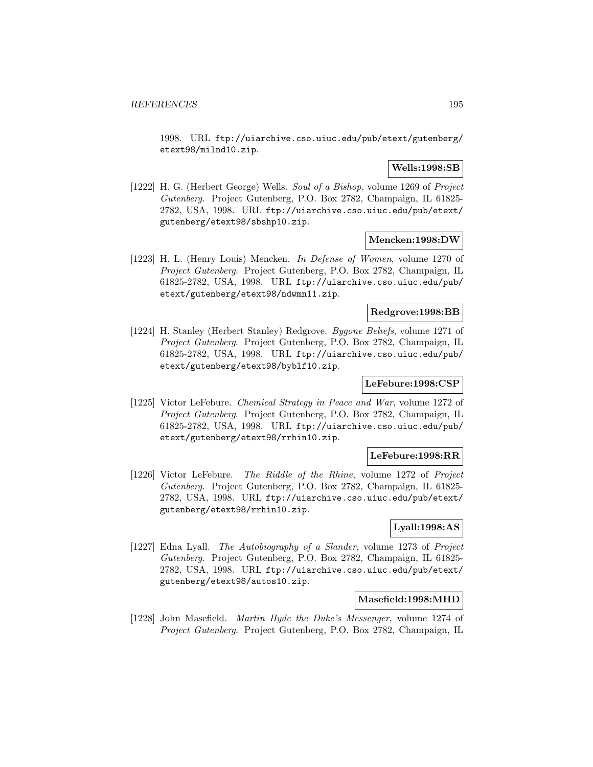1998. URL ftp://uiarchive.cso.uiuc.edu/pub/etext/gutenberg/ etext98/milnd10.zip.

## **Wells:1998:SB**

[1222] H. G. (Herbert George) Wells. Soul of a Bishop, volume 1269 of Project Gutenberg. Project Gutenberg, P.O. Box 2782, Champaign, IL 61825- 2782, USA, 1998. URL ftp://uiarchive.cso.uiuc.edu/pub/etext/ gutenberg/etext98/sbshp10.zip.

## **Mencken:1998:DW**

[1223] H. L. (Henry Louis) Mencken. In Defense of Women, volume 1270 of Project Gutenberg. Project Gutenberg, P.O. Box 2782, Champaign, IL 61825-2782, USA, 1998. URL ftp://uiarchive.cso.uiuc.edu/pub/ etext/gutenberg/etext98/ndwmn11.zip.

## **Redgrove:1998:BB**

[1224] H. Stanley (Herbert Stanley) Redgrove. Bygone Beliefs, volume 1271 of Project Gutenberg. Project Gutenberg, P.O. Box 2782, Champaign, IL 61825-2782, USA, 1998. URL ftp://uiarchive.cso.uiuc.edu/pub/ etext/gutenberg/etext98/byblf10.zip.

# **LeFebure:1998:CSP**

[1225] Victor LeFebure. Chemical Strategy in Peace and War, volume 1272 of Project Gutenberg. Project Gutenberg, P.O. Box 2782, Champaign, IL 61825-2782, USA, 1998. URL ftp://uiarchive.cso.uiuc.edu/pub/ etext/gutenberg/etext98/rrhin10.zip.

## **LeFebure:1998:RR**

[1226] Victor LeFebure. The Riddle of the Rhine, volume 1272 of Project Gutenberg. Project Gutenberg, P.O. Box 2782, Champaign, IL 61825- 2782, USA, 1998. URL ftp://uiarchive.cso.uiuc.edu/pub/etext/ gutenberg/etext98/rrhin10.zip.

# **Lyall:1998:AS**

[1227] Edna Lyall. The Autobiography of a Slander, volume 1273 of Project Gutenberg. Project Gutenberg, P.O. Box 2782, Champaign, IL 61825- 2782, USA, 1998. URL ftp://uiarchive.cso.uiuc.edu/pub/etext/ gutenberg/etext98/autos10.zip.

#### **Masefield:1998:MHD**

[1228] John Masefield. *Martin Hyde the Duke's Messenger*, volume 1274 of Project Gutenberg. Project Gutenberg, P.O. Box 2782, Champaign, IL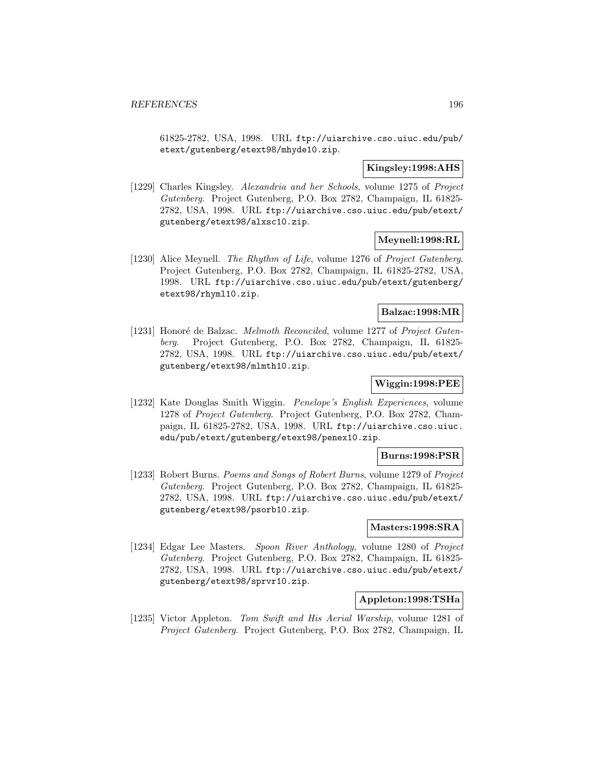61825-2782, USA, 1998. URL ftp://uiarchive.cso.uiuc.edu/pub/ etext/gutenberg/etext98/mhyde10.zip.

## **Kingsley:1998:AHS**

[1229] Charles Kingsley. Alexandria and her Schools, volume 1275 of Project Gutenberg. Project Gutenberg, P.O. Box 2782, Champaign, IL 61825- 2782, USA, 1998. URL ftp://uiarchive.cso.uiuc.edu/pub/etext/ gutenberg/etext98/alxsc10.zip.

## **Meynell:1998:RL**

[1230] Alice Meynell. The Rhythm of Life, volume 1276 of Project Gutenberg. Project Gutenberg, P.O. Box 2782, Champaign, IL 61825-2782, USA, 1998. URL ftp://uiarchive.cso.uiuc.edu/pub/etext/gutenberg/ etext98/rhyml10.zip.

## **Balzac:1998:MR**

[1231] Honoré de Balzac. Melmoth Reconciled, volume 1277 of Project Gutenberg. Project Gutenberg, P.O. Box 2782, Champaign, IL 61825- 2782, USA, 1998. URL ftp://uiarchive.cso.uiuc.edu/pub/etext/ gutenberg/etext98/mlmth10.zip.

## **Wiggin:1998:PEE**

[1232] Kate Douglas Smith Wiggin. Penelope's English Experiences, volume 1278 of Project Gutenberg. Project Gutenberg, P.O. Box 2782, Champaign, IL 61825-2782, USA, 1998. URL ftp://uiarchive.cso.uiuc. edu/pub/etext/gutenberg/etext98/penex10.zip.

## **Burns:1998:PSR**

[1233] Robert Burns. Poems and Songs of Robert Burns, volume 1279 of Project Gutenberg. Project Gutenberg, P.O. Box 2782, Champaign, IL 61825- 2782, USA, 1998. URL ftp://uiarchive.cso.uiuc.edu/pub/etext/ gutenberg/etext98/psorb10.zip.

## **Masters:1998:SRA**

[1234] Edgar Lee Masters. Spoon River Anthology, volume 1280 of Project Gutenberg. Project Gutenberg, P.O. Box 2782, Champaign, IL 61825- 2782, USA, 1998. URL ftp://uiarchive.cso.uiuc.edu/pub/etext/ gutenberg/etext98/sprvr10.zip.

## **Appleton:1998:TSHa**

[1235] Victor Appleton. Tom Swift and His Aerial Warship, volume 1281 of Project Gutenberg. Project Gutenberg, P.O. Box 2782, Champaign, IL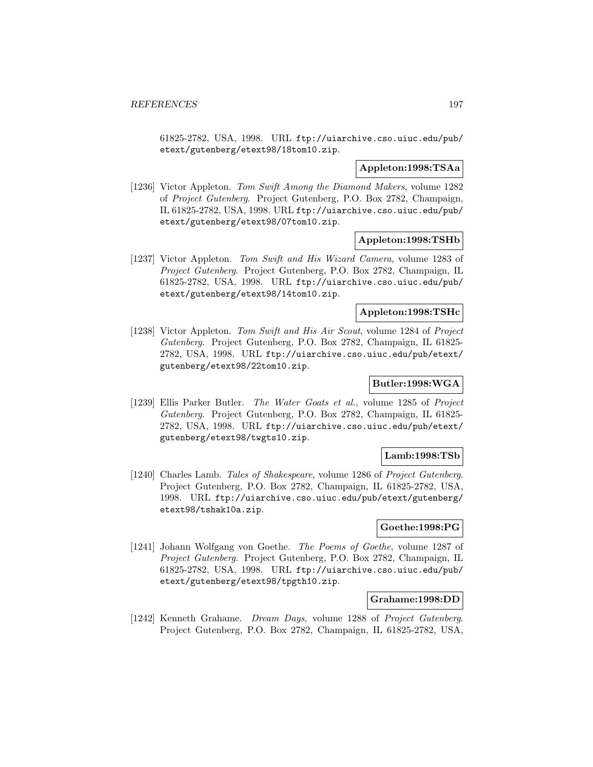61825-2782, USA, 1998. URL ftp://uiarchive.cso.uiuc.edu/pub/ etext/gutenberg/etext98/18tom10.zip.

### **Appleton:1998:TSAa**

[1236] Victor Appleton. Tom Swift Among the Diamond Makers, volume 1282 of Project Gutenberg. Project Gutenberg, P.O. Box 2782, Champaign, IL 61825-2782, USA, 1998. URL ftp://uiarchive.cso.uiuc.edu/pub/ etext/gutenberg/etext98/07tom10.zip.

### **Appleton:1998:TSHb**

[1237] Victor Appleton. Tom Swift and His Wizard Camera, volume 1283 of Project Gutenberg. Project Gutenberg, P.O. Box 2782, Champaign, IL 61825-2782, USA, 1998. URL ftp://uiarchive.cso.uiuc.edu/pub/ etext/gutenberg/etext98/14tom10.zip.

### **Appleton:1998:TSHc**

[1238] Victor Appleton. Tom Swift and His Air Scout, volume 1284 of Project Gutenberg. Project Gutenberg, P.O. Box 2782, Champaign, IL 61825- 2782, USA, 1998. URL ftp://uiarchive.cso.uiuc.edu/pub/etext/ gutenberg/etext98/22tom10.zip.

# **Butler:1998:WGA**

[1239] Ellis Parker Butler. The Water Goats et al., volume 1285 of Project Gutenberg. Project Gutenberg, P.O. Box 2782, Champaign, IL 61825- 2782, USA, 1998. URL ftp://uiarchive.cso.uiuc.edu/pub/etext/ gutenberg/etext98/twgts10.zip.

## **Lamb:1998:TSb**

[1240] Charles Lamb. Tales of Shakespeare, volume 1286 of Project Gutenberg. Project Gutenberg, P.O. Box 2782, Champaign, IL 61825-2782, USA, 1998. URL ftp://uiarchive.cso.uiuc.edu/pub/etext/gutenberg/ etext98/tshak10a.zip.

# **Goethe:1998:PG**

[1241] Johann Wolfgang von Goethe. The Poems of Goethe, volume 1287 of Project Gutenberg. Project Gutenberg, P.O. Box 2782, Champaign, IL 61825-2782, USA, 1998. URL ftp://uiarchive.cso.uiuc.edu/pub/ etext/gutenberg/etext98/tpgth10.zip.

#### **Grahame:1998:DD**

[1242] Kenneth Grahame. Dream Days, volume 1288 of Project Gutenberg. Project Gutenberg, P.O. Box 2782, Champaign, IL 61825-2782, USA,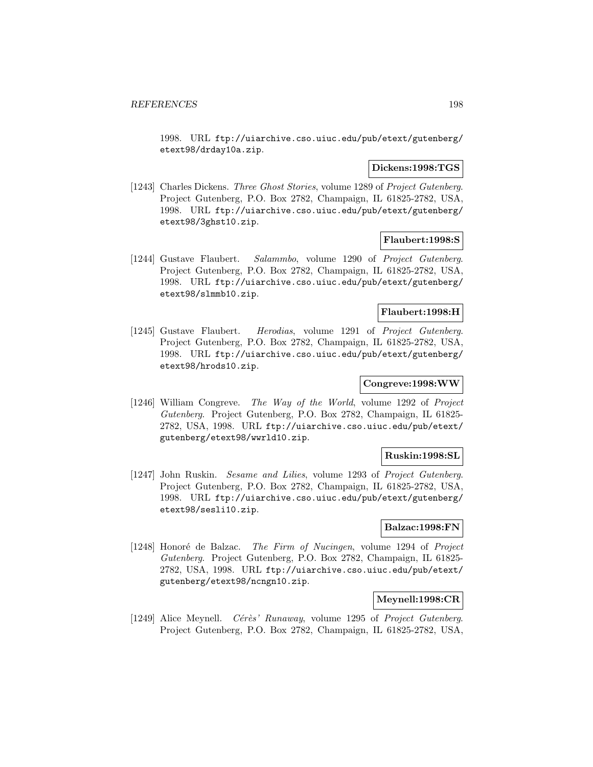1998. URL ftp://uiarchive.cso.uiuc.edu/pub/etext/gutenberg/ etext98/drday10a.zip.

### **Dickens:1998:TGS**

[1243] Charles Dickens. Three Ghost Stories, volume 1289 of Project Gutenberg. Project Gutenberg, P.O. Box 2782, Champaign, IL 61825-2782, USA, 1998. URL ftp://uiarchive.cso.uiuc.edu/pub/etext/gutenberg/ etext98/3ghst10.zip.

## **Flaubert:1998:S**

[1244] Gustave Flaubert. Salammbo, volume 1290 of Project Gutenberg. Project Gutenberg, P.O. Box 2782, Champaign, IL 61825-2782, USA, 1998. URL ftp://uiarchive.cso.uiuc.edu/pub/etext/gutenberg/ etext98/slmmb10.zip.

## **Flaubert:1998:H**

[1245] Gustave Flaubert. Herodias, volume 1291 of Project Gutenberg. Project Gutenberg, P.O. Box 2782, Champaign, IL 61825-2782, USA, 1998. URL ftp://uiarchive.cso.uiuc.edu/pub/etext/gutenberg/ etext98/hrods10.zip.

# **Congreve:1998:WW**

[1246] William Congreve. The Way of the World, volume 1292 of Project Gutenberg. Project Gutenberg, P.O. Box 2782, Champaign, IL 61825- 2782, USA, 1998. URL ftp://uiarchive.cso.uiuc.edu/pub/etext/ gutenberg/etext98/wwrld10.zip.

## **Ruskin:1998:SL**

[1247] John Ruskin. Sesame and Lilies, volume 1293 of Project Gutenberg. Project Gutenberg, P.O. Box 2782, Champaign, IL 61825-2782, USA, 1998. URL ftp://uiarchive.cso.uiuc.edu/pub/etext/gutenberg/ etext98/sesli10.zip.

## **Balzac:1998:FN**

[1248] Honoré de Balzac. The Firm of Nucingen, volume 1294 of Project Gutenberg. Project Gutenberg, P.O. Box 2782, Champaign, IL 61825- 2782, USA, 1998. URL ftp://uiarchive.cso.uiuc.edu/pub/etext/ gutenberg/etext98/ncngn10.zip.

# **Meynell:1998:CR**

[1249] Alice Meynell. Cérès' Runaway, volume 1295 of Project Gutenberg. Project Gutenberg, P.O. Box 2782, Champaign, IL 61825-2782, USA,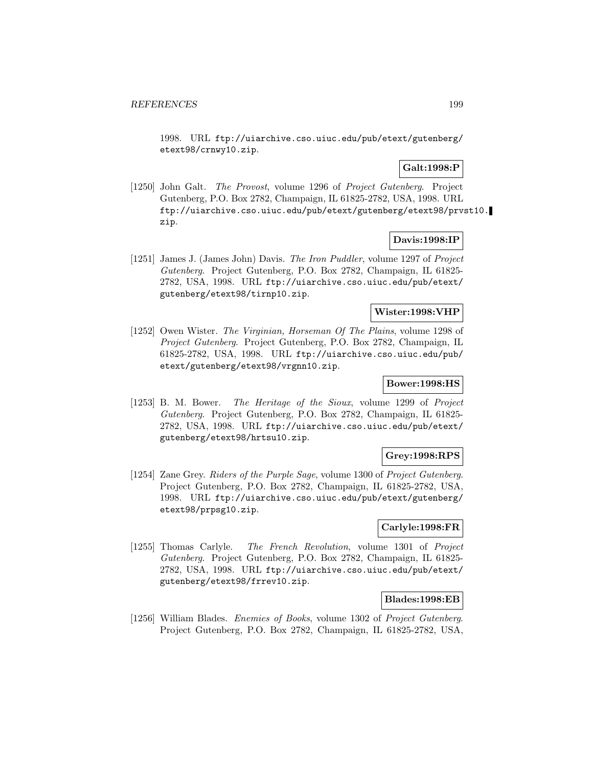1998. URL ftp://uiarchive.cso.uiuc.edu/pub/etext/gutenberg/ etext98/crnwy10.zip.

# **Galt:1998:P**

[1250] John Galt. The Provost, volume 1296 of Project Gutenberg. Project Gutenberg, P.O. Box 2782, Champaign, IL 61825-2782, USA, 1998. URL ftp://uiarchive.cso.uiuc.edu/pub/etext/gutenberg/etext98/prvst10. zip.

# **Davis:1998:IP**

[1251] James J. (James John) Davis. The Iron Puddler, volume 1297 of Project Gutenberg. Project Gutenberg, P.O. Box 2782, Champaign, IL 61825- 2782, USA, 1998. URL ftp://uiarchive.cso.uiuc.edu/pub/etext/ gutenberg/etext98/tirnp10.zip.

### **Wister:1998:VHP**

[1252] Owen Wister. The Virginian, Horseman Of The Plains, volume 1298 of Project Gutenberg. Project Gutenberg, P.O. Box 2782, Champaign, IL 61825-2782, USA, 1998. URL ftp://uiarchive.cso.uiuc.edu/pub/ etext/gutenberg/etext98/vrgnn10.zip.

## **Bower:1998:HS**

[1253] B. M. Bower. The Heritage of the Sioux, volume 1299 of Project Gutenberg. Project Gutenberg, P.O. Box 2782, Champaign, IL 61825- 2782, USA, 1998. URL ftp://uiarchive.cso.uiuc.edu/pub/etext/ gutenberg/etext98/hrtsu10.zip.

#### **Grey:1998:RPS**

[1254] Zane Grey. Riders of the Purple Sage, volume 1300 of Project Gutenberg. Project Gutenberg, P.O. Box 2782, Champaign, IL 61825-2782, USA, 1998. URL ftp://uiarchive.cso.uiuc.edu/pub/etext/gutenberg/ etext98/prpsg10.zip.

# **Carlyle:1998:FR**

[1255] Thomas Carlyle. The French Revolution, volume 1301 of Project Gutenberg. Project Gutenberg, P.O. Box 2782, Champaign, IL 61825- 2782, USA, 1998. URL ftp://uiarchive.cso.uiuc.edu/pub/etext/ gutenberg/etext98/frrev10.zip.

## **Blades:1998:EB**

[1256] William Blades. *Enemies of Books*, volume 1302 of *Project Gutenberg*. Project Gutenberg, P.O. Box 2782, Champaign, IL 61825-2782, USA,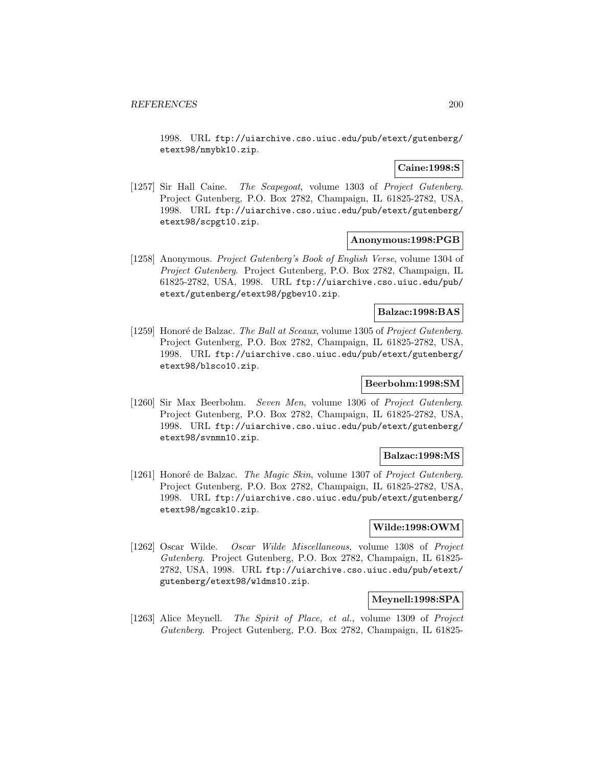1998. URL ftp://uiarchive.cso.uiuc.edu/pub/etext/gutenberg/ etext98/nmybk10.zip.

### **Caine:1998:S**

[1257] Sir Hall Caine. The Scapegoat, volume 1303 of Project Gutenberg. Project Gutenberg, P.O. Box 2782, Champaign, IL 61825-2782, USA, 1998. URL ftp://uiarchive.cso.uiuc.edu/pub/etext/gutenberg/ etext98/scpgt10.zip.

## **Anonymous:1998:PGB**

[1258] Anonymous. Project Gutenberg's Book of English Verse, volume 1304 of Project Gutenberg. Project Gutenberg, P.O. Box 2782, Champaign, IL 61825-2782, USA, 1998. URL ftp://uiarchive.cso.uiuc.edu/pub/ etext/gutenberg/etext98/pgbev10.zip.

## **Balzac:1998:BAS**

[1259] Honoré de Balzac. The Ball at Sceaux, volume 1305 of Project Gutenberg. Project Gutenberg, P.O. Box 2782, Champaign, IL 61825-2782, USA, 1998. URL ftp://uiarchive.cso.uiuc.edu/pub/etext/gutenberg/ etext98/blsco10.zip.

# **Beerbohm:1998:SM**

[1260] Sir Max Beerbohm. Seven Men, volume 1306 of Project Gutenberg. Project Gutenberg, P.O. Box 2782, Champaign, IL 61825-2782, USA, 1998. URL ftp://uiarchive.cso.uiuc.edu/pub/etext/gutenberg/ etext98/svnmn10.zip.

#### **Balzac:1998:MS**

[1261] Honoré de Balzac. *The Magic Skin*, volume 1307 of *Project Gutenberg*. Project Gutenberg, P.O. Box 2782, Champaign, IL 61825-2782, USA, 1998. URL ftp://uiarchive.cso.uiuc.edu/pub/etext/gutenberg/ etext98/mgcsk10.zip.

# **Wilde:1998:OWM**

[1262] Oscar Wilde. Oscar Wilde Miscellaneous, volume 1308 of Project Gutenberg. Project Gutenberg, P.O. Box 2782, Champaign, IL 61825- 2782, USA, 1998. URL ftp://uiarchive.cso.uiuc.edu/pub/etext/ gutenberg/etext98/wldms10.zip.

# **Meynell:1998:SPA**

[1263] Alice Meynell. The Spirit of Place, et al., volume 1309 of Project Gutenberg. Project Gutenberg, P.O. Box 2782, Champaign, IL 61825-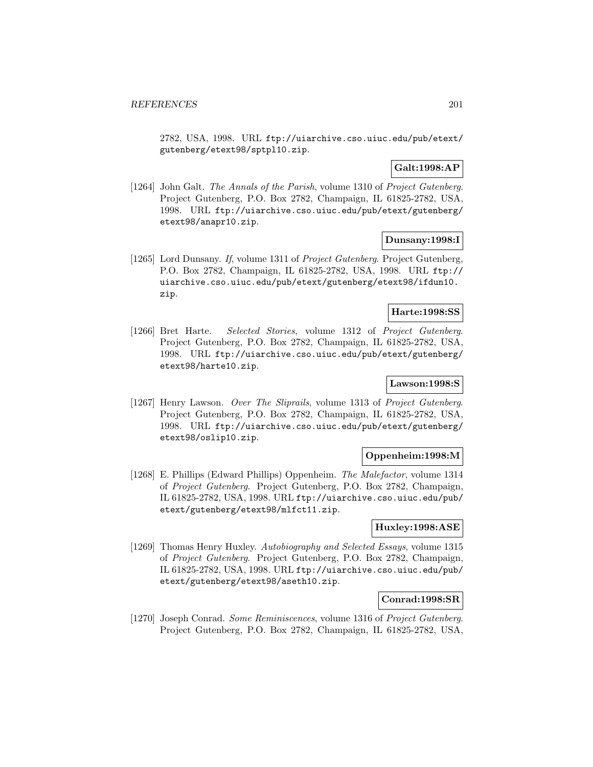2782, USA, 1998. URL ftp://uiarchive.cso.uiuc.edu/pub/etext/ gutenberg/etext98/sptpl10.zip.

## **Galt:1998:AP**

[1264] John Galt. The Annals of the Parish, volume 1310 of Project Gutenberg. Project Gutenberg, P.O. Box 2782, Champaign, IL 61825-2782, USA, 1998. URL ftp://uiarchive.cso.uiuc.edu/pub/etext/gutenberg/ etext98/anapr10.zip.

## **Dunsany:1998:I**

[1265] Lord Dunsany. If, volume 1311 of Project Gutenberg. Project Gutenberg, P.O. Box 2782, Champaign, IL 61825-2782, USA, 1998. URL ftp:// uiarchive.cso.uiuc.edu/pub/etext/gutenberg/etext98/ifdun10. zip.

### **Harte:1998:SS**

[1266] Bret Harte. Selected Stories, volume 1312 of Project Gutenberg. Project Gutenberg, P.O. Box 2782, Champaign, IL 61825-2782, USA, 1998. URL ftp://uiarchive.cso.uiuc.edu/pub/etext/gutenberg/ etext98/harte10.zip.

# **Lawson:1998:S**

[1267] Henry Lawson. Over The Sliprails, volume 1313 of Project Gutenberg. Project Gutenberg, P.O. Box 2782, Champaign, IL 61825-2782, USA, 1998. URL ftp://uiarchive.cso.uiuc.edu/pub/etext/gutenberg/ etext98/oslip10.zip.

## **Oppenheim:1998:M**

[1268] E. Phillips (Edward Phillips) Oppenheim. The Malefactor, volume 1314 of Project Gutenberg. Project Gutenberg, P.O. Box 2782, Champaign, IL 61825-2782, USA, 1998. URL ftp://uiarchive.cso.uiuc.edu/pub/ etext/gutenberg/etext98/mlfct11.zip.

## **Huxley:1998:ASE**

[1269] Thomas Henry Huxley. Autobiography and Selected Essays, volume 1315 of Project Gutenberg. Project Gutenberg, P.O. Box 2782, Champaign, IL 61825-2782, USA, 1998. URL ftp://uiarchive.cso.uiuc.edu/pub/ etext/gutenberg/etext98/aseth10.zip.

## **Conrad:1998:SR**

[1270] Joseph Conrad. Some Reminiscences, volume 1316 of Project Gutenberg. Project Gutenberg, P.O. Box 2782, Champaign, IL 61825-2782, USA,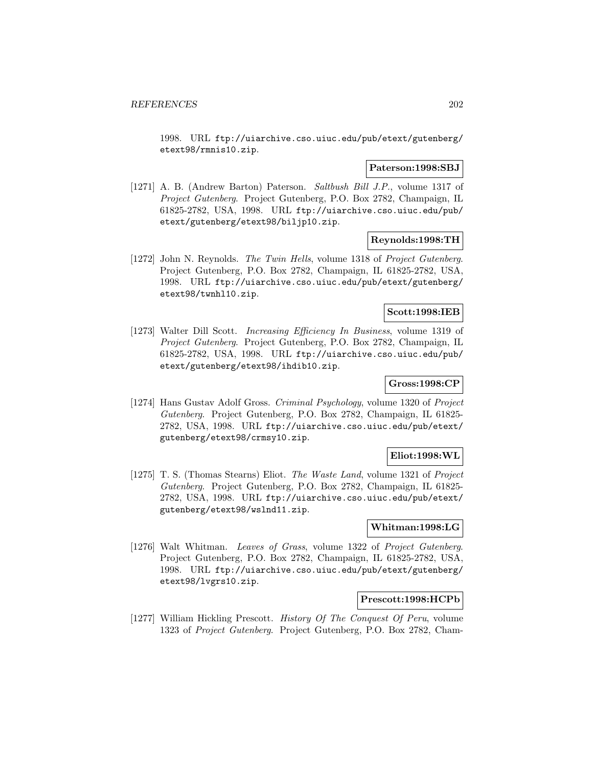1998. URL ftp://uiarchive.cso.uiuc.edu/pub/etext/gutenberg/ etext98/rmnis10.zip.

## **Paterson:1998:SBJ**

[1271] A. B. (Andrew Barton) Paterson. Saltbush Bill J.P., volume 1317 of Project Gutenberg. Project Gutenberg, P.O. Box 2782, Champaign, IL 61825-2782, USA, 1998. URL ftp://uiarchive.cso.uiuc.edu/pub/ etext/gutenberg/etext98/biljp10.zip.

### **Reynolds:1998:TH**

[1272] John N. Reynolds. The Twin Hells, volume 1318 of Project Gutenberg. Project Gutenberg, P.O. Box 2782, Champaign, IL 61825-2782, USA, 1998. URL ftp://uiarchive.cso.uiuc.edu/pub/etext/gutenberg/ etext98/twnhl10.zip.

### **Scott:1998:IEB**

[1273] Walter Dill Scott. *Increasing Efficiency In Business*, volume 1319 of Project Gutenberg. Project Gutenberg, P.O. Box 2782, Champaign, IL 61825-2782, USA, 1998. URL ftp://uiarchive.cso.uiuc.edu/pub/ etext/gutenberg/etext98/ihdib10.zip.

# **Gross:1998:CP**

[1274] Hans Gustav Adolf Gross. Criminal Psychology, volume 1320 of Project Gutenberg. Project Gutenberg, P.O. Box 2782, Champaign, IL 61825- 2782, USA, 1998. URL ftp://uiarchive.cso.uiuc.edu/pub/etext/ gutenberg/etext98/crmsy10.zip.

## **Eliot:1998:WL**

[1275] T. S. (Thomas Stearns) Eliot. The Waste Land, volume 1321 of Project Gutenberg. Project Gutenberg, P.O. Box 2782, Champaign, IL 61825- 2782, USA, 1998. URL ftp://uiarchive.cso.uiuc.edu/pub/etext/ gutenberg/etext98/wslnd11.zip.

# **Whitman:1998:LG**

[1276] Walt Whitman. Leaves of Grass, volume 1322 of Project Gutenberg. Project Gutenberg, P.O. Box 2782, Champaign, IL 61825-2782, USA, 1998. URL ftp://uiarchive.cso.uiuc.edu/pub/etext/gutenberg/ etext98/lvgrs10.zip.

#### **Prescott:1998:HCPb**

[1277] William Hickling Prescott. History Of The Conquest Of Peru, volume 1323 of Project Gutenberg. Project Gutenberg, P.O. Box 2782, Cham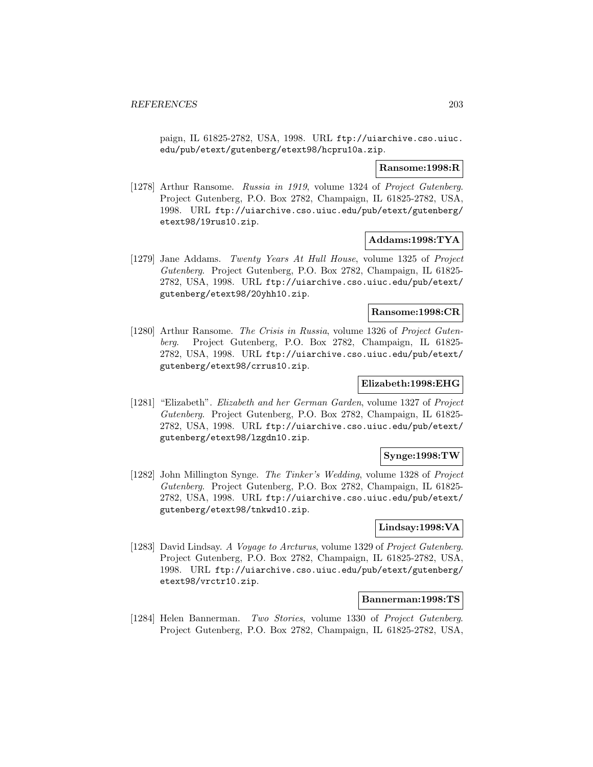paign, IL 61825-2782, USA, 1998. URL ftp://uiarchive.cso.uiuc. edu/pub/etext/gutenberg/etext98/hcpru10a.zip.

### **Ransome:1998:R**

[1278] Arthur Ransome. Russia in 1919, volume 1324 of Project Gutenberg. Project Gutenberg, P.O. Box 2782, Champaign, IL 61825-2782, USA, 1998. URL ftp://uiarchive.cso.uiuc.edu/pub/etext/gutenberg/ etext98/19rus10.zip.

## **Addams:1998:TYA**

[1279] Jane Addams. Twenty Years At Hull House, volume 1325 of Project Gutenberg. Project Gutenberg, P.O. Box 2782, Champaign, IL 61825- 2782, USA, 1998. URL ftp://uiarchive.cso.uiuc.edu/pub/etext/ gutenberg/etext98/20yhh10.zip.

# **Ransome:1998:CR**

[1280] Arthur Ransome. The Crisis in Russia, volume 1326 of Project Gutenberg. Project Gutenberg, P.O. Box 2782, Champaign, IL 61825- 2782, USA, 1998. URL ftp://uiarchive.cso.uiuc.edu/pub/etext/ gutenberg/etext98/crrus10.zip.

## **Elizabeth:1998:EHG**

[1281] "Elizabeth". Elizabeth and her German Garden, volume 1327 of Project Gutenberg. Project Gutenberg, P.O. Box 2782, Champaign, IL 61825- 2782, USA, 1998. URL ftp://uiarchive.cso.uiuc.edu/pub/etext/ gutenberg/etext98/lzgdn10.zip.

## **Synge:1998:TW**

[1282] John Millington Synge. The Tinker's Wedding, volume 1328 of Project Gutenberg. Project Gutenberg, P.O. Box 2782, Champaign, IL 61825- 2782, USA, 1998. URL ftp://uiarchive.cso.uiuc.edu/pub/etext/ gutenberg/etext98/tnkwd10.zip.

# **Lindsay:1998:VA**

[1283] David Lindsay. A Voyage to Arcturus, volume 1329 of Project Gutenberg. Project Gutenberg, P.O. Box 2782, Champaign, IL 61825-2782, USA, 1998. URL ftp://uiarchive.cso.uiuc.edu/pub/etext/gutenberg/ etext98/vrctr10.zip.

#### **Bannerman:1998:TS**

[1284] Helen Bannerman. Two Stories, volume 1330 of Project Gutenberg. Project Gutenberg, P.O. Box 2782, Champaign, IL 61825-2782, USA,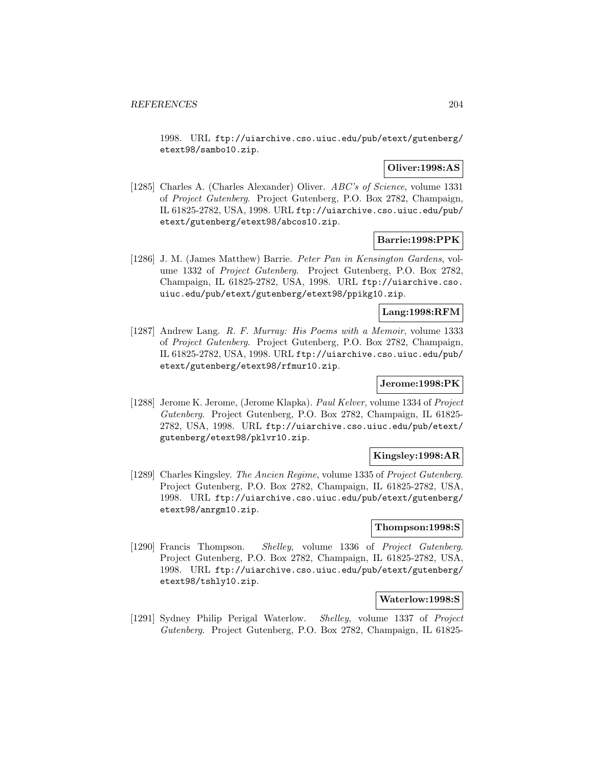1998. URL ftp://uiarchive.cso.uiuc.edu/pub/etext/gutenberg/ etext98/sambo10.zip.

## **Oliver:1998:AS**

[1285] Charles A. (Charles Alexander) Oliver. ABC's of Science, volume 1331 of Project Gutenberg. Project Gutenberg, P.O. Box 2782, Champaign, IL 61825-2782, USA, 1998. URL ftp://uiarchive.cso.uiuc.edu/pub/ etext/gutenberg/etext98/abcos10.zip.

## **Barrie:1998:PPK**

[1286] J. M. (James Matthew) Barrie. Peter Pan in Kensington Gardens, volume 1332 of Project Gutenberg. Project Gutenberg, P.O. Box 2782, Champaign, IL 61825-2782, USA, 1998. URL ftp://uiarchive.cso. uiuc.edu/pub/etext/gutenberg/etext98/ppikg10.zip.

## **Lang:1998:RFM**

[1287] Andrew Lang. R. F. Murray: His Poems with a Memoir, volume 1333 of Project Gutenberg. Project Gutenberg, P.O. Box 2782, Champaign, IL 61825-2782, USA, 1998. URL ftp://uiarchive.cso.uiuc.edu/pub/ etext/gutenberg/etext98/rfmur10.zip.

# **Jerome:1998:PK**

[1288] Jerome K. Jerome, (Jerome Klapka). Paul Kelver, volume 1334 of Project Gutenberg. Project Gutenberg, P.O. Box 2782, Champaign, IL 61825- 2782, USA, 1998. URL ftp://uiarchive.cso.uiuc.edu/pub/etext/ gutenberg/etext98/pklvr10.zip.

## **Kingsley:1998:AR**

[1289] Charles Kingsley. The Ancien Regime, volume 1335 of Project Gutenberg. Project Gutenberg, P.O. Box 2782, Champaign, IL 61825-2782, USA, 1998. URL ftp://uiarchive.cso.uiuc.edu/pub/etext/gutenberg/ etext98/anrgm10.zip.

# **Thompson:1998:S**

[1290] Francis Thompson. Shelley, volume 1336 of Project Gutenberg. Project Gutenberg, P.O. Box 2782, Champaign, IL 61825-2782, USA, 1998. URL ftp://uiarchive.cso.uiuc.edu/pub/etext/gutenberg/ etext98/tshly10.zip.

#### **Waterlow:1998:S**

[1291] Sydney Philip Perigal Waterlow. Shelley, volume 1337 of Project Gutenberg. Project Gutenberg, P.O. Box 2782, Champaign, IL 61825-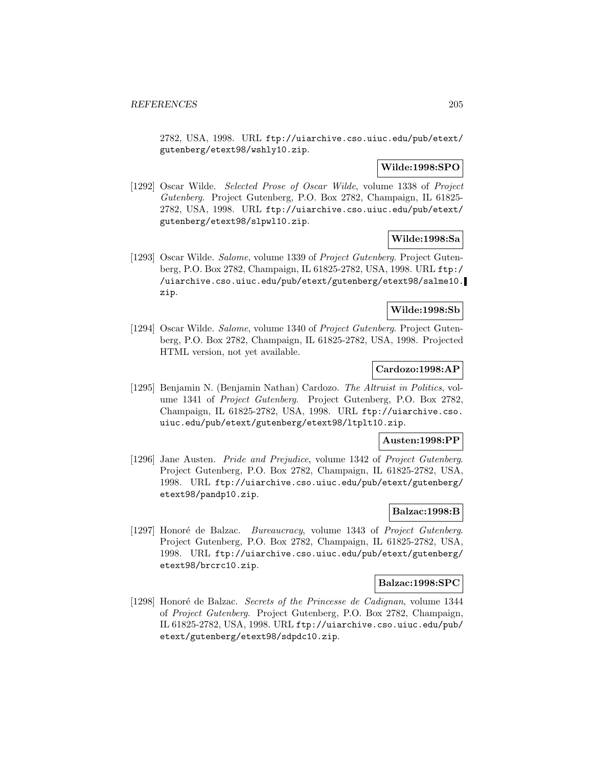2782, USA, 1998. URL ftp://uiarchive.cso.uiuc.edu/pub/etext/ gutenberg/etext98/wshly10.zip.

# **Wilde:1998:SPO**

[1292] Oscar Wilde. Selected Prose of Oscar Wilde, volume 1338 of Project Gutenberg. Project Gutenberg, P.O. Box 2782, Champaign, IL 61825- 2782, USA, 1998. URL ftp://uiarchive.cso.uiuc.edu/pub/etext/ gutenberg/etext98/slpwl10.zip.

# **Wilde:1998:Sa**

[1293] Oscar Wilde. Salome, volume 1339 of Project Gutenberg. Project Gutenberg, P.O. Box 2782, Champaign, IL 61825-2782, USA, 1998. URL ftp:/ /uiarchive.cso.uiuc.edu/pub/etext/gutenberg/etext98/salme10. zip.

## **Wilde:1998:Sb**

[1294] Oscar Wilde. Salome, volume 1340 of Project Gutenberg. Project Gutenberg, P.O. Box 2782, Champaign, IL 61825-2782, USA, 1998. Projected HTML version, not yet available.

## **Cardozo:1998:AP**

[1295] Benjamin N. (Benjamin Nathan) Cardozo. The Altruist in Politics, volume 1341 of Project Gutenberg. Project Gutenberg, P.O. Box 2782, Champaign, IL 61825-2782, USA, 1998. URL ftp://uiarchive.cso. uiuc.edu/pub/etext/gutenberg/etext98/ltplt10.zip.

## **Austen:1998:PP**

[1296] Jane Austen. Pride and Prejudice, volume 1342 of Project Gutenberg. Project Gutenberg, P.O. Box 2782, Champaign, IL 61825-2782, USA, 1998. URL ftp://uiarchive.cso.uiuc.edu/pub/etext/gutenberg/ etext98/pandp10.zip.

## **Balzac:1998:B**

[1297] Honoré de Balzac. Bureaucracy, volume 1343 of Project Gutenberg. Project Gutenberg, P.O. Box 2782, Champaign, IL 61825-2782, USA, 1998. URL ftp://uiarchive.cso.uiuc.edu/pub/etext/gutenberg/ etext98/brcrc10.zip.

#### **Balzac:1998:SPC**

[1298] Honoré de Balzac. Secrets of the Princesse de Cadignan, volume 1344 of Project Gutenberg. Project Gutenberg, P.O. Box 2782, Champaign, IL 61825-2782, USA, 1998. URL ftp://uiarchive.cso.uiuc.edu/pub/ etext/gutenberg/etext98/sdpdc10.zip.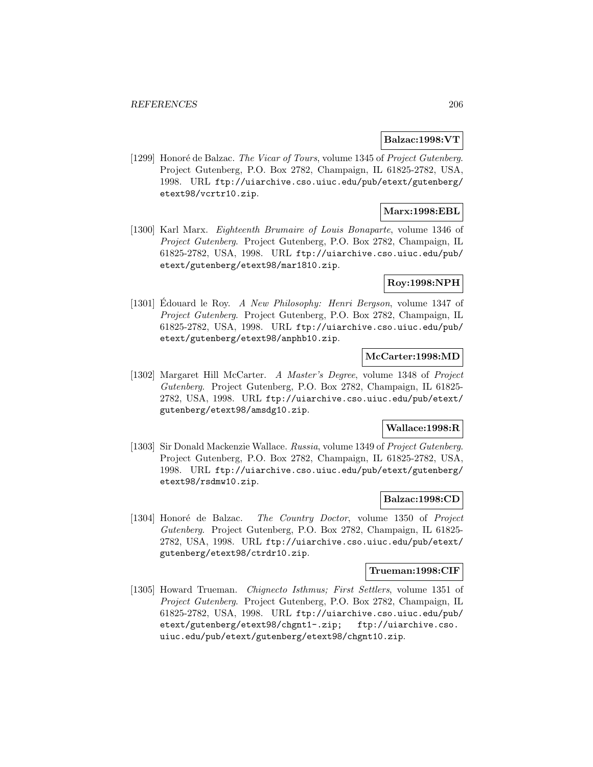## **Balzac:1998:VT**

[1299] Honoré de Balzac. The Vicar of Tours, volume 1345 of Project Gutenberg. Project Gutenberg, P.O. Box 2782, Champaign, IL 61825-2782, USA, 1998. URL ftp://uiarchive.cso.uiuc.edu/pub/etext/gutenberg/ etext98/vcrtr10.zip.

# **Marx:1998:EBL**

[1300] Karl Marx. Eighteenth Brumaire of Louis Bonaparte, volume 1346 of Project Gutenberg. Project Gutenberg, P.O. Box 2782, Champaign, IL 61825-2782, USA, 1998. URL ftp://uiarchive.cso.uiuc.edu/pub/ etext/gutenberg/etext98/mar1810.zip.

## **Roy:1998:NPH**

[1301] Edouard le Roy. A New Philosophy: Henri Bergson, volume 1347 of Project Gutenberg. Project Gutenberg, P.O. Box 2782, Champaign, IL 61825-2782, USA, 1998. URL ftp://uiarchive.cso.uiuc.edu/pub/ etext/gutenberg/etext98/anphb10.zip.

# **McCarter:1998:MD**

[1302] Margaret Hill McCarter. A Master's Degree, volume 1348 of Project Gutenberg. Project Gutenberg, P.O. Box 2782, Champaign, IL 61825- 2782, USA, 1998. URL ftp://uiarchive.cso.uiuc.edu/pub/etext/ gutenberg/etext98/amsdg10.zip.

#### **Wallace:1998:R**

[1303] Sir Donald Mackenzie Wallace. Russia, volume 1349 of Project Gutenberg. Project Gutenberg, P.O. Box 2782, Champaign, IL 61825-2782, USA, 1998. URL ftp://uiarchive.cso.uiuc.edu/pub/etext/gutenberg/ etext98/rsdmw10.zip.

## **Balzac:1998:CD**

[1304] Honoré de Balzac. The Country Doctor, volume 1350 of Project Gutenberg. Project Gutenberg, P.O. Box 2782, Champaign, IL 61825- 2782, USA, 1998. URL ftp://uiarchive.cso.uiuc.edu/pub/etext/ gutenberg/etext98/ctrdr10.zip.

#### **Trueman:1998:CIF**

[1305] Howard Trueman. Chignecto Isthmus; First Settlers, volume 1351 of Project Gutenberg. Project Gutenberg, P.O. Box 2782, Champaign, IL 61825-2782, USA, 1998. URL ftp://uiarchive.cso.uiuc.edu/pub/ etext/gutenberg/etext98/chgnt1-.zip; ftp://uiarchive.cso. uiuc.edu/pub/etext/gutenberg/etext98/chgnt10.zip.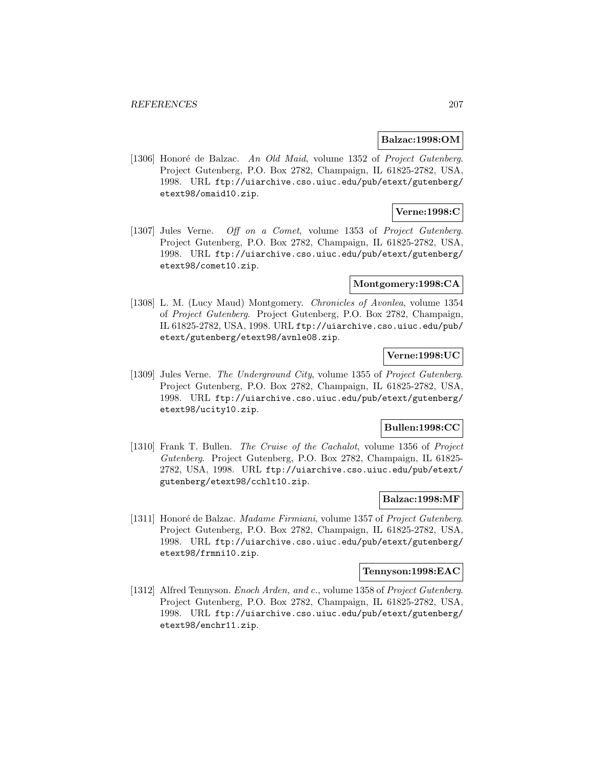### **Balzac:1998:OM**

[1306] Honoré de Balzac. An Old Maid, volume 1352 of Project Gutenberg. Project Gutenberg, P.O. Box 2782, Champaign, IL 61825-2782, USA, 1998. URL ftp://uiarchive.cso.uiuc.edu/pub/etext/gutenberg/ etext98/omaid10.zip.

## **Verne:1998:C**

[1307] Jules Verne. Off on a Comet, volume 1353 of Project Gutenberg. Project Gutenberg, P.O. Box 2782, Champaign, IL 61825-2782, USA, 1998. URL ftp://uiarchive.cso.uiuc.edu/pub/etext/gutenberg/ etext98/comet10.zip.

## **Montgomery:1998:CA**

[1308] L. M. (Lucy Maud) Montgomery. *Chronicles of Avonlea*, volume 1354 of Project Gutenberg. Project Gutenberg, P.O. Box 2782, Champaign, IL 61825-2782, USA, 1998. URL ftp://uiarchive.cso.uiuc.edu/pub/ etext/gutenberg/etext98/avnle08.zip.

# **Verne:1998:UC**

[1309] Jules Verne. The Underground City, volume 1355 of Project Gutenberg. Project Gutenberg, P.O. Box 2782, Champaign, IL 61825-2782, USA, 1998. URL ftp://uiarchive.cso.uiuc.edu/pub/etext/gutenberg/ etext98/ucity10.zip.

### **Bullen:1998:CC**

[1310] Frank T. Bullen. The Cruise of the Cachalot, volume 1356 of Project Gutenberg. Project Gutenberg, P.O. Box 2782, Champaign, IL 61825- 2782, USA, 1998. URL ftp://uiarchive.cso.uiuc.edu/pub/etext/ gutenberg/etext98/cchlt10.zip.

## **Balzac:1998:MF**

[1311] Honoré de Balzac. *Madame Firmiani*, volume 1357 of *Project Gutenberg*. Project Gutenberg, P.O. Box 2782, Champaign, IL 61825-2782, USA, 1998. URL ftp://uiarchive.cso.uiuc.edu/pub/etext/gutenberg/ etext98/frmni10.zip.

#### **Tennyson:1998:EAC**

[1312] Alfred Tennyson. Enoch Arden, and c., volume 1358 of Project Gutenberg. Project Gutenberg, P.O. Box 2782, Champaign, IL 61825-2782, USA, 1998. URL ftp://uiarchive.cso.uiuc.edu/pub/etext/gutenberg/ etext98/enchr11.zip.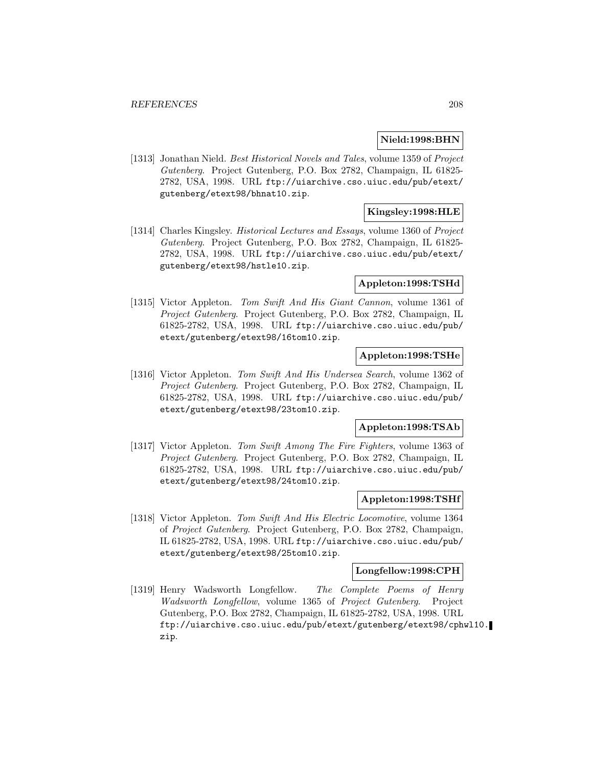## **Nield:1998:BHN**

[1313] Jonathan Nield. Best Historical Novels and Tales, volume 1359 of Project Gutenberg. Project Gutenberg, P.O. Box 2782, Champaign, IL 61825- 2782, USA, 1998. URL ftp://uiarchive.cso.uiuc.edu/pub/etext/ gutenberg/etext98/bhnat10.zip.

# **Kingsley:1998:HLE**

[1314] Charles Kingsley. *Historical Lectures and Essays*, volume 1360 of *Project* Gutenberg. Project Gutenberg, P.O. Box 2782, Champaign, IL 61825- 2782, USA, 1998. URL ftp://uiarchive.cso.uiuc.edu/pub/etext/ gutenberg/etext98/hstle10.zip.

## **Appleton:1998:TSHd**

[1315] Victor Appleton. Tom Swift And His Giant Cannon, volume 1361 of Project Gutenberg. Project Gutenberg, P.O. Box 2782, Champaign, IL 61825-2782, USA, 1998. URL ftp://uiarchive.cso.uiuc.edu/pub/ etext/gutenberg/etext98/16tom10.zip.

## **Appleton:1998:TSHe**

[1316] Victor Appleton. Tom Swift And His Undersea Search, volume 1362 of Project Gutenberg. Project Gutenberg, P.O. Box 2782, Champaign, IL 61825-2782, USA, 1998. URL ftp://uiarchive.cso.uiuc.edu/pub/ etext/gutenberg/etext98/23tom10.zip.

#### **Appleton:1998:TSAb**

[1317] Victor Appleton. Tom Swift Among The Fire Fighters, volume 1363 of Project Gutenberg. Project Gutenberg, P.O. Box 2782, Champaign, IL 61825-2782, USA, 1998. URL ftp://uiarchive.cso.uiuc.edu/pub/ etext/gutenberg/etext98/24tom10.zip.

## **Appleton:1998:TSHf**

[1318] Victor Appleton. Tom Swift And His Electric Locomotive, volume 1364 of Project Gutenberg. Project Gutenberg, P.O. Box 2782, Champaign, IL 61825-2782, USA, 1998. URL ftp://uiarchive.cso.uiuc.edu/pub/ etext/gutenberg/etext98/25tom10.zip.

#### **Longfellow:1998:CPH**

[1319] Henry Wadsworth Longfellow. The Complete Poems of Henry Wadsworth Longfellow, volume 1365 of Project Gutenberg. Project Gutenberg, P.O. Box 2782, Champaign, IL 61825-2782, USA, 1998. URL ftp://uiarchive.cso.uiuc.edu/pub/etext/gutenberg/etext98/cphwl10. zip.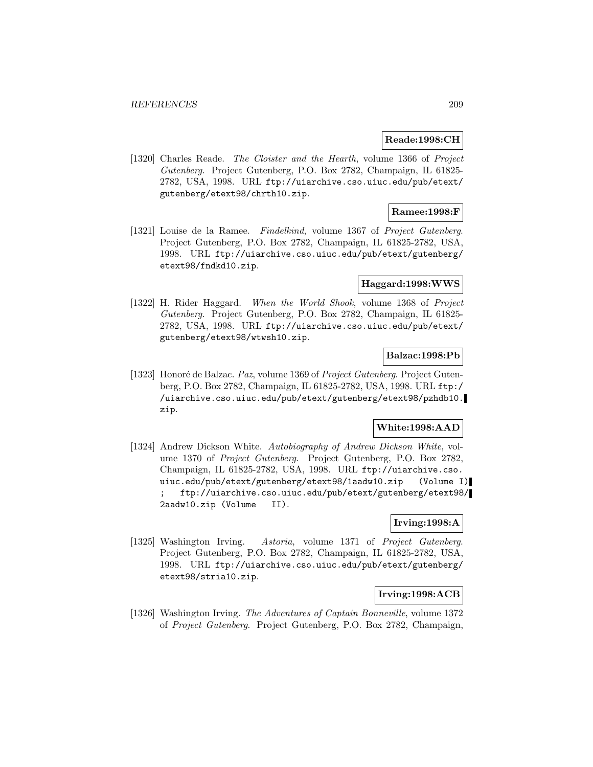#### **Reade:1998:CH**

[1320] Charles Reade. The Cloister and the Hearth, volume 1366 of Project Gutenberg. Project Gutenberg, P.O. Box 2782, Champaign, IL 61825- 2782, USA, 1998. URL ftp://uiarchive.cso.uiuc.edu/pub/etext/ gutenberg/etext98/chrth10.zip.

## **Ramee:1998:F**

[1321] Louise de la Ramee. Findelkind, volume 1367 of Project Gutenberg. Project Gutenberg, P.O. Box 2782, Champaign, IL 61825-2782, USA, 1998. URL ftp://uiarchive.cso.uiuc.edu/pub/etext/gutenberg/ etext98/fndkd10.zip.

#### **Haggard:1998:WWS**

[1322] H. Rider Haggard. When the World Shook, volume 1368 of Project Gutenberg. Project Gutenberg, P.O. Box 2782, Champaign, IL 61825- 2782, USA, 1998. URL ftp://uiarchive.cso.uiuc.edu/pub/etext/ gutenberg/etext98/wtwsh10.zip.

## **Balzac:1998:Pb**

[1323] Honoré de Balzac. Paz, volume 1369 of Project Gutenberg. Project Gutenberg, P.O. Box 2782, Champaign, IL 61825-2782, USA, 1998. URL ftp:/ /uiarchive.cso.uiuc.edu/pub/etext/gutenberg/etext98/pzhdb10. zip.

## **White:1998:AAD**

[1324] Andrew Dickson White. Autobiography of Andrew Dickson White, volume 1370 of Project Gutenberg. Project Gutenberg, P.O. Box 2782, Champaign, IL 61825-2782, USA, 1998. URL ftp://uiarchive.cso. uiuc.edu/pub/etext/gutenberg/etext98/1aadw10.zip (Volume I) ; ftp://uiarchive.cso.uiuc.edu/pub/etext/gutenberg/etext98/ 2aadw10.zip (Volume II).

# **Irving:1998:A**

[1325] Washington Irving. Astoria, volume 1371 of Project Gutenberg. Project Gutenberg, P.O. Box 2782, Champaign, IL 61825-2782, USA, 1998. URL ftp://uiarchive.cso.uiuc.edu/pub/etext/gutenberg/ etext98/stria10.zip.

# **Irving:1998:ACB**

[1326] Washington Irving. The Adventures of Captain Bonneville, volume 1372 of Project Gutenberg. Project Gutenberg, P.O. Box 2782, Champaign,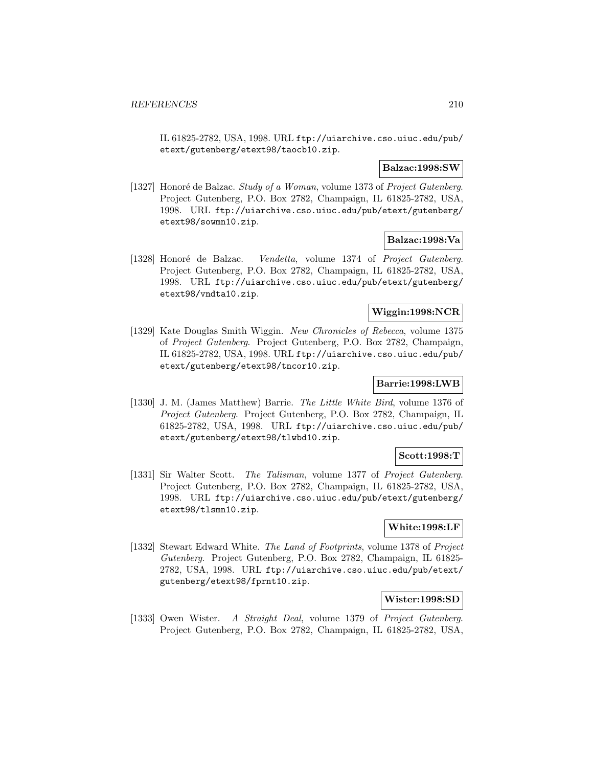IL 61825-2782, USA, 1998. URL ftp://uiarchive.cso.uiuc.edu/pub/ etext/gutenberg/etext98/taocb10.zip.

### **Balzac:1998:SW**

[1327] Honoré de Balzac. Study of a Woman, volume 1373 of Project Gutenberg. Project Gutenberg, P.O. Box 2782, Champaign, IL 61825-2782, USA, 1998. URL ftp://uiarchive.cso.uiuc.edu/pub/etext/gutenberg/ etext98/sowmn10.zip.

### **Balzac:1998:Va**

[1328] Honoré de Balzac. Vendetta, volume 1374 of Project Gutenberg. Project Gutenberg, P.O. Box 2782, Champaign, IL 61825-2782, USA, 1998. URL ftp://uiarchive.cso.uiuc.edu/pub/etext/gutenberg/ etext98/vndta10.zip.

## **Wiggin:1998:NCR**

[1329] Kate Douglas Smith Wiggin. New Chronicles of Rebecca, volume 1375 of Project Gutenberg. Project Gutenberg, P.O. Box 2782, Champaign, IL 61825-2782, USA, 1998. URL ftp://uiarchive.cso.uiuc.edu/pub/ etext/gutenberg/etext98/tncor10.zip.

# **Barrie:1998:LWB**

[1330] J. M. (James Matthew) Barrie. The Little White Bird, volume 1376 of Project Gutenberg. Project Gutenberg, P.O. Box 2782, Champaign, IL 61825-2782, USA, 1998. URL ftp://uiarchive.cso.uiuc.edu/pub/ etext/gutenberg/etext98/tlwbd10.zip.

## **Scott:1998:T**

[1331] Sir Walter Scott. The Talisman, volume 1377 of Project Gutenberg. Project Gutenberg, P.O. Box 2782, Champaign, IL 61825-2782, USA, 1998. URL ftp://uiarchive.cso.uiuc.edu/pub/etext/gutenberg/ etext98/tlsmn10.zip.

# **White:1998:LF**

[1332] Stewart Edward White. The Land of Footprints, volume 1378 of Project Gutenberg. Project Gutenberg, P.O. Box 2782, Champaign, IL 61825- 2782, USA, 1998. URL ftp://uiarchive.cso.uiuc.edu/pub/etext/ gutenberg/etext98/fprnt10.zip.

#### **Wister:1998:SD**

[1333] Owen Wister. A Straight Deal, volume 1379 of Project Gutenberg. Project Gutenberg, P.O. Box 2782, Champaign, IL 61825-2782, USA,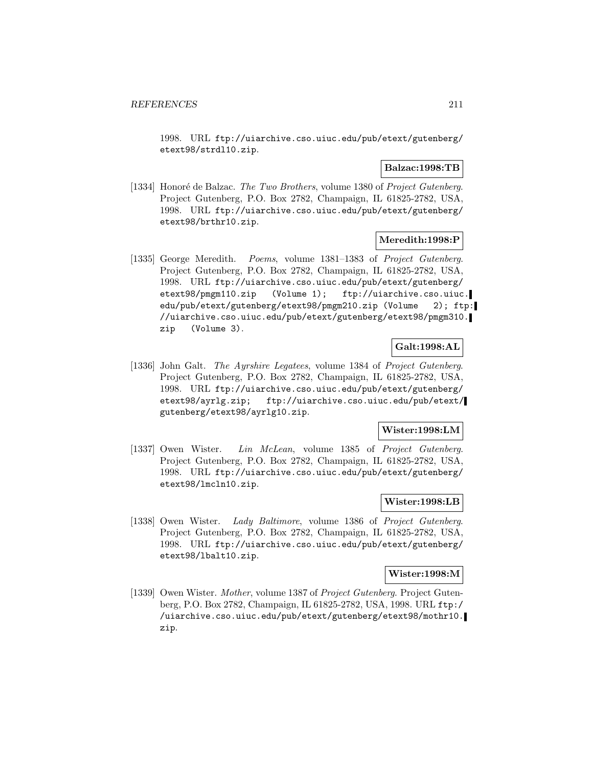1998. URL ftp://uiarchive.cso.uiuc.edu/pub/etext/gutenberg/ etext98/strdl10.zip.

### **Balzac:1998:TB**

[1334] Honoré de Balzac. The Two Brothers, volume 1380 of Project Gutenberg. Project Gutenberg, P.O. Box 2782, Champaign, IL 61825-2782, USA, 1998. URL ftp://uiarchive.cso.uiuc.edu/pub/etext/gutenberg/ etext98/brthr10.zip.

## **Meredith:1998:P**

[1335] George Meredith. Poems, volume 1381–1383 of Project Gutenberg. Project Gutenberg, P.O. Box 2782, Champaign, IL 61825-2782, USA, 1998. URL ftp://uiarchive.cso.uiuc.edu/pub/etext/gutenberg/ etext98/pmgm110.zip (Volume 1); ftp://uiarchive.cso.uiuc. edu/pub/etext/gutenberg/etext98/pmgm210.zip (Volume 2); ftp: //uiarchive.cso.uiuc.edu/pub/etext/gutenberg/etext98/pmgm310. zip (Volume 3).

## **Galt:1998:AL**

[1336] John Galt. The Ayrshire Legatees, volume 1384 of Project Gutenberg. Project Gutenberg, P.O. Box 2782, Champaign, IL 61825-2782, USA, 1998. URL ftp://uiarchive.cso.uiuc.edu/pub/etext/gutenberg/ etext98/ayrlg.zip; ftp://uiarchive.cso.uiuc.edu/pub/etext/ gutenberg/etext98/ayrlg10.zip.

# **Wister:1998:LM**

[1337] Owen Wister. Lin McLean, volume 1385 of Project Gutenberg. Project Gutenberg, P.O. Box 2782, Champaign, IL 61825-2782, USA, 1998. URL ftp://uiarchive.cso.uiuc.edu/pub/etext/gutenberg/ etext98/lmcln10.zip.

### **Wister:1998:LB**

[1338] Owen Wister. Lady Baltimore, volume 1386 of Project Gutenberg. Project Gutenberg, P.O. Box 2782, Champaign, IL 61825-2782, USA, 1998. URL ftp://uiarchive.cso.uiuc.edu/pub/etext/gutenberg/ etext98/lbalt10.zip.

# **Wister:1998:M**

[1339] Owen Wister. Mother, volume 1387 of Project Gutenberg. Project Gutenberg, P.O. Box 2782, Champaign, IL 61825-2782, USA, 1998. URL ftp:/ /uiarchive.cso.uiuc.edu/pub/etext/gutenberg/etext98/mothr10. zip.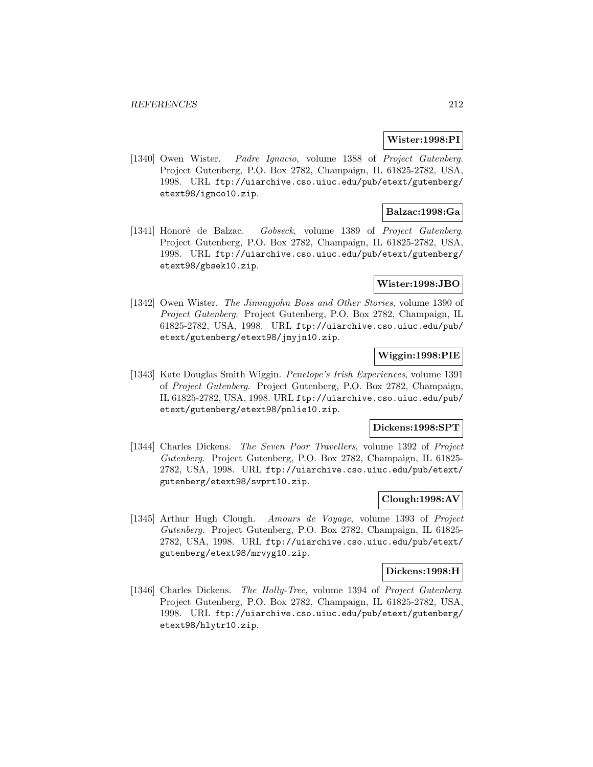### **Wister:1998:PI**

[1340] Owen Wister. Padre Ignacio, volume 1388 of Project Gutenberg. Project Gutenberg, P.O. Box 2782, Champaign, IL 61825-2782, USA, 1998. URL ftp://uiarchive.cso.uiuc.edu/pub/etext/gutenberg/ etext98/ignco10.zip.

## **Balzac:1998:Ga**

[1341] Honoré de Balzac. Gobseck, volume 1389 of Project Gutenberg. Project Gutenberg, P.O. Box 2782, Champaign, IL 61825-2782, USA, 1998. URL ftp://uiarchive.cso.uiuc.edu/pub/etext/gutenberg/ etext98/gbsek10.zip.

## **Wister:1998:JBO**

[1342] Owen Wister. The Jimmyjohn Boss and Other Stories, volume 1390 of Project Gutenberg. Project Gutenberg, P.O. Box 2782, Champaign, IL 61825-2782, USA, 1998. URL ftp://uiarchive.cso.uiuc.edu/pub/ etext/gutenberg/etext98/jmyjn10.zip.

## **Wiggin:1998:PIE**

[1343] Kate Douglas Smith Wiggin. Penelope's Irish Experiences, volume 1391 of Project Gutenberg. Project Gutenberg, P.O. Box 2782, Champaign, IL 61825-2782, USA, 1998. URL ftp://uiarchive.cso.uiuc.edu/pub/ etext/gutenberg/etext98/pnlie10.zip.

### **Dickens:1998:SPT**

[1344] Charles Dickens. The Seven Poor Travellers, volume 1392 of Project Gutenberg. Project Gutenberg, P.O. Box 2782, Champaign, IL 61825- 2782, USA, 1998. URL ftp://uiarchive.cso.uiuc.edu/pub/etext/ gutenberg/etext98/svprt10.zip.

## **Clough:1998:AV**

[1345] Arthur Hugh Clough. Amours de Voyage, volume 1393 of Project Gutenberg. Project Gutenberg, P.O. Box 2782, Champaign, IL 61825- 2782, USA, 1998. URL ftp://uiarchive.cso.uiuc.edu/pub/etext/ gutenberg/etext98/mrvyg10.zip.

#### **Dickens:1998:H**

[1346] Charles Dickens. The Holly-Tree, volume 1394 of Project Gutenberg. Project Gutenberg, P.O. Box 2782, Champaign, IL 61825-2782, USA, 1998. URL ftp://uiarchive.cso.uiuc.edu/pub/etext/gutenberg/ etext98/hlytr10.zip.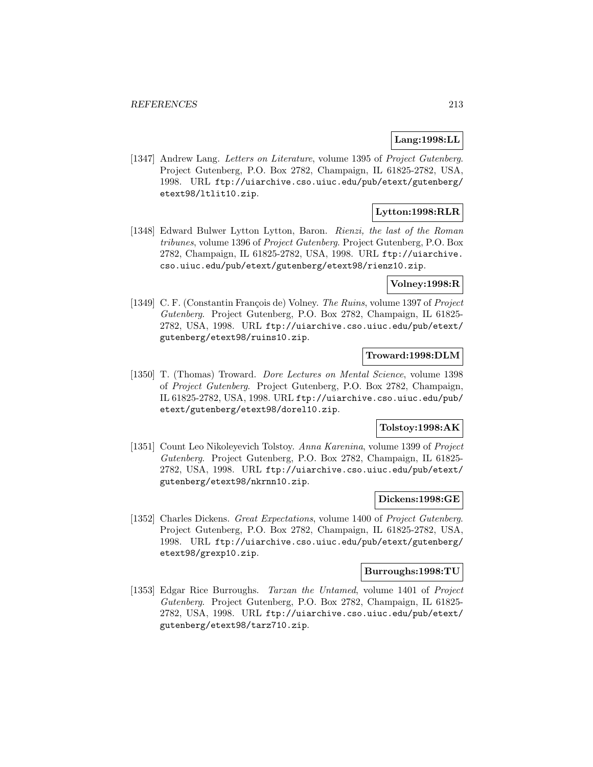# **Lang:1998:LL**

[1347] Andrew Lang. Letters on Literature, volume 1395 of Project Gutenberg. Project Gutenberg, P.O. Box 2782, Champaign, IL 61825-2782, USA, 1998. URL ftp://uiarchive.cso.uiuc.edu/pub/etext/gutenberg/ etext98/ltlit10.zip.

# **Lytton:1998:RLR**

[1348] Edward Bulwer Lytton Lytton, Baron. Rienzi, the last of the Roman tribunes, volume 1396 of Project Gutenberg. Project Gutenberg, P.O. Box 2782, Champaign, IL 61825-2782, USA, 1998. URL ftp://uiarchive. cso.uiuc.edu/pub/etext/gutenberg/etext98/rienz10.zip.

## **Volney:1998:R**

[1349] C. F. (Constantin François de) Volney. The Ruins, volume 1397 of Project Gutenberg. Project Gutenberg, P.O. Box 2782, Champaign, IL 61825- 2782, USA, 1998. URL ftp://uiarchive.cso.uiuc.edu/pub/etext/ gutenberg/etext98/ruins10.zip.

## **Troward:1998:DLM**

[1350] T. (Thomas) Troward. Dore Lectures on Mental Science, volume 1398 of Project Gutenberg. Project Gutenberg, P.O. Box 2782, Champaign, IL 61825-2782, USA, 1998. URL ftp://uiarchive.cso.uiuc.edu/pub/ etext/gutenberg/etext98/dorel10.zip.

## **Tolstoy:1998:AK**

[1351] Count Leo Nikoleyevich Tolstoy. Anna Karenina, volume 1399 of Project Gutenberg. Project Gutenberg, P.O. Box 2782, Champaign, IL 61825- 2782, USA, 1998. URL ftp://uiarchive.cso.uiuc.edu/pub/etext/ gutenberg/etext98/nkrnn10.zip.

## **Dickens:1998:GE**

[1352] Charles Dickens. Great Expectations, volume 1400 of Project Gutenberg. Project Gutenberg, P.O. Box 2782, Champaign, IL 61825-2782, USA, 1998. URL ftp://uiarchive.cso.uiuc.edu/pub/etext/gutenberg/ etext98/grexp10.zip.

## **Burroughs:1998:TU**

[1353] Edgar Rice Burroughs. Tarzan the Untamed, volume 1401 of Project Gutenberg. Project Gutenberg, P.O. Box 2782, Champaign, IL 61825- 2782, USA, 1998. URL ftp://uiarchive.cso.uiuc.edu/pub/etext/ gutenberg/etext98/tarz710.zip.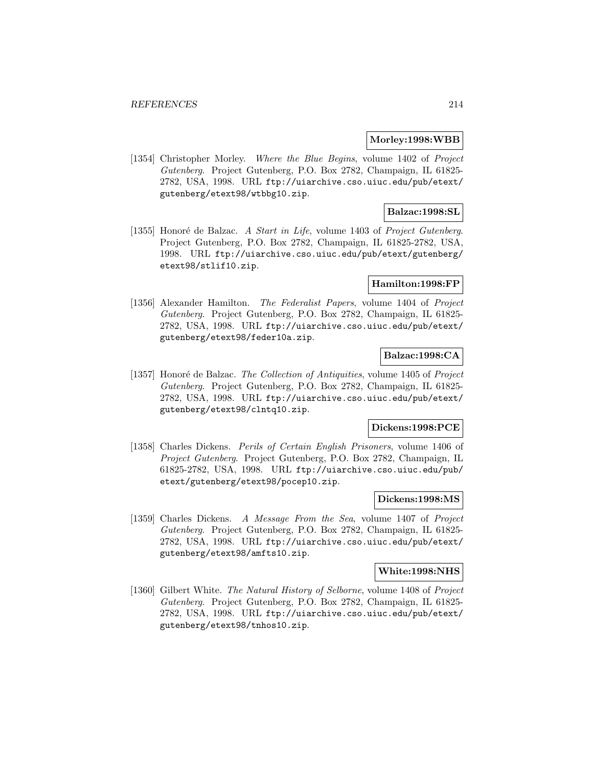#### **Morley:1998:WBB**

[1354] Christopher Morley. Where the Blue Begins, volume 1402 of Project Gutenberg. Project Gutenberg, P.O. Box 2782, Champaign, IL 61825- 2782, USA, 1998. URL ftp://uiarchive.cso.uiuc.edu/pub/etext/ gutenberg/etext98/wtbbg10.zip.

## **Balzac:1998:SL**

[1355] Honoré de Balzac. A Start in Life, volume 1403 of Project Gutenberg. Project Gutenberg, P.O. Box 2782, Champaign, IL 61825-2782, USA, 1998. URL ftp://uiarchive.cso.uiuc.edu/pub/etext/gutenberg/ etext98/stlif10.zip.

#### **Hamilton:1998:FP**

[1356] Alexander Hamilton. The Federalist Papers, volume 1404 of Project Gutenberg. Project Gutenberg, P.O. Box 2782, Champaign, IL 61825- 2782, USA, 1998. URL ftp://uiarchive.cso.uiuc.edu/pub/etext/ gutenberg/etext98/feder10a.zip.

## **Balzac:1998:CA**

[1357] Honoré de Balzac. The Collection of Antiquities, volume 1405 of Project Gutenberg. Project Gutenberg, P.O. Box 2782, Champaign, IL 61825- 2782, USA, 1998. URL ftp://uiarchive.cso.uiuc.edu/pub/etext/ gutenberg/etext98/clntq10.zip.

## **Dickens:1998:PCE**

[1358] Charles Dickens. Perils of Certain English Prisoners, volume 1406 of Project Gutenberg. Project Gutenberg, P.O. Box 2782, Champaign, IL 61825-2782, USA, 1998. URL ftp://uiarchive.cso.uiuc.edu/pub/ etext/gutenberg/etext98/pocep10.zip.

## **Dickens:1998:MS**

[1359] Charles Dickens. A Message From the Sea, volume 1407 of Project Gutenberg. Project Gutenberg, P.O. Box 2782, Champaign, IL 61825- 2782, USA, 1998. URL ftp://uiarchive.cso.uiuc.edu/pub/etext/ gutenberg/etext98/amfts10.zip.

#### **White:1998:NHS**

[1360] Gilbert White. The Natural History of Selborne, volume 1408 of Project Gutenberg. Project Gutenberg, P.O. Box 2782, Champaign, IL 61825- 2782, USA, 1998. URL ftp://uiarchive.cso.uiuc.edu/pub/etext/ gutenberg/etext98/tnhos10.zip.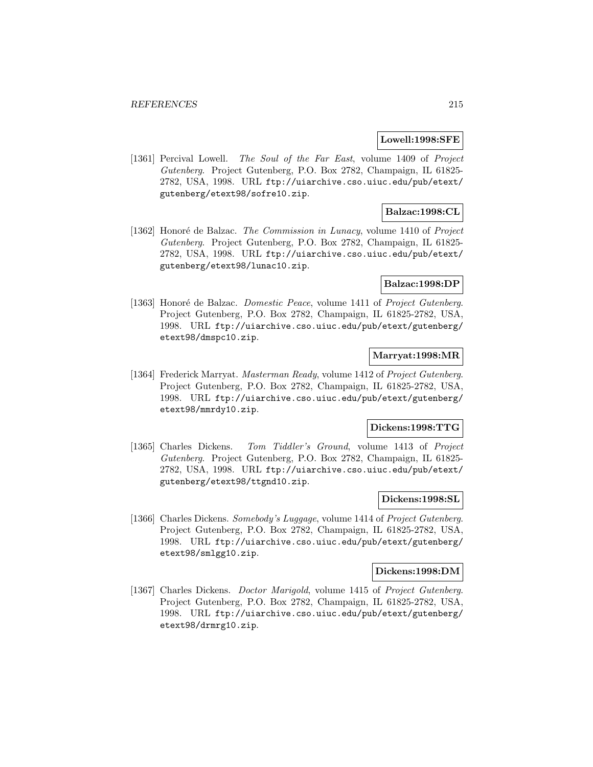### **Lowell:1998:SFE**

[1361] Percival Lowell. The Soul of the Far East, volume 1409 of Project Gutenberg. Project Gutenberg, P.O. Box 2782, Champaign, IL 61825- 2782, USA, 1998. URL ftp://uiarchive.cso.uiuc.edu/pub/etext/ gutenberg/etext98/sofre10.zip.

## **Balzac:1998:CL**

[1362] Honoré de Balzac. The Commission in Lunacy, volume 1410 of Project Gutenberg. Project Gutenberg, P.O. Box 2782, Champaign, IL 61825- 2782, USA, 1998. URL ftp://uiarchive.cso.uiuc.edu/pub/etext/ gutenberg/etext98/lunac10.zip.

### **Balzac:1998:DP**

[1363] Honoré de Balzac. *Domestic Peace*, volume 1411 of Project Gutenberg. Project Gutenberg, P.O. Box 2782, Champaign, IL 61825-2782, USA, 1998. URL ftp://uiarchive.cso.uiuc.edu/pub/etext/gutenberg/ etext98/dmspc10.zip.

# **Marryat:1998:MR**

[1364] Frederick Marryat. Masterman Ready, volume 1412 of Project Gutenberg. Project Gutenberg, P.O. Box 2782, Champaign, IL 61825-2782, USA, 1998. URL ftp://uiarchive.cso.uiuc.edu/pub/etext/gutenberg/ etext98/mmrdy10.zip.

### **Dickens:1998:TTG**

[1365] Charles Dickens. Tom Tiddler's Ground, volume 1413 of Project Gutenberg. Project Gutenberg, P.O. Box 2782, Champaign, IL 61825- 2782, USA, 1998. URL ftp://uiarchive.cso.uiuc.edu/pub/etext/ gutenberg/etext98/ttgnd10.zip.

## **Dickens:1998:SL**

[1366] Charles Dickens. Somebody's Luggage, volume 1414 of Project Gutenberg. Project Gutenberg, P.O. Box 2782, Champaign, IL 61825-2782, USA, 1998. URL ftp://uiarchive.cso.uiuc.edu/pub/etext/gutenberg/ etext98/smlgg10.zip.

#### **Dickens:1998:DM**

[1367] Charles Dickens. *Doctor Marigold*, volume 1415 of *Project Gutenberg*. Project Gutenberg, P.O. Box 2782, Champaign, IL 61825-2782, USA, 1998. URL ftp://uiarchive.cso.uiuc.edu/pub/etext/gutenberg/ etext98/drmrg10.zip.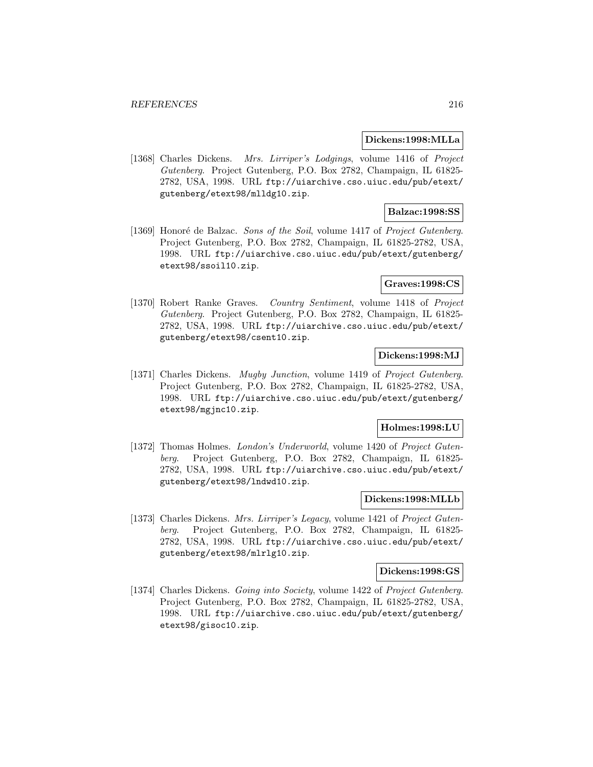#### **Dickens:1998:MLLa**

[1368] Charles Dickens. Mrs. Lirriper's Lodgings, volume 1416 of Project Gutenberg. Project Gutenberg, P.O. Box 2782, Champaign, IL 61825- 2782, USA, 1998. URL ftp://uiarchive.cso.uiuc.edu/pub/etext/ gutenberg/etext98/mlldg10.zip.

## **Balzac:1998:SS**

[1369] Honoré de Balzac. Sons of the Soil, volume 1417 of Project Gutenberg. Project Gutenberg, P.O. Box 2782, Champaign, IL 61825-2782, USA, 1998. URL ftp://uiarchive.cso.uiuc.edu/pub/etext/gutenberg/ etext98/ssoil10.zip.

### **Graves:1998:CS**

[1370] Robert Ranke Graves. Country Sentiment, volume 1418 of Project Gutenberg. Project Gutenberg, P.O. Box 2782, Champaign, IL 61825- 2782, USA, 1998. URL ftp://uiarchive.cso.uiuc.edu/pub/etext/ gutenberg/etext98/csent10.zip.

## **Dickens:1998:MJ**

[1371] Charles Dickens. Mugby Junction, volume 1419 of Project Gutenberg. Project Gutenberg, P.O. Box 2782, Champaign, IL 61825-2782, USA, 1998. URL ftp://uiarchive.cso.uiuc.edu/pub/etext/gutenberg/ etext98/mgjnc10.zip.

## **Holmes:1998:LU**

[1372] Thomas Holmes. *London's Underworld*, volume 1420 of *Project Guten*berg. Project Gutenberg, P.O. Box 2782, Champaign, IL 61825- 2782, USA, 1998. URL ftp://uiarchive.cso.uiuc.edu/pub/etext/ gutenberg/etext98/lndwd10.zip.

## **Dickens:1998:MLLb**

[1373] Charles Dickens. Mrs. Lirriper's Legacy, volume 1421 of Project Gutenberg. Project Gutenberg, P.O. Box 2782, Champaign, IL 61825- 2782, USA, 1998. URL ftp://uiarchive.cso.uiuc.edu/pub/etext/ gutenberg/etext98/mlrlg10.zip.

#### **Dickens:1998:GS**

[1374] Charles Dickens. Going into Society, volume 1422 of Project Gutenberg. Project Gutenberg, P.O. Box 2782, Champaign, IL 61825-2782, USA, 1998. URL ftp://uiarchive.cso.uiuc.edu/pub/etext/gutenberg/ etext98/gisoc10.zip.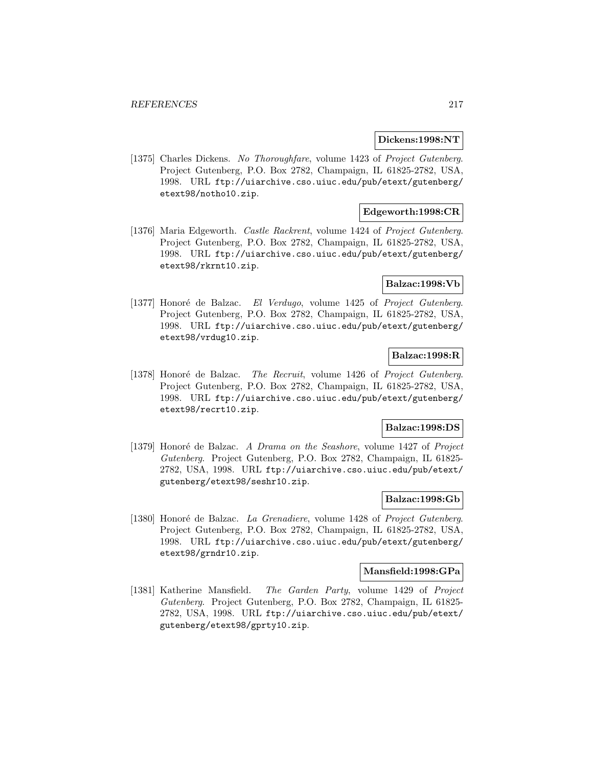### **Dickens:1998:NT**

[1375] Charles Dickens. No Thoroughfare, volume 1423 of Project Gutenberg. Project Gutenberg, P.O. Box 2782, Champaign, IL 61825-2782, USA, 1998. URL ftp://uiarchive.cso.uiuc.edu/pub/etext/gutenberg/ etext98/notho10.zip.

## **Edgeworth:1998:CR**

[1376] Maria Edgeworth. *Castle Rackrent*, volume 1424 of *Project Gutenberg*. Project Gutenberg, P.O. Box 2782, Champaign, IL 61825-2782, USA, 1998. URL ftp://uiarchive.cso.uiuc.edu/pub/etext/gutenberg/ etext98/rkrnt10.zip.

### **Balzac:1998:Vb**

[1377] Honoré de Balzac. El Verdugo, volume 1425 of Project Gutenberg. Project Gutenberg, P.O. Box 2782, Champaign, IL 61825-2782, USA, 1998. URL ftp://uiarchive.cso.uiuc.edu/pub/etext/gutenberg/ etext98/vrdug10.zip.

## **Balzac:1998:R**

[1378] Honoré de Balzac. The Recruit, volume 1426 of Project Gutenberg. Project Gutenberg, P.O. Box 2782, Champaign, IL 61825-2782, USA, 1998. URL ftp://uiarchive.cso.uiuc.edu/pub/etext/gutenberg/ etext98/recrt10.zip.

### **Balzac:1998:DS**

[1379] Honoré de Balzac. A Drama on the Seashore, volume 1427 of Project Gutenberg. Project Gutenberg, P.O. Box 2782, Champaign, IL 61825- 2782, USA, 1998. URL ftp://uiarchive.cso.uiuc.edu/pub/etext/ gutenberg/etext98/seshr10.zip.

## **Balzac:1998:Gb**

[1380] Honoré de Balzac. La Grenadiere, volume 1428 of Project Gutenberg. Project Gutenberg, P.O. Box 2782, Champaign, IL 61825-2782, USA, 1998. URL ftp://uiarchive.cso.uiuc.edu/pub/etext/gutenberg/ etext98/grndr10.zip.

#### **Mansfield:1998:GPa**

[1381] Katherine Mansfield. The Garden Party, volume 1429 of Project Gutenberg. Project Gutenberg, P.O. Box 2782, Champaign, IL 61825- 2782, USA, 1998. URL ftp://uiarchive.cso.uiuc.edu/pub/etext/ gutenberg/etext98/gprty10.zip.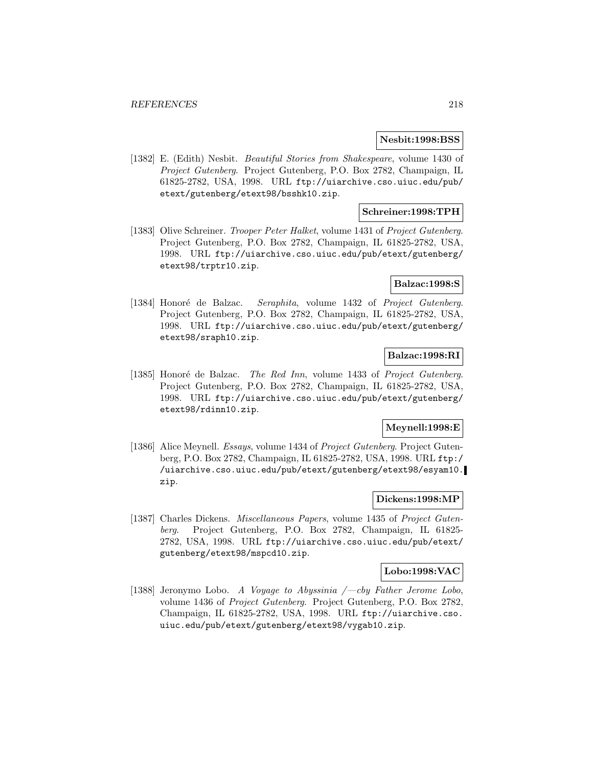### **Nesbit:1998:BSS**

[1382] E. (Edith) Nesbit. Beautiful Stories from Shakespeare, volume 1430 of Project Gutenberg. Project Gutenberg, P.O. Box 2782, Champaign, IL 61825-2782, USA, 1998. URL ftp://uiarchive.cso.uiuc.edu/pub/ etext/gutenberg/etext98/bsshk10.zip.

## **Schreiner:1998:TPH**

[1383] Olive Schreiner. *Trooper Peter Halket*, volume 1431 of *Project Gutenberg*. Project Gutenberg, P.O. Box 2782, Champaign, IL 61825-2782, USA, 1998. URL ftp://uiarchive.cso.uiuc.edu/pub/etext/gutenberg/ etext98/trptr10.zip.

## **Balzac:1998:S**

[1384] Honoré de Balzac. Seraphita, volume 1432 of Project Gutenberg. Project Gutenberg, P.O. Box 2782, Champaign, IL 61825-2782, USA, 1998. URL ftp://uiarchive.cso.uiuc.edu/pub/etext/gutenberg/ etext98/sraph10.zip.

## **Balzac:1998:RI**

[1385] Honoré de Balzac. The Red Inn, volume 1433 of Project Gutenberg. Project Gutenberg, P.O. Box 2782, Champaign, IL 61825-2782, USA, 1998. URL ftp://uiarchive.cso.uiuc.edu/pub/etext/gutenberg/ etext98/rdinn10.zip.

## **Meynell:1998:E**

[1386] Alice Meynell. *Essays*, volume 1434 of *Project Gutenberg*. Project Gutenberg, P.O. Box 2782, Champaign, IL 61825-2782, USA, 1998. URL ftp:/ /uiarchive.cso.uiuc.edu/pub/etext/gutenberg/etext98/esyam10. zip.

# **Dickens:1998:MP**

[1387] Charles Dickens. Miscellaneous Papers, volume 1435 of Project Gutenberg. Project Gutenberg, P.O. Box 2782, Champaign, IL 61825- 2782, USA, 1998. URL ftp://uiarchive.cso.uiuc.edu/pub/etext/ gutenberg/etext98/mspcd10.zip.

#### **Lobo:1998:VAC**

[1388] Jeronymo Lobo. A Voyage to Abyssinia  $\ell$ -cby Father Jerome Lobo, volume 1436 of Project Gutenberg. Project Gutenberg, P.O. Box 2782, Champaign, IL 61825-2782, USA, 1998. URL ftp://uiarchive.cso. uiuc.edu/pub/etext/gutenberg/etext98/vygab10.zip.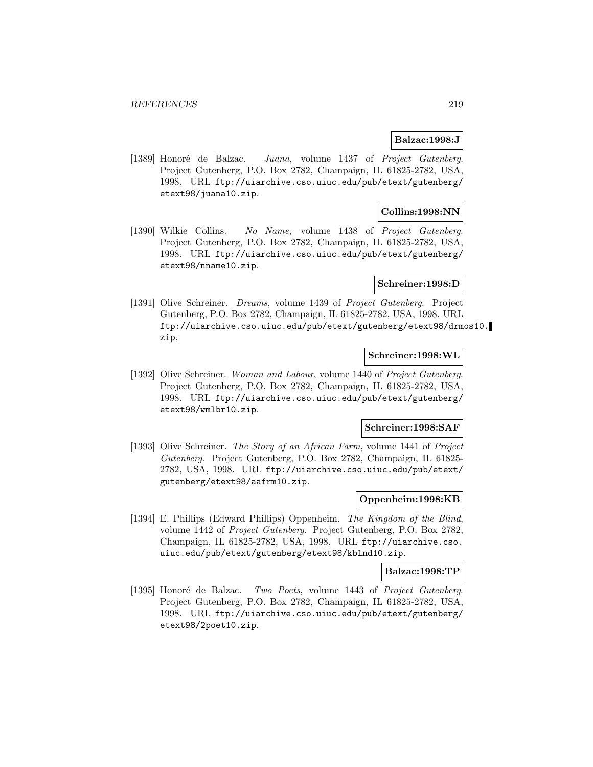## **Balzac:1998:J**

[1389] Honoré de Balzac. Juana, volume 1437 of Project Gutenberg. Project Gutenberg, P.O. Box 2782, Champaign, IL 61825-2782, USA, 1998. URL ftp://uiarchive.cso.uiuc.edu/pub/etext/gutenberg/ etext98/juana10.zip.

## **Collins:1998:NN**

[1390] Wilkie Collins. No Name, volume 1438 of Project Gutenberg. Project Gutenberg, P.O. Box 2782, Champaign, IL 61825-2782, USA, 1998. URL ftp://uiarchive.cso.uiuc.edu/pub/etext/gutenberg/ etext98/nname10.zip.

### **Schreiner:1998:D**

[1391] Olive Schreiner. *Dreams*, volume 1439 of *Project Gutenberg*. Project Gutenberg, P.O. Box 2782, Champaign, IL 61825-2782, USA, 1998. URL ftp://uiarchive.cso.uiuc.edu/pub/etext/gutenberg/etext98/drmos10. zip.

### **Schreiner:1998:WL**

[1392] Olive Schreiner. Woman and Labour, volume 1440 of Project Gutenberg. Project Gutenberg, P.O. Box 2782, Champaign, IL 61825-2782, USA, 1998. URL ftp://uiarchive.cso.uiuc.edu/pub/etext/gutenberg/ etext98/wmlbr10.zip.

### **Schreiner:1998:SAF**

[1393] Olive Schreiner. The Story of an African Farm, volume 1441 of Project Gutenberg. Project Gutenberg, P.O. Box 2782, Champaign, IL 61825- 2782, USA, 1998. URL ftp://uiarchive.cso.uiuc.edu/pub/etext/ gutenberg/etext98/aafrm10.zip.

## **Oppenheim:1998:KB**

[1394] E. Phillips (Edward Phillips) Oppenheim. The Kingdom of the Blind, volume 1442 of Project Gutenberg. Project Gutenberg, P.O. Box 2782, Champaign, IL 61825-2782, USA, 1998. URL ftp://uiarchive.cso. uiuc.edu/pub/etext/gutenberg/etext98/kblnd10.zip.

#### **Balzac:1998:TP**

[1395] Honoré de Balzac. Two Poets, volume 1443 of Project Gutenberg. Project Gutenberg, P.O. Box 2782, Champaign, IL 61825-2782, USA, 1998. URL ftp://uiarchive.cso.uiuc.edu/pub/etext/gutenberg/ etext98/2poet10.zip.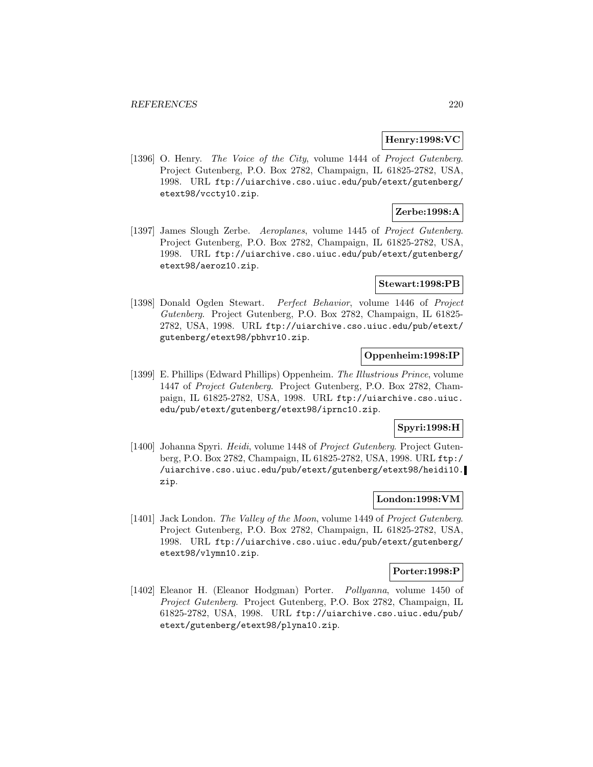### **Henry:1998:VC**

[1396] O. Henry. The Voice of the City, volume 1444 of Project Gutenberg. Project Gutenberg, P.O. Box 2782, Champaign, IL 61825-2782, USA, 1998. URL ftp://uiarchive.cso.uiuc.edu/pub/etext/gutenberg/ etext98/vccty10.zip.

# **Zerbe:1998:A**

[1397] James Slough Zerbe. Aeroplanes, volume 1445 of Project Gutenberg. Project Gutenberg, P.O. Box 2782, Champaign, IL 61825-2782, USA, 1998. URL ftp://uiarchive.cso.uiuc.edu/pub/etext/gutenberg/ etext98/aeroz10.zip.

### **Stewart:1998:PB**

[1398] Donald Ogden Stewart. Perfect Behavior, volume 1446 of Project Gutenberg. Project Gutenberg, P.O. Box 2782, Champaign, IL 61825- 2782, USA, 1998. URL ftp://uiarchive.cso.uiuc.edu/pub/etext/ gutenberg/etext98/pbhvr10.zip.

## **Oppenheim:1998:IP**

[1399] E. Phillips (Edward Phillips) Oppenheim. The Illustrious Prince, volume 1447 of Project Gutenberg. Project Gutenberg, P.O. Box 2782, Champaign, IL 61825-2782, USA, 1998. URL ftp://uiarchive.cso.uiuc. edu/pub/etext/gutenberg/etext98/iprnc10.zip.

# **Spyri:1998:H**

[1400] Johanna Spyri. Heidi, volume 1448 of Project Gutenberg. Project Gutenberg, P.O. Box 2782, Champaign, IL 61825-2782, USA, 1998. URL ftp:/ /uiarchive.cso.uiuc.edu/pub/etext/gutenberg/etext98/heidi10. zip.

# **London:1998:VM**

[1401] Jack London. The Valley of the Moon, volume 1449 of Project Gutenberg. Project Gutenberg, P.O. Box 2782, Champaign, IL 61825-2782, USA, 1998. URL ftp://uiarchive.cso.uiuc.edu/pub/etext/gutenberg/ etext98/vlymn10.zip.

#### **Porter:1998:P**

[1402] Eleanor H. (Eleanor Hodgman) Porter. Pollyanna, volume 1450 of Project Gutenberg. Project Gutenberg, P.O. Box 2782, Champaign, IL 61825-2782, USA, 1998. URL ftp://uiarchive.cso.uiuc.edu/pub/ etext/gutenberg/etext98/plyna10.zip.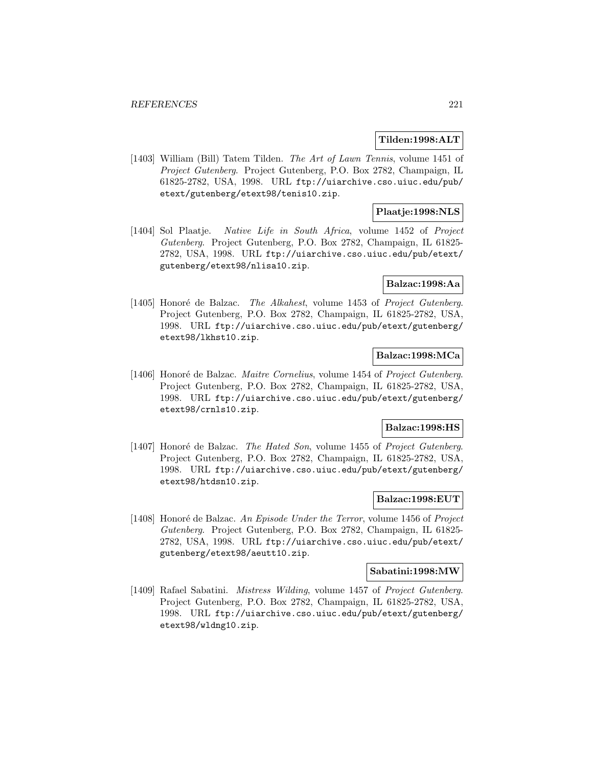## **Tilden:1998:ALT**

[1403] William (Bill) Tatem Tilden. The Art of Lawn Tennis, volume 1451 of Project Gutenberg. Project Gutenberg, P.O. Box 2782, Champaign, IL 61825-2782, USA, 1998. URL ftp://uiarchive.cso.uiuc.edu/pub/ etext/gutenberg/etext98/tenis10.zip.

# **Plaatje:1998:NLS**

[1404] Sol Plaatje. Native Life in South Africa, volume 1452 of Project Gutenberg. Project Gutenberg, P.O. Box 2782, Champaign, IL 61825- 2782, USA, 1998. URL ftp://uiarchive.cso.uiuc.edu/pub/etext/ gutenberg/etext98/nlisa10.zip.

## **Balzac:1998:Aa**

[1405] Honoré de Balzac. The Alkahest, volume 1453 of Project Gutenberg. Project Gutenberg, P.O. Box 2782, Champaign, IL 61825-2782, USA, 1998. URL ftp://uiarchive.cso.uiuc.edu/pub/etext/gutenberg/ etext98/lkhst10.zip.

## **Balzac:1998:MCa**

[1406] Honoré de Balzac. Maitre Cornelius, volume 1454 of Project Gutenberg. Project Gutenberg, P.O. Box 2782, Champaign, IL 61825-2782, USA, 1998. URL ftp://uiarchive.cso.uiuc.edu/pub/etext/gutenberg/ etext98/crnls10.zip.

#### **Balzac:1998:HS**

[1407] Honoré de Balzac. The Hated Son, volume 1455 of Project Gutenberg. Project Gutenberg, P.O. Box 2782, Champaign, IL 61825-2782, USA, 1998. URL ftp://uiarchive.cso.uiuc.edu/pub/etext/gutenberg/ etext98/htdsn10.zip.

# **Balzac:1998:EUT**

[1408] Honoré de Balzac. An Episode Under the Terror, volume 1456 of Project Gutenberg. Project Gutenberg, P.O. Box 2782, Champaign, IL 61825- 2782, USA, 1998. URL ftp://uiarchive.cso.uiuc.edu/pub/etext/ gutenberg/etext98/aeutt10.zip.

#### **Sabatini:1998:MW**

[1409] Rafael Sabatini. *Mistress Wilding*, volume 1457 of *Project Gutenberg*. Project Gutenberg, P.O. Box 2782, Champaign, IL 61825-2782, USA, 1998. URL ftp://uiarchive.cso.uiuc.edu/pub/etext/gutenberg/ etext98/wldng10.zip.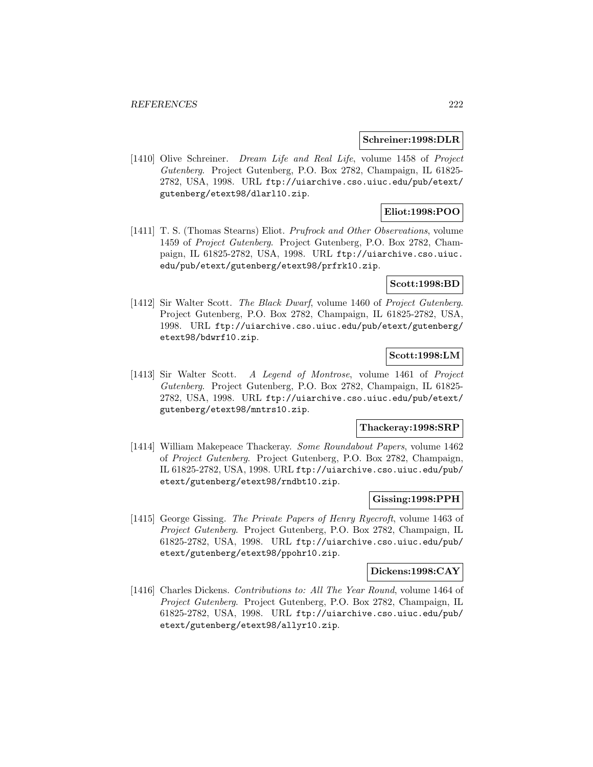#### **Schreiner:1998:DLR**

[1410] Olive Schreiner. Dream Life and Real Life, volume 1458 of Project Gutenberg. Project Gutenberg, P.O. Box 2782, Champaign, IL 61825- 2782, USA, 1998. URL ftp://uiarchive.cso.uiuc.edu/pub/etext/ gutenberg/etext98/dlarl10.zip.

# **Eliot:1998:POO**

[1411] T. S. (Thomas Stearns) Eliot. Prufrock and Other Observations, volume 1459 of Project Gutenberg. Project Gutenberg, P.O. Box 2782, Champaign, IL 61825-2782, USA, 1998. URL ftp://uiarchive.cso.uiuc. edu/pub/etext/gutenberg/etext98/prfrk10.zip.

## **Scott:1998:BD**

[1412] Sir Walter Scott. The Black Dwarf, volume 1460 of Project Gutenberg. Project Gutenberg, P.O. Box 2782, Champaign, IL 61825-2782, USA, 1998. URL ftp://uiarchive.cso.uiuc.edu/pub/etext/gutenberg/ etext98/bdwrf10.zip.

## **Scott:1998:LM**

[1413] Sir Walter Scott. A Legend of Montrose, volume 1461 of Project Gutenberg. Project Gutenberg, P.O. Box 2782, Champaign, IL 61825- 2782, USA, 1998. URL ftp://uiarchive.cso.uiuc.edu/pub/etext/ gutenberg/etext98/mntrs10.zip.

### **Thackeray:1998:SRP**

[1414] William Makepeace Thackeray. Some Roundabout Papers, volume 1462 of Project Gutenberg. Project Gutenberg, P.O. Box 2782, Champaign, IL 61825-2782, USA, 1998. URL ftp://uiarchive.cso.uiuc.edu/pub/ etext/gutenberg/etext98/rndbt10.zip.

## **Gissing:1998:PPH**

[1415] George Gissing. The Private Papers of Henry Ryecroft, volume 1463 of Project Gutenberg. Project Gutenberg, P.O. Box 2782, Champaign, IL 61825-2782, USA, 1998. URL ftp://uiarchive.cso.uiuc.edu/pub/ etext/gutenberg/etext98/ppohr10.zip.

#### **Dickens:1998:CAY**

[1416] Charles Dickens. Contributions to: All The Year Round, volume 1464 of Project Gutenberg. Project Gutenberg, P.O. Box 2782, Champaign, IL 61825-2782, USA, 1998. URL ftp://uiarchive.cso.uiuc.edu/pub/ etext/gutenberg/etext98/allyr10.zip.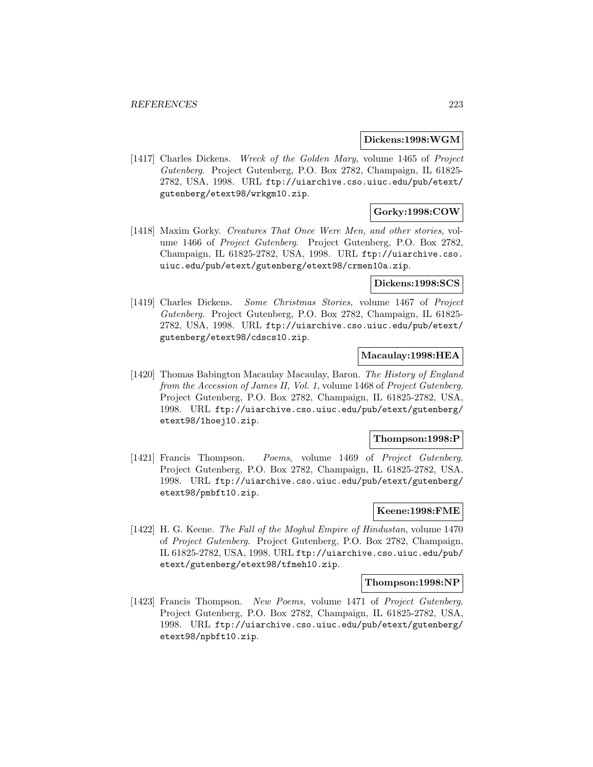#### **Dickens:1998:WGM**

[1417] Charles Dickens. Wreck of the Golden Mary, volume 1465 of Project Gutenberg. Project Gutenberg, P.O. Box 2782, Champaign, IL 61825- 2782, USA, 1998. URL ftp://uiarchive.cso.uiuc.edu/pub/etext/ gutenberg/etext98/wrkgm10.zip.

# **Gorky:1998:COW**

[1418] Maxim Gorky. Creatures That Once Were Men, and other stories, volume 1466 of Project Gutenberg. Project Gutenberg, P.O. Box 2782, Champaign, IL 61825-2782, USA, 1998. URL ftp://uiarchive.cso. uiuc.edu/pub/etext/gutenberg/etext98/crmen10a.zip.

### **Dickens:1998:SCS**

[1419] Charles Dickens. Some Christmas Stories, volume 1467 of Project Gutenberg. Project Gutenberg, P.O. Box 2782, Champaign, IL 61825- 2782, USA, 1998. URL ftp://uiarchive.cso.uiuc.edu/pub/etext/ gutenberg/etext98/cdscs10.zip.

## **Macaulay:1998:HEA**

[1420] Thomas Babington Macaulay Macaulay, Baron. The History of England from the Accession of James II, Vol. 1, volume 1468 of Project Gutenberg. Project Gutenberg, P.O. Box 2782, Champaign, IL 61825-2782, USA, 1998. URL ftp://uiarchive.cso.uiuc.edu/pub/etext/gutenberg/ etext98/1hoej10.zip.

#### **Thompson:1998:P**

[1421] Francis Thompson. Poems, volume 1469 of Project Gutenberg. Project Gutenberg, P.O. Box 2782, Champaign, IL 61825-2782, USA, 1998. URL ftp://uiarchive.cso.uiuc.edu/pub/etext/gutenberg/ etext98/pmbft10.zip.

# **Keene:1998:FME**

[1422] H. G. Keene. The Fall of the Moghul Empire of Hindustan, volume 1470 of Project Gutenberg. Project Gutenberg, P.O. Box 2782, Champaign, IL 61825-2782, USA, 1998. URL ftp://uiarchive.cso.uiuc.edu/pub/ etext/gutenberg/etext98/tfmeh10.zip.

#### **Thompson:1998:NP**

[1423] Francis Thompson. New Poems, volume 1471 of Project Gutenberg. Project Gutenberg, P.O. Box 2782, Champaign, IL 61825-2782, USA, 1998. URL ftp://uiarchive.cso.uiuc.edu/pub/etext/gutenberg/ etext98/npbft10.zip.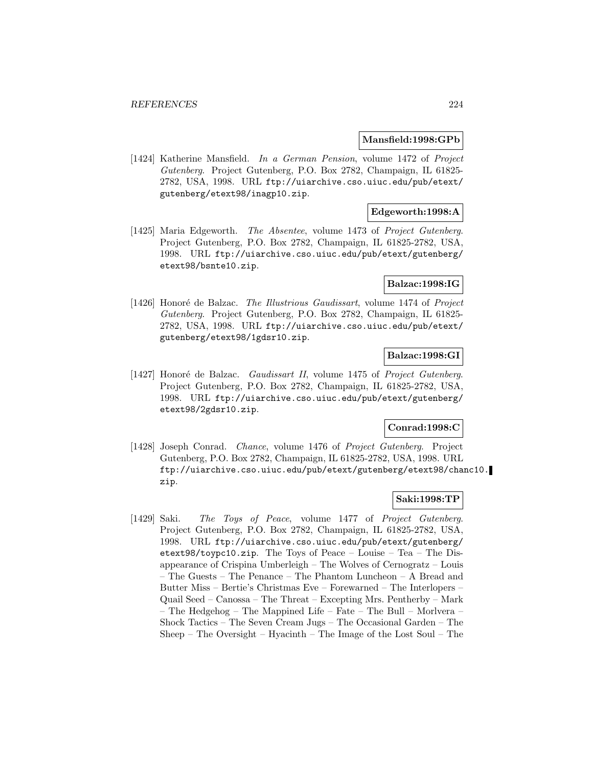#### **Mansfield:1998:GPb**

[1424] Katherine Mansfield. In a German Pension, volume 1472 of Project Gutenberg. Project Gutenberg, P.O. Box 2782, Champaign, IL 61825- 2782, USA, 1998. URL ftp://uiarchive.cso.uiuc.edu/pub/etext/ gutenberg/etext98/inagp10.zip.

## **Edgeworth:1998:A**

[1425] Maria Edgeworth. The Absentee, volume 1473 of Project Gutenberg. Project Gutenberg, P.O. Box 2782, Champaign, IL 61825-2782, USA, 1998. URL ftp://uiarchive.cso.uiuc.edu/pub/etext/gutenberg/ etext98/bsnte10.zip.

## **Balzac:1998:IG**

[1426] Honoré de Balzac. The Illustrious Gaudissart, volume 1474 of Project Gutenberg. Project Gutenberg, P.O. Box 2782, Champaign, IL 61825- 2782, USA, 1998. URL ftp://uiarchive.cso.uiuc.edu/pub/etext/ gutenberg/etext98/1gdsr10.zip.

## **Balzac:1998:GI**

[1427] Honoré de Balzac. Gaudissart II, volume 1475 of Project Gutenberg. Project Gutenberg, P.O. Box 2782, Champaign, IL 61825-2782, USA, 1998. URL ftp://uiarchive.cso.uiuc.edu/pub/etext/gutenberg/ etext98/2gdsr10.zip.

### **Conrad:1998:C**

[1428] Joseph Conrad. Chance, volume 1476 of Project Gutenberg. Project Gutenberg, P.O. Box 2782, Champaign, IL 61825-2782, USA, 1998. URL ftp://uiarchive.cso.uiuc.edu/pub/etext/gutenberg/etext98/chanc10. zip.

## **Saki:1998:TP**

[1429] Saki. The Toys of Peace, volume 1477 of Project Gutenberg. Project Gutenberg, P.O. Box 2782, Champaign, IL 61825-2782, USA, 1998. URL ftp://uiarchive.cso.uiuc.edu/pub/etext/gutenberg/ etext98/toypc10.zip. The Toys of Peace – Louise – Tea – The Disappearance of Crispina Umberleigh – The Wolves of Cernogratz – Louis – The Guests – The Penance – The Phantom Luncheon – A Bread and Butter Miss – Bertie's Christmas Eve – Forewarned – The Interlopers – Quail Seed – Canossa – The Threat – Excepting Mrs. Pentherby – Mark – The Hedgehog – The Mappined Life – Fate – The Bull – Morlvera – Shock Tactics – The Seven Cream Jugs – The Occasional Garden – The Sheep – The Oversight – Hyacinth – The Image of the Lost Soul – The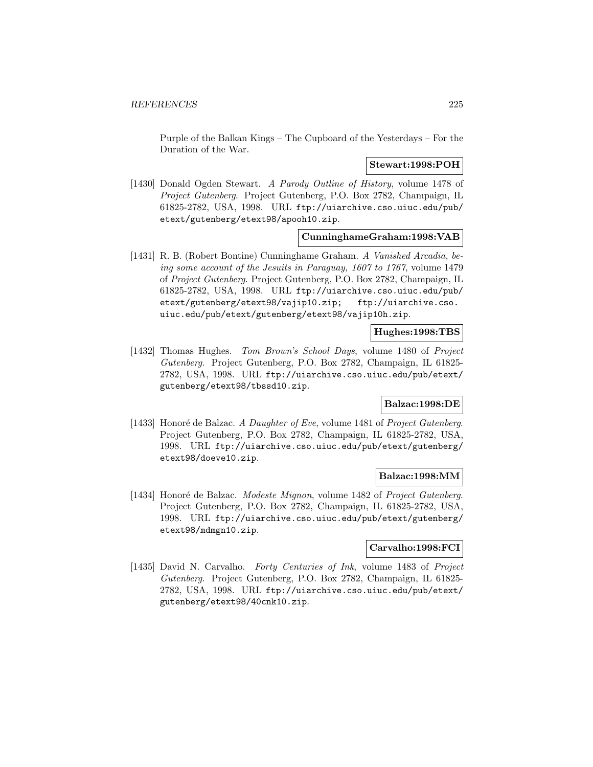Purple of the Balkan Kings – The Cupboard of the Yesterdays – For the Duration of the War.

## **Stewart:1998:POH**

[1430] Donald Ogden Stewart. A Parody Outline of History, volume 1478 of Project Gutenberg. Project Gutenberg, P.O. Box 2782, Champaign, IL 61825-2782, USA, 1998. URL ftp://uiarchive.cso.uiuc.edu/pub/ etext/gutenberg/etext98/apooh10.zip.

#### **CunninghameGraham:1998:VAB**

[1431] R. B. (Robert Bontine) Cunninghame Graham. A Vanished Arcadia, being some account of the Jesuits in Paraguay, 1607 to 1767, volume 1479 of Project Gutenberg. Project Gutenberg, P.O. Box 2782, Champaign, IL 61825-2782, USA, 1998. URL ftp://uiarchive.cso.uiuc.edu/pub/ etext/gutenberg/etext98/vajip10.zip; ftp://uiarchive.cso. uiuc.edu/pub/etext/gutenberg/etext98/vajip10h.zip.

## **Hughes:1998:TBS**

[1432] Thomas Hughes. Tom Brown's School Days, volume 1480 of Project Gutenberg. Project Gutenberg, P.O. Box 2782, Champaign, IL 61825- 2782, USA, 1998. URL ftp://uiarchive.cso.uiuc.edu/pub/etext/ gutenberg/etext98/tbssd10.zip.

## **Balzac:1998:DE**

[1433] Honoré de Balzac. A Daughter of Eve, volume 1481 of Project Gutenberg. Project Gutenberg, P.O. Box 2782, Champaign, IL 61825-2782, USA, 1998. URL ftp://uiarchive.cso.uiuc.edu/pub/etext/gutenberg/ etext98/doeve10.zip.

#### **Balzac:1998:MM**

[1434] Honoré de Balzac. Modeste Mignon, volume 1482 of Project Gutenberg. Project Gutenberg, P.O. Box 2782, Champaign, IL 61825-2782, USA, 1998. URL ftp://uiarchive.cso.uiuc.edu/pub/etext/gutenberg/ etext98/mdmgn10.zip.

# **Carvalho:1998:FCI**

[1435] David N. Carvalho. Forty Centuries of Ink, volume 1483 of Project Gutenberg. Project Gutenberg, P.O. Box 2782, Champaign, IL 61825- 2782, USA, 1998. URL ftp://uiarchive.cso.uiuc.edu/pub/etext/ gutenberg/etext98/40cnk10.zip.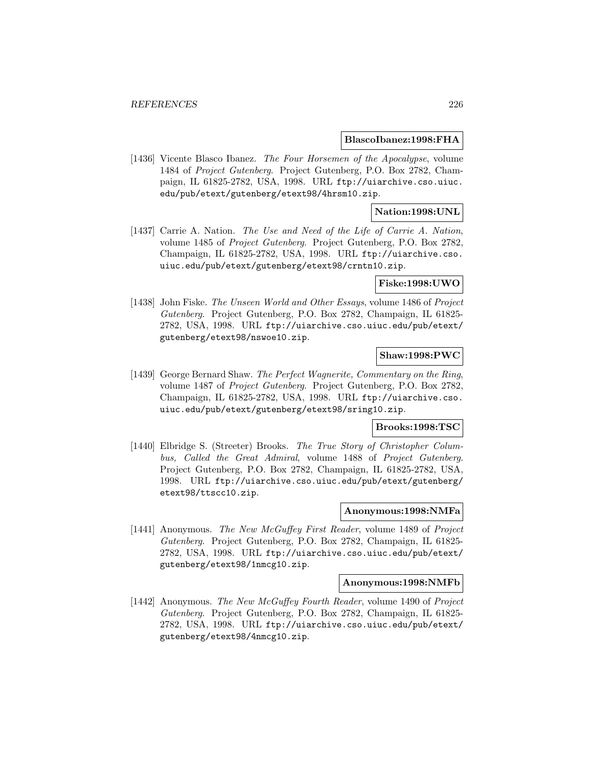#### **BlascoIbanez:1998:FHA**

[1436] Vicente Blasco Ibanez. The Four Horsemen of the Apocalypse, volume 1484 of Project Gutenberg. Project Gutenberg, P.O. Box 2782, Champaign, IL 61825-2782, USA, 1998. URL ftp://uiarchive.cso.uiuc. edu/pub/etext/gutenberg/etext98/4hrsm10.zip.

## **Nation:1998:UNL**

[1437] Carrie A. Nation. The Use and Need of the Life of Carrie A. Nation, volume 1485 of Project Gutenberg. Project Gutenberg, P.O. Box 2782, Champaign, IL 61825-2782, USA, 1998. URL ftp://uiarchive.cso. uiuc.edu/pub/etext/gutenberg/etext98/crntn10.zip.

### **Fiske:1998:UWO**

[1438] John Fiske. The Unseen World and Other Essays, volume 1486 of Project Gutenberg. Project Gutenberg, P.O. Box 2782, Champaign, IL 61825- 2782, USA, 1998. URL ftp://uiarchive.cso.uiuc.edu/pub/etext/ gutenberg/etext98/nswoe10.zip.

## **Shaw:1998:PWC**

[1439] George Bernard Shaw. The Perfect Wagnerite, Commentary on the Ring, volume 1487 of Project Gutenberg. Project Gutenberg, P.O. Box 2782, Champaign, IL 61825-2782, USA, 1998. URL ftp://uiarchive.cso. uiuc.edu/pub/etext/gutenberg/etext98/sring10.zip.

### **Brooks:1998:TSC**

[1440] Elbridge S. (Streeter) Brooks. The True Story of Christopher Columbus, Called the Great Admiral, volume 1488 of Project Gutenberg. Project Gutenberg, P.O. Box 2782, Champaign, IL 61825-2782, USA, 1998. URL ftp://uiarchive.cso.uiuc.edu/pub/etext/gutenberg/ etext98/ttscc10.zip.

# **Anonymous:1998:NMFa**

[1441] Anonymous. The New McGuffey First Reader, volume 1489 of Project Gutenberg. Project Gutenberg, P.O. Box 2782, Champaign, IL 61825- 2782, USA, 1998. URL ftp://uiarchive.cso.uiuc.edu/pub/etext/ gutenberg/etext98/1nmcg10.zip.

#### **Anonymous:1998:NMFb**

[1442] Anonymous. The New McGuffey Fourth Reader, volume 1490 of Project Gutenberg. Project Gutenberg, P.O. Box 2782, Champaign, IL 61825- 2782, USA, 1998. URL ftp://uiarchive.cso.uiuc.edu/pub/etext/ gutenberg/etext98/4nmcg10.zip.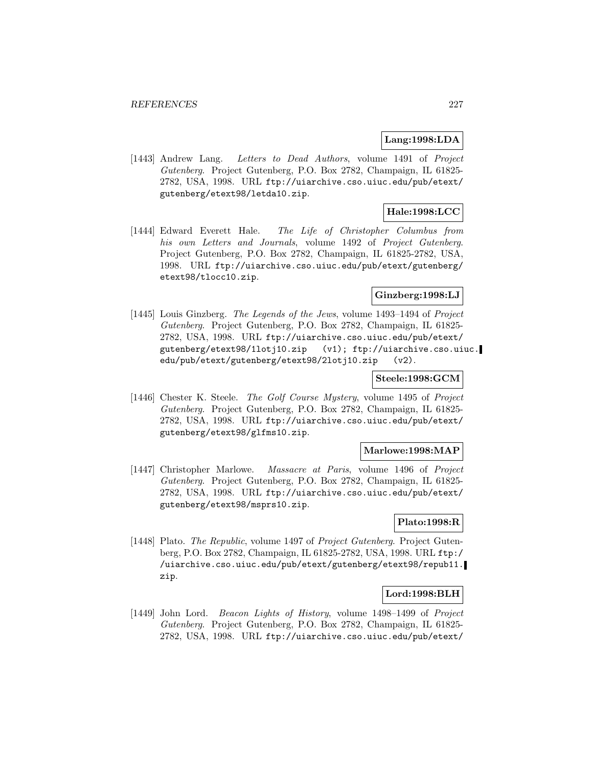### **Lang:1998:LDA**

[1443] Andrew Lang. Letters to Dead Authors, volume 1491 of Project Gutenberg. Project Gutenberg, P.O. Box 2782, Champaign, IL 61825- 2782, USA, 1998. URL ftp://uiarchive.cso.uiuc.edu/pub/etext/ gutenberg/etext98/letda10.zip.

## **Hale:1998:LCC**

[1444] Edward Everett Hale. The Life of Christopher Columbus from his own Letters and Journals, volume 1492 of Project Gutenberg. Project Gutenberg, P.O. Box 2782, Champaign, IL 61825-2782, USA, 1998. URL ftp://uiarchive.cso.uiuc.edu/pub/etext/gutenberg/ etext98/tlocc10.zip.

# **Ginzberg:1998:LJ**

[1445] Louis Ginzberg. The Legends of the Jews, volume 1493–1494 of Project Gutenberg. Project Gutenberg, P.O. Box 2782, Champaign, IL 61825- 2782, USA, 1998. URL ftp://uiarchive.cso.uiuc.edu/pub/etext/ gutenberg/etext98/1lotj10.zip (v1); ftp://uiarchive.cso.uiuc. edu/pub/etext/gutenberg/etext98/2lotj10.zip (v2).

## **Steele:1998:GCM**

[1446] Chester K. Steele. The Golf Course Mystery, volume 1495 of Project Gutenberg. Project Gutenberg, P.O. Box 2782, Champaign, IL 61825- 2782, USA, 1998. URL ftp://uiarchive.cso.uiuc.edu/pub/etext/ gutenberg/etext98/glfms10.zip.

## **Marlowe:1998:MAP**

[1447] Christopher Marlowe. Massacre at Paris, volume 1496 of Project Gutenberg. Project Gutenberg, P.O. Box 2782, Champaign, IL 61825- 2782, USA, 1998. URL ftp://uiarchive.cso.uiuc.edu/pub/etext/ gutenberg/etext98/msprs10.zip.

# **Plato:1998:R**

[1448] Plato. The Republic, volume 1497 of Project Gutenberg. Project Gutenberg, P.O. Box 2782, Champaign, IL 61825-2782, USA, 1998. URL ftp:/ /uiarchive.cso.uiuc.edu/pub/etext/gutenberg/etext98/repub11. zip.

# **Lord:1998:BLH**

[1449] John Lord. Beacon Lights of History, volume 1498–1499 of Project Gutenberg. Project Gutenberg, P.O. Box 2782, Champaign, IL 61825- 2782, USA, 1998. URL ftp://uiarchive.cso.uiuc.edu/pub/etext/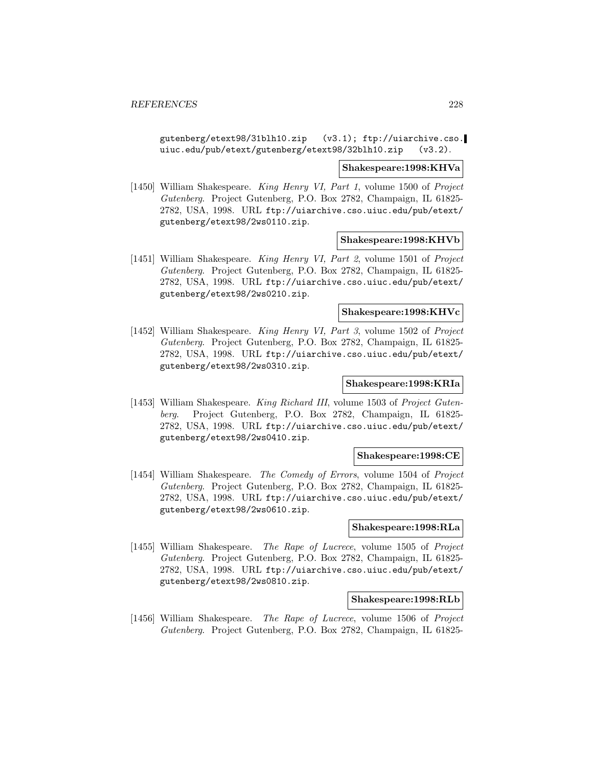gutenberg/etext98/31blh10.zip (v3.1); ftp://uiarchive.cso. uiuc.edu/pub/etext/gutenberg/etext98/32blh10.zip (v3.2).

#### **Shakespeare:1998:KHVa**

[1450] William Shakespeare. King Henry VI, Part 1, volume 1500 of Project Gutenberg. Project Gutenberg, P.O. Box 2782, Champaign, IL 61825- 2782, USA, 1998. URL ftp://uiarchive.cso.uiuc.edu/pub/etext/ gutenberg/etext98/2ws0110.zip.

### **Shakespeare:1998:KHVb**

[1451] William Shakespeare. King Henry VI, Part 2, volume 1501 of Project Gutenberg. Project Gutenberg, P.O. Box 2782, Champaign, IL 61825- 2782, USA, 1998. URL ftp://uiarchive.cso.uiuc.edu/pub/etext/ gutenberg/etext98/2ws0210.zip.

### **Shakespeare:1998:KHVc**

[1452] William Shakespeare. King Henry VI, Part 3, volume 1502 of Project Gutenberg. Project Gutenberg, P.O. Box 2782, Champaign, IL 61825- 2782, USA, 1998. URL ftp://uiarchive.cso.uiuc.edu/pub/etext/ gutenberg/etext98/2ws0310.zip.

# **Shakespeare:1998:KRIa**

[1453] William Shakespeare. King Richard III, volume 1503 of Project Gutenberg. Project Gutenberg, P.O. Box 2782, Champaign, IL 61825- 2782, USA, 1998. URL ftp://uiarchive.cso.uiuc.edu/pub/etext/ gutenberg/etext98/2ws0410.zip.

### **Shakespeare:1998:CE**

[1454] William Shakespeare. The Comedy of Errors, volume 1504 of Project Gutenberg. Project Gutenberg, P.O. Box 2782, Champaign, IL 61825- 2782, USA, 1998. URL ftp://uiarchive.cso.uiuc.edu/pub/etext/ gutenberg/etext98/2ws0610.zip.

## **Shakespeare:1998:RLa**

[1455] William Shakespeare. The Rape of Lucrece, volume 1505 of Project Gutenberg. Project Gutenberg, P.O. Box 2782, Champaign, IL 61825- 2782, USA, 1998. URL ftp://uiarchive.cso.uiuc.edu/pub/etext/ gutenberg/etext98/2ws0810.zip.

# **Shakespeare:1998:RLb**

[1456] William Shakespeare. The Rape of Lucrece, volume 1506 of Project Gutenberg. Project Gutenberg, P.O. Box 2782, Champaign, IL 61825-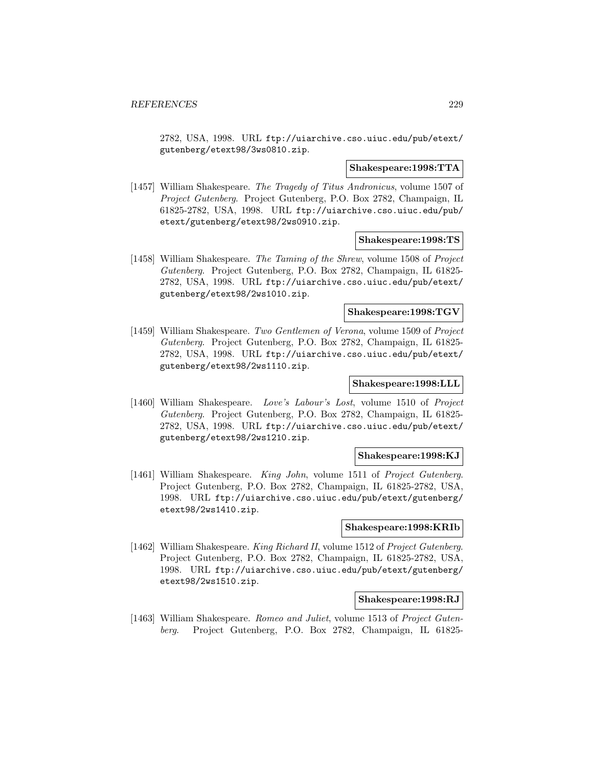2782, USA, 1998. URL ftp://uiarchive.cso.uiuc.edu/pub/etext/ gutenberg/etext98/3ws0810.zip.

### **Shakespeare:1998:TTA**

[1457] William Shakespeare. The Tragedy of Titus Andronicus, volume 1507 of Project Gutenberg. Project Gutenberg, P.O. Box 2782, Champaign, IL 61825-2782, USA, 1998. URL ftp://uiarchive.cso.uiuc.edu/pub/ etext/gutenberg/etext98/2ws0910.zip.

### **Shakespeare:1998:TS**

[1458] William Shakespeare. The Taming of the Shrew, volume 1508 of Project Gutenberg. Project Gutenberg, P.O. Box 2782, Champaign, IL 61825- 2782, USA, 1998. URL ftp://uiarchive.cso.uiuc.edu/pub/etext/ gutenberg/etext98/2ws1010.zip.

## **Shakespeare:1998:TGV**

[1459] William Shakespeare. Two Gentlemen of Verona, volume 1509 of Project Gutenberg. Project Gutenberg, P.O. Box 2782, Champaign, IL 61825- 2782, USA, 1998. URL ftp://uiarchive.cso.uiuc.edu/pub/etext/ gutenberg/etext98/2ws1110.zip.

# **Shakespeare:1998:LLL**

[1460] William Shakespeare. Love's Labour's Lost, volume 1510 of Project Gutenberg. Project Gutenberg, P.O. Box 2782, Champaign, IL 61825- 2782, USA, 1998. URL ftp://uiarchive.cso.uiuc.edu/pub/etext/ gutenberg/etext98/2ws1210.zip.

#### **Shakespeare:1998:KJ**

[1461] William Shakespeare. King John, volume 1511 of Project Gutenberg. Project Gutenberg, P.O. Box 2782, Champaign, IL 61825-2782, USA, 1998. URL ftp://uiarchive.cso.uiuc.edu/pub/etext/gutenberg/ etext98/2ws1410.zip.

## **Shakespeare:1998:KRIb**

[1462] William Shakespeare. King Richard II, volume 1512 of Project Gutenberg. Project Gutenberg, P.O. Box 2782, Champaign, IL 61825-2782, USA, 1998. URL ftp://uiarchive.cso.uiuc.edu/pub/etext/gutenberg/ etext98/2ws1510.zip.

#### **Shakespeare:1998:RJ**

[1463] William Shakespeare. Romeo and Juliet, volume 1513 of Project Gutenberg. Project Gutenberg, P.O. Box 2782, Champaign, IL 61825-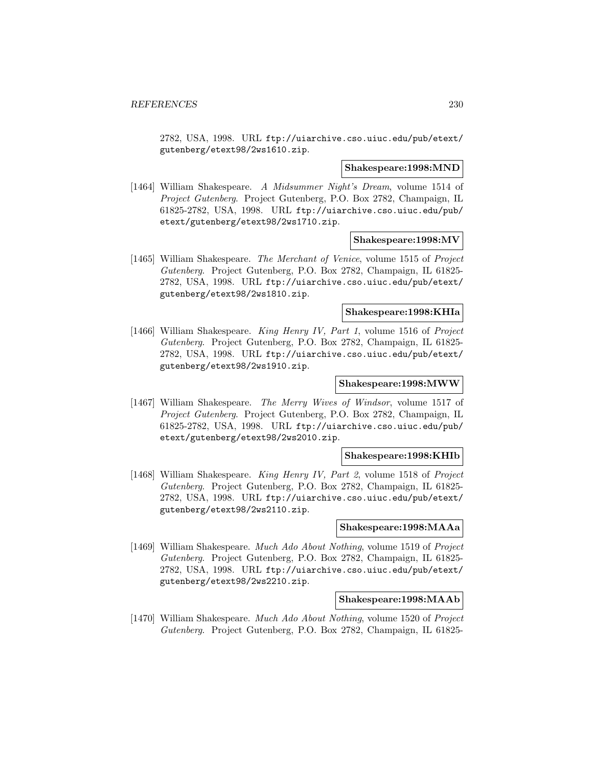2782, USA, 1998. URL ftp://uiarchive.cso.uiuc.edu/pub/etext/ gutenberg/etext98/2ws1610.zip.

#### **Shakespeare:1998:MND**

[1464] William Shakespeare. A Midsummer Night's Dream, volume 1514 of Project Gutenberg. Project Gutenberg, P.O. Box 2782, Champaign, IL 61825-2782, USA, 1998. URL ftp://uiarchive.cso.uiuc.edu/pub/ etext/gutenberg/etext98/2ws1710.zip.

### **Shakespeare:1998:MV**

[1465] William Shakespeare. The Merchant of Venice, volume 1515 of Project Gutenberg. Project Gutenberg, P.O. Box 2782, Champaign, IL 61825- 2782, USA, 1998. URL ftp://uiarchive.cso.uiuc.edu/pub/etext/ gutenberg/etext98/2ws1810.zip.

## **Shakespeare:1998:KHIa**

[1466] William Shakespeare. King Henry IV, Part 1, volume 1516 of Project Gutenberg. Project Gutenberg, P.O. Box 2782, Champaign, IL 61825- 2782, USA, 1998. URL ftp://uiarchive.cso.uiuc.edu/pub/etext/ gutenberg/etext98/2ws1910.zip.

# **Shakespeare:1998:MWW**

[1467] William Shakespeare. The Merry Wives of Windsor, volume 1517 of Project Gutenberg. Project Gutenberg, P.O. Box 2782, Champaign, IL 61825-2782, USA, 1998. URL ftp://uiarchive.cso.uiuc.edu/pub/ etext/gutenberg/etext98/2ws2010.zip.

# **Shakespeare:1998:KHIb**

[1468] William Shakespeare. King Henry IV, Part 2, volume 1518 of Project Gutenberg. Project Gutenberg, P.O. Box 2782, Champaign, IL 61825- 2782, USA, 1998. URL ftp://uiarchive.cso.uiuc.edu/pub/etext/ gutenberg/etext98/2ws2110.zip.

## **Shakespeare:1998:MAAa**

[1469] William Shakespeare. Much Ado About Nothing, volume 1519 of Project Gutenberg. Project Gutenberg, P.O. Box 2782, Champaign, IL 61825- 2782, USA, 1998. URL ftp://uiarchive.cso.uiuc.edu/pub/etext/ gutenberg/etext98/2ws2210.zip.

#### **Shakespeare:1998:MAAb**

[1470] William Shakespeare. Much Ado About Nothing, volume 1520 of Project Gutenberg. Project Gutenberg, P.O. Box 2782, Champaign, IL 61825-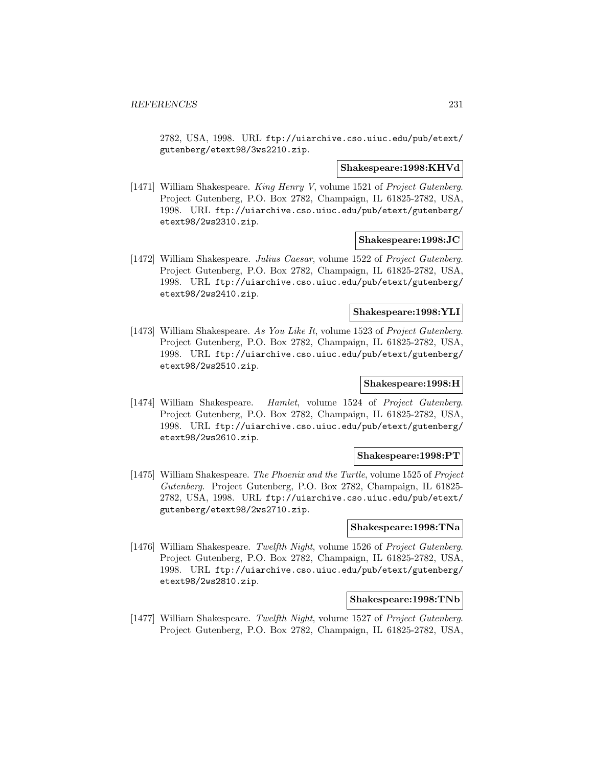2782, USA, 1998. URL ftp://uiarchive.cso.uiuc.edu/pub/etext/ gutenberg/etext98/3ws2210.zip.

#### **Shakespeare:1998:KHVd**

[1471] William Shakespeare. King Henry V, volume 1521 of Project Gutenberg. Project Gutenberg, P.O. Box 2782, Champaign, IL 61825-2782, USA, 1998. URL ftp://uiarchive.cso.uiuc.edu/pub/etext/gutenberg/ etext98/2ws2310.zip.

## **Shakespeare:1998:JC**

[1472] William Shakespeare. Julius Caesar, volume 1522 of Project Gutenberg. Project Gutenberg, P.O. Box 2782, Champaign, IL 61825-2782, USA, 1998. URL ftp://uiarchive.cso.uiuc.edu/pub/etext/gutenberg/ etext98/2ws2410.zip.

# **Shakespeare:1998:YLI**

[1473] William Shakespeare. As You Like It, volume 1523 of Project Gutenberg. Project Gutenberg, P.O. Box 2782, Champaign, IL 61825-2782, USA, 1998. URL ftp://uiarchive.cso.uiuc.edu/pub/etext/gutenberg/ etext98/2ws2510.zip.

# **Shakespeare:1998:H**

[1474] William Shakespeare. Hamlet, volume 1524 of Project Gutenberg. Project Gutenberg, P.O. Box 2782, Champaign, IL 61825-2782, USA, 1998. URL ftp://uiarchive.cso.uiuc.edu/pub/etext/gutenberg/ etext98/2ws2610.zip.

### **Shakespeare:1998:PT**

[1475] William Shakespeare. The Phoenix and the Turtle, volume 1525 of Project Gutenberg. Project Gutenberg, P.O. Box 2782, Champaign, IL 61825- 2782, USA, 1998. URL ftp://uiarchive.cso.uiuc.edu/pub/etext/ gutenberg/etext98/2ws2710.zip.

## **Shakespeare:1998:TNa**

[1476] William Shakespeare. Twelfth Night, volume 1526 of Project Gutenberg. Project Gutenberg, P.O. Box 2782, Champaign, IL 61825-2782, USA, 1998. URL ftp://uiarchive.cso.uiuc.edu/pub/etext/gutenberg/ etext98/2ws2810.zip.

# **Shakespeare:1998:TNb**

[1477] William Shakespeare. Twelfth Night, volume 1527 of Project Gutenberg. Project Gutenberg, P.O. Box 2782, Champaign, IL 61825-2782, USA,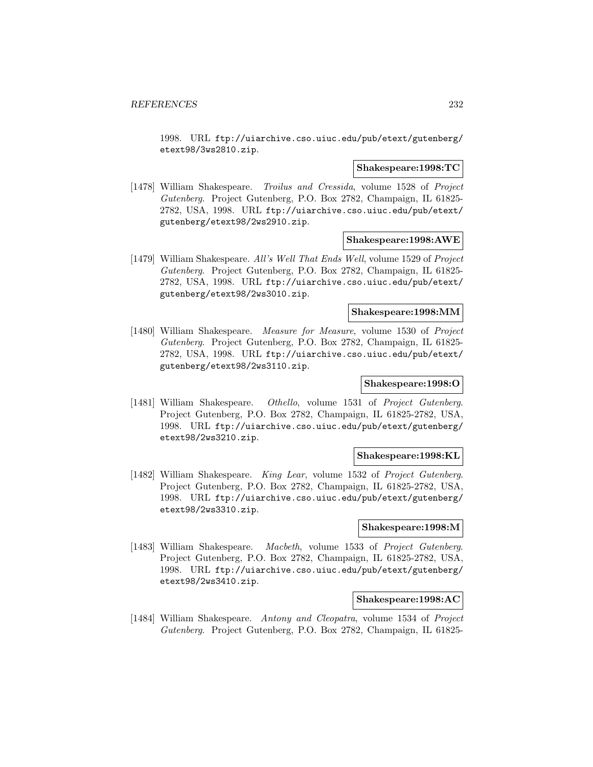1998. URL ftp://uiarchive.cso.uiuc.edu/pub/etext/gutenberg/ etext98/3ws2810.zip.

#### **Shakespeare:1998:TC**

[1478] William Shakespeare. Troilus and Cressida, volume 1528 of Project Gutenberg. Project Gutenberg, P.O. Box 2782, Champaign, IL 61825- 2782, USA, 1998. URL ftp://uiarchive.cso.uiuc.edu/pub/etext/ gutenberg/etext98/2ws2910.zip.

## **Shakespeare:1998:AWE**

[1479] William Shakespeare. All's Well That Ends Well, volume 1529 of Project Gutenberg. Project Gutenberg, P.O. Box 2782, Champaign, IL 61825- 2782, USA, 1998. URL ftp://uiarchive.cso.uiuc.edu/pub/etext/ gutenberg/etext98/2ws3010.zip.

## **Shakespeare:1998:MM**

[1480] William Shakespeare. Measure for Measure, volume 1530 of Project Gutenberg. Project Gutenberg, P.O. Box 2782, Champaign, IL 61825- 2782, USA, 1998. URL ftp://uiarchive.cso.uiuc.edu/pub/etext/ gutenberg/etext98/2ws3110.zip.

# **Shakespeare:1998:O**

[1481] William Shakespeare. Othello, volume 1531 of Project Gutenberg. Project Gutenberg, P.O. Box 2782, Champaign, IL 61825-2782, USA, 1998. URL ftp://uiarchive.cso.uiuc.edu/pub/etext/gutenberg/ etext98/2ws3210.zip.

### **Shakespeare:1998:KL**

[1482] William Shakespeare. King Lear, volume 1532 of Project Gutenberg. Project Gutenberg, P.O. Box 2782, Champaign, IL 61825-2782, USA, 1998. URL ftp://uiarchive.cso.uiuc.edu/pub/etext/gutenberg/ etext98/2ws3310.zip.

## **Shakespeare:1998:M**

[1483] William Shakespeare. Macbeth, volume 1533 of Project Gutenberg. Project Gutenberg, P.O. Box 2782, Champaign, IL 61825-2782, USA, 1998. URL ftp://uiarchive.cso.uiuc.edu/pub/etext/gutenberg/ etext98/2ws3410.zip.

#### **Shakespeare:1998:AC**

[1484] William Shakespeare. Antony and Cleopatra, volume 1534 of Project Gutenberg. Project Gutenberg, P.O. Box 2782, Champaign, IL 61825-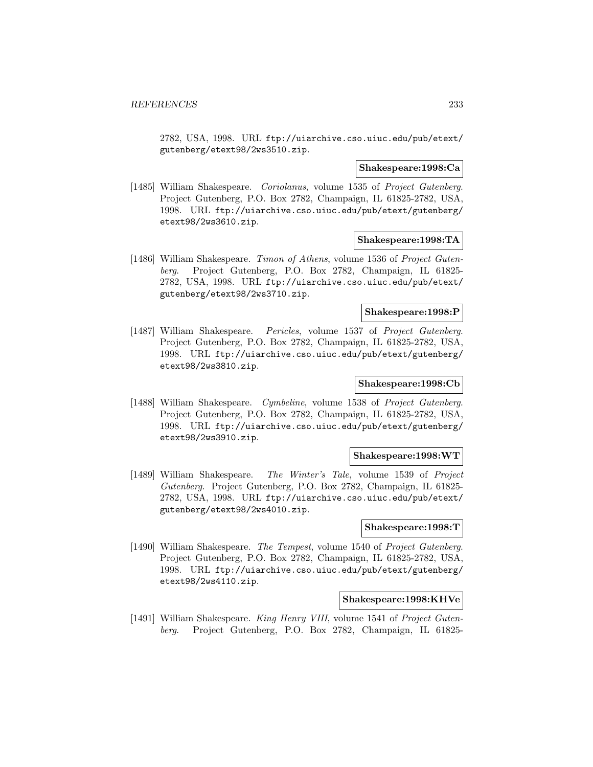2782, USA, 1998. URL ftp://uiarchive.cso.uiuc.edu/pub/etext/ gutenberg/etext98/2ws3510.zip.

### **Shakespeare:1998:Ca**

[1485] William Shakespeare. *Coriolanus*, volume 1535 of *Project Gutenberg*. Project Gutenberg, P.O. Box 2782, Champaign, IL 61825-2782, USA, 1998. URL ftp://uiarchive.cso.uiuc.edu/pub/etext/gutenberg/ etext98/2ws3610.zip.

## **Shakespeare:1998:TA**

[1486] William Shakespeare. Timon of Athens, volume 1536 of Project Gutenberg. Project Gutenberg, P.O. Box 2782, Champaign, IL 61825- 2782, USA, 1998. URL ftp://uiarchive.cso.uiuc.edu/pub/etext/ gutenberg/etext98/2ws3710.zip.

## **Shakespeare:1998:P**

[1487] William Shakespeare. Pericles, volume 1537 of Project Gutenberg. Project Gutenberg, P.O. Box 2782, Champaign, IL 61825-2782, USA, 1998. URL ftp://uiarchive.cso.uiuc.edu/pub/etext/gutenberg/ etext98/2ws3810.zip.

# **Shakespeare:1998:Cb**

[1488] William Shakespeare. Cymbeline, volume 1538 of Project Gutenberg. Project Gutenberg, P.O. Box 2782, Champaign, IL 61825-2782, USA, 1998. URL ftp://uiarchive.cso.uiuc.edu/pub/etext/gutenberg/ etext98/2ws3910.zip.

### **Shakespeare:1998:WT**

[1489] William Shakespeare. The Winter's Tale, volume 1539 of Project Gutenberg. Project Gutenberg, P.O. Box 2782, Champaign, IL 61825- 2782, USA, 1998. URL ftp://uiarchive.cso.uiuc.edu/pub/etext/ gutenberg/etext98/2ws4010.zip.

## **Shakespeare:1998:T**

[1490] William Shakespeare. The Tempest, volume 1540 of Project Gutenberg. Project Gutenberg, P.O. Box 2782, Champaign, IL 61825-2782, USA, 1998. URL ftp://uiarchive.cso.uiuc.edu/pub/etext/gutenberg/ etext98/2ws4110.zip.

# **Shakespeare:1998:KHVe**

[1491] William Shakespeare. King Henry VIII, volume 1541 of Project Gutenberg. Project Gutenberg, P.O. Box 2782, Champaign, IL 61825-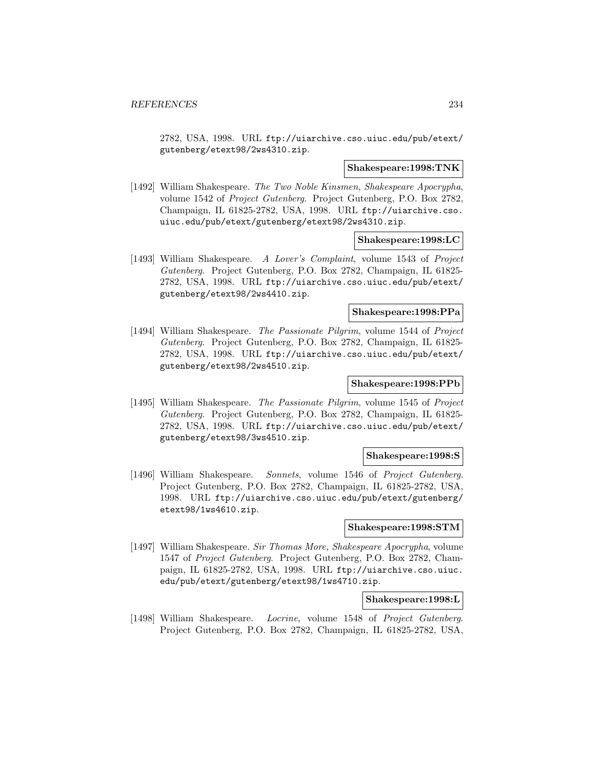2782, USA, 1998. URL ftp://uiarchive.cso.uiuc.edu/pub/etext/ gutenberg/etext98/2ws4310.zip.

#### **Shakespeare:1998:TNK**

[1492] William Shakespeare. The Two Noble Kinsmen, Shakespeare Apocrypha, volume 1542 of Project Gutenberg. Project Gutenberg, P.O. Box 2782, Champaign, IL 61825-2782, USA, 1998. URL ftp://uiarchive.cso. uiuc.edu/pub/etext/gutenberg/etext98/2ws4310.zip.

### **Shakespeare:1998:LC**

[1493] William Shakespeare. A Lover's Complaint, volume 1543 of Project Gutenberg. Project Gutenberg, P.O. Box 2782, Champaign, IL 61825- 2782, USA, 1998. URL ftp://uiarchive.cso.uiuc.edu/pub/etext/ gutenberg/etext98/2ws4410.zip.

## **Shakespeare:1998:PPa**

[1494] William Shakespeare. The Passionate Pilgrim, volume 1544 of Project Gutenberg. Project Gutenberg, P.O. Box 2782, Champaign, IL 61825- 2782, USA, 1998. URL ftp://uiarchive.cso.uiuc.edu/pub/etext/ gutenberg/etext98/2ws4510.zip.

# **Shakespeare:1998:PPb**

[1495] William Shakespeare. The Passionate Pilgrim, volume 1545 of Project Gutenberg. Project Gutenberg, P.O. Box 2782, Champaign, IL 61825- 2782, USA, 1998. URL ftp://uiarchive.cso.uiuc.edu/pub/etext/ gutenberg/etext98/3ws4510.zip.

#### **Shakespeare:1998:S**

[1496] William Shakespeare. Sonnets, volume 1546 of Project Gutenberg. Project Gutenberg, P.O. Box 2782, Champaign, IL 61825-2782, USA, 1998. URL ftp://uiarchive.cso.uiuc.edu/pub/etext/gutenberg/ etext98/1ws4610.zip.

## **Shakespeare:1998:STM**

[1497] William Shakespeare. Sir Thomas More, Shakespeare Apocrypha, volume 1547 of Project Gutenberg. Project Gutenberg, P.O. Box 2782, Champaign, IL 61825-2782, USA, 1998. URL ftp://uiarchive.cso.uiuc. edu/pub/etext/gutenberg/etext98/1ws4710.zip.

#### **Shakespeare:1998:L**

[1498] William Shakespeare. Locrine, volume 1548 of Project Gutenberg. Project Gutenberg, P.O. Box 2782, Champaign, IL 61825-2782, USA,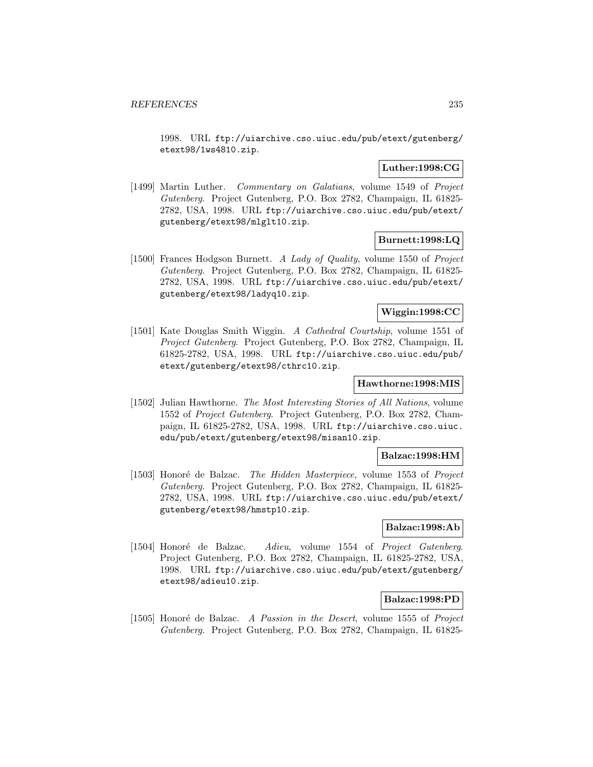1998. URL ftp://uiarchive.cso.uiuc.edu/pub/etext/gutenberg/ etext98/1ws4810.zip.

# **Luther:1998:CG**

[1499] Martin Luther. Commentary on Galatians, volume 1549 of Project Gutenberg. Project Gutenberg, P.O. Box 2782, Champaign, IL 61825- 2782, USA, 1998. URL ftp://uiarchive.cso.uiuc.edu/pub/etext/ gutenberg/etext98/mlglt10.zip.

## **Burnett:1998:LQ**

[1500] Frances Hodgson Burnett. A Lady of Quality, volume 1550 of Project Gutenberg. Project Gutenberg, P.O. Box 2782, Champaign, IL 61825- 2782, USA, 1998. URL ftp://uiarchive.cso.uiuc.edu/pub/etext/ gutenberg/etext98/ladyq10.zip.

# **Wiggin:1998:CC**

[1501] Kate Douglas Smith Wiggin. A Cathedral Courtship, volume 1551 of Project Gutenberg. Project Gutenberg, P.O. Box 2782, Champaign, IL 61825-2782, USA, 1998. URL ftp://uiarchive.cso.uiuc.edu/pub/ etext/gutenberg/etext98/cthrc10.zip.

## **Hawthorne:1998:MIS**

[1502] Julian Hawthorne. The Most Interesting Stories of All Nations, volume 1552 of Project Gutenberg. Project Gutenberg, P.O. Box 2782, Champaign, IL 61825-2782, USA, 1998. URL ftp://uiarchive.cso.uiuc. edu/pub/etext/gutenberg/etext98/misan10.zip.

## **Balzac:1998:HM**

[1503] Honoré de Balzac. The Hidden Masterpiece, volume 1553 of Project Gutenberg. Project Gutenberg, P.O. Box 2782, Champaign, IL 61825- 2782, USA, 1998. URL ftp://uiarchive.cso.uiuc.edu/pub/etext/ gutenberg/etext98/hmstp10.zip.

# **Balzac:1998:Ab**

[1504] Honoré de Balzac. Adieu, volume 1554 of Project Gutenberg. Project Gutenberg, P.O. Box 2782, Champaign, IL 61825-2782, USA, 1998. URL ftp://uiarchive.cso.uiuc.edu/pub/etext/gutenberg/ etext98/adieu10.zip.

## **Balzac:1998:PD**

[1505] Honoré de Balzac. A Passion in the Desert, volume 1555 of Project Gutenberg. Project Gutenberg, P.O. Box 2782, Champaign, IL 61825-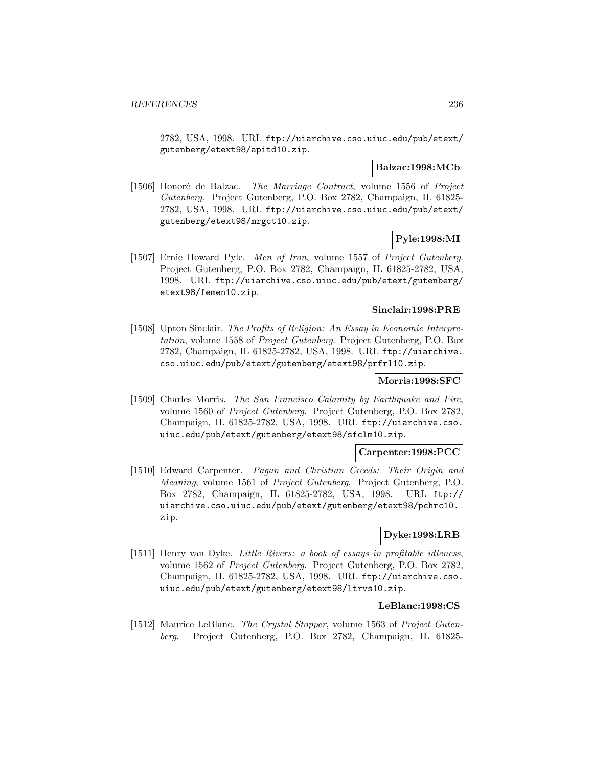2782, USA, 1998. URL ftp://uiarchive.cso.uiuc.edu/pub/etext/ gutenberg/etext98/apitd10.zip.

## **Balzac:1998:MCb**

[1506] Honoré de Balzac. *The Marriage Contract*, volume 1556 of *Project* Gutenberg. Project Gutenberg, P.O. Box 2782, Champaign, IL 61825- 2782, USA, 1998. URL ftp://uiarchive.cso.uiuc.edu/pub/etext/ gutenberg/etext98/mrgct10.zip.

# **Pyle:1998:MI**

[1507] Ernie Howard Pyle. Men of Iron, volume 1557 of Project Gutenberg. Project Gutenberg, P.O. Box 2782, Champaign, IL 61825-2782, USA, 1998. URL ftp://uiarchive.cso.uiuc.edu/pub/etext/gutenberg/ etext98/femen10.zip.

## **Sinclair:1998:PRE**

[1508] Upton Sinclair. The Profits of Religion: An Essay in Economic Interpretation, volume 1558 of Project Gutenberg. Project Gutenberg, P.O. Box 2782, Champaign, IL 61825-2782, USA, 1998. URL ftp://uiarchive. cso.uiuc.edu/pub/etext/gutenberg/etext98/prfrl10.zip.

# **Morris:1998:SFC**

[1509] Charles Morris. The San Francisco Calamity by Earthquake and Fire, volume 1560 of Project Gutenberg. Project Gutenberg, P.O. Box 2782, Champaign, IL 61825-2782, USA, 1998. URL ftp://uiarchive.cso. uiuc.edu/pub/etext/gutenberg/etext98/sfclm10.zip.

### **Carpenter:1998:PCC**

[1510] Edward Carpenter. Pagan and Christian Creeds: Their Origin and Meaning, volume 1561 of Project Gutenberg. Project Gutenberg, P.O. Box 2782, Champaign, IL 61825-2782, USA, 1998. URL ftp:// uiarchive.cso.uiuc.edu/pub/etext/gutenberg/etext98/pchrc10. zip.

# **Dyke:1998:LRB**

[1511] Henry van Dyke. Little Rivers: a book of essays in profitable idleness, volume 1562 of Project Gutenberg. Project Gutenberg, P.O. Box 2782, Champaign, IL 61825-2782, USA, 1998. URL ftp://uiarchive.cso. uiuc.edu/pub/etext/gutenberg/etext98/ltrvs10.zip.

# **LeBlanc:1998:CS**

[1512] Maurice LeBlanc. The Crystal Stopper, volume 1563 of Project Gutenberg. Project Gutenberg, P.O. Box 2782, Champaign, IL 61825-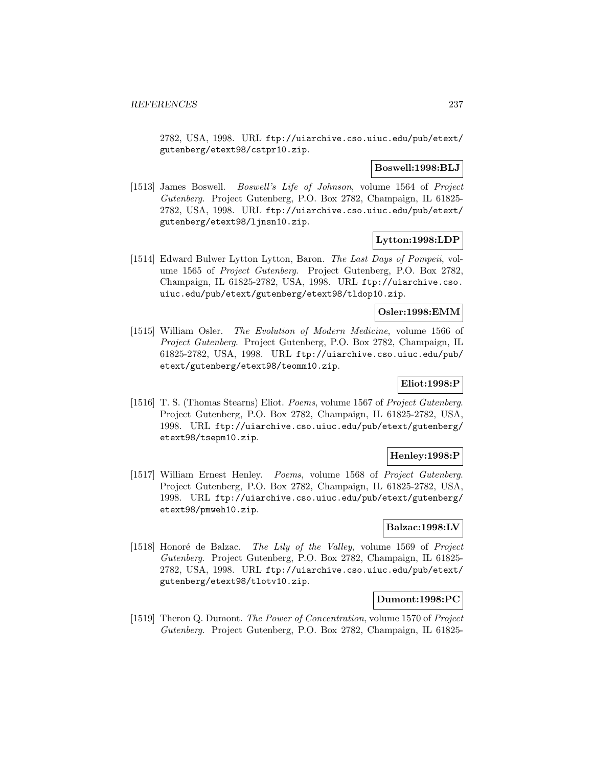2782, USA, 1998. URL ftp://uiarchive.cso.uiuc.edu/pub/etext/ gutenberg/etext98/cstpr10.zip.

## **Boswell:1998:BLJ**

[1513] James Boswell. Boswell's Life of Johnson, volume 1564 of Project Gutenberg. Project Gutenberg, P.O. Box 2782, Champaign, IL 61825- 2782, USA, 1998. URL ftp://uiarchive.cso.uiuc.edu/pub/etext/ gutenberg/etext98/ljnsn10.zip.

## **Lytton:1998:LDP**

[1514] Edward Bulwer Lytton Lytton, Baron. The Last Days of Pompeii, volume 1565 of Project Gutenberg. Project Gutenberg, P.O. Box 2782, Champaign, IL 61825-2782, USA, 1998. URL ftp://uiarchive.cso. uiuc.edu/pub/etext/gutenberg/etext98/tldop10.zip.

## **Osler:1998:EMM**

[1515] William Osler. The Evolution of Modern Medicine, volume 1566 of Project Gutenberg. Project Gutenberg, P.O. Box 2782, Champaign, IL 61825-2782, USA, 1998. URL ftp://uiarchive.cso.uiuc.edu/pub/ etext/gutenberg/etext98/teomm10.zip.

# **Eliot:1998:P**

[1516] T. S. (Thomas Stearns) Eliot. Poems, volume 1567 of Project Gutenberg. Project Gutenberg, P.O. Box 2782, Champaign, IL 61825-2782, USA, 1998. URL ftp://uiarchive.cso.uiuc.edu/pub/etext/gutenberg/ etext98/tsepm10.zip.

## **Henley:1998:P**

[1517] William Ernest Henley. Poems, volume 1568 of Project Gutenberg. Project Gutenberg, P.O. Box 2782, Champaign, IL 61825-2782, USA, 1998. URL ftp://uiarchive.cso.uiuc.edu/pub/etext/gutenberg/ etext98/pmweh10.zip.

## **Balzac:1998:LV**

[1518] Honoré de Balzac. The Lily of the Valley, volume 1569 of Project Gutenberg. Project Gutenberg, P.O. Box 2782, Champaign, IL 61825- 2782, USA, 1998. URL ftp://uiarchive.cso.uiuc.edu/pub/etext/ gutenberg/etext98/tlotv10.zip.

## **Dumont:1998:PC**

[1519] Theron Q. Dumont. The Power of Concentration, volume 1570 of Project Gutenberg. Project Gutenberg, P.O. Box 2782, Champaign, IL 61825-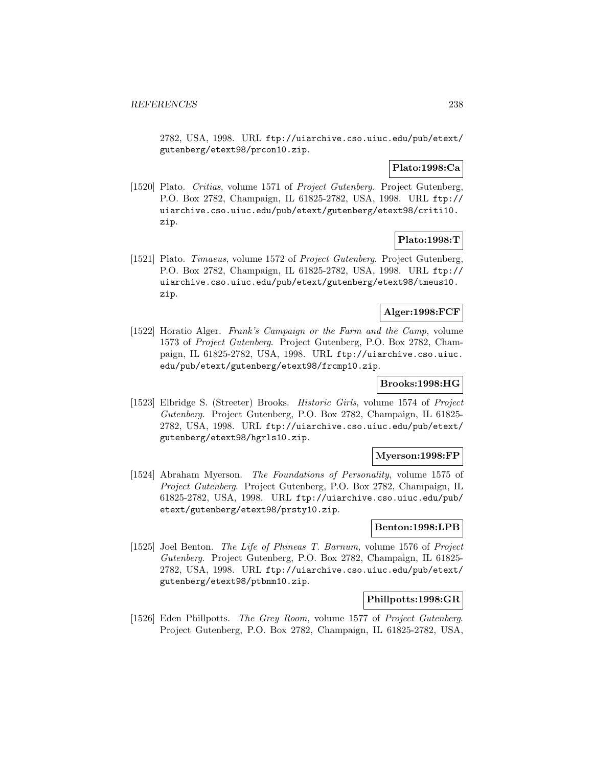2782, USA, 1998. URL ftp://uiarchive.cso.uiuc.edu/pub/etext/ gutenberg/etext98/prcon10.zip.

# **Plato:1998:Ca**

[1520] Plato. Critias, volume 1571 of Project Gutenberg. Project Gutenberg, P.O. Box 2782, Champaign, IL 61825-2782, USA, 1998. URL ftp:// uiarchive.cso.uiuc.edu/pub/etext/gutenberg/etext98/criti10. zip.

## **Plato:1998:T**

[1521] Plato. Timaeus, volume 1572 of Project Gutenberg. Project Gutenberg, P.O. Box 2782, Champaign, IL 61825-2782, USA, 1998. URL ftp:// uiarchive.cso.uiuc.edu/pub/etext/gutenberg/etext98/tmeus10. zip.

## **Alger:1998:FCF**

[1522] Horatio Alger. Frank's Campaign or the Farm and the Camp, volume 1573 of Project Gutenberg. Project Gutenberg, P.O. Box 2782, Champaign, IL 61825-2782, USA, 1998. URL ftp://uiarchive.cso.uiuc. edu/pub/etext/gutenberg/etext98/frcmp10.zip.

# **Brooks:1998:HG**

[1523] Elbridge S. (Streeter) Brooks. Historic Girls, volume 1574 of Project Gutenberg. Project Gutenberg, P.O. Box 2782, Champaign, IL 61825- 2782, USA, 1998. URL ftp://uiarchive.cso.uiuc.edu/pub/etext/ gutenberg/etext98/hgrls10.zip.

## **Myerson:1998:FP**

[1524] Abraham Myerson. The Foundations of Personality, volume 1575 of Project Gutenberg. Project Gutenberg, P.O. Box 2782, Champaign, IL 61825-2782, USA, 1998. URL ftp://uiarchive.cso.uiuc.edu/pub/ etext/gutenberg/etext98/prsty10.zip.

## **Benton:1998:LPB**

[1525] Joel Benton. The Life of Phineas T. Barnum, volume 1576 of Project Gutenberg. Project Gutenberg, P.O. Box 2782, Champaign, IL 61825- 2782, USA, 1998. URL ftp://uiarchive.cso.uiuc.edu/pub/etext/ gutenberg/etext98/ptbnm10.zip.

# **Phillpotts:1998:GR**

[1526] Eden Phillpotts. The Grey Room, volume 1577 of Project Gutenberg. Project Gutenberg, P.O. Box 2782, Champaign, IL 61825-2782, USA,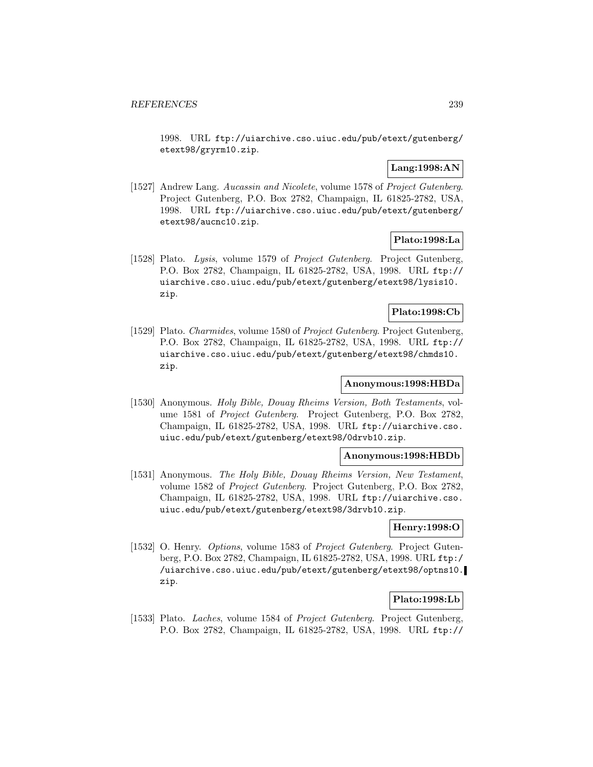1998. URL ftp://uiarchive.cso.uiuc.edu/pub/etext/gutenberg/ etext98/gryrm10.zip.

# **Lang:1998:AN**

[1527] Andrew Lang. Aucassin and Nicolete, volume 1578 of Project Gutenberg. Project Gutenberg, P.O. Box 2782, Champaign, IL 61825-2782, USA, 1998. URL ftp://uiarchive.cso.uiuc.edu/pub/etext/gutenberg/ etext98/aucnc10.zip.

# **Plato:1998:La**

[1528] Plato. Lysis, volume 1579 of Project Gutenberg. Project Gutenberg, P.O. Box 2782, Champaign, IL 61825-2782, USA, 1998. URL ftp:// uiarchive.cso.uiuc.edu/pub/etext/gutenberg/etext98/lysis10. zip.

## **Plato:1998:Cb**

[1529] Plato. Charmides, volume 1580 of Project Gutenberg. Project Gutenberg, P.O. Box 2782, Champaign, IL 61825-2782, USA, 1998. URL ftp:// uiarchive.cso.uiuc.edu/pub/etext/gutenberg/etext98/chmds10. zip.

# **Anonymous:1998:HBDa**

[1530] Anonymous. Holy Bible, Douay Rheims Version, Both Testaments, volume 1581 of Project Gutenberg. Project Gutenberg, P.O. Box 2782, Champaign, IL 61825-2782, USA, 1998. URL ftp://uiarchive.cso. uiuc.edu/pub/etext/gutenberg/etext98/0drvb10.zip.

## **Anonymous:1998:HBDb**

[1531] Anonymous. The Holy Bible, Douay Rheims Version, New Testament, volume 1582 of Project Gutenberg. Project Gutenberg, P.O. Box 2782, Champaign, IL 61825-2782, USA, 1998. URL ftp://uiarchive.cso. uiuc.edu/pub/etext/gutenberg/etext98/3drvb10.zip.

## **Henry:1998:O**

[1532] O. Henry. *Options*, volume 1583 of *Project Gutenberg*. Project Gutenberg, P.O. Box 2782, Champaign, IL 61825-2782, USA, 1998. URL ftp:/ /uiarchive.cso.uiuc.edu/pub/etext/gutenberg/etext98/optns10. zip.

## **Plato:1998:Lb**

[1533] Plato. *Laches*, volume 1584 of *Project Gutenberg*. Project Gutenberg, P.O. Box 2782, Champaign, IL 61825-2782, USA, 1998. URL ftp://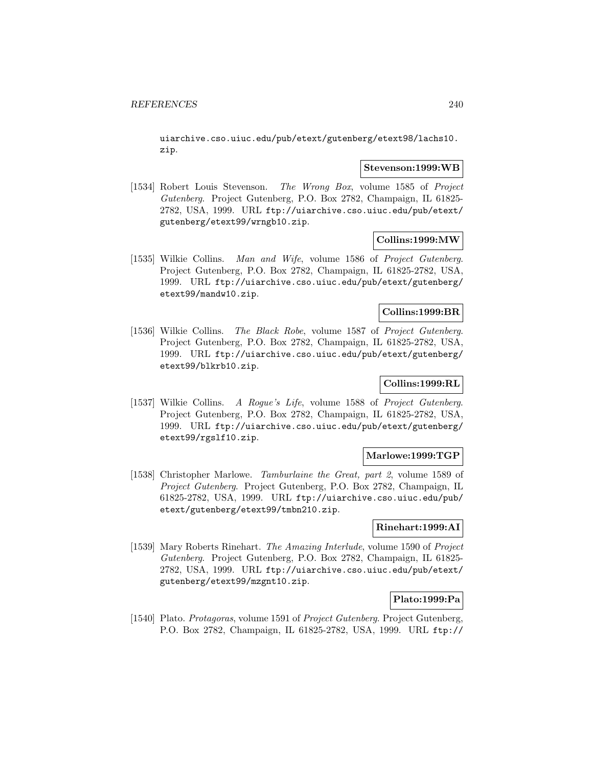uiarchive.cso.uiuc.edu/pub/etext/gutenberg/etext98/lachs10. zip.

### **Stevenson:1999:WB**

[1534] Robert Louis Stevenson. The Wrong Box, volume 1585 of Project Gutenberg. Project Gutenberg, P.O. Box 2782, Champaign, IL 61825- 2782, USA, 1999. URL ftp://uiarchive.cso.uiuc.edu/pub/etext/ gutenberg/etext99/wrngb10.zip.

## **Collins:1999:MW**

[1535] Wilkie Collins. Man and Wife, volume 1586 of Project Gutenberg. Project Gutenberg, P.O. Box 2782, Champaign, IL 61825-2782, USA, 1999. URL ftp://uiarchive.cso.uiuc.edu/pub/etext/gutenberg/ etext99/mandw10.zip.

## **Collins:1999:BR**

[1536] Wilkie Collins. The Black Robe, volume 1587 of Project Gutenberg. Project Gutenberg, P.O. Box 2782, Champaign, IL 61825-2782, USA, 1999. URL ftp://uiarchive.cso.uiuc.edu/pub/etext/gutenberg/ etext99/blkrb10.zip.

# **Collins:1999:RL**

[1537] Wilkie Collins. A Rogue's Life, volume 1588 of Project Gutenberg. Project Gutenberg, P.O. Box 2782, Champaign, IL 61825-2782, USA, 1999. URL ftp://uiarchive.cso.uiuc.edu/pub/etext/gutenberg/ etext99/rgslf10.zip.

## **Marlowe:1999:TGP**

[1538] Christopher Marlowe. Tamburlaine the Great, part 2, volume 1589 of Project Gutenberg. Project Gutenberg, P.O. Box 2782, Champaign, IL 61825-2782, USA, 1999. URL ftp://uiarchive.cso.uiuc.edu/pub/ etext/gutenberg/etext99/tmbn210.zip.

## **Rinehart:1999:AI**

[1539] Mary Roberts Rinehart. The Amazing Interlude, volume 1590 of Project Gutenberg. Project Gutenberg, P.O. Box 2782, Champaign, IL 61825- 2782, USA, 1999. URL ftp://uiarchive.cso.uiuc.edu/pub/etext/ gutenberg/etext99/mzgnt10.zip.

## **Plato:1999:Pa**

[1540] Plato. Protagoras, volume 1591 of Project Gutenberg. Project Gutenberg, P.O. Box 2782, Champaign, IL 61825-2782, USA, 1999. URL ftp://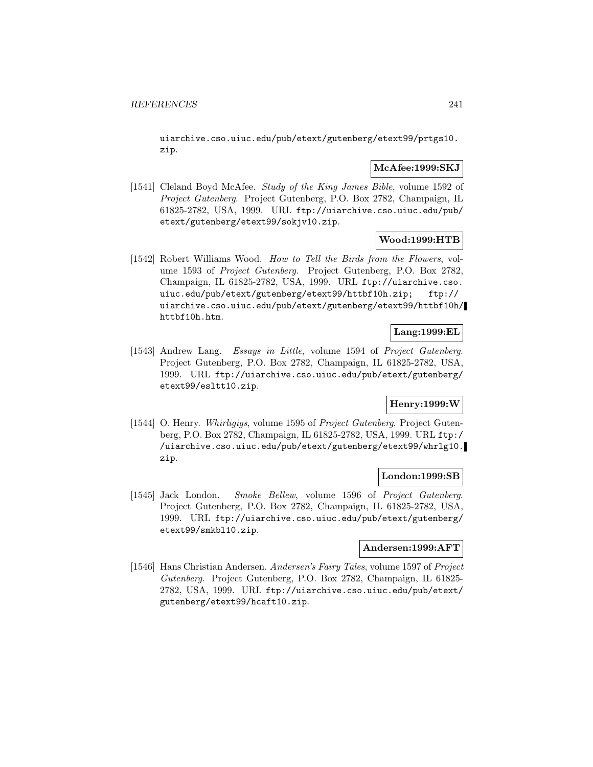uiarchive.cso.uiuc.edu/pub/etext/gutenberg/etext99/prtgs10. zip.

## **McAfee:1999:SKJ**

[1541] Cleland Boyd McAfee. Study of the King James Bible, volume 1592 of Project Gutenberg. Project Gutenberg, P.O. Box 2782, Champaign, IL 61825-2782, USA, 1999. URL ftp://uiarchive.cso.uiuc.edu/pub/ etext/gutenberg/etext99/sokjv10.zip.

## **Wood:1999:HTB**

[1542] Robert Williams Wood. How to Tell the Birds from the Flowers, volume 1593 of Project Gutenberg. Project Gutenberg, P.O. Box 2782, Champaign, IL 61825-2782, USA, 1999. URL ftp://uiarchive.cso. uiuc.edu/pub/etext/gutenberg/etext99/httbf10h.zip; ftp:// uiarchive.cso.uiuc.edu/pub/etext/gutenberg/etext99/httbf10h/ httbf10h.htm.

# **Lang:1999:EL**

[1543] Andrew Lang. Essays in Little, volume 1594 of Project Gutenberg. Project Gutenberg, P.O. Box 2782, Champaign, IL 61825-2782, USA, 1999. URL ftp://uiarchive.cso.uiuc.edu/pub/etext/gutenberg/ etext99/esltt10.zip.

# **Henry:1999:W**

[1544] O. Henry. Whirligigs, volume 1595 of Project Gutenberg. Project Gutenberg, P.O. Box 2782, Champaign, IL 61825-2782, USA, 1999. URL ftp:/ /uiarchive.cso.uiuc.edu/pub/etext/gutenberg/etext99/whrlg10. zip.

#### **London:1999:SB**

[1545] Jack London. Smoke Bellew, volume 1596 of Project Gutenberg. Project Gutenberg, P.O. Box 2782, Champaign, IL 61825-2782, USA, 1999. URL ftp://uiarchive.cso.uiuc.edu/pub/etext/gutenberg/ etext99/smkbl10.zip.

## **Andersen:1999:AFT**

[1546] Hans Christian Andersen. Andersen's Fairy Tales, volume 1597 of Project Gutenberg. Project Gutenberg, P.O. Box 2782, Champaign, IL 61825- 2782, USA, 1999. URL ftp://uiarchive.cso.uiuc.edu/pub/etext/ gutenberg/etext99/hcaft10.zip.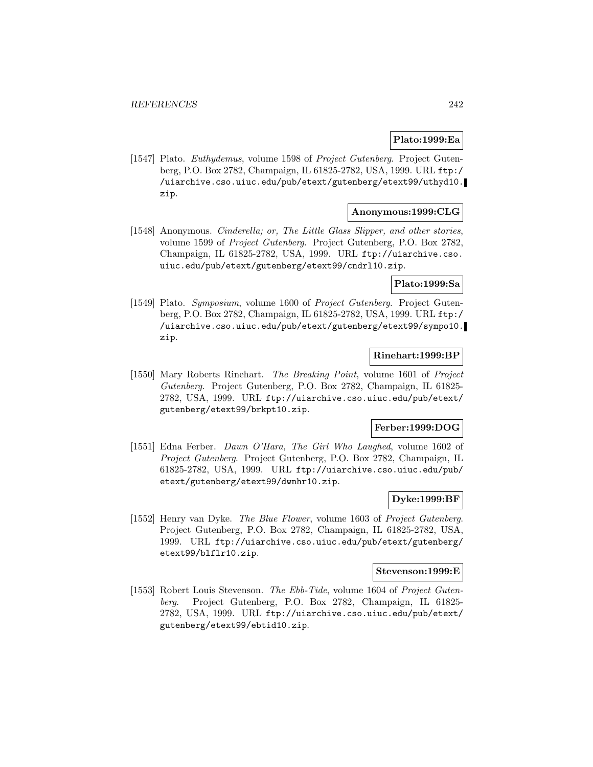# **Plato:1999:Ea**

[1547] Plato. *Euthydemus*, volume 1598 of *Project Gutenberg*. Project Gutenberg, P.O. Box 2782, Champaign, IL 61825-2782, USA, 1999. URL ftp:/ /uiarchive.cso.uiuc.edu/pub/etext/gutenberg/etext99/uthyd10. zip.

# **Anonymous:1999:CLG**

[1548] Anonymous. Cinderella; or, The Little Glass Slipper, and other stories, volume 1599 of Project Gutenberg. Project Gutenberg, P.O. Box 2782, Champaign, IL 61825-2782, USA, 1999. URL ftp://uiarchive.cso. uiuc.edu/pub/etext/gutenberg/etext99/cndrl10.zip.

## **Plato:1999:Sa**

[1549] Plato. Symposium, volume 1600 of Project Gutenberg. Project Gutenberg, P.O. Box 2782, Champaign, IL 61825-2782, USA, 1999. URL ftp:/ /uiarchive.cso.uiuc.edu/pub/etext/gutenberg/etext99/sympo10. zip.

## **Rinehart:1999:BP**

[1550] Mary Roberts Rinehart. The Breaking Point, volume 1601 of Project Gutenberg. Project Gutenberg, P.O. Box 2782, Champaign, IL 61825- 2782, USA, 1999. URL ftp://uiarchive.cso.uiuc.edu/pub/etext/ gutenberg/etext99/brkpt10.zip.

#### **Ferber:1999:DOG**

[1551] Edna Ferber. Dawn O'Hara, The Girl Who Laughed, volume 1602 of Project Gutenberg. Project Gutenberg, P.O. Box 2782, Champaign, IL 61825-2782, USA, 1999. URL ftp://uiarchive.cso.uiuc.edu/pub/ etext/gutenberg/etext99/dwnhr10.zip.

## **Dyke:1999:BF**

[1552] Henry van Dyke. The Blue Flower, volume 1603 of Project Gutenberg. Project Gutenberg, P.O. Box 2782, Champaign, IL 61825-2782, USA, 1999. URL ftp://uiarchive.cso.uiuc.edu/pub/etext/gutenberg/ etext99/blflr10.zip.

#### **Stevenson:1999:E**

[1553] Robert Louis Stevenson. The Ebb-Tide, volume 1604 of Project Gutenberg. Project Gutenberg, P.O. Box 2782, Champaign, IL 61825- 2782, USA, 1999. URL ftp://uiarchive.cso.uiuc.edu/pub/etext/ gutenberg/etext99/ebtid10.zip.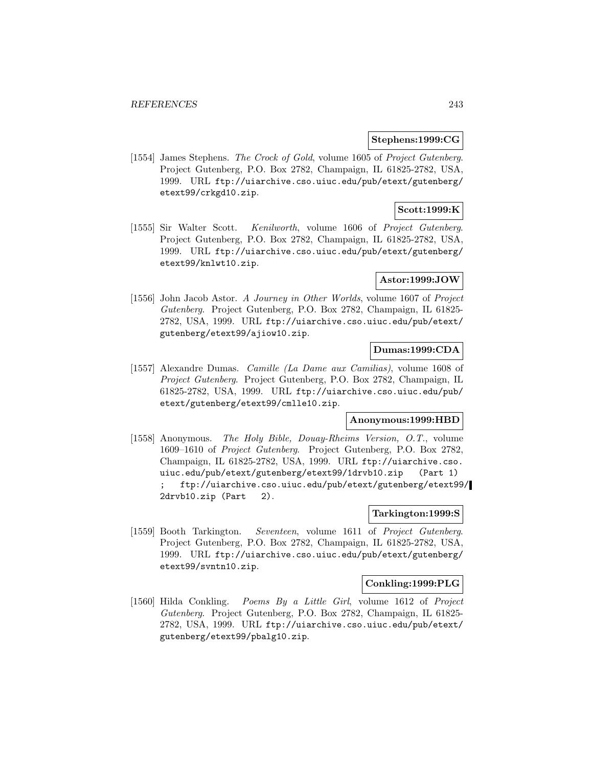### **Stephens:1999:CG**

[1554] James Stephens. The Crock of Gold, volume 1605 of Project Gutenberg. Project Gutenberg, P.O. Box 2782, Champaign, IL 61825-2782, USA, 1999. URL ftp://uiarchive.cso.uiuc.edu/pub/etext/gutenberg/ etext99/crkgd10.zip.

## **Scott:1999:K**

[1555] Sir Walter Scott. Kenilworth, volume 1606 of Project Gutenberg. Project Gutenberg, P.O. Box 2782, Champaign, IL 61825-2782, USA, 1999. URL ftp://uiarchive.cso.uiuc.edu/pub/etext/gutenberg/ etext99/knlwt10.zip.

## **Astor:1999:JOW**

[1556] John Jacob Astor. A Journey in Other Worlds, volume 1607 of Project Gutenberg. Project Gutenberg, P.O. Box 2782, Champaign, IL 61825- 2782, USA, 1999. URL ftp://uiarchive.cso.uiuc.edu/pub/etext/ gutenberg/etext99/ajiow10.zip.

# **Dumas:1999:CDA**

[1557] Alexandre Dumas. Camille (La Dame aux Camilias), volume 1608 of Project Gutenberg. Project Gutenberg, P.O. Box 2782, Champaign, IL 61825-2782, USA, 1999. URL ftp://uiarchive.cso.uiuc.edu/pub/ etext/gutenberg/etext99/cmlle10.zip.

# **Anonymous:1999:HBD**

[1558] Anonymous. The Holy Bible, Douay-Rheims Version, O.T., volume 1609–1610 of Project Gutenberg. Project Gutenberg, P.O. Box 2782, Champaign, IL 61825-2782, USA, 1999. URL ftp://uiarchive.cso. uiuc.edu/pub/etext/gutenberg/etext99/1drvb10.zip (Part 1) ; ftp://uiarchive.cso.uiuc.edu/pub/etext/gutenberg/etext99/ 2drvb10.zip (Part 2).

### **Tarkington:1999:S**

[1559] Booth Tarkington. Seventeen, volume 1611 of Project Gutenberg. Project Gutenberg, P.O. Box 2782, Champaign, IL 61825-2782, USA, 1999. URL ftp://uiarchive.cso.uiuc.edu/pub/etext/gutenberg/ etext99/svntn10.zip.

### **Conkling:1999:PLG**

[1560] Hilda Conkling. Poems By a Little Girl, volume 1612 of Project Gutenberg. Project Gutenberg, P.O. Box 2782, Champaign, IL 61825- 2782, USA, 1999. URL ftp://uiarchive.cso.uiuc.edu/pub/etext/ gutenberg/etext99/pbalg10.zip.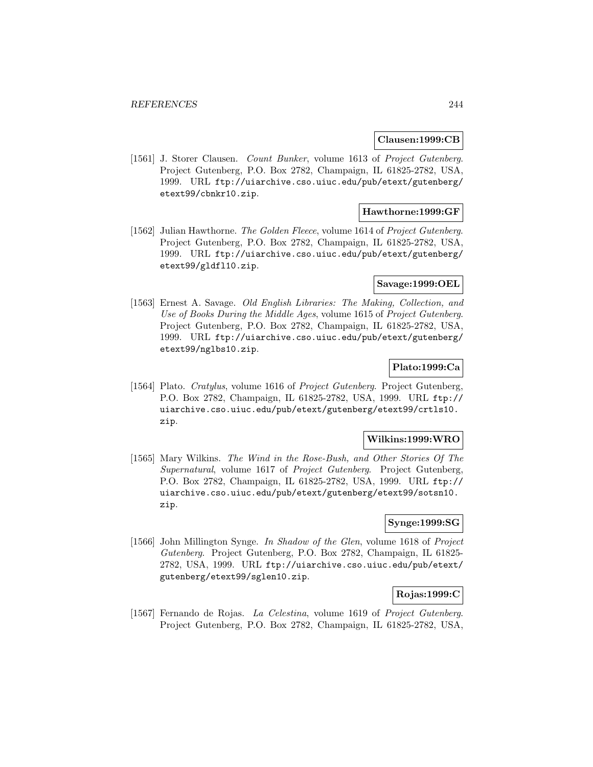### **Clausen:1999:CB**

[1561] J. Storer Clausen. Count Bunker, volume 1613 of Project Gutenberg. Project Gutenberg, P.O. Box 2782, Champaign, IL 61825-2782, USA, 1999. URL ftp://uiarchive.cso.uiuc.edu/pub/etext/gutenberg/ etext99/cbnkr10.zip.

## **Hawthorne:1999:GF**

[1562] Julian Hawthorne. The Golden Fleece, volume 1614 of Project Gutenberg. Project Gutenberg, P.O. Box 2782, Champaign, IL 61825-2782, USA, 1999. URL ftp://uiarchive.cso.uiuc.edu/pub/etext/gutenberg/ etext99/gldfl10.zip.

### **Savage:1999:OEL**

[1563] Ernest A. Savage. Old English Libraries: The Making, Collection, and Use of Books During the Middle Ages, volume 1615 of Project Gutenberg. Project Gutenberg, P.O. Box 2782, Champaign, IL 61825-2782, USA, 1999. URL ftp://uiarchive.cso.uiuc.edu/pub/etext/gutenberg/ etext99/nglbs10.zip.

## **Plato:1999:Ca**

[1564] Plato. Cratylus, volume 1616 of Project Gutenberg. Project Gutenberg, P.O. Box 2782, Champaign, IL 61825-2782, USA, 1999. URL ftp:// uiarchive.cso.uiuc.edu/pub/etext/gutenberg/etext99/crtls10. zip.

#### **Wilkins:1999:WRO**

[1565] Mary Wilkins. The Wind in the Rose-Bush, and Other Stories Of The Supernatural, volume 1617 of Project Gutenberg. Project Gutenberg, P.O. Box 2782, Champaign, IL 61825-2782, USA, 1999. URL ftp:// uiarchive.cso.uiuc.edu/pub/etext/gutenberg/etext99/sotsn10. zip.

### **Synge:1999:SG**

[1566] John Millington Synge. In Shadow of the Glen, volume 1618 of Project Gutenberg. Project Gutenberg, P.O. Box 2782, Champaign, IL 61825- 2782, USA, 1999. URL ftp://uiarchive.cso.uiuc.edu/pub/etext/ gutenberg/etext99/sglen10.zip.

# **Rojas:1999:C**

[1567] Fernando de Rojas. La Celestina, volume 1619 of Project Gutenberg. Project Gutenberg, P.O. Box 2782, Champaign, IL 61825-2782, USA,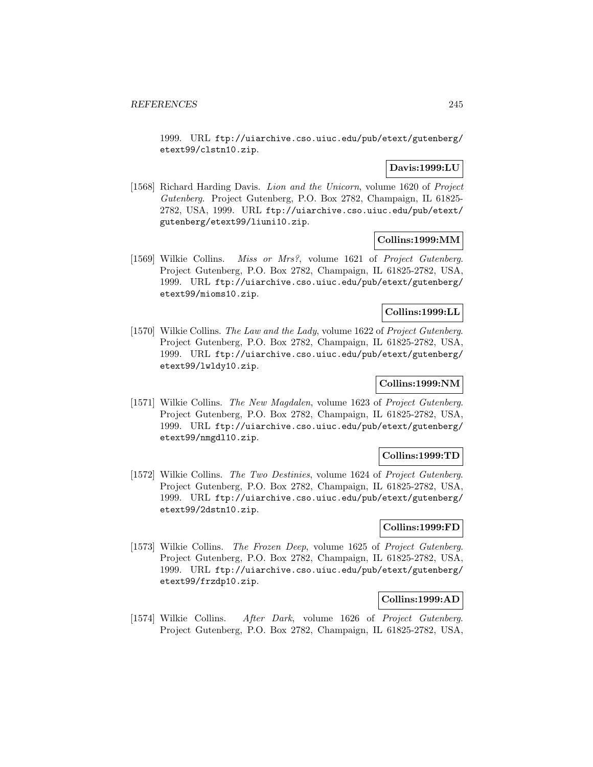1999. URL ftp://uiarchive.cso.uiuc.edu/pub/etext/gutenberg/ etext99/clstn10.zip.

# **Davis:1999:LU**

[1568] Richard Harding Davis. Lion and the Unicorn, volume 1620 of Project Gutenberg. Project Gutenberg, P.O. Box 2782, Champaign, IL 61825- 2782, USA, 1999. URL ftp://uiarchive.cso.uiuc.edu/pub/etext/ gutenberg/etext99/liuni10.zip.

## **Collins:1999:MM**

[1569] Wilkie Collins. Miss or Mrs?, volume 1621 of Project Gutenberg. Project Gutenberg, P.O. Box 2782, Champaign, IL 61825-2782, USA, 1999. URL ftp://uiarchive.cso.uiuc.edu/pub/etext/gutenberg/ etext99/mioms10.zip.

## **Collins:1999:LL**

[1570] Wilkie Collins. The Law and the Lady, volume 1622 of Project Gutenberg. Project Gutenberg, P.O. Box 2782, Champaign, IL 61825-2782, USA, 1999. URL ftp://uiarchive.cso.uiuc.edu/pub/etext/gutenberg/ etext99/lwldy10.zip.

# **Collins:1999:NM**

[1571] Wilkie Collins. The New Magdalen, volume 1623 of Project Gutenberg. Project Gutenberg, P.O. Box 2782, Champaign, IL 61825-2782, USA, 1999. URL ftp://uiarchive.cso.uiuc.edu/pub/etext/gutenberg/ etext99/nmgdl10.zip.

## **Collins:1999:TD**

[1572] Wilkie Collins. The Two Destinies, volume 1624 of Project Gutenberg. Project Gutenberg, P.O. Box 2782, Champaign, IL 61825-2782, USA, 1999. URL ftp://uiarchive.cso.uiuc.edu/pub/etext/gutenberg/ etext99/2dstn10.zip.

# **Collins:1999:FD**

[1573] Wilkie Collins. The Frozen Deep, volume 1625 of Project Gutenberg. Project Gutenberg, P.O. Box 2782, Champaign, IL 61825-2782, USA, 1999. URL ftp://uiarchive.cso.uiuc.edu/pub/etext/gutenberg/ etext99/frzdp10.zip.

## **Collins:1999:AD**

[1574] Wilkie Collins. After Dark, volume 1626 of Project Gutenberg. Project Gutenberg, P.O. Box 2782, Champaign, IL 61825-2782, USA,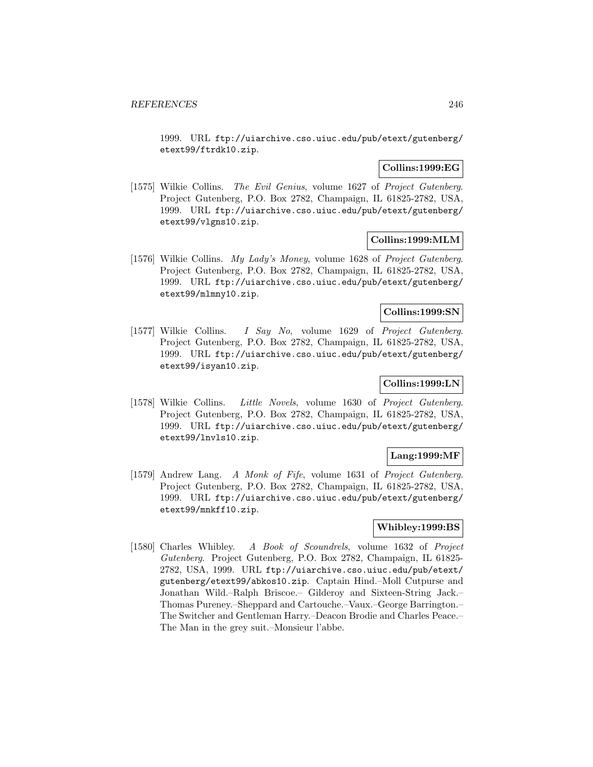1999. URL ftp://uiarchive.cso.uiuc.edu/pub/etext/gutenberg/ etext99/ftrdk10.zip.

## **Collins:1999:EG**

[1575] Wilkie Collins. The Evil Genius, volume 1627 of Project Gutenberg. Project Gutenberg, P.O. Box 2782, Champaign, IL 61825-2782, USA, 1999. URL ftp://uiarchive.cso.uiuc.edu/pub/etext/gutenberg/ etext99/vlgns10.zip.

## **Collins:1999:MLM**

[1576] Wilkie Collins. My Lady's Money, volume 1628 of Project Gutenberg. Project Gutenberg, P.O. Box 2782, Champaign, IL 61825-2782, USA, 1999. URL ftp://uiarchive.cso.uiuc.edu/pub/etext/gutenberg/ etext99/mlmny10.zip.

### **Collins:1999:SN**

[1577] Wilkie Collins. I Say No, volume 1629 of Project Gutenberg. Project Gutenberg, P.O. Box 2782, Champaign, IL 61825-2782, USA, 1999. URL ftp://uiarchive.cso.uiuc.edu/pub/etext/gutenberg/ etext99/isyan10.zip.

## **Collins:1999:LN**

[1578] Wilkie Collins. Little Novels, volume 1630 of Project Gutenberg. Project Gutenberg, P.O. Box 2782, Champaign, IL 61825-2782, USA, 1999. URL ftp://uiarchive.cso.uiuc.edu/pub/etext/gutenberg/ etext99/lnvls10.zip.

## **Lang:1999:MF**

[1579] Andrew Lang. A Monk of Fife, volume 1631 of Project Gutenberg. Project Gutenberg, P.O. Box 2782, Champaign, IL 61825-2782, USA, 1999. URL ftp://uiarchive.cso.uiuc.edu/pub/etext/gutenberg/ etext99/mnkff10.zip.

# **Whibley:1999:BS**

[1580] Charles Whibley. A Book of Scoundrels, volume 1632 of Project Gutenberg. Project Gutenberg, P.O. Box 2782, Champaign, IL 61825- 2782, USA, 1999. URL ftp://uiarchive.cso.uiuc.edu/pub/etext/ gutenberg/etext99/abkos10.zip. Captain Hind.–Moll Cutpurse and Jonathan Wild.–Ralph Briscoe.– Gilderoy and Sixteen-String Jack.– Thomas Pureney.–Sheppard and Cartouche.–Vaux.–George Barrington.– The Switcher and Gentleman Harry.–Deacon Brodie and Charles Peace.– The Man in the grey suit.–Monsieur l'abbe.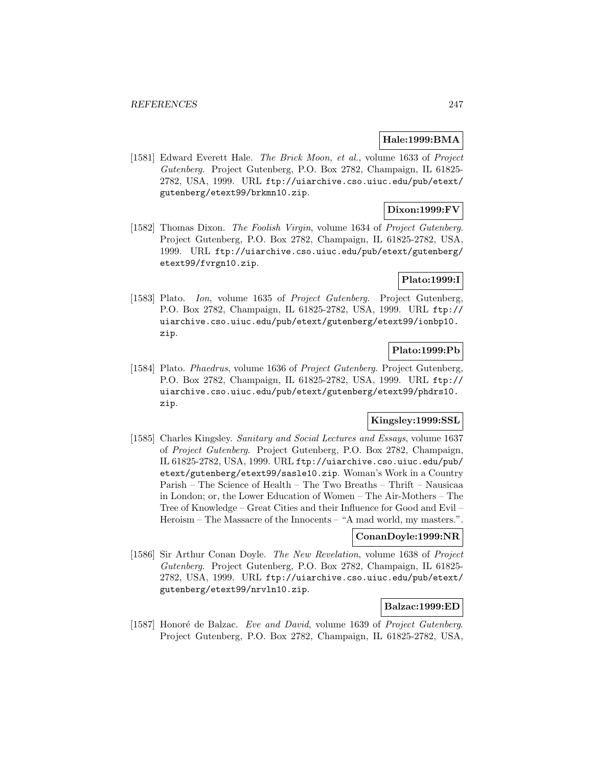## **Hale:1999:BMA**

[1581] Edward Everett Hale. The Brick Moon, et al., volume 1633 of Project Gutenberg. Project Gutenberg, P.O. Box 2782, Champaign, IL 61825- 2782, USA, 1999. URL ftp://uiarchive.cso.uiuc.edu/pub/etext/ gutenberg/etext99/brkmn10.zip.

## **Dixon:1999:FV**

[1582] Thomas Dixon. The Foolish Virgin, volume 1634 of Project Gutenberg. Project Gutenberg, P.O. Box 2782, Champaign, IL 61825-2782, USA, 1999. URL ftp://uiarchive.cso.uiuc.edu/pub/etext/gutenberg/ etext99/fvrgn10.zip.

# **Plato:1999:I**

[1583] Plato. Ion, volume 1635 of Project Gutenberg. Project Gutenberg, P.O. Box 2782, Champaign, IL 61825-2782, USA, 1999. URL ftp:// uiarchive.cso.uiuc.edu/pub/etext/gutenberg/etext99/ionbp10. zip.

# **Plato:1999:Pb**

[1584] Plato. *Phaedrus*, volume 1636 of *Project Gutenberg*. Project Gutenberg, P.O. Box 2782, Champaign, IL 61825-2782, USA, 1999. URL ftp:// uiarchive.cso.uiuc.edu/pub/etext/gutenberg/etext99/phdrs10. zip.

# **Kingsley:1999:SSL**

[1585] Charles Kingsley. Sanitary and Social Lectures and Essays, volume 1637 of Project Gutenberg. Project Gutenberg, P.O. Box 2782, Champaign, IL 61825-2782, USA, 1999. URL ftp://uiarchive.cso.uiuc.edu/pub/ etext/gutenberg/etext99/sasle10.zip. Woman's Work in a Country Parish – The Science of Health – The Two Breaths – Thrift – Nausicaa in London; or, the Lower Education of Women – The Air-Mothers – The Tree of Knowledge – Great Cities and their Influence for Good and Evil – Heroism – The Massacre of the Innocents – "A mad world, my masters.".

## **ConanDoyle:1999:NR**

[1586] Sir Arthur Conan Doyle. The New Revelation, volume 1638 of Project Gutenberg. Project Gutenberg, P.O. Box 2782, Champaign, IL 61825- 2782, USA, 1999. URL ftp://uiarchive.cso.uiuc.edu/pub/etext/ gutenberg/etext99/nrvln10.zip.

# **Balzac:1999:ED**

[1587] Honoré de Balzac. Eve and David, volume 1639 of Project Gutenberg. Project Gutenberg, P.O. Box 2782, Champaign, IL 61825-2782, USA,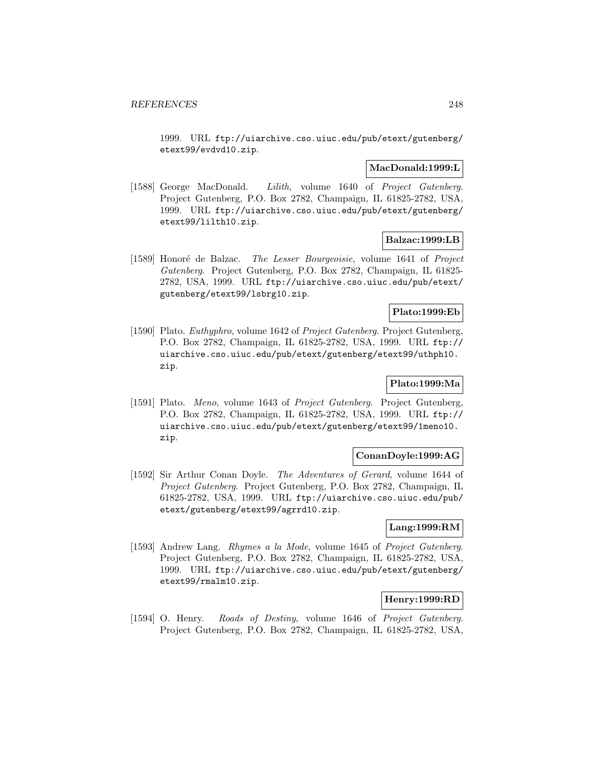1999. URL ftp://uiarchive.cso.uiuc.edu/pub/etext/gutenberg/ etext99/evdvd10.zip.

## **MacDonald:1999:L**

[1588] George MacDonald. Lilith, volume 1640 of Project Gutenberg. Project Gutenberg, P.O. Box 2782, Champaign, IL 61825-2782, USA, 1999. URL ftp://uiarchive.cso.uiuc.edu/pub/etext/gutenberg/ etext99/lilth10.zip.

## **Balzac:1999:LB**

[1589] Honoré de Balzac. *The Lesser Bourgeoisie*, volume 1641 of *Project* Gutenberg. Project Gutenberg, P.O. Box 2782, Champaign, IL 61825- 2782, USA, 1999. URL ftp://uiarchive.cso.uiuc.edu/pub/etext/ gutenberg/etext99/lsbrg10.zip.

## **Plato:1999:Eb**

[1590] Plato. *Euthyphro*, volume 1642 of *Project Gutenberg*. Project Gutenberg, P.O. Box 2782, Champaign, IL 61825-2782, USA, 1999. URL ftp:// uiarchive.cso.uiuc.edu/pub/etext/gutenberg/etext99/uthph10. zip.

## **Plato:1999:Ma**

[1591] Plato. Meno, volume 1643 of Project Gutenberg. Project Gutenberg, P.O. Box 2782, Champaign, IL 61825-2782, USA, 1999. URL ftp:// uiarchive.cso.uiuc.edu/pub/etext/gutenberg/etext99/1meno10. zip.

## **ConanDoyle:1999:AG**

[1592] Sir Arthur Conan Doyle. The Adventures of Gerard, volume 1644 of Project Gutenberg. Project Gutenberg, P.O. Box 2782, Champaign, IL 61825-2782, USA, 1999. URL ftp://uiarchive.cso.uiuc.edu/pub/ etext/gutenberg/etext99/agrrd10.zip.

# **Lang:1999:RM**

[1593] Andrew Lang. Rhymes a la Mode, volume 1645 of Project Gutenberg. Project Gutenberg, P.O. Box 2782, Champaign, IL 61825-2782, USA, 1999. URL ftp://uiarchive.cso.uiuc.edu/pub/etext/gutenberg/ etext99/rmalm10.zip.

## **Henry:1999:RD**

[1594] O. Henry. Roads of Destiny, volume 1646 of Project Gutenberg. Project Gutenberg, P.O. Box 2782, Champaign, IL 61825-2782, USA,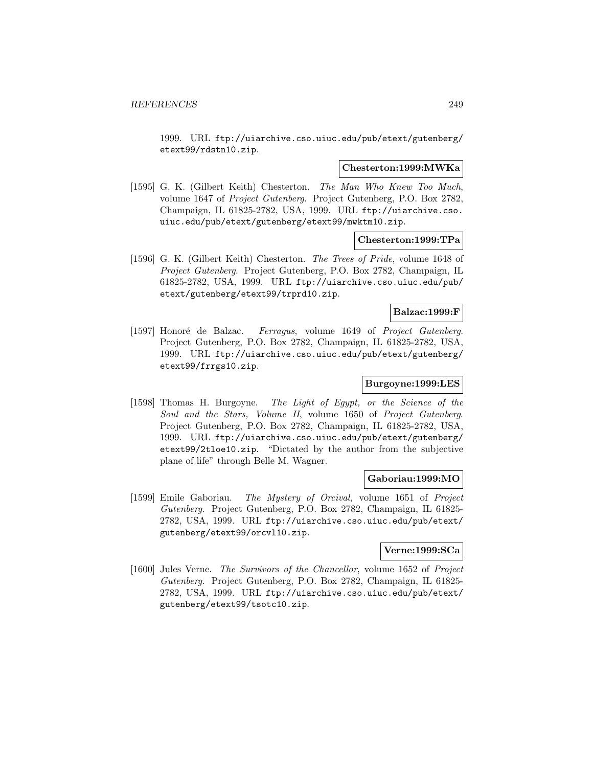1999. URL ftp://uiarchive.cso.uiuc.edu/pub/etext/gutenberg/ etext99/rdstn10.zip.

#### **Chesterton:1999:MWKa**

[1595] G. K. (Gilbert Keith) Chesterton. The Man Who Knew Too Much, volume 1647 of Project Gutenberg. Project Gutenberg, P.O. Box 2782, Champaign, IL 61825-2782, USA, 1999. URL ftp://uiarchive.cso. uiuc.edu/pub/etext/gutenberg/etext99/mwktm10.zip.

## **Chesterton:1999:TPa**

[1596] G. K. (Gilbert Keith) Chesterton. The Trees of Pride, volume 1648 of Project Gutenberg. Project Gutenberg, P.O. Box 2782, Champaign, IL 61825-2782, USA, 1999. URL ftp://uiarchive.cso.uiuc.edu/pub/ etext/gutenberg/etext99/trprd10.zip.

## **Balzac:1999:F**

[1597] Honoré de Balzac. Ferragus, volume 1649 of Project Gutenberg. Project Gutenberg, P.O. Box 2782, Champaign, IL 61825-2782, USA, 1999. URL ftp://uiarchive.cso.uiuc.edu/pub/etext/gutenberg/ etext99/frrgs10.zip.

# **Burgoyne:1999:LES**

[1598] Thomas H. Burgoyne. The Light of Egypt, or the Science of the Soul and the Stars, Volume II, volume 1650 of Project Gutenberg. Project Gutenberg, P.O. Box 2782, Champaign, IL 61825-2782, USA, 1999. URL ftp://uiarchive.cso.uiuc.edu/pub/etext/gutenberg/ etext99/2tloe10.zip. "Dictated by the author from the subjective plane of life" through Belle M. Wagner.

### **Gaboriau:1999:MO**

[1599] Emile Gaboriau. The Mystery of Orcival, volume 1651 of Project Gutenberg. Project Gutenberg, P.O. Box 2782, Champaign, IL 61825- 2782, USA, 1999. URL ftp://uiarchive.cso.uiuc.edu/pub/etext/ gutenberg/etext99/orcvl10.zip.

## **Verne:1999:SCa**

[1600] Jules Verne. The Survivors of the Chancellor, volume 1652 of Project Gutenberg. Project Gutenberg, P.O. Box 2782, Champaign, IL 61825- 2782, USA, 1999. URL ftp://uiarchive.cso.uiuc.edu/pub/etext/ gutenberg/etext99/tsotc10.zip.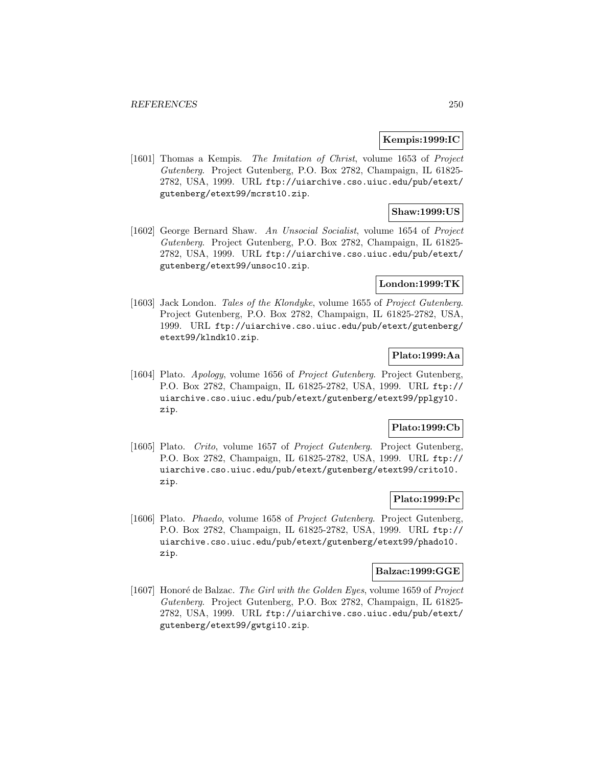## **Kempis:1999:IC**

[1601] Thomas a Kempis. The Imitation of Christ, volume 1653 of Project Gutenberg. Project Gutenberg, P.O. Box 2782, Champaign, IL 61825- 2782, USA, 1999. URL ftp://uiarchive.cso.uiuc.edu/pub/etext/ gutenberg/etext99/mcrst10.zip.

# **Shaw:1999:US**

[1602] George Bernard Shaw. An Unsocial Socialist, volume 1654 of Project Gutenberg. Project Gutenberg, P.O. Box 2782, Champaign, IL 61825- 2782, USA, 1999. URL ftp://uiarchive.cso.uiuc.edu/pub/etext/ gutenberg/etext99/unsoc10.zip.

## **London:1999:TK**

[1603] Jack London. Tales of the Klondyke, volume 1655 of Project Gutenberg. Project Gutenberg, P.O. Box 2782, Champaign, IL 61825-2782, USA, 1999. URL ftp://uiarchive.cso.uiuc.edu/pub/etext/gutenberg/ etext99/klndk10.zip.

## **Plato:1999:Aa**

[1604] Plato. Apology, volume 1656 of Project Gutenberg. Project Gutenberg, P.O. Box 2782, Champaign, IL 61825-2782, USA, 1999. URL ftp:// uiarchive.cso.uiuc.edu/pub/etext/gutenberg/etext99/pplgy10. zip.

## **Plato:1999:Cb**

[1605] Plato. Crito, volume 1657 of Project Gutenberg. Project Gutenberg, P.O. Box 2782, Champaign, IL 61825-2782, USA, 1999. URL ftp:// uiarchive.cso.uiuc.edu/pub/etext/gutenberg/etext99/crito10. zip.

# **Plato:1999:Pc**

[1606] Plato. Phaedo, volume 1658 of Project Gutenberg. Project Gutenberg, P.O. Box 2782, Champaign, IL 61825-2782, USA, 1999. URL ftp:// uiarchive.cso.uiuc.edu/pub/etext/gutenberg/etext99/phado10. zip.

#### **Balzac:1999:GGE**

[1607] Honoré de Balzac. The Girl with the Golden Eyes, volume 1659 of Project Gutenberg. Project Gutenberg, P.O. Box 2782, Champaign, IL 61825- 2782, USA, 1999. URL ftp://uiarchive.cso.uiuc.edu/pub/etext/ gutenberg/etext99/gwtgi10.zip.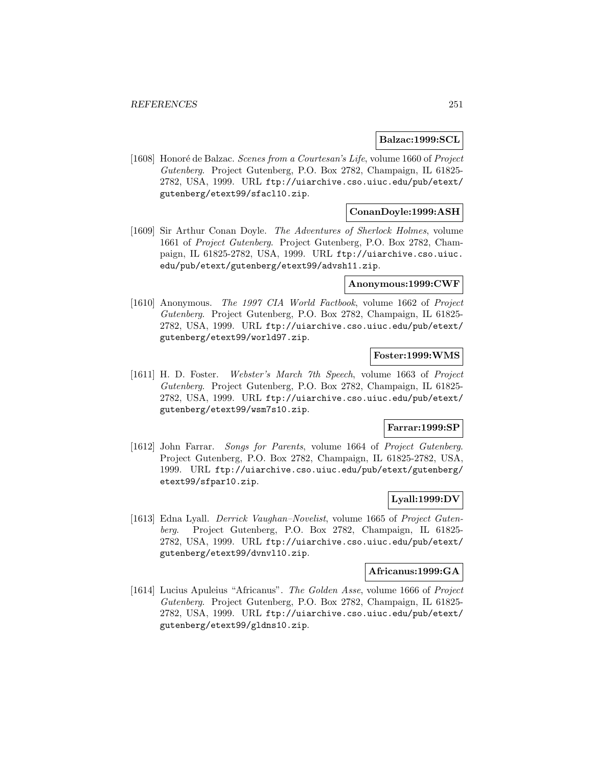#### **Balzac:1999:SCL**

[1608] Honoré de Balzac. Scenes from a Courtesan's Life, volume 1660 of Project Gutenberg. Project Gutenberg, P.O. Box 2782, Champaign, IL 61825- 2782, USA, 1999. URL ftp://uiarchive.cso.uiuc.edu/pub/etext/ gutenberg/etext99/sfacl10.zip.

## **ConanDoyle:1999:ASH**

[1609] Sir Arthur Conan Doyle. The Adventures of Sherlock Holmes, volume 1661 of Project Gutenberg. Project Gutenberg, P.O. Box 2782, Champaign, IL 61825-2782, USA, 1999. URL ftp://uiarchive.cso.uiuc. edu/pub/etext/gutenberg/etext99/advsh11.zip.

#### **Anonymous:1999:CWF**

[1610] Anonymous. The 1997 CIA World Factbook, volume 1662 of Project Gutenberg. Project Gutenberg, P.O. Box 2782, Champaign, IL 61825- 2782, USA, 1999. URL ftp://uiarchive.cso.uiuc.edu/pub/etext/ gutenberg/etext99/world97.zip.

## **Foster:1999:WMS**

[1611] H. D. Foster. Webster's March 7th Speech, volume 1663 of Project Gutenberg. Project Gutenberg, P.O. Box 2782, Champaign, IL 61825- 2782, USA, 1999. URL ftp://uiarchive.cso.uiuc.edu/pub/etext/ gutenberg/etext99/wsm7s10.zip.

#### **Farrar:1999:SP**

[1612] John Farrar. Songs for Parents, volume 1664 of Project Gutenberg. Project Gutenberg, P.O. Box 2782, Champaign, IL 61825-2782, USA, 1999. URL ftp://uiarchive.cso.uiuc.edu/pub/etext/gutenberg/ etext99/sfpar10.zip.

# **Lyall:1999:DV**

[1613] Edna Lyall. Derrick Vaughan–Novelist, volume 1665 of Project Gutenberg. Project Gutenberg, P.O. Box 2782, Champaign, IL 61825- 2782, USA, 1999. URL ftp://uiarchive.cso.uiuc.edu/pub/etext/ gutenberg/etext99/dvnvl10.zip.

#### **Africanus:1999:GA**

[1614] Lucius Apuleius "Africanus". The Golden Asse, volume 1666 of Project Gutenberg. Project Gutenberg, P.O. Box 2782, Champaign, IL 61825- 2782, USA, 1999. URL ftp://uiarchive.cso.uiuc.edu/pub/etext/ gutenberg/etext99/gldns10.zip.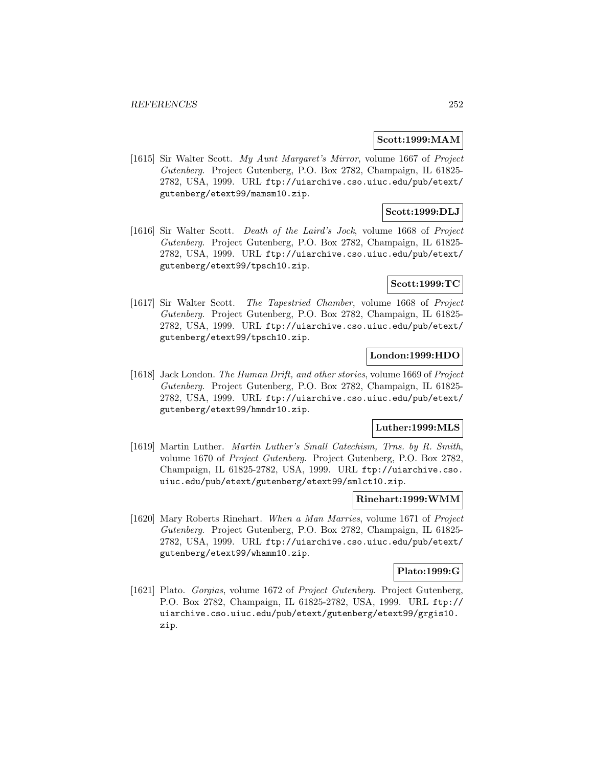#### **Scott:1999:MAM**

[1615] Sir Walter Scott. My Aunt Margaret's Mirror, volume 1667 of Project Gutenberg. Project Gutenberg, P.O. Box 2782, Champaign, IL 61825- 2782, USA, 1999. URL ftp://uiarchive.cso.uiuc.edu/pub/etext/ gutenberg/etext99/mamsm10.zip.

## **Scott:1999:DLJ**

[1616] Sir Walter Scott. Death of the Laird's Jock, volume 1668 of Project Gutenberg. Project Gutenberg, P.O. Box 2782, Champaign, IL 61825- 2782, USA, 1999. URL ftp://uiarchive.cso.uiuc.edu/pub/etext/ gutenberg/etext99/tpsch10.zip.

## **Scott:1999:TC**

[1617] Sir Walter Scott. The Tapestried Chamber, volume 1668 of Project Gutenberg. Project Gutenberg, P.O. Box 2782, Champaign, IL 61825- 2782, USA, 1999. URL ftp://uiarchive.cso.uiuc.edu/pub/etext/ gutenberg/etext99/tpsch10.zip.

## **London:1999:HDO**

[1618] Jack London. The Human Drift, and other stories, volume 1669 of Project Gutenberg. Project Gutenberg, P.O. Box 2782, Champaign, IL 61825- 2782, USA, 1999. URL ftp://uiarchive.cso.uiuc.edu/pub/etext/ gutenberg/etext99/hmndr10.zip.

# **Luther:1999:MLS**

[1619] Martin Luther. Martin Luther's Small Catechism, Trns. by R. Smith, volume 1670 of Project Gutenberg. Project Gutenberg, P.O. Box 2782, Champaign, IL 61825-2782, USA, 1999. URL ftp://uiarchive.cso. uiuc.edu/pub/etext/gutenberg/etext99/smlct10.zip.

### **Rinehart:1999:WMM**

[1620] Mary Roberts Rinehart. When a Man Marries, volume 1671 of Project Gutenberg. Project Gutenberg, P.O. Box 2782, Champaign, IL 61825- 2782, USA, 1999. URL ftp://uiarchive.cso.uiuc.edu/pub/etext/ gutenberg/etext99/whamm10.zip.

#### **Plato:1999:G**

[1621] Plato. Gorgias, volume 1672 of Project Gutenberg. Project Gutenberg, P.O. Box 2782, Champaign, IL 61825-2782, USA, 1999. URL ftp:// uiarchive.cso.uiuc.edu/pub/etext/gutenberg/etext99/grgis10. zip.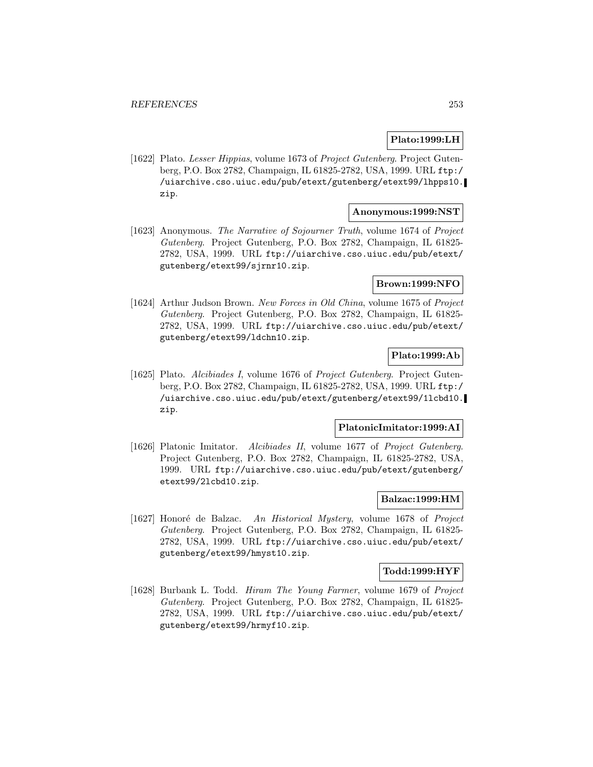## **Plato:1999:LH**

[1622] Plato. Lesser Hippias, volume 1673 of Project Gutenberg. Project Gutenberg, P.O. Box 2782, Champaign, IL 61825-2782, USA, 1999. URL ftp:/ /uiarchive.cso.uiuc.edu/pub/etext/gutenberg/etext99/lhpps10. zip.

## **Anonymous:1999:NST**

[1623] Anonymous. The Narrative of Sojourner Truth, volume 1674 of Project Gutenberg. Project Gutenberg, P.O. Box 2782, Champaign, IL 61825- 2782, USA, 1999. URL ftp://uiarchive.cso.uiuc.edu/pub/etext/ gutenberg/etext99/sjrnr10.zip.

## **Brown:1999:NFO**

[1624] Arthur Judson Brown. New Forces in Old China, volume 1675 of Project Gutenberg. Project Gutenberg, P.O. Box 2782, Champaign, IL 61825- 2782, USA, 1999. URL ftp://uiarchive.cso.uiuc.edu/pub/etext/ gutenberg/etext99/ldchn10.zip.

### **Plato:1999:Ab**

[1625] Plato. Alcibiades I, volume 1676 of Project Gutenberg. Project Gutenberg, P.O. Box 2782, Champaign, IL 61825-2782, USA, 1999. URL ftp:/ /uiarchive.cso.uiuc.edu/pub/etext/gutenberg/etext99/1lcbd10. zip.

## **PlatonicImitator:1999:AI**

[1626] Platonic Imitator. Alcibiades II, volume 1677 of Project Gutenberg. Project Gutenberg, P.O. Box 2782, Champaign, IL 61825-2782, USA, 1999. URL ftp://uiarchive.cso.uiuc.edu/pub/etext/gutenberg/ etext99/2lcbd10.zip.

## **Balzac:1999:HM**

[1627] Honoré de Balzac. An Historical Mystery, volume 1678 of Project Gutenberg. Project Gutenberg, P.O. Box 2782, Champaign, IL 61825- 2782, USA, 1999. URL ftp://uiarchive.cso.uiuc.edu/pub/etext/ gutenberg/etext99/hmyst10.zip.

### **Todd:1999:HYF**

[1628] Burbank L. Todd. Hiram The Young Farmer, volume 1679 of Project Gutenberg. Project Gutenberg, P.O. Box 2782, Champaign, IL 61825- 2782, USA, 1999. URL ftp://uiarchive.cso.uiuc.edu/pub/etext/ gutenberg/etext99/hrmyf10.zip.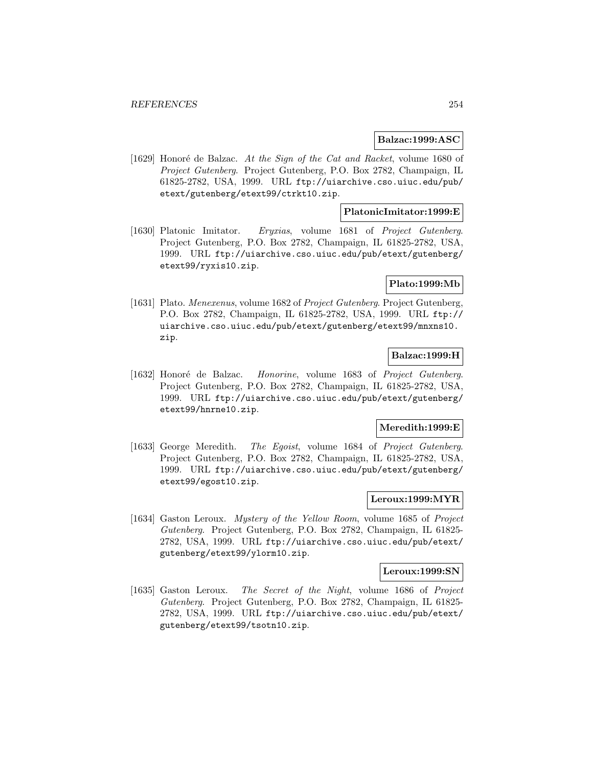### **Balzac:1999:ASC**

[1629] Honoré de Balzac. At the Sign of the Cat and Racket, volume 1680 of Project Gutenberg. Project Gutenberg, P.O. Box 2782, Champaign, IL 61825-2782, USA, 1999. URL ftp://uiarchive.cso.uiuc.edu/pub/ etext/gutenberg/etext99/ctrkt10.zip.

### **PlatonicImitator:1999:E**

[1630] Platonic Imitator. Eryxias, volume 1681 of Project Gutenberg. Project Gutenberg, P.O. Box 2782, Champaign, IL 61825-2782, USA, 1999. URL ftp://uiarchive.cso.uiuc.edu/pub/etext/gutenberg/ etext99/ryxis10.zip.

### **Plato:1999:Mb**

[1631] Plato. Menexenus, volume 1682 of Project Gutenberg. Project Gutenberg, P.O. Box 2782, Champaign, IL 61825-2782, USA, 1999. URL ftp:// uiarchive.cso.uiuc.edu/pub/etext/gutenberg/etext99/mnxns10. zip.

## **Balzac:1999:H**

[1632] Honoré de Balzac. Honorine, volume 1683 of Project Gutenberg. Project Gutenberg, P.O. Box 2782, Champaign, IL 61825-2782, USA, 1999. URL ftp://uiarchive.cso.uiuc.edu/pub/etext/gutenberg/ etext99/hnrne10.zip.

### **Meredith:1999:E**

[1633] George Meredith. The Egoist, volume 1684 of Project Gutenberg. Project Gutenberg, P.O. Box 2782, Champaign, IL 61825-2782, USA, 1999. URL ftp://uiarchive.cso.uiuc.edu/pub/etext/gutenberg/ etext99/egost10.zip.

## **Leroux:1999:MYR**

[1634] Gaston Leroux. Mystery of the Yellow Room, volume 1685 of Project Gutenberg. Project Gutenberg, P.O. Box 2782, Champaign, IL 61825- 2782, USA, 1999. URL ftp://uiarchive.cso.uiuc.edu/pub/etext/ gutenberg/etext99/ylorm10.zip.

#### **Leroux:1999:SN**

[1635] Gaston Leroux. The Secret of the Night, volume 1686 of Project Gutenberg. Project Gutenberg, P.O. Box 2782, Champaign, IL 61825- 2782, USA, 1999. URL ftp://uiarchive.cso.uiuc.edu/pub/etext/ gutenberg/etext99/tsotn10.zip.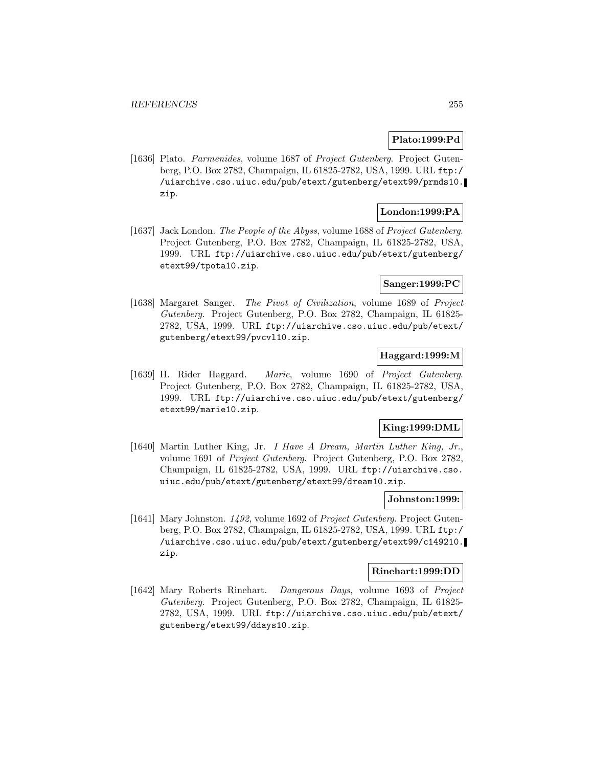## **Plato:1999:Pd**

[1636] Plato. Parmenides, volume 1687 of Project Gutenberg. Project Gutenberg, P.O. Box 2782, Champaign, IL 61825-2782, USA, 1999. URL ftp:/ /uiarchive.cso.uiuc.edu/pub/etext/gutenberg/etext99/prmds10. zip.

## **London:1999:PA**

[1637] Jack London. The People of the Abyss, volume 1688 of Project Gutenberg. Project Gutenberg, P.O. Box 2782, Champaign, IL 61825-2782, USA, 1999. URL ftp://uiarchive.cso.uiuc.edu/pub/etext/gutenberg/ etext99/tpota10.zip.

### **Sanger:1999:PC**

[1638] Margaret Sanger. The Pivot of Civilization, volume 1689 of Project Gutenberg. Project Gutenberg, P.O. Box 2782, Champaign, IL 61825- 2782, USA, 1999. URL ftp://uiarchive.cso.uiuc.edu/pub/etext/ gutenberg/etext99/pvcvl10.zip.

# **Haggard:1999:M**

[1639] H. Rider Haggard. Marie, volume 1690 of Project Gutenberg. Project Gutenberg, P.O. Box 2782, Champaign, IL 61825-2782, USA, 1999. URL ftp://uiarchive.cso.uiuc.edu/pub/etext/gutenberg/ etext99/marie10.zip.

## **King:1999:DML**

[1640] Martin Luther King, Jr. I Have A Dream, Martin Luther King, Jr., volume 1691 of Project Gutenberg. Project Gutenberg, P.O. Box 2782, Champaign, IL 61825-2782, USA, 1999. URL ftp://uiarchive.cso. uiuc.edu/pub/etext/gutenberg/etext99/dream10.zip.

## **Johnston:1999:**

[1641] Mary Johnston. 1492, volume 1692 of Project Gutenberg. Project Gutenberg, P.O. Box 2782, Champaign, IL 61825-2782, USA, 1999. URL ftp:/ /uiarchive.cso.uiuc.edu/pub/etext/gutenberg/etext99/c149210. zip.

### **Rinehart:1999:DD**

[1642] Mary Roberts Rinehart. Dangerous Days, volume 1693 of Project Gutenberg. Project Gutenberg, P.O. Box 2782, Champaign, IL 61825- 2782, USA, 1999. URL ftp://uiarchive.cso.uiuc.edu/pub/etext/ gutenberg/etext99/ddays10.zip.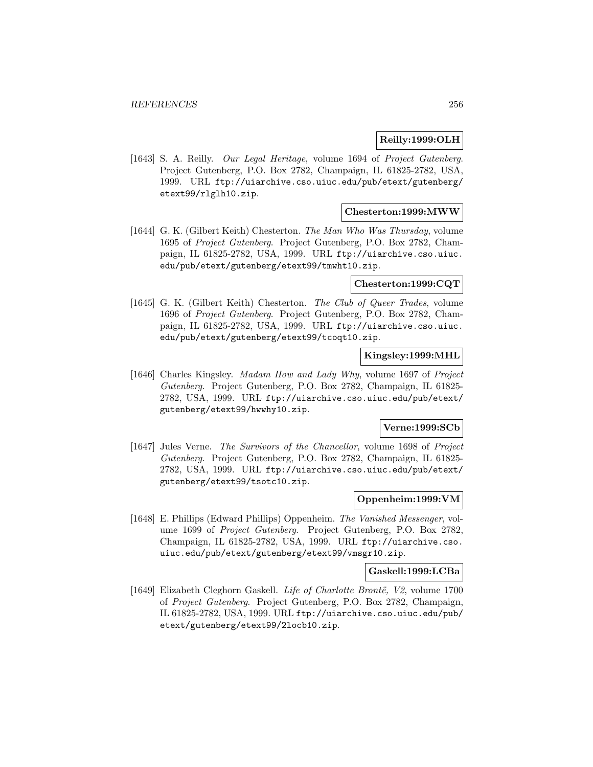## **Reilly:1999:OLH**

[1643] S. A. Reilly. Our Legal Heritage, volume 1694 of Project Gutenberg. Project Gutenberg, P.O. Box 2782, Champaign, IL 61825-2782, USA, 1999. URL ftp://uiarchive.cso.uiuc.edu/pub/etext/gutenberg/ etext99/rlglh10.zip.

## **Chesterton:1999:MWW**

[1644] G. K. (Gilbert Keith) Chesterton. The Man Who Was Thursday, volume 1695 of Project Gutenberg. Project Gutenberg, P.O. Box 2782, Champaign, IL 61825-2782, USA, 1999. URL ftp://uiarchive.cso.uiuc. edu/pub/etext/gutenberg/etext99/tmwht10.zip.

### **Chesterton:1999:CQT**

[1645] G. K. (Gilbert Keith) Chesterton. The Club of Queer Trades, volume 1696 of Project Gutenberg. Project Gutenberg, P.O. Box 2782, Champaign, IL 61825-2782, USA, 1999. URL ftp://uiarchive.cso.uiuc. edu/pub/etext/gutenberg/etext99/tcoqt10.zip.

## **Kingsley:1999:MHL**

[1646] Charles Kingsley. Madam How and Lady Why, volume 1697 of Project Gutenberg. Project Gutenberg, P.O. Box 2782, Champaign, IL 61825- 2782, USA, 1999. URL ftp://uiarchive.cso.uiuc.edu/pub/etext/ gutenberg/etext99/hwwhy10.zip.

### **Verne:1999:SCb**

[1647] Jules Verne. The Survivors of the Chancellor, volume 1698 of Project Gutenberg. Project Gutenberg, P.O. Box 2782, Champaign, IL 61825- 2782, USA, 1999. URL ftp://uiarchive.cso.uiuc.edu/pub/etext/ gutenberg/etext99/tsotc10.zip.

## **Oppenheim:1999:VM**

[1648] E. Phillips (Edward Phillips) Oppenheim. The Vanished Messenger, volume 1699 of Project Gutenberg. Project Gutenberg, P.O. Box 2782, Champaign, IL 61825-2782, USA, 1999. URL ftp://uiarchive.cso. uiuc.edu/pub/etext/gutenberg/etext99/vmsgr10.zip.

### **Gaskell:1999:LCBa**

[1649] Elizabeth Cleghorn Gaskell. Life of Charlotte Brontë, V2, volume 1700 of Project Gutenberg. Project Gutenberg, P.O. Box 2782, Champaign, IL 61825-2782, USA, 1999. URL ftp://uiarchive.cso.uiuc.edu/pub/ etext/gutenberg/etext99/2locb10.zip.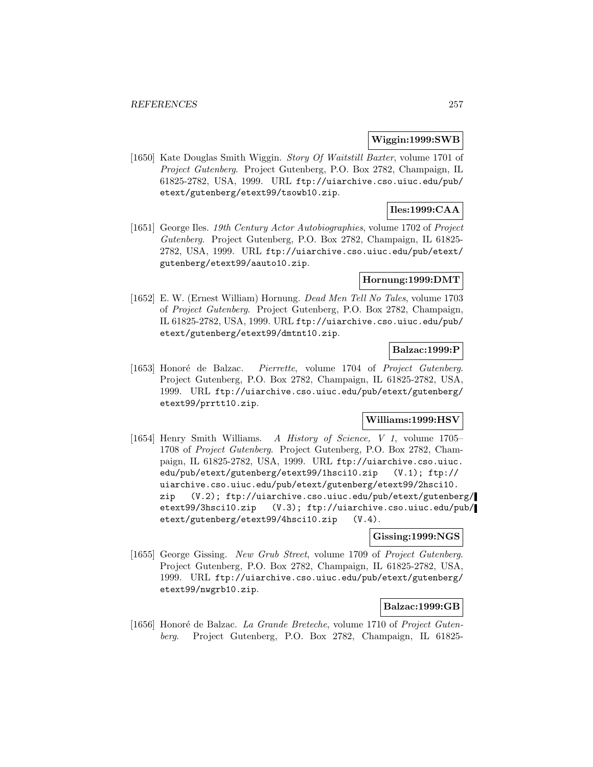### **Wiggin:1999:SWB**

[1650] Kate Douglas Smith Wiggin. Story Of Waitstill Baxter, volume 1701 of Project Gutenberg. Project Gutenberg, P.O. Box 2782, Champaign, IL 61825-2782, USA, 1999. URL ftp://uiarchive.cso.uiuc.edu/pub/ etext/gutenberg/etext99/tsowb10.zip.

# **Iles:1999:CAA**

[1651] George Iles. 19th Century Actor Autobiographies, volume 1702 of Project Gutenberg. Project Gutenberg, P.O. Box 2782, Champaign, IL 61825- 2782, USA, 1999. URL ftp://uiarchive.cso.uiuc.edu/pub/etext/ gutenberg/etext99/aauto10.zip.

## **Hornung:1999:DMT**

[1652] E. W. (Ernest William) Hornung. Dead Men Tell No Tales, volume 1703 of Project Gutenberg. Project Gutenberg, P.O. Box 2782, Champaign, IL 61825-2782, USA, 1999. URL ftp://uiarchive.cso.uiuc.edu/pub/ etext/gutenberg/etext99/dmtnt10.zip.

## **Balzac:1999:P**

[1653] Honoré de Balzac. Pierrette, volume 1704 of Project Gutenberg. Project Gutenberg, P.O. Box 2782, Champaign, IL 61825-2782, USA, 1999. URL ftp://uiarchive.cso.uiuc.edu/pub/etext/gutenberg/ etext99/prrtt10.zip.

# **Williams:1999:HSV**

[1654] Henry Smith Williams. A History of Science, V 1, volume 1705– 1708 of Project Gutenberg. Project Gutenberg, P.O. Box 2782, Champaign, IL 61825-2782, USA, 1999. URL ftp://uiarchive.cso.uiuc. edu/pub/etext/gutenberg/etext99/1hsci10.zip (V.1); ftp:// uiarchive.cso.uiuc.edu/pub/etext/gutenberg/etext99/2hsci10. zip (V.2); ftp://uiarchive.cso.uiuc.edu/pub/etext/gutenberg/ etext99/3hsci10.zip (V.3); ftp://uiarchive.cso.uiuc.edu/pub/ etext/gutenberg/etext99/4hsci10.zip (V.4).

### **Gissing:1999:NGS**

[1655] George Gissing. New Grub Street, volume 1709 of Project Gutenberg. Project Gutenberg, P.O. Box 2782, Champaign, IL 61825-2782, USA, 1999. URL ftp://uiarchive.cso.uiuc.edu/pub/etext/gutenberg/ etext99/nwgrb10.zip.

# **Balzac:1999:GB**

[1656] Honoré de Balzac. La Grande Breteche, volume 1710 of Project Gutenberg. Project Gutenberg, P.O. Box 2782, Champaign, IL 61825-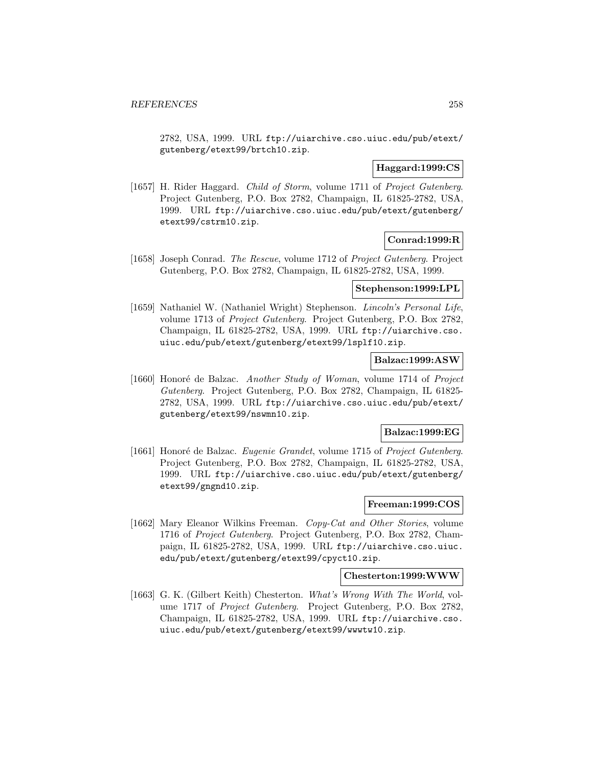2782, USA, 1999. URL ftp://uiarchive.cso.uiuc.edu/pub/etext/ gutenberg/etext99/brtch10.zip.

## **Haggard:1999:CS**

[1657] H. Rider Haggard. Child of Storm, volume 1711 of Project Gutenberg. Project Gutenberg, P.O. Box 2782, Champaign, IL 61825-2782, USA, 1999. URL ftp://uiarchive.cso.uiuc.edu/pub/etext/gutenberg/ etext99/cstrm10.zip.

## **Conrad:1999:R**

[1658] Joseph Conrad. The Rescue, volume 1712 of Project Gutenberg. Project Gutenberg, P.O. Box 2782, Champaign, IL 61825-2782, USA, 1999.

## **Stephenson:1999:LPL**

[1659] Nathaniel W. (Nathaniel Wright) Stephenson. Lincoln's Personal Life, volume 1713 of Project Gutenberg. Project Gutenberg, P.O. Box 2782, Champaign, IL 61825-2782, USA, 1999. URL ftp://uiarchive.cso. uiuc.edu/pub/etext/gutenberg/etext99/lsplf10.zip.

## **Balzac:1999:ASW**

[1660] Honoré de Balzac. Another Study of Woman, volume 1714 of Project Gutenberg. Project Gutenberg, P.O. Box 2782, Champaign, IL 61825- 2782, USA, 1999. URL ftp://uiarchive.cso.uiuc.edu/pub/etext/ gutenberg/etext99/nswmn10.zip.

## **Balzac:1999:EG**

[1661] Honoré de Balzac. Eugenie Grandet, volume 1715 of Project Gutenberg. Project Gutenberg, P.O. Box 2782, Champaign, IL 61825-2782, USA, 1999. URL ftp://uiarchive.cso.uiuc.edu/pub/etext/gutenberg/ etext99/gngnd10.zip.

### **Freeman:1999:COS**

[1662] Mary Eleanor Wilkins Freeman. Copy-Cat and Other Stories, volume 1716 of Project Gutenberg. Project Gutenberg, P.O. Box 2782, Champaign, IL 61825-2782, USA, 1999. URL ftp://uiarchive.cso.uiuc. edu/pub/etext/gutenberg/etext99/cpyct10.zip.

# **Chesterton:1999:WWW**

[1663] G. K. (Gilbert Keith) Chesterton. What's Wrong With The World, volume 1717 of Project Gutenberg. Project Gutenberg, P.O. Box 2782, Champaign, IL 61825-2782, USA, 1999. URL ftp://uiarchive.cso. uiuc.edu/pub/etext/gutenberg/etext99/wwwtw10.zip.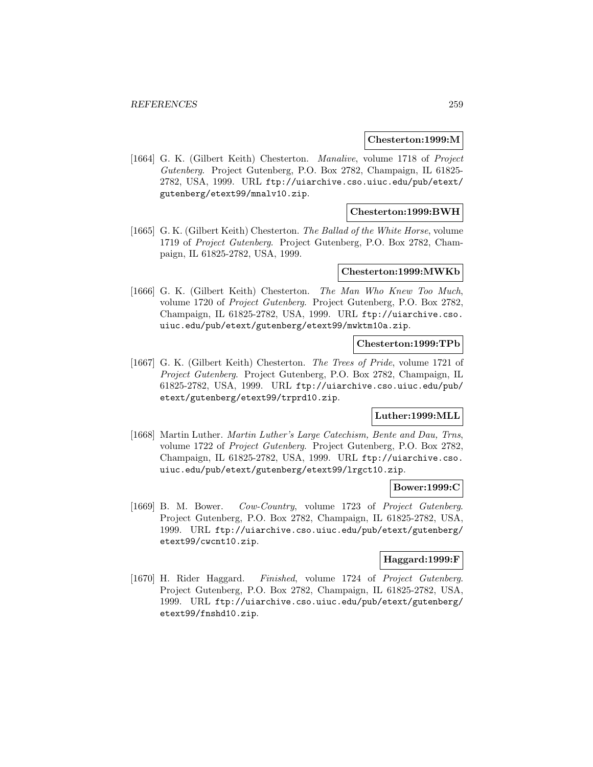### **Chesterton:1999:M**

[1664] G. K. (Gilbert Keith) Chesterton. Manalive, volume 1718 of Project Gutenberg. Project Gutenberg, P.O. Box 2782, Champaign, IL 61825- 2782, USA, 1999. URL ftp://uiarchive.cso.uiuc.edu/pub/etext/ gutenberg/etext99/mnalv10.zip.

## **Chesterton:1999:BWH**

[1665] G. K. (Gilbert Keith) Chesterton. The Ballad of the White Horse, volume 1719 of Project Gutenberg. Project Gutenberg, P.O. Box 2782, Champaign, IL 61825-2782, USA, 1999.

## **Chesterton:1999:MWKb**

[1666] G. K. (Gilbert Keith) Chesterton. The Man Who Knew Too Much, volume 1720 of Project Gutenberg. Project Gutenberg, P.O. Box 2782, Champaign, IL 61825-2782, USA, 1999. URL ftp://uiarchive.cso. uiuc.edu/pub/etext/gutenberg/etext99/mwktm10a.zip.

### **Chesterton:1999:TPb**

[1667] G. K. (Gilbert Keith) Chesterton. The Trees of Pride, volume 1721 of Project Gutenberg. Project Gutenberg, P.O. Box 2782, Champaign, IL 61825-2782, USA, 1999. URL ftp://uiarchive.cso.uiuc.edu/pub/ etext/gutenberg/etext99/trprd10.zip.

## **Luther:1999:MLL**

[1668] Martin Luther. Martin Luther's Large Catechism, Bente and Dau, Trns, volume 1722 of Project Gutenberg. Project Gutenberg, P.O. Box 2782, Champaign, IL 61825-2782, USA, 1999. URL ftp://uiarchive.cso. uiuc.edu/pub/etext/gutenberg/etext99/lrgct10.zip.

### **Bower:1999:C**

[1669] B. M. Bower. Cow-Country, volume 1723 of Project Gutenberg. Project Gutenberg, P.O. Box 2782, Champaign, IL 61825-2782, USA, 1999. URL ftp://uiarchive.cso.uiuc.edu/pub/etext/gutenberg/ etext99/cwcnt10.zip.

# **Haggard:1999:F**

[1670] H. Rider Haggard. Finished, volume 1724 of Project Gutenberg. Project Gutenberg, P.O. Box 2782, Champaign, IL 61825-2782, USA, 1999. URL ftp://uiarchive.cso.uiuc.edu/pub/etext/gutenberg/ etext99/fnshd10.zip.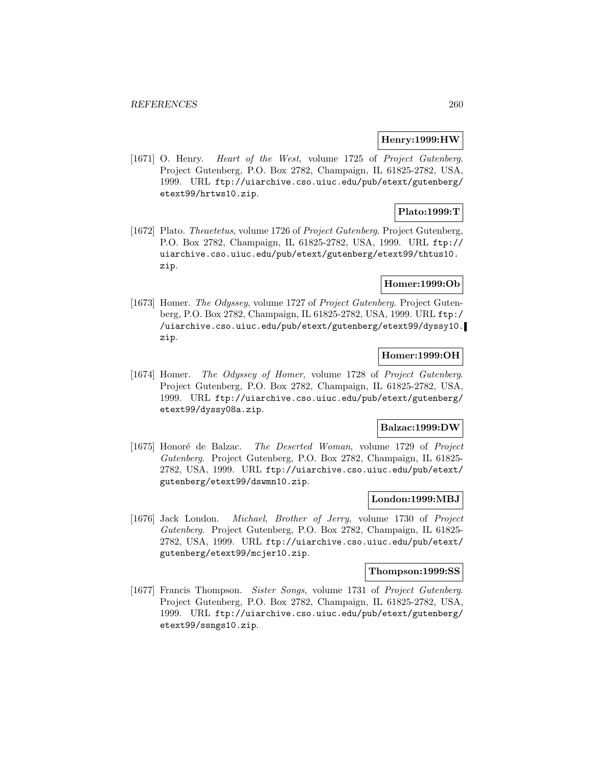### **Henry:1999:HW**

[1671] O. Henry. Heart of the West, volume 1725 of Project Gutenberg. Project Gutenberg, P.O. Box 2782, Champaign, IL 61825-2782, USA, 1999. URL ftp://uiarchive.cso.uiuc.edu/pub/etext/gutenberg/ etext99/hrtws10.zip.

## **Plato:1999:T**

[1672] Plato. Theaetetus, volume 1726 of Project Gutenberg. Project Gutenberg, P.O. Box 2782, Champaign, IL 61825-2782, USA, 1999. URL ftp:// uiarchive.cso.uiuc.edu/pub/etext/gutenberg/etext99/thtus10. zip.

## **Homer:1999:Ob**

[1673] Homer. The Odyssey, volume 1727 of Project Gutenberg. Project Gutenberg, P.O. Box 2782, Champaign, IL 61825-2782, USA, 1999. URL ftp:/ /uiarchive.cso.uiuc.edu/pub/etext/gutenberg/etext99/dyssy10. zip.

# **Homer:1999:OH**

[1674] Homer. The Odyssey of Homer, volume 1728 of Project Gutenberg. Project Gutenberg, P.O. Box 2782, Champaign, IL 61825-2782, USA, 1999. URL ftp://uiarchive.cso.uiuc.edu/pub/etext/gutenberg/ etext99/dyssy08a.zip.

### **Balzac:1999:DW**

[1675] Honoré de Balzac. The Deserted Woman, volume 1729 of Project Gutenberg. Project Gutenberg, P.O. Box 2782, Champaign, IL 61825- 2782, USA, 1999. URL ftp://uiarchive.cso.uiuc.edu/pub/etext/ gutenberg/etext99/dswmn10.zip.

## **London:1999:MBJ**

[1676] Jack London. Michael, Brother of Jerry, volume 1730 of Project Gutenberg. Project Gutenberg, P.O. Box 2782, Champaign, IL 61825- 2782, USA, 1999. URL ftp://uiarchive.cso.uiuc.edu/pub/etext/ gutenberg/etext99/mcjer10.zip.

## **Thompson:1999:SS**

[1677] Francis Thompson. Sister Songs, volume 1731 of Project Gutenberg. Project Gutenberg, P.O. Box 2782, Champaign, IL 61825-2782, USA, 1999. URL ftp://uiarchive.cso.uiuc.edu/pub/etext/gutenberg/ etext99/ssngs10.zip.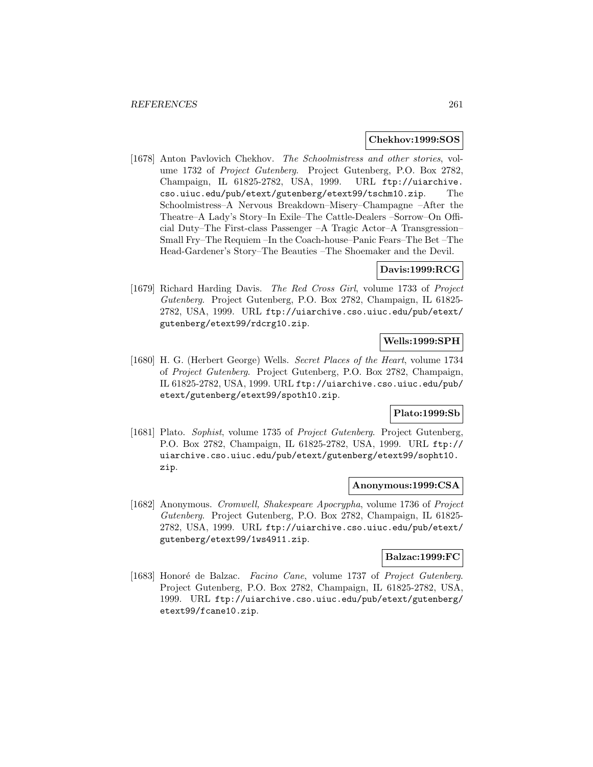### **Chekhov:1999:SOS**

[1678] Anton Pavlovich Chekhov. The Schoolmistress and other stories, volume 1732 of Project Gutenberg. Project Gutenberg, P.O. Box 2782, Champaign, IL 61825-2782, USA, 1999. URL ftp://uiarchive. cso.uiuc.edu/pub/etext/gutenberg/etext99/tschm10.zip. The Schoolmistress–A Nervous Breakdown–Misery–Champagne –After the Theatre–A Lady's Story–In Exile–The Cattle-Dealers –Sorrow–On Official Duty–The First-class Passenger –A Tragic Actor–A Transgression– Small Fry–The Requiem –In the Coach-house–Panic Fears–The Bet –The Head-Gardener's Story–The Beauties –The Shoemaker and the Devil.

# **Davis:1999:RCG**

[1679] Richard Harding Davis. The Red Cross Girl, volume 1733 of Project Gutenberg. Project Gutenberg, P.O. Box 2782, Champaign, IL 61825- 2782, USA, 1999. URL ftp://uiarchive.cso.uiuc.edu/pub/etext/ gutenberg/etext99/rdcrg10.zip.

# **Wells:1999:SPH**

[1680] H. G. (Herbert George) Wells. Secret Places of the Heart, volume 1734 of Project Gutenberg. Project Gutenberg, P.O. Box 2782, Champaign, IL 61825-2782, USA, 1999. URL ftp://uiarchive.cso.uiuc.edu/pub/ etext/gutenberg/etext99/spoth10.zip.

## **Plato:1999:Sb**

[1681] Plato. Sophist, volume 1735 of Project Gutenberg. Project Gutenberg, P.O. Box 2782, Champaign, IL 61825-2782, USA, 1999. URL ftp:// uiarchive.cso.uiuc.edu/pub/etext/gutenberg/etext99/sopht10. zip.

### **Anonymous:1999:CSA**

[1682] Anonymous. Cromwell, Shakespeare Apocrypha, volume 1736 of Project Gutenberg. Project Gutenberg, P.O. Box 2782, Champaign, IL 61825- 2782, USA, 1999. URL ftp://uiarchive.cso.uiuc.edu/pub/etext/ gutenberg/etext99/1ws4911.zip.

### **Balzac:1999:FC**

[1683] Honoré de Balzac. Facino Cane, volume 1737 of Project Gutenberg. Project Gutenberg, P.O. Box 2782, Champaign, IL 61825-2782, USA, 1999. URL ftp://uiarchive.cso.uiuc.edu/pub/etext/gutenberg/ etext99/fcane10.zip.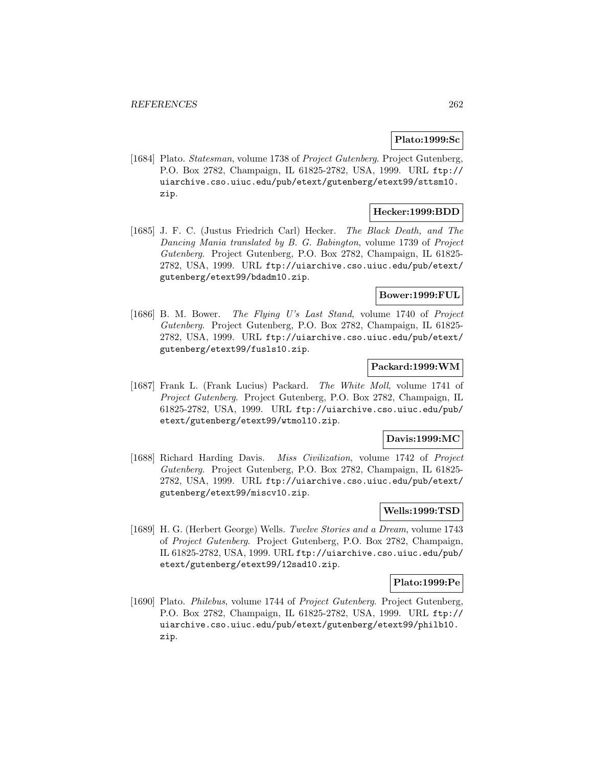## **Plato:1999:Sc**

[1684] Plato. Statesman, volume 1738 of Project Gutenberg. Project Gutenberg, P.O. Box 2782, Champaign, IL 61825-2782, USA, 1999. URL ftp:// uiarchive.cso.uiuc.edu/pub/etext/gutenberg/etext99/sttsm10. zip.

## **Hecker:1999:BDD**

[1685] J. F. C. (Justus Friedrich Carl) Hecker. The Black Death, and The Dancing Mania translated by B. G. Babington, volume 1739 of Project Gutenberg. Project Gutenberg, P.O. Box 2782, Champaign, IL 61825- 2782, USA, 1999. URL ftp://uiarchive.cso.uiuc.edu/pub/etext/ gutenberg/etext99/bdadm10.zip.

## **Bower:1999:FUL**

[1686] B. M. Bower. The Flying U's Last Stand, volume 1740 of Project Gutenberg. Project Gutenberg, P.O. Box 2782, Champaign, IL 61825- 2782, USA, 1999. URL ftp://uiarchive.cso.uiuc.edu/pub/etext/ gutenberg/etext99/fusls10.zip.

## **Packard:1999:WM**

[1687] Frank L. (Frank Lucius) Packard. The White Moll, volume 1741 of Project Gutenberg. Project Gutenberg, P.O. Box 2782, Champaign, IL 61825-2782, USA, 1999. URL ftp://uiarchive.cso.uiuc.edu/pub/ etext/gutenberg/etext99/wtmol10.zip.

## **Davis:1999:MC**

[1688] Richard Harding Davis. Miss Civilization, volume 1742 of Project Gutenberg. Project Gutenberg, P.O. Box 2782, Champaign, IL 61825- 2782, USA, 1999. URL ftp://uiarchive.cso.uiuc.edu/pub/etext/ gutenberg/etext99/miscv10.zip.

## **Wells:1999:TSD**

[1689] H. G. (Herbert George) Wells. Twelve Stories and a Dream, volume 1743 of Project Gutenberg. Project Gutenberg, P.O. Box 2782, Champaign, IL 61825-2782, USA, 1999. URL ftp://uiarchive.cso.uiuc.edu/pub/ etext/gutenberg/etext99/12sad10.zip.

### **Plato:1999:Pe**

[1690] Plato. Philebus, volume 1744 of Project Gutenberg. Project Gutenberg, P.O. Box 2782, Champaign, IL 61825-2782, USA, 1999. URL ftp:// uiarchive.cso.uiuc.edu/pub/etext/gutenberg/etext99/philb10. zip.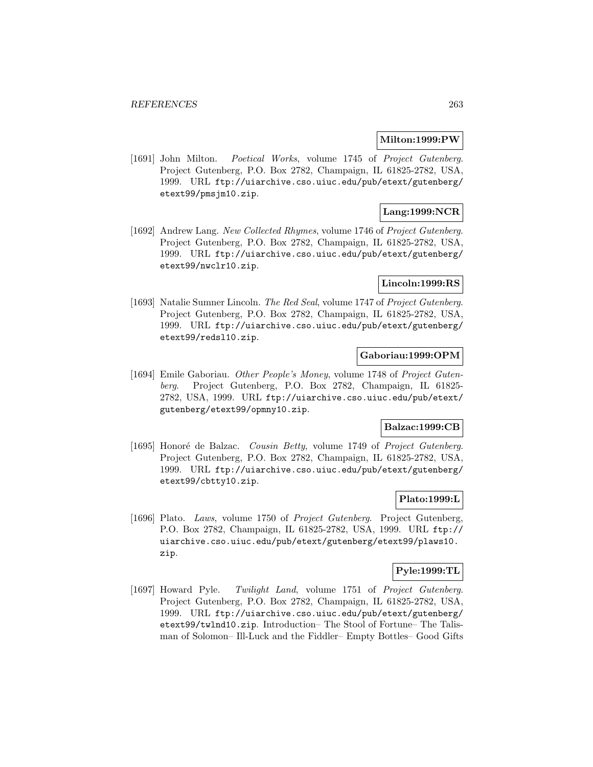### **Milton:1999:PW**

[1691] John Milton. Poetical Works, volume 1745 of Project Gutenberg. Project Gutenberg, P.O. Box 2782, Champaign, IL 61825-2782, USA, 1999. URL ftp://uiarchive.cso.uiuc.edu/pub/etext/gutenberg/ etext99/pmsjm10.zip.

## **Lang:1999:NCR**

[1692] Andrew Lang. New Collected Rhymes, volume 1746 of Project Gutenberg. Project Gutenberg, P.O. Box 2782, Champaign, IL 61825-2782, USA, 1999. URL ftp://uiarchive.cso.uiuc.edu/pub/etext/gutenberg/ etext99/nwclr10.zip.

### **Lincoln:1999:RS**

[1693] Natalie Sumner Lincoln. The Red Seal, volume 1747 of Project Gutenberg. Project Gutenberg, P.O. Box 2782, Champaign, IL 61825-2782, USA, 1999. URL ftp://uiarchive.cso.uiuc.edu/pub/etext/gutenberg/ etext99/redsl10.zip.

### **Gaboriau:1999:OPM**

[1694] Emile Gaboriau. Other People's Money, volume 1748 of Project Gutenberg. Project Gutenberg, P.O. Box 2782, Champaign, IL 61825- 2782, USA, 1999. URL ftp://uiarchive.cso.uiuc.edu/pub/etext/ gutenberg/etext99/opmny10.zip.

### **Balzac:1999:CB**

[1695] Honoré de Balzac. Cousin Betty, volume 1749 of Project Gutenberg. Project Gutenberg, P.O. Box 2782, Champaign, IL 61825-2782, USA, 1999. URL ftp://uiarchive.cso.uiuc.edu/pub/etext/gutenberg/ etext99/cbtty10.zip.

## **Plato:1999:L**

[1696] Plato. Laws, volume 1750 of Project Gutenberg. Project Gutenberg, P.O. Box 2782, Champaign, IL 61825-2782, USA, 1999. URL ftp:// uiarchive.cso.uiuc.edu/pub/etext/gutenberg/etext99/plaws10. zip.

### **Pyle:1999:TL**

[1697] Howard Pyle. Twilight Land, volume 1751 of Project Gutenberg. Project Gutenberg, P.O. Box 2782, Champaign, IL 61825-2782, USA, 1999. URL ftp://uiarchive.cso.uiuc.edu/pub/etext/gutenberg/ etext99/twlnd10.zip. Introduction– The Stool of Fortune– The Talisman of Solomon– Ill-Luck and the Fiddler– Empty Bottles– Good Gifts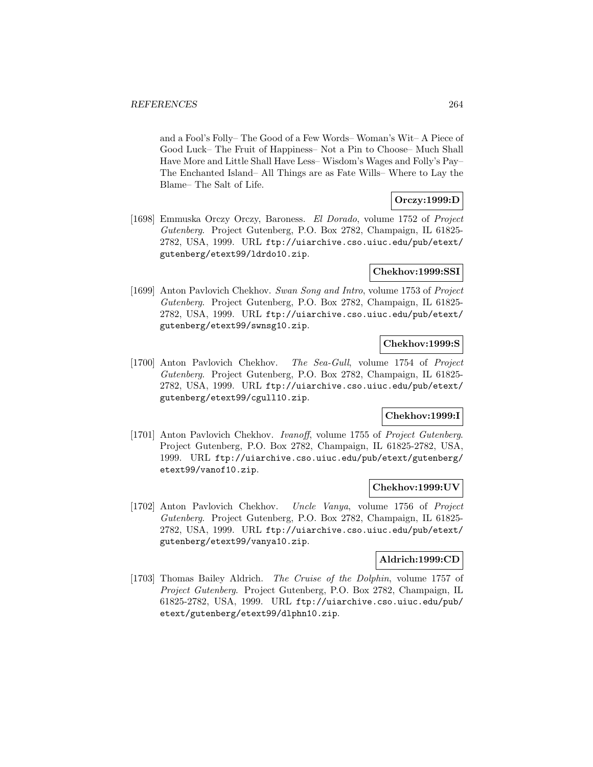and a Fool's Folly– The Good of a Few Words– Woman's Wit– A Piece of Good Luck– The Fruit of Happiness– Not a Pin to Choose– Much Shall Have More and Little Shall Have Less– Wisdom's Wages and Folly's Pay– The Enchanted Island– All Things are as Fate Wills– Where to Lay the Blame– The Salt of Life.

# **Orczy:1999:D**

[1698] Emmuska Orczy Orczy, Baroness. El Dorado, volume 1752 of Project Gutenberg. Project Gutenberg, P.O. Box 2782, Champaign, IL 61825- 2782, USA, 1999. URL ftp://uiarchive.cso.uiuc.edu/pub/etext/ gutenberg/etext99/ldrdo10.zip.

# **Chekhov:1999:SSI**

[1699] Anton Pavlovich Chekhov. Swan Song and Intro, volume 1753 of Project Gutenberg. Project Gutenberg, P.O. Box 2782, Champaign, IL 61825- 2782, USA, 1999. URL ftp://uiarchive.cso.uiuc.edu/pub/etext/ gutenberg/etext99/swnsg10.zip.

## **Chekhov:1999:S**

[1700] Anton Pavlovich Chekhov. The Sea-Gull, volume 1754 of Project Gutenberg. Project Gutenberg, P.O. Box 2782, Champaign, IL 61825- 2782, USA, 1999. URL ftp://uiarchive.cso.uiuc.edu/pub/etext/ gutenberg/etext99/cgull10.zip.

# **Chekhov:1999:I**

[1701] Anton Pavlovich Chekhov. Ivanoff, volume 1755 of Project Gutenberg. Project Gutenberg, P.O. Box 2782, Champaign, IL 61825-2782, USA, 1999. URL ftp://uiarchive.cso.uiuc.edu/pub/etext/gutenberg/ etext99/vanof10.zip.

## **Chekhov:1999:UV**

[1702] Anton Pavlovich Chekhov. Uncle Vanya, volume 1756 of Project Gutenberg. Project Gutenberg, P.O. Box 2782, Champaign, IL 61825- 2782, USA, 1999. URL ftp://uiarchive.cso.uiuc.edu/pub/etext/ gutenberg/etext99/vanya10.zip.

## **Aldrich:1999:CD**

[1703] Thomas Bailey Aldrich. The Cruise of the Dolphin, volume 1757 of Project Gutenberg. Project Gutenberg, P.O. Box 2782, Champaign, IL 61825-2782, USA, 1999. URL ftp://uiarchive.cso.uiuc.edu/pub/ etext/gutenberg/etext99/dlphn10.zip.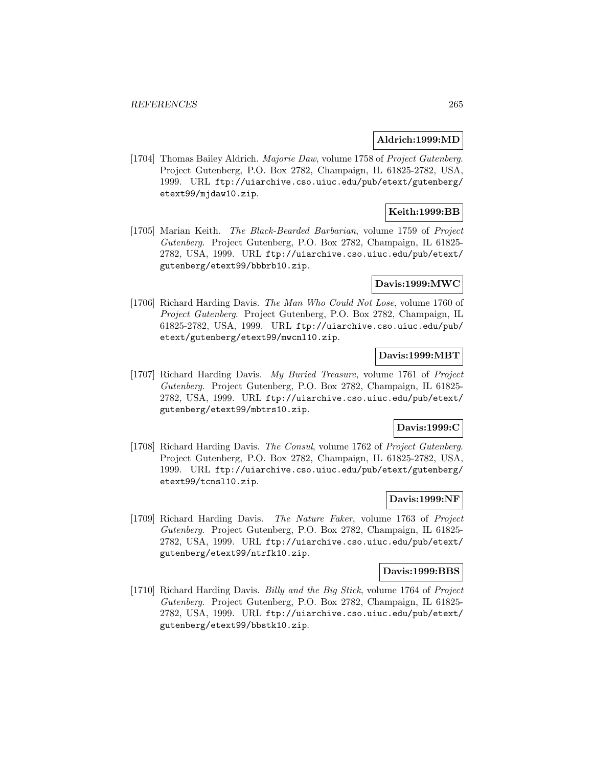### **Aldrich:1999:MD**

[1704] Thomas Bailey Aldrich. Majorie Daw, volume 1758 of Project Gutenberg. Project Gutenberg, P.O. Box 2782, Champaign, IL 61825-2782, USA, 1999. URL ftp://uiarchive.cso.uiuc.edu/pub/etext/gutenberg/ etext99/mjdaw10.zip.

## **Keith:1999:BB**

[1705] Marian Keith. The Black-Bearded Barbarian, volume 1759 of Project Gutenberg. Project Gutenberg, P.O. Box 2782, Champaign, IL 61825- 2782, USA, 1999. URL ftp://uiarchive.cso.uiuc.edu/pub/etext/ gutenberg/etext99/bbbrb10.zip.

## **Davis:1999:MWC**

[1706] Richard Harding Davis. The Man Who Could Not Lose, volume 1760 of Project Gutenberg. Project Gutenberg, P.O. Box 2782, Champaign, IL 61825-2782, USA, 1999. URL ftp://uiarchive.cso.uiuc.edu/pub/ etext/gutenberg/etext99/mwcnl10.zip.

# **Davis:1999:MBT**

[1707] Richard Harding Davis. My Buried Treasure, volume 1761 of Project Gutenberg. Project Gutenberg, P.O. Box 2782, Champaign, IL 61825- 2782, USA, 1999. URL ftp://uiarchive.cso.uiuc.edu/pub/etext/ gutenberg/etext99/mbtrs10.zip.

## **Davis:1999:C**

[1708] Richard Harding Davis. The Consul, volume 1762 of Project Gutenberg. Project Gutenberg, P.O. Box 2782, Champaign, IL 61825-2782, USA, 1999. URL ftp://uiarchive.cso.uiuc.edu/pub/etext/gutenberg/ etext99/tcnsl10.zip.

## **Davis:1999:NF**

[1709] Richard Harding Davis. The Nature Faker, volume 1763 of Project Gutenberg. Project Gutenberg, P.O. Box 2782, Champaign, IL 61825- 2782, USA, 1999. URL ftp://uiarchive.cso.uiuc.edu/pub/etext/ gutenberg/etext99/ntrfk10.zip.

### **Davis:1999:BBS**

[1710] Richard Harding Davis. Billy and the Big Stick, volume 1764 of Project Gutenberg. Project Gutenberg, P.O. Box 2782, Champaign, IL 61825- 2782, USA, 1999. URL ftp://uiarchive.cso.uiuc.edu/pub/etext/ gutenberg/etext99/bbstk10.zip.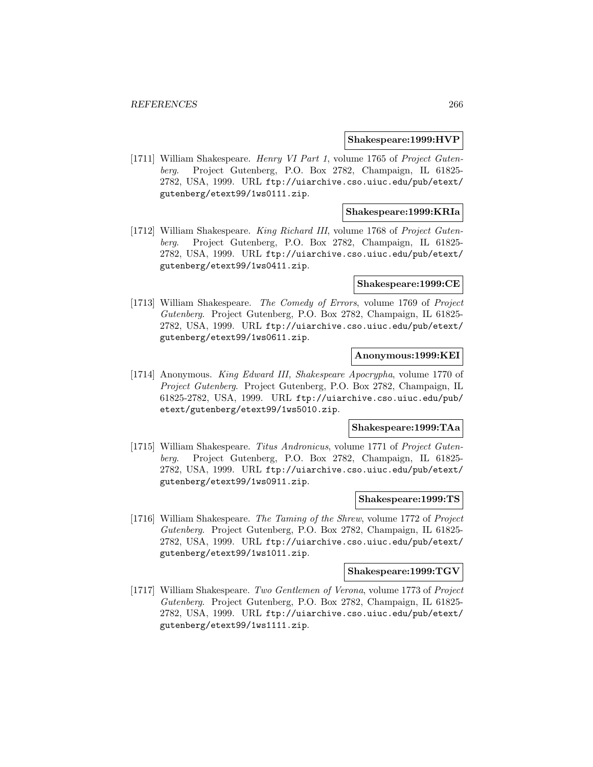### **Shakespeare:1999:HVP**

[1711] William Shakespeare. Henry VI Part 1, volume 1765 of Project Gutenberg. Project Gutenberg, P.O. Box 2782, Champaign, IL 61825- 2782, USA, 1999. URL ftp://uiarchive.cso.uiuc.edu/pub/etext/ gutenberg/etext99/1ws0111.zip.

## **Shakespeare:1999:KRIa**

[1712] William Shakespeare. King Richard III, volume 1768 of Project Gutenberg. Project Gutenberg, P.O. Box 2782, Champaign, IL 61825- 2782, USA, 1999. URL ftp://uiarchive.cso.uiuc.edu/pub/etext/ gutenberg/etext99/1ws0411.zip.

### **Shakespeare:1999:CE**

[1713] William Shakespeare. The Comedy of Errors, volume 1769 of Project Gutenberg. Project Gutenberg, P.O. Box 2782, Champaign, IL 61825- 2782, USA, 1999. URL ftp://uiarchive.cso.uiuc.edu/pub/etext/ gutenberg/etext99/1ws0611.zip.

## **Anonymous:1999:KEI**

[1714] Anonymous. King Edward III, Shakespeare Apocrypha, volume 1770 of Project Gutenberg. Project Gutenberg, P.O. Box 2782, Champaign, IL 61825-2782, USA, 1999. URL ftp://uiarchive.cso.uiuc.edu/pub/ etext/gutenberg/etext99/1ws5010.zip.

### **Shakespeare:1999:TAa**

[1715] William Shakespeare. Titus Andronicus, volume 1771 of Project Gutenberg. Project Gutenberg, P.O. Box 2782, Champaign, IL 61825- 2782, USA, 1999. URL ftp://uiarchive.cso.uiuc.edu/pub/etext/ gutenberg/etext99/1ws0911.zip.

## **Shakespeare:1999:TS**

[1716] William Shakespeare. The Taming of the Shrew, volume 1772 of Project Gutenberg. Project Gutenberg, P.O. Box 2782, Champaign, IL 61825- 2782, USA, 1999. URL ftp://uiarchive.cso.uiuc.edu/pub/etext/ gutenberg/etext99/1ws1011.zip.

### **Shakespeare:1999:TGV**

[1717] William Shakespeare. Two Gentlemen of Verona, volume 1773 of Project Gutenberg. Project Gutenberg, P.O. Box 2782, Champaign, IL 61825- 2782, USA, 1999. URL ftp://uiarchive.cso.uiuc.edu/pub/etext/ gutenberg/etext99/1ws1111.zip.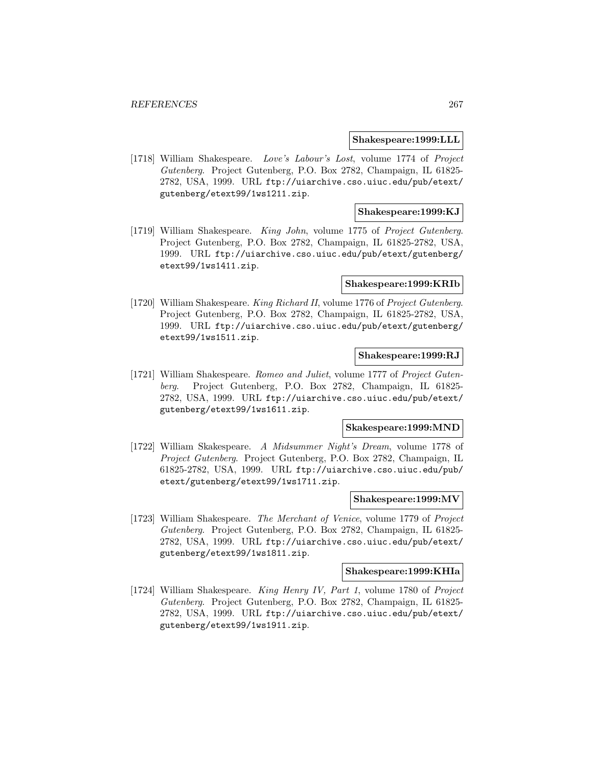### **Shakespeare:1999:LLL**

[1718] William Shakespeare. Love's Labour's Lost, volume 1774 of Project Gutenberg. Project Gutenberg, P.O. Box 2782, Champaign, IL 61825- 2782, USA, 1999. URL ftp://uiarchive.cso.uiuc.edu/pub/etext/ gutenberg/etext99/1ws1211.zip.

### **Shakespeare:1999:KJ**

[1719] William Shakespeare. King John, volume 1775 of Project Gutenberg. Project Gutenberg, P.O. Box 2782, Champaign, IL 61825-2782, USA, 1999. URL ftp://uiarchive.cso.uiuc.edu/pub/etext/gutenberg/ etext99/1ws1411.zip.

### **Shakespeare:1999:KRIb**

[1720] William Shakespeare. King Richard II, volume 1776 of Project Gutenberg. Project Gutenberg, P.O. Box 2782, Champaign, IL 61825-2782, USA, 1999. URL ftp://uiarchive.cso.uiuc.edu/pub/etext/gutenberg/ etext99/1ws1511.zip.

### **Shakespeare:1999:RJ**

[1721] William Shakespeare. Romeo and Juliet, volume 1777 of Project Gutenberg. Project Gutenberg, P.O. Box 2782, Champaign, IL 61825- 2782, USA, 1999. URL ftp://uiarchive.cso.uiuc.edu/pub/etext/ gutenberg/etext99/1ws1611.zip.

### **Skakespeare:1999:MND**

[1722] William Skakespeare. A Midsummer Night's Dream, volume 1778 of Project Gutenberg. Project Gutenberg, P.O. Box 2782, Champaign, IL 61825-2782, USA, 1999. URL ftp://uiarchive.cso.uiuc.edu/pub/ etext/gutenberg/etext99/1ws1711.zip.

### **Shakespeare:1999:MV**

[1723] William Shakespeare. The Merchant of Venice, volume 1779 of Project Gutenberg. Project Gutenberg, P.O. Box 2782, Champaign, IL 61825- 2782, USA, 1999. URL ftp://uiarchive.cso.uiuc.edu/pub/etext/ gutenberg/etext99/1ws1811.zip.

### **Shakespeare:1999:KHIa**

[1724] William Shakespeare. King Henry IV, Part 1, volume 1780 of Project Gutenberg. Project Gutenberg, P.O. Box 2782, Champaign, IL 61825- 2782, USA, 1999. URL ftp://uiarchive.cso.uiuc.edu/pub/etext/ gutenberg/etext99/1ws1911.zip.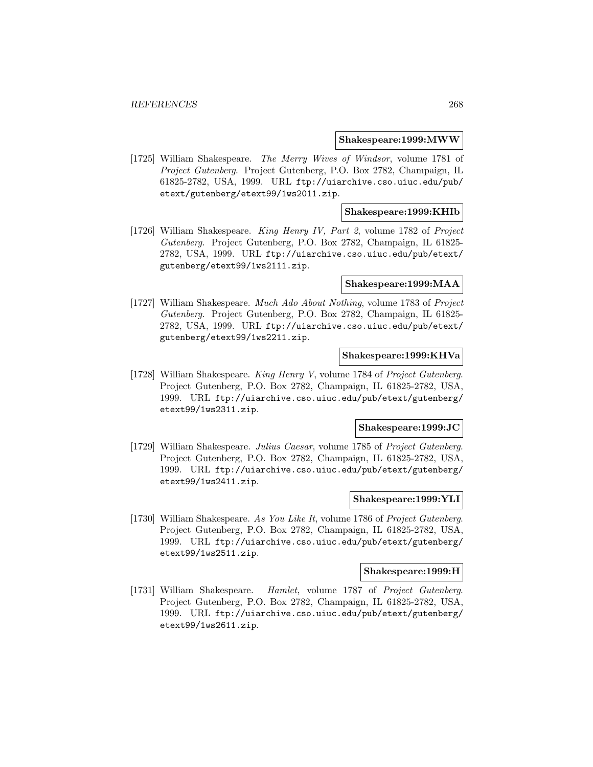### **Shakespeare:1999:MWW**

[1725] William Shakespeare. The Merry Wives of Windsor, volume 1781 of Project Gutenberg. Project Gutenberg, P.O. Box 2782, Champaign, IL 61825-2782, USA, 1999. URL ftp://uiarchive.cso.uiuc.edu/pub/ etext/gutenberg/etext99/1ws2011.zip.

### **Shakespeare:1999:KHIb**

[1726] William Shakespeare. King Henry IV, Part 2, volume 1782 of Project Gutenberg. Project Gutenberg, P.O. Box 2782, Champaign, IL 61825- 2782, USA, 1999. URL ftp://uiarchive.cso.uiuc.edu/pub/etext/ gutenberg/etext99/1ws2111.zip.

### **Shakespeare:1999:MAA**

[1727] William Shakespeare. Much Ado About Nothing, volume 1783 of Project Gutenberg. Project Gutenberg, P.O. Box 2782, Champaign, IL 61825- 2782, USA, 1999. URL ftp://uiarchive.cso.uiuc.edu/pub/etext/ gutenberg/etext99/1ws2211.zip.

## **Shakespeare:1999:KHVa**

[1728] William Shakespeare. King Henry V, volume 1784 of Project Gutenberg. Project Gutenberg, P.O. Box 2782, Champaign, IL 61825-2782, USA, 1999. URL ftp://uiarchive.cso.uiuc.edu/pub/etext/gutenberg/ etext99/1ws2311.zip.

### **Shakespeare:1999:JC**

[1729] William Shakespeare. Julius Caesar, volume 1785 of Project Gutenberg. Project Gutenberg, P.O. Box 2782, Champaign, IL 61825-2782, USA, 1999. URL ftp://uiarchive.cso.uiuc.edu/pub/etext/gutenberg/ etext99/1ws2411.zip.

## **Shakespeare:1999:YLI**

[1730] William Shakespeare. As You Like It, volume 1786 of Project Gutenberg. Project Gutenberg, P.O. Box 2782, Champaign, IL 61825-2782, USA, 1999. URL ftp://uiarchive.cso.uiuc.edu/pub/etext/gutenberg/ etext99/1ws2511.zip.

#### **Shakespeare:1999:H**

[1731] William Shakespeare. Hamlet, volume 1787 of Project Gutenberg. Project Gutenberg, P.O. Box 2782, Champaign, IL 61825-2782, USA, 1999. URL ftp://uiarchive.cso.uiuc.edu/pub/etext/gutenberg/ etext99/1ws2611.zip.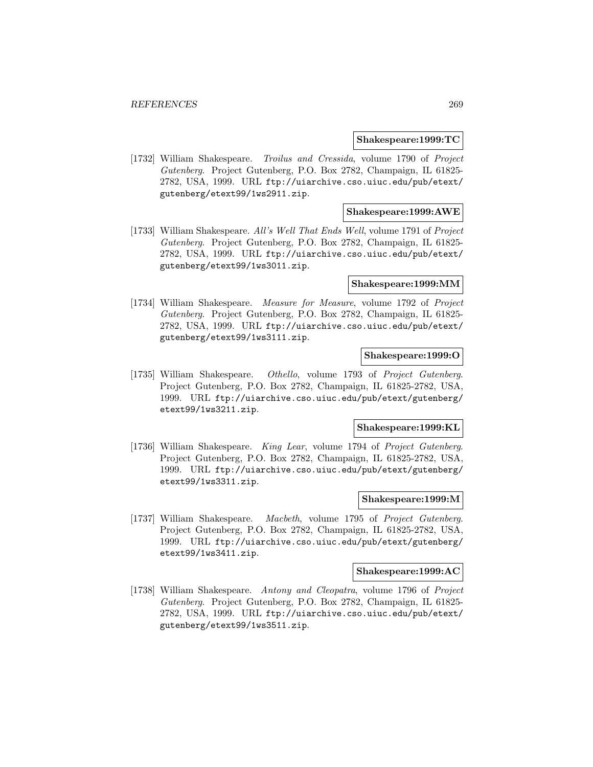### **Shakespeare:1999:TC**

[1732] William Shakespeare. Troilus and Cressida, volume 1790 of Project Gutenberg. Project Gutenberg, P.O. Box 2782, Champaign, IL 61825- 2782, USA, 1999. URL ftp://uiarchive.cso.uiuc.edu/pub/etext/ gutenberg/etext99/1ws2911.zip.

## **Shakespeare:1999:AWE**

[1733] William Shakespeare. All's Well That Ends Well, volume 1791 of Project Gutenberg. Project Gutenberg, P.O. Box 2782, Champaign, IL 61825- 2782, USA, 1999. URL ftp://uiarchive.cso.uiuc.edu/pub/etext/ gutenberg/etext99/1ws3011.zip.

### **Shakespeare:1999:MM**

[1734] William Shakespeare. Measure for Measure, volume 1792 of Project Gutenberg. Project Gutenberg, P.O. Box 2782, Champaign, IL 61825- 2782, USA, 1999. URL ftp://uiarchive.cso.uiuc.edu/pub/etext/ gutenberg/etext99/1ws3111.zip.

## **Shakespeare:1999:O**

[1735] William Shakespeare. Othello, volume 1793 of Project Gutenberg. Project Gutenberg, P.O. Box 2782, Champaign, IL 61825-2782, USA, 1999. URL ftp://uiarchive.cso.uiuc.edu/pub/etext/gutenberg/ etext99/1ws3211.zip.

### **Shakespeare:1999:KL**

[1736] William Shakespeare. King Lear, volume 1794 of Project Gutenberg. Project Gutenberg, P.O. Box 2782, Champaign, IL 61825-2782, USA, 1999. URL ftp://uiarchive.cso.uiuc.edu/pub/etext/gutenberg/ etext99/1ws3311.zip.

## **Shakespeare:1999:M**

[1737] William Shakespeare. Macbeth, volume 1795 of Project Gutenberg. Project Gutenberg, P.O. Box 2782, Champaign, IL 61825-2782, USA, 1999. URL ftp://uiarchive.cso.uiuc.edu/pub/etext/gutenberg/ etext99/1ws3411.zip.

### **Shakespeare:1999:AC**

[1738] William Shakespeare. Antony and Cleopatra, volume 1796 of Project Gutenberg. Project Gutenberg, P.O. Box 2782, Champaign, IL 61825- 2782, USA, 1999. URL ftp://uiarchive.cso.uiuc.edu/pub/etext/ gutenberg/etext99/1ws3511.zip.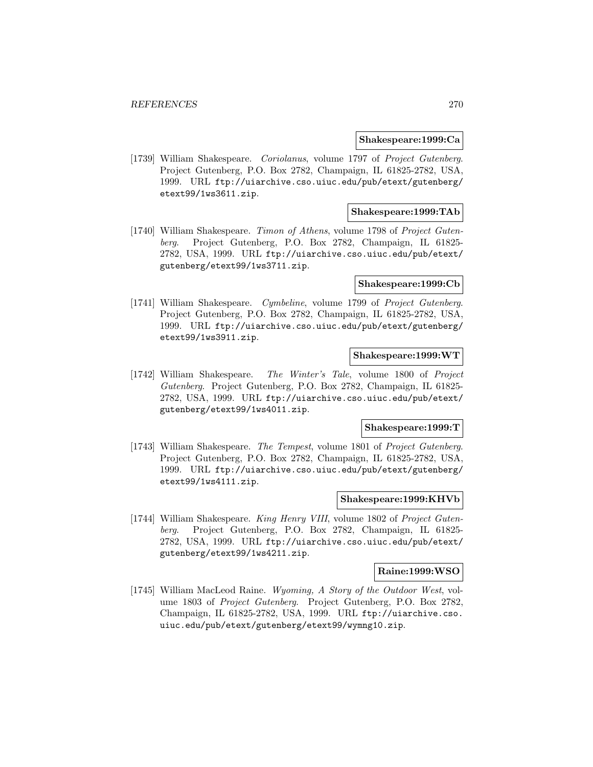### **Shakespeare:1999:Ca**

[1739] William Shakespeare. Coriolanus, volume 1797 of Project Gutenberg. Project Gutenberg, P.O. Box 2782, Champaign, IL 61825-2782, USA, 1999. URL ftp://uiarchive.cso.uiuc.edu/pub/etext/gutenberg/ etext99/1ws3611.zip.

## **Shakespeare:1999:TAb**

[1740] William Shakespeare. Timon of Athens, volume 1798 of Project Gutenberg. Project Gutenberg, P.O. Box 2782, Champaign, IL 61825- 2782, USA, 1999. URL ftp://uiarchive.cso.uiuc.edu/pub/etext/ gutenberg/etext99/1ws3711.zip.

### **Shakespeare:1999:Cb**

[1741] William Shakespeare. Cymbeline, volume 1799 of Project Gutenberg. Project Gutenberg, P.O. Box 2782, Champaign, IL 61825-2782, USA, 1999. URL ftp://uiarchive.cso.uiuc.edu/pub/etext/gutenberg/ etext99/1ws3911.zip.

## **Shakespeare:1999:WT**

[1742] William Shakespeare. The Winter's Tale, volume 1800 of Project Gutenberg. Project Gutenberg, P.O. Box 2782, Champaign, IL 61825- 2782, USA, 1999. URL ftp://uiarchive.cso.uiuc.edu/pub/etext/ gutenberg/etext99/1ws4011.zip.

## **Shakespeare:1999:T**

[1743] William Shakespeare. The Tempest, volume 1801 of Project Gutenberg. Project Gutenberg, P.O. Box 2782, Champaign, IL 61825-2782, USA, 1999. URL ftp://uiarchive.cso.uiuc.edu/pub/etext/gutenberg/ etext99/1ws4111.zip.

## **Shakespeare:1999:KHVb**

[1744] William Shakespeare. King Henry VIII, volume 1802 of Project Gutenberg. Project Gutenberg, P.O. Box 2782, Champaign, IL 61825- 2782, USA, 1999. URL ftp://uiarchive.cso.uiuc.edu/pub/etext/ gutenberg/etext99/1ws4211.zip.

### **Raine:1999:WSO**

[1745] William MacLeod Raine. Wyoming, A Story of the Outdoor West, volume 1803 of Project Gutenberg. Project Gutenberg, P.O. Box 2782, Champaign, IL 61825-2782, USA, 1999. URL ftp://uiarchive.cso. uiuc.edu/pub/etext/gutenberg/etext99/wymng10.zip.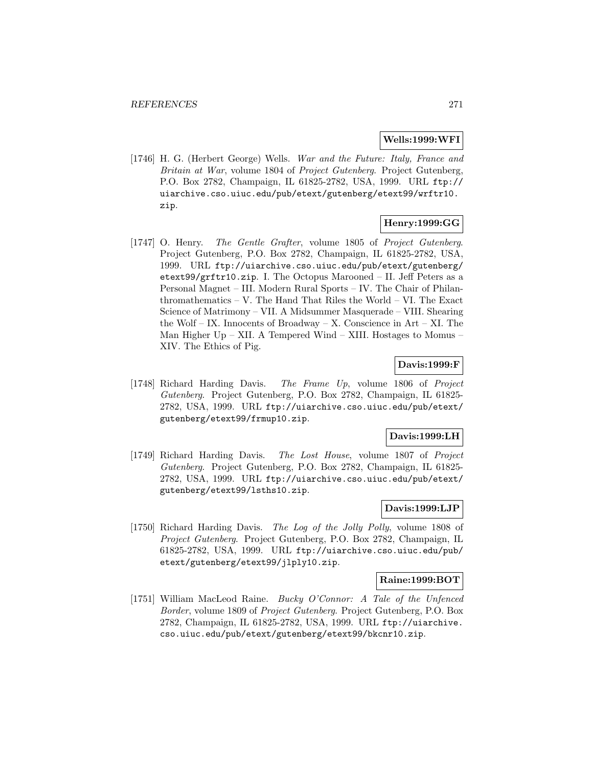### **Wells:1999:WFI**

[1746] H. G. (Herbert George) Wells. War and the Future: Italy, France and Britain at War, volume 1804 of Project Gutenberg. Project Gutenberg, P.O. Box 2782, Champaign, IL 61825-2782, USA, 1999. URL ftp:// uiarchive.cso.uiuc.edu/pub/etext/gutenberg/etext99/wrftr10. zip.

# **Henry:1999:GG**

[1747] O. Henry. The Gentle Grafter, volume 1805 of Project Gutenberg. Project Gutenberg, P.O. Box 2782, Champaign, IL 61825-2782, USA, 1999. URL ftp://uiarchive.cso.uiuc.edu/pub/etext/gutenberg/ etext99/grftr10.zip. I. The Octopus Marooned – II. Jeff Peters as a Personal Magnet – III. Modern Rural Sports – IV. The Chair of Philanthromathematics – V. The Hand That Riles the World – VI. The Exact Science of Matrimony – VII. A Midsummer Masquerade – VIII. Shearing the Wolf – IX. Innocents of Broadway – X. Conscience in  $Art - XI$ . The Man Higher Up – XII. A Tempered Wind – XIII. Hostages to Momus – XIV. The Ethics of Pig.

### **Davis:1999:F**

[1748] Richard Harding Davis. The Frame Up, volume 1806 of Project Gutenberg. Project Gutenberg, P.O. Box 2782, Champaign, IL 61825- 2782, USA, 1999. URL ftp://uiarchive.cso.uiuc.edu/pub/etext/ gutenberg/etext99/frmup10.zip.

## **Davis:1999:LH**

[1749] Richard Harding Davis. The Lost House, volume 1807 of Project Gutenberg. Project Gutenberg, P.O. Box 2782, Champaign, IL 61825- 2782, USA, 1999. URL ftp://uiarchive.cso.uiuc.edu/pub/etext/ gutenberg/etext99/lsths10.zip.

### **Davis:1999:LJP**

[1750] Richard Harding Davis. The Log of the Jolly Polly, volume 1808 of Project Gutenberg. Project Gutenberg, P.O. Box 2782, Champaign, IL 61825-2782, USA, 1999. URL ftp://uiarchive.cso.uiuc.edu/pub/ etext/gutenberg/etext99/jlply10.zip.

### **Raine:1999:BOT**

[1751] William MacLeod Raine. Bucky O'Connor: A Tale of the Unfenced Border, volume 1809 of Project Gutenberg. Project Gutenberg, P.O. Box 2782, Champaign, IL 61825-2782, USA, 1999. URL ftp://uiarchive. cso.uiuc.edu/pub/etext/gutenberg/etext99/bkcnr10.zip.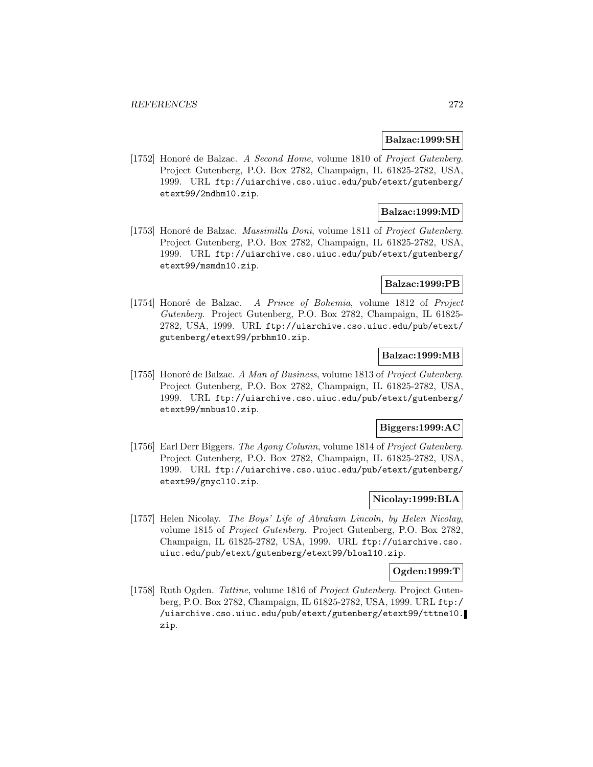### **Balzac:1999:SH**

[1752] Honoré de Balzac. A Second Home, volume 1810 of Project Gutenberg. Project Gutenberg, P.O. Box 2782, Champaign, IL 61825-2782, USA, 1999. URL ftp://uiarchive.cso.uiuc.edu/pub/etext/gutenberg/ etext99/2ndhm10.zip.

## **Balzac:1999:MD**

[1753] Honoré de Balzac. Massimilla Doni, volume 1811 of Project Gutenberg. Project Gutenberg, P.O. Box 2782, Champaign, IL 61825-2782, USA, 1999. URL ftp://uiarchive.cso.uiuc.edu/pub/etext/gutenberg/ etext99/msmdn10.zip.

### **Balzac:1999:PB**

[1754] Honoré de Balzac. A Prince of Bohemia, volume 1812 of Project Gutenberg. Project Gutenberg, P.O. Box 2782, Champaign, IL 61825- 2782, USA, 1999. URL ftp://uiarchive.cso.uiuc.edu/pub/etext/ gutenberg/etext99/prbhm10.zip.

## **Balzac:1999:MB**

[1755] Honoré de Balzac. A Man of Business, volume 1813 of Project Gutenberg. Project Gutenberg, P.O. Box 2782, Champaign, IL 61825-2782, USA, 1999. URL ftp://uiarchive.cso.uiuc.edu/pub/etext/gutenberg/ etext99/mnbus10.zip.

## **Biggers:1999:AC**

[1756] Earl Derr Biggers. The Agony Column, volume 1814 of Project Gutenberg. Project Gutenberg, P.O. Box 2782, Champaign, IL 61825-2782, USA, 1999. URL ftp://uiarchive.cso.uiuc.edu/pub/etext/gutenberg/ etext99/gnycl10.zip.

## **Nicolay:1999:BLA**

[1757] Helen Nicolay. The Boys' Life of Abraham Lincoln, by Helen Nicolay, volume 1815 of Project Gutenberg. Project Gutenberg, P.O. Box 2782, Champaign, IL 61825-2782, USA, 1999. URL ftp://uiarchive.cso. uiuc.edu/pub/etext/gutenberg/etext99/bloal10.zip.

### **Ogden:1999:T**

[1758] Ruth Ogden. Tattine, volume 1816 of Project Gutenberg. Project Gutenberg, P.O. Box 2782, Champaign, IL 61825-2782, USA, 1999. URL ftp:/ /uiarchive.cso.uiuc.edu/pub/etext/gutenberg/etext99/tttne10. zip.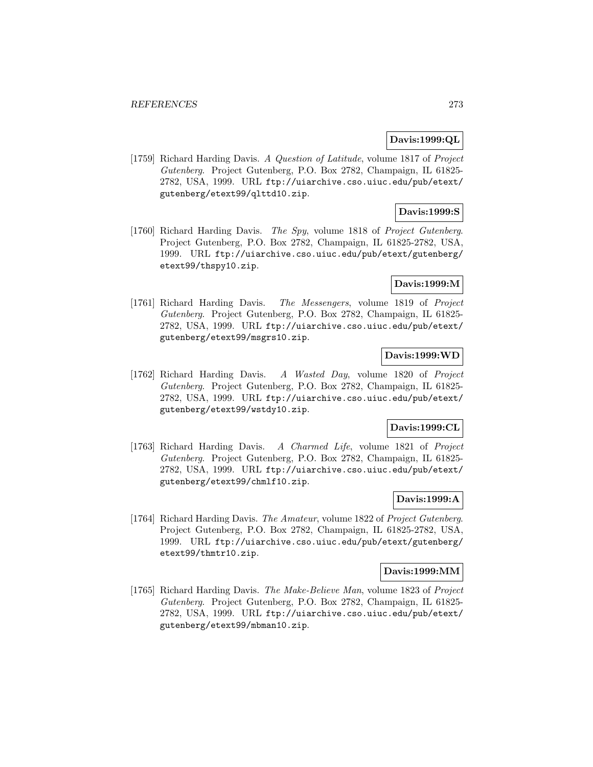## **Davis:1999:QL**

[1759] Richard Harding Davis. A Question of Latitude, volume 1817 of Project Gutenberg. Project Gutenberg, P.O. Box 2782, Champaign, IL 61825- 2782, USA, 1999. URL ftp://uiarchive.cso.uiuc.edu/pub/etext/ gutenberg/etext99/qlttd10.zip.

# **Davis:1999:S**

[1760] Richard Harding Davis. The Spy, volume 1818 of Project Gutenberg. Project Gutenberg, P.O. Box 2782, Champaign, IL 61825-2782, USA, 1999. URL ftp://uiarchive.cso.uiuc.edu/pub/etext/gutenberg/ etext99/thspy10.zip.

## **Davis:1999:M**

[1761] Richard Harding Davis. The Messengers, volume 1819 of Project Gutenberg. Project Gutenberg, P.O. Box 2782, Champaign, IL 61825- 2782, USA, 1999. URL ftp://uiarchive.cso.uiuc.edu/pub/etext/ gutenberg/etext99/msgrs10.zip.

## **Davis:1999:WD**

[1762] Richard Harding Davis. A Wasted Day, volume 1820 of Project Gutenberg. Project Gutenberg, P.O. Box 2782, Champaign, IL 61825- 2782, USA, 1999. URL ftp://uiarchive.cso.uiuc.edu/pub/etext/ gutenberg/etext99/wstdy10.zip.

## **Davis:1999:CL**

[1763] Richard Harding Davis. A Charmed Life, volume 1821 of Project Gutenberg. Project Gutenberg, P.O. Box 2782, Champaign, IL 61825- 2782, USA, 1999. URL ftp://uiarchive.cso.uiuc.edu/pub/etext/ gutenberg/etext99/chmlf10.zip.

# **Davis:1999:A**

[1764] Richard Harding Davis. The Amateur, volume 1822 of Project Gutenberg. Project Gutenberg, P.O. Box 2782, Champaign, IL 61825-2782, USA, 1999. URL ftp://uiarchive.cso.uiuc.edu/pub/etext/gutenberg/ etext99/thmtr10.zip.

### **Davis:1999:MM**

[1765] Richard Harding Davis. The Make-Believe Man, volume 1823 of Project Gutenberg. Project Gutenberg, P.O. Box 2782, Champaign, IL 61825- 2782, USA, 1999. URL ftp://uiarchive.cso.uiuc.edu/pub/etext/ gutenberg/etext99/mbman10.zip.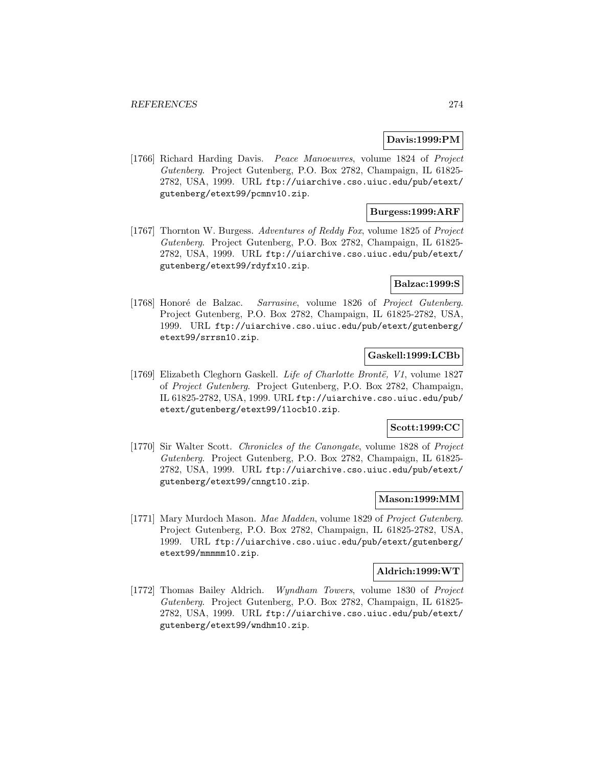## **Davis:1999:PM**

[1766] Richard Harding Davis. Peace Manoeuvres, volume 1824 of Project Gutenberg. Project Gutenberg, P.O. Box 2782, Champaign, IL 61825- 2782, USA, 1999. URL ftp://uiarchive.cso.uiuc.edu/pub/etext/ gutenberg/etext99/pcmnv10.zip.

# **Burgess:1999:ARF**

[1767] Thornton W. Burgess. Adventures of Reddy Fox, volume 1825 of Project Gutenberg. Project Gutenberg, P.O. Box 2782, Champaign, IL 61825- 2782, USA, 1999. URL ftp://uiarchive.cso.uiuc.edu/pub/etext/ gutenberg/etext99/rdyfx10.zip.

## **Balzac:1999:S**

[1768] Honoré de Balzac. Sarrasine, volume 1826 of Project Gutenberg. Project Gutenberg, P.O. Box 2782, Champaign, IL 61825-2782, USA, 1999. URL ftp://uiarchive.cso.uiuc.edu/pub/etext/gutenberg/ etext99/srrsn10.zip.

## **Gaskell:1999:LCBb**

[1769] Elizabeth Cleghorn Gaskell. Life of Charlotte Brontë, V1, volume 1827 of Project Gutenberg. Project Gutenberg, P.O. Box 2782, Champaign, IL 61825-2782, USA, 1999. URL ftp://uiarchive.cso.uiuc.edu/pub/ etext/gutenberg/etext99/1locb10.zip.

### **Scott:1999:CC**

[1770] Sir Walter Scott. Chronicles of the Canongate, volume 1828 of Project Gutenberg. Project Gutenberg, P.O. Box 2782, Champaign, IL 61825- 2782, USA, 1999. URL ftp://uiarchive.cso.uiuc.edu/pub/etext/ gutenberg/etext99/cnngt10.zip.

## **Mason:1999:MM**

[1771] Mary Murdoch Mason. Mae Madden, volume 1829 of Project Gutenberg. Project Gutenberg, P.O. Box 2782, Champaign, IL 61825-2782, USA, 1999. URL ftp://uiarchive.cso.uiuc.edu/pub/etext/gutenberg/ etext99/mmmmm10.zip.

### **Aldrich:1999:WT**

[1772] Thomas Bailey Aldrich. Wyndham Towers, volume 1830 of Project Gutenberg. Project Gutenberg, P.O. Box 2782, Champaign, IL 61825- 2782, USA, 1999. URL ftp://uiarchive.cso.uiuc.edu/pub/etext/ gutenberg/etext99/wndhm10.zip.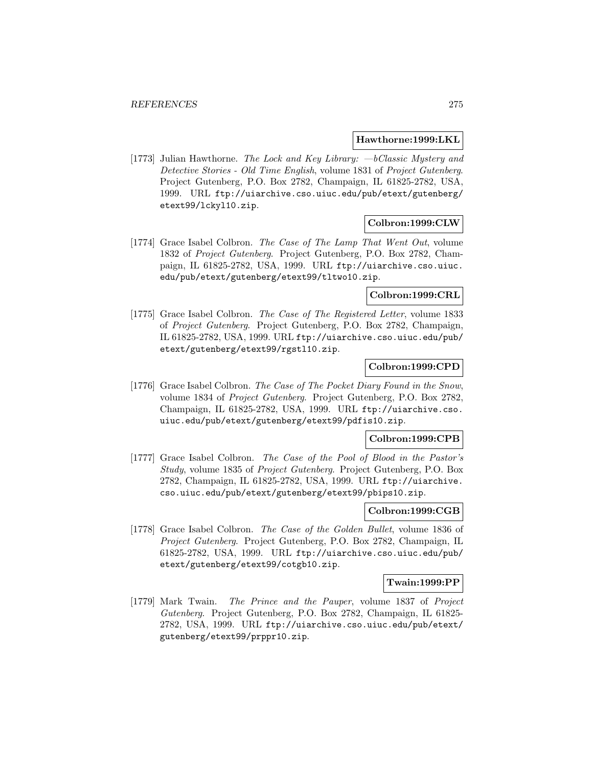### **Hawthorne:1999:LKL**

[1773] Julian Hawthorne. The Lock and Key Library:  $-b$ Classic Mystery and Detective Stories - Old Time English, volume 1831 of Project Gutenberg. Project Gutenberg, P.O. Box 2782, Champaign, IL 61825-2782, USA, 1999. URL ftp://uiarchive.cso.uiuc.edu/pub/etext/gutenberg/ etext99/lckyl10.zip.

# **Colbron:1999:CLW**

[1774] Grace Isabel Colbron. The Case of The Lamp That Went Out, volume 1832 of Project Gutenberg. Project Gutenberg, P.O. Box 2782, Champaign, IL 61825-2782, USA, 1999. URL ftp://uiarchive.cso.uiuc. edu/pub/etext/gutenberg/etext99/tltwo10.zip.

## **Colbron:1999:CRL**

[1775] Grace Isabel Colbron. The Case of The Registered Letter, volume 1833 of Project Gutenberg. Project Gutenberg, P.O. Box 2782, Champaign, IL 61825-2782, USA, 1999. URL ftp://uiarchive.cso.uiuc.edu/pub/ etext/gutenberg/etext99/rgstl10.zip.

## **Colbron:1999:CPD**

[1776] Grace Isabel Colbron. The Case of The Pocket Diary Found in the Snow, volume 1834 of Project Gutenberg. Project Gutenberg, P.O. Box 2782, Champaign, IL 61825-2782, USA, 1999. URL ftp://uiarchive.cso. uiuc.edu/pub/etext/gutenberg/etext99/pdfis10.zip.

## **Colbron:1999:CPB**

[1777] Grace Isabel Colbron. The Case of the Pool of Blood in the Pastor's Study, volume 1835 of Project Gutenberg. Project Gutenberg, P.O. Box 2782, Champaign, IL 61825-2782, USA, 1999. URL ftp://uiarchive. cso.uiuc.edu/pub/etext/gutenberg/etext99/pbips10.zip.

# **Colbron:1999:CGB**

[1778] Grace Isabel Colbron. The Case of the Golden Bullet, volume 1836 of Project Gutenberg. Project Gutenberg, P.O. Box 2782, Champaign, IL 61825-2782, USA, 1999. URL ftp://uiarchive.cso.uiuc.edu/pub/ etext/gutenberg/etext99/cotgb10.zip.

### **Twain:1999:PP**

[1779] Mark Twain. The Prince and the Pauper, volume 1837 of Project Gutenberg. Project Gutenberg, P.O. Box 2782, Champaign, IL 61825- 2782, USA, 1999. URL ftp://uiarchive.cso.uiuc.edu/pub/etext/ gutenberg/etext99/prppr10.zip.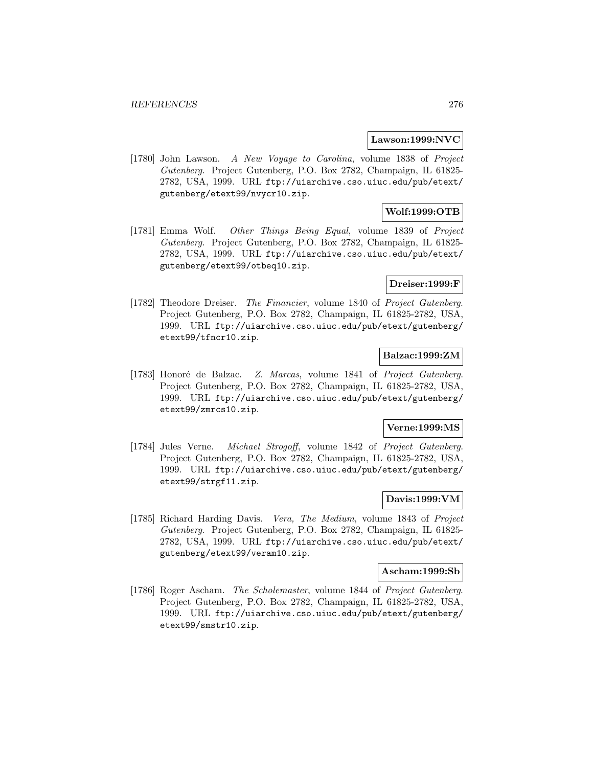### **Lawson:1999:NVC**

[1780] John Lawson. A New Voyage to Carolina, volume 1838 of Project Gutenberg. Project Gutenberg, P.O. Box 2782, Champaign, IL 61825- 2782, USA, 1999. URL ftp://uiarchive.cso.uiuc.edu/pub/etext/ gutenberg/etext99/nvycr10.zip.

# **Wolf:1999:OTB**

[1781] Emma Wolf. Other Things Being Equal, volume 1839 of Project Gutenberg. Project Gutenberg, P.O. Box 2782, Champaign, IL 61825- 2782, USA, 1999. URL ftp://uiarchive.cso.uiuc.edu/pub/etext/ gutenberg/etext99/otbeq10.zip.

## **Dreiser:1999:F**

[1782] Theodore Dreiser. The Financier, volume 1840 of Project Gutenberg. Project Gutenberg, P.O. Box 2782, Champaign, IL 61825-2782, USA, 1999. URL ftp://uiarchive.cso.uiuc.edu/pub/etext/gutenberg/ etext99/tfncr10.zip.

### **Balzac:1999:ZM**

[1783] Honoré de Balzac. Z. Marcas, volume 1841 of Project Gutenberg. Project Gutenberg, P.O. Box 2782, Champaign, IL 61825-2782, USA, 1999. URL ftp://uiarchive.cso.uiuc.edu/pub/etext/gutenberg/ etext99/zmrcs10.zip.

### **Verne:1999:MS**

[1784] Jules Verne. Michael Strogoff, volume 1842 of Project Gutenberg. Project Gutenberg, P.O. Box 2782, Champaign, IL 61825-2782, USA, 1999. URL ftp://uiarchive.cso.uiuc.edu/pub/etext/gutenberg/ etext99/strgf11.zip.

## **Davis:1999:VM**

[1785] Richard Harding Davis. Vera, The Medium, volume 1843 of Project Gutenberg. Project Gutenberg, P.O. Box 2782, Champaign, IL 61825- 2782, USA, 1999. URL ftp://uiarchive.cso.uiuc.edu/pub/etext/ gutenberg/etext99/veram10.zip.

#### **Ascham:1999:Sb**

[1786] Roger Ascham. The Scholemaster, volume 1844 of Project Gutenberg. Project Gutenberg, P.O. Box 2782, Champaign, IL 61825-2782, USA, 1999. URL ftp://uiarchive.cso.uiuc.edu/pub/etext/gutenberg/ etext99/smstr10.zip.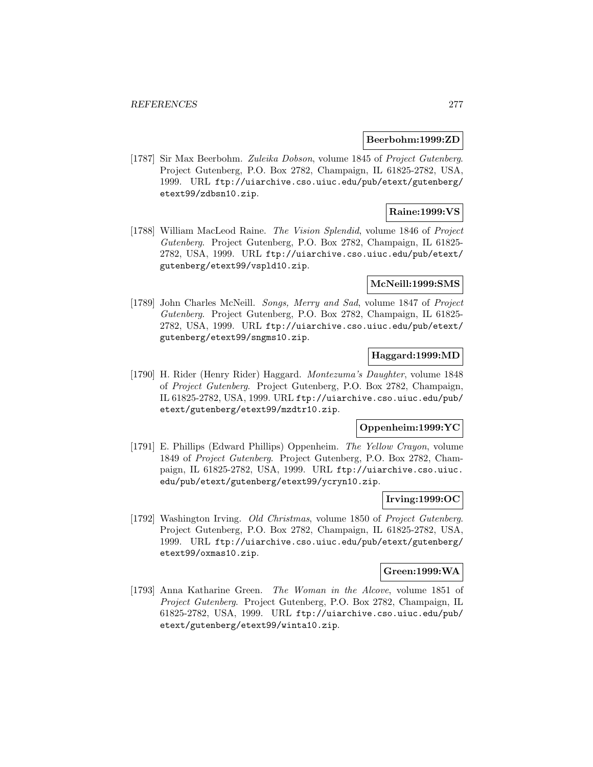### **Beerbohm:1999:ZD**

[1787] Sir Max Beerbohm. Zuleika Dobson, volume 1845 of Project Gutenberg. Project Gutenberg, P.O. Box 2782, Champaign, IL 61825-2782, USA, 1999. URL ftp://uiarchive.cso.uiuc.edu/pub/etext/gutenberg/ etext99/zdbsn10.zip.

## **Raine:1999:VS**

[1788] William MacLeod Raine. The Vision Splendid, volume 1846 of Project Gutenberg. Project Gutenberg, P.O. Box 2782, Champaign, IL 61825- 2782, USA, 1999. URL ftp://uiarchive.cso.uiuc.edu/pub/etext/ gutenberg/etext99/vspld10.zip.

### **McNeill:1999:SMS**

[1789] John Charles McNeill. Songs, Merry and Sad, volume 1847 of Project Gutenberg. Project Gutenberg, P.O. Box 2782, Champaign, IL 61825- 2782, USA, 1999. URL ftp://uiarchive.cso.uiuc.edu/pub/etext/ gutenberg/etext99/sngms10.zip.

## **Haggard:1999:MD**

[1790] H. Rider (Henry Rider) Haggard. Montezuma's Daughter, volume 1848 of Project Gutenberg. Project Gutenberg, P.O. Box 2782, Champaign, IL 61825-2782, USA, 1999. URL ftp://uiarchive.cso.uiuc.edu/pub/ etext/gutenberg/etext99/mzdtr10.zip.

### **Oppenheim:1999:YC**

[1791] E. Phillips (Edward Phillips) Oppenheim. The Yellow Crayon, volume 1849 of Project Gutenberg. Project Gutenberg, P.O. Box 2782, Champaign, IL 61825-2782, USA, 1999. URL ftp://uiarchive.cso.uiuc. edu/pub/etext/gutenberg/etext99/ycryn10.zip.

## **Irving:1999:OC**

[1792] Washington Irving. Old Christmas, volume 1850 of Project Gutenberg. Project Gutenberg, P.O. Box 2782, Champaign, IL 61825-2782, USA, 1999. URL ftp://uiarchive.cso.uiuc.edu/pub/etext/gutenberg/ etext99/oxmas10.zip.

### **Green:1999:WA**

[1793] Anna Katharine Green. The Woman in the Alcove, volume 1851 of Project Gutenberg. Project Gutenberg, P.O. Box 2782, Champaign, IL 61825-2782, USA, 1999. URL ftp://uiarchive.cso.uiuc.edu/pub/ etext/gutenberg/etext99/winta10.zip.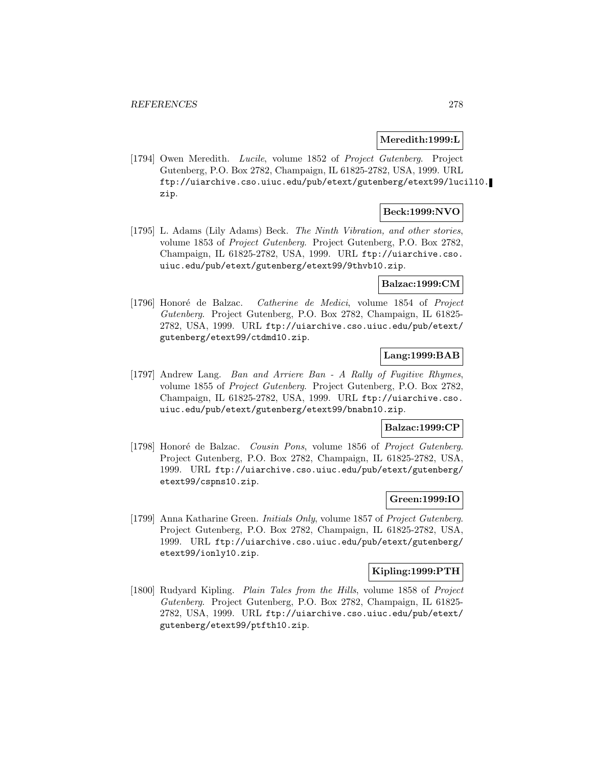### **Meredith:1999:L**

[1794] Owen Meredith. Lucile, volume 1852 of Project Gutenberg. Project Gutenberg, P.O. Box 2782, Champaign, IL 61825-2782, USA, 1999. URL ftp://uiarchive.cso.uiuc.edu/pub/etext/gutenberg/etext99/lucil10. zip.

## **Beck:1999:NVO**

[1795] L. Adams (Lily Adams) Beck. The Ninth Vibration, and other stories, volume 1853 of Project Gutenberg. Project Gutenberg, P.O. Box 2782, Champaign, IL 61825-2782, USA, 1999. URL ftp://uiarchive.cso. uiuc.edu/pub/etext/gutenberg/etext99/9thvb10.zip.

## **Balzac:1999:CM**

[1796] Honoré de Balzac. Catherine de Medici, volume 1854 of Project Gutenberg. Project Gutenberg, P.O. Box 2782, Champaign, IL 61825- 2782, USA, 1999. URL ftp://uiarchive.cso.uiuc.edu/pub/etext/ gutenberg/etext99/ctdmd10.zip.

## **Lang:1999:BAB**

[1797] Andrew Lang. Ban and Arriere Ban - A Rally of Fugitive Rhymes, volume 1855 of Project Gutenberg. Project Gutenberg, P.O. Box 2782, Champaign, IL 61825-2782, USA, 1999. URL ftp://uiarchive.cso. uiuc.edu/pub/etext/gutenberg/etext99/bnabn10.zip.

## **Balzac:1999:CP**

[1798] Honoré de Balzac. Cousin Pons, volume 1856 of Project Gutenberg. Project Gutenberg, P.O. Box 2782, Champaign, IL 61825-2782, USA, 1999. URL ftp://uiarchive.cso.uiuc.edu/pub/etext/gutenberg/ etext99/cspns10.zip.

## **Green:1999:IO**

[1799] Anna Katharine Green. Initials Only, volume 1857 of Project Gutenberg. Project Gutenberg, P.O. Box 2782, Champaign, IL 61825-2782, USA, 1999. URL ftp://uiarchive.cso.uiuc.edu/pub/etext/gutenberg/ etext99/ionly10.zip.

### **Kipling:1999:PTH**

[1800] Rudyard Kipling. Plain Tales from the Hills, volume 1858 of Project Gutenberg. Project Gutenberg, P.O. Box 2782, Champaign, IL 61825- 2782, USA, 1999. URL ftp://uiarchive.cso.uiuc.edu/pub/etext/ gutenberg/etext99/ptfth10.zip.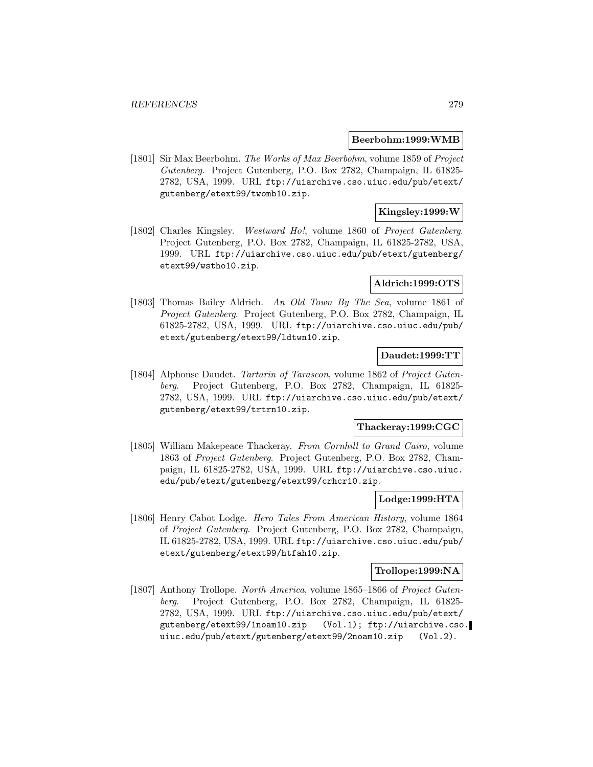### **Beerbohm:1999:WMB**

[1801] Sir Max Beerbohm. The Works of Max Beerbohm, volume 1859 of Project Gutenberg. Project Gutenberg, P.O. Box 2782, Champaign, IL 61825- 2782, USA, 1999. URL ftp://uiarchive.cso.uiuc.edu/pub/etext/ gutenberg/etext99/twomb10.zip.

## **Kingsley:1999:W**

[1802] Charles Kingsley. Westward Ho!, volume 1860 of Project Gutenberg. Project Gutenberg, P.O. Box 2782, Champaign, IL 61825-2782, USA, 1999. URL ftp://uiarchive.cso.uiuc.edu/pub/etext/gutenberg/ etext99/wstho10.zip.

### **Aldrich:1999:OTS**

[1803] Thomas Bailey Aldrich. An Old Town By The Sea, volume 1861 of Project Gutenberg. Project Gutenberg, P.O. Box 2782, Champaign, IL 61825-2782, USA, 1999. URL ftp://uiarchive.cso.uiuc.edu/pub/ etext/gutenberg/etext99/ldtwn10.zip.

## **Daudet:1999:TT**

[1804] Alphonse Daudet. Tartarin of Tarascon, volume 1862 of Project Gutenberg. Project Gutenberg, P.O. Box 2782, Champaign, IL 61825- 2782, USA, 1999. URL ftp://uiarchive.cso.uiuc.edu/pub/etext/ gutenberg/etext99/trtrn10.zip.

### **Thackeray:1999:CGC**

[1805] William Makepeace Thackeray. From Cornhill to Grand Cairo, volume 1863 of Project Gutenberg. Project Gutenberg, P.O. Box 2782, Champaign, IL 61825-2782, USA, 1999. URL ftp://uiarchive.cso.uiuc. edu/pub/etext/gutenberg/etext99/crhcr10.zip.

## **Lodge:1999:HTA**

[1806] Henry Cabot Lodge. Hero Tales From American History, volume 1864 of Project Gutenberg. Project Gutenberg, P.O. Box 2782, Champaign, IL 61825-2782, USA, 1999. URL ftp://uiarchive.cso.uiuc.edu/pub/ etext/gutenberg/etext99/htfah10.zip.

### **Trollope:1999:NA**

[1807] Anthony Trollope. North America, volume 1865–1866 of Project Gutenberg. Project Gutenberg, P.O. Box 2782, Champaign, IL 61825- 2782, USA, 1999. URL ftp://uiarchive.cso.uiuc.edu/pub/etext/ gutenberg/etext99/1noam10.zip (Vol.1); ftp://uiarchive.cso. uiuc.edu/pub/etext/gutenberg/etext99/2noam10.zip (Vol.2).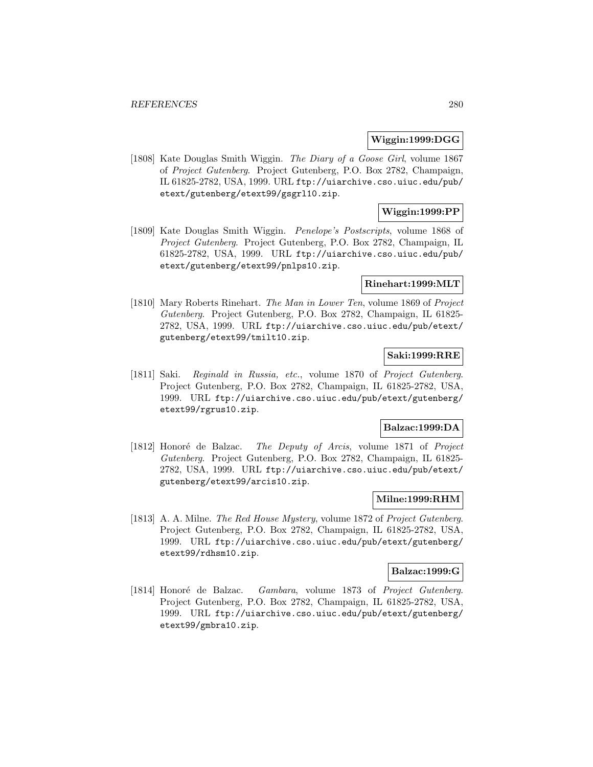### **Wiggin:1999:DGG**

[1808] Kate Douglas Smith Wiggin. The Diary of a Goose Girl, volume 1867 of Project Gutenberg. Project Gutenberg, P.O. Box 2782, Champaign, IL 61825-2782, USA, 1999. URL ftp://uiarchive.cso.uiuc.edu/pub/ etext/gutenberg/etext99/gsgrl10.zip.

## **Wiggin:1999:PP**

[1809] Kate Douglas Smith Wiggin. Penelope's Postscripts, volume 1868 of Project Gutenberg. Project Gutenberg, P.O. Box 2782, Champaign, IL 61825-2782, USA, 1999. URL ftp://uiarchive.cso.uiuc.edu/pub/ etext/gutenberg/etext99/pnlps10.zip.

### **Rinehart:1999:MLT**

[1810] Mary Roberts Rinehart. The Man in Lower Ten, volume 1869 of Project Gutenberg. Project Gutenberg, P.O. Box 2782, Champaign, IL 61825- 2782, USA, 1999. URL ftp://uiarchive.cso.uiuc.edu/pub/etext/ gutenberg/etext99/tmilt10.zip.

# **Saki:1999:RRE**

[1811] Saki. Reginald in Russia, etc., volume 1870 of Project Gutenberg. Project Gutenberg, P.O. Box 2782, Champaign, IL 61825-2782, USA, 1999. URL ftp://uiarchive.cso.uiuc.edu/pub/etext/gutenberg/ etext99/rgrus10.zip.

### **Balzac:1999:DA**

[1812] Honoré de Balzac. The Deputy of Arcis, volume 1871 of Project Gutenberg. Project Gutenberg, P.O. Box 2782, Champaign, IL 61825- 2782, USA, 1999. URL ftp://uiarchive.cso.uiuc.edu/pub/etext/ gutenberg/etext99/arcis10.zip.

## **Milne:1999:RHM**

[1813] A. A. Milne. The Red House Mystery, volume 1872 of Project Gutenberg. Project Gutenberg, P.O. Box 2782, Champaign, IL 61825-2782, USA, 1999. URL ftp://uiarchive.cso.uiuc.edu/pub/etext/gutenberg/ etext99/rdhsm10.zip.

### **Balzac:1999:G**

[1814] Honoré de Balzac. Gambara, volume 1873 of Project Gutenberg. Project Gutenberg, P.O. Box 2782, Champaign, IL 61825-2782, USA, 1999. URL ftp://uiarchive.cso.uiuc.edu/pub/etext/gutenberg/ etext99/gmbra10.zip.